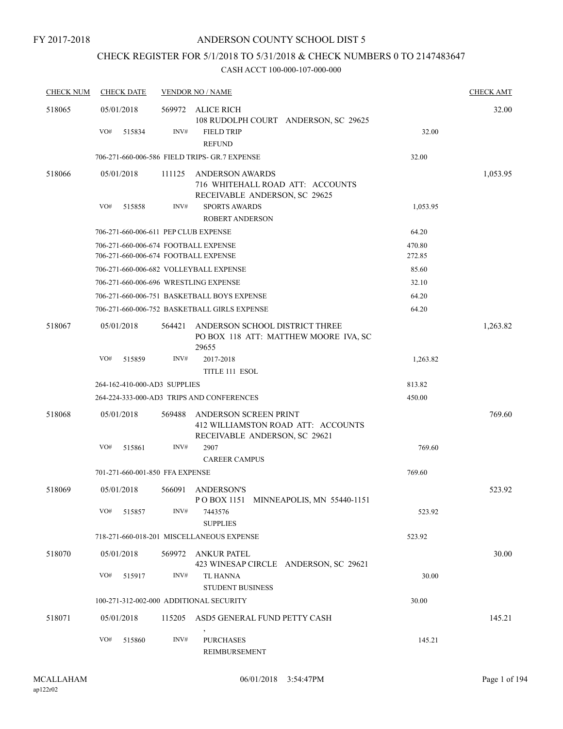## CHECK REGISTER FOR 5/1/2018 TO 5/31/2018 & CHECK NUMBERS 0 TO 2147483647

| <b>CHECK NUM</b> | <b>CHECK DATE</b>                       |        | <b>VENDOR NO / NAME</b>                                                                      |          | <b>CHECK AMT</b> |
|------------------|-----------------------------------------|--------|----------------------------------------------------------------------------------------------|----------|------------------|
| 518065           | 05/01/2018                              | 569972 | ALICE RICH<br>108 RUDOLPH COURT ANDERSON, SC 29625                                           |          | 32.00            |
|                  | VO#<br>515834                           | INV#   | <b>FIELD TRIP</b><br><b>REFUND</b>                                                           | 32.00    |                  |
|                  |                                         |        | 706-271-660-006-586 FIELD TRIPS- GR.7 EXPENSE                                                | 32.00    |                  |
| 518066           | 05/01/2018                              | 111125 | <b>ANDERSON AWARDS</b><br>716 WHITEHALL ROAD ATT: ACCOUNTS<br>RECEIVABLE ANDERSON, SC 29625  |          | 1,053.95         |
|                  | VO#<br>515858                           | INV#   | <b>SPORTS AWARDS</b><br><b>ROBERT ANDERSON</b>                                               | 1,053.95 |                  |
|                  | 706-271-660-006-611 PEP CLUB EXPENSE    |        |                                                                                              | 64.20    |                  |
|                  | 706-271-660-006-674 FOOTBALL EXPENSE    |        |                                                                                              | 470.80   |                  |
|                  | 706-271-660-006-674 FOOTBALL EXPENSE    |        |                                                                                              | 272.85   |                  |
|                  | 706-271-660-006-682 VOLLEYBALL EXPENSE  |        |                                                                                              | 85.60    |                  |
|                  | 706-271-660-006-696 WRESTLING EXPENSE   |        |                                                                                              | 32.10    |                  |
|                  |                                         |        | 706-271-660-006-751 BASKETBALL BOYS EXPENSE                                                  | 64.20    |                  |
|                  |                                         |        | 706-271-660-006-752 BASKETBALL GIRLS EXPENSE                                                 | 64.20    |                  |
| 518067           | 05/01/2018                              | 564421 | ANDERSON SCHOOL DISTRICT THREE<br>PO BOX 118 ATT: MATTHEW MOORE IVA, SC<br>29655             |          | 1,263.82         |
|                  | VO#<br>515859                           | INV#   | 2017-2018                                                                                    | 1,263.82 |                  |
|                  |                                         |        | TITLE 111 ESOL                                                                               |          |                  |
|                  | 264-162-410-000-AD3 SUPPLIES            |        |                                                                                              | 813.82   |                  |
|                  |                                         |        | 264-224-333-000-AD3 TRIPS AND CONFERENCES                                                    | 450.00   |                  |
| 518068           | 05/01/2018                              | 569488 | ANDERSON SCREEN PRINT<br>412 WILLIAMSTON ROAD ATT: ACCOUNTS<br>RECEIVABLE ANDERSON, SC 29621 |          | 769.60           |
|                  | VO#<br>515861                           | INV#   | 2907<br><b>CAREER CAMPUS</b>                                                                 | 769.60   |                  |
|                  | 701-271-660-001-850 FFA EXPENSE         |        |                                                                                              | 769.60   |                  |
| 518069           | 05/01/2018                              | 566091 | <b>ANDERSON'S</b><br>POBOX 1151 MINNEAPOLIS, MN 55440-1151                                   |          | 523.92           |
|                  | VO#<br>515857                           | INV#   | 7443576<br><b>SUPPLIES</b>                                                                   | 523.92   |                  |
|                  |                                         |        | 718-271-660-018-201 MISCELLANEOUS EXPENSE                                                    | 523.92   |                  |
| 518070           | 05/01/2018                              |        | 569972 ANKUR PATEL<br>423 WINESAP CIRCLE ANDERSON, SC 29621                                  |          | 30.00            |
|                  | VO#<br>515917                           | INV#   | TL HANNA<br><b>STUDENT BUSINESS</b>                                                          | 30.00    |                  |
|                  | 100-271-312-002-000 ADDITIONAL SECURITY |        |                                                                                              | 30.00    |                  |
| 518071           | 05/01/2018                              | 115205 | ASD5 GENERAL FUND PETTY CASH                                                                 |          | 145.21           |
|                  | VO#<br>515860                           | INV#   | <b>PURCHASES</b><br>REIMBURSEMENT                                                            | 145.21   |                  |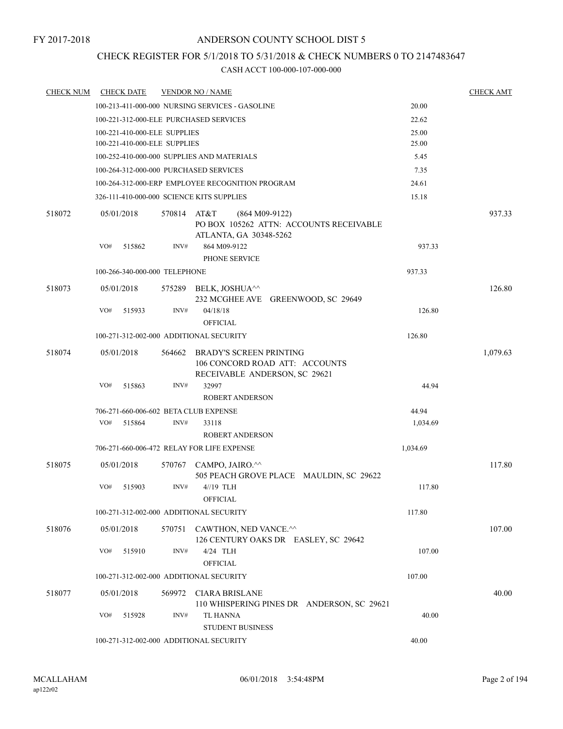## CHECK REGISTER FOR 5/1/2018 TO 5/31/2018 & CHECK NUMBERS 0 TO 2147483647

| <b>CHECK NUM</b> |            | <b>CHECK DATE</b>                       |             | <b>VENDOR NO / NAME</b>                                                               |          | <b>CHECK AMT</b> |
|------------------|------------|-----------------------------------------|-------------|---------------------------------------------------------------------------------------|----------|------------------|
|                  |            |                                         |             | 100-213-411-000-000 NURSING SERVICES - GASOLINE                                       | 20.00    |                  |
|                  |            |                                         |             | 100-221-312-000-ELE PURCHASED SERVICES                                                | 22.62    |                  |
|                  |            | 100-221-410-000-ELE SUPPLIES            |             |                                                                                       | 25.00    |                  |
|                  |            | 100-221-410-000-ELE SUPPLIES            |             |                                                                                       | 25.00    |                  |
|                  |            |                                         |             | 100-252-410-000-000 SUPPLIES AND MATERIALS                                            | 5.45     |                  |
|                  |            |                                         |             | 100-264-312-000-000 PURCHASED SERVICES                                                | 7.35     |                  |
|                  |            |                                         |             | 100-264-312-000-ERP EMPLOYEE RECOGNITION PROGRAM                                      | 24.61    |                  |
|                  |            |                                         |             | 326-111-410-000-000 SCIENCE KITS SUPPLIES                                             | 15.18    |                  |
| 518072           | 05/01/2018 |                                         | 570814 AT&T | $(864 M09-9122)$<br>PO BOX 105262 ATTN: ACCOUNTS RECEIVABLE<br>ATLANTA, GA 30348-5262 |          | 937.33           |
|                  | VO#        | 515862                                  | INV#        | 864 M09-9122<br>PHONE SERVICE                                                         | 937.33   |                  |
|                  |            | 100-266-340-000-000 TELEPHONE           |             |                                                                                       | 937.33   |                  |
|                  |            |                                         |             |                                                                                       |          |                  |
| 518073           | 05/01/2018 |                                         |             | 575289 BELK, JOSHUA <sup>^^</sup><br>232 MCGHEE AVE GREENWOOD, SC 29649               |          | 126.80           |
|                  | VO#        | 515933                                  | INV#        | 04/18/18                                                                              | 126.80   |                  |
|                  |            |                                         |             | <b>OFFICIAL</b>                                                                       |          |                  |
|                  |            |                                         |             | 100-271-312-002-000 ADDITIONAL SECURITY                                               | 126.80   |                  |
| 518074           | 05/01/2018 |                                         | 564662      | <b>BRADY'S SCREEN PRINTING</b><br>106 CONCORD ROAD ATT: ACCOUNTS                      |          | 1,079.63         |
|                  | VO#        | 515863                                  | INV#        | RECEIVABLE ANDERSON, SC 29621<br>32997<br><b>ROBERT ANDERSON</b>                      | 44.94    |                  |
|                  |            |                                         |             | 706-271-660-006-602 BETA CLUB EXPENSE                                                 | 44.94    |                  |
|                  | VO#        | 515864                                  | INV#        | 33118                                                                                 | 1,034.69 |                  |
|                  |            |                                         |             | <b>ROBERT ANDERSON</b>                                                                |          |                  |
|                  |            |                                         |             | 706-271-660-006-472 RELAY FOR LIFE EXPENSE                                            | 1,034.69 |                  |
| 518075           | 05/01/2018 |                                         |             | 570767 CAMPO, JAIRO.^^<br>505 PEACH GROVE PLACE MAULDIN, SC 29622                     |          | 117.80           |
|                  | VO#        | 515903                                  | INV#        | 4//19 TLH<br><b>OFFICIAL</b>                                                          | 117.80   |                  |
|                  |            |                                         |             | 100-271-312-002-000 ADDITIONAL SECURITY                                               | 117.80   |                  |
| 518076           | 05/01/2018 |                                         |             | 570751 CAWTHON, NED VANCE.^^<br>126 CENTURY OAKS DR EASLEY, SC 29642                  |          | 107.00           |
|                  | VO#        | 515910                                  | INV#        | 4/24 TLH<br><b>OFFICIAL</b>                                                           | 107.00   |                  |
|                  |            |                                         |             | 100-271-312-002-000 ADDITIONAL SECURITY                                               | 107.00   |                  |
| 518077           | 05/01/2018 |                                         |             | 569972 CIARA BRISLANE<br>110 WHISPERING PINES DR ANDERSON, SC 29621                   |          | 40.00            |
|                  | VO#        | 515928                                  | INV#        | TL HANNA<br><b>STUDENT BUSINESS</b>                                                   | 40.00    |                  |
|                  |            | 100-271-312-002-000 ADDITIONAL SECURITY |             | 40.00                                                                                 |          |                  |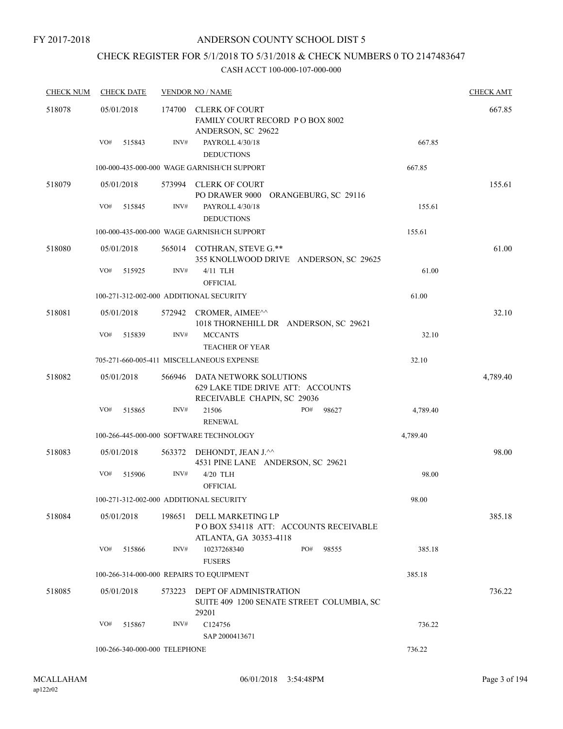## CHECK REGISTER FOR 5/1/2018 TO 5/31/2018 & CHECK NUMBERS 0 TO 2147483647

| <b>CHECK NUM</b> | <b>CHECK DATE</b>                        |        | <b>VENDOR NO / NAME</b>                                                                    |          | <b>CHECK AMT</b> |
|------------------|------------------------------------------|--------|--------------------------------------------------------------------------------------------|----------|------------------|
| 518078           | 05/01/2018                               | 174700 | <b>CLERK OF COURT</b><br>FAMILY COURT RECORD PO BOX 8002<br>ANDERSON, SC 29622             |          | 667.85           |
|                  | VO#<br>515843                            | INV#   | PAYROLL 4/30/18<br><b>DEDUCTIONS</b>                                                       | 667.85   |                  |
|                  |                                          |        | 100-000-435-000-000 WAGE GARNISH/CH SUPPORT                                                | 667.85   |                  |
| 518079           | 05/01/2018<br>VO#<br>515845              | INV#   | 573994 CLERK OF COURT<br>PO DRAWER 9000<br>ORANGEBURG, SC 29116<br>PAYROLL 4/30/18         | 155.61   | 155.61           |
|                  |                                          |        | <b>DEDUCTIONS</b>                                                                          |          |                  |
|                  |                                          |        | 100-000-435-000-000 WAGE GARNISH/CH SUPPORT                                                | 155.61   |                  |
| 518080           | 05/01/2018                               |        | 565014 COTHRAN, STEVE G.**<br>355 KNOLLWOOD DRIVE ANDERSON, SC 29625                       |          | 61.00            |
|                  | VO#<br>515925                            | INV#   | $4/11$ TLH<br><b>OFFICIAL</b>                                                              | 61.00    |                  |
|                  | 100-271-312-002-000 ADDITIONAL SECURITY  |        |                                                                                            | 61.00    |                  |
| 518081           | 05/01/2018                               |        | 572942 CROMER, AIMEE^^<br>1018 THORNEHILL DR ANDERSON, SC 29621                            |          | 32.10            |
|                  | VO#<br>515839                            | INV#   | <b>MCCANTS</b><br>TEACHER OF YEAR                                                          | 32.10    |                  |
|                  |                                          |        | 705-271-660-005-411 MISCELLANEOUS EXPENSE                                                  | 32.10    |                  |
| 518082           | 05/01/2018                               | 566946 | DATA NETWORK SOLUTIONS<br>629 LAKE TIDE DRIVE ATT: ACCOUNTS<br>RECEIVABLE CHAPIN, SC 29036 |          | 4,789.40         |
|                  | VO#<br>515865                            | INV#   | PO#<br>21506<br>98627<br><b>RENEWAL</b>                                                    | 4,789.40 |                  |
|                  |                                          |        | 100-266-445-000-000 SOFTWARE TECHNOLOGY                                                    | 4,789.40 |                  |
| 518083           | 05/01/2018                               | 563372 | DEHONDT, JEAN J.^^<br>4531 PINE LANE ANDERSON, SC 29621                                    |          | 98.00            |
|                  | VO#<br>515906                            | INV#   | 4/20 TLH<br><b>OFFICIAL</b>                                                                | 98.00    |                  |
|                  | 100-271-312-002-000 ADDITIONAL SECURITY  |        |                                                                                            | 98.00    |                  |
| 518084           | 05/01/2018                               | 198651 | DELL MARKETING LP<br>POBOX 534118 ATT: ACCOUNTS RECEIVABLE<br>ATLANTA, GA 30353-4118       |          | 385.18           |
|                  | VO#<br>515866                            | INV#   | PO#<br>10237268340<br>98555<br><b>FUSERS</b>                                               | 385.18   |                  |
|                  | 100-266-314-000-000 REPAIRS TO EQUIPMENT |        |                                                                                            | 385.18   |                  |
| 518085           | 05/01/2018                               | 573223 | DEPT OF ADMINISTRATION<br>SUITE 409 1200 SENATE STREET COLUMBIA, SC<br>29201               |          | 736.22           |
|                  | VO#<br>515867                            | INV#   | C124756<br>SAP 2000413671                                                                  | 736.22   |                  |
|                  | 100-266-340-000-000 TELEPHONE            |        | 736.22                                                                                     |          |                  |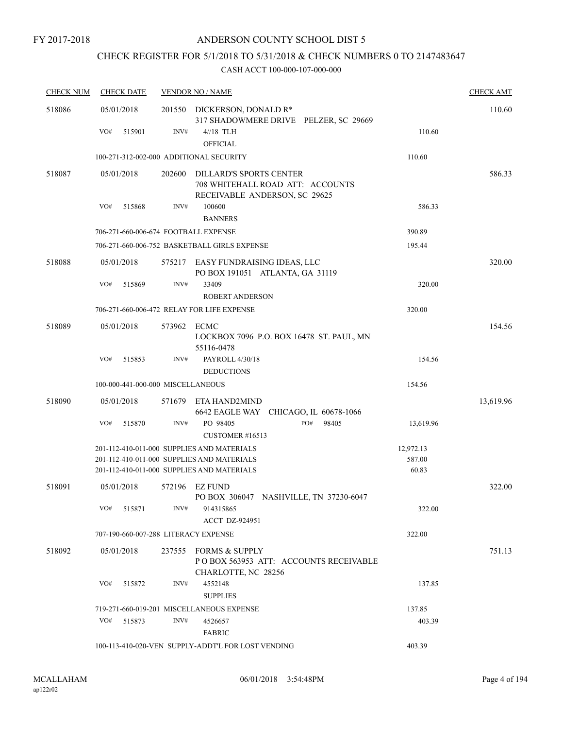## CHECK REGISTER FOR 5/1/2018 TO 5/31/2018 & CHECK NUMBERS 0 TO 2147483647

| <b>CHECK NUM</b> | <b>CHECK DATE</b>                                  |        | <b>VENDOR NO / NAME</b>                                                                             |           | <b>CHECK AMT</b> |
|------------------|----------------------------------------------------|--------|-----------------------------------------------------------------------------------------------------|-----------|------------------|
| 518086           | 05/01/2018                                         | 201550 | DICKERSON, DONALD R*<br>317 SHADOWMERE DRIVE PELZER, SC 29669                                       |           | 110.60           |
|                  | VO#<br>515901                                      | INV#   | $4/18$ TLH<br><b>OFFICIAL</b>                                                                       | 110.60    |                  |
|                  | 100-271-312-002-000 ADDITIONAL SECURITY            |        |                                                                                                     | 110.60    |                  |
| 518087           | 05/01/2018                                         | 202600 | <b>DILLARD'S SPORTS CENTER</b><br>708 WHITEHALL ROAD ATT: ACCOUNTS<br>RECEIVABLE ANDERSON, SC 29625 |           | 586.33           |
|                  | VO#<br>515868                                      | INV#   | 100600<br><b>BANNERS</b>                                                                            | 586.33    |                  |
|                  | 706-271-660-006-674 FOOTBALL EXPENSE               |        |                                                                                                     | 390.89    |                  |
|                  |                                                    |        | 706-271-660-006-752 BASKETBALL GIRLS EXPENSE                                                        | 195.44    |                  |
| 518088           | 05/01/2018                                         |        | 575217 EASY FUNDRAISING IDEAS, LLC<br>PO BOX 191051 ATLANTA, GA 31119                               |           | 320.00           |
|                  | VO#<br>515869                                      | INV#   | 33409<br><b>ROBERT ANDERSON</b>                                                                     | 320.00    |                  |
|                  |                                                    |        | 706-271-660-006-472 RELAY FOR LIFE EXPENSE                                                          | 320.00    |                  |
| 518089           | 05/01/2018                                         | 573962 | ECMC<br>LOCKBOX 7096 P.O. BOX 16478 ST. PAUL, MN<br>55116-0478                                      |           | 154.56           |
|                  | VO#<br>515853                                      | INV#   | PAYROLL 4/30/18<br><b>DEDUCTIONS</b>                                                                | 154.56    |                  |
|                  | 100-000-441-000-000 MISCELLANEOUS                  |        |                                                                                                     | 154.56    |                  |
| 518090           | 05/01/2018                                         | 571679 | ETA HAND2MIND<br>6642 EAGLE WAY CHICAGO, IL 60678-1066                                              |           | 13,619.96        |
|                  | VO#<br>515870                                      | INV#   | PO 98405<br>PO#<br>98405<br>CUSTOMER #16513                                                         | 13,619.96 |                  |
|                  |                                                    |        | 201-112-410-011-000 SUPPLIES AND MATERIALS                                                          | 12,972.13 |                  |
|                  |                                                    |        | 201-112-410-011-000 SUPPLIES AND MATERIALS                                                          | 587.00    |                  |
|                  |                                                    |        | 201-112-410-011-000 SUPPLIES AND MATERIALS                                                          | 60.83     |                  |
| 518091           | 05/01/2018                                         | 572196 | EZ FUND<br>PO BOX 306047 NASHVILLE, TN 37230-6047                                                   |           | 322.00           |
|                  | VO#<br>515871                                      | INV#   | 914315865<br>ACCT DZ-924951                                                                         | 322.00    |                  |
|                  | 707-190-660-007-288 LITERACY EXPENSE               |        |                                                                                                     | 322.00    |                  |
| 518092           | 05/01/2018                                         | 237555 | <b>FORMS &amp; SUPPLY</b><br>PO BOX 563953 ATT: ACCOUNTS RECEIVABLE<br>CHARLOTTE, NC 28256          |           | 751.13           |
|                  | VO#<br>515872                                      | INV#   | 4552148<br><b>SUPPLIES</b>                                                                          | 137.85    |                  |
|                  |                                                    |        | 719-271-660-019-201 MISCELLANEOUS EXPENSE                                                           | 137.85    |                  |
|                  | VO#<br>515873                                      | INV#   | 4526657<br><b>FABRIC</b>                                                                            | 403.39    |                  |
|                  | 100-113-410-020-VEN SUPPLY-ADDT'L FOR LOST VENDING | 403.39 |                                                                                                     |           |                  |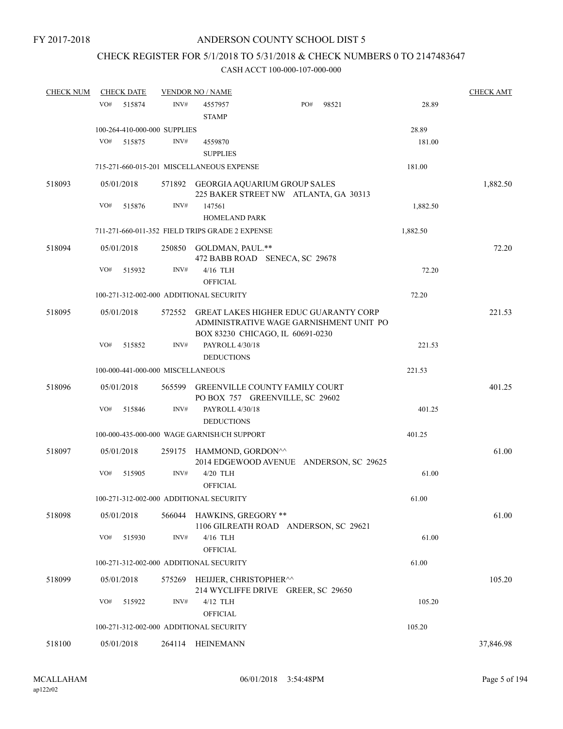## CHECK REGISTER FOR 5/1/2018 TO 5/31/2018 & CHECK NUMBERS 0 TO 2147483647

| <b>CHECK NUM</b> | <b>CHECK DATE</b>                       |                  | <b>VENDOR NO / NAME</b>                                                                                                     |     |       |          | <b>CHECK AMT</b> |
|------------------|-----------------------------------------|------------------|-----------------------------------------------------------------------------------------------------------------------------|-----|-------|----------|------------------|
|                  | VO#<br>515874                           | INV#             | 4557957<br><b>STAMP</b>                                                                                                     | PO# | 98521 | 28.89    |                  |
|                  | 100-264-410-000-000 SUPPLIES            |                  |                                                                                                                             |     |       | 28.89    |                  |
|                  | VO#<br>515875                           | INV#             | 4559870<br><b>SUPPLIES</b>                                                                                                  |     |       | 181.00   |                  |
|                  |                                         |                  | 715-271-660-015-201 MISCELLANEOUS EXPENSE                                                                                   |     |       | 181.00   |                  |
| 518093           | 05/01/2018                              |                  | 571892 GEORGIA AQUARIUM GROUP SALES<br>225 BAKER STREET NW ATLANTA, GA 30313                                                |     |       |          | 1,882.50         |
|                  | VO#<br>515876                           | $\mathrm{INV}\#$ | 147561<br><b>HOMELAND PARK</b>                                                                                              |     |       | 1,882.50 |                  |
|                  |                                         |                  | 711-271-660-011-352 FIELD TRIPS GRADE 2 EXPENSE                                                                             |     |       | 1,882.50 |                  |
|                  |                                         |                  |                                                                                                                             |     |       |          |                  |
| 518094           | 05/01/2018                              |                  | 250850 GOLDMAN, PAUL.**<br>472 BABB ROAD SENECA, SC 29678                                                                   |     |       |          | 72.20            |
|                  | VO#<br>515932                           | INV#             | 4/16 TLH<br><b>OFFICIAL</b>                                                                                                 |     |       | 72.20    |                  |
|                  | 100-271-312-002-000 ADDITIONAL SECURITY |                  |                                                                                                                             |     |       | 72.20    |                  |
| 518095           | 05/01/2018                              | 572552           | <b>GREAT LAKES HIGHER EDUC GUARANTY CORP</b><br>ADMINISTRATIVE WAGE GARNISHMENT UNIT PO<br>BOX 83230 CHICAGO, IL 60691-0230 |     |       |          | 221.53           |
|                  | VO#<br>515852                           | INV#             | PAYROLL 4/30/18<br><b>DEDUCTIONS</b>                                                                                        |     |       | 221.53   |                  |
|                  | 100-000-441-000-000 MISCELLANEOUS       |                  |                                                                                                                             |     |       | 221.53   |                  |
| 518096           | 05/01/2018                              |                  | 565599 GREENVILLE COUNTY FAMILY COURT                                                                                       |     |       |          | 401.25           |
|                  | VO#<br>515846                           | INV#             | PO BOX 757 GREENVILLE, SC 29602<br>PAYROLL 4/30/18                                                                          |     |       | 401.25   |                  |
|                  |                                         |                  | <b>DEDUCTIONS</b>                                                                                                           |     |       |          |                  |
|                  |                                         |                  | 100-000-435-000-000 WAGE GARNISH/CH SUPPORT                                                                                 |     |       | 401.25   |                  |
| 518097           | 05/01/2018                              |                  | 259175 HAMMOND, GORDON <sup>^^</sup><br>2014 EDGEWOOD AVENUE ANDERSON, SC 29625                                             |     |       |          | 61.00            |
|                  | VO#<br>515905                           | INV#             | 4/20 TLH<br><b>OFFICIAL</b>                                                                                                 |     |       | 61.00    |                  |
|                  | 100-271-312-002-000 ADDITIONAL SECURITY |                  |                                                                                                                             |     |       | 61.00    |                  |
| 518098           | 05/01/2018                              | 566044           | <b>HAWKINS, GREGORY **</b><br>1106 GILREATH ROAD ANDERSON, SC 29621                                                         |     |       |          | 61.00            |
|                  | VO#<br>515930                           | INV#             | 4/16 TLH                                                                                                                    |     |       | 61.00    |                  |
|                  | 100-271-312-002-000 ADDITIONAL SECURITY |                  | <b>OFFICIAL</b>                                                                                                             |     |       | 61.00    |                  |
|                  |                                         |                  |                                                                                                                             |     |       |          |                  |
| 518099           | 05/01/2018                              | 575269           | HEIJJER, CHRISTOPHER^^<br>214 WYCLIFFE DRIVE GREER, SC 29650                                                                |     |       |          | 105.20           |
|                  | VO#<br>515922                           | INV#             | $4/12$ TLH<br><b>OFFICIAL</b>                                                                                               |     |       | 105.20   |                  |
|                  | 100-271-312-002-000 ADDITIONAL SECURITY |                  |                                                                                                                             |     |       | 105.20   |                  |
| 518100           | 05/01/2018                              |                  | 264114 HEINEMANN                                                                                                            |     |       |          | 37,846.98        |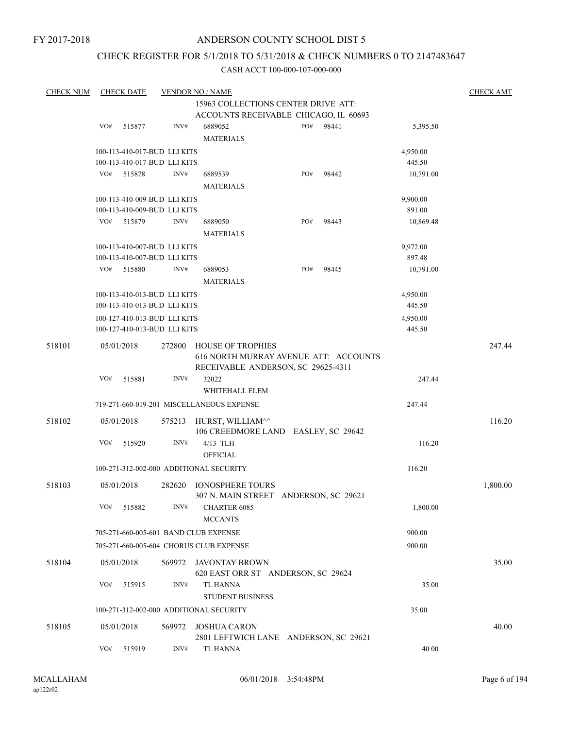## CHECK REGISTER FOR 5/1/2018 TO 5/31/2018 & CHECK NUMBERS 0 TO 2147483647

| <b>CHECK NUM</b> |            | <b>CHECK DATE</b>            |        | <b>VENDOR NO / NAME</b>                              |     |       |           | <b>CHECK AMT</b> |
|------------------|------------|------------------------------|--------|------------------------------------------------------|-----|-------|-----------|------------------|
|                  |            |                              |        | 15963 COLLECTIONS CENTER DRIVE ATT:                  |     |       |           |                  |
|                  |            |                              |        | ACCOUNTS RECEIVABLE CHICAGO, IL 60693                |     |       |           |                  |
|                  | VO#        | 515877                       | INV#   | 6889052                                              | PO# | 98441 | 5,395.50  |                  |
|                  |            |                              |        | <b>MATERIALS</b>                                     |     |       |           |                  |
|                  |            | 100-113-410-017-BUD LLI KITS |        |                                                      |     |       | 4,950.00  |                  |
|                  |            | 100-113-410-017-BUD LLI KITS |        |                                                      |     |       | 445.50    |                  |
|                  | VO#        | 515878                       | INV#   | 6889539                                              | PO# | 98442 | 10,791.00 |                  |
|                  |            |                              |        | <b>MATERIALS</b>                                     |     |       |           |                  |
|                  |            | 100-113-410-009-BUD LLI KITS |        |                                                      |     |       | 9,900.00  |                  |
|                  |            | 100-113-410-009-BUD LLI KITS |        |                                                      |     |       | 891.00    |                  |
|                  | VO#        | 515879                       | INV#   | 6889050                                              | PO# | 98443 | 10,869.48 |                  |
|                  |            |                              |        | <b>MATERIALS</b>                                     |     |       |           |                  |
|                  |            | 100-113-410-007-BUD LLI KITS |        |                                                      |     |       | 9,972.00  |                  |
|                  |            | 100-113-410-007-BUD LLI KITS |        |                                                      |     |       | 897.48    |                  |
|                  | VO#        | 515880                       | INV#   | 6889053                                              | PO# | 98445 | 10,791.00 |                  |
|                  |            |                              |        | <b>MATERIALS</b>                                     |     |       |           |                  |
|                  |            | 100-113-410-013-BUD LLI KITS |        |                                                      |     |       | 4,950.00  |                  |
|                  |            | 100-113-410-013-BUD LLI KITS |        |                                                      |     |       | 445.50    |                  |
|                  |            | 100-127-410-013-BUD LLI KITS |        |                                                      |     |       | 4,950.00  |                  |
|                  |            | 100-127-410-013-BUD LLI KITS |        |                                                      |     |       | 445.50    |                  |
| 518101           | 05/01/2018 |                              | 272800 | <b>HOUSE OF TROPHIES</b>                             |     |       |           | 247.44           |
|                  |            |                              |        | 616 NORTH MURRAY AVENUE ATT: ACCOUNTS                |     |       |           |                  |
|                  |            |                              |        | RECEIVABLE ANDERSON, SC 29625-4311                   |     |       |           |                  |
|                  | VO#        | 515881                       | INV#   | 32022                                                |     |       | 247.44    |                  |
|                  |            |                              |        | WHITEHALL ELEM                                       |     |       |           |                  |
|                  |            |                              |        | 719-271-660-019-201 MISCELLANEOUS EXPENSE            |     |       | 247.44    |                  |
| 518102           | 05/01/2018 |                              | 575213 | HURST, WILLIAM^^                                     |     |       |           | 116.20           |
|                  |            |                              |        | 106 CREEDMORE LAND EASLEY, SC 29642                  |     |       |           |                  |
|                  | VO#        | 515920                       | INV#   | 4/13 TLH                                             |     |       | 116.20    |                  |
|                  |            |                              |        | <b>OFFICIAL</b>                                      |     |       |           |                  |
|                  |            |                              |        | 100-271-312-002-000 ADDITIONAL SECURITY              |     |       | 116.20    |                  |
| 518103           | 05/01/2018 |                              | 282620 | <b>IONOSPHERE TOURS</b>                              |     |       |           | 1,800.00         |
|                  |            |                              |        | 307 N. MAIN STREET ANDERSON, SC 29621                |     |       |           |                  |
|                  | VO#        | 515882                       | INV#   | CHARTER 6085                                         |     |       | 1,800.00  |                  |
|                  |            |                              |        | <b>MCCANTS</b>                                       |     |       |           |                  |
|                  |            |                              |        | 705-271-660-005-601 BAND CLUB EXPENSE                |     |       | 900.00    |                  |
|                  |            |                              |        | 705-271-660-005-604 CHORUS CLUB EXPENSE              |     |       | 900.00    |                  |
|                  |            |                              |        |                                                      |     |       |           |                  |
| 518104           | 05/01/2018 |                              | 569972 | JAVONTAY BROWN<br>620 EAST ORR ST ANDERSON, SC 29624 |     |       |           | 35.00            |
|                  | VO#        | 515915                       | INV#   | <b>TL HANNA</b>                                      |     |       | 35.00     |                  |
|                  |            |                              |        | <b>STUDENT BUSINESS</b>                              |     |       |           |                  |
|                  |            |                              |        |                                                      |     |       |           |                  |
|                  |            |                              |        | 100-271-312-002-000 ADDITIONAL SECURITY              |     |       | 35.00     |                  |
| 518105           | 05/01/2018 |                              | 569972 | <b>JOSHUA CARON</b>                                  |     |       |           | 40.00            |
|                  |            |                              |        | 2801 LEFTWICH LANE ANDERSON, SC 29621                |     |       |           |                  |
|                  | VO#        | 515919                       | INV#   | TL HANNA                                             |     |       | 40.00     |                  |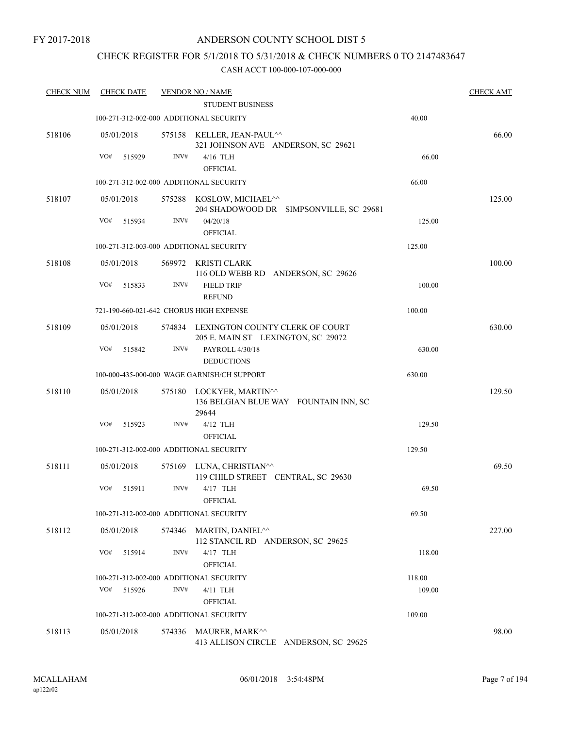## CHECK REGISTER FOR 5/1/2018 TO 5/31/2018 & CHECK NUMBERS 0 TO 2147483647

| <b>CHECK NUM</b> |            | <b>CHECK DATE</b> |                | <b>VENDOR NO / NAME</b>                                                      |        | <b>CHECK AMT</b> |
|------------------|------------|-------------------|----------------|------------------------------------------------------------------------------|--------|------------------|
|                  |            |                   |                | <b>STUDENT BUSINESS</b>                                                      |        |                  |
|                  |            |                   |                | 100-271-312-002-000 ADDITIONAL SECURITY                                      | 40.00  |                  |
| 518106           | 05/01/2018 |                   |                | 575158 KELLER, JEAN-PAUL^^<br>321 JOHNSON AVE ANDERSON, SC 29621             |        | 66.00            |
|                  | VO#        | 515929            | $\text{INV}\#$ | 4/16 TLH<br><b>OFFICIAL</b>                                                  | 66.00  |                  |
|                  |            |                   |                | 100-271-312-002-000 ADDITIONAL SECURITY                                      | 66.00  |                  |
| 518107           | 05/01/2018 |                   |                | 575288 KOSLOW, MICHAEL^^<br>204 SHADOWOOD DR SIMPSONVILLE, SC 29681          |        | 125.00           |
|                  | VO#        | 515934            | INV#           | 04/20/18<br><b>OFFICIAL</b>                                                  | 125.00 |                  |
|                  |            |                   |                | 100-271-312-003-000 ADDITIONAL SECURITY                                      | 125.00 |                  |
| 518108           | 05/01/2018 |                   |                | 569972 KRISTI CLARK<br>116 OLD WEBB RD ANDERSON, SC 29626                    |        | 100.00           |
|                  | VO#        | 515833            | INV#           | <b>FIELD TRIP</b><br><b>REFUND</b>                                           | 100.00 |                  |
|                  |            |                   |                | 721-190-660-021-642 CHORUS HIGH EXPENSE                                      | 100.00 |                  |
| 518109           | 05/01/2018 |                   |                | 574834 LEXINGTON COUNTY CLERK OF COURT<br>205 E. MAIN ST LEXINGTON, SC 29072 |        | 630.00           |
|                  | VO#        | 515842            | INV#           | PAYROLL 4/30/18<br><b>DEDUCTIONS</b>                                         | 630.00 |                  |
|                  |            |                   |                | 100-000-435-000-000 WAGE GARNISH/CH SUPPORT                                  | 630.00 |                  |
| 518110           | 05/01/2018 |                   | 575180         | LOCKYER, MARTIN^^<br>136 BELGIAN BLUE WAY FOUNTAIN INN, SC<br>29644          |        | 129.50           |
|                  | VO#        | 515923            | INV#           | $4/12$ TLH<br><b>OFFICIAL</b>                                                | 129.50 |                  |
|                  |            |                   |                | 100-271-312-002-000 ADDITIONAL SECURITY                                      | 129.50 |                  |
| 518111           | 05/01/2018 |                   |                | 575169 LUNA, CHRISTIAN <sup>^^</sup>                                         |        | 69.50            |
|                  | VO#        | 515911            | INV#           | 119 CHILD STREET CENTRAL, SC 29630<br>4/17 TLH<br><b>OFFICIAL</b>            | 69.50  |                  |
|                  |            |                   |                | 100-271-312-002-000 ADDITIONAL SECURITY                                      | 69.50  |                  |
| 518112           | 05/01/2018 |                   |                | 574346 MARTIN, DANIEL <sup>^^</sup>                                          |        | 227.00           |
|                  | VO#        | 515914            | INV#           | 112 STANCIL RD ANDERSON, SC 29625<br>4/17 TLH<br>OFFICIAL                    | 118.00 |                  |
|                  |            |                   |                | 100-271-312-002-000 ADDITIONAL SECURITY                                      | 118.00 |                  |
|                  | VO#        | 515926            | INV#           | 4/11 TLH                                                                     | 109.00 |                  |
|                  |            |                   |                | <b>OFFICIAL</b>                                                              |        |                  |
|                  |            |                   |                | 100-271-312-002-000 ADDITIONAL SECURITY                                      | 109.00 |                  |
| 518113           | 05/01/2018 |                   | 574336         | MAURER, MARK^^<br>413 ALLISON CIRCLE ANDERSON, SC 29625                      |        | 98.00            |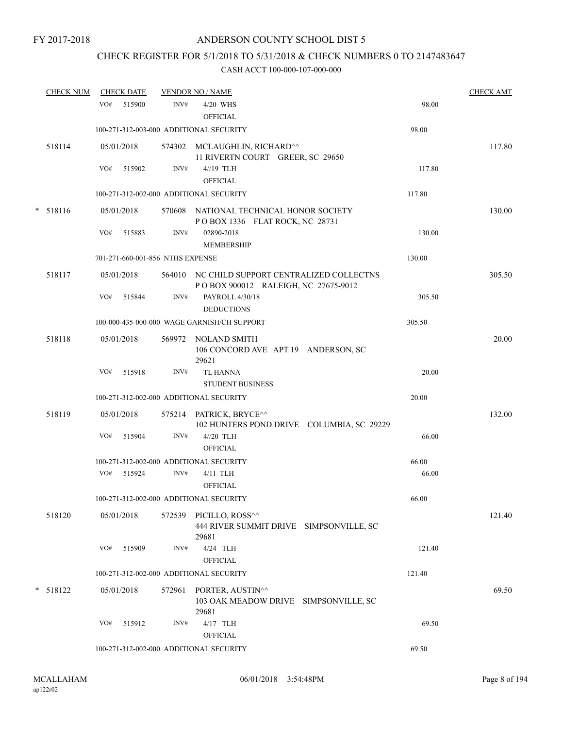# CHECK REGISTER FOR 5/1/2018 TO 5/31/2018 & CHECK NUMBERS 0 TO 2147483647

|   | <b>CHECK NUM</b> |     | <b>CHECK DATE</b> |                                  | <b>VENDOR NO / NAME</b>                                                                |        | <b>CHECK AMT</b> |
|---|------------------|-----|-------------------|----------------------------------|----------------------------------------------------------------------------------------|--------|------------------|
|   |                  |     | VO# 515900        | INV#                             | 4/20 WHS<br><b>OFFICIAL</b>                                                            | 98.00  |                  |
|   |                  |     |                   |                                  | 100-271-312-003-000 ADDITIONAL SECURITY                                                | 98.00  |                  |
|   | 518114           |     | 05/01/2018        |                                  | 574302 MCLAUGHLIN, RICHARD <sup>^^</sup><br>11 RIVERTN COURT GREER, SC 29650           |        | 117.80           |
|   |                  | VO# | 515902            | INV#                             | 4//19 TLH<br><b>OFFICIAL</b>                                                           | 117.80 |                  |
|   |                  |     |                   |                                  | 100-271-312-002-000 ADDITIONAL SECURITY                                                | 117.80 |                  |
| * | 518116           |     | 05/01/2018        |                                  | 570608 NATIONAL TECHNICAL HONOR SOCIETY<br>POBOX 1336 FLAT ROCK, NC 28731              |        | 130.00           |
|   |                  | VO# | 515883            | INV#                             | 02890-2018<br><b>MEMBERSHIP</b>                                                        | 130.00 |                  |
|   |                  |     |                   | 701-271-660-001-856 NTHS EXPENSE |                                                                                        | 130.00 |                  |
|   | 518117           |     | 05/01/2018        |                                  | 564010 NC CHILD SUPPORT CENTRALIZED COLLECTNS<br>P O BOX 900012 RALEIGH, NC 27675-9012 |        | 305.50           |
|   |                  | VO# | 515844            | INV#                             | PAYROLL 4/30/18<br><b>DEDUCTIONS</b>                                                   | 305.50 |                  |
|   |                  |     |                   |                                  | 100-000-435-000-000 WAGE GARNISH/CH SUPPORT                                            | 305.50 |                  |
|   | 518118           |     | 05/01/2018        |                                  | 569972 NOLAND SMITH<br>106 CONCORD AVE APT 19 ANDERSON, SC<br>29621                    |        | 20.00            |
|   |                  | VO# | 515918            | INV#                             | <b>TL HANNA</b><br><b>STUDENT BUSINESS</b>                                             | 20.00  |                  |
|   |                  |     |                   |                                  | 100-271-312-002-000 ADDITIONAL SECURITY                                                | 20.00  |                  |
|   | 518119           |     | 05/01/2018        |                                  | 575214 PATRICK, BRYCE^^<br>102 HUNTERS POND DRIVE COLUMBIA, SC 29229                   |        | 132.00           |
|   |                  | VO# | 515904            | INV#                             | $4//20$ TLH<br><b>OFFICIAL</b>                                                         | 66.00  |                  |
|   |                  |     |                   |                                  | 100-271-312-002-000 ADDITIONAL SECURITY                                                | 66.00  |                  |
|   |                  | VO# | 515924            | INV#                             | 4/11 TLH<br><b>OFFICIAL</b>                                                            | 66.00  |                  |
|   |                  |     |                   |                                  | 100-271-312-002-000 ADDITIONAL SECURITY                                                | 66.00  |                  |
|   | 518120           |     | 05/01/2018        | 572539                           | PICILLO, ROSS <sup>^^</sup><br>444 RIVER SUMMIT DRIVE SIMPSONVILLE, SC<br>29681        |        | 121.40           |
|   |                  | VO# | 515909            | INV#                             | 4/24 TLH<br><b>OFFICIAL</b>                                                            | 121.40 |                  |
|   |                  |     |                   |                                  | 100-271-312-002-000 ADDITIONAL SECURITY                                                | 121.40 |                  |
|   | $*$ 518122       |     | 05/01/2018        | 572961                           | PORTER, AUSTIN^^<br>103 OAK MEADOW DRIVE SIMPSONVILLE, SC<br>29681                     |        | 69.50            |
|   |                  | VO# | 515912            | INV#                             | 4/17 TLH<br>OFFICIAL                                                                   | 69.50  |                  |
|   |                  |     |                   |                                  | 100-271-312-002-000 ADDITIONAL SECURITY                                                | 69.50  |                  |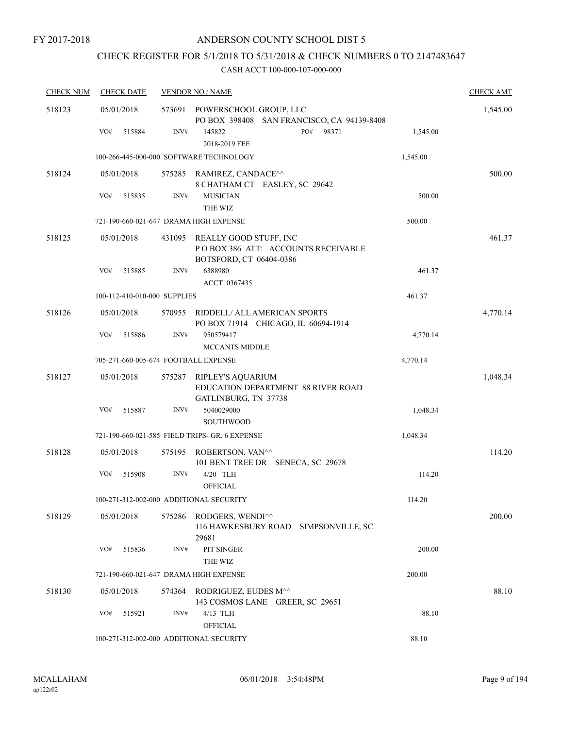## CHECK REGISTER FOR 5/1/2018 TO 5/31/2018 & CHECK NUMBERS 0 TO 2147483647

| <b>CHECK NUM</b> | <b>CHECK DATE</b>                       |        | <b>VENDOR NO / NAME</b>                                                                  |          | <b>CHECK AMT</b> |
|------------------|-----------------------------------------|--------|------------------------------------------------------------------------------------------|----------|------------------|
| 518123           | 05/01/2018                              | 573691 | POWERSCHOOL GROUP, LLC<br>PO BOX 398408 SAN FRANCISCO, CA 94139-8408                     |          | 1,545.00         |
|                  | VO#<br>515884                           | INV#   | PO# 98371<br>145822<br>2018-2019 FEE                                                     | 1,545.00 |                  |
|                  |                                         |        | 100-266-445-000-000 SOFTWARE TECHNOLOGY                                                  | 1,545.00 |                  |
| 518124           | 05/01/2018                              |        | 575285 RAMIREZ, CANDACE <sup>^^</sup><br>8 CHATHAM CT EASLEY, SC 29642                   |          | 500.00           |
|                  | VO#<br>515835                           | INV#   | <b>MUSICIAN</b><br>THE WIZ                                                               | 500.00   |                  |
|                  | 721-190-660-021-647 DRAMA HIGH EXPENSE  |        |                                                                                          | 500.00   |                  |
| 518125           | 05/01/2018                              | 431095 | REALLY GOOD STUFF, INC<br>PO BOX 386 ATT: ACCOUNTS RECEIVABLE<br>BOTSFORD, CT 06404-0386 |          | 461.37           |
|                  | VO#<br>515885                           | INV#   | 6388980<br>ACCT 0367435                                                                  | 461.37   |                  |
|                  | 100-112-410-010-000 SUPPLIES            |        |                                                                                          | 461.37   |                  |
| 518126           | 05/01/2018                              | 570955 | RIDDELL/ ALL AMERICAN SPORTS<br>PO BOX 71914 CHICAGO, IL 60694-1914                      |          | 4,770.14         |
|                  | VO#<br>515886                           | INV#   | 950579417<br><b>MCCANTS MIDDLE</b>                                                       | 4,770.14 |                  |
|                  | 705-271-660-005-674 FOOTBALL EXPENSE    |        |                                                                                          | 4,770.14 |                  |
| 518127           | 05/01/2018                              | 575287 | RIPLEY'S AQUARIUM<br>EDUCATION DEPARTMENT 88 RIVER ROAD<br>GATLINBURG, TN 37738          |          | 1,048.34         |
|                  | VO#<br>515887                           | INV#   | 5040029000<br><b>SOUTHWOOD</b>                                                           | 1,048.34 |                  |
|                  |                                         |        | 721-190-660-021-585 FIELD TRIPS- GR. 6 EXPENSE                                           | 1,048.34 |                  |
| 518128           | 05/01/2018                              | 575195 | ROBERTSON, VAN^^<br>101 BENT TREE DR SENECA, SC 29678                                    |          | 114.20           |
|                  | VO#<br>515908                           | INV#   | 4/20 TLH<br><b>OFFICIAL</b>                                                              | 114.20   |                  |
|                  | 100-271-312-002-000 ADDITIONAL SECURITY |        |                                                                                          | 114.20   |                  |
| 518129           | 05/01/2018                              |        | 575286 RODGERS, WENDI^^<br>116 HAWKESBURY ROAD<br>SIMPSONVILLE, SC<br>29681              |          | 200.00           |
|                  | VO#<br>515836                           | INV#   | PIT SINGER<br>THE WIZ                                                                    | 200.00   |                  |
|                  | 721-190-660-021-647 DRAMA HIGH EXPENSE  |        |                                                                                          | 200.00   |                  |
| 518130           | 05/01/2018                              | 574364 | RODRIGUEZ, EUDES M^^<br>143 COSMOS LANE GREER, SC 29651                                  |          | 88.10            |
|                  | VO#<br>515921                           | INV#   | $4/13$ TLH<br><b>OFFICIAL</b>                                                            | 88.10    |                  |
|                  | 100-271-312-002-000 ADDITIONAL SECURITY |        |                                                                                          | 88.10    |                  |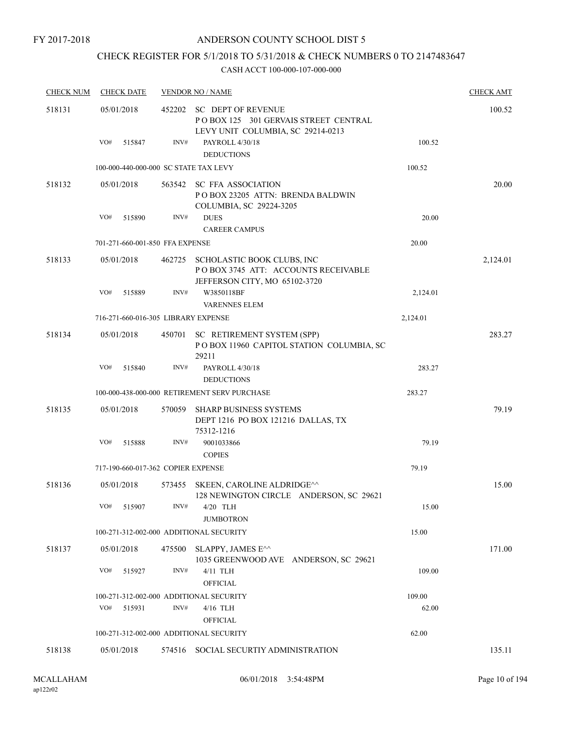FY 2017-2018

## ANDERSON COUNTY SCHOOL DIST 5

## CHECK REGISTER FOR 5/1/2018 TO 5/31/2018 & CHECK NUMBERS 0 TO 2147483647

| <b>CHECK NUM</b> |                                         | <b>CHECK DATE</b>                  |        | <b>VENDOR NO / NAME</b>                                                                                   |          | <b>CHECK AMT</b> |
|------------------|-----------------------------------------|------------------------------------|--------|-----------------------------------------------------------------------------------------------------------|----------|------------------|
| 518131           | 05/01/2018                              |                                    | 452202 | SC DEPT OF REVENUE<br>POBOX 125 301 GERVAIS STREET CENTRAL<br>LEVY UNIT COLUMBIA, SC 29214-0213           |          | 100.52           |
|                  | VO#                                     | 515847                             | INV#   | PAYROLL 4/30/18<br><b>DEDUCTIONS</b>                                                                      | 100.52   |                  |
|                  |                                         |                                    |        | 100-000-440-000-000 SC STATE TAX LEVY                                                                     | 100.52   |                  |
| 518132           | 05/01/2018                              |                                    |        | 563542 SC FFA ASSOCIATION<br>POBOX 23205 ATTN: BRENDA BALDWIN<br>COLUMBIA, SC 29224-3205                  |          | 20.00            |
|                  | VO#                                     | 515890                             | INV#   | <b>DUES</b><br><b>CAREER CAMPUS</b>                                                                       | 20.00    |                  |
|                  |                                         | 701-271-660-001-850 FFA EXPENSE    |        |                                                                                                           | 20.00    |                  |
| 518133           | 05/01/2018                              |                                    |        | 462725 SCHOLASTIC BOOK CLUBS, INC<br>POBOX 3745 ATT: ACCOUNTS RECEIVABLE<br>JEFFERSON CITY, MO 65102-3720 |          | 2,124.01         |
|                  | VO#                                     | 515889                             | INV#   | W3850118BF                                                                                                | 2,124.01 |                  |
|                  |                                         |                                    |        | <b>VARENNES ELEM</b><br>716-271-660-016-305 LIBRARY EXPENSE                                               |          |                  |
|                  |                                         |                                    |        |                                                                                                           | 2,124.01 |                  |
| 518134           | 05/01/2018                              |                                    |        | 450701 SC RETIREMENT SYSTEM (SPP)<br>POBOX 11960 CAPITOL STATION COLUMBIA, SC<br>29211                    |          | 283.27           |
|                  | VO#                                     | 515840                             | INV#   | PAYROLL 4/30/18<br><b>DEDUCTIONS</b>                                                                      | 283.27   |                  |
|                  |                                         |                                    |        | 100-000-438-000-000 RETIREMENT SERV PURCHASE                                                              | 283.27   |                  |
| 518135           | 05/01/2018                              |                                    | 570059 | SHARP BUSINESS SYSTEMS<br>DEPT 1216 PO BOX 121216 DALLAS, TX<br>75312-1216                                |          | 79.19            |
|                  | VO#                                     | 515888                             | INV#   | 9001033866<br><b>COPIES</b>                                                                               | 79.19    |                  |
|                  |                                         | 717-190-660-017-362 COPIER EXPENSE |        |                                                                                                           | 79.19    |                  |
| 518136           | 05/01/2018                              |                                    |        | 573455 SKEEN, CAROLINE ALDRIDGE <sup>^^</sup><br>128 NEWINGTON CIRCLE ANDERSON, SC 29621                  |          | 15.00            |
|                  | VO#                                     | 515907                             | INV#   | 4/20 TLH<br><b>JUMBOTRON</b>                                                                              | 15.00    |                  |
|                  |                                         |                                    |        | 100-271-312-002-000 ADDITIONAL SECURITY                                                                   | 15.00    |                  |
| 518137           | 05/01/2018                              |                                    | 475500 | SLAPPY, JAMES E^^<br>1035 GREENWOOD AVE ANDERSON, SC 29621                                                |          | 171.00           |
|                  | VO#                                     | 515927                             | INV#   | 4/11 TLH<br><b>OFFICIAL</b>                                                                               | 109.00   |                  |
|                  |                                         |                                    |        | 100-271-312-002-000 ADDITIONAL SECURITY                                                                   | 109.00   |                  |
|                  | VO#                                     | 515931                             | INV#   | 4/16 TLH<br><b>OFFICIAL</b>                                                                               | 62.00    |                  |
|                  | 100-271-312-002-000 ADDITIONAL SECURITY |                                    |        |                                                                                                           | 62.00    |                  |
| 518138           | 05/01/2018                              |                                    |        | 574516 SOCIAL SECURTIY ADMINISTRATION                                                                     |          | 135.11           |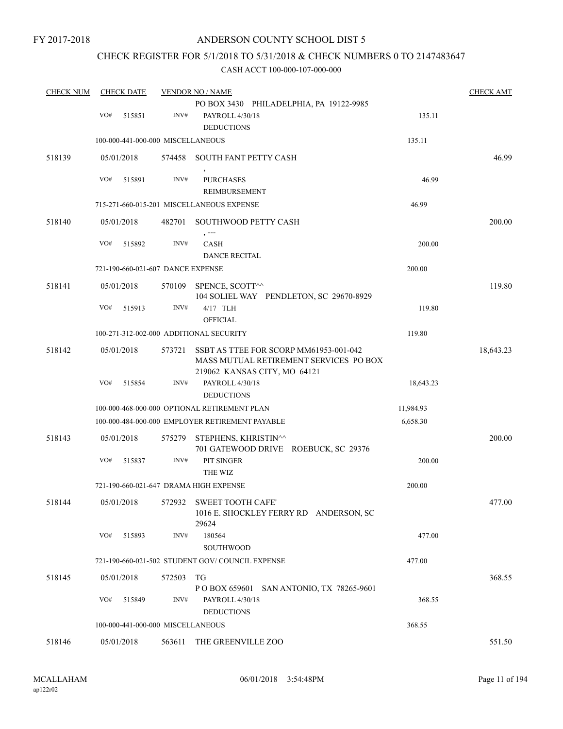## CHECK REGISTER FOR 5/1/2018 TO 5/31/2018 & CHECK NUMBERS 0 TO 2147483647

| <b>CHECK NUM</b> |     | <b>CHECK DATE</b> |                                   | <b>VENDOR NO / NAME</b>                                                                                                 |           | <b>CHECK AMT</b> |
|------------------|-----|-------------------|-----------------------------------|-------------------------------------------------------------------------------------------------------------------------|-----------|------------------|
|                  |     |                   |                                   | PO BOX 3430 PHILADELPHIA, PA 19122-9985                                                                                 |           |                  |
|                  | VO# | 515851            | INV#                              | PAYROLL 4/30/18<br><b>DEDUCTIONS</b>                                                                                    | 135.11    |                  |
|                  |     |                   | 100-000-441-000-000 MISCELLANEOUS |                                                                                                                         | 135.11    |                  |
|                  |     |                   |                                   |                                                                                                                         |           |                  |
| 518139           |     | 05/01/2018        |                                   | 574458 SOUTH FANT PETTY CASH                                                                                            |           | 46.99            |
|                  | VO# | 515891            | INV#                              | <b>PURCHASES</b>                                                                                                        | 46.99     |                  |
|                  |     |                   |                                   | REIMBURSEMENT                                                                                                           |           |                  |
|                  |     |                   |                                   | 715-271-660-015-201 MISCELLANEOUS EXPENSE                                                                               | 46.99     |                  |
| 518140           |     | 05/01/2018        | 482701                            | SOUTHWOOD PETTY CASH                                                                                                    |           | 200.00           |
|                  | VO# | 515892            | INV#                              | , ---<br>CASH                                                                                                           | 200.00    |                  |
|                  |     |                   |                                   | <b>DANCE RECITAL</b>                                                                                                    |           |                  |
|                  |     |                   | 721-190-660-021-607 DANCE EXPENSE |                                                                                                                         | 200.00    |                  |
| 518141           |     | 05/01/2018        |                                   | 570109 SPENCE, SCOTT^^                                                                                                  |           | 119.80           |
|                  |     |                   |                                   | 104 SOLIEL WAY PENDLETON, SC 29670-8929                                                                                 |           |                  |
|                  | VO# | 515913            | INV#                              | $4/17$ TLH                                                                                                              | 119.80    |                  |
|                  |     |                   |                                   | <b>OFFICIAL</b>                                                                                                         |           |                  |
|                  |     |                   |                                   | 100-271-312-002-000 ADDITIONAL SECURITY                                                                                 | 119.80    |                  |
| 518142           |     | 05/01/2018        |                                   | 573721 SSBT AS TTEE FOR SCORP MM61953-001-042<br>MASS MUTUAL RETIREMENT SERVICES PO BOX<br>219062 KANSAS CITY, MO 64121 |           | 18,643.23        |
|                  | VO# | 515854            | INV#                              | PAYROLL 4/30/18                                                                                                         | 18,643.23 |                  |
|                  |     |                   |                                   | <b>DEDUCTIONS</b>                                                                                                       |           |                  |
|                  |     |                   |                                   | 100-000-468-000-000 OPTIONAL RETIREMENT PLAN                                                                            | 11,984.93 |                  |
|                  |     |                   |                                   | 100-000-484-000-000 EMPLOYER RETIREMENT PAYABLE                                                                         | 6,658.30  |                  |
| 518143           |     | 05/01/2018        |                                   | 575279 STEPHENS, KHRISTIN <sup>^^</sup><br>701 GATEWOOD DRIVE ROEBUCK, SC 29376                                         |           | 200.00           |
|                  | VO# | 515837            | INV#                              | PIT SINGER                                                                                                              | 200.00    |                  |
|                  |     |                   |                                   | THE WIZ                                                                                                                 |           |                  |
|                  |     |                   |                                   | 721-190-660-021-647 DRAMA HIGH EXPENSE                                                                                  | 200.00    |                  |
| 518144           |     |                   |                                   | 05/01/2018 572932 SWEET TOOTH CAFE'                                                                                     |           | 477.00           |
|                  |     |                   |                                   | 1016 E. SHOCKLEY FERRY RD ANDERSON, SC<br>29624                                                                         |           |                  |
|                  | VO# | 515893            | INV#                              | 180564                                                                                                                  | 477.00    |                  |
|                  |     |                   |                                   | <b>SOUTHWOOD</b>                                                                                                        |           |                  |
|                  |     |                   |                                   | 721-190-660-021-502 STUDENT GOV/COUNCIL EXPENSE                                                                         | 477.00    |                  |
| 518145           |     | 05/01/2018        | 572503                            | TG<br>P O BOX 659601 SAN ANTONIO, TX 78265-9601                                                                         |           | 368.55           |
|                  | VO# | 515849            | INV#                              | PAYROLL 4/30/18                                                                                                         | 368.55    |                  |
|                  |     |                   |                                   | <b>DEDUCTIONS</b>                                                                                                       |           |                  |
|                  |     |                   | 100-000-441-000-000 MISCELLANEOUS |                                                                                                                         | 368.55    |                  |
| 518146           |     | 05/01/2018        | 563611                            | THE GREENVILLE ZOO                                                                                                      |           | 551.50           |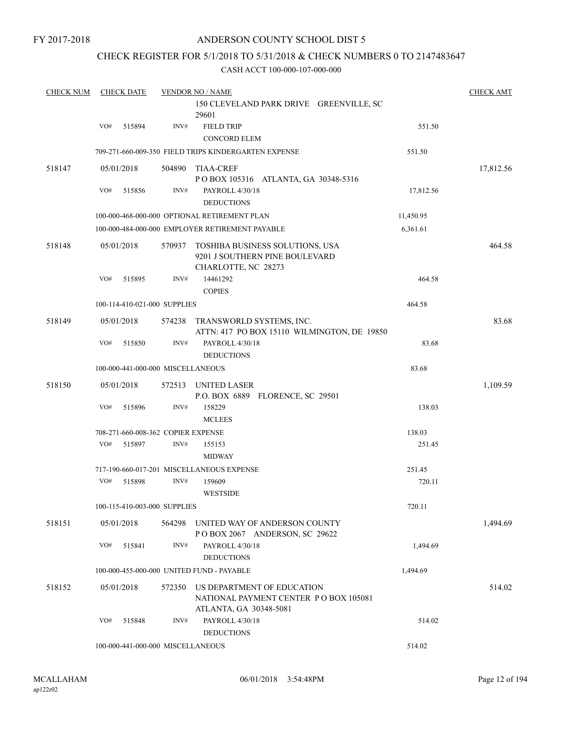FY 2017-2018

### ANDERSON COUNTY SCHOOL DIST 5

## CHECK REGISTER FOR 5/1/2018 TO 5/31/2018 & CHECK NUMBERS 0 TO 2147483647

| <b>CHECK NUM</b> |                                             | <b>CHECK DATE</b> |                                    | <b>VENDOR NO / NAME</b>                                                                       |           | <b>CHECK AMT</b> |  |
|------------------|---------------------------------------------|-------------------|------------------------------------|-----------------------------------------------------------------------------------------------|-----------|------------------|--|
|                  |                                             |                   |                                    | 150 CLEVELAND PARK DRIVE GREENVILLE, SC<br>29601                                              |           |                  |  |
|                  | VO#                                         | 515894            | INV#                               | <b>FIELD TRIP</b><br><b>CONCORD ELEM</b>                                                      | 551.50    |                  |  |
|                  |                                             |                   |                                    | 709-271-660-009-350 FIELD TRIPS KINDERGARTEN EXPENSE                                          | 551.50    |                  |  |
| 518147           |                                             | 05/01/2018        | 504890                             | <b>TIAA-CREF</b><br>POBOX 105316 ATLANTA, GA 30348-5316                                       |           | 17,812.56        |  |
|                  | VO#                                         | 515856            | INV#                               | PAYROLL 4/30/18<br><b>DEDUCTIONS</b>                                                          | 17,812.56 |                  |  |
|                  |                                             |                   |                                    | 100-000-468-000-000 OPTIONAL RETIREMENT PLAN                                                  | 11,450.95 |                  |  |
|                  |                                             |                   |                                    | 100-000-484-000-000 EMPLOYER RETIREMENT PAYABLE                                               | 6,361.61  |                  |  |
| 518148           |                                             | 05/01/2018        | 570937                             | TOSHIBA BUSINESS SOLUTIONS, USA<br>9201 J SOUTHERN PINE BOULEVARD<br>CHARLOTTE, NC 28273      |           | 464.58           |  |
|                  | VO#                                         | 515895            | INV#                               | 14461292<br><b>COPIES</b>                                                                     | 464.58    |                  |  |
|                  |                                             |                   | 100-114-410-021-000 SUPPLIES       |                                                                                               | 464.58    |                  |  |
| 518149           |                                             | 05/01/2018        | 574238                             | TRANSWORLD SYSTEMS, INC.<br>ATTN: 417 PO BOX 15110 WILMINGTON, DE 19850                       |           | 83.68            |  |
|                  | VO#                                         | 515850            | INV#                               | PAYROLL 4/30/18<br><b>DEDUCTIONS</b>                                                          | 83.68     |                  |  |
|                  |                                             |                   | 100-000-441-000-000 MISCELLANEOUS  |                                                                                               | 83.68     |                  |  |
| 518150           |                                             | 05/01/2018        | 572513                             | UNITED LASER<br>P.O. BOX 6889 FLORENCE, SC 29501                                              |           | 1,109.59         |  |
|                  | VO#                                         | 515896            | INV#                               | 158229<br><b>MCLEES</b>                                                                       | 138.03    |                  |  |
|                  |                                             |                   | 708-271-660-008-362 COPIER EXPENSE |                                                                                               | 138.03    |                  |  |
|                  | VO#                                         | 515897            | INV#                               | 155153<br><b>MIDWAY</b>                                                                       | 251.45    |                  |  |
|                  |                                             |                   |                                    | 717-190-660-017-201 MISCELLANEOUS EXPENSE                                                     | 251.45    |                  |  |
|                  | VO#                                         | 515898            | INV#                               | 159609<br><b>WESTSIDE</b>                                                                     | 720.11    |                  |  |
|                  |                                             |                   | 100-115-410-003-000 SUPPLIES       |                                                                                               | 720.11    |                  |  |
| 518151           |                                             | 05/01/2018        | 564298                             | UNITED WAY OF ANDERSON COUNTY<br>POBOX 2067 ANDERSON, SC 29622                                |           | 1,494.69         |  |
|                  | VO#                                         | 515841            | INV#                               | PAYROLL 4/30/18<br><b>DEDUCTIONS</b>                                                          | 1,494.69  |                  |  |
|                  |                                             |                   |                                    | 100-000-455-000-000 UNITED FUND - PAYABLE                                                     | 1,494.69  |                  |  |
| 518152           |                                             | 05/01/2018        | 572350                             | US DEPARTMENT OF EDUCATION<br>NATIONAL PAYMENT CENTER PO BOX 105081<br>ATLANTA, GA 30348-5081 |           | 514.02           |  |
|                  | VO#                                         | 515848            | INV#                               | PAYROLL 4/30/18<br><b>DEDUCTIONS</b>                                                          | 514.02    |                  |  |
|                  | 514.02<br>100-000-441-000-000 MISCELLANEOUS |                   |                                    |                                                                                               |           |                  |  |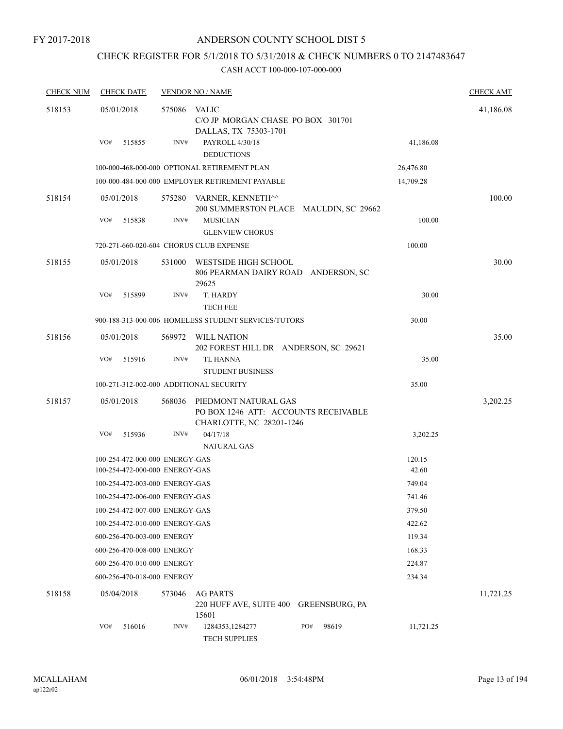## CHECK REGISTER FOR 5/1/2018 TO 5/31/2018 & CHECK NUMBERS 0 TO 2147483647

| <b>CHECK NUM</b> | <b>CHECK DATE</b>                                                |        | <b>VENDOR NO / NAME</b>                                                                  |                    | <b>CHECK AMT</b> |
|------------------|------------------------------------------------------------------|--------|------------------------------------------------------------------------------------------|--------------------|------------------|
| 518153           | 05/01/2018                                                       | 575086 | VALIC<br>C/O JP MORGAN CHASE PO BOX 301701<br>DALLAS, TX 75303-1701                      |                    | 41,186.08        |
|                  | VO#<br>515855                                                    | INV#   | PAYROLL 4/30/18<br><b>DEDUCTIONS</b>                                                     | 41,186.08          |                  |
|                  |                                                                  |        | 100-000-468-000-000 OPTIONAL RETIREMENT PLAN                                             | 26,476.80          |                  |
|                  |                                                                  |        | 100-000-484-000-000 EMPLOYER RETIREMENT PAYABLE                                          | 14,709.28          |                  |
| 518154           | 05/01/2018                                                       | 575280 | VARNER, KENNETH^^<br>200 SUMMERSTON PLACE MAULDIN, SC 29662                              |                    | 100.00           |
|                  | VO#<br>515838                                                    | INV#   | <b>MUSICIAN</b><br><b>GLENVIEW CHORUS</b>                                                | 100.00             |                  |
|                  | 720-271-660-020-604 CHORUS CLUB EXPENSE                          |        |                                                                                          | 100.00             |                  |
| 518155           | 05/01/2018                                                       | 531000 | WESTSIDE HIGH SCHOOL<br>806 PEARMAN DAIRY ROAD ANDERSON, SC<br>29625                     |                    | 30.00            |
|                  | VO#<br>515899                                                    | INV#   | T. HARDY<br><b>TECH FEE</b>                                                              | 30.00              |                  |
|                  |                                                                  |        | 900-188-313-000-006 HOMELESS STUDENT SERVICES/TUTORS                                     | 30.00              |                  |
| 518156           | 05/01/2018                                                       | 569972 | WILL NATION<br>202 FOREST HILL DR ANDERSON, SC 29621                                     |                    | 35.00            |
|                  | VO#<br>515916                                                    | INV#   | <b>TL HANNA</b><br><b>STUDENT BUSINESS</b>                                               | 35.00              |                  |
|                  | 100-271-312-002-000 ADDITIONAL SECURITY                          |        |                                                                                          | 35.00              |                  |
| 518157           | 05/01/2018                                                       | 568036 | PIEDMONT NATURAL GAS<br>PO BOX 1246 ATT: ACCOUNTS RECEIVABLE<br>CHARLOTTE, NC 28201-1246 |                    | 3,202.25         |
|                  | VO#<br>515936                                                    | INV#   | 04/17/18                                                                                 | 3,202.25           |                  |
|                  |                                                                  |        | <b>NATURAL GAS</b>                                                                       |                    |                  |
|                  | 100-254-472-000-000 ENERGY-GAS<br>100-254-472-000-000 ENERGY-GAS |        |                                                                                          | 120.15<br>42.60    |                  |
|                  | 100-254-472-003-000 ENERGY-GAS                                   |        |                                                                                          | 749.04             |                  |
|                  | 100-254-472-006-000 ENERGY-GAS                                   |        |                                                                                          | 741.46             |                  |
|                  | 100-254-472-007-000 ENERGY-GAS                                   |        |                                                                                          | 379.50             |                  |
|                  | 100-254-472-010-000 ENERGY-GAS                                   |        |                                                                                          | 422.62             |                  |
|                  | 600-256-470-003-000 ENERGY                                       |        |                                                                                          | 119.34             |                  |
|                  | 600-256-470-008-000 ENERGY                                       |        |                                                                                          | 168.33             |                  |
|                  | 600-256-470-010-000 ENERGY                                       |        |                                                                                          | 224.87             |                  |
|                  | 600-256-470-018-000 ENERGY                                       |        |                                                                                          | 234.34             |                  |
| 518158           | 05/04/2018                                                       | 573046 | <b>AG PARTS</b><br>220 HUFF AVE, SUITE 400 GREENSBURG, PA<br>15601                       |                    | 11,721.25        |
|                  | VO#<br>516016                                                    | INV#   | 1284353,1284277<br>PO#<br><b>TECH SUPPLIES</b>                                           | 98619<br>11,721.25 |                  |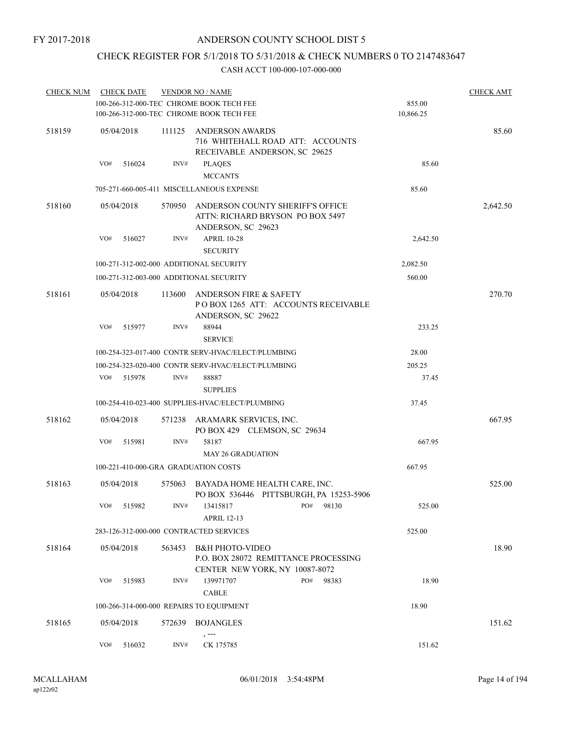## CHECK REGISTER FOR 5/1/2018 TO 5/31/2018 & CHECK NUMBERS 0 TO 2147483647

| <b>CHECK NUM</b> | <b>CHECK DATE</b> |                                      | <b>VENDOR NO / NAME</b>                            |           | <b>CHECK AMT</b> |
|------------------|-------------------|--------------------------------------|----------------------------------------------------|-----------|------------------|
|                  |                   |                                      | 100-266-312-000-TEC CHROME BOOK TECH FEE           | 855.00    |                  |
|                  |                   |                                      | 100-266-312-000-TEC CHROME BOOK TECH FEE           | 10,866.25 |                  |
| 518159           | 05/04/2018        | 111125                               | ANDERSON AWARDS                                    |           | 85.60            |
|                  |                   |                                      | 716 WHITEHALL ROAD ATT: ACCOUNTS                   |           |                  |
|                  |                   |                                      | RECEIVABLE ANDERSON, SC 29625                      |           |                  |
|                  | VO#<br>516024     | INV#                                 | <b>PLAQES</b>                                      | 85.60     |                  |
|                  |                   |                                      | <b>MCCANTS</b>                                     |           |                  |
|                  |                   |                                      | 705-271-660-005-411 MISCELLANEOUS EXPENSE          | 85.60     |                  |
| 518160           | 05/04/2018        | 570950                               | ANDERSON COUNTY SHERIFF'S OFFICE                   |           | 2,642.50         |
|                  |                   |                                      | ATTN: RICHARD BRYSON PO BOX 5497                   |           |                  |
|                  |                   |                                      | ANDERSON, SC 29623                                 |           |                  |
|                  | VO#<br>516027     | INV#                                 | <b>APRIL 10-28</b>                                 | 2,642.50  |                  |
|                  |                   |                                      | <b>SECURITY</b>                                    |           |                  |
|                  |                   |                                      | 100-271-312-002-000 ADDITIONAL SECURITY            | 2,082.50  |                  |
|                  |                   |                                      | 100-271-312-003-000 ADDITIONAL SECURITY            | 560.00    |                  |
| 518161           | 05/04/2018        | 113600                               | <b>ANDERSON FIRE &amp; SAFETY</b>                  |           | 270.70           |
|                  |                   |                                      | POBOX 1265 ATT: ACCOUNTS RECEIVABLE                |           |                  |
|                  |                   |                                      | ANDERSON, SC 29622                                 |           |                  |
|                  | VO#<br>515977     | INV#                                 | 88944                                              | 233.25    |                  |
|                  |                   |                                      | <b>SERVICE</b>                                     |           |                  |
|                  |                   |                                      | 100-254-323-017-400 CONTR SERV-HVAC/ELECT/PLUMBING | 28.00     |                  |
|                  |                   |                                      | 100-254-323-020-400 CONTR SERV-HVAC/ELECT/PLUMBING | 205.25    |                  |
|                  | VO#<br>515978     | INV#                                 | 88887                                              | 37.45     |                  |
|                  |                   |                                      | <b>SUPPLIES</b>                                    |           |                  |
|                  |                   |                                      |                                                    |           |                  |
|                  |                   |                                      | 100-254-410-023-400 SUPPLIES-HVAC/ELECT/PLUMBING   | 37.45     |                  |
| 518162           | 05/04/2018        | 571238                               | ARAMARK SERVICES, INC.                             |           | 667.95           |
|                  |                   |                                      | PO BOX 429 CLEMSON, SC 29634                       |           |                  |
|                  | VO#<br>515981     | INV#                                 | 58187                                              | 667.95    |                  |
|                  |                   |                                      | <b>MAY 26 GRADUATION</b>                           |           |                  |
|                  |                   | 100-221-410-000-GRA GRADUATION COSTS |                                                    | 667.95    |                  |
| 518163           | 05/04/2018        | 575063                               | BAYADA HOME HEALTH CARE, INC.                      |           | 525.00           |
|                  |                   |                                      | PO BOX 536446 PITTSBURGH, PA 15253-5906            |           |                  |
|                  | VO#<br>515982     | INV#                                 | PO#<br>13415817<br>98130                           | 525.00    |                  |
|                  |                   |                                      | <b>APRIL 12-13</b>                                 |           |                  |
|                  |                   |                                      | 283-126-312-000-000 CONTRACTED SERVICES            | 525.00    |                  |
| 518164           | 05/04/2018        | 563453                               | <b>B&amp;H PHOTO-VIDEO</b>                         |           | 18.90            |
|                  |                   |                                      | P.O. BOX 28072 REMITTANCE PROCESSING               |           |                  |
|                  |                   |                                      | CENTER NEW YORK, NY 10087-8072                     |           |                  |
|                  | VO#<br>515983     | INV#                                 | 139971707<br>PO#<br>98383                          | 18.90     |                  |
|                  |                   |                                      | CABLE                                              |           |                  |
|                  |                   |                                      | 100-266-314-000-000 REPAIRS TO EQUIPMENT           | 18.90     |                  |
| 518165           | 05/04/2018        | 572639                               | <b>BOJANGLES</b>                                   |           | 151.62           |
|                  |                   |                                      |                                                    |           |                  |
|                  | VO#<br>516032     | INV#                                 | CK 175785                                          | 151.62    |                  |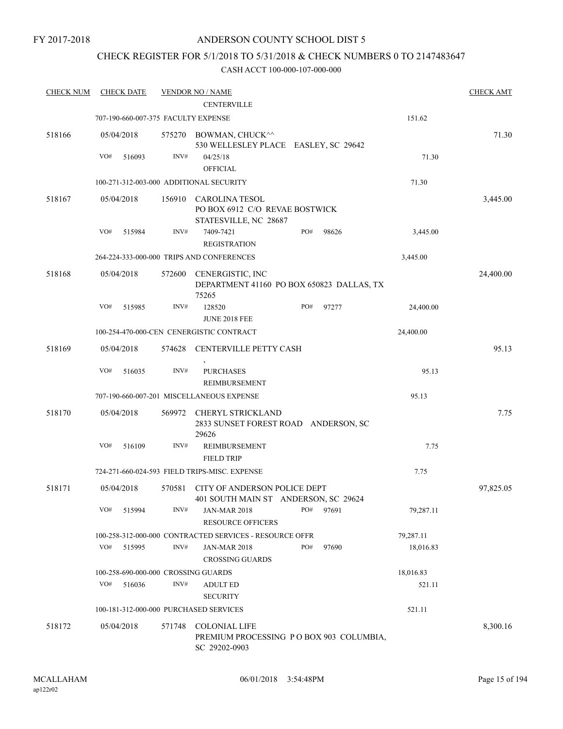## CHECK REGISTER FOR 5/1/2018 TO 5/31/2018 & CHECK NUMBERS 0 TO 2147483647

| <b>CHECK NUM</b> |     | <b>CHECK DATE</b> |        | <b>VENDOR NO / NAME</b>                                                          |     |       |           | <b>CHECK AMT</b> |
|------------------|-----|-------------------|--------|----------------------------------------------------------------------------------|-----|-------|-----------|------------------|
|                  |     |                   |        | <b>CENTERVILLE</b>                                                               |     |       |           |                  |
|                  |     |                   |        | 707-190-660-007-375 FACULTY EXPENSE                                              |     |       | 151.62    |                  |
| 518166           |     | 05/04/2018        |        | 575270 BOWMAN, CHUCK^^<br>530 WELLESLEY PLACE EASLEY, SC 29642                   |     |       |           | 71.30            |
|                  | VO# | 516093            | INV#   | 04/25/18                                                                         |     |       | 71.30     |                  |
|                  |     |                   |        | <b>OFFICIAL</b>                                                                  |     |       |           |                  |
|                  |     |                   |        | 100-271-312-003-000 ADDITIONAL SECURITY                                          |     |       | 71.30     |                  |
| 518167           |     | 05/04/2018        | 156910 | CAROLINA TESOL<br>PO BOX 6912 C/O REVAE BOSTWICK<br>STATESVILLE, NC 28687        |     |       |           | 3,445.00         |
|                  | VO# | 515984            | INV#   | 7409-7421                                                                        | PO# | 98626 | 3,445.00  |                  |
|                  |     |                   |        | <b>REGISTRATION</b>                                                              |     |       |           |                  |
|                  |     |                   |        | 264-224-333-000-000 TRIPS AND CONFERENCES                                        |     |       | 3,445.00  |                  |
| 518168           |     | 05/04/2018        | 572600 | CENERGISTIC, INC<br>DEPARTMENT 41160 PO BOX 650823 DALLAS, TX<br>75265           |     |       |           | 24,400.00        |
|                  | VO# | 515985            | INV#   | 128520<br><b>JUNE 2018 FEE</b>                                                   | PO# | 97277 | 24,400.00 |                  |
|                  |     |                   |        | 100-254-470-000-CEN CENERGISTIC CONTRACT                                         |     |       | 24,400.00 |                  |
| 518169           |     | 05/04/2018        | 574628 | CENTERVILLE PETTY CASH                                                           |     |       |           | 95.13            |
|                  | VO# | 516035            | INV#   | <b>PURCHASES</b><br>REIMBURSEMENT                                                |     |       | 95.13     |                  |
|                  |     |                   |        | 707-190-660-007-201 MISCELLANEOUS EXPENSE                                        |     |       | 95.13     |                  |
| 518170           |     | 05/04/2018        | 569972 | CHERYL STRICKLAND<br>2833 SUNSET FOREST ROAD ANDERSON, SC<br>29626               |     |       |           | 7.75             |
|                  | VO# | 516109            | INV#   | <b>REIMBURSEMENT</b><br><b>FIELD TRIP</b>                                        |     |       | 7.75      |                  |
|                  |     |                   |        | 724-271-660-024-593 FIELD TRIPS-MISC. EXPENSE                                    |     |       | 7.75      |                  |
| 518171           |     | 05/04/2018        | 570581 | CITY OF ANDERSON POLICE DEPT<br>401 SOUTH MAIN ST ANDERSON, SC 29624             |     |       |           | 97,825.05        |
|                  | VO# | 515994            | INV#   | <b>JAN-MAR 2018</b><br><b>RESOURCE OFFICERS</b>                                  | PO# | 97691 | 79,287.11 |                  |
|                  |     |                   |        | 100-258-312-000-000 CONTRACTED SERVICES - RESOURCE OFFR                          |     |       | 79,287.11 |                  |
|                  | VO# | 515995            | INV#   | <b>JAN-MAR 2018</b><br><b>CROSSING GUARDS</b>                                    | PO# | 97690 | 18,016.83 |                  |
|                  |     |                   |        | 100-258-690-000-000 CROSSING GUARDS                                              |     |       | 18,016.83 |                  |
|                  | VO# | 516036            | INV#   | <b>ADULT ED</b><br><b>SECURITY</b>                                               |     |       | 521.11    |                  |
|                  |     |                   |        | 100-181-312-000-000 PURCHASED SERVICES                                           |     |       | 521.11    |                  |
| 518172           |     | 05/04/2018        | 571748 | <b>COLONIAL LIFE</b><br>PREMIUM PROCESSING PO BOX 903 COLUMBIA,<br>SC 29202-0903 |     |       |           | 8,300.16         |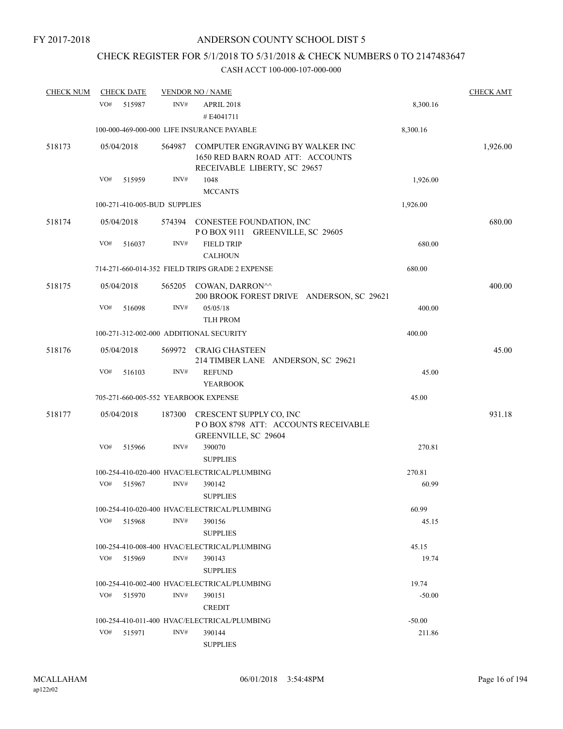# CHECK REGISTER FOR 5/1/2018 TO 5/31/2018 & CHECK NUMBERS 0 TO 2147483647

| <b>CHECK NUM</b> |     | <b>CHECK DATE</b>            |        | <b>VENDOR NO / NAME</b>                                                                                     |          | <b>CHECK AMT</b> |
|------------------|-----|------------------------------|--------|-------------------------------------------------------------------------------------------------------------|----------|------------------|
|                  | VO# | 515987                       | INV#   | APRIL 2018<br>#E4041711                                                                                     | 8,300.16 |                  |
|                  |     |                              |        | 100-000-469-000-000 LIFE INSURANCE PAYABLE                                                                  | 8,300.16 |                  |
| 518173           |     | 05/04/2018                   |        | 564987 COMPUTER ENGRAVING BY WALKER INC<br>1650 RED BARN ROAD ATT: ACCOUNTS<br>RECEIVABLE LIBERTY, SC 29657 |          | 1,926.00         |
|                  | VO# | 515959                       | INV#   | 1048                                                                                                        | 1,926.00 |                  |
|                  |     |                              |        | <b>MCCANTS</b>                                                                                              |          |                  |
|                  |     | 100-271-410-005-BUD SUPPLIES |        |                                                                                                             | 1,926.00 |                  |
| 518174           |     | 05/04/2018                   |        | 574394 CONESTEE FOUNDATION, INC<br>POBOX 9111 GREENVILLE, SC 29605                                          |          | 680.00           |
|                  | VO# | 516037                       | INV#   | <b>FIELD TRIP</b><br><b>CALHOUN</b>                                                                         | 680.00   |                  |
|                  |     |                              |        | 714-271-660-014-352 FIELD TRIPS GRADE 2 EXPENSE                                                             | 680.00   |                  |
| 518175           |     | 05/04/2018                   |        | 565205 COWAN, DARRON^^<br>200 BROOK FOREST DRIVE ANDERSON, SC 29621                                         |          | 400.00           |
|                  | VO# | 516098                       | INV#   | 05/05/18<br><b>TLH PROM</b>                                                                                 | 400.00   |                  |
|                  |     |                              |        | 100-271-312-002-000 ADDITIONAL SECURITY                                                                     | 400.00   |                  |
| 518176           |     | 05/04/2018                   |        | 569972 CRAIG CHASTEEN<br>214 TIMBER LANE ANDERSON, SC 29621                                                 |          | 45.00            |
|                  | VO# | 516103                       | INV#   | <b>REFUND</b><br><b>YEARBOOK</b>                                                                            | 45.00    |                  |
|                  |     |                              |        | 705-271-660-005-552 YEARBOOK EXPENSE                                                                        | 45.00    |                  |
| 518177           |     | 05/04/2018                   | 187300 | CRESCENT SUPPLY CO, INC<br>POBOX 8798 ATT: ACCOUNTS RECEIVABLE<br>GREENVILLE, SC 29604                      |          | 931.18           |
|                  | VO# | 515966                       | INV#   | 390070<br><b>SUPPLIES</b>                                                                                   | 270.81   |                  |
|                  |     |                              |        | 100-254-410-020-400 HVAC/ELECTRICAL/PLUMBING                                                                | 270.81   |                  |
|                  | VO# | 515967                       | INV#   | 390142<br><b>SUPPLIES</b>                                                                                   | 60.99    |                  |
|                  |     |                              |        | 100-254-410-020-400 HVAC/ELECTRICAL/PLUMBING                                                                | 60.99    |                  |
|                  | VO# | 515968                       | INV#   | 390156<br><b>SUPPLIES</b>                                                                                   | 45.15    |                  |
|                  |     |                              |        | 100-254-410-008-400 HVAC/ELECTRICAL/PLUMBING                                                                | 45.15    |                  |
|                  | VO# | 515969                       | INV#   | 390143<br><b>SUPPLIES</b>                                                                                   | 19.74    |                  |
|                  |     |                              |        | 100-254-410-002-400 HVAC/ELECTRICAL/PLUMBING                                                                | 19.74    |                  |
|                  | VO# | 515970                       | INV#   | 390151<br><b>CREDIT</b>                                                                                     | $-50.00$ |                  |
|                  |     |                              |        | 100-254-410-011-400 HVAC/ELECTRICAL/PLUMBING                                                                | $-50.00$ |                  |
|                  | VO# | 515971                       | INV#   | 390144<br><b>SUPPLIES</b>                                                                                   | 211.86   |                  |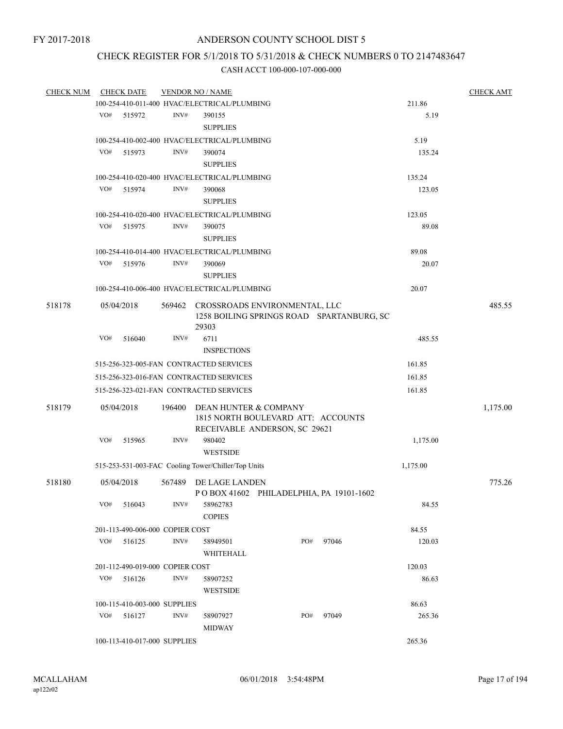## CHECK REGISTER FOR 5/1/2018 TO 5/31/2018 & CHECK NUMBERS 0 TO 2147483647

| <b>CHECK NUM</b> | <b>CHECK DATE</b><br><b>VENDOR NO / NAME</b> |                                 |        |                                                                                              |  |     |       |          | <b>CHECK AMT</b> |
|------------------|----------------------------------------------|---------------------------------|--------|----------------------------------------------------------------------------------------------|--|-----|-------|----------|------------------|
|                  |                                              |                                 |        | 100-254-410-011-400 HVAC/ELECTRICAL/PLUMBING                                                 |  |     |       | 211.86   |                  |
|                  | VO#                                          | 515972                          | INV#   | 390155                                                                                       |  |     |       | 5.19     |                  |
|                  |                                              |                                 |        | <b>SUPPLIES</b>                                                                              |  |     |       |          |                  |
|                  |                                              |                                 |        | 100-254-410-002-400 HVAC/ELECTRICAL/PLUMBING                                                 |  |     |       | 5.19     |                  |
|                  | VO#                                          | 515973                          | INV#   | 390074                                                                                       |  |     |       | 135.24   |                  |
|                  |                                              |                                 |        | <b>SUPPLIES</b>                                                                              |  |     |       |          |                  |
|                  |                                              |                                 |        | 100-254-410-020-400 HVAC/ELECTRICAL/PLUMBING                                                 |  |     |       | 135.24   |                  |
|                  | VO#                                          | 515974                          | INV#   | 390068                                                                                       |  |     |       | 123.05   |                  |
|                  |                                              |                                 |        | <b>SUPPLIES</b>                                                                              |  |     |       |          |                  |
|                  |                                              |                                 |        | 100-254-410-020-400 HVAC/ELECTRICAL/PLUMBING                                                 |  |     |       | 123.05   |                  |
|                  | VO#                                          | 515975                          | INV#   | 390075                                                                                       |  |     |       | 89.08    |                  |
|                  |                                              |                                 |        | <b>SUPPLIES</b>                                                                              |  |     |       |          |                  |
|                  |                                              |                                 |        | 100-254-410-014-400 HVAC/ELECTRICAL/PLUMBING                                                 |  |     |       | 89.08    |                  |
|                  | VO#                                          | 515976                          | INV#   | 390069                                                                                       |  |     |       | 20.07    |                  |
|                  |                                              |                                 |        | <b>SUPPLIES</b>                                                                              |  |     |       |          |                  |
|                  |                                              |                                 |        | 100-254-410-006-400 HVAC/ELECTRICAL/PLUMBING                                                 |  |     |       | 20.07    |                  |
| 518178           |                                              | 05/04/2018                      |        | 569462 CROSSROADS ENVIRONMENTAL, LLC<br>1258 BOILING SPRINGS ROAD SPARTANBURG, SC<br>29303   |  |     |       |          | 485.55           |
|                  | VO#                                          | 516040                          | INV#   | 6711                                                                                         |  |     |       | 485.55   |                  |
|                  |                                              |                                 |        | <b>INSPECTIONS</b>                                                                           |  |     |       |          |                  |
|                  |                                              |                                 |        | 515-256-323-005-FAN CONTRACTED SERVICES                                                      |  |     |       | 161.85   |                  |
|                  |                                              |                                 |        | 515-256-323-016-FAN CONTRACTED SERVICES                                                      |  |     |       | 161.85   |                  |
|                  |                                              |                                 |        |                                                                                              |  |     |       |          |                  |
|                  |                                              |                                 |        | 515-256-323-021-FAN CONTRACTED SERVICES                                                      |  |     |       | 161.85   |                  |
| 518179           |                                              | 05/04/2018                      | 196400 | DEAN HUNTER & COMPANY<br>1815 NORTH BOULEVARD ATT: ACCOUNTS<br>RECEIVABLE ANDERSON, SC 29621 |  |     |       |          | 1,175.00         |
|                  | VO#                                          | 515965                          | INV#   | 980402<br><b>WESTSIDE</b>                                                                    |  |     |       | 1,175.00 |                  |
|                  |                                              |                                 |        | 515-253-531-003-FAC Cooling Tower/Chiller/Top Units                                          |  |     |       | 1,175.00 |                  |
|                  |                                              |                                 |        |                                                                                              |  |     |       |          |                  |
| 518180           |                                              | 05/04/2018                      | 567489 | DE LAGE LANDEN<br>POBOX 41602 PHILADELPHIA, PA 19101-1602                                    |  |     |       |          | 775.26           |
|                  | VO#                                          | 516043                          | INV#   | 58962783<br><b>COPIES</b>                                                                    |  |     |       | 84.55    |                  |
|                  |                                              | 201-113-490-006-000 COPIER COST |        |                                                                                              |  |     |       | 84.55    |                  |
|                  | VO#                                          | 516125                          | INV#   | 58949501<br>WHITEHALL                                                                        |  | PO# | 97046 | 120.03   |                  |
|                  |                                              | 201-112-490-019-000 COPIER COST |        |                                                                                              |  |     |       | 120.03   |                  |
|                  | VO#                                          | 516126                          | INV#   | 58907252                                                                                     |  |     |       |          |                  |
|                  |                                              |                                 |        | <b>WESTSIDE</b>                                                                              |  |     |       | 86.63    |                  |
|                  |                                              | 100-115-410-003-000 SUPPLIES    |        |                                                                                              |  |     |       | 86.63    |                  |
|                  | VO#                                          | 516127                          | INV#   | 58907927                                                                                     |  | PO# | 97049 | 265.36   |                  |
|                  |                                              |                                 |        | <b>MIDWAY</b>                                                                                |  |     |       |          |                  |
|                  |                                              | 100-113-410-017-000 SUPPLIES    |        |                                                                                              |  |     |       | 265.36   |                  |
|                  |                                              |                                 |        |                                                                                              |  |     |       |          |                  |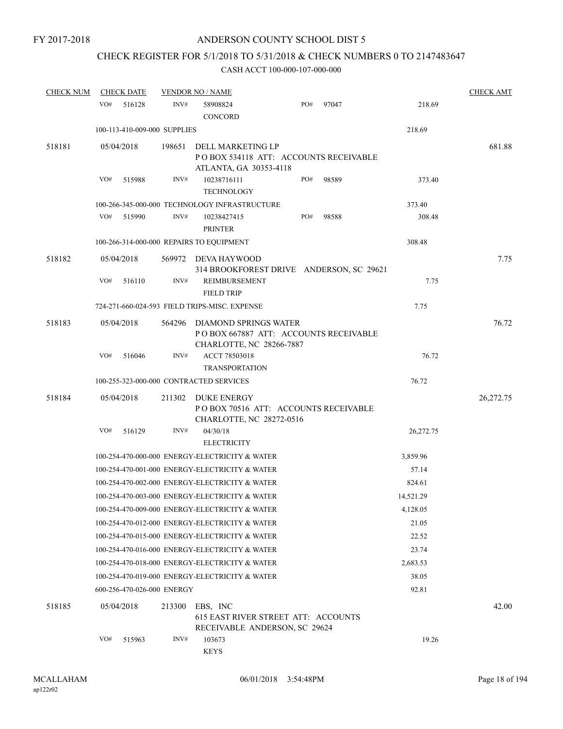# CHECK REGISTER FOR 5/1/2018 TO 5/31/2018 & CHECK NUMBERS 0 TO 2147483647

| <b>CHECK NUM</b> | <b>CHECK DATE</b>                        |        | <b>VENDOR NO / NAME</b>                                                                           |     |       |           | <b>CHECK AMT</b> |
|------------------|------------------------------------------|--------|---------------------------------------------------------------------------------------------------|-----|-------|-----------|------------------|
|                  | VO#<br>516128                            | INV#   | 58908824<br><b>CONCORD</b>                                                                        | PO# | 97047 | 218.69    |                  |
|                  | 100-113-410-009-000 SUPPLIES             |        |                                                                                                   |     |       | 218.69    |                  |
| 518181           | 05/04/2018                               | 198651 | DELL MARKETING LP<br>POBOX 534118 ATT: ACCOUNTS RECEIVABLE<br>ATLANTA, GA 30353-4118              |     |       |           | 681.88           |
|                  | VO#<br>515988                            | INV#   | 10238716111<br><b>TECHNOLOGY</b>                                                                  | PO# | 98589 | 373.40    |                  |
|                  |                                          |        | 100-266-345-000-000 TECHNOLOGY INFRASTRUCTURE                                                     |     |       | 373.40    |                  |
|                  | VO#<br>515990                            | INV#   | 10238427415<br><b>PRINTER</b>                                                                     | PO# | 98588 | 308.48    |                  |
|                  | 100-266-314-000-000 REPAIRS TO EQUIPMENT |        |                                                                                                   |     |       | 308.48    |                  |
| 518182           | 05/04/2018                               |        | 569972 DEVA HAYWOOD<br>314 BROOKFOREST DRIVE ANDERSON, SC 29621                                   |     |       |           | 7.75             |
|                  | VO#<br>516110                            | INV#   | REIMBURSEMENT<br><b>FIELD TRIP</b>                                                                |     |       | 7.75      |                  |
|                  |                                          |        | 724-271-660-024-593 FIELD TRIPS-MISC. EXPENSE                                                     |     |       | 7.75      |                  |
| 518183           | 05/04/2018                               | 564296 | <b>DIAMOND SPRINGS WATER</b><br>POBOX 667887 ATT: ACCOUNTS RECEIVABLE<br>CHARLOTTE, NC 28266-7887 |     |       |           | 76.72            |
|                  | VO#<br>516046                            | INV#   | ACCT 78503018<br><b>TRANSPORTATION</b>                                                            |     |       | 76.72     |                  |
|                  | 100-255-323-000-000 CONTRACTED SERVICES  |        |                                                                                                   |     |       | 76.72     |                  |
| 518184           | 05/04/2018                               | 211302 | DUKE ENERGY<br>POBOX 70516 ATT: ACCOUNTS RECEIVABLE<br>CHARLOTTE, NC 28272-0516                   |     |       |           | 26,272.75        |
|                  | VO#<br>516129                            | INV#   | 04/30/18<br><b>ELECTRICITY</b>                                                                    |     |       | 26,272.75 |                  |
|                  |                                          |        | 100-254-470-000-000 ENERGY-ELECTRICITY & WATER                                                    |     |       | 3,859.96  |                  |
|                  |                                          |        | 100-254-470-001-000 ENERGY-ELECTRICITY & WATER                                                    |     |       | 57.14     |                  |
|                  |                                          |        | 100-254-470-002-000 ENERGY-ELECTRICITY & WATER                                                    |     |       | 824.61    |                  |
|                  |                                          |        | 100-254-470-003-000 ENERGY-ELECTRICITY & WATER                                                    |     |       | 14,521.29 |                  |
|                  |                                          |        | 100-254-470-009-000 ENERGY-ELECTRICITY & WATER                                                    |     |       | 4,128.05  |                  |
|                  |                                          |        | 100-254-470-012-000 ENERGY-ELECTRICITY & WATER                                                    |     |       | 21.05     |                  |
|                  |                                          |        | 100-254-470-015-000 ENERGY-ELECTRICITY & WATER                                                    |     |       | 22.52     |                  |
|                  |                                          |        | 100-254-470-016-000 ENERGY-ELECTRICITY & WATER                                                    |     |       | 23.74     |                  |
|                  |                                          |        | 100-254-470-018-000 ENERGY-ELECTRICITY & WATER                                                    |     |       | 2,683.53  |                  |
|                  |                                          |        | 100-254-470-019-000 ENERGY-ELECTRICITY & WATER                                                    |     |       | 38.05     |                  |
|                  | 600-256-470-026-000 ENERGY               |        |                                                                                                   |     |       | 92.81     |                  |
| 518185           | 05/04/2018                               | 213300 | EBS, INC<br>615 EAST RIVER STREET ATT: ACCOUNTS<br>RECEIVABLE ANDERSON, SC 29624                  |     |       |           | 42.00            |
|                  | VO#<br>515963                            | INV#   | 103673<br><b>KEYS</b>                                                                             |     |       | 19.26     |                  |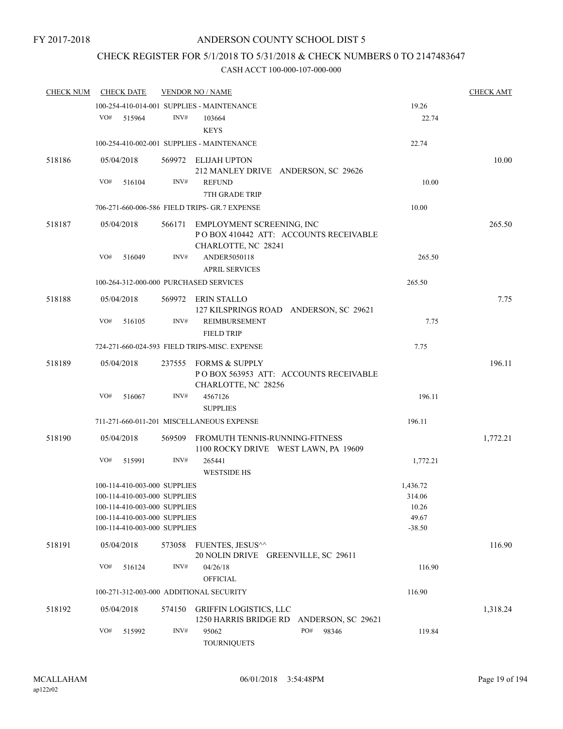## CHECK REGISTER FOR 5/1/2018 TO 5/31/2018 & CHECK NUMBERS 0 TO 2147483647

| <b>CHECK NUM</b> | <b>CHECK DATE</b>                                                                                                                                            |        | <b>VENDOR NO / NAME</b>                                                                   |                                                  | <b>CHECK AMT</b> |
|------------------|--------------------------------------------------------------------------------------------------------------------------------------------------------------|--------|-------------------------------------------------------------------------------------------|--------------------------------------------------|------------------|
|                  |                                                                                                                                                              |        | 100-254-410-014-001 SUPPLIES - MAINTENANCE                                                | 19.26                                            |                  |
|                  | VO#<br>515964                                                                                                                                                | INV#   | 103664<br><b>KEYS</b>                                                                     | 22.74                                            |                  |
|                  |                                                                                                                                                              |        | 100-254-410-002-001 SUPPLIES - MAINTENANCE                                                | 22.74                                            |                  |
| 518186           | 05/04/2018                                                                                                                                                   |        | 569972 ELIJAH UPTON<br>212 MANLEY DRIVE ANDERSON, SC 29626                                |                                                  | 10.00            |
|                  | VO#<br>516104                                                                                                                                                | INV#   | <b>REFUND</b><br>7TH GRADE TRIP                                                           | 10.00                                            |                  |
|                  |                                                                                                                                                              |        | 706-271-660-006-586 FIELD TRIPS- GR.7 EXPENSE                                             | 10.00                                            |                  |
| 518187           | 05/04/2018                                                                                                                                                   | 566171 | EMPLOYMENT SCREENING, INC<br>POBOX 410442 ATT: ACCOUNTS RECEIVABLE<br>CHARLOTTE, NC 28241 |                                                  | 265.50           |
|                  | VO#<br>516049                                                                                                                                                | INV#   | ANDER5050118<br><b>APRIL SERVICES</b>                                                     | 265.50                                           |                  |
|                  | 100-264-312-000-000 PURCHASED SERVICES                                                                                                                       |        |                                                                                           | 265.50                                           |                  |
| 518188           | 05/04/2018                                                                                                                                                   |        | 569972 ERIN STALLO<br>127 KILSPRINGS ROAD ANDERSON, SC 29621                              |                                                  | 7.75             |
|                  | VO#<br>516105                                                                                                                                                | INV#   | REIMBURSEMENT<br><b>FIELD TRIP</b>                                                        | 7.75                                             |                  |
|                  |                                                                                                                                                              |        | 724-271-660-024-593 FIELD TRIPS-MISC. EXPENSE                                             | 7.75                                             |                  |
| 518189           | 05/04/2018                                                                                                                                                   | 237555 | FORMS & SUPPLY<br>POBOX 563953 ATT: ACCOUNTS RECEIVABLE<br>CHARLOTTE, NC 28256            |                                                  | 196.11           |
|                  | VO#<br>516067                                                                                                                                                | INV#   | 4567126<br><b>SUPPLIES</b>                                                                | 196.11                                           |                  |
|                  |                                                                                                                                                              |        | 711-271-660-011-201 MISCELLANEOUS EXPENSE                                                 | 196.11                                           |                  |
| 518190           | 05/04/2018                                                                                                                                                   | 569509 | FROMUTH TENNIS-RUNNING-FITNESS<br>1100 ROCKY DRIVE WEST LAWN, PA 19609                    |                                                  | 1,772.21         |
|                  | VO#<br>515991                                                                                                                                                | INV#   | 265441<br><b>WESTSIDE HS</b>                                                              | 1,772.21                                         |                  |
|                  | 100-114-410-003-000 SUPPLIES<br>100-114-410-003-000 SUPPLIES<br>100-114-410-003-000 SUPPLIES<br>100-114-410-003-000 SUPPLIES<br>100-114-410-003-000 SUPPLIES |        |                                                                                           | 1,436.72<br>314.06<br>10.26<br>49.67<br>$-38.50$ |                  |
| 518191           | 05/04/2018                                                                                                                                                   | 573058 | FUENTES, JESUS^^<br>20 NOLIN DRIVE GREENVILLE, SC 29611                                   |                                                  | 116.90           |
|                  | VO#<br>516124                                                                                                                                                | INV#   | 04/26/18<br><b>OFFICIAL</b>                                                               | 116.90                                           |                  |
|                  | 100-271-312-003-000 ADDITIONAL SECURITY                                                                                                                      |        |                                                                                           | 116.90                                           |                  |
| 518192           | 05/04/2018                                                                                                                                                   | 574150 | <b>GRIFFIN LOGISTICS, LLC</b><br>1250 HARRIS BRIDGE RD<br>ANDERSON, SC 29621              |                                                  | 1,318.24         |
|                  | VO#<br>515992                                                                                                                                                | INV#   | PO#<br>95062<br>98346<br><b>TOURNIQUETS</b>                                               | 119.84                                           |                  |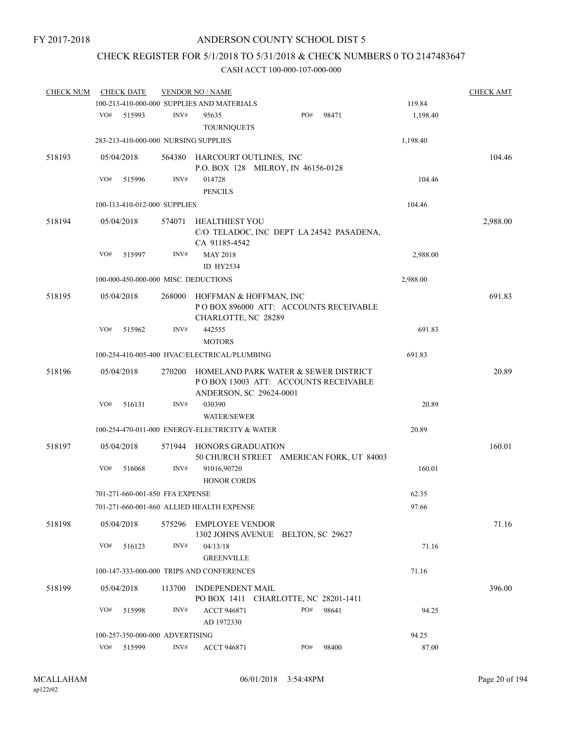## CHECK REGISTER FOR 5/1/2018 TO 5/31/2018 & CHECK NUMBERS 0 TO 2147483647

| <b>CHECK NUM</b> |     | <b>CHECK DATE</b>               |        | <b>VENDOR NO / NAME</b>                        |                                                                              |       |          | <b>CHECK AMT</b> |
|------------------|-----|---------------------------------|--------|------------------------------------------------|------------------------------------------------------------------------------|-------|----------|------------------|
|                  |     |                                 |        | 100-213-410-000-000 SUPPLIES AND MATERIALS     |                                                                              |       | 119.84   |                  |
|                  | VO# | 515993                          | INV#   | 95635<br><b>TOURNIQUETS</b>                    | PO#                                                                          | 98471 | 1,198.40 |                  |
|                  |     |                                 |        | 283-213-410-000-000 NURSING SUPPLIES           |                                                                              |       | 1,198.40 |                  |
| 518193           |     | 05/04/2018                      |        | 564380 HARCOURT OUTLINES, INC                  |                                                                              |       |          | 104.46           |
|                  |     |                                 |        |                                                | P.O. BOX 128 MILROY, IN 46156-0128                                           |       |          |                  |
|                  | VO# | 515996                          | INV#   | 014728<br><b>PENCILS</b>                       |                                                                              |       | 104.46   |                  |
|                  |     | 100-113-410-012-000 SUPPLIES    |        |                                                |                                                                              |       | 104.46   |                  |
| 518194           |     | 05/04/2018                      | 574071 | HEALTHIEST YOU                                 |                                                                              |       |          | 2,988.00         |
|                  |     |                                 |        | CA 91185-4542                                  | C/O TELADOC, INC DEPT LA 24542 PASADENA,                                     |       |          |                  |
|                  | VO# | 515997                          | INV#   | <b>MAY 2018</b>                                |                                                                              |       | 2,988.00 |                  |
|                  |     |                                 |        | ID HY2534                                      |                                                                              |       |          |                  |
|                  |     |                                 |        | 100-000-450-000-000 MISC. DEDUCTIONS           |                                                                              |       | 2,988.00 |                  |
| 518195           |     | 05/04/2018                      | 268000 | HOFFMAN & HOFFMAN, INC<br>CHARLOTTE, NC 28289  | PO BOX 896000 ATT: ACCOUNTS RECEIVABLE                                       |       |          | 691.83           |
|                  | VO# | 515962                          | INV#   | 442555<br><b>MOTORS</b>                        |                                                                              |       | 691.83   |                  |
|                  |     |                                 |        | 100-254-410-005-400 HVAC/ELECTRICAL/PLUMBING   |                                                                              |       | 691.83   |                  |
| 518196           |     | 05/04/2018                      | 270200 | ANDERSON, SC 29624-0001                        | HOMELAND PARK WATER & SEWER DISTRICT<br>POBOX 13003 ATT: ACCOUNTS RECEIVABLE |       |          | 20.89            |
|                  | VO# | 516131                          | INV#   | 030390                                         |                                                                              |       | 20.89    |                  |
|                  |     |                                 |        | <b>WATER/SEWER</b>                             |                                                                              |       |          |                  |
|                  |     |                                 |        | 100-254-470-011-000 ENERGY-ELECTRICITY & WATER |                                                                              |       | 20.89    |                  |
| 518197           |     | 05/04/2018                      | 571944 | <b>HONORS GRADUATION</b>                       | 50 CHURCH STREET AMERICAN FORK, UT 84003                                     |       |          | 160.01           |
|                  | VO# | 516068                          | INV#   | 91016,90720<br><b>HONOR CORDS</b>              |                                                                              |       | 160.01   |                  |
|                  |     | 701-271-660-001-850 FFA EXPENSE |        |                                                |                                                                              |       | 62.35    |                  |
|                  |     |                                 |        | 701-271-660-001-860 ALLIED HEALTH EXPENSE      |                                                                              |       | 97.66    |                  |
| 518198           |     | 05/04/2018                      | 575296 | <b>EMPLOYEE VENDOR</b>                         | 1302 JOHNS AVENUE BELTON, SC 29627                                           |       |          | 71.16            |
|                  | VO# | 516123                          | INV#   | 04/13/18<br><b>GREENVILLE</b>                  |                                                                              |       | 71.16    |                  |
|                  |     |                                 |        | 100-147-333-000-000 TRIPS AND CONFERENCES      |                                                                              |       | 71.16    |                  |
| 518199           |     | 05/04/2018                      | 113700 | INDEPENDENT MAIL                               | PO BOX 1411 CHARLOTTE, NC 28201-1411                                         |       |          | 396.00           |
|                  | VO# | 515998                          | INV#   | <b>ACCT 946871</b><br>AD 1972330               | PO#                                                                          | 98641 | 94.25    |                  |
|                  |     | 100-257-350-000-000 ADVERTISING |        |                                                |                                                                              |       | 94.25    |                  |
|                  | VO# | 515999                          | INV#   | <b>ACCT 946871</b>                             | PO#                                                                          | 98400 | 87.00    |                  |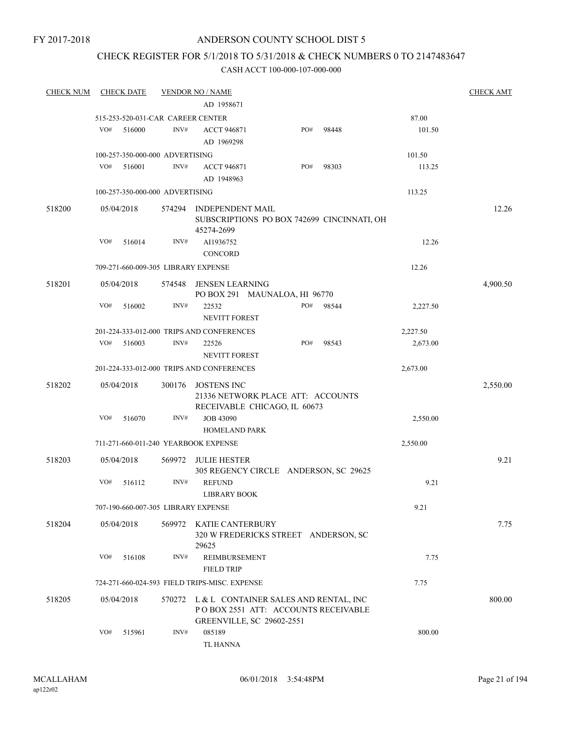## CHECK REGISTER FOR 5/1/2018 TO 5/31/2018 & CHECK NUMBERS 0 TO 2147483647

| <b>CHECK NUM</b> |     | <b>CHECK DATE</b> |                                   | <b>VENDOR NO / NAME</b>                                                                                                 |     |       |          | <b>CHECK AMT</b> |
|------------------|-----|-------------------|-----------------------------------|-------------------------------------------------------------------------------------------------------------------------|-----|-------|----------|------------------|
|                  |     |                   |                                   | AD 1958671                                                                                                              |     |       |          |                  |
|                  |     |                   | 515-253-520-031-CAR CAREER CENTER |                                                                                                                         |     |       | 87.00    |                  |
|                  | VO# | 516000            | INV#                              | <b>ACCT 946871</b>                                                                                                      | PO# | 98448 | 101.50   |                  |
|                  |     |                   |                                   | AD 1969298                                                                                                              |     |       |          |                  |
|                  |     |                   | 100-257-350-000-000 ADVERTISING   |                                                                                                                         |     |       | 101.50   |                  |
|                  | VO# | 516001            | INV#                              | <b>ACCT 946871</b>                                                                                                      | PO# | 98303 | 113.25   |                  |
|                  |     |                   |                                   | AD 1948963                                                                                                              |     |       |          |                  |
|                  |     |                   | 100-257-350-000-000 ADVERTISING   |                                                                                                                         |     |       | 113.25   |                  |
| 518200           |     | 05/04/2018        | 574294                            | <b>INDEPENDENT MAIL</b><br>SUBSCRIPTIONS PO BOX 742699 CINCINNATI, OH<br>45274-2699                                     |     |       |          | 12.26            |
|                  | VO# | 516014            | INV#                              | AI1936752<br><b>CONCORD</b>                                                                                             |     |       | 12.26    |                  |
|                  |     |                   |                                   | 709-271-660-009-305 LIBRARY EXPENSE                                                                                     |     |       | 12.26    |                  |
| 518201           |     | 05/04/2018        | 574548                            | <b>JENSEN LEARNING</b><br>PO BOX 291 MAUNALOA, HI 96770                                                                 |     |       |          | 4,900.50         |
|                  | VO# | 516002            | INV#                              | 22532<br><b>NEVITT FOREST</b>                                                                                           | PO# | 98544 | 2,227.50 |                  |
|                  |     |                   |                                   | 201-224-333-012-000 TRIPS AND CONFERENCES                                                                               |     |       | 2,227.50 |                  |
|                  | VO# | 516003            | INV#                              | 22526<br><b>NEVITT FOREST</b>                                                                                           | PO# | 98543 | 2,673.00 |                  |
|                  |     |                   |                                   | 201-224-333-012-000 TRIPS AND CONFERENCES                                                                               |     |       | 2,673.00 |                  |
| 518202           |     | 05/04/2018        | 300176                            | JOSTENS INC<br>21336 NETWORK PLACE ATT: ACCOUNTS<br>RECEIVABLE CHICAGO, IL 60673                                        |     |       |          | 2,550.00         |
|                  | VO# | 516070            | INV#                              | <b>JOB 43090</b><br><b>HOMELAND PARK</b>                                                                                |     |       | 2,550.00 |                  |
|                  |     |                   |                                   | 711-271-660-011-240 YEARBOOK EXPENSE                                                                                    |     |       | 2,550.00 |                  |
| 518203           |     | 05/04/2018        | 569972                            | <b>JULIE HESTER</b><br>305 REGENCY CIRCLE ANDERSON, SC 29625                                                            |     |       |          | 9.21             |
|                  | VO# | 516112            | INV#                              | <b>REFUND</b><br><b>LIBRARY BOOK</b>                                                                                    |     |       | 9.21     |                  |
|                  |     |                   |                                   | 707-190-660-007-305 LIBRARY EXPENSE                                                                                     |     |       | 9.21     |                  |
| 518204           |     | 05/04/2018        | 569972                            | KATIE CANTERBURY<br>320 W FREDERICKS STREET ANDERSON, SC<br>29625                                                       |     |       |          | 7.75             |
|                  | VO# | 516108            | INV#                              | <b>REIMBURSEMENT</b><br><b>FIELD TRIP</b>                                                                               |     |       | 7.75     |                  |
|                  |     |                   |                                   | 724-271-660-024-593 FIELD TRIPS-MISC. EXPENSE                                                                           |     |       | 7.75     |                  |
| 518205           |     | 05/04/2018        |                                   | 570272 L & L CONTAINER SALES AND RENTAL, INC<br>POBOX 2551 ATT: ACCOUNTS RECEIVABLE<br><b>GREENVILLE, SC 29602-2551</b> |     |       |          | 800.00           |
|                  | VO# | 515961            | INV#                              | 085189<br>TL HANNA                                                                                                      |     |       | 800.00   |                  |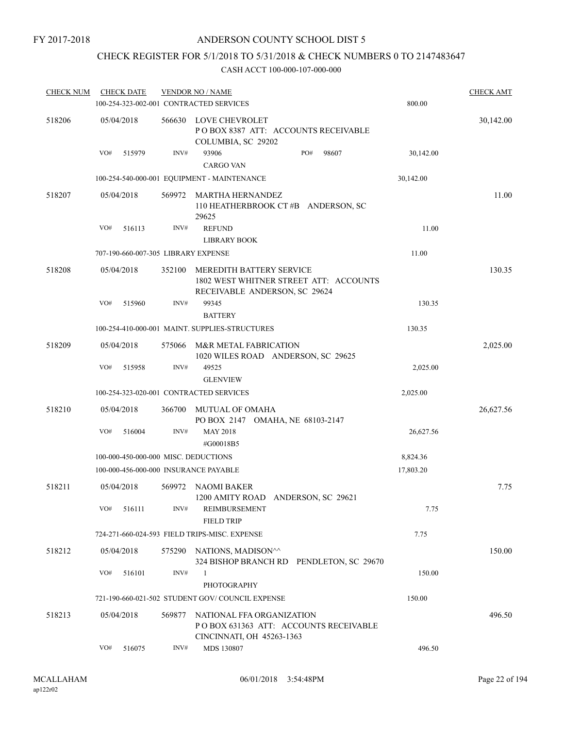## CHECK REGISTER FOR 5/1/2018 TO 5/31/2018 & CHECK NUMBERS 0 TO 2147483647

| <b>CHECK NUM</b> |     | <b>CHECK DATE</b>                   |        | <b>VENDOR NO / NAME</b><br>100-254-323-002-001 CONTRACTED SERVICES                                  | 800.00    | <b>CHECK AMT</b> |
|------------------|-----|-------------------------------------|--------|-----------------------------------------------------------------------------------------------------|-----------|------------------|
| 518206           |     | 05/04/2018                          | 566630 | LOVE CHEVROLET<br>PO BOX 8387 ATT: ACCOUNTS RECEIVABLE<br>COLUMBIA, SC 29202                        |           | 30,142.00        |
|                  | VO# | 515979                              | INV#   | 93906<br>PO#<br>98607<br><b>CARGO VAN</b>                                                           | 30,142.00 |                  |
|                  |     |                                     |        | 100-254-540-000-001 EQUIPMENT - MAINTENANCE                                                         | 30,142.00 |                  |
| 518207           |     | 05/04/2018                          | 569972 | MARTHA HERNANDEZ<br>110 HEATHERBROOK CT#B ANDERSON, SC<br>29625                                     |           | 11.00            |
|                  | VO# | 516113                              | INV#   | <b>REFUND</b>                                                                                       | 11.00     |                  |
|                  |     |                                     |        | <b>LIBRARY BOOK</b>                                                                                 |           |                  |
|                  |     | 707-190-660-007-305 LIBRARY EXPENSE |        |                                                                                                     | 11.00     |                  |
| 518208           |     | 05/04/2018                          | 352100 | MEREDITH BATTERY SERVICE<br>1802 WEST WHITNER STREET ATT: ACCOUNTS<br>RECEIVABLE ANDERSON, SC 29624 |           | 130.35           |
|                  | VO# | 515960                              | INV#   | 99345<br><b>BATTERY</b>                                                                             | 130.35    |                  |
|                  |     |                                     |        | 100-254-410-000-001 MAINT, SUPPLIES-STRUCTURES                                                      | 130.35    |                  |
| 518209           |     | 05/04/2018                          | 575066 | M&R METAL FABRICATION<br>1020 WILES ROAD ANDERSON, SC 29625                                         |           | 2,025.00         |
|                  | VO# | 515958                              | INV#   | 49525                                                                                               | 2,025.00  |                  |
|                  |     |                                     |        | <b>GLENVIEW</b>                                                                                     |           |                  |
|                  |     |                                     |        | 100-254-323-020-001 CONTRACTED SERVICES                                                             | 2,025.00  |                  |
| 518210           |     | 05/04/2018                          | 366700 | MUTUAL OF OMAHA<br>PO BOX 2147 OMAHA, NE 68103-2147                                                 |           | 26,627.56        |
|                  | VO# | 516004                              | INV#   | <b>MAY 2018</b><br>#G00018B5                                                                        | 26,627.56 |                  |
|                  |     |                                     |        | 100-000-450-000-000 MISC. DEDUCTIONS                                                                | 8,824.36  |                  |
|                  |     |                                     |        | 100-000-456-000-000 INSURANCE PAYABLE                                                               | 17,803.20 |                  |
| 518211           |     | 05/04/2018                          | 569972 | NAOMI BAKER<br>1200 AMITY ROAD ANDERSON, SC 29621                                                   |           | 7.75             |
|                  | VO# | 516111                              | INV#   | REIMBURSEMENT<br><b>FIELD TRIP</b>                                                                  | 7.75      |                  |
|                  |     |                                     |        | 724-271-660-024-593 FIELD TRIPS-MISC. EXPENSE                                                       | 7.75      |                  |
| 518212           |     | 05/04/2018                          | 575290 | NATIONS, MADISON^^<br>324 BISHOP BRANCH RD PENDLETON, SC 29670                                      |           | 150.00           |
|                  | VO# | 516101                              | INV#   | $\mathbf{1}$<br>PHOTOGRAPHY                                                                         | 150.00    |                  |
|                  |     |                                     |        | 721-190-660-021-502 STUDENT GOV/COUNCIL EXPENSE                                                     | 150.00    |                  |
| 518213           |     | 05/04/2018                          | 569877 | NATIONAL FFA ORGANIZATION<br>POBOX 631363 ATT: ACCOUNTS RECEIVABLE                                  |           | 496.50           |
|                  | VO# | 516075                              | INV#   | CINCINNATI, OH 45263-1363<br>MDS 130807                                                             | 496.50    |                  |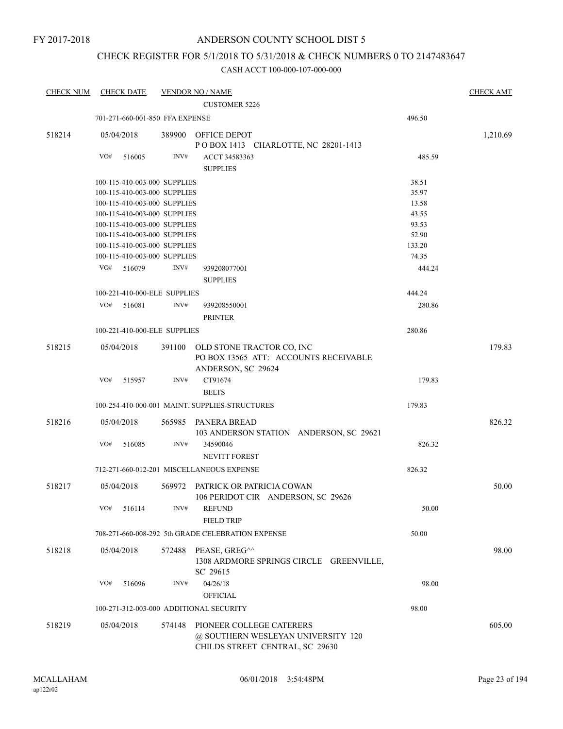FY 2017-2018

## ANDERSON COUNTY SCHOOL DIST 5

## CHECK REGISTER FOR 5/1/2018 TO 5/31/2018 & CHECK NUMBERS 0 TO 2147483647

| <b>CHECK NUM</b> | <b>CHECK DATE</b>                       |        | <b>VENDOR NO / NAME</b>                                                                           |        | <b>CHECK AMT</b> |
|------------------|-----------------------------------------|--------|---------------------------------------------------------------------------------------------------|--------|------------------|
|                  |                                         |        | <b>CUSTOMER 5226</b>                                                                              |        |                  |
|                  | 701-271-660-001-850 FFA EXPENSE         |        |                                                                                                   | 496.50 |                  |
| 518214           | 05/04/2018                              |        | 389900 OFFICE DEPOT<br>POBOX 1413 CHARLOTTE, NC 28201-1413                                        |        | 1,210.69         |
|                  | VO#<br>516005                           | INV#   | ACCT 34583363<br><b>SUPPLIES</b>                                                                  | 485.59 |                  |
|                  | 100-115-410-003-000 SUPPLIES            |        |                                                                                                   | 38.51  |                  |
|                  | 100-115-410-003-000 SUPPLIES            |        |                                                                                                   | 35.97  |                  |
|                  | 100-115-410-003-000 SUPPLIES            |        |                                                                                                   | 13.58  |                  |
|                  | 100-115-410-003-000 SUPPLIES            |        |                                                                                                   | 43.55  |                  |
|                  | 100-115-410-003-000 SUPPLIES            |        |                                                                                                   | 93.53  |                  |
|                  | 100-115-410-003-000 SUPPLIES            |        |                                                                                                   | 52.90  |                  |
|                  | 100-115-410-003-000 SUPPLIES            |        |                                                                                                   | 133.20 |                  |
|                  | 100-115-410-003-000 SUPPLIES            |        |                                                                                                   | 74.35  |                  |
|                  | 516079<br>VO#                           | INV#   | 939208077001<br><b>SUPPLIES</b>                                                                   | 444.24 |                  |
|                  | 100-221-410-000-ELE SUPPLIES            |        |                                                                                                   | 444.24 |                  |
|                  | VO#                                     | INV#   |                                                                                                   |        |                  |
|                  | 516081                                  |        | 939208550001<br><b>PRINTER</b>                                                                    | 280.86 |                  |
|                  | 100-221-410-000-ELE SUPPLIES            |        |                                                                                                   | 280.86 |                  |
| 518215           | 05/04/2018                              |        | 391100 OLD STONE TRACTOR CO, INC<br>PO BOX 13565 ATT: ACCOUNTS RECEIVABLE<br>ANDERSON, SC 29624   |        | 179.83           |
|                  | VO#<br>515957                           | INV#   | CT91674<br><b>BELTS</b>                                                                           | 179.83 |                  |
|                  |                                         |        | 100-254-410-000-001 MAINT. SUPPLIES-STRUCTURES                                                    | 179.83 |                  |
| 518216           | 05/04/2018                              |        | 565985 PANERA BREAD<br>103 ANDERSON STATION ANDERSON, SC 29621                                    |        | 826.32           |
|                  | VO#<br>516085                           | INV#   | 34590046<br><b>NEVITT FOREST</b>                                                                  | 826.32 |                  |
|                  |                                         |        | 712-271-660-012-201 MISCELLANEOUS EXPENSE                                                         | 826.32 |                  |
| 518217           | 05/04/2018                              |        | 569972 PATRICK OR PATRICIA COWAN<br>106 PERIDOT CIR ANDERSON, SC 29626                            |        | 50.00            |
|                  | VO#<br>516114                           | INV#   | <b>REFUND</b><br><b>FIELD TRIP</b>                                                                | 50.00  |                  |
|                  |                                         |        | 708-271-660-008-292 5th GRADE CELEBRATION EXPENSE                                                 | 50.00  |                  |
| 518218           | 05/04/2018                              | 572488 | PEASE, GREG^^<br>1308 ARDMORE SPRINGS CIRCLE<br><b>GREENVILLE,</b><br>SC 29615                    |        | 98.00            |
|                  | VO#<br>516096                           | INV#   | 04/26/18<br><b>OFFICIAL</b>                                                                       | 98.00  |                  |
|                  | 100-271-312-003-000 ADDITIONAL SECURITY |        |                                                                                                   | 98.00  |                  |
| 518219           | 05/04/2018                              | 574148 | PIONEER COLLEGE CATERERS<br>@ SOUTHERN WESLEYAN UNIVERSITY 120<br>CHILDS STREET CENTRAL, SC 29630 |        | 605.00           |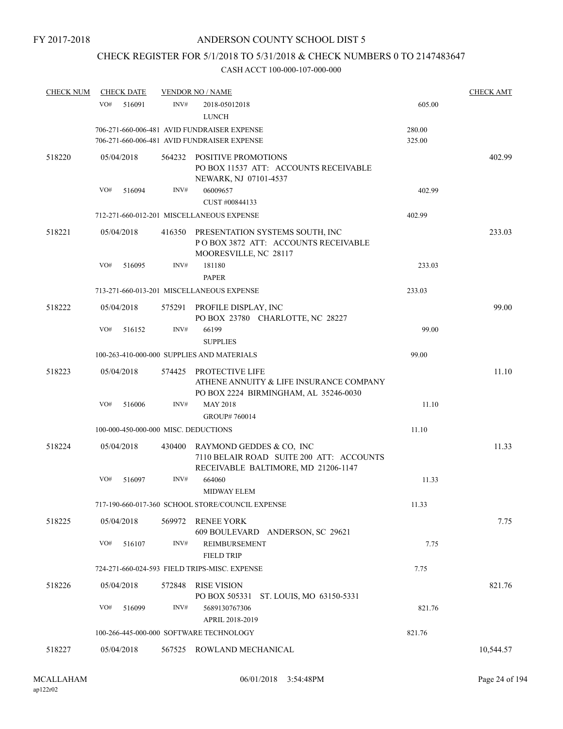## CHECK REGISTER FOR 5/1/2018 TO 5/31/2018 & CHECK NUMBERS 0 TO 2147483647

| <b>CHECK NUM</b> | <b>CHECK DATE</b>                    |        | <b>VENDOR NO / NAME</b>                                                                                     |                  | <b>CHECK AMT</b> |
|------------------|--------------------------------------|--------|-------------------------------------------------------------------------------------------------------------|------------------|------------------|
|                  | VO#<br>516091                        | INV#   | 2018-05012018<br><b>LUNCH</b>                                                                               | 605.00           |                  |
|                  |                                      |        | 706-271-660-006-481 AVID FUNDRAISER EXPENSE<br>706-271-660-006-481 AVID FUNDRAISER EXPENSE                  | 280.00<br>325.00 |                  |
| 518220           | 05/04/2018                           |        | 564232 POSITIVE PROMOTIONS<br>PO BOX 11537 ATT: ACCOUNTS RECEIVABLE<br>NEWARK, NJ 07101-4537                |                  | 402.99           |
|                  | VO#<br>516094                        | INV#   | 06009657<br>CUST #00844133                                                                                  | 402.99           |                  |
|                  |                                      |        | 712-271-660-012-201 MISCELLANEOUS EXPENSE                                                                   | 402.99           |                  |
| 518221           | 05/04/2018                           |        | 416350 PRESENTATION SYSTEMS SOUTH, INC<br>POBOX 3872 ATT: ACCOUNTS RECEIVABLE<br>MOORESVILLE, NC 28117      |                  | 233.03           |
|                  | VO#<br>516095                        | INV#   | 181180<br><b>PAPER</b>                                                                                      | 233.03           |                  |
|                  |                                      |        | 713-271-660-013-201 MISCELLANEOUS EXPENSE                                                                   | 233.03           |                  |
| 518222           | 05/04/2018                           | 575291 | PROFILE DISPLAY, INC<br>PO BOX 23780 CHARLOTTE, NC 28227                                                    |                  | 99.00            |
|                  | VO#<br>516152                        | INV#   | 66199<br><b>SUPPLIES</b>                                                                                    | 99.00            |                  |
|                  |                                      |        | 100-263-410-000-000 SUPPLIES AND MATERIALS                                                                  | 99.00            |                  |
| 518223           | 05/04/2018                           | 574425 | PROTECTIVE LIFE<br>ATHENE ANNUITY & LIFE INSURANCE COMPANY<br>PO BOX 2224 BIRMINGHAM, AL 35246-0030         |                  | 11.10            |
|                  | VO#<br>516006                        | INV#   | <b>MAY 2018</b><br>GROUP# 760014                                                                            | 11.10            |                  |
|                  | 100-000-450-000-000 MISC. DEDUCTIONS |        |                                                                                                             | 11.10            |                  |
| 518224           | 05/04/2018                           | 430400 | RAYMOND GEDDES & CO, INC<br>7110 BELAIR ROAD SUITE 200 ATT: ACCOUNTS<br>RECEIVABLE BALTIMORE, MD 21206-1147 |                  | 11.33            |
|                  | VO#<br>516097                        | INV#   | 664060<br><b>MIDWAY ELEM</b>                                                                                | 11.33            |                  |
|                  |                                      |        | 717-190-660-017-360 SCHOOL STORE/COUNCIL EXPENSE                                                            | 11.33            |                  |
| 518225           | 05/04/2018                           | 569972 | RENEE YORK<br>609 BOULEVARD ANDERSON, SC 29621                                                              |                  | 7.75             |
|                  | VO#<br>516107                        | INV#   | REIMBURSEMENT<br><b>FIELD TRIP</b>                                                                          | 7.75             |                  |
|                  |                                      |        | 724-271-660-024-593 FIELD TRIPS-MISC. EXPENSE                                                               | 7.75             |                  |
| 518226           | 05/04/2018                           | 572848 | <b>RISE VISION</b><br>PO BOX 505331<br>ST. LOUIS, MO 63150-5331                                             |                  | 821.76           |
|                  | VO#<br>516099                        | INV#   | 5689130767306<br>APRIL 2018-2019                                                                            | 821.76           |                  |
|                  |                                      |        | 100-266-445-000-000 SOFTWARE TECHNOLOGY                                                                     | 821.76           |                  |
| 518227           | 05/04/2018                           |        | 567525 ROWLAND MECHANICAL                                                                                   |                  | 10,544.57        |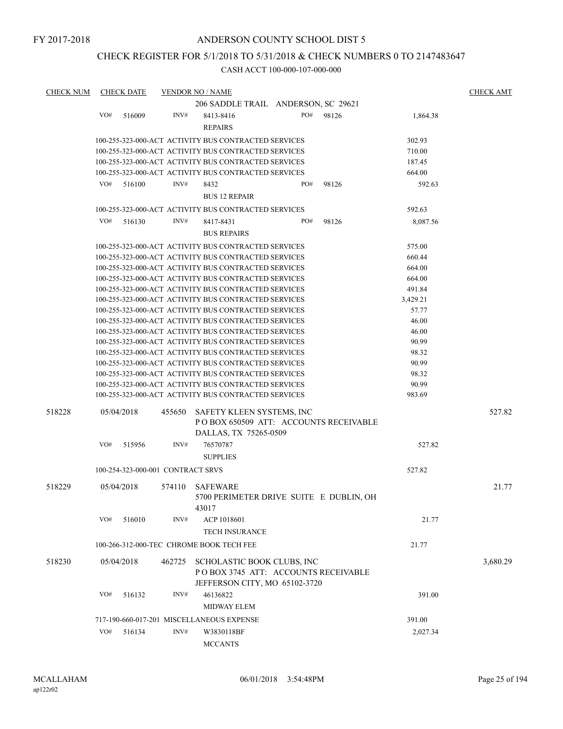## CHECK REGISTER FOR 5/1/2018 TO 5/31/2018 & CHECK NUMBERS 0 TO 2147483647

| <b>CHECK NUM</b> |     | <b>CHECK DATE</b> |                                   | <b>VENDOR NO / NAME</b>                              |     |       |          | <b>CHECK AMT</b> |
|------------------|-----|-------------------|-----------------------------------|------------------------------------------------------|-----|-------|----------|------------------|
|                  |     |                   |                                   | 206 SADDLE TRAIL ANDERSON, SC 29621                  |     |       |          |                  |
|                  | VO# | 516009            | INV#                              | 8413-8416                                            | PO# | 98126 | 1,864.38 |                  |
|                  |     |                   |                                   | <b>REPAIRS</b>                                       |     |       |          |                  |
|                  |     |                   |                                   | 100-255-323-000-ACT ACTIVITY BUS CONTRACTED SERVICES |     |       | 302.93   |                  |
|                  |     |                   |                                   |                                                      |     |       |          |                  |
|                  |     |                   |                                   | 100-255-323-000-ACT ACTIVITY BUS CONTRACTED SERVICES |     |       | 710.00   |                  |
|                  |     |                   |                                   | 100-255-323-000-ACT ACTIVITY BUS CONTRACTED SERVICES |     |       | 187.45   |                  |
|                  |     |                   |                                   | 100-255-323-000-ACT ACTIVITY BUS CONTRACTED SERVICES |     |       | 664.00   |                  |
|                  | VO# | 516100            | INV#                              | 8432                                                 | PO# | 98126 | 592.63   |                  |
|                  |     |                   |                                   | <b>BUS 12 REPAIR</b>                                 |     |       |          |                  |
|                  |     |                   |                                   | 100-255-323-000-ACT ACTIVITY BUS CONTRACTED SERVICES |     |       | 592.63   |                  |
|                  | VO# | 516130            | INV#                              | 8417-8431                                            | PO# | 98126 | 8,087.56 |                  |
|                  |     |                   |                                   | <b>BUS REPAIRS</b>                                   |     |       |          |                  |
|                  |     |                   |                                   | 100-255-323-000-ACT ACTIVITY BUS CONTRACTED SERVICES |     |       | 575.00   |                  |
|                  |     |                   |                                   |                                                      |     |       |          |                  |
|                  |     |                   |                                   | 100-255-323-000-ACT ACTIVITY BUS CONTRACTED SERVICES |     |       | 660.44   |                  |
|                  |     |                   |                                   | 100-255-323-000-ACT ACTIVITY BUS CONTRACTED SERVICES |     |       | 664.00   |                  |
|                  |     |                   |                                   | 100-255-323-000-ACT ACTIVITY BUS CONTRACTED SERVICES |     |       | 664.00   |                  |
|                  |     |                   |                                   | 100-255-323-000-ACT ACTIVITY BUS CONTRACTED SERVICES |     |       | 491.84   |                  |
|                  |     |                   |                                   | 100-255-323-000-ACT ACTIVITY BUS CONTRACTED SERVICES |     |       | 3,429.21 |                  |
|                  |     |                   |                                   | 100-255-323-000-ACT ACTIVITY BUS CONTRACTED SERVICES |     |       | 57.77    |                  |
|                  |     |                   |                                   | 100-255-323-000-ACT ACTIVITY BUS CONTRACTED SERVICES |     |       | 46.00    |                  |
|                  |     |                   |                                   | 100-255-323-000-ACT ACTIVITY BUS CONTRACTED SERVICES |     |       | 46.00    |                  |
|                  |     |                   |                                   | 100-255-323-000-ACT ACTIVITY BUS CONTRACTED SERVICES |     |       | 90.99    |                  |
|                  |     |                   |                                   | 100-255-323-000-ACT ACTIVITY BUS CONTRACTED SERVICES |     |       | 98.32    |                  |
|                  |     |                   |                                   | 100-255-323-000-ACT ACTIVITY BUS CONTRACTED SERVICES |     |       | 90.99    |                  |
|                  |     |                   |                                   | 100-255-323-000-ACT ACTIVITY BUS CONTRACTED SERVICES |     |       | 98.32    |                  |
|                  |     |                   |                                   | 100-255-323-000-ACT ACTIVITY BUS CONTRACTED SERVICES |     |       | 90.99    |                  |
|                  |     |                   |                                   | 100-255-323-000-ACT ACTIVITY BUS CONTRACTED SERVICES |     |       | 983.69   |                  |
| 518228           |     | 05/04/2018        | 455650                            | SAFETY KLEEN SYSTEMS, INC                            |     |       |          | 527.82           |
|                  |     |                   |                                   | POBOX 650509 ATT: ACCOUNTS RECEIVABLE                |     |       |          |                  |
|                  |     |                   |                                   |                                                      |     |       |          |                  |
|                  |     |                   |                                   | DALLAS, TX 75265-0509                                |     |       |          |                  |
|                  | VO# | 515956            | INV#                              | 76570787                                             |     |       | 527.82   |                  |
|                  |     |                   |                                   | <b>SUPPLIES</b>                                      |     |       |          |                  |
|                  |     |                   | 100-254-323-000-001 CONTRACT SRVS |                                                      |     |       | 527.82   |                  |
| 518229           |     | 05/04/2018        | 574110                            | <b>SAFEWARE</b>                                      |     |       |          | 21.77            |
|                  |     |                   |                                   | 5700 PERIMETER DRIVE SUITE E DUBLIN, OH              |     |       |          |                  |
|                  |     |                   |                                   | 43017                                                |     |       |          |                  |
|                  | VO# | 516010            | INV#                              | ACP 1018601                                          |     |       | 21.77    |                  |
|                  |     |                   |                                   | <b>TECH INSURANCE</b>                                |     |       |          |                  |
|                  |     |                   |                                   | 100-266-312-000-TEC CHROME BOOK TECH FEE             |     |       | 21.77    |                  |
| 518230           |     | 05/04/2018        | 462725                            | SCHOLASTIC BOOK CLUBS, INC                           |     |       |          | 3,680.29         |
|                  |     |                   |                                   | POBOX 3745 ATT: ACCOUNTS RECEIVABLE                  |     |       |          |                  |
|                  |     |                   |                                   | JEFFERSON CITY, MO 65102-3720                        |     |       |          |                  |
|                  | VO# | 516132            | INV#                              | 46136822                                             |     |       | 391.00   |                  |
|                  |     |                   |                                   | <b>MIDWAY ELEM</b>                                   |     |       |          |                  |
|                  |     |                   |                                   |                                                      |     |       |          |                  |
|                  |     |                   |                                   | 717-190-660-017-201 MISCELLANEOUS EXPENSE            |     |       | 391.00   |                  |
|                  | VO# | 516134            | INV#                              | W3830118BF                                           |     |       | 2,027.34 |                  |
|                  |     |                   |                                   | <b>MCCANTS</b>                                       |     |       |          |                  |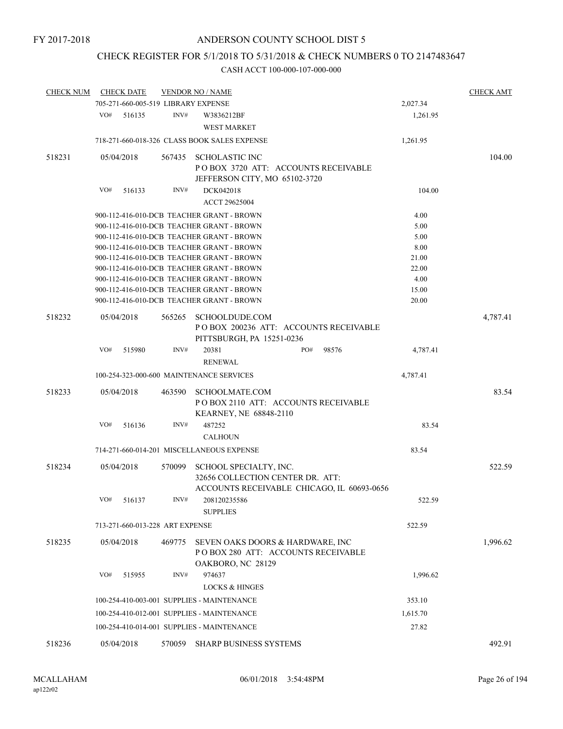## CHECK REGISTER FOR 5/1/2018 TO 5/31/2018 & CHECK NUMBERS 0 TO 2147483647

| <b>CHECK NUM</b> |     | <b>CHECK DATE</b>                   |        | <b>VENDOR NO / NAME</b>                                                        |              |          | <b>CHECK AMT</b> |
|------------------|-----|-------------------------------------|--------|--------------------------------------------------------------------------------|--------------|----------|------------------|
|                  |     | 705-271-660-005-519 LIBRARY EXPENSE |        |                                                                                |              | 2,027.34 |                  |
|                  | VO# | 516135                              | INV#   | W3836212BF<br><b>WEST MARKET</b>                                               |              | 1,261.95 |                  |
|                  |     |                                     |        | 718-271-660-018-326 CLASS BOOK SALES EXPENSE                                   |              | 1,261.95 |                  |
| 518231           |     | 05/04/2018                          | 567435 | <b>SCHOLASTIC INC</b>                                                          |              |          | 104.00           |
|                  |     |                                     |        | POBOX 3720 ATT: ACCOUNTS RECEIVABLE                                            |              |          |                  |
|                  |     |                                     |        | JEFFERSON CITY, MO 65102-3720                                                  |              |          |                  |
|                  | VO# | 516133                              | INV#   | DCK042018                                                                      |              | 104.00   |                  |
|                  |     |                                     |        | ACCT 29625004                                                                  |              |          |                  |
|                  |     |                                     |        | 900-112-416-010-DCB TEACHER GRANT - BROWN                                      |              | 4.00     |                  |
|                  |     |                                     |        | 900-112-416-010-DCB TEACHER GRANT - BROWN                                      |              | 5.00     |                  |
|                  |     |                                     |        | 900-112-416-010-DCB TEACHER GRANT - BROWN                                      |              | 5.00     |                  |
|                  |     |                                     |        | 900-112-416-010-DCB TEACHER GRANT - BROWN                                      |              | 8.00     |                  |
|                  |     |                                     |        | 900-112-416-010-DCB TEACHER GRANT - BROWN                                      |              | 21.00    |                  |
|                  |     |                                     |        | 900-112-416-010-DCB TEACHER GRANT - BROWN                                      |              | 22.00    |                  |
|                  |     |                                     |        | 900-112-416-010-DCB TEACHER GRANT - BROWN                                      |              | 4.00     |                  |
|                  |     |                                     |        | 900-112-416-010-DCB TEACHER GRANT - BROWN                                      |              | 15.00    |                  |
|                  |     |                                     |        | 900-112-416-010-DCB TEACHER GRANT - BROWN                                      |              | 20.00    |                  |
|                  |     |                                     |        |                                                                                |              |          |                  |
| 518232           |     | 05/04/2018                          | 565265 | SCHOOLDUDE.COM<br>POBOX 200236 ATT: ACCOUNTS RECEIVABLE                        |              |          | 4,787.41         |
|                  |     |                                     |        | PITTSBURGH, PA 15251-0236                                                      |              |          |                  |
|                  | VO# | 515980                              | INV#   | 20381<br><b>RENEWAL</b>                                                        | PO#<br>98576 | 4,787.41 |                  |
|                  |     |                                     |        | 100-254-323-000-600 MAINTENANCE SERVICES                                       |              | 4,787.41 |                  |
| 518233           |     | 05/04/2018                          | 463590 | <b>SCHOOLMATE.COM</b><br>PO BOX 2110 ATT: ACCOUNTS RECEIVABLE                  |              |          | 83.54            |
|                  | VO# | 516136                              | INV#   | KEARNEY, NE 68848-2110<br>487252<br><b>CALHOUN</b>                             |              | 83.54    |                  |
|                  |     |                                     |        | 714-271-660-014-201 MISCELLANEOUS EXPENSE                                      |              | 83.54    |                  |
| 518234           |     | 05/04/2018                          | 570099 | SCHOOL SPECIALTY, INC.                                                         |              |          | 522.59           |
|                  |     |                                     |        | 32656 COLLECTION CENTER DR. ATT:<br>ACCOUNTS RECEIVABLE CHICAGO, IL 60693-0656 |              |          |                  |
|                  |     | $\rm VO\#$ 516137                   | INV#   | 208120235586                                                                   |              | 522.59   |                  |
|                  |     |                                     |        | <b>SUPPLIES</b>                                                                |              |          |                  |
|                  |     | 713-271-660-013-228 ART EXPENSE     |        |                                                                                |              | 522.59   |                  |
| 518235           |     | 05/04/2018                          | 469775 | SEVEN OAKS DOORS & HARDWARE, INC<br>POBOX 280 ATT: ACCOUNTS RECEIVABLE         |              |          | 1,996.62         |
|                  | VO# | 515955                              | INV#   | OAKBORO, NC 28129<br>974637<br><b>LOCKS &amp; HINGES</b>                       |              | 1,996.62 |                  |
|                  |     |                                     |        |                                                                                |              | 353.10   |                  |
|                  |     |                                     |        | 100-254-410-003-001 SUPPLIES - MAINTENANCE                                     |              |          |                  |
|                  |     |                                     |        | 100-254-410-012-001 SUPPLIES - MAINTENANCE                                     |              | 1,615.70 |                  |
|                  |     |                                     |        | 100-254-410-014-001 SUPPLIES - MAINTENANCE                                     |              | 27.82    |                  |
| 518236           |     | 05/04/2018                          |        | 570059 SHARP BUSINESS SYSTEMS                                                  |              |          | 492.91           |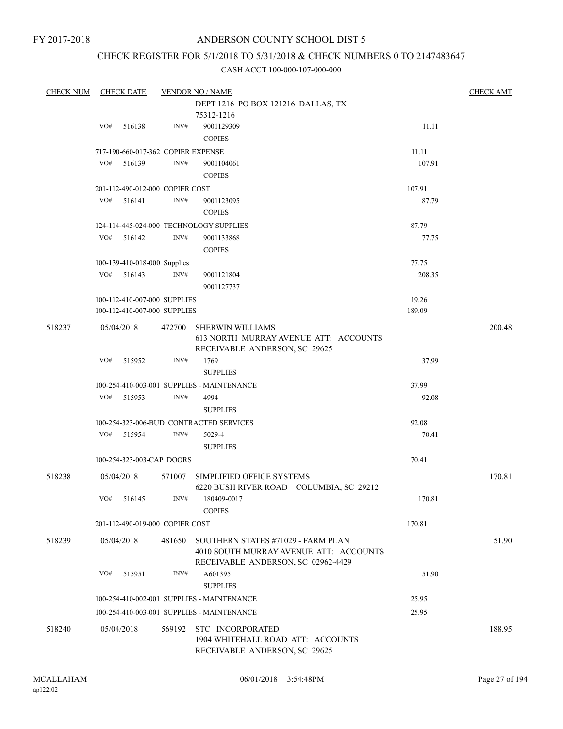## CHECK REGISTER FOR 5/1/2018 TO 5/31/2018 & CHECK NUMBERS 0 TO 2147483647

| <b>CHECK NUM</b> |     | <b>CHECK DATE</b>            |                                    | <b>VENDOR NO / NAME</b>                                                                                            |        | <b>CHECK AMT</b> |
|------------------|-----|------------------------------|------------------------------------|--------------------------------------------------------------------------------------------------------------------|--------|------------------|
|                  |     |                              |                                    | DEPT 1216 PO BOX 121216 DALLAS, TX                                                                                 |        |                  |
|                  |     |                              |                                    | 75312-1216                                                                                                         |        |                  |
|                  | VO# | 516138                       | INV#                               | 9001129309                                                                                                         | 11.11  |                  |
|                  |     |                              |                                    | <b>COPIES</b>                                                                                                      |        |                  |
|                  |     |                              | 717-190-660-017-362 COPIER EXPENSE |                                                                                                                    | 11.11  |                  |
|                  | VO# | 516139                       | INV#                               | 9001104061                                                                                                         | 107.91 |                  |
|                  |     |                              |                                    | <b>COPIES</b>                                                                                                      |        |                  |
|                  |     |                              | 201-112-490-012-000 COPIER COST    |                                                                                                                    | 107.91 |                  |
|                  | VO# | 516141                       | INV#                               | 9001123095                                                                                                         | 87.79  |                  |
|                  |     |                              |                                    | <b>COPIES</b>                                                                                                      |        |                  |
|                  |     |                              |                                    |                                                                                                                    |        |                  |
|                  |     |                              |                                    | 124-114-445-024-000 TECHNOLOGY SUPPLIES                                                                            | 87.79  |                  |
|                  | VO# | 516142                       | INV#                               | 9001133868                                                                                                         | 77.75  |                  |
|                  |     |                              |                                    | <b>COPIES</b>                                                                                                      |        |                  |
|                  |     | 100-139-410-018-000 Supplies |                                    |                                                                                                                    | 77.75  |                  |
|                  | VO# | 516143                       | INV#                               | 9001121804                                                                                                         | 208.35 |                  |
|                  |     |                              |                                    | 9001127737                                                                                                         |        |                  |
|                  |     |                              | 100-112-410-007-000 SUPPLIES       |                                                                                                                    | 19.26  |                  |
|                  |     |                              | 100-112-410-007-000 SUPPLIES       |                                                                                                                    | 189.09 |                  |
| 518237           |     | 05/04/2018                   | 472700                             | <b>SHERWIN WILLIAMS</b><br>613 NORTH MURRAY AVENUE ATT: ACCOUNTS<br>RECEIVABLE ANDERSON, SC 29625                  |        | 200.48           |
|                  | VO# | 515952                       | INV#                               | 1769                                                                                                               | 37.99  |                  |
|                  |     |                              |                                    | <b>SUPPLIES</b>                                                                                                    |        |                  |
|                  |     |                              |                                    | 100-254-410-003-001 SUPPLIES - MAINTENANCE                                                                         | 37.99  |                  |
|                  | VO# | 515953                       | INV#                               | 4994                                                                                                               | 92.08  |                  |
|                  |     |                              |                                    |                                                                                                                    |        |                  |
|                  |     |                              |                                    | <b>SUPPLIES</b>                                                                                                    |        |                  |
|                  |     |                              |                                    | 100-254-323-006-BUD CONTRACTED SERVICES                                                                            | 92.08  |                  |
|                  | VO# | 515954                       | INV#                               | 5029-4<br><b>SUPPLIES</b>                                                                                          | 70.41  |                  |
|                  |     |                              | 100-254-323-003-CAP DOORS          |                                                                                                                    | 70.41  |                  |
|                  |     |                              |                                    |                                                                                                                    |        |                  |
| 518238           |     | 05/04/2018                   | 571007                             | SIMPLIFIED OFFICE SYSTEMS<br>6220 BUSH RIVER ROAD COLUMBIA, SC 29212                                               |        | 170.81           |
|                  |     | $VO#$ 516145                 | INV#                               | 180409-0017<br><b>COPIES</b>                                                                                       | 170.81 |                  |
|                  |     |                              | 201-112-490-019-000 COPIER COST    |                                                                                                                    | 170.81 |                  |
| 518239           |     | 05/04/2018                   | 481650                             | SOUTHERN STATES #71029 - FARM PLAN<br>4010 SOUTH MURRAY AVENUE ATT: ACCOUNTS<br>RECEIVABLE ANDERSON, SC 02962-4429 |        | 51.90            |
|                  | VO# | 515951                       | INV#                               | A601395<br><b>SUPPLIES</b>                                                                                         | 51.90  |                  |
|                  |     |                              |                                    | 100-254-410-002-001 SUPPLIES - MAINTENANCE                                                                         | 25.95  |                  |
|                  |     |                              |                                    | 100-254-410-003-001 SUPPLIES - MAINTENANCE                                                                         | 25.95  |                  |
| 518240           |     | 05/04/2018                   | 569192                             | STC INCORPORATED<br>1904 WHITEHALL ROAD ATT: ACCOUNTS<br>RECEIVABLE ANDERSON, SC 29625                             |        | 188.95           |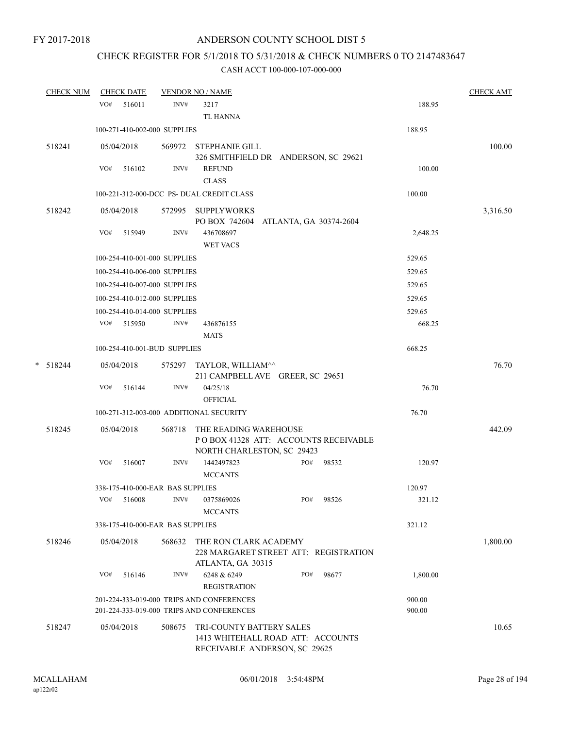# CHECK REGISTER FOR 5/1/2018 TO 5/31/2018 & CHECK NUMBERS 0 TO 2147483647

| CHECK NUM  | <b>CHECK DATE</b> |        |                                  | <b>VENDOR NO / NAME</b>                                                                        |     |           |                  | <b>CHECK AMT</b> |
|------------|-------------------|--------|----------------------------------|------------------------------------------------------------------------------------------------|-----|-----------|------------------|------------------|
|            | VO#               | 516011 | INV#                             | 3217<br><b>TL HANNA</b>                                                                        |     |           | 188.95           |                  |
|            |                   |        | 100-271-410-002-000 SUPPLIES     |                                                                                                |     |           | 188.95           |                  |
| 518241     | 05/04/2018        |        |                                  | 569972 STEPHANIE GILL<br>326 SMITHFIELD DR ANDERSON, SC 29621                                  |     |           |                  | 100.00           |
|            | VO#               | 516102 | INV#                             | <b>REFUND</b><br><b>CLASS</b>                                                                  |     |           | 100.00           |                  |
|            |                   |        |                                  | 100-221-312-000-DCC PS- DUAL CREDIT CLASS                                                      |     |           | 100.00           |                  |
| 518242     | 05/04/2018        |        |                                  | 572995 SUPPLYWORKS<br>PO BOX 742604 ATLANTA, GA 30374-2604                                     |     |           |                  | 3,316.50         |
|            | VO#               | 515949 | INV#                             | 436708697<br><b>WET VACS</b>                                                                   |     |           | 2,648.25         |                  |
|            |                   |        | 100-254-410-001-000 SUPPLIES     |                                                                                                |     |           | 529.65           |                  |
|            |                   |        | 100-254-410-006-000 SUPPLIES     |                                                                                                |     |           | 529.65           |                  |
|            |                   |        | 100-254-410-007-000 SUPPLIES     |                                                                                                |     |           | 529.65           |                  |
|            |                   |        | 100-254-410-012-000 SUPPLIES     |                                                                                                |     |           | 529.65           |                  |
|            |                   |        | 100-254-410-014-000 SUPPLIES     |                                                                                                |     |           | 529.65           |                  |
|            | VO# 515950        |        | INV#                             | 436876155<br><b>MATS</b>                                                                       |     |           | 668.25           |                  |
|            |                   |        | 100-254-410-001-BUD SUPPLIES     |                                                                                                |     |           | 668.25           |                  |
| $*$ 518244 | 05/04/2018        |        |                                  | 575297 TAYLOR, WILLIAM^^<br>211 CAMPBELL AVE GREER, SC 29651                                   |     |           |                  | 76.70            |
|            | VO#               | 516144 | INV#                             | 04/25/18<br><b>OFFICIAL</b>                                                                    |     |           | 76.70            |                  |
|            |                   |        |                                  | 100-271-312-003-000 ADDITIONAL SECURITY                                                        |     |           | 76.70            |                  |
| 518245     | 05/04/2018        |        | 568718                           | THE READING WAREHOUSE<br>POBOX 41328 ATT: ACCOUNTS RECEIVABLE<br>NORTH CHARLESTON, SC 29423    |     |           |                  | 442.09           |
|            | VO#               | 516007 | INV#                             | 1442497823<br><b>MCCANTS</b>                                                                   | PO# | 98532     | 120.97           |                  |
|            |                   |        | 338-175-410-000-EAR BAS SUPPLIES |                                                                                                |     |           | 120.97           |                  |
|            | VO#               | 516008 |                                  | INV# 0375869026<br><b>MCCANTS</b>                                                              |     | PO# 98526 | 321.12           |                  |
|            |                   |        | 338-175-410-000-EAR BAS SUPPLIES |                                                                                                |     |           | 321.12           |                  |
| 518246     | 05/04/2018        |        | 568632                           | THE RON CLARK ACADEMY<br>228 MARGARET STREET ATT: REGISTRATION<br>ATLANTA, GA 30315            |     |           |                  | 1,800.00         |
|            | VO#               | 516146 | INV#                             | 6248 & 6249<br><b>REGISTRATION</b>                                                             | PO# | 98677     | 1,800.00         |                  |
|            |                   |        |                                  | 201-224-333-019-000 TRIPS AND CONFERENCES<br>201-224-333-019-000 TRIPS AND CONFERENCES         |     |           | 900.00<br>900.00 |                  |
| 518247     | 05/04/2018        |        | 508675                           | TRI-COUNTY BATTERY SALES<br>1413 WHITEHALL ROAD ATT: ACCOUNTS<br>RECEIVABLE ANDERSON, SC 29625 |     |           |                  | 10.65            |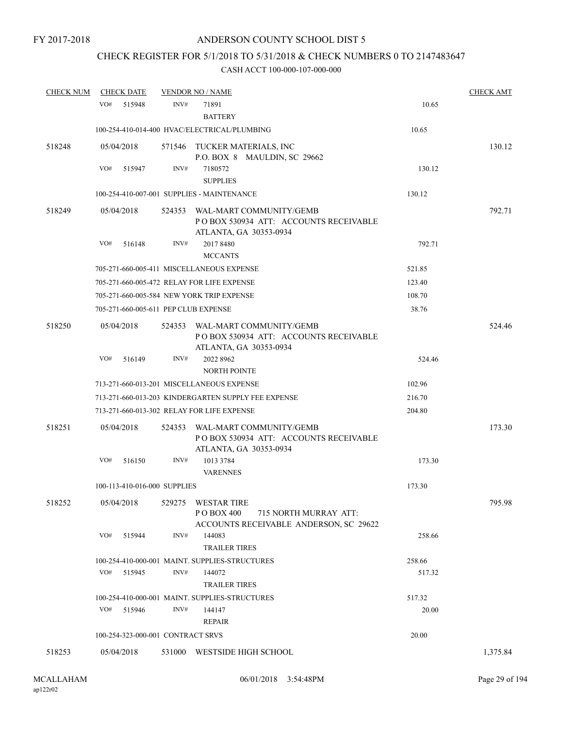## CHECK REGISTER FOR 5/1/2018 TO 5/31/2018 & CHECK NUMBERS 0 TO 2147483647

| <b>CHECK NUM</b> | <b>CHECK DATE</b>                    |        | <b>VENDOR NO / NAME</b>                                                                              |        | <b>CHECK AMT</b> |
|------------------|--------------------------------------|--------|------------------------------------------------------------------------------------------------------|--------|------------------|
|                  | VO#<br>515948                        | INV#   | 71891<br><b>BATTERY</b>                                                                              | 10.65  |                  |
|                  |                                      |        | 100-254-410-014-400 HVAC/ELECTRICAL/PLUMBING                                                         | 10.65  |                  |
| 518248           | 05/04/2018                           |        | 571546 TUCKER MATERIALS, INC<br>P.O. BOX 8 MAULDIN, SC 29662                                         |        | 130.12           |
|                  | VO#<br>515947                        | INV#   | 7180572<br><b>SUPPLIES</b>                                                                           | 130.12 |                  |
|                  |                                      |        | 100-254-410-007-001 SUPPLIES - MAINTENANCE                                                           | 130.12 |                  |
| 518249           | 05/04/2018                           | 524353 | WAL-MART COMMUNITY/GEMB<br>POBOX 530934 ATT: ACCOUNTS RECEIVABLE<br>ATLANTA, GA 30353-0934           |        | 792.71           |
|                  | VO#<br>516148                        | INV#   | 2017 8480<br><b>MCCANTS</b>                                                                          | 792.71 |                  |
|                  |                                      |        | 705-271-660-005-411 MISCELLANEOUS EXPENSE                                                            | 521.85 |                  |
|                  |                                      |        | 705-271-660-005-472 RELAY FOR LIFE EXPENSE                                                           | 123.40 |                  |
|                  |                                      |        | 705-271-660-005-584 NEW YORK TRIP EXPENSE                                                            | 108.70 |                  |
|                  | 705-271-660-005-611 PEP CLUB EXPENSE |        |                                                                                                      | 38.76  |                  |
| 518250           | 05/04/2018                           | 524353 | WAL-MART COMMUNITY/GEMB<br>PO BOX 530934 ATT: ACCOUNTS RECEIVABLE<br>ATLANTA, GA 30353-0934          |        | 524.46           |
|                  | VO#<br>516149                        | INV#   | 2022 8962<br><b>NORTH POINTE</b>                                                                     | 524.46 |                  |
|                  |                                      |        | 713-271-660-013-201 MISCELLANEOUS EXPENSE                                                            | 102.96 |                  |
|                  |                                      |        | 713-271-660-013-203 KINDERGARTEN SUPPLY FEE EXPENSE                                                  | 216.70 |                  |
|                  |                                      |        | 713-271-660-013-302 RELAY FOR LIFE EXPENSE                                                           | 204.80 |                  |
| 518251           | 05/04/2018                           | 524353 | WAL-MART COMMUNITY/GEMB<br>POBOX 530934 ATT: ACCOUNTS RECEIVABLE<br>ATLANTA, GA 30353-0934           |        | 173.30           |
|                  | VO#<br>516150                        | INV#   | 1013 3784                                                                                            | 173.30 |                  |
|                  | 100-113-410-016-000 SUPPLIES         |        | <b>VARENNES</b>                                                                                      | 173.30 |                  |
|                  |                                      |        |                                                                                                      |        |                  |
| 518252           | 05/04/2018                           | 529275 | <b>WESTAR TIRE</b><br>P O BOX 400<br>715 NORTH MURRAY ATT:<br>ACCOUNTS RECEIVABLE ANDERSON, SC 29622 |        | 795.98           |
|                  | VO#<br>515944                        | INV#   | 144083<br><b>TRAILER TIRES</b>                                                                       | 258.66 |                  |
|                  |                                      |        | 100-254-410-000-001 MAINT, SUPPLIES-STRUCTURES                                                       | 258.66 |                  |
|                  | VO#<br>515945                        | INV#   | 144072<br><b>TRAILER TIRES</b>                                                                       | 517.32 |                  |
|                  |                                      |        | 100-254-410-000-001 MAINT. SUPPLIES-STRUCTURES                                                       | 517.32 |                  |
|                  | VO#<br>515946                        | INV#   | 144147<br>REPAIR                                                                                     | 20.00  |                  |
|                  | 100-254-323-000-001 CONTRACT SRVS    |        |                                                                                                      | 20.00  |                  |
| 518253           | 05/04/2018                           |        | 531000 WESTSIDE HIGH SCHOOL                                                                          |        | 1,375.84         |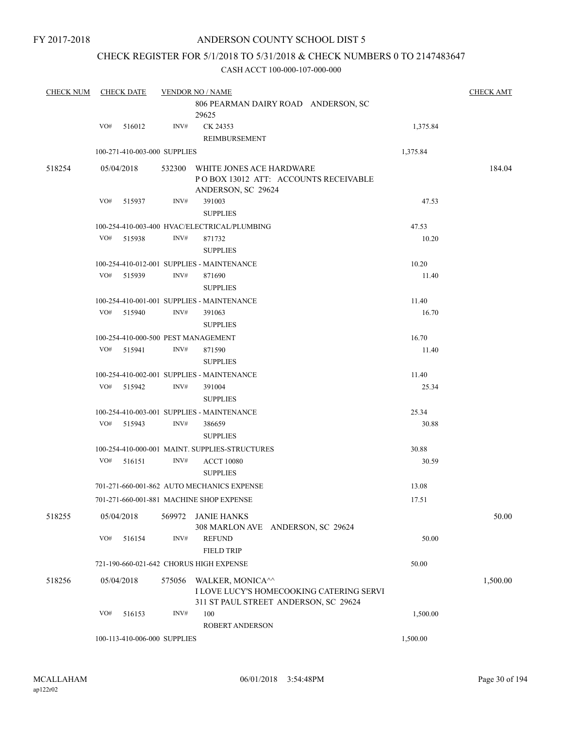## CHECK REGISTER FOR 5/1/2018 TO 5/31/2018 & CHECK NUMBERS 0 TO 2147483647

| <b>CHECK NUM</b> |     | <b>CHECK DATE</b>            |        | <b>VENDOR NO / NAME</b>                                                                               |          | <b>CHECK AMT</b> |
|------------------|-----|------------------------------|--------|-------------------------------------------------------------------------------------------------------|----------|------------------|
|                  |     |                              |        | 806 PEARMAN DAIRY ROAD ANDERSON, SC<br>29625                                                          |          |                  |
|                  | VO# | 516012                       | INV#   | CK 24353                                                                                              | 1,375.84 |                  |
|                  |     |                              |        | REIMBURSEMENT                                                                                         |          |                  |
|                  |     | 100-271-410-003-000 SUPPLIES |        |                                                                                                       | 1,375.84 |                  |
| 518254           |     | 05/04/2018                   | 532300 | WHITE JONES ACE HARDWARE<br>PO BOX 13012 ATT: ACCOUNTS RECEIVABLE<br>ANDERSON, SC 29624               |          | 184.04           |
|                  | VO# | 515937                       | INV#   | 391003<br><b>SUPPLIES</b>                                                                             | 47.53    |                  |
|                  |     |                              |        | 100-254-410-003-400 HVAC/ELECTRICAL/PLUMBING                                                          | 47.53    |                  |
|                  | VO# | 515938                       | INV#   | 871732                                                                                                | 10.20    |                  |
|                  |     |                              |        | <b>SUPPLIES</b>                                                                                       |          |                  |
|                  |     |                              |        | 100-254-410-012-001 SUPPLIES - MAINTENANCE                                                            | 10.20    |                  |
|                  | VO# | 515939                       | INV#   | 871690                                                                                                | 11.40    |                  |
|                  |     |                              |        | <b>SUPPLIES</b>                                                                                       |          |                  |
|                  |     |                              |        | 100-254-410-001-001 SUPPLIES - MAINTENANCE                                                            | 11.40    |                  |
|                  | VO# | 515940                       | INV#   | 391063                                                                                                | 16.70    |                  |
|                  |     |                              |        | <b>SUPPLIES</b>                                                                                       |          |                  |
|                  |     |                              |        | 100-254-410-000-500 PEST MANAGEMENT                                                                   | 16.70    |                  |
|                  | VO# | 515941                       | INV#   | 871590                                                                                                | 11.40    |                  |
|                  |     |                              |        | <b>SUPPLIES</b>                                                                                       |          |                  |
|                  |     |                              |        | 100-254-410-002-001 SUPPLIES - MAINTENANCE                                                            | 11.40    |                  |
|                  | VO# | 515942                       | INV#   | 391004                                                                                                | 25.34    |                  |
|                  |     |                              |        | <b>SUPPLIES</b>                                                                                       |          |                  |
|                  |     |                              |        | 100-254-410-003-001 SUPPLIES - MAINTENANCE                                                            | 25.34    |                  |
|                  | VO# | 515943                       | INV#   | 386659<br><b>SUPPLIES</b>                                                                             | 30.88    |                  |
|                  |     |                              |        | 100-254-410-000-001 MAINT, SUPPLIES-STRUCTURES                                                        | 30.88    |                  |
|                  | VO# | 516151                       | INV#   | <b>ACCT 10080</b><br><b>SUPPLIES</b>                                                                  | 30.59    |                  |
|                  |     |                              |        | 701-271-660-001-862 AUTO MECHANICS EXPENSE                                                            | 13.08    |                  |
|                  |     |                              |        | 701-271-660-001-881 MACHINE SHOP EXPENSE                                                              | 17.51    |                  |
| 518255           |     | 05/04/2018                   | 569972 | JANIE HANKS<br>308 MARLON AVE ANDERSON, SC 29624                                                      |          | 50.00            |
|                  | VO# | 516154                       | INV#   | <b>REFUND</b><br><b>FIELD TRIP</b>                                                                    | 50.00    |                  |
|                  |     |                              |        | 721-190-660-021-642 CHORUS HIGH EXPENSE                                                               | 50.00    |                  |
| 518256           |     | 05/04/2018                   | 575056 | WALKER, MONICA^^<br>I LOVE LUCY'S HOMECOOKING CATERING SERVI<br>311 ST PAUL STREET ANDERSON, SC 29624 |          | 1,500.00         |
|                  | VO# | 516153                       | INV#   | 100<br><b>ROBERT ANDERSON</b>                                                                         | 1,500.00 |                  |
|                  |     | 100-113-410-006-000 SUPPLIES |        |                                                                                                       | 1,500.00 |                  |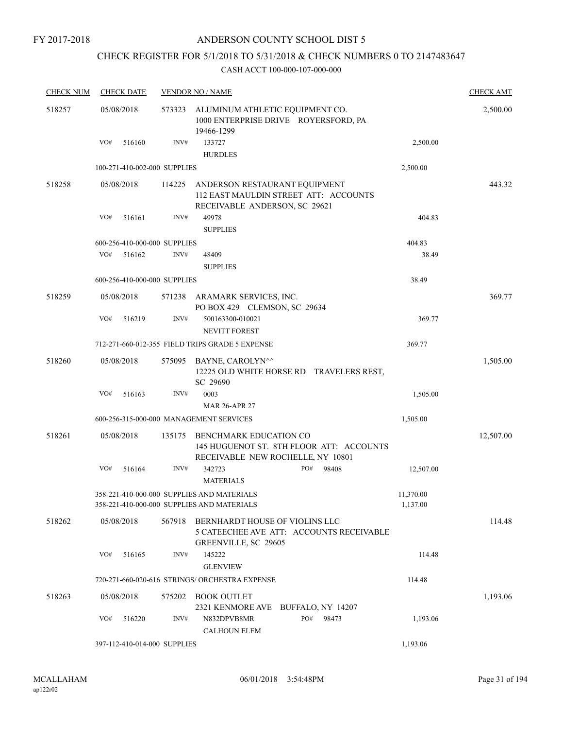FY 2017-2018

## ANDERSON COUNTY SCHOOL DIST 5

## CHECK REGISTER FOR 5/1/2018 TO 5/31/2018 & CHECK NUMBERS 0 TO 2147483647

| <b>CHECK NUM</b> |     | <b>CHECK DATE</b>            |        | <b>VENDOR NO / NAME</b>                                                                                   |              |           | <b>CHECK AMT</b> |
|------------------|-----|------------------------------|--------|-----------------------------------------------------------------------------------------------------------|--------------|-----------|------------------|
| 518257           |     | 05/08/2018                   | 573323 | ALUMINUM ATHLETIC EQUIPMENT CO.<br>1000 ENTERPRISE DRIVE ROYERSFORD, PA<br>19466-1299                     |              |           | 2,500.00         |
|                  | VO# | 516160                       | INV#   | 133727<br><b>HURDLES</b>                                                                                  |              | 2,500.00  |                  |
|                  |     | 100-271-410-002-000 SUPPLIES |        |                                                                                                           |              | 2,500.00  |                  |
| 518258           |     | 05/08/2018                   | 114225 | ANDERSON RESTAURANT EQUIPMENT<br>112 EAST MAULDIN STREET ATT: ACCOUNTS<br>RECEIVABLE ANDERSON, SC 29621   |              |           | 443.32           |
|                  | VO# | 516161                       | INV#   | 49978<br><b>SUPPLIES</b>                                                                                  |              | 404.83    |                  |
|                  |     | 600-256-410-000-000 SUPPLIES |        |                                                                                                           |              | 404.83    |                  |
|                  | VO# | 516162                       | INV#   | 48409<br><b>SUPPLIES</b>                                                                                  |              | 38.49     |                  |
|                  |     | 600-256-410-000-000 SUPPLIES |        |                                                                                                           |              | 38.49     |                  |
| 518259           |     | 05/08/2018                   |        | 571238 ARAMARK SERVICES, INC.<br>PO BOX 429 CLEMSON, SC 29634                                             |              |           | 369.77           |
|                  | VO# | 516219                       | INV#   | 500163300-010021<br>NEVITT FOREST                                                                         |              | 369.77    |                  |
|                  |     |                              |        | 712-271-660-012-355 FIELD TRIPS GRADE 5 EXPENSE                                                           |              | 369.77    |                  |
| 518260           |     | 05/08/2018                   | 575095 | BAYNE, CAROLYN <sup>^^</sup><br>12225 OLD WHITE HORSE RD TRAVELERS REST,                                  |              |           | 1,505.00         |
|                  |     |                              |        | SC 29690                                                                                                  |              |           |                  |
|                  | VO# | 516163                       | INV#   | 0003                                                                                                      |              | 1,505.00  |                  |
|                  |     |                              |        | <b>MAR 26-APR 27</b>                                                                                      |              |           |                  |
|                  |     |                              |        | 600-256-315-000-000 MANAGEMENT SERVICES                                                                   |              | 1,505.00  |                  |
| 518261           |     | 05/08/2018                   | 135175 | BENCHMARK EDUCATION CO<br>145 HUGUENOT ST. 8TH FLOOR ATT: ACCOUNTS<br>RECEIVABLE NEW ROCHELLE, NY 10801   |              |           | 12,507.00        |
|                  | VO# | 516164                       | INV#   | 342723<br><b>MATERIALS</b>                                                                                | PO#<br>98408 | 12,507.00 |                  |
|                  |     |                              |        | 358-221-410-000-000 SUPPLIES AND MATERIALS                                                                |              | 11,370.00 |                  |
|                  |     |                              |        | 358-221-410-000-000 SUPPLIES AND MATERIALS                                                                |              | 1,137.00  |                  |
| 518262           |     | 05/08/2018                   | 567918 | BERNHARDT HOUSE OF VIOLINS LLC<br>5 CATEECHEE AVE ATT: ACCOUNTS RECEIVABLE<br><b>GREENVILLE, SC 29605</b> |              |           | 114.48           |
|                  | VO# | 516165                       | INV#   | 145222<br><b>GLENVIEW</b>                                                                                 |              | 114.48    |                  |
|                  |     |                              |        | 720-271-660-020-616 STRINGS/ ORCHESTRA EXPENSE                                                            |              | 114.48    |                  |
| 518263           |     | 05/08/2018                   | 575202 | BOOK OUTLET<br>2321 KENMORE AVE BUFFALO, NY 14207                                                         |              |           | 1,193.06         |
|                  | VO# | 516220                       | INV#   | N832DPVB8MR<br><b>CALHOUN ELEM</b>                                                                        | PO#<br>98473 | 1,193.06  |                  |
|                  |     | 397-112-410-014-000 SUPPLIES |        |                                                                                                           |              | 1,193.06  |                  |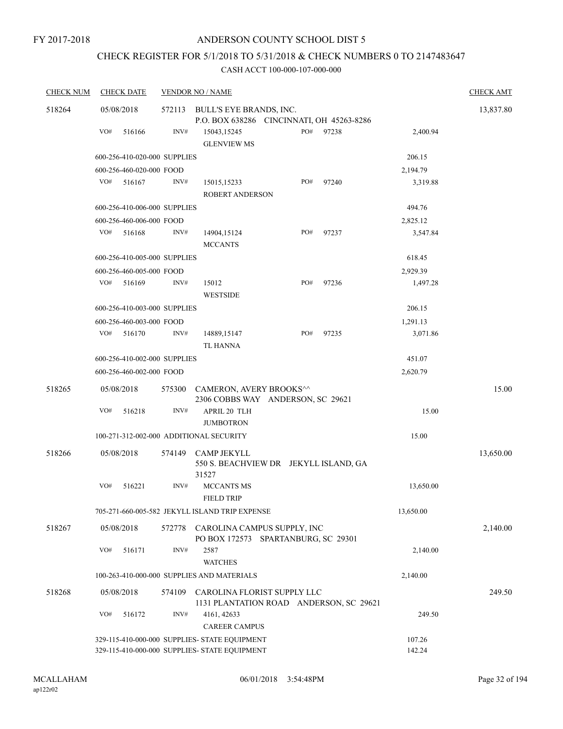# CHECK REGISTER FOR 5/1/2018 TO 5/31/2018 & CHECK NUMBERS 0 TO 2147483647

| <b>CHECK NUM</b> | <b>CHECK DATE</b>                       |        | <b>VENDOR NO / NAME</b>                                                                        |     |       |                  | <b>CHECK AMT</b> |
|------------------|-----------------------------------------|--------|------------------------------------------------------------------------------------------------|-----|-------|------------------|------------------|
| 518264           | 05/08/2018                              | 572113 | BULL'S EYE BRANDS, INC.                                                                        |     |       |                  | 13,837.80        |
|                  | VO#<br>516166                           | INV#   | P.O. BOX 638286 CINCINNATI, OH 45263-8286<br>15043,15245<br><b>GLENVIEW MS</b>                 | PO# | 97238 | 2,400.94         |                  |
|                  | 600-256-410-020-000 SUPPLIES            |        |                                                                                                |     |       | 206.15           |                  |
|                  | 600-256-460-020-000 FOOD                |        |                                                                                                |     |       | 2,194.79         |                  |
|                  | VO#<br>516167                           | INV#   | 15015,15233<br><b>ROBERT ANDERSON</b>                                                          | PO# | 97240 | 3,319.88         |                  |
|                  | 600-256-410-006-000 SUPPLIES            |        |                                                                                                |     |       | 494.76           |                  |
|                  | 600-256-460-006-000 FOOD                |        |                                                                                                |     |       | 2,825.12         |                  |
|                  | VO#<br>516168                           | INV#   | 14904,15124<br><b>MCCANTS</b>                                                                  | PO# | 97237 | 3,547.84         |                  |
|                  | 600-256-410-005-000 SUPPLIES            |        |                                                                                                |     |       | 618.45           |                  |
|                  | 600-256-460-005-000 FOOD                |        |                                                                                                |     |       | 2,929.39         |                  |
|                  | VO#<br>516169                           | INV#   | 15012<br><b>WESTSIDE</b>                                                                       | PO# | 97236 | 1,497.28         |                  |
|                  | 600-256-410-003-000 SUPPLIES            |        |                                                                                                |     |       | 206.15           |                  |
|                  | 600-256-460-003-000 FOOD                |        |                                                                                                |     |       | 1,291.13         |                  |
|                  | VO#<br>516170                           | INV#   | 14889,15147<br><b>TL HANNA</b>                                                                 | PO# | 97235 | 3,071.86         |                  |
|                  | 600-256-410-002-000 SUPPLIES            |        |                                                                                                |     |       | 451.07           |                  |
|                  | 600-256-460-002-000 FOOD                |        |                                                                                                |     |       | 2,620.79         |                  |
| 518265           | 05/08/2018                              | 575300 | CAMERON, AVERY BROOKS^^<br>2306 COBBS WAY ANDERSON, SC 29621                                   |     |       |                  | 15.00            |
|                  | VO#<br>516218                           | INV#   | APRIL 20 TLH<br><b>JUMBOTRON</b>                                                               |     |       | 15.00            |                  |
|                  | 100-271-312-002-000 ADDITIONAL SECURITY |        |                                                                                                |     |       | 15.00            |                  |
| 518266           | 05/08/2018                              | 574149 | <b>CAMP JEKYLL</b><br>550 S. BEACHVIEW DR JEKYLL ISLAND, GA                                    |     |       |                  | 13,650.00        |
|                  | VO#<br>516221                           | INV#   | 31527<br><b>MCCANTS MS</b><br><b>FIELD TRIP</b>                                                |     |       | 13,650.00        |                  |
|                  |                                         |        | 705-271-660-005-582 JEKYLL ISLAND TRIP EXPENSE                                                 |     |       | 13,650.00        |                  |
| 518267           | 05/08/2018                              | 572778 | CAROLINA CAMPUS SUPPLY, INC<br>PO BOX 172573 SPARTANBURG, SC 29301                             |     |       |                  | 2,140.00         |
|                  | VO#<br>516171                           | INV#   | 2587<br><b>WATCHES</b>                                                                         |     |       | 2,140.00         |                  |
|                  |                                         |        | 100-263-410-000-000 SUPPLIES AND MATERIALS                                                     |     |       | 2,140.00         |                  |
| 518268           | 05/08/2018                              | 574109 | CAROLINA FLORIST SUPPLY LLC<br>1131 PLANTATION ROAD ANDERSON, SC 29621                         |     |       |                  | 249.50           |
|                  | VO#<br>516172                           | INV#   | 4161, 42633<br><b>CAREER CAMPUS</b>                                                            |     |       | 249.50           |                  |
|                  |                                         |        | 329-115-410-000-000 SUPPLIES- STATE EQUIPMENT<br>329-115-410-000-000 SUPPLIES- STATE EQUIPMENT |     |       | 107.26<br>142.24 |                  |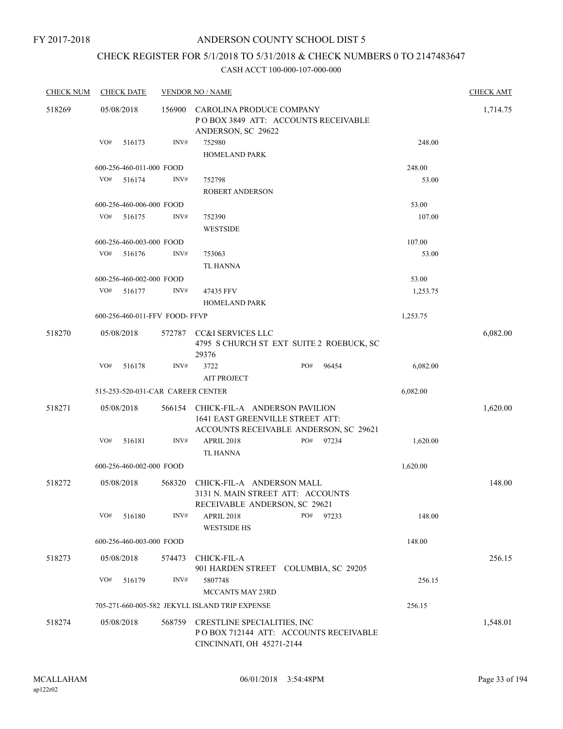FY 2017-2018

## ANDERSON COUNTY SCHOOL DIST 5

# CHECK REGISTER FOR 5/1/2018 TO 5/31/2018 & CHECK NUMBERS 0 TO 2147483647

| <b>CHECK NUM</b> | <b>CHECK DATE</b>                 |        | <b>VENDOR NO / NAME</b>                                                                         |                                          |          | <b>CHECK AMT</b> |
|------------------|-----------------------------------|--------|-------------------------------------------------------------------------------------------------|------------------------------------------|----------|------------------|
| 518269           | 05/08/2018                        | 156900 | CAROLINA PRODUCE COMPANY<br>ANDERSON, SC 29622                                                  | POBOX 3849 ATT: ACCOUNTS RECEIVABLE      |          | 1,714.75         |
|                  | VO#<br>516173                     | INV#   | 752980                                                                                          |                                          | 248.00   |                  |
|                  |                                   |        | HOMELAND PARK                                                                                   |                                          |          |                  |
|                  | 600-256-460-011-000 FOOD          |        |                                                                                                 |                                          | 248.00   |                  |
|                  | VO#<br>516174                     | INV#   | 752798                                                                                          |                                          | 53.00    |                  |
|                  |                                   |        | <b>ROBERT ANDERSON</b>                                                                          |                                          |          |                  |
|                  | 600-256-460-006-000 FOOD          |        |                                                                                                 |                                          | 53.00    |                  |
|                  | VO#<br>516175                     | INV#   | 752390                                                                                          |                                          | 107.00   |                  |
|                  |                                   |        | <b>WESTSIDE</b>                                                                                 |                                          |          |                  |
|                  | 600-256-460-003-000 FOOD          |        |                                                                                                 |                                          | 107.00   |                  |
|                  | VO#<br>516176                     | INV#   | 753063                                                                                          |                                          | 53.00    |                  |
|                  |                                   |        | <b>TL HANNA</b>                                                                                 |                                          |          |                  |
|                  | 600-256-460-002-000 FOOD          |        |                                                                                                 |                                          | 53.00    |                  |
|                  | VO#<br>516177                     | INV#   | 47435 FFV<br><b>HOMELAND PARK</b>                                                               |                                          | 1,253.75 |                  |
|                  | 600-256-460-011-FFV FOOD- FFVP    |        |                                                                                                 |                                          | 1,253.75 |                  |
| 518270           | 05/08/2018                        |        | 572787 CC&I SERVICES LLC<br>29376                                                               | 4795 S CHURCH ST EXT SUITE 2 ROEBUCK, SC |          | 6,082.00         |
|                  | VO#<br>516178                     | INV#   | 3722<br><b>AIT PROJECT</b>                                                                      | PO#<br>96454                             | 6,082.00 |                  |
|                  | 515-253-520-031-CAR CAREER CENTER |        |                                                                                                 |                                          | 6,082.00 |                  |
|                  |                                   |        |                                                                                                 |                                          |          |                  |
| 518271           | 05/08/2018                        | 566154 | CHICK-FIL-A ANDERSON PAVILION<br>1641 EAST GREENVILLE STREET ATT:                               | ACCOUNTS RECEIVABLE ANDERSON, SC 29621   |          | 1,620.00         |
|                  | VO#<br>516181                     | INV#   | <b>APRIL 2018</b><br><b>TL HANNA</b>                                                            | PO#<br>97234                             | 1,620.00 |                  |
|                  | 600-256-460-002-000 FOOD          |        |                                                                                                 |                                          | 1,620.00 |                  |
| 518272           | 05/08/2018                        | 568320 | CHICK-FIL-A ANDERSON MALL<br>3131 N. MAIN STREET ATT: ACCOUNTS<br>RECEIVABLE ANDERSON, SC 29621 |                                          |          | 148.00           |
|                  | VO#<br>516180                     | INV#   | APRIL 2018<br><b>WESTSIDE HS</b>                                                                | PO#<br>97233                             | 148.00   |                  |
|                  | 600-256-460-003-000 FOOD          |        |                                                                                                 |                                          | 148.00   |                  |
| 518273           | 05/08/2018                        | 574473 | CHICK-FIL-A                                                                                     | 901 HARDEN STREET COLUMBIA, SC 29205     |          | 256.15           |
|                  | VO#<br>516179                     | INV#   | 5807748                                                                                         |                                          | 256.15   |                  |
|                  |                                   |        | MCCANTS MAY 23RD                                                                                |                                          |          |                  |
|                  |                                   |        | 705-271-660-005-582 JEKYLL ISLAND TRIP EXPENSE                                                  |                                          | 256.15   |                  |
| 518274           | 05/08/2018                        | 568759 | CRESTLINE SPECIALITIES, INC<br>CINCINNATI, OH 45271-2144                                        | PO BOX 712144 ATT: ACCOUNTS RECEIVABLE   |          | 1,548.01         |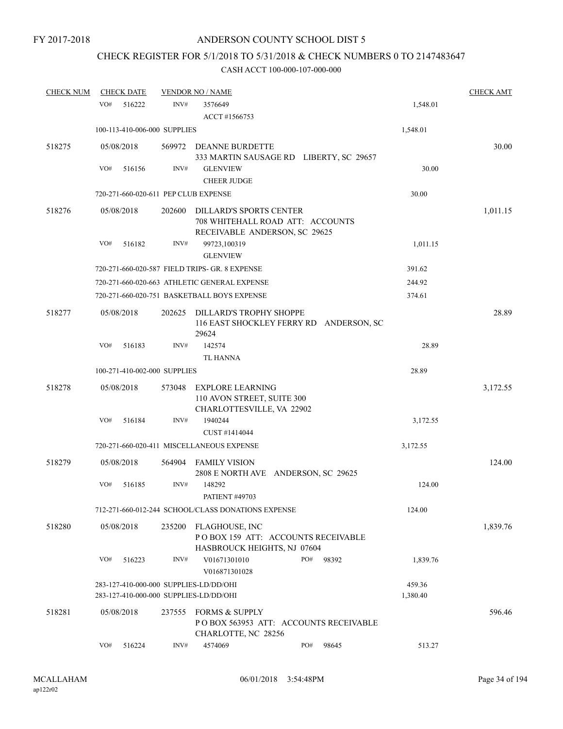# CHECK REGISTER FOR 5/1/2018 TO 5/31/2018 & CHECK NUMBERS 0 TO 2147483647

| <b>CHECK NUM</b> | <b>CHECK DATE</b> |                                                                                  | <b>VENDOR NO / NAME</b>                                                                             |     |       |                    | <b>CHECK AMT</b> |
|------------------|-------------------|----------------------------------------------------------------------------------|-----------------------------------------------------------------------------------------------------|-----|-------|--------------------|------------------|
|                  | VO#<br>516222     | INV#                                                                             | 3576649<br>ACCT #1566753                                                                            |     |       | 1,548.01           |                  |
|                  |                   | 100-113-410-006-000 SUPPLIES                                                     |                                                                                                     |     |       | 1,548.01           |                  |
| 518275           | 05/08/2018        | 569972                                                                           | DEANNE BURDETTE<br>333 MARTIN SAUSAGE RD LIBERTY, SC 29657                                          |     |       |                    | 30.00            |
|                  | VO#<br>516156     | INV#                                                                             | <b>GLENVIEW</b>                                                                                     |     |       | 30.00              |                  |
|                  |                   |                                                                                  | <b>CHEER JUDGE</b>                                                                                  |     |       |                    |                  |
|                  |                   | 720-271-660-020-611 PEP CLUB EXPENSE                                             |                                                                                                     |     |       | 30.00              |                  |
| 518276           | 05/08/2018        | 202600                                                                           | <b>DILLARD'S SPORTS CENTER</b><br>708 WHITEHALL ROAD ATT: ACCOUNTS<br>RECEIVABLE ANDERSON, SC 29625 |     |       |                    | 1,011.15         |
|                  | VO#<br>516182     | INV#                                                                             | 99723,100319<br><b>GLENVIEW</b>                                                                     |     |       | 1,011.15           |                  |
|                  |                   |                                                                                  | 720-271-660-020-587 FIELD TRIPS- GR. 8 EXPENSE                                                      |     |       | 391.62             |                  |
|                  |                   |                                                                                  | 720-271-660-020-663 ATHLETIC GENERAL EXPENSE                                                        |     |       | 244.92             |                  |
|                  |                   |                                                                                  | 720-271-660-020-751 BASKETBALL BOYS EXPENSE                                                         |     |       | 374.61             |                  |
| 518277           | 05/08/2018        | 202625                                                                           | DILLARD'S TROPHY SHOPPE<br>116 EAST SHOCKLEY FERRY RD ANDERSON, SC<br>29624                         |     |       |                    | 28.89            |
|                  | VO#<br>516183     | INV#                                                                             | 142574                                                                                              |     |       | 28.89              |                  |
|                  |                   |                                                                                  | <b>TL HANNA</b>                                                                                     |     |       |                    |                  |
|                  |                   | 100-271-410-002-000 SUPPLIES                                                     |                                                                                                     |     |       | 28.89              |                  |
| 518278           | 05/08/2018        | 573048                                                                           | <b>EXPLORE LEARNING</b><br>110 AVON STREET, SUITE 300<br>CHARLOTTESVILLE, VA 22902                  |     |       |                    | 3,172.55         |
|                  | VO#<br>516184     | INV#                                                                             | 1940244<br>CUST #1414044                                                                            |     |       | 3,172.55           |                  |
|                  |                   |                                                                                  | 720-271-660-020-411 MISCELLANEOUS EXPENSE                                                           |     |       | 3,172.55           |                  |
| 518279           | 05/08/2018        | 564904                                                                           | FAMILY VISION<br>2808 E NORTH AVE ANDERSON, SC 29625                                                |     |       |                    | 124.00           |
|                  | VO#<br>516185     | INV#                                                                             | 148292<br><b>PATIENT #49703</b>                                                                     |     |       | 124.00             |                  |
|                  |                   |                                                                                  | 712-271-660-012-244 SCHOOL/CLASS DONATIONS EXPENSE                                                  |     |       | 124.00             |                  |
| 518280           | 05/08/2018        | 235200                                                                           | FLAGHOUSE, INC<br>POBOX 159 ATT: ACCOUNTS RECEIVABLE<br>HASBROUCK HEIGHTS, NJ 07604                 |     |       |                    | 1,839.76         |
|                  | VO#<br>516223     | INV#                                                                             | V01671301010<br>V016871301028                                                                       | PO# | 98392 | 1,839.76           |                  |
|                  |                   | 283-127-410-000-000 SUPPLIES-LD/DD/OHI<br>283-127-410-000-000 SUPPLIES-LD/DD/OHI |                                                                                                     |     |       | 459.36<br>1,380.40 |                  |
| 518281           | 05/08/2018        | 237555                                                                           | <b>FORMS &amp; SUPPLY</b><br>PO BOX 563953 ATT: ACCOUNTS RECEIVABLE<br>CHARLOTTE, NC 28256          |     |       |                    | 596.46           |
|                  | VO#<br>516224     | INV#                                                                             | 4574069                                                                                             | PO# | 98645 | 513.27             |                  |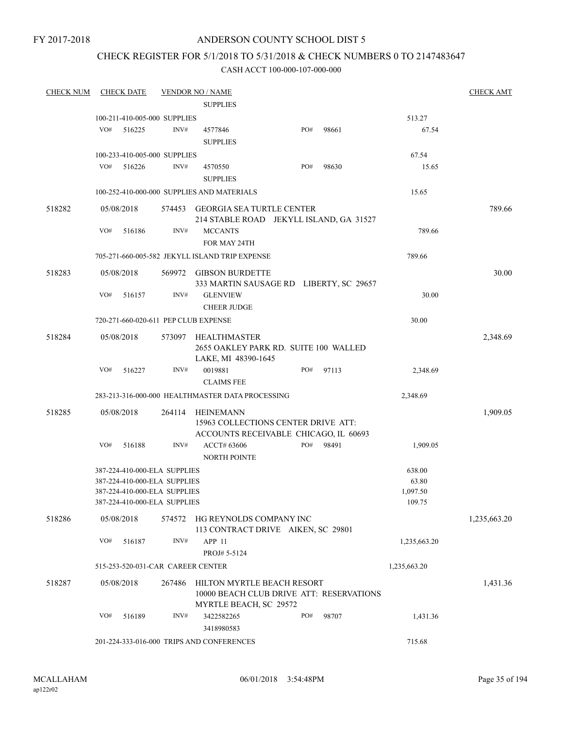### FY 2017-2018

## ANDERSON COUNTY SCHOOL DIST 5

## CHECK REGISTER FOR 5/1/2018 TO 5/31/2018 & CHECK NUMBERS 0 TO 2147483647

| <b>CHECK NUM</b> |     | <b>CHECK DATE</b> |                              | <b>VENDOR NO / NAME</b>                                                                   |     |       |              | <b>CHECK AMT</b> |
|------------------|-----|-------------------|------------------------------|-------------------------------------------------------------------------------------------|-----|-------|--------------|------------------|
|                  |     |                   |                              | <b>SUPPLIES</b>                                                                           |     |       |              |                  |
|                  |     |                   | 100-211-410-005-000 SUPPLIES |                                                                                           |     |       | 513.27       |                  |
|                  | VO# | 516225            | INV#                         | 4577846                                                                                   | PO# | 98661 | 67.54        |                  |
|                  |     |                   |                              | <b>SUPPLIES</b>                                                                           |     |       |              |                  |
|                  |     |                   | 100-233-410-005-000 SUPPLIES |                                                                                           |     |       | 67.54        |                  |
|                  | VO# | 516226            | INV#                         | 4570550                                                                                   | PO# | 98630 | 15.65        |                  |
|                  |     |                   |                              | <b>SUPPLIES</b>                                                                           |     |       |              |                  |
|                  |     |                   |                              | 100-252-410-000-000 SUPPLIES AND MATERIALS                                                |     |       | 15.65        |                  |
| 518282           |     | 05/08/2018        |                              | 574453 GEORGIA SEA TURTLE CENTER<br>214 STABLE ROAD JEKYLL ISLAND, GA 31527               |     |       |              | 789.66           |
|                  | VO# | 516186            | INV#                         | <b>MCCANTS</b><br>FOR MAY 24TH                                                            |     |       | 789.66       |                  |
|                  |     |                   |                              | 705-271-660-005-582 JEKYLL ISLAND TRIP EXPENSE                                            |     |       | 789.66       |                  |
| 518283           |     | 05/08/2018        |                              | 569972 GIBSON BURDETTE<br>333 MARTIN SAUSAGE RD LIBERTY, SC 29657                         |     |       |              | 30.00            |
|                  | VO# | 516157            | INV#                         | <b>GLENVIEW</b><br><b>CHEER JUDGE</b>                                                     |     |       | 30.00        |                  |
|                  |     |                   |                              | 720-271-660-020-611 PEP CLUB EXPENSE                                                      |     |       | 30.00        |                  |
|                  |     |                   |                              |                                                                                           |     |       |              |                  |
| 518284           |     | 05/08/2018        | 573097                       | HEALTHMASTER<br>2655 OAKLEY PARK RD. SUITE 100 WALLED<br>LAKE, MI 48390-1645              |     |       |              | 2,348.69         |
|                  | VO# | 516227            | INV#                         | 0019881<br><b>CLAIMS FEE</b>                                                              | PO# | 97113 | 2,348.69     |                  |
|                  |     |                   |                              | 283-213-316-000-000 HEALTHMASTER DATA PROCESSING                                          |     |       | 2,348.69     |                  |
|                  |     |                   |                              |                                                                                           |     |       |              |                  |
| 518285           |     | 05/08/2018        | 264114                       | HEINEMANN<br>15963 COLLECTIONS CENTER DRIVE ATT:<br>ACCOUNTS RECEIVABLE CHICAGO, IL 60693 |     |       |              | 1,909.05         |
|                  | VO# | 516188            | INV#                         | ACCT# 63606<br><b>NORTH POINTE</b>                                                        | PO# | 98491 | 1,909.05     |                  |
|                  |     |                   | 387-224-410-000-ELA SUPPLIES |                                                                                           |     |       | 638.00       |                  |
|                  |     |                   | 387-224-410-000-ELA SUPPLIES |                                                                                           |     |       | 63.80        |                  |
|                  |     |                   | 387-224-410-000-ELA SUPPLIES |                                                                                           |     |       | 1,097.50     |                  |
|                  |     |                   | 387-224-410-000-ELA SUPPLIES |                                                                                           |     |       | 109.75       |                  |
| 518286           |     | 05/08/2018        | 574572                       | HG REYNOLDS COMPANY INC<br>113 CONTRACT DRIVE AIKEN, SC 29801                             |     |       |              | 1,235,663.20     |
|                  | VO# | 516187            | INV#                         | APP <sub>11</sub><br>PROJ# 5-5124                                                         |     |       | 1,235,663.20 |                  |
|                  |     |                   |                              | 515-253-520-031-CAR CAREER CENTER                                                         |     |       | 1,235,663.20 |                  |
| 518287           |     | 05/08/2018        | 267486                       | HILTON MYRTLE BEACH RESORT<br>10000 BEACH CLUB DRIVE ATT: RESERVATIONS                    |     |       |              | 1,431.36         |
|                  |     |                   |                              | MYRTLE BEACH, SC 29572                                                                    |     |       |              |                  |
|                  | VO# | 516189            | INV#                         | 3422582265<br>3418980583                                                                  | PO# | 98707 | 1,431.36     |                  |
|                  |     |                   |                              | 201-224-333-016-000 TRIPS AND CONFERENCES                                                 |     |       | 715.68       |                  |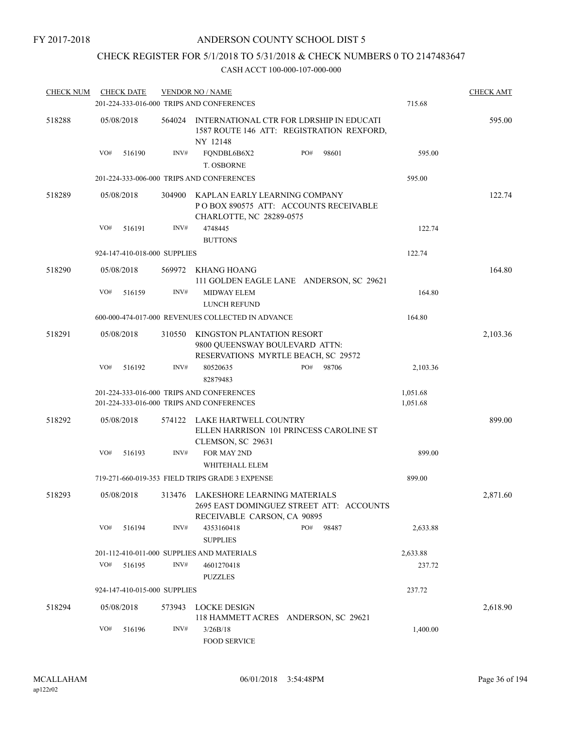## CHECK REGISTER FOR 5/1/2018 TO 5/31/2018 & CHECK NUMBERS 0 TO 2147483647

| <b>CHECK NUM</b> |     | <b>CHECK DATE</b>            |        | <b>VENDOR NO / NAME</b>                                                                                        |     |       |          | <b>CHECK AMT</b> |
|------------------|-----|------------------------------|--------|----------------------------------------------------------------------------------------------------------------|-----|-------|----------|------------------|
|                  |     |                              |        | 201-224-333-016-000 TRIPS AND CONFERENCES                                                                      |     |       | 715.68   |                  |
| 518288           |     | 05/08/2018                   | 564024 | INTERNATIONAL CTR FOR LDRSHIP IN EDUCATI<br>1587 ROUTE 146 ATT: REGISTRATION REXFORD,<br>NY 12148              |     |       |          | 595.00           |
|                  | VO# | 516190                       | INV#   | FQNDBL6B6X2<br>T. OSBORNE                                                                                      | PO# | 98601 | 595.00   |                  |
|                  |     |                              |        | 201-224-333-006-000 TRIPS AND CONFERENCES                                                                      |     |       | 595.00   |                  |
| 518289           |     | 05/08/2018                   | 304900 | KAPLAN EARLY LEARNING COMPANY<br>PO BOX 890575 ATT: ACCOUNTS RECEIVABLE<br>CHARLOTTE, NC 28289-0575            |     |       |          | 122.74           |
|                  | VO# | 516191                       | INV#   | 4748445<br><b>BUTTONS</b>                                                                                      |     |       | 122.74   |                  |
|                  |     | 924-147-410-018-000 SUPPLIES |        |                                                                                                                |     |       | 122.74   |                  |
| 518290           |     | 05/08/2018                   |        | 569972 KHANG HOANG<br>111 GOLDEN EAGLE LANE ANDERSON, SC 29621                                                 |     |       |          | 164.80           |
|                  | VO# | 516159                       | INV#   | MIDWAY ELEM<br>LUNCH REFUND                                                                                    |     |       | 164.80   |                  |
|                  |     |                              |        | 600-000-474-017-000 REVENUES COLLECTED IN ADVANCE                                                              |     |       | 164.80   |                  |
| 518291           |     | 05/08/2018                   | 310550 | KINGSTON PLANTATION RESORT<br>9800 QUEENSWAY BOULEVARD ATTN:<br>RESERVATIONS MYRTLE BEACH, SC 29572            |     |       |          | 2,103.36         |
|                  | VO# | 516192                       | INV#   | 80520635<br>82879483                                                                                           | PO# | 98706 | 2,103.36 |                  |
|                  |     |                              |        | 201-224-333-016-000 TRIPS AND CONFERENCES                                                                      |     |       | 1,051.68 |                  |
|                  |     |                              |        | 201-224-333-016-000 TRIPS AND CONFERENCES                                                                      |     |       | 1,051.68 |                  |
| 518292           |     | 05/08/2018                   | 574122 | LAKE HARTWELL COUNTRY<br>ELLEN HARRISON 101 PRINCESS CAROLINE ST<br>CLEMSON, SC 29631                          |     |       |          | 899.00           |
|                  | VO# | 516193                       | INV#   | FOR MAY 2ND<br>WHITEHALL ELEM                                                                                  |     |       | 899.00   |                  |
|                  |     |                              |        | 719-271-660-019-353 FIELD TRIPS GRADE 3 EXPENSE                                                                |     |       | 899.00   |                  |
| 518293           |     | 05/08/2018                   |        | 313476 LAKESHORE LEARNING MATERIALS<br>2695 EAST DOMINGUEZ STREET ATT: ACCOUNTS<br>RECEIVABLE CARSON, CA 90895 |     |       |          | 2,871.60         |
|                  | VO# | 516194                       | INV#   | 4353160418<br><b>SUPPLIES</b>                                                                                  | PO# | 98487 | 2,633.88 |                  |
|                  |     |                              |        | 201-112-410-011-000 SUPPLIES AND MATERIALS                                                                     |     |       | 2,633.88 |                  |
|                  | VO# | 516195                       | INV#   | 4601270418                                                                                                     |     |       | 237.72   |                  |
|                  |     |                              |        | <b>PUZZLES</b>                                                                                                 |     |       |          |                  |
|                  |     | 924-147-410-015-000 SUPPLIES |        |                                                                                                                |     |       | 237.72   |                  |
| 518294           |     | 05/08/2018                   | 573943 | LOCKE DESIGN<br>118 HAMMETT ACRES ANDERSON, SC 29621                                                           |     |       |          | 2,618.90         |
|                  | VO# | 516196                       | INV#   | 3/26B/18<br>FOOD SERVICE                                                                                       |     |       | 1,400.00 |                  |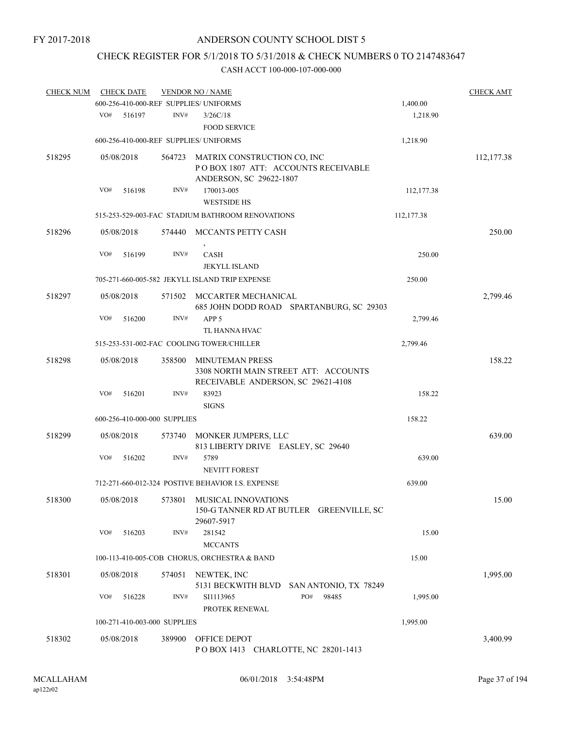# CHECK REGISTER FOR 5/1/2018 TO 5/31/2018 & CHECK NUMBERS 0 TO 2147483647

| <b>CHECK NUM</b> | <b>CHECK DATE</b> |                                        | <b>VENDOR NO / NAME</b>                                                                              |            | <b>CHECK AMT</b> |
|------------------|-------------------|----------------------------------------|------------------------------------------------------------------------------------------------------|------------|------------------|
|                  |                   | 600-256-410-000-REF SUPPLIES/ UNIFORMS |                                                                                                      | 1,400.00   |                  |
|                  | VO#<br>516197     | INV#                                   | 3/26C/18<br><b>FOOD SERVICE</b>                                                                      | 1,218.90   |                  |
|                  |                   | 600-256-410-000-REF SUPPLIES/ UNIFORMS |                                                                                                      | 1,218.90   |                  |
| 518295           | 05/08/2018        | 564723                                 | MATRIX CONSTRUCTION CO, INC<br>POBOX 1807 ATT: ACCOUNTS RECEIVABLE<br>ANDERSON, SC 29622-1807        |            | 112,177.38       |
|                  | VO#               | INV#<br>516198                         | 170013-005<br><b>WESTSIDE HS</b>                                                                     | 112,177.38 |                  |
|                  |                   |                                        | 515-253-529-003-FAC STADIUM BATHROOM RENOVATIONS                                                     | 112,177.38 |                  |
| 518296           | 05/08/2018        |                                        | 574440 MCCANTS PETTY CASH                                                                            |            | 250.00           |
|                  | VO#               | 516199<br>INV#                         | CASH<br><b>JEKYLL ISLAND</b>                                                                         | 250.00     |                  |
|                  |                   |                                        | 705-271-660-005-582 JEKYLL ISLAND TRIP EXPENSE                                                       | 250.00     |                  |
| 518297           | 05/08/2018        |                                        | 571502 MCCARTER MECHANICAL<br>685 JOHN DODD ROAD SPARTANBURG, SC 29303                               |            | 2,799.46         |
|                  | VO#               | INV#<br>516200                         | APP <sub>5</sub><br>TL HANNA HVAC                                                                    | 2,799.46   |                  |
|                  |                   |                                        | 515-253-531-002-FAC COOLING TOWER/CHILLER                                                            | 2,799.46   |                  |
| 518298           | 05/08/2018        | 358500                                 | <b>MINUTEMAN PRESS</b><br>3308 NORTH MAIN STREET ATT: ACCOUNTS<br>RECEIVABLE ANDERSON, SC 29621-4108 |            | 158.22           |
|                  | VO#               | INV#<br>516201                         | 83923<br><b>SIGNS</b>                                                                                | 158.22     |                  |
|                  |                   | 600-256-410-000-000 SUPPLIES           |                                                                                                      | 158.22     |                  |
| 518299           | 05/08/2018        | 573740                                 | MONKER JUMPERS, LLC<br>813 LIBERTY DRIVE EASLEY, SC 29640                                            |            | 639.00           |
|                  | VO#               | INV#<br>516202                         | 5789<br><b>NEVITT FOREST</b>                                                                         | 639.00     |                  |
|                  |                   |                                        | 712-271-660-012-324 POSTIVE BEHAVIOR I.S. EXPENSE                                                    | 639.00     |                  |
| 518300           | 05/08/2018        |                                        | 573801 MUSICAL INNOVATIONS<br>150-G TANNER RD AT BUTLER GREENVILLE, SC<br>29607-5917                 |            | 15.00            |
|                  | VO#               | INV#<br>516203                         | 281542<br><b>MCCANTS</b>                                                                             | 15.00      |                  |
|                  |                   |                                        | 100-113-410-005-COB CHORUS, ORCHESTRA & BAND                                                         | 15.00      |                  |
| 518301           | 05/08/2018        | 574051                                 | NEWTEK, INC                                                                                          |            | 1,995.00         |
|                  | VO#               | INV#<br>516228                         | 5131 BECKWITH BLVD SAN ANTONIO, TX 78249<br>PO#<br>98485<br>SI1113965<br>PROTEK RENEWAL              | 1,995.00   |                  |
|                  |                   | 100-271-410-003-000 SUPPLIES           |                                                                                                      | 1,995.00   |                  |
| 518302           | 05/08/2018        | 389900                                 | OFFICE DEPOT<br>POBOX 1413 CHARLOTTE, NC 28201-1413                                                  |            | 3,400.99         |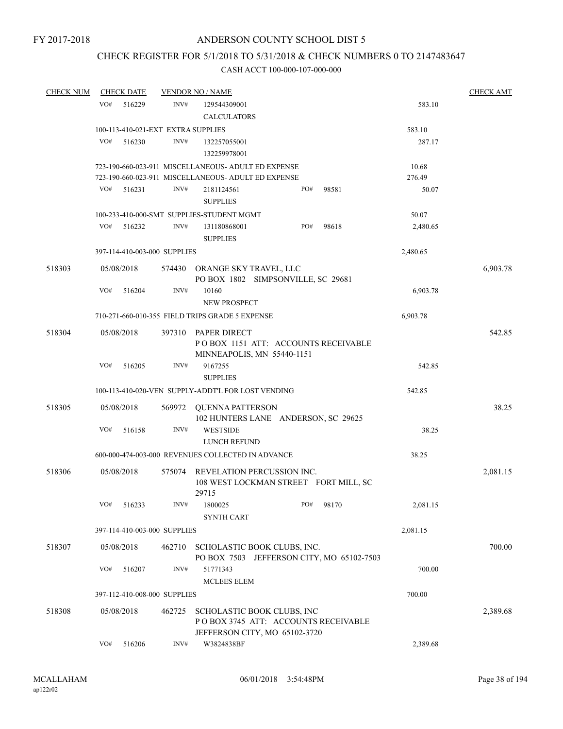# CHECK REGISTER FOR 5/1/2018 TO 5/31/2018 & CHECK NUMBERS 0 TO 2147483647

| <b>CHECK NUM</b> | <b>CHECK DATE</b> |        |                                    | <b>VENDOR NO / NAME</b>                                                                            |     |       |          | <b>CHECK AMT</b> |
|------------------|-------------------|--------|------------------------------------|----------------------------------------------------------------------------------------------------|-----|-------|----------|------------------|
|                  | VO#               | 516229 | INV#                               | 129544309001                                                                                       |     |       | 583.10   |                  |
|                  |                   |        |                                    | <b>CALCULATORS</b>                                                                                 |     |       |          |                  |
|                  |                   |        | 100-113-410-021-EXT EXTRA SUPPLIES |                                                                                                    |     |       | 583.10   |                  |
|                  | VO#               | 516230 | INV#                               | 132257055001                                                                                       |     |       | 287.17   |                  |
|                  |                   |        |                                    | 132259978001                                                                                       |     |       |          |                  |
|                  |                   |        |                                    | 723-190-660-023-911 MISCELLANEOUS- ADULT ED EXPENSE                                                |     |       | 10.68    |                  |
|                  |                   |        |                                    | 723-190-660-023-911 MISCELLANEOUS- ADULT ED EXPENSE                                                |     |       | 276.49   |                  |
|                  | VO#               | 516231 | INV#                               | 2181124561<br><b>SUPPLIES</b>                                                                      | PO# | 98581 | 50.07    |                  |
|                  |                   |        |                                    | 100-233-410-000-SMT SUPPLIES-STUDENT MGMT                                                          |     |       | 50.07    |                  |
|                  | VO#               | 516232 | INV#                               | 131180868001<br><b>SUPPLIES</b>                                                                    | PO# | 98618 | 2,480.65 |                  |
|                  |                   |        | 397-114-410-003-000 SUPPLIES       |                                                                                                    |     |       | 2,480.65 |                  |
| 518303           | 05/08/2018        |        |                                    | 574430 ORANGE SKY TRAVEL, LLC                                                                      |     |       |          | 6,903.78         |
|                  |                   |        |                                    | PO BOX 1802 SIMPSONVILLE, SC 29681                                                                 |     |       |          |                  |
|                  | VO#               | 516204 | INV#                               | 10160<br>NEW PROSPECT                                                                              |     |       | 6,903.78 |                  |
|                  |                   |        |                                    | 710-271-660-010-355 FIELD TRIPS GRADE 5 EXPENSE                                                    |     |       | 6,903.78 |                  |
|                  |                   |        |                                    |                                                                                                    |     |       |          |                  |
| 518304           | 05/08/2018        |        |                                    | 397310 PAPER DIRECT<br>POBOX 1151 ATT: ACCOUNTS RECEIVABLE<br>MINNEAPOLIS, MN 55440-1151           |     |       |          | 542.85           |
|                  | VO#               | 516205 | INV#                               | 9167255<br><b>SUPPLIES</b>                                                                         |     |       | 542.85   |                  |
|                  |                   |        |                                    | 100-113-410-020-VEN SUPPLY-ADDT'L FOR LOST VENDING                                                 |     |       | 542.85   |                  |
| 518305           | 05/08/2018        |        |                                    | 569972 QUENNA PATTERSON                                                                            |     |       |          | 38.25            |
|                  |                   |        |                                    | 102 HUNTERS LANE ANDERSON, SC 29625                                                                |     |       |          |                  |
|                  | VO#               | 516158 | INV#                               | <b>WESTSIDE</b>                                                                                    |     |       | 38.25    |                  |
|                  |                   |        |                                    | LUNCH REFUND                                                                                       |     |       |          |                  |
|                  |                   |        |                                    | 600-000-474-003-000 REVENUES COLLECTED IN ADVANCE                                                  |     |       | 38.25    |                  |
| 518306           | 05/08/2018        |        |                                    | 575074 REVELATION PERCUSSION INC.<br>108 WEST LOCKMAN STREET FORT MILL, SC<br>29715                |     |       |          | 2,081.15         |
|                  | VO#               | 516233 | INV#                               | 1800025<br><b>SYNTH CART</b>                                                                       | PO# | 98170 | 2,081.15 |                  |
|                  |                   |        | 397-114-410-003-000 SUPPLIES       |                                                                                                    |     |       | 2,081.15 |                  |
| 518307           | 05/08/2018        |        | 462710                             | SCHOLASTIC BOOK CLUBS, INC.                                                                        |     |       |          | 700.00           |
|                  | VO#               |        | INV#                               | PO BOX 7503 JEFFERSON CITY, MO 65102-7503                                                          |     |       |          |                  |
|                  |                   | 516207 |                                    | 51771343<br><b>MCLEES ELEM</b>                                                                     |     |       | 700.00   |                  |
|                  |                   |        | 397-112-410-008-000 SUPPLIES       |                                                                                                    |     |       | 700.00   |                  |
|                  |                   |        |                                    |                                                                                                    |     |       |          |                  |
| 518308           | 05/08/2018        |        | 462725                             | SCHOLASTIC BOOK CLUBS, INC<br>POBOX 3745 ATT: ACCOUNTS RECEIVABLE<br>JEFFERSON CITY, MO 65102-3720 |     |       |          | 2,389.68         |
|                  | VO#               | 516206 | INV#                               | W3824838BF                                                                                         |     |       | 2,389.68 |                  |
|                  |                   |        |                                    |                                                                                                    |     |       |          |                  |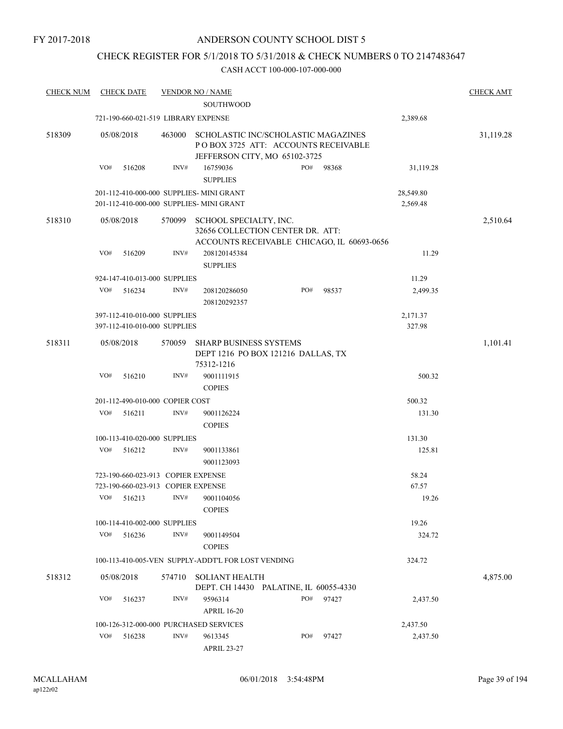# CHECK REGISTER FOR 5/1/2018 TO 5/31/2018 & CHECK NUMBERS 0 TO 2147483647

| <b>CHECK NUM</b> | <b>CHECK DATE</b> |                                        | <b>VENDOR NO / NAME</b>                                                                                     |     |       |                       | <b>CHECK AMT</b> |
|------------------|-------------------|----------------------------------------|-------------------------------------------------------------------------------------------------------------|-----|-------|-----------------------|------------------|
|                  |                   |                                        | <b>SOUTHWOOD</b>                                                                                            |     |       |                       |                  |
|                  |                   | 721-190-660-021-519 LIBRARY EXPENSE    |                                                                                                             |     |       | 2,389.68              |                  |
| 518309           | 05/08/2018        | 463000                                 | SCHOLASTIC INC/SCHOLASTIC MAGAZINES<br>POBOX 3725 ATT: ACCOUNTS RECEIVABLE<br>JEFFERSON CITY, MO 65102-3725 |     |       |                       | 31,119.28        |
|                  | VO#<br>516208     | INV#                                   | 16759036<br><b>SUPPLIES</b>                                                                                 | PO# | 98368 | 31,119.28             |                  |
|                  |                   |                                        | 201-112-410-000-000 SUPPLIES- MINI GRANT<br>201-112-410-000-000 SUPPLIES- MINI GRANT                        |     |       | 28,549.80<br>2,569.48 |                  |
| 518310           | 05/08/2018        | 570099                                 | SCHOOL SPECIALTY, INC.<br>32656 COLLECTION CENTER DR. ATT:<br>ACCOUNTS RECEIVABLE CHICAGO, IL 60693-0656    |     |       |                       | 2,510.64         |
|                  | VO#<br>516209     | INV#                                   | 208120145384<br><b>SUPPLIES</b>                                                                             |     |       | 11.29                 |                  |
|                  |                   | 924-147-410-013-000 SUPPLIES           |                                                                                                             |     |       | 11.29                 |                  |
|                  | VO#<br>516234     | INV#                                   | 208120286050<br>208120292357                                                                                | PO# | 98537 | 2,499.35              |                  |
|                  |                   | 397-112-410-010-000 SUPPLIES           |                                                                                                             |     |       | 2,171.37              |                  |
|                  |                   | 397-112-410-010-000 SUPPLIES           |                                                                                                             |     |       | 327.98                |                  |
| 518311           | 05/08/2018        | 570059                                 | <b>SHARP BUSINESS SYSTEMS</b><br>DEPT 1216 PO BOX 121216 DALLAS, TX<br>75312-1216                           |     |       |                       | 1,101.41         |
|                  | VO#<br>516210     | INV#                                   | 9001111915<br><b>COPIES</b>                                                                                 |     |       | 500.32                |                  |
|                  |                   | 201-112-490-010-000 COPIER COST        |                                                                                                             |     |       | 500.32                |                  |
|                  | VO#<br>516211     | INV#                                   | 9001126224<br><b>COPIES</b>                                                                                 |     |       | 131.30                |                  |
|                  |                   | 100-113-410-020-000 SUPPLIES           |                                                                                                             |     |       | 131.30                |                  |
|                  | VO#<br>516212     | INV#                                   | 9001133861<br>9001123093                                                                                    |     |       | 125.81                |                  |
|                  |                   | 723-190-660-023-913 COPIER EXPENSE     |                                                                                                             |     |       | 58.24                 |                  |
|                  |                   | 723-190-660-023-913 COPIER EXPENSE     |                                                                                                             |     |       | 67.57                 |                  |
|                  | VO#<br>516213     | INV#                                   | 9001104056<br><b>COPIES</b>                                                                                 |     |       | 19.26                 |                  |
|                  |                   | 100-114-410-002-000 SUPPLIES           |                                                                                                             |     |       | 19.26                 |                  |
|                  | VO#<br>516236     | INV#                                   | 9001149504<br><b>COPIES</b>                                                                                 |     |       | 324.72                |                  |
|                  |                   |                                        | 100-113-410-005-VEN SUPPLY-ADDT'L FOR LOST VENDING                                                          |     |       | 324.72                |                  |
| 518312           | 05/08/2018        | 574710                                 | <b>SOLIANT HEALTH</b><br>DEPT. CH 14430 PALATINE, IL 60055-4330                                             |     |       |                       | 4,875.00         |
|                  | VO#<br>516237     | INV#                                   | 9596314<br><b>APRIL 16-20</b>                                                                               | PO# | 97427 | 2,437.50              |                  |
|                  |                   | 100-126-312-000-000 PURCHASED SERVICES |                                                                                                             |     |       | 2,437.50              |                  |
|                  | VO#<br>516238     | INV#                                   | 9613345<br><b>APRIL 23-27</b>                                                                               | PO# | 97427 | 2,437.50              |                  |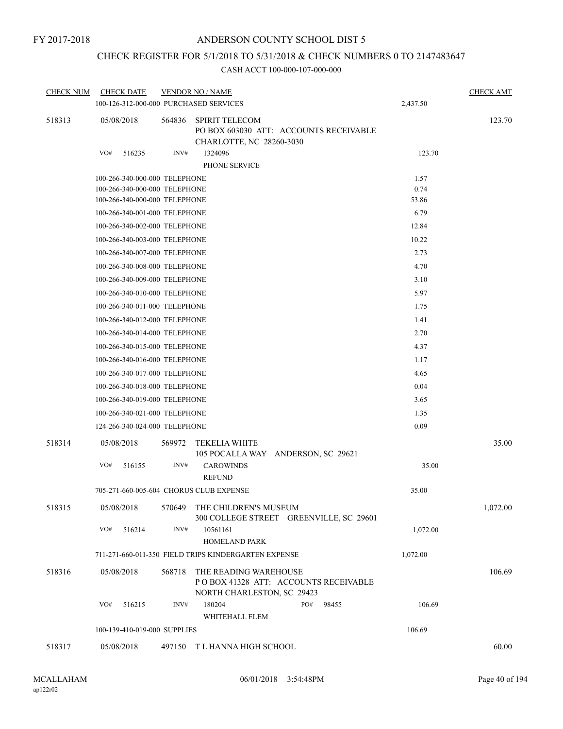# CHECK REGISTER FOR 5/1/2018 TO 5/31/2018 & CHECK NUMBERS 0 TO 2147483647

| <b>CHECK NUM</b> | <b>CHECK DATE</b>                       |        | <b>VENDOR NO / NAME</b>                                                                     |          | <b>CHECK AMT</b> |
|------------------|-----------------------------------------|--------|---------------------------------------------------------------------------------------------|----------|------------------|
|                  | 100-126-312-000-000 PURCHASED SERVICES  |        |                                                                                             | 2,437.50 |                  |
| 518313           | 05/08/2018                              | 564836 | <b>SPIRIT TELECOM</b><br>PO BOX 603030 ATT: ACCOUNTS RECEIVABLE<br>CHARLOTTE, NC 28260-3030 |          | 123.70           |
|                  | VO#<br>516235                           | INV#   | 1324096<br>PHONE SERVICE                                                                    | 123.70   |                  |
|                  | 100-266-340-000-000 TELEPHONE           |        |                                                                                             | 1.57     |                  |
|                  | 100-266-340-000-000 TELEPHONE           |        |                                                                                             | 0.74     |                  |
|                  | 100-266-340-000-000 TELEPHONE           |        |                                                                                             | 53.86    |                  |
|                  | 100-266-340-001-000 TELEPHONE           |        |                                                                                             | 6.79     |                  |
|                  | 100-266-340-002-000 TELEPHONE           |        |                                                                                             | 12.84    |                  |
|                  | 100-266-340-003-000 TELEPHONE           |        |                                                                                             | 10.22    |                  |
|                  | 100-266-340-007-000 TELEPHONE           |        |                                                                                             | 2.73     |                  |
|                  | 100-266-340-008-000 TELEPHONE           |        |                                                                                             | 4.70     |                  |
|                  | 100-266-340-009-000 TELEPHONE           |        |                                                                                             | 3.10     |                  |
|                  | 100-266-340-010-000 TELEPHONE           |        |                                                                                             | 5.97     |                  |
|                  | 100-266-340-011-000 TELEPHONE           |        |                                                                                             | 1.75     |                  |
|                  | 100-266-340-012-000 TELEPHONE           |        |                                                                                             | 1.41     |                  |
|                  | 100-266-340-014-000 TELEPHONE           |        | 2.70                                                                                        |          |                  |
|                  | 100-266-340-015-000 TELEPHONE           |        |                                                                                             | 4.37     |                  |
|                  | 100-266-340-016-000 TELEPHONE           |        |                                                                                             | 1.17     |                  |
|                  | 100-266-340-017-000 TELEPHONE           |        |                                                                                             | 4.65     |                  |
|                  | 100-266-340-018-000 TELEPHONE           |        |                                                                                             | 0.04     |                  |
|                  | 100-266-340-019-000 TELEPHONE           |        |                                                                                             | 3.65     |                  |
|                  | 100-266-340-021-000 TELEPHONE           |        |                                                                                             | 1.35     |                  |
|                  | 124-266-340-024-000 TELEPHONE           |        |                                                                                             | 0.09     |                  |
| 518314           | 05/08/2018                              | 569972 | <b>TEKELIA WHITE</b><br>105 POCALLA WAY ANDERSON, SC 29621                                  |          | 35.00            |
|                  | VO#<br>516155                           | INV#   | <b>CAROWINDS</b><br><b>REFUND</b>                                                           | 35.00    |                  |
|                  | 705-271-660-005-604 CHORUS CLUB EXPENSE |        |                                                                                             | 35.00    |                  |
| 518315           | 05/08/2018                              | 570649 | THE CHILDREN'S MUSEUM<br>300 COLLEGE STREET GREENVILLE, SC 29601                            |          | 1,072.00         |
|                  | VO#<br>516214                           | INV#   | 10561161<br><b>HOMELAND PARK</b>                                                            | 1,072.00 |                  |
|                  |                                         |        | 711-271-660-011-350 FIELD TRIPS KINDERGARTEN EXPENSE                                        | 1,072.00 |                  |
| 518316           | 05/08/2018                              | 568718 | THE READING WAREHOUSE<br>POBOX 41328 ATT: ACCOUNTS RECEIVABLE<br>NORTH CHARLESTON, SC 29423 |          | 106.69           |
|                  | VO#<br>516215                           | INV#   | 180204<br>PO#<br>98455                                                                      | 106.69   |                  |
|                  | 100-139-410-019-000 SUPPLIES            |        | WHITEHALL ELEM                                                                              | 106.69   |                  |
|                  |                                         |        |                                                                                             |          |                  |
| 518317           | 05/08/2018                              | 497150 | T L HANNA HIGH SCHOOL                                                                       |          | 60.00            |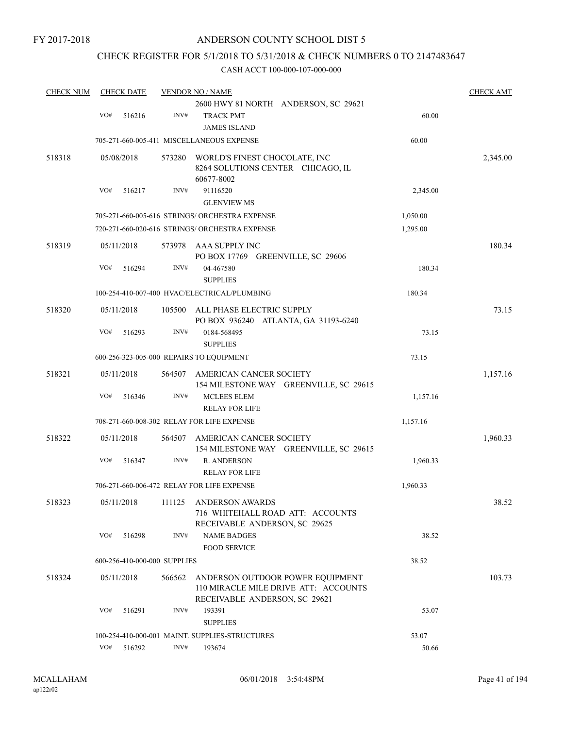# CHECK REGISTER FOR 5/1/2018 TO 5/31/2018 & CHECK NUMBERS 0 TO 2147483647

| <b>CHECK NUM</b> |     | <b>CHECK DATE</b> |                              | <b>VENDOR NO / NAME</b>                                           |          | <b>CHECK AMT</b> |
|------------------|-----|-------------------|------------------------------|-------------------------------------------------------------------|----------|------------------|
|                  |     |                   |                              | 2600 HWY 81 NORTH ANDERSON, SC 29621                              |          |                  |
|                  | VO# | 516216            | INV#                         | <b>TRACK PMT</b>                                                  | 60.00    |                  |
|                  |     |                   |                              | <b>JAMES ISLAND</b>                                               |          |                  |
|                  |     |                   |                              | 705-271-660-005-411 MISCELLANEOUS EXPENSE                         | 60.00    |                  |
| 518318           |     | 05/08/2018        | 573280                       | WORLD'S FINEST CHOCOLATE, INC                                     |          | 2,345.00         |
|                  |     |                   |                              | 8264 SOLUTIONS CENTER CHICAGO, IL                                 |          |                  |
|                  |     |                   |                              | 60677-8002                                                        |          |                  |
|                  | VO# | 516217            | INV#                         | 91116520                                                          | 2,345.00 |                  |
|                  |     |                   |                              | <b>GLENVIEW MS</b>                                                |          |                  |
|                  |     |                   |                              | 705-271-660-005-616 STRINGS/ ORCHESTRA EXPENSE                    | 1,050.00 |                  |
|                  |     |                   |                              | 720-271-660-020-616 STRINGS/ ORCHESTRA EXPENSE                    | 1,295.00 |                  |
| 518319           |     | 05/11/2018        |                              | 573978 AAA SUPPLY INC                                             |          | 180.34           |
|                  |     |                   |                              | PO BOX 17769 GREENVILLE, SC 29606                                 |          |                  |
|                  | VO# | 516294            | INV#                         | 04-467580                                                         | 180.34   |                  |
|                  |     |                   |                              | <b>SUPPLIES</b>                                                   |          |                  |
|                  |     |                   |                              | 100-254-410-007-400 HVAC/ELECTRICAL/PLUMBING                      | 180.34   |                  |
| 518320           |     | 05/11/2018        | 105500                       | ALL PHASE ELECTRIC SUPPLY                                         |          | 73.15            |
|                  |     |                   |                              | PO BOX 936240 ATLANTA, GA 31193-6240                              |          |                  |
|                  | VO# | 516293            | INV#                         | 0184-568495                                                       | 73.15    |                  |
|                  |     |                   |                              | <b>SUPPLIES</b>                                                   |          |                  |
|                  |     |                   |                              | 600-256-323-005-000 REPAIRS TO EQUIPMENT                          | 73.15    |                  |
|                  |     |                   |                              |                                                                   |          |                  |
| 518321           |     | 05/11/2018        | 564507                       | AMERICAN CANCER SOCIETY<br>154 MILESTONE WAY GREENVILLE, SC 29615 |          | 1,157.16         |
|                  | VO# | 516346            | INV#                         | <b>MCLEES ELEM</b>                                                | 1,157.16 |                  |
|                  |     |                   |                              | <b>RELAY FOR LIFE</b>                                             |          |                  |
|                  |     |                   |                              |                                                                   |          |                  |
|                  |     |                   |                              | 708-271-660-008-302 RELAY FOR LIFE EXPENSE                        | 1,157.16 |                  |
| 518322           |     | 05/11/2018        | 564507                       | AMERICAN CANCER SOCIETY                                           |          | 1,960.33         |
|                  |     |                   |                              | 154 MILESTONE WAY GREENVILLE, SC 29615                            |          |                  |
|                  | VO# | 516347            | INV#                         | <b>R. ANDERSON</b>                                                | 1,960.33 |                  |
|                  |     |                   |                              | <b>RELAY FOR LIFE</b>                                             |          |                  |
|                  |     |                   |                              | 706-271-660-006-472 RELAY FOR LIFE EXPENSE                        | 1,960.33 |                  |
| 518323           |     |                   |                              | 05/11/2018 111125 ANDERSON AWARDS                                 |          | 38.52            |
|                  |     |                   |                              | 716 WHITEHALL ROAD ATT: ACCOUNTS                                  |          |                  |
|                  |     |                   |                              | RECEIVABLE ANDERSON, SC 29625                                     |          |                  |
|                  | VO# | 516298            | INV#                         | <b>NAME BADGES</b>                                                | 38.52    |                  |
|                  |     |                   |                              | <b>FOOD SERVICE</b>                                               |          |                  |
|                  |     |                   | 600-256-410-000-000 SUPPLIES |                                                                   | 38.52    |                  |
| 518324           |     | 05/11/2018        | 566562                       | ANDERSON OUTDOOR POWER EQUIPMENT                                  |          | 103.73           |
|                  |     |                   |                              | 110 MIRACLE MILE DRIVE ATT: ACCOUNTS                              |          |                  |
|                  |     |                   |                              | RECEIVABLE ANDERSON, SC 29621                                     |          |                  |
|                  | VO# | 516291            | INV#                         | 193391                                                            | 53.07    |                  |
|                  |     |                   |                              | <b>SUPPLIES</b>                                                   |          |                  |
|                  |     |                   |                              | 100-254-410-000-001 MAINT. SUPPLIES-STRUCTURES                    | 53.07    |                  |
|                  | VO# | 516292            | INV#                         | 193674                                                            | 50.66    |                  |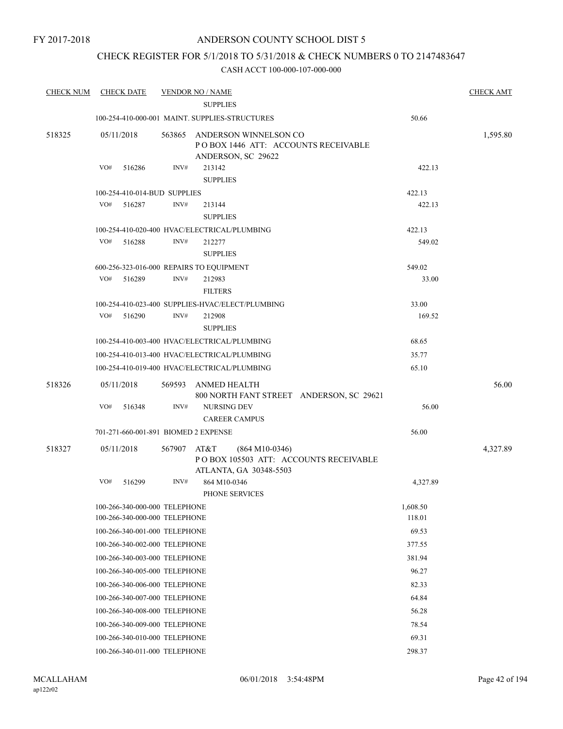# CHECK REGISTER FOR 5/1/2018 TO 5/31/2018 & CHECK NUMBERS 0 TO 2147483647

| <b>CHECK NUM</b> | <b>CHECK DATE</b>                        |        | <b>VENDOR NO / NAME</b>                            |                                          |          | <b>CHECK AMT</b> |
|------------------|------------------------------------------|--------|----------------------------------------------------|------------------------------------------|----------|------------------|
|                  |                                          |        | <b>SUPPLIES</b>                                    |                                          |          |                  |
|                  |                                          |        | 100-254-410-000-001 MAINT, SUPPLIES-STRUCTURES     |                                          | 50.66    |                  |
| 518325           | 05/11/2018                               | 563865 | ANDERSON WINNELSON CO<br>ANDERSON, SC 29622        | POBOX 1446 ATT: ACCOUNTS RECEIVABLE      |          | 1,595.80         |
|                  | VO#<br>516286                            | INV#   | 213142<br><b>SUPPLIES</b>                          |                                          | 422.13   |                  |
|                  | 100-254-410-014-BUD SUPPLIES             |        |                                                    |                                          | 422.13   |                  |
|                  | VO#<br>516287                            | INV#   | 213144<br><b>SUPPLIES</b>                          |                                          | 422.13   |                  |
|                  |                                          |        | 100-254-410-020-400 HVAC/ELECTRICAL/PLUMBING       |                                          | 422.13   |                  |
|                  | VO#<br>516288                            | INV#   | 212277<br><b>SUPPLIES</b>                          |                                          | 549.02   |                  |
|                  | 600-256-323-016-000 REPAIRS TO EQUIPMENT |        |                                                    |                                          | 549.02   |                  |
|                  | VO#<br>516289                            | INV#   | 212983<br><b>FILTERS</b>                           |                                          | 33.00    |                  |
|                  |                                          |        | 100-254-410-023-400 SUPPLIES-HVAC/ELECT/PLUMBING   |                                          | 33.00    |                  |
|                  | VO#<br>516290                            | INV#   | 212908<br><b>SUPPLIES</b>                          |                                          | 169.52   |                  |
|                  |                                          |        | 100-254-410-003-400 HVAC/ELECTRICAL/PLUMBING       |                                          | 68.65    |                  |
|                  |                                          |        | 100-254-410-013-400 HVAC/ELECTRICAL/PLUMBING       |                                          | 35.77    |                  |
|                  |                                          |        | 100-254-410-019-400 HVAC/ELECTRICAL/PLUMBING       |                                          | 65.10    |                  |
| 518326           | 05/11/2018                               | 569593 | ANMED HEALTH                                       | 800 NORTH FANT STREET ANDERSON, SC 29621 |          | 56.00            |
|                  | VO#<br>516348                            | INV#   | <b>NURSING DEV</b><br><b>CAREER CAMPUS</b>         |                                          | 56.00    |                  |
|                  | 701-271-660-001-891 BIOMED 2 EXPENSE     |        |                                                    |                                          | 56.00    |                  |
| 518327           | 05/11/2018                               | 567907 | AT&T<br>$(864 M10-0346)$<br>ATLANTA, GA 30348-5503 | PO BOX 105503 ATT: ACCOUNTS RECEIVABLE   |          | 4,327.89         |
|                  | VO#<br>516299                            | INV#   | 864 M10-0346<br>PHONE SERVICES                     |                                          | 4,327.89 |                  |
|                  | 100-266-340-000-000 TELEPHONE            |        |                                                    |                                          | 1,608.50 |                  |
|                  | 100-266-340-000-000 TELEPHONE            |        |                                                    |                                          | 118.01   |                  |
|                  | 100-266-340-001-000 TELEPHONE            |        |                                                    |                                          | 69.53    |                  |
|                  | 100-266-340-002-000 TELEPHONE            |        |                                                    |                                          | 377.55   |                  |
|                  | 100-266-340-003-000 TELEPHONE            |        |                                                    |                                          | 381.94   |                  |
|                  | 100-266-340-005-000 TELEPHONE            |        |                                                    |                                          | 96.27    |                  |
|                  | 100-266-340-006-000 TELEPHONE            |        |                                                    |                                          | 82.33    |                  |
|                  | 100-266-340-007-000 TELEPHONE            |        |                                                    |                                          | 64.84    |                  |
|                  | 100-266-340-008-000 TELEPHONE            |        |                                                    |                                          | 56.28    |                  |
|                  | 100-266-340-009-000 TELEPHONE            |        |                                                    |                                          | 78.54    |                  |
|                  | 100-266-340-010-000 TELEPHONE            |        |                                                    |                                          | 69.31    |                  |
|                  | 100-266-340-011-000 TELEPHONE            |        |                                                    |                                          | 298.37   |                  |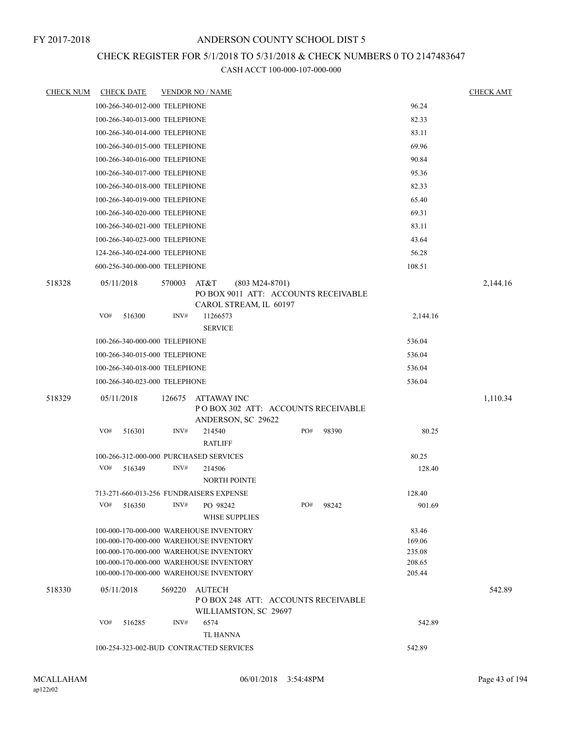# CHECK REGISTER FOR 5/1/2018 TO 5/31/2018 & CHECK NUMBERS 0 TO 2147483647

| <b>CHECK NUM</b> |     | <b>CHECK DATE</b>             |        | <b>VENDOR NO / NAME</b>                                                            |                  |       |                  | <b>CHECK AMT</b> |
|------------------|-----|-------------------------------|--------|------------------------------------------------------------------------------------|------------------|-------|------------------|------------------|
|                  |     | 100-266-340-012-000 TELEPHONE |        |                                                                                    |                  |       | 96.24            |                  |
|                  |     | 100-266-340-013-000 TELEPHONE |        |                                                                                    |                  |       | 82.33            |                  |
|                  |     | 100-266-340-014-000 TELEPHONE |        |                                                                                    |                  |       | 83.11            |                  |
|                  |     | 100-266-340-015-000 TELEPHONE |        |                                                                                    |                  |       | 69.96            |                  |
|                  |     | 100-266-340-016-000 TELEPHONE |        |                                                                                    |                  |       | 90.84            |                  |
|                  |     | 100-266-340-017-000 TELEPHONE |        |                                                                                    |                  |       | 95.36            |                  |
|                  |     | 100-266-340-018-000 TELEPHONE |        |                                                                                    |                  |       | 82.33            |                  |
|                  |     | 100-266-340-019-000 TELEPHONE |        |                                                                                    |                  |       | 65.40            |                  |
|                  |     | 100-266-340-020-000 TELEPHONE |        |                                                                                    |                  |       | 69.31            |                  |
|                  |     | 100-266-340-021-000 TELEPHONE |        |                                                                                    |                  |       | 83.11            |                  |
|                  |     | 100-266-340-023-000 TELEPHONE |        |                                                                                    |                  |       | 43.64            |                  |
|                  |     | 124-266-340-024-000 TELEPHONE |        |                                                                                    |                  |       | 56.28            |                  |
|                  |     | 600-256-340-000-000 TELEPHONE |        |                                                                                    |                  |       | 108.51           |                  |
| 518328           |     | 05/11/2018                    | 570003 | AT&T<br>PO BOX 9011 ATT: ACCOUNTS RECEIVABLE<br>CAROL STREAM, IL 60197             | $(803 M24-8701)$ |       |                  | 2,144.16         |
|                  | VO# | 516300                        | INV#   | 11266573                                                                           |                  |       | 2,144.16         |                  |
|                  |     |                               |        | <b>SERVICE</b>                                                                     |                  |       |                  |                  |
|                  |     | 100-266-340-000-000 TELEPHONE |        |                                                                                    |                  |       | 536.04           |                  |
|                  |     | 100-266-340-015-000 TELEPHONE |        |                                                                                    |                  |       | 536.04           |                  |
|                  |     | 100-266-340-018-000 TELEPHONE |        |                                                                                    |                  |       | 536.04           |                  |
|                  |     | 100-266-340-023-000 TELEPHONE |        |                                                                                    |                  |       | 536.04           |                  |
| 518329           |     | 05/11/2018                    | 126675 | <b>ATTAWAY INC</b><br>POBOX 302 ATT: ACCOUNTS RECEIVABLE<br>ANDERSON, SC 29622     |                  |       |                  | 1,110.34         |
|                  | VO# | 516301                        | INV#   | 214540                                                                             | PO#              | 98390 | 80.25            |                  |
|                  |     |                               |        | <b>RATLIFF</b>                                                                     |                  |       |                  |                  |
|                  |     |                               |        | 100-266-312-000-000 PURCHASED SERVICES                                             |                  | 80.25 |                  |                  |
|                  | VO# | 516349                        | INV#   | 214506                                                                             |                  |       | 128.40           |                  |
|                  |     |                               |        | <b>NORTH POINTE</b>                                                                |                  |       |                  |                  |
|                  |     |                               |        | 713-271-660-013-256 FUNDRAISERS EXPENSE                                            |                  |       | 128.40           |                  |
|                  | VO# | 516350                        | INV#   | PO 98242<br><b>WHSE SUPPLIES</b>                                                   | PO#              | 98242 | 901.69           |                  |
|                  |     |                               |        | 100-000-170-000-000 WAREHOUSE INVENTORY                                            |                  |       | 83.46            |                  |
|                  |     |                               |        | 100-000-170-000-000 WAREHOUSE INVENTORY                                            |                  |       | 169.06           |                  |
|                  |     |                               |        | 100-000-170-000-000 WAREHOUSE INVENTORY<br>100-000-170-000-000 WAREHOUSE INVENTORY |                  |       | 235.08<br>208.65 |                  |
|                  |     |                               |        | 100-000-170-000-000 WAREHOUSE INVENTORY                                            |                  |       | 205.44           |                  |
| 518330           |     | 05/11/2018                    | 569220 | <b>AUTECH</b><br>PO BOX 248 ATT: ACCOUNTS RECEIVABLE                               |                  |       |                  | 542.89           |
|                  |     |                               |        | WILLIAMSTON, SC 29697                                                              |                  |       |                  |                  |
|                  | VO# | 516285                        | INV#   | 6574                                                                               |                  |       | 542.89           |                  |
|                  |     |                               |        | <b>TL HANNA</b>                                                                    |                  |       |                  |                  |
|                  |     |                               |        | 100-254-323-002-BUD CONTRACTED SERVICES                                            |                  |       | 542.89           |                  |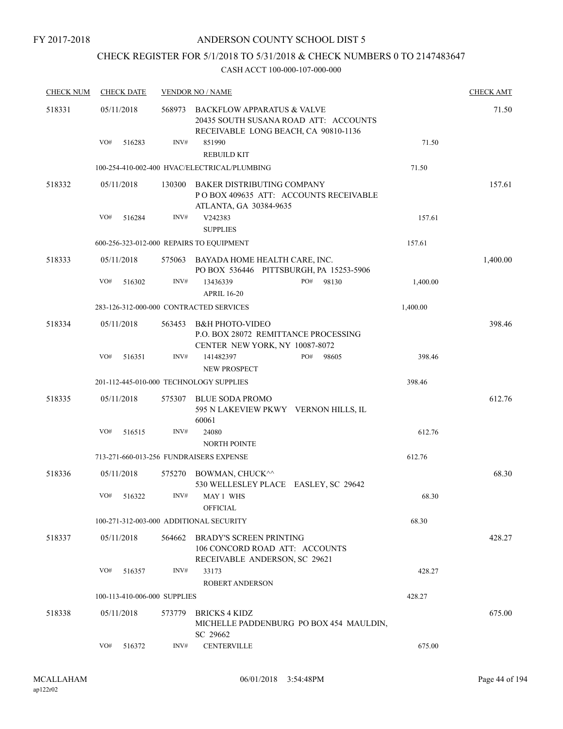FY 2017-2018

# ANDERSON COUNTY SCHOOL DIST 5

# CHECK REGISTER FOR 5/1/2018 TO 5/31/2018 & CHECK NUMBERS 0 TO 2147483647

| <b>CHECK NUM</b> | <b>CHECK DATE</b>            |        | <b>VENDOR NO / NAME</b>                                                                                     |          | <b>CHECK AMT</b> |
|------------------|------------------------------|--------|-------------------------------------------------------------------------------------------------------------|----------|------------------|
| 518331           | 05/11/2018                   | 568973 | BACKFLOW APPARATUS & VALVE<br>20435 SOUTH SUSANA ROAD ATT: ACCOUNTS<br>RECEIVABLE LONG BEACH, CA 90810-1136 |          | 71.50            |
|                  | VO#<br>516283                | INV#   | 851990<br><b>REBUILD KIT</b>                                                                                | 71.50    |                  |
|                  |                              |        | 100-254-410-002-400 HVAC/ELECTRICAL/PLUMBING                                                                | 71.50    |                  |
| 518332           | 05/11/2018                   | 130300 | BAKER DISTRIBUTING COMPANY<br>PO BOX 409635 ATT: ACCOUNTS RECEIVABLE<br>ATLANTA, GA 30384-9635              |          | 157.61           |
|                  | VO#<br>516284                | INV#   | V242383<br><b>SUPPLIES</b>                                                                                  | 157.61   |                  |
|                  |                              |        | 600-256-323-012-000 REPAIRS TO EQUIPMENT                                                                    | 157.61   |                  |
| 518333           | 05/11/2018                   | 575063 | BAYADA HOME HEALTH CARE, INC.<br>PO BOX 536446 PITTSBURGH, PA 15253-5906                                    |          | 1,400.00         |
|                  | VO#<br>516302                | INV#   | PO#<br>13436339<br>98130<br><b>APRIL 16-20</b>                                                              | 1,400.00 |                  |
|                  |                              |        | 283-126-312-000-000 CONTRACTED SERVICES                                                                     | 1,400.00 |                  |
| 518334           | 05/11/2018                   | 563453 | <b>B&amp;H PHOTO-VIDEO</b><br>P.O. BOX 28072 REMITTANCE PROCESSING<br>CENTER NEW YORK, NY 10087-8072        |          | 398.46           |
|                  | VO#<br>516351                | INV#   | PO#<br>141482397<br>98605<br>NEW PROSPECT                                                                   | 398.46   |                  |
|                  |                              |        | 201-112-445-010-000 TECHNOLOGY SUPPLIES                                                                     | 398.46   |                  |
| 518335           | 05/11/2018                   | 575307 | BLUE SODA PROMO<br>595 N LAKEVIEW PKWY VERNON HILLS, IL<br>60061                                            |          | 612.76           |
|                  | VO#<br>516515                | INV#   | 24080<br><b>NORTH POINTE</b>                                                                                | 612.76   |                  |
|                  |                              |        | 713-271-660-013-256 FUNDRAISERS EXPENSE                                                                     | 612.76   |                  |
| 518336           | 05/11/2018                   | 575270 | BOWMAN, CHUCK^^<br>530 WELLESLEY PLACE EASLEY, SC 29642                                                     |          | 68.30            |
|                  | VO#<br>516322                | INV#   | MAY 1 WHS<br><b>OFFICIAL</b>                                                                                | 68.30    |                  |
|                  |                              |        | 100-271-312-003-000 ADDITIONAL SECURITY                                                                     | 68.30    |                  |
| 518337           | 05/11/2018                   | 564662 | <b>BRADY'S SCREEN PRINTING</b><br>106 CONCORD ROAD ATT: ACCOUNTS<br>RECEIVABLE ANDERSON, SC 29621           |          | 428.27           |
|                  | VO#<br>516357                | INV#   | 33173<br><b>ROBERT ANDERSON</b>                                                                             | 428.27   |                  |
|                  | 100-113-410-006-000 SUPPLIES |        |                                                                                                             | 428.27   |                  |
| 518338           | 05/11/2018                   | 573779 | BRICKS 4 KIDZ<br>MICHELLE PADDENBURG PO BOX 454 MAULDIN,<br>SC 29662                                        |          | 675.00           |
|                  | VO#<br>516372                | INV#   | <b>CENTERVILLE</b>                                                                                          | 675.00   |                  |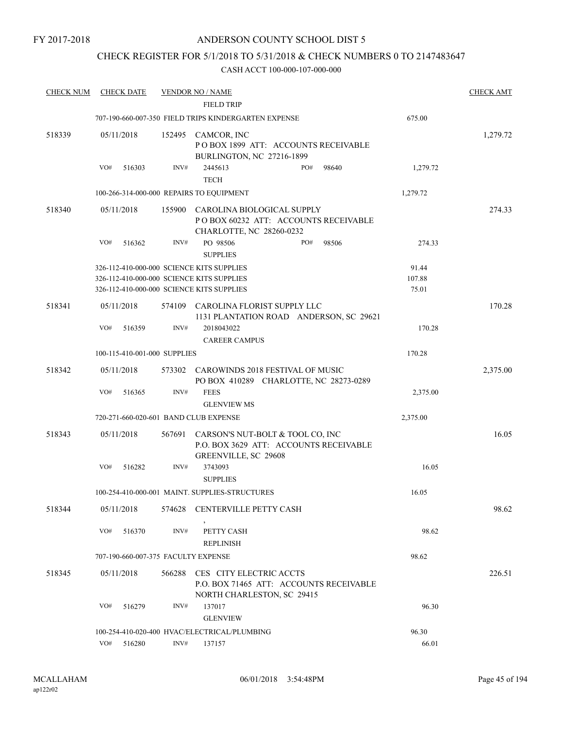# CHECK REGISTER FOR 5/1/2018 TO 5/31/2018 & CHECK NUMBERS 0 TO 2147483647

| <b>CHECK NUM</b> | <b>CHECK DATE</b>                         |        | <b>VENDOR NO / NAME</b>                                                                            |          | <b>CHECK AMT</b> |
|------------------|-------------------------------------------|--------|----------------------------------------------------------------------------------------------------|----------|------------------|
|                  |                                           |        | <b>FIELD TRIP</b>                                                                                  |          |                  |
|                  |                                           |        | 707-190-660-007-350 FIELD TRIPS KINDERGARTEN EXPENSE                                               | 675.00   |                  |
| 518339           | 05/11/2018                                |        | 152495 CAMCOR, INC<br>POBOX 1899 ATT: ACCOUNTS RECEIVABLE                                          |          | 1,279.72         |
|                  |                                           |        | BURLINGTON, NC 27216-1899                                                                          |          |                  |
|                  | VO#<br>516303                             | INV#   | PO#<br>98640<br>2445613<br><b>TECH</b>                                                             | 1,279.72 |                  |
|                  | 100-266-314-000-000 REPAIRS TO EQUIPMENT  |        |                                                                                                    | 1,279.72 |                  |
| 518340           | 05/11/2018                                | 155900 | CAROLINA BIOLOGICAL SUPPLY<br>POBOX 60232 ATT: ACCOUNTS RECEIVABLE<br>CHARLOTTE, NC 28260-0232     |          | 274.33           |
|                  | VO#<br>516362                             | INV#   | PO 98506<br>PO#<br>98506<br><b>SUPPLIES</b>                                                        | 274.33   |                  |
|                  | 326-112-410-000-000 SCIENCE KITS SUPPLIES |        |                                                                                                    | 91.44    |                  |
|                  | 326-112-410-000-000 SCIENCE KITS SUPPLIES |        |                                                                                                    | 107.88   |                  |
|                  | 326-112-410-000-000 SCIENCE KITS SUPPLIES |        |                                                                                                    | 75.01    |                  |
| 518341           | 05/11/2018                                | 574109 | CAROLINA FLORIST SUPPLY LLC<br>1131 PLANTATION ROAD ANDERSON, SC 29621                             |          | 170.28           |
|                  | VO#<br>516359                             | INV#   | 2018043022<br><b>CAREER CAMPUS</b>                                                                 | 170.28   |                  |
|                  | 100-115-410-001-000 SUPPLIES              |        |                                                                                                    | 170.28   |                  |
| 518342           | 05/11/2018                                |        | 573302 CAROWINDS 2018 FESTIVAL OF MUSIC<br>PO BOX 410289 CHARLOTTE, NC 28273-0289                  |          | 2,375.00         |
|                  | VO#<br>516365                             | INV#   | <b>FEES</b><br><b>GLENVIEW MS</b>                                                                  | 2,375.00 |                  |
|                  |                                           |        |                                                                                                    |          |                  |
|                  | 720-271-660-020-601 BAND CLUB EXPENSE     |        |                                                                                                    | 2,375.00 |                  |
| 518343           | 05/11/2018                                | 567691 | CARSON'S NUT-BOLT & TOOL CO, INC<br>P.O. BOX 3629 ATT: ACCOUNTS RECEIVABLE<br>GREENVILLE, SC 29608 |          | 16.05            |
|                  | VO#<br>516282                             | INV#   | 3743093<br><b>SUPPLIES</b>                                                                         | 16.05    |                  |
|                  |                                           |        | 100-254-410-000-001 MAINT. SUPPLIES-STRUCTURES                                                     | 16.05    |                  |
| 518344           | 05/11/2018                                |        | 574628 CENTERVILLE PETTY CASH                                                                      |          | 98.62            |
|                  | VO#<br>516370                             | INV#   | PETTY CASH<br><b>REPLINISH</b>                                                                     | 98.62    |                  |
|                  | 707-190-660-007-375 FACULTY EXPENSE       |        |                                                                                                    | 98.62    |                  |
|                  |                                           |        |                                                                                                    |          |                  |
| 518345           | 05/11/2018                                | 566288 | CES CITY ELECTRIC ACCTS<br>P.O. BOX 71465 ATT: ACCOUNTS RECEIVABLE<br>NORTH CHARLESTON, SC 29415   |          | 226.51           |
|                  | VO#<br>516279                             | INV#   | 137017<br><b>GLENVIEW</b>                                                                          | 96.30    |                  |
|                  |                                           |        | 100-254-410-020-400 HVAC/ELECTRICAL/PLUMBING                                                       | 96.30    |                  |
|                  | VO#<br>516280                             | INV#   | 137157                                                                                             | 66.01    |                  |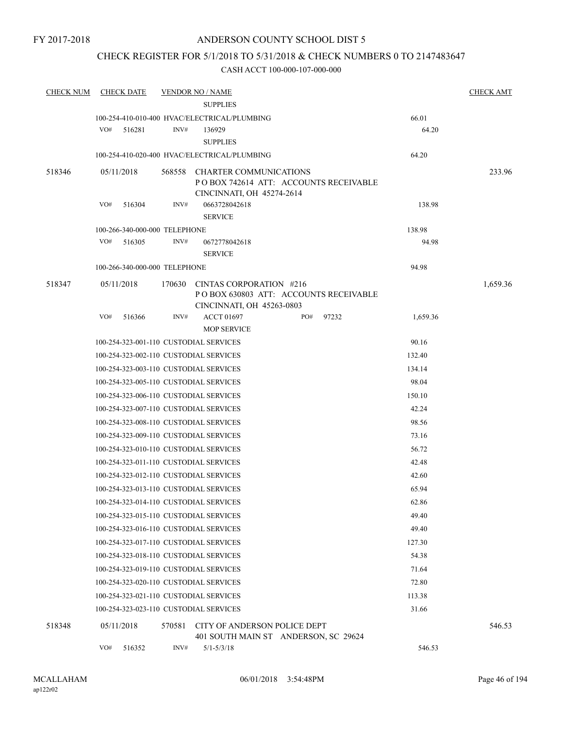# CHECK REGISTER FOR 5/1/2018 TO 5/31/2018 & CHECK NUMBERS 0 TO 2147483647

| <b>CHECK NUM</b> | <b>CHECK DATE</b>                      |        | <b>VENDOR NO / NAME</b>                                              |     |       |          | <b>CHECK AMT</b> |
|------------------|----------------------------------------|--------|----------------------------------------------------------------------|-----|-------|----------|------------------|
|                  |                                        |        | <b>SUPPLIES</b>                                                      |     |       |          |                  |
|                  |                                        |        | 100-254-410-010-400 HVAC/ELECTRICAL/PLUMBING                         |     |       | 66.01    |                  |
|                  | VO#<br>516281                          | INV#   | 136929                                                               |     |       | 64.20    |                  |
|                  |                                        |        | <b>SUPPLIES</b>                                                      |     |       |          |                  |
|                  |                                        |        | 100-254-410-020-400 HVAC/ELECTRICAL/PLUMBING                         |     |       | 64.20    |                  |
| 518346           | 05/11/2018                             | 568558 | CHARTER COMMUNICATIONS                                               |     |       |          | 233.96           |
|                  |                                        |        | POBOX 742614 ATT: ACCOUNTS RECEIVABLE                                |     |       |          |                  |
|                  | VO#<br>516304                          | INV#   | CINCINNATI, OH 45274-2614<br>0663728042618                           |     |       | 138.98   |                  |
|                  |                                        |        | <b>SERVICE</b>                                                       |     |       |          |                  |
|                  | 100-266-340-000-000 TELEPHONE          |        |                                                                      |     |       | 138.98   |                  |
|                  | VO#<br>516305                          | INV#   | 0672778042618                                                        |     |       | 94.98    |                  |
|                  |                                        |        | <b>SERVICE</b>                                                       |     |       |          |                  |
|                  | 100-266-340-000-000 TELEPHONE          |        |                                                                      |     |       | 94.98    |                  |
| 518347           | 05/11/2018                             | 170630 | CINTAS CORPORATION #216                                              |     |       |          | 1,659.36         |
|                  |                                        |        | PO BOX 630803 ATT: ACCOUNTS RECEIVABLE                               |     |       |          |                  |
|                  |                                        |        | CINCINNATI, OH 45263-0803                                            |     |       |          |                  |
|                  | VO#<br>516366                          | INV#   | <b>ACCT 01697</b>                                                    | PO# | 97232 | 1,659.36 |                  |
|                  |                                        |        | <b>MOP SERVICE</b>                                                   |     |       |          |                  |
|                  | 100-254-323-001-110 CUSTODIAL SERVICES |        |                                                                      |     |       | 90.16    |                  |
|                  | 100-254-323-002-110 CUSTODIAL SERVICES |        |                                                                      |     |       | 132.40   |                  |
|                  | 100-254-323-003-110 CUSTODIAL SERVICES |        |                                                                      |     |       | 134.14   |                  |
|                  | 100-254-323-005-110 CUSTODIAL SERVICES |        |                                                                      |     |       | 98.04    |                  |
|                  | 100-254-323-006-110 CUSTODIAL SERVICES |        |                                                                      |     |       | 150.10   |                  |
|                  | 100-254-323-007-110 CUSTODIAL SERVICES |        |                                                                      |     |       | 42.24    |                  |
|                  | 100-254-323-008-110 CUSTODIAL SERVICES |        |                                                                      |     |       | 98.56    |                  |
|                  | 100-254-323-009-110 CUSTODIAL SERVICES |        |                                                                      |     |       | 73.16    |                  |
|                  | 100-254-323-010-110 CUSTODIAL SERVICES |        |                                                                      |     |       | 56.72    |                  |
|                  | 100-254-323-011-110 CUSTODIAL SERVICES |        |                                                                      |     |       | 42.48    |                  |
|                  | 100-254-323-012-110 CUSTODIAL SERVICES |        |                                                                      |     |       | 42.60    |                  |
|                  | 100-254-323-013-110 CUSTODIAL SERVICES |        |                                                                      |     |       | 65.94    |                  |
|                  | 100-254-323-014-110 CUSTODIAL SERVICES |        |                                                                      |     |       | 62.86    |                  |
|                  | 100-254-323-015-110 CUSTODIAL SERVICES |        |                                                                      |     |       | 49.40    |                  |
|                  | 100-254-323-016-110 CUSTODIAL SERVICES |        |                                                                      |     |       | 49.40    |                  |
|                  | 100-254-323-017-110 CUSTODIAL SERVICES |        |                                                                      |     |       | 127.30   |                  |
|                  | 100-254-323-018-110 CUSTODIAL SERVICES |        |                                                                      |     |       | 54.38    |                  |
|                  | 100-254-323-019-110 CUSTODIAL SERVICES |        |                                                                      |     |       | 71.64    |                  |
|                  | 100-254-323-020-110 CUSTODIAL SERVICES |        |                                                                      |     |       | 72.80    |                  |
|                  | 100-254-323-021-110 CUSTODIAL SERVICES |        |                                                                      |     |       | 113.38   |                  |
|                  | 100-254-323-023-110 CUSTODIAL SERVICES |        |                                                                      |     |       | 31.66    |                  |
| 518348           | 05/11/2018                             | 570581 | CITY OF ANDERSON POLICE DEPT<br>401 SOUTH MAIN ST ANDERSON, SC 29624 |     |       |          | 546.53           |
|                  | VO#<br>516352                          | INV#   | $5/1 - 5/3/18$                                                       |     |       | 546.53   |                  |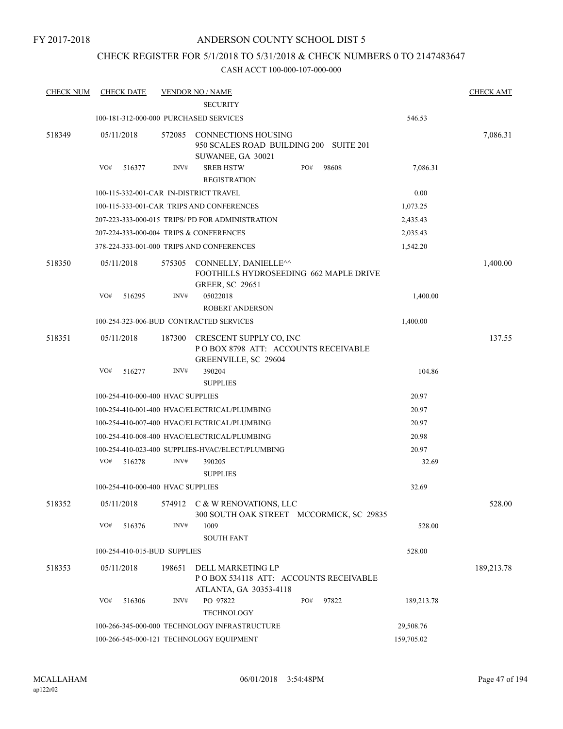# CHECK REGISTER FOR 5/1/2018 TO 5/31/2018 & CHECK NUMBERS 0 TO 2147483647

| <b>CHECK NUM</b> | <b>CHECK DATE</b>                            |        | <b>VENDOR NO / NAME</b><br><b>SECURITY</b>                                                |     |       |            | <b>CHECK AMT</b> |
|------------------|----------------------------------------------|--------|-------------------------------------------------------------------------------------------|-----|-------|------------|------------------|
|                  | 100-181-312-000-000 PURCHASED SERVICES       |        |                                                                                           |     |       | 546.53     |                  |
|                  |                                              |        |                                                                                           |     |       |            |                  |
| 518349           | 05/11/2018                                   |        | 572085 CONNECTIONS HOUSING<br>950 SCALES ROAD BUILDING 200 SUITE 201<br>SUWANEE, GA 30021 |     |       |            | 7,086.31         |
|                  | VO#<br>516377                                | INV#   | <b>SREB HSTW</b><br><b>REGISTRATION</b>                                                   | PO# | 98608 | 7,086.31   |                  |
|                  | 100-115-332-001-CAR IN-DISTRICT TRAVEL       |        |                                                                                           |     |       | 0.00       |                  |
|                  |                                              |        | 100-115-333-001-CAR TRIPS AND CONFERENCES                                                 |     |       | 1,073.25   |                  |
|                  |                                              |        | 207-223-333-000-015 TRIPS/PD FOR ADMINISTRATION                                           |     |       | 2,435.43   |                  |
|                  | 207-224-333-000-004 TRIPS & CONFERENCES      |        |                                                                                           |     |       | 2,035.43   |                  |
|                  |                                              |        | 378-224-333-001-000 TRIPS AND CONFERENCES                                                 |     |       | 1,542.20   |                  |
| 518350           | 05/11/2018                                   | 575305 | CONNELLY, DANIELLE^^<br>FOOTHILLS HYDROSEEDING 662 MAPLE DRIVE<br><b>GREER, SC 29651</b>  |     |       |            | 1,400.00         |
|                  | VO#<br>516295                                | INV#   | 05022018                                                                                  |     |       | 1,400.00   |                  |
|                  |                                              |        | <b>ROBERT ANDERSON</b>                                                                    |     |       |            |                  |
|                  |                                              |        | 100-254-323-006-BUD CONTRACTED SERVICES                                                   |     |       | 1,400.00   |                  |
| 518351           | 05/11/2018                                   | 187300 | CRESCENT SUPPLY CO, INC<br>POBOX 8798 ATT: ACCOUNTS RECEIVABLE<br>GREENVILLE, SC 29604    |     |       |            | 137.55           |
|                  | VO#<br>516277                                | INV#   | 390204                                                                                    |     |       | 104.86     |                  |
|                  |                                              |        | <b>SUPPLIES</b>                                                                           |     |       |            |                  |
|                  | 100-254-410-000-400 HVAC SUPPLIES            |        |                                                                                           |     |       | 20.97      |                  |
|                  |                                              |        | 100-254-410-001-400 HVAC/ELECTRICAL/PLUMBING                                              |     |       | 20.97      |                  |
|                  | 100-254-410-007-400 HVAC/ELECTRICAL/PLUMBING |        | 20.97                                                                                     |     |       |            |                  |
|                  |                                              |        | 100-254-410-008-400 HVAC/ELECTRICAL/PLUMBING                                              |     |       | 20.98      |                  |
|                  |                                              |        | 100-254-410-023-400 SUPPLIES-HVAC/ELECT/PLUMBING                                          |     |       | 20.97      |                  |
|                  | VO#<br>516278                                | INV#   | 390205<br><b>SUPPLIES</b>                                                                 |     |       | 32.69      |                  |
|                  | 100-254-410-000-400 HVAC SUPPLIES            |        |                                                                                           |     |       | 32.69      |                  |
| 518352           | 05/11/2018                                   |        | 574912 C & W RENOVATIONS, LLC<br>300 SOUTH OAK STREET MCCORMICK, SC 29835                 |     |       |            | 528.00           |
|                  | VO#<br>516376                                | INV#   | 1009<br><b>SOUTH FANT</b>                                                                 |     |       | 528.00     |                  |
|                  | 100-254-410-015-BUD SUPPLIES                 |        |                                                                                           |     |       | 528.00     |                  |
|                  |                                              |        |                                                                                           |     |       |            |                  |
| 518353           | 05/11/2018                                   | 198651 | DELL MARKETING LP<br>PO BOX 534118 ATT: ACCOUNTS RECEIVABLE<br>ATLANTA, GA 30353-4118     |     |       |            | 189,213.78       |
|                  | VO#<br>516306                                | INV#   | PO 97822<br><b>TECHNOLOGY</b>                                                             | PO# | 97822 | 189,213.78 |                  |
|                  |                                              |        | 100-266-345-000-000 TECHNOLOGY INFRASTRUCTURE                                             |     |       | 29,508.76  |                  |
|                  | 100-266-545-000-121 TECHNOLOGY EQUIPMENT     |        | 159,705.02                                                                                |     |       |            |                  |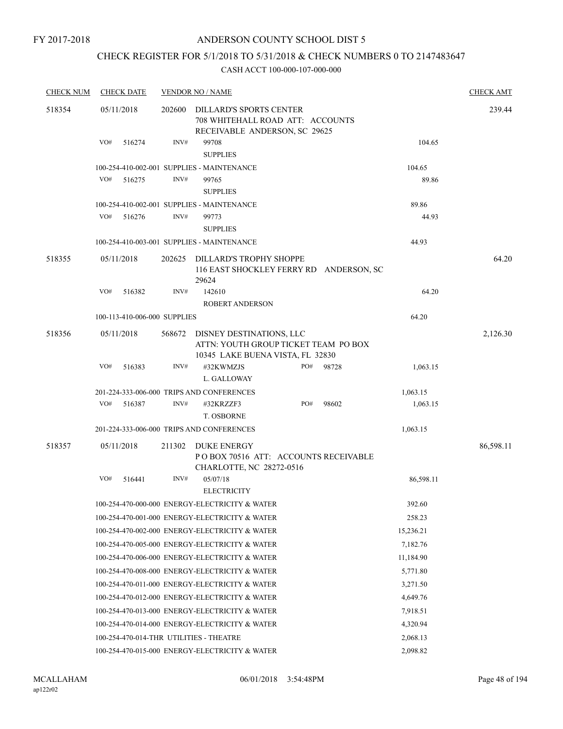# CHECK REGISTER FOR 5/1/2018 TO 5/31/2018 & CHECK NUMBERS 0 TO 2147483647

| <b>CHECK NUM</b> | <b>CHECK DATE</b>                       |        | <b>VENDOR NO / NAME</b>                                                                              |     |           |           | <b>CHECK AMT</b> |
|------------------|-----------------------------------------|--------|------------------------------------------------------------------------------------------------------|-----|-----------|-----------|------------------|
| 518354           | 05/11/2018                              | 202600 | DILLARD'S SPORTS CENTER<br>708 WHITEHALL ROAD ATT: ACCOUNTS<br>RECEIVABLE ANDERSON, SC 29625         |     |           |           | 239.44           |
|                  | VO#<br>516274                           | INV#   | 99708<br><b>SUPPLIES</b>                                                                             |     |           | 104.65    |                  |
|                  |                                         |        | 100-254-410-002-001 SUPPLIES - MAINTENANCE                                                           |     |           | 104.65    |                  |
|                  | VO#<br>516275                           | INV#   | 99765<br><b>SUPPLIES</b>                                                                             |     |           | 89.86     |                  |
|                  |                                         |        | 100-254-410-002-001 SUPPLIES - MAINTENANCE                                                           |     |           | 89.86     |                  |
|                  | VO#<br>516276                           | INV#   | 99773<br><b>SUPPLIES</b>                                                                             |     |           | 44.93     |                  |
|                  |                                         |        | 100-254-410-003-001 SUPPLIES - MAINTENANCE                                                           |     |           | 44.93     |                  |
| 518355           | 05/11/2018                              | 202625 | DILLARD'S TROPHY SHOPPE<br>116 EAST SHOCKLEY FERRY RD ANDERSON, SC<br>29624                          |     |           |           | 64.20            |
|                  | VO#<br>516382                           | INV#   | 142610<br><b>ROBERT ANDERSON</b>                                                                     |     |           | 64.20     |                  |
|                  | 100-113-410-006-000 SUPPLIES            |        |                                                                                                      |     |           | 64.20     |                  |
| 518356           | 05/11/2018                              | 568672 | DISNEY DESTINATIONS, LLC<br>ATTN: YOUTH GROUP TICKET TEAM PO BOX<br>10345 LAKE BUENA VISTA, FL 32830 |     |           |           | 2,126.30         |
|                  | VO#<br>516383                           | INV#   | #32KWMZJS<br>L. GALLOWAY                                                                             | PO# | 98728     | 1,063.15  |                  |
|                  |                                         |        | 201-224-333-006-000 TRIPS AND CONFERENCES                                                            |     |           | 1,063.15  |                  |
|                  | VO#<br>516387                           | INV#   | #32KRZZF3<br>T. OSBORNE                                                                              | PO# | 98602     | 1,063.15  |                  |
|                  |                                         |        | 201-224-333-006-000 TRIPS AND CONFERENCES                                                            |     |           | 1,063.15  |                  |
| 518357           | 05/11/2018                              | 211302 | DUKE ENERGY<br>POBOX 70516 ATT: ACCOUNTS RECEIVABLE<br>CHARLOTTE, NC 28272-0516                      |     | 86,598.11 |           |                  |
|                  | VO#<br>516441                           | INV#   | 05/07/18<br><b>ELECTRICITY</b>                                                                       |     |           | 86,598.11 |                  |
|                  |                                         |        | 100-254-470-000-000 ENERGY-ELECTRICITY & WATER                                                       |     |           | 392.60    |                  |
|                  |                                         |        | 100-254-470-001-000 ENERGY-ELECTRICITY & WATER                                                       |     |           | 258.23    |                  |
|                  |                                         |        | 100-254-470-002-000 ENERGY-ELECTRICITY & WATER                                                       |     |           | 15,236.21 |                  |
|                  |                                         |        | 100-254-470-005-000 ENERGY-ELECTRICITY & WATER                                                       |     |           | 7,182.76  |                  |
|                  |                                         |        | 100-254-470-006-000 ENERGY-ELECTRICITY & WATER                                                       |     |           | 11,184.90 |                  |
|                  |                                         |        | 100-254-470-008-000 ENERGY-ELECTRICITY & WATER                                                       |     |           | 5,771.80  |                  |
|                  |                                         |        | 100-254-470-011-000 ENERGY-ELECTRICITY & WATER                                                       |     |           | 3,271.50  |                  |
|                  |                                         |        | 100-254-470-012-000 ENERGY-ELECTRICITY & WATER                                                       |     |           | 4,649.76  |                  |
|                  |                                         |        | 100-254-470-013-000 ENERGY-ELECTRICITY & WATER                                                       |     |           | 7,918.51  |                  |
|                  |                                         |        | 100-254-470-014-000 ENERGY-ELECTRICITY & WATER                                                       |     |           | 4,320.94  |                  |
|                  | 100-254-470-014-THR UTILITIES - THEATRE |        |                                                                                                      |     |           | 2,068.13  |                  |
|                  |                                         |        | 100-254-470-015-000 ENERGY-ELECTRICITY & WATER                                                       |     |           | 2,098.82  |                  |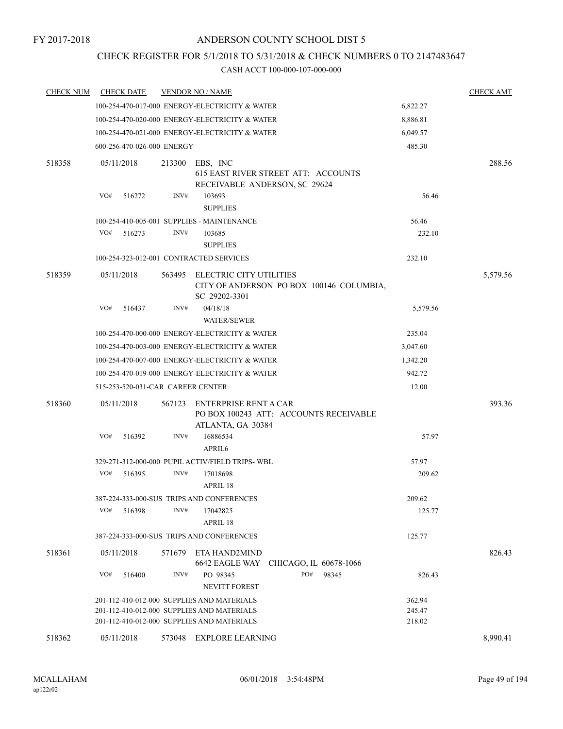# CHECK REGISTER FOR 5/1/2018 TO 5/31/2018 & CHECK NUMBERS 0 TO 2147483647

| <b>CHECK NUM</b> | <b>CHECK DATE</b>                 |        | <b>VENDOR NO / NAME</b>                                                              |          | <b>CHECK AMT</b> |
|------------------|-----------------------------------|--------|--------------------------------------------------------------------------------------|----------|------------------|
|                  |                                   |        | 100-254-470-017-000 ENERGY-ELECTRICITY & WATER                                       | 6,822.27 |                  |
|                  |                                   |        | 100-254-470-020-000 ENERGY-ELECTRICITY & WATER                                       | 8,886.81 |                  |
|                  |                                   |        | 100-254-470-021-000 ENERGY-ELECTRICITY & WATER                                       | 6,049.57 |                  |
|                  | 600-256-470-026-000 ENERGY        |        |                                                                                      | 485.30   |                  |
| 518358           | 05/11/2018                        | 213300 | EBS, INC<br>615 EAST RIVER STREET ATT: ACCOUNTS<br>RECEIVABLE ANDERSON, SC 29624     |          | 288.56           |
|                  | VO#<br>516272                     | INV#   | 103693<br><b>SUPPLIES</b>                                                            | 56.46    |                  |
|                  |                                   |        | 100-254-410-005-001 SUPPLIES - MAINTENANCE                                           | 56.46    |                  |
|                  | VO#<br>516273                     | INV#   | 103685<br><b>SUPPLIES</b>                                                            | 232.10   |                  |
|                  |                                   |        | 100-254-323-012-001 CONTRACTED SERVICES                                              | 232.10   |                  |
| 518359           | 05/11/2018                        | 563495 | ELECTRIC CITY UTILITIES<br>CITY OF ANDERSON PO BOX 100146 COLUMBIA,<br>SC 29202-3301 |          | 5,579.56         |
|                  | VO#<br>516437                     | INV#   | 04/18/18<br><b>WATER/SEWER</b>                                                       | 5,579.56 |                  |
|                  |                                   |        | 100-254-470-000-000 ENERGY-ELECTRICITY & WATER                                       | 235.04   |                  |
|                  |                                   |        | 100-254-470-003-000 ENERGY-ELECTRICITY & WATER                                       | 3,047.60 |                  |
|                  |                                   |        | 100-254-470-007-000 ENERGY-ELECTRICITY & WATER                                       | 1,342.20 |                  |
|                  |                                   |        | 100-254-470-019-000 ENERGY-ELECTRICITY & WATER                                       | 942.72   |                  |
|                  | 515-253-520-031-CAR CAREER CENTER |        |                                                                                      | 12.00    |                  |
| 518360           | 05/11/2018                        | 567123 | ENTERPRISE RENT A CAR<br>PO BOX 100243 ATT: ACCOUNTS RECEIVABLE<br>ATLANTA, GA 30384 |          | 393.36           |
|                  | VO#<br>516392                     | INV#   | 16886534<br>APRIL6                                                                   | 57.97    |                  |
|                  |                                   |        | 329-271-312-000-000 PUPIL ACTIV/FIELD TRIPS-WBL                                      | 57.97    |                  |
|                  | VO#<br>516395                     | INV#   | 17018698<br>APRIL 18                                                                 | 209.62   |                  |
|                  |                                   |        | 387-224-333-000-SUS TRIPS AND CONFERENCES                                            | 209.62   |                  |
|                  | VO#<br>516398                     | INV#   | 17042825<br>APRIL 18                                                                 | 125.77   |                  |
|                  |                                   |        | 387-224-333-000-SUS TRIPS AND CONFERENCES                                            | 125.77   |                  |
| 518361           | 05/11/2018                        | 571679 | ETA HAND2MIND<br>6642 EAGLE WAY<br>CHICAGO, IL 60678-1066                            |          | 826.43           |
|                  | VO#<br>516400                     | INV#   | PO#<br>PO 98345<br>98345<br><b>NEVITT FOREST</b>                                     | 826.43   |                  |
|                  |                                   |        | 201-112-410-012-000 SUPPLIES AND MATERIALS                                           | 362.94   |                  |
|                  |                                   |        | 201-112-410-012-000 SUPPLIES AND MATERIALS                                           | 245.47   |                  |
|                  |                                   |        | 201-112-410-012-000 SUPPLIES AND MATERIALS                                           | 218.02   |                  |
| 518362           | 05/11/2018                        | 573048 | EXPLORE LEARNING                                                                     |          | 8,990.41         |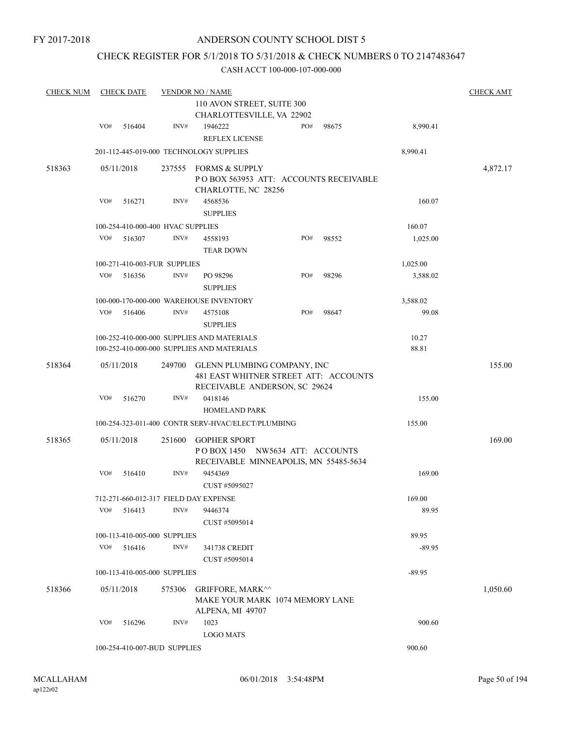# CHECK REGISTER FOR 5/1/2018 TO 5/31/2018 & CHECK NUMBERS 0 TO 2147483647

| <b>CHECK NUM</b> |     | <b>CHECK DATE</b> |                                   | <b>VENDOR NO / NAME</b><br>110 AVON STREET, SUITE 300                                                 |     |       |                | <b>CHECK AMT</b> |
|------------------|-----|-------------------|-----------------------------------|-------------------------------------------------------------------------------------------------------|-----|-------|----------------|------------------|
|                  |     |                   |                                   | CHARLOTTESVILLE, VA 22902                                                                             |     |       |                |                  |
|                  | VO# | 516404            | INV#                              | 1946222<br><b>REFLEX LICENSE</b>                                                                      | PO# | 98675 | 8,990.41       |                  |
|                  |     |                   |                                   | 201-112-445-019-000 TECHNOLOGY SUPPLIES                                                               |     |       | 8,990.41       |                  |
| 518363           |     | 05/11/2018        | 237555                            | FORMS & SUPPLY<br>PO BOX 563953 ATT: ACCOUNTS RECEIVABLE<br>CHARLOTTE, NC 28256                       |     |       |                | 4,872.17         |
|                  | VO# | 516271            | INV#                              | 4568536<br><b>SUPPLIES</b>                                                                            |     |       | 160.07         |                  |
|                  |     |                   | 100-254-410-000-400 HVAC SUPPLIES |                                                                                                       |     |       | 160.07         |                  |
|                  | VO# | 516307            | INV#                              | 4558193<br><b>TEAR DOWN</b>                                                                           | PO# | 98552 | 1,025.00       |                  |
|                  |     |                   | 100-271-410-003-FUR SUPPLIES      |                                                                                                       |     |       | 1,025.00       |                  |
|                  | VO# | 516356            | INV#                              | PO 98296<br><b>SUPPLIES</b>                                                                           | PO# | 98296 | 3,588.02       |                  |
|                  |     |                   |                                   | 100-000-170-000-000 WAREHOUSE INVENTORY                                                               |     |       | 3,588.02       |                  |
|                  | VO# | 516406            | INV#                              | 4575108<br><b>SUPPLIES</b>                                                                            | PO# | 98647 | 99.08          |                  |
|                  |     |                   |                                   | 100-252-410-000-000 SUPPLIES AND MATERIALS<br>100-252-410-000-000 SUPPLIES AND MATERIALS              |     |       | 10.27<br>88.81 |                  |
| 518364           |     | 05/11/2018        | 249700                            | GLENN PLUMBING COMPANY, INC<br>481 EAST WHITNER STREET ATT: ACCOUNTS<br>RECEIVABLE ANDERSON, SC 29624 |     |       |                | 155.00           |
|                  | VO# | 516270            | $\text{INV}\#$                    | 0418146<br><b>HOMELAND PARK</b>                                                                       |     |       | 155.00         |                  |
|                  |     |                   |                                   | 100-254-323-011-400 CONTR SERV-HVAC/ELECT/PLUMBING                                                    |     |       | 155.00         |                  |
| 518365           |     | 05/11/2018        | 251600                            | <b>GOPHER SPORT</b><br>POBOX 1450 NW5634 ATT: ACCOUNTS<br>RECEIVABLE MINNEAPOLIS, MN 55485-5634       |     |       |                | 169.00           |
|                  | VO# | 516410            | INV#                              | 9454369<br>CUST #5095027                                                                              |     |       | 169.00         |                  |
|                  |     |                   |                                   | 712-271-660-012-317 FIELD DAY EXPENSE                                                                 |     |       | 169.00         |                  |
|                  | VO# | 516413            | INV#                              | 9446374<br>CUST #5095014                                                                              |     |       | 89.95          |                  |
|                  |     |                   | 100-113-410-005-000 SUPPLIES      |                                                                                                       |     |       | 89.95          |                  |
|                  | VO# | 516416            | INV#                              | 341738 CREDIT<br>CUST #5095014                                                                        |     |       | $-89.95$       |                  |
|                  |     |                   | 100-113-410-005-000 SUPPLIES      |                                                                                                       |     |       | $-89.95$       |                  |
| 518366           |     | 05/11/2018        | 575306                            | <b>GRIFFORE, MARK^^</b><br>MAKE YOUR MARK 1074 MEMORY LANE<br>ALPENA, MI 49707                        |     |       |                | 1,050.60         |
|                  | VO# | 516296            | INV#                              | 1023<br><b>LOGO MATS</b>                                                                              |     |       | 900.60         |                  |
|                  |     |                   | 100-254-410-007-BUD SUPPLIES      |                                                                                                       |     |       | 900.60         |                  |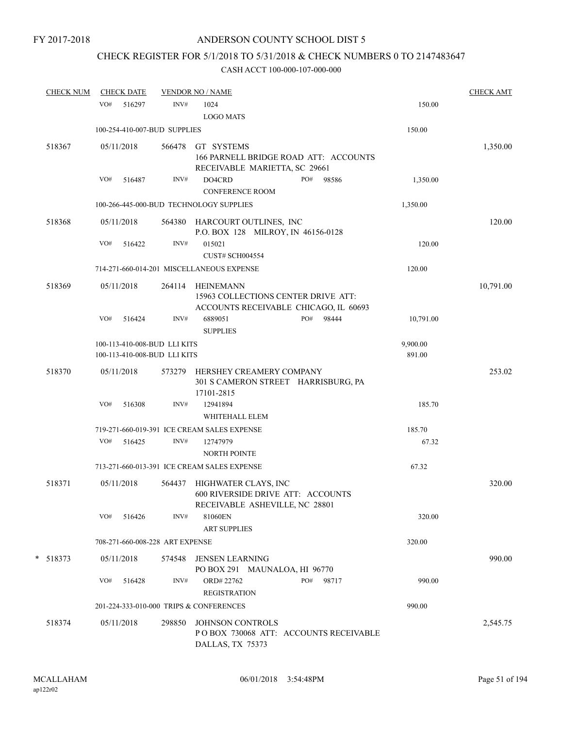# CHECK REGISTER FOR 5/1/2018 TO 5/31/2018 & CHECK NUMBERS 0 TO 2147483647

| <b>CHECK NUM</b> | <b>CHECK DATE</b> |        |                                                              | <b>VENDOR NO / NAME</b>                                                                          |                    | <b>CHECK AMT</b> |
|------------------|-------------------|--------|--------------------------------------------------------------|--------------------------------------------------------------------------------------------------|--------------------|------------------|
|                  | VO#               | 516297 | INV#                                                         | 1024<br><b>LOGO MATS</b>                                                                         | 150.00             |                  |
|                  |                   |        | 100-254-410-007-BUD SUPPLIES                                 |                                                                                                  | 150.00             |                  |
| 518367           | 05/11/2018        |        | 566478                                                       | GT SYSTEMS<br>166 PARNELL BRIDGE ROAD ATT: ACCOUNTS<br>RECEIVABLE MARIETTA, SC 29661             |                    | 1,350.00         |
|                  | VO#               | 516487 | INV#                                                         | DO4CRD<br>PO#<br>98586<br><b>CONFERENCE ROOM</b>                                                 | 1,350.00           |                  |
|                  |                   |        |                                                              | 100-266-445-000-BUD TECHNOLOGY SUPPLIES                                                          | 1,350.00           |                  |
| 518368           | 05/11/2018        |        |                                                              | 564380 HARCOURT OUTLINES, INC<br>P.O. BOX 128 MILROY, IN 46156-0128                              |                    | 120.00           |
|                  | VO#               | 516422 | INV#                                                         | 015021<br><b>CUST# SCH004554</b>                                                                 | 120.00             |                  |
|                  |                   |        |                                                              | 714-271-660-014-201 MISCELLANEOUS EXPENSE                                                        | 120.00             |                  |
| 518369           | 05/11/2018        |        | 264114                                                       | <b>HEINEMANN</b><br>15963 COLLECTIONS CENTER DRIVE ATT:<br>ACCOUNTS RECEIVABLE CHICAGO, IL 60693 |                    | 10,791.00        |
|                  | VO#               | 516424 | INV#                                                         | 6889051<br>PO#<br>98444<br><b>SUPPLIES</b>                                                       | 10,791.00          |                  |
|                  |                   |        | 100-113-410-008-BUD LLI KITS<br>100-113-410-008-BUD LLI KITS |                                                                                                  | 9,900.00<br>891.00 |                  |
| 518370           | 05/11/2018        |        | 573279                                                       | HERSHEY CREAMERY COMPANY<br>301 S CAMERON STREET HARRISBURG, PA<br>17101-2815                    |                    | 253.02           |
|                  | VO#               | 516308 | INV#                                                         | 12941894<br>WHITEHALL ELEM                                                                       | 185.70             |                  |
|                  |                   |        |                                                              | 719-271-660-019-391 ICE CREAM SALES EXPENSE                                                      | 185.70             |                  |
|                  | VO#               | 516425 | INV#                                                         | 12747979<br>NORTH POINTE                                                                         | 67.32              |                  |
|                  |                   |        |                                                              | 713-271-660-013-391 ICE CREAM SALES EXPENSE                                                      | 67.32              |                  |
| 518371           | 05/11/2018        |        | 564437                                                       | HIGHWATER CLAYS, INC<br>600 RIVERSIDE DRIVE ATT: ACCOUNTS<br>RECEIVABLE ASHEVILLE, NC 28801      |                    | 320.00           |
|                  | VO#               | 516426 | INV#                                                         | 81060EN<br><b>ART SUPPLIES</b>                                                                   | 320.00             |                  |
|                  |                   |        | 708-271-660-008-228 ART EXPENSE                              |                                                                                                  | 320.00             |                  |
| $* 518373$       | 05/11/2018        |        | 574548                                                       | JENSEN LEARNING<br>PO BOX 291 MAUNALOA, HI 96770                                                 |                    | 990.00           |
|                  | VO#               | 516428 | INV#                                                         | ORD#22762<br>PO#<br>98717<br><b>REGISTRATION</b>                                                 | 990.00             |                  |
|                  |                   |        |                                                              | 201-224-333-010-000 TRIPS & CONFERENCES                                                          | 990.00             |                  |
| 518374           | 05/11/2018        |        | 298850                                                       | JOHNSON CONTROLS<br>PO BOX 730068 ATT: ACCOUNTS RECEIVABLE<br>DALLAS, TX 75373                   |                    | 2,545.75         |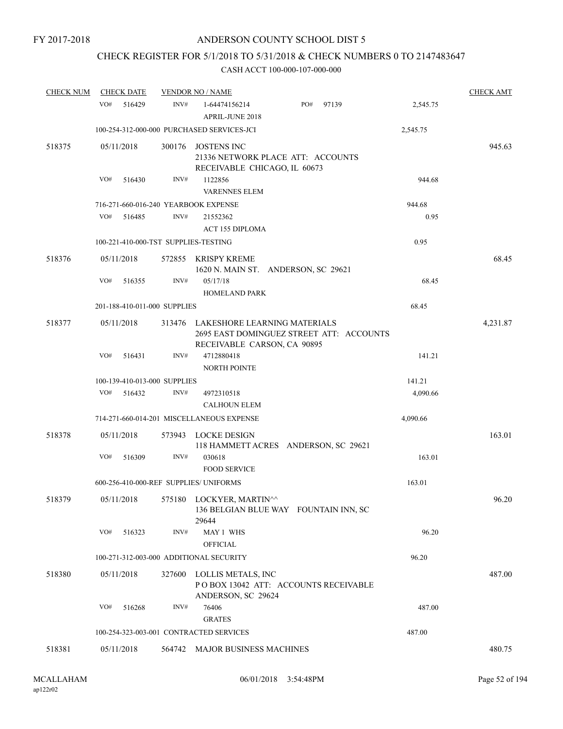# CHECK REGISTER FOR 5/1/2018 TO 5/31/2018 & CHECK NUMBERS 0 TO 2147483647

| <b>CHECK NUM</b> | <b>CHECK DATE</b>                      |        | <b>VENDOR NO / NAME</b>                                                                 |                                          |          | <b>CHECK AMT</b> |
|------------------|----------------------------------------|--------|-----------------------------------------------------------------------------------------|------------------------------------------|----------|------------------|
|                  | VO#<br>516429                          | INV#   | 1-64474156214<br>APRIL-JUNE 2018                                                        | PO#<br>97139                             | 2,545.75 |                  |
|                  |                                        |        | 100-254-312-000-000 PURCHASED SERVICES-JCI                                              |                                          | 2,545.75 |                  |
| 518375           | 05/11/2018                             | 300176 | <b>JOSTENS INC</b><br>21336 NETWORK PLACE ATT: ACCOUNTS<br>RECEIVABLE CHICAGO, IL 60673 |                                          |          | 945.63           |
|                  | VO#<br>516430                          | INV#   | 1122856<br><b>VARENNES ELEM</b>                                                         |                                          | 944.68   |                  |
|                  | 716-271-660-016-240 YEARBOOK EXPENSE   |        |                                                                                         |                                          | 944.68   |                  |
|                  | VO#<br>516485                          | INV#   | 21552362<br><b>ACT 155 DIPLOMA</b>                                                      |                                          | 0.95     |                  |
|                  | 100-221-410-000-TST SUPPLIES-TESTING   |        |                                                                                         |                                          | 0.95     |                  |
| 518376           | 05/11/2018                             |        | 572855 KRISPY KREME<br>1620 N. MAIN ST. ANDERSON, SC 29621                              |                                          |          | 68.45            |
|                  | VO#<br>516355                          | INV#   | 05/17/18<br><b>HOMELAND PARK</b>                                                        |                                          | 68.45    |                  |
|                  | 201-188-410-011-000 SUPPLIES           |        |                                                                                         |                                          | 68.45    |                  |
| 518377           | 05/11/2018                             | 313476 | LAKESHORE LEARNING MATERIALS<br>RECEIVABLE CARSON, CA 90895                             | 2695 EAST DOMINGUEZ STREET ATT: ACCOUNTS |          | 4,231.87         |
|                  | VO#<br>516431                          | INV#   | 4712880418<br><b>NORTH POINTE</b>                                                       |                                          | 141.21   |                  |
|                  | 100-139-410-013-000 SUPPLIES           |        |                                                                                         |                                          | 141.21   |                  |
|                  | VO#<br>516432                          | INV#   | 4972310518<br><b>CALHOUN ELEM</b>                                                       |                                          | 4,090.66 |                  |
|                  |                                        |        | 714-271-660-014-201 MISCELLANEOUS EXPENSE                                               |                                          | 4,090.66 |                  |
| 518378           | 05/11/2018                             |        | 573943 LOCKE DESIGN                                                                     | 118 HAMMETT ACRES ANDERSON, SC 29621     |          | 163.01           |
|                  | VO#<br>516309                          | INV#   | 030618<br><b>FOOD SERVICE</b>                                                           |                                          | 163.01   |                  |
|                  | 600-256-410-000-REF SUPPLIES/ UNIFORMS |        |                                                                                         |                                          | 163.01   |                  |
| 518379           | 05/11/2018                             |        | 575180 LOCKYER, MARTIN^^<br>29644                                                       | 136 BELGIAN BLUE WAY FOUNTAIN INN, SC    |          | 96.20            |
|                  | VO#<br>516323                          | INV#   | MAY 1 WHS<br><b>OFFICIAL</b>                                                            |                                          | 96.20    |                  |
|                  |                                        |        | 100-271-312-003-000 ADDITIONAL SECURITY                                                 |                                          | 96.20    |                  |
| 518380           | 05/11/2018                             |        | 327600 LOLLIS METALS, INC                                                               | POBOX 13042 ATT: ACCOUNTS RECEIVABLE     |          | 487.00           |
|                  | VO#<br>516268                          | INV#   | ANDERSON, SC 29624<br>76406                                                             |                                          | 487.00   |                  |
|                  |                                        |        | <b>GRATES</b>                                                                           |                                          |          |                  |
|                  |                                        |        | 100-254-323-003-001 CONTRACTED SERVICES                                                 |                                          | 487.00   |                  |
| 518381           | 05/11/2018                             |        | 564742 MAJOR BUSINESS MACHINES                                                          |                                          |          | 480.75           |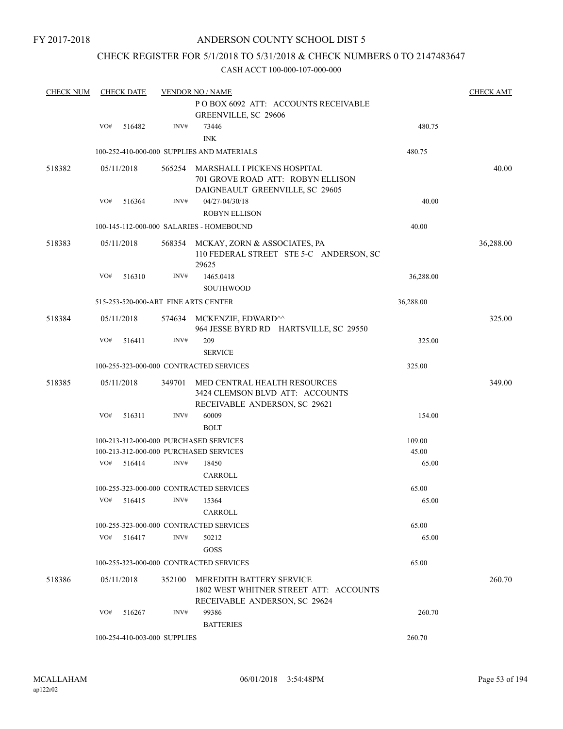# CHECK REGISTER FOR 5/1/2018 TO 5/31/2018 & CHECK NUMBERS 0 TO 2147483647

| <b>CHECK NUM</b> |     | <b>CHECK DATE</b> |                              | <b>VENDOR NO / NAME</b>                                                                                    |           | <b>CHECK AMT</b> |
|------------------|-----|-------------------|------------------------------|------------------------------------------------------------------------------------------------------------|-----------|------------------|
|                  |     |                   |                              | POBOX 6092 ATT: ACCOUNTS RECEIVABLE<br>GREENVILLE, SC 29606                                                |           |                  |
|                  | VO# | 516482            | INV#                         | 73446<br><b>INK</b>                                                                                        | 480.75    |                  |
|                  |     |                   |                              | 100-252-410-000-000 SUPPLIES AND MATERIALS                                                                 | 480.75    |                  |
| 518382           |     | 05/11/2018        | 565254                       | MARSHALL I PICKENS HOSPITAL<br>701 GROVE ROAD ATT: ROBYN ELLISON<br>DAIGNEAULT GREENVILLE, SC 29605        |           | 40.00            |
|                  | VO# | 516364            | INV#                         | 04/27-04/30/18                                                                                             | 40.00     |                  |
|                  |     |                   |                              | <b>ROBYN ELLISON</b>                                                                                       |           |                  |
|                  |     |                   |                              | 100-145-112-000-000 SALARIES - HOMEBOUND                                                                   | 40.00     |                  |
| 518383           |     | 05/11/2018        | 568354                       | MCKAY, ZORN & ASSOCIATES, PA<br>110 FEDERAL STREET STE 5-C ANDERSON, SC<br>29625                           |           | 36,288.00        |
|                  | VO# | 516310            | INV#                         | 1465.0418<br><b>SOUTHWOOD</b>                                                                              | 36,288.00 |                  |
|                  |     |                   |                              | 515-253-520-000-ART FINE ARTS CENTER                                                                       | 36,288.00 |                  |
| 518384           |     | 05/11/2018        |                              | 574634 MCKENZIE, EDWARD <sup>^^</sup><br>964 JESSE BYRD RD HARTSVILLE, SC 29550                            |           | 325.00           |
|                  | VO# | 516411            | INV#                         | 209                                                                                                        | 325.00    |                  |
|                  |     |                   |                              | <b>SERVICE</b>                                                                                             |           |                  |
|                  |     |                   |                              | 100-255-323-000-000 CONTRACTED SERVICES                                                                    | 325.00    |                  |
| 518385           |     | 05/11/2018        | 349701                       | MED CENTRAL HEALTH RESOURCES<br>3424 CLEMSON BLVD ATT: ACCOUNTS<br>RECEIVABLE ANDERSON, SC 29621           |           | 349.00           |
|                  | VO# | 516311            | INV#                         | 60009<br><b>BOLT</b>                                                                                       | 154.00    |                  |
|                  |     |                   |                              | 100-213-312-000-000 PURCHASED SERVICES                                                                     | 109.00    |                  |
|                  |     |                   |                              | 100-213-312-000-000 PURCHASED SERVICES                                                                     | 45.00     |                  |
|                  | VO# | 516414            | INV#                         | 18450<br>CARROLL                                                                                           | 65.00     |                  |
|                  |     |                   |                              | 100-255-323-000-000 CONTRACTED SERVICES                                                                    | 65.00     |                  |
|                  |     |                   | VO# 516415 INV# 15364        | CARROLL                                                                                                    | 65.00     |                  |
|                  |     |                   |                              | 100-255-323-000-000 CONTRACTED SERVICES                                                                    | 65.00     |                  |
|                  | VO# | 516417            | INV#                         | 50212                                                                                                      | 65.00     |                  |
|                  |     |                   |                              | GOSS                                                                                                       |           |                  |
|                  |     |                   |                              | 100-255-323-000-000 CONTRACTED SERVICES                                                                    | 65.00     |                  |
| 518386           |     | 05/11/2018        | 352100                       | <b>MEREDITH BATTERY SERVICE</b><br>1802 WEST WHITNER STREET ATT: ACCOUNTS<br>RECEIVABLE ANDERSON, SC 29624 |           | 260.70           |
|                  | VO# | 516267            | INV#                         | 99386<br><b>BATTERIES</b>                                                                                  | 260.70    |                  |
|                  |     |                   | 100-254-410-003-000 SUPPLIES |                                                                                                            | 260.70    |                  |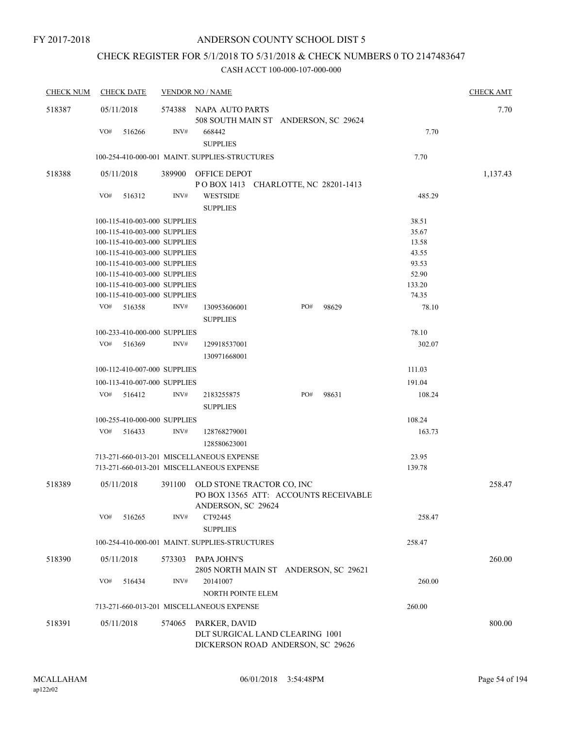# CHECK REGISTER FOR 5/1/2018 TO 5/31/2018 & CHECK NUMBERS 0 TO 2147483647

| <b>CHECK NUM</b> | <b>CHECK DATE</b>            |        | <b>VENDOR NO / NAME</b>                                                                  |     |       |        | <b>CHECK AMT</b> |
|------------------|------------------------------|--------|------------------------------------------------------------------------------------------|-----|-------|--------|------------------|
| 518387           | 05/11/2018                   |        | 574388 NAPA AUTO PARTS<br>508 SOUTH MAIN ST ANDERSON, SC 29624                           |     |       |        | 7.70             |
|                  | VO#<br>516266                | INV#   | 668442<br><b>SUPPLIES</b>                                                                |     |       | 7.70   |                  |
|                  |                              |        | 100-254-410-000-001 MAINT. SUPPLIES-STRUCTURES                                           |     |       | 7.70   |                  |
| 518388           | 05/11/2018                   |        | 389900 OFFICE DEPOT<br>POBOX 1413 CHARLOTTE, NC 28201-1413                               |     |       |        | 1,137.43         |
|                  | VO#<br>516312                | INV#   | <b>WESTSIDE</b><br><b>SUPPLIES</b>                                                       |     |       | 485.29 |                  |
|                  | 100-115-410-003-000 SUPPLIES |        |                                                                                          |     |       | 38.51  |                  |
|                  | 100-115-410-003-000 SUPPLIES |        |                                                                                          |     |       | 35.67  |                  |
|                  | 100-115-410-003-000 SUPPLIES |        |                                                                                          |     |       | 13.58  |                  |
|                  | 100-115-410-003-000 SUPPLIES |        |                                                                                          |     |       | 43.55  |                  |
|                  | 100-115-410-003-000 SUPPLIES |        |                                                                                          |     |       | 93.53  |                  |
|                  | 100-115-410-003-000 SUPPLIES |        |                                                                                          |     |       | 52.90  |                  |
|                  | 100-115-410-003-000 SUPPLIES |        |                                                                                          |     |       | 133.20 |                  |
|                  | 100-115-410-003-000 SUPPLIES |        |                                                                                          |     |       | 74.35  |                  |
|                  | VO#<br>516358                | INV#   | 130953606001<br><b>SUPPLIES</b>                                                          | PO# | 98629 | 78.10  |                  |
|                  | 100-233-410-000-000 SUPPLIES |        |                                                                                          |     |       | 78.10  |                  |
|                  | VO#<br>516369                | INV#   | 129918537001<br>130971668001                                                             |     |       | 302.07 |                  |
|                  | 100-112-410-007-000 SUPPLIES |        |                                                                                          |     |       | 111.03 |                  |
|                  | 100-113-410-007-000 SUPPLIES |        |                                                                                          |     |       | 191.04 |                  |
|                  | VO#<br>516412                | INV#   | 2183255875                                                                               | PO# | 98631 | 108.24 |                  |
|                  |                              |        | <b>SUPPLIES</b>                                                                          |     |       |        |                  |
|                  | 100-255-410-000-000 SUPPLIES |        |                                                                                          |     |       | 108.24 |                  |
|                  | VO#<br>516433                | INV#   | 128768279001                                                                             |     |       | 163.73 |                  |
|                  |                              |        | 128580623001                                                                             |     |       |        |                  |
|                  |                              |        | 713-271-660-013-201 MISCELLANEOUS EXPENSE                                                |     |       | 23.95  |                  |
|                  |                              |        | 713-271-660-013-201 MISCELLANEOUS EXPENSE                                                |     |       | 139.78 |                  |
| 518389           | 05/11/2018                   | 391100 | OLD STONE TRACTOR CO, INC<br>PO BOX 13565 ATT: ACCOUNTS RECEIVABLE<br>ANDERSON, SC 29624 |     |       |        | 258.47           |
|                  | VO#<br>516265                | INV#   | CT92445<br><b>SUPPLIES</b>                                                               |     |       | 258.47 |                  |
|                  |                              |        | 100-254-410-000-001 MAINT. SUPPLIES-STRUCTURES                                           |     |       | 258.47 |                  |
| 518390           | 05/11/2018                   | 573303 | PAPA JOHN'S<br>2805 NORTH MAIN ST ANDERSON, SC 29621                                     |     |       |        | 260.00           |
|                  | VO#<br>516434                | INV#   | 20141007<br>NORTH POINTE ELEM                                                            |     |       | 260.00 |                  |
|                  |                              |        | 713-271-660-013-201 MISCELLANEOUS EXPENSE                                                |     |       | 260.00 |                  |
| 518391           | 05/11/2018                   | 574065 | PARKER, DAVID<br>DLT SURGICAL LAND CLEARING 1001<br>DICKERSON ROAD ANDERSON, SC 29626    |     |       |        | 800.00           |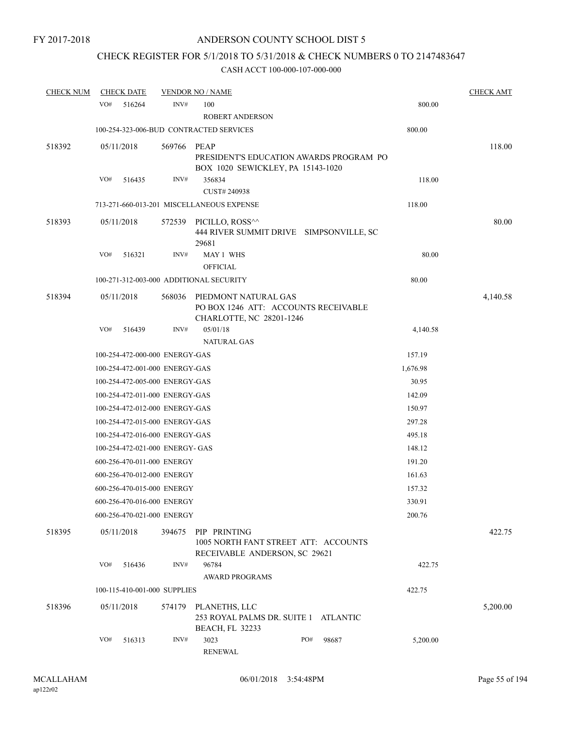# CHECK REGISTER FOR 5/1/2018 TO 5/31/2018 & CHECK NUMBERS 0 TO 2147483647

| <b>CHECK NUM</b> | <b>CHECK DATE</b> |                                 | <b>VENDOR NO / NAME</b>                                                                  |     |       |          | <b>CHECK AMT</b> |
|------------------|-------------------|---------------------------------|------------------------------------------------------------------------------------------|-----|-------|----------|------------------|
|                  | VO#<br>516264     | INV#                            | 100<br><b>ROBERT ANDERSON</b>                                                            |     |       | 800.00   |                  |
|                  |                   |                                 | 100-254-323-006-BUD CONTRACTED SERVICES                                                  |     |       | 800.00   |                  |
| 518392           | 05/11/2018        | 569766                          | PEAP<br>PRESIDENT'S EDUCATION AWARDS PROGRAM PO<br>BOX 1020 SEWICKLEY, PA 15143-1020     |     |       |          | 118.00           |
|                  | VO#<br>516435     | INV#                            | 356834<br>CUST# 240938                                                                   |     |       | 118.00   |                  |
|                  |                   |                                 | 713-271-660-013-201 MISCELLANEOUS EXPENSE                                                |     |       | 118.00   |                  |
| 518393           | 05/11/2018        |                                 | 572539 PICILLO, ROSS^^<br>444 RIVER SUMMIT DRIVE SIMPSONVILLE, SC<br>29681               |     |       |          | 80.00            |
|                  | VO#<br>516321     | INV#                            | MAY 1 WHS<br><b>OFFICIAL</b>                                                             |     |       | 80.00    |                  |
|                  |                   |                                 | 100-271-312-003-000 ADDITIONAL SECURITY                                                  |     |       | 80.00    |                  |
| 518394           | 05/11/2018        | 568036                          | PIEDMONT NATURAL GAS<br>PO BOX 1246 ATT: ACCOUNTS RECEIVABLE<br>CHARLOTTE, NC 28201-1246 |     |       |          | 4,140.58         |
|                  | VO#<br>516439     | INV#                            | 05/01/18<br><b>NATURAL GAS</b>                                                           |     |       | 4,140.58 |                  |
|                  |                   | 100-254-472-000-000 ENERGY-GAS  |                                                                                          |     |       | 157.19   |                  |
|                  |                   | 100-254-472-001-000 ENERGY-GAS  |                                                                                          |     |       | 1,676.98 |                  |
|                  |                   | 100-254-472-005-000 ENERGY-GAS  |                                                                                          |     |       | 30.95    |                  |
|                  |                   | 100-254-472-011-000 ENERGY-GAS  |                                                                                          |     |       | 142.09   |                  |
|                  |                   | 100-254-472-012-000 ENERGY-GAS  |                                                                                          |     |       | 150.97   |                  |
|                  |                   | 100-254-472-015-000 ENERGY-GAS  |                                                                                          |     |       | 297.28   |                  |
|                  |                   | 100-254-472-016-000 ENERGY-GAS  |                                                                                          |     |       | 495.18   |                  |
|                  |                   | 100-254-472-021-000 ENERGY- GAS |                                                                                          |     |       | 148.12   |                  |
|                  |                   | 600-256-470-011-000 ENERGY      |                                                                                          |     |       | 191.20   |                  |
|                  |                   | 600-256-470-012-000 ENERGY      |                                                                                          |     |       | 161.63   |                  |
|                  |                   | 600-256-470-015-000 ENERGY      |                                                                                          |     |       | 157.32   |                  |
|                  |                   | 600-256-470-016-000 ENERGY      |                                                                                          |     |       | 330.91   |                  |
|                  |                   | 600-256-470-021-000 ENERGY      |                                                                                          |     |       | 200.76   |                  |
| 518395           | 05/11/2018        | 394675                          | PIP PRINTING<br>1005 NORTH FANT STREET ATT: ACCOUNTS<br>RECEIVABLE ANDERSON, SC 29621    |     |       |          | 422.75           |
|                  | VO#<br>516436     | INV#                            | 96784<br><b>AWARD PROGRAMS</b>                                                           |     |       | 422.75   |                  |
|                  |                   | 100-115-410-001-000 SUPPLIES    |                                                                                          |     |       | 422.75   |                  |
| 518396           | 05/11/2018        | 574179                          | PLANETHS, LLC<br>253 ROYAL PALMS DR. SUITE 1 ATLANTIC<br><b>BEACH, FL 32233</b>          |     |       |          | 5,200.00         |
|                  | VO#<br>516313     | INV#                            | 3023<br><b>RENEWAL</b>                                                                   | PO# | 98687 | 5,200.00 |                  |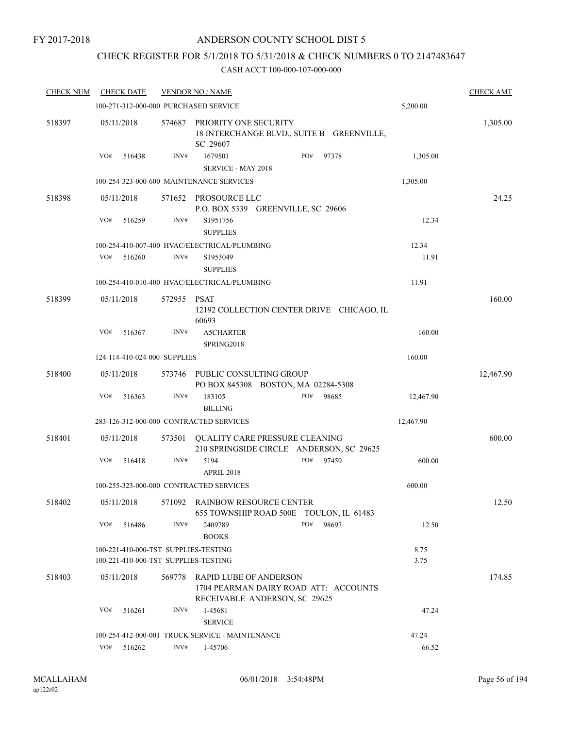# CHECK REGISTER FOR 5/1/2018 TO 5/31/2018 & CHECK NUMBERS 0 TO 2147483647

| <b>CHECK NUM</b> | <b>CHECK DATE</b>                                                            |             | <b>VENDOR NO / NAME</b>                                                                                 |     |       |              | <b>CHECK AMT</b> |
|------------------|------------------------------------------------------------------------------|-------------|---------------------------------------------------------------------------------------------------------|-----|-------|--------------|------------------|
|                  | 100-271-312-000-000 PURCHASED SERVICE                                        |             |                                                                                                         |     |       | 5,200.00     |                  |
| 518397           | 05/11/2018                                                                   | 574687      | PRIORITY ONE SECURITY<br>18 INTERCHANGE BLVD., SUITE B GREENVILLE,<br>SC 29607                          |     |       |              | 1,305.00         |
|                  | VO#<br>516438                                                                | INV#        | 1679501<br>SERVICE - MAY 2018                                                                           | PO# | 97378 | 1,305.00     |                  |
|                  |                                                                              |             | 100-254-323-000-600 MAINTENANCE SERVICES                                                                |     |       | 1,305.00     |                  |
| 518398           | 05/11/2018                                                                   |             | 571652 PROSOURCE LLC<br>P.O. BOX 5339 GREENVILLE, SC 29606                                              |     |       |              | 24.25            |
|                  | VO#<br>516259                                                                | INV#        | S1951756<br><b>SUPPLIES</b>                                                                             |     |       | 12.34        |                  |
|                  |                                                                              |             | 100-254-410-007-400 HVAC/ELECTRICAL/PLUMBING                                                            |     |       | 12.34        |                  |
|                  | VO#<br>516260                                                                | INV#        | S1953049<br><b>SUPPLIES</b>                                                                             |     |       | 11.91        |                  |
|                  |                                                                              |             | 100-254-410-010-400 HVAC/ELECTRICAL/PLUMBING                                                            |     |       | 11.91        |                  |
| 518399           | 05/11/2018                                                                   | 572955 PSAT | 12192 COLLECTION CENTER DRIVE CHICAGO, IL<br>60693                                                      |     |       |              | 160.00           |
|                  | VO#<br>516367                                                                | INV#        | <b>A5CHARTER</b><br>SPRING2018                                                                          |     |       | 160.00       |                  |
|                  | 124-114-410-024-000 SUPPLIES                                                 |             |                                                                                                         |     |       | 160.00       |                  |
| 518400           | 05/11/2018                                                                   | 573746      | PUBLIC CONSULTING GROUP<br>PO BOX 845308 BOSTON, MA 02284-5308                                          |     |       |              | 12,467.90        |
|                  | VO#<br>516363                                                                | INV#        | 183105<br><b>BILLING</b>                                                                                | PO# | 98685 | 12,467.90    |                  |
|                  | 283-126-312-000-000 CONTRACTED SERVICES                                      |             |                                                                                                         |     |       | 12,467.90    |                  |
| 518401           | 05/11/2018                                                                   |             | 573501 QUALITY CARE PRESSURE CLEANING<br>210 SPRINGSIDE CIRCLE ANDERSON, SC 29625                       |     |       |              | 600.00           |
|                  | VO#<br>516418                                                                | INV#        | 5194<br><b>APRIL 2018</b>                                                                               | PO# | 97459 | 600.00       |                  |
|                  | 100-255-323-000-000 CONTRACTED SERVICES                                      |             |                                                                                                         |     |       | 600.00       |                  |
| 518402           | 05/11/2018                                                                   |             | 571092 RAINBOW RESOURCE CENTER<br>655 TOWNSHIP ROAD 500E TOULON, IL 61483                               |     |       |              | 12.50            |
|                  | VO#<br>516486                                                                | INV#        | 2409789<br><b>BOOKS</b>                                                                                 | PO# | 98697 | 12.50        |                  |
|                  | 100-221-410-000-TST SUPPLIES-TESTING<br>100-221-410-000-TST SUPPLIES-TESTING |             |                                                                                                         |     |       | 8.75<br>3.75 |                  |
| 518403           | 05/11/2018                                                                   | 569778      | <b>RAPID LUBE OF ANDERSON</b><br>1704 PEARMAN DAIRY ROAD ATT: ACCOUNTS<br>RECEIVABLE ANDERSON, SC 29625 |     |       |              | 174.85           |
|                  | VO#<br>516261                                                                | INV#        | 1-45681<br><b>SERVICE</b>                                                                               |     |       | 47.24        |                  |
|                  |                                                                              |             | 100-254-412-000-001 TRUCK SERVICE - MAINTENANCE                                                         |     |       | 47.24        |                  |
|                  | VO#<br>516262                                                                | INV#        | 1-45706                                                                                                 |     |       | 66.52        |                  |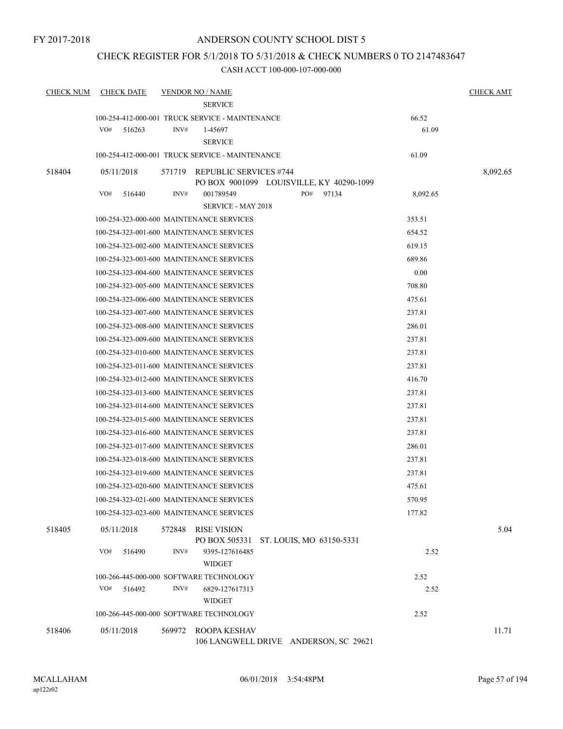# CHECK REGISTER FOR 5/1/2018 TO 5/31/2018 & CHECK NUMBERS 0 TO 2147483647

| <b>CHECK NUM</b> | <b>CHECK DATE</b> |        | <b>VENDOR NO / NAME</b><br><b>SERVICE</b>             |     |       |          | <b>CHECK AMT</b> |
|------------------|-------------------|--------|-------------------------------------------------------|-----|-------|----------|------------------|
|                  |                   |        | 100-254-412-000-001 TRUCK SERVICE - MAINTENANCE       |     |       | 66.52    |                  |
|                  | VO#<br>516263     | INV#   | 1-45697                                               |     |       | 61.09    |                  |
|                  |                   |        | <b>SERVICE</b>                                        |     |       |          |                  |
|                  |                   |        | 100-254-412-000-001 TRUCK SERVICE - MAINTENANCE       |     |       | 61.09    |                  |
| 518404           | 05/11/2018        |        | 571719 REPUBLIC SERVICES #744                         |     |       |          | 8,092.65         |
|                  |                   |        | PO BOX 9001099 LOUISVILLE, KY 40290-1099              |     |       |          |                  |
|                  | VO#<br>516440     | INV#   | 001789549                                             | PO# | 97134 | 8,092.65 |                  |
|                  |                   |        | <b>SERVICE - MAY 2018</b>                             |     |       |          |                  |
|                  |                   |        | 100-254-323-000-600 MAINTENANCE SERVICES              |     |       | 353.51   |                  |
|                  |                   |        | 100-254-323-001-600 MAINTENANCE SERVICES              |     |       | 654.52   |                  |
|                  |                   |        | 100-254-323-002-600 MAINTENANCE SERVICES              |     |       | 619.15   |                  |
|                  |                   |        | 100-254-323-003-600 MAINTENANCE SERVICES              |     |       | 689.86   |                  |
|                  |                   |        | 100-254-323-004-600 MAINTENANCE SERVICES              |     |       | 0.00     |                  |
|                  |                   |        | 100-254-323-005-600 MAINTENANCE SERVICES              |     |       | 708.80   |                  |
|                  |                   |        | 100-254-323-006-600 MAINTENANCE SERVICES              |     |       | 475.61   |                  |
|                  |                   |        | 100-254-323-007-600 MAINTENANCE SERVICES              |     |       | 237.81   |                  |
|                  |                   |        | 100-254-323-008-600 MAINTENANCE SERVICES              |     |       | 286.01   |                  |
|                  |                   |        | 100-254-323-009-600 MAINTENANCE SERVICES              |     |       | 237.81   |                  |
|                  |                   |        | 100-254-323-010-600 MAINTENANCE SERVICES              |     |       | 237.81   |                  |
|                  |                   |        | 100-254-323-011-600 MAINTENANCE SERVICES              |     |       | 237.81   |                  |
|                  |                   |        | 100-254-323-012-600 MAINTENANCE SERVICES              |     |       | 416.70   |                  |
|                  |                   |        | 100-254-323-013-600 MAINTENANCE SERVICES              |     |       | 237.81   |                  |
|                  |                   |        | 100-254-323-014-600 MAINTENANCE SERVICES              |     |       | 237.81   |                  |
|                  |                   |        | 100-254-323-015-600 MAINTENANCE SERVICES              |     |       | 237.81   |                  |
|                  |                   |        | 100-254-323-016-600 MAINTENANCE SERVICES              |     |       | 237.81   |                  |
|                  |                   |        | 100-254-323-017-600 MAINTENANCE SERVICES              |     |       | 286.01   |                  |
|                  |                   |        | 100-254-323-018-600 MAINTENANCE SERVICES              |     |       | 237.81   |                  |
|                  |                   |        | 100-254-323-019-600 MAINTENANCE SERVICES              |     |       | 237.81   |                  |
|                  |                   |        | 100-254-323-020-600 MAINTENANCE SERVICES              |     |       | 475.61   |                  |
|                  |                   |        | 100-254-323-021-600 MAINTENANCE SERVICES              |     |       | 570.95   |                  |
|                  |                   |        | 100-254-323-023-600 MAINTENANCE SERVICES              |     |       | 177.82   |                  |
| 518405           | 05/11/2018        | 572848 | RISE VISION                                           |     |       |          | 5.04             |
|                  |                   |        | PO BOX 505331 ST. LOUIS, MO 63150-5331                |     |       |          |                  |
|                  | VO#<br>516490     | INV#   | 9395-127616485                                        |     |       | 2.52     |                  |
|                  |                   |        | <b>WIDGET</b>                                         |     |       |          |                  |
|                  |                   |        | 100-266-445-000-000 SOFTWARE TECHNOLOGY               |     |       | 2.52     |                  |
|                  | VO#<br>516492     | INV#   | 6829-127617313                                        |     |       | 2.52     |                  |
|                  |                   |        | <b>WIDGET</b>                                         |     |       |          |                  |
|                  |                   |        | 100-266-445-000-000 SOFTWARE TECHNOLOGY               |     |       | 2.52     |                  |
| 518406           | 05/11/2018        | 569972 | ROOPA KESHAV<br>106 LANGWELL DRIVE ANDERSON, SC 29621 |     |       |          | 11.71            |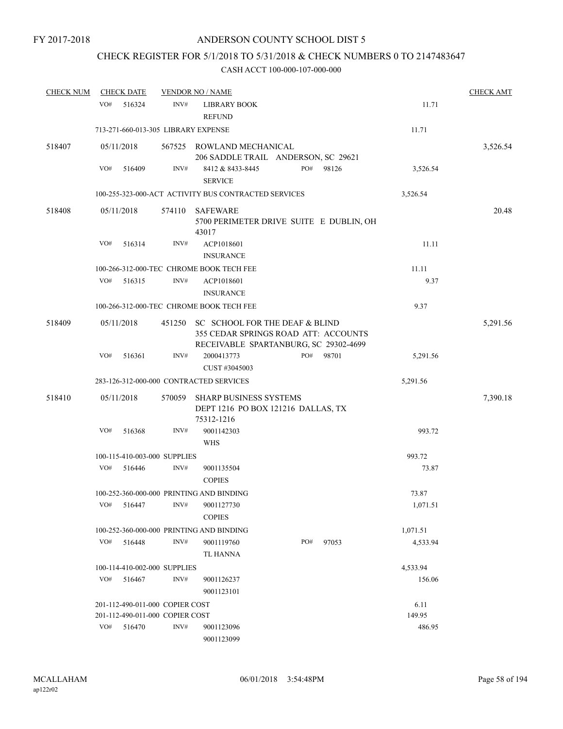# CHECK REGISTER FOR 5/1/2018 TO 5/31/2018 & CHECK NUMBERS 0 TO 2147483647

| <b>CHECK NUM</b> |     | <b>CHECK DATE</b>                   |        | <b>VENDOR NO / NAME</b>                                                                                         |     |       |          | <b>CHECK AMT</b> |
|------------------|-----|-------------------------------------|--------|-----------------------------------------------------------------------------------------------------------------|-----|-------|----------|------------------|
|                  | VO# | 516324                              | INV#   | <b>LIBRARY BOOK</b><br><b>REFUND</b>                                                                            |     |       | 11.71    |                  |
|                  |     | 713-271-660-013-305 LIBRARY EXPENSE |        |                                                                                                                 |     |       | 11.71    |                  |
| 518407           |     | 05/11/2018                          |        | 567525 ROWLAND MECHANICAL<br>206 SADDLE TRAIL ANDERSON, SC 29621                                                |     |       |          | 3,526.54         |
|                  | VO# | 516409                              | INV#   | 8412 & 8433-8445<br><b>SERVICE</b>                                                                              | PO# | 98126 | 3,526.54 |                  |
|                  |     |                                     |        | 100-255-323-000-ACT ACTIVITY BUS CONTRACTED SERVICES                                                            |     |       | 3,526.54 |                  |
| 518408           |     | 05/11/2018                          | 574110 | SAFEWARE<br>5700 PERIMETER DRIVE SUITE E DUBLIN, OH<br>43017                                                    |     |       |          | 20.48            |
|                  | VO# | 516314                              | INV#   | ACP1018601<br><b>INSURANCE</b>                                                                                  |     |       | 11.11    |                  |
|                  |     |                                     |        | 100-266-312-000-TEC CHROME BOOK TECH FEE                                                                        |     |       | 11.11    |                  |
|                  | VO# | 516315                              | INV#   | ACP1018601<br><b>INSURANCE</b>                                                                                  |     |       | 9.37     |                  |
|                  |     |                                     |        | 100-266-312-000-TEC CHROME BOOK TECH FEE                                                                        |     |       | 9.37     |                  |
| 518409           |     | 05/11/2018                          | 451250 | SC SCHOOL FOR THE DEAF & BLIND<br>355 CEDAR SPRINGS ROAD ATT: ACCOUNTS<br>RECEIVABLE SPARTANBURG, SC 29302-4699 |     |       |          | 5,291.56         |
|                  | VO# | 516361                              | INV#   | 2000413773<br>CUST #3045003                                                                                     | PO# | 98701 | 5,291.56 |                  |
|                  |     |                                     |        | 283-126-312-000-000 CONTRACTED SERVICES                                                                         |     |       | 5,291.56 |                  |
| 518410           |     | 05/11/2018                          | 570059 | <b>SHARP BUSINESS SYSTEMS</b><br>DEPT 1216 PO BOX 121216 DALLAS, TX<br>75312-1216                               |     |       |          | 7,390.18         |
|                  | VO# | 516368                              | INV#   | 9001142303<br><b>WHS</b>                                                                                        |     |       | 993.72   |                  |
|                  |     | 100-115-410-003-000 SUPPLIES        |        |                                                                                                                 |     |       | 993.72   |                  |
|                  | VO# | 516446                              | INV#   | 9001135504<br><b>COPIES</b>                                                                                     |     |       | 73.87    |                  |
|                  |     |                                     |        | 100-252-360-000-000 PRINTING AND BINDING                                                                        |     |       | 73.87    |                  |
|                  | VO# | 516447                              | INV#   | 9001127730<br><b>COPIES</b>                                                                                     |     |       | 1,071.51 |                  |
|                  |     |                                     |        | 100-252-360-000-000 PRINTING AND BINDING                                                                        |     |       | 1,071.51 |                  |
|                  | VO# | 516448                              | INV#   | 9001119760<br>TL HANNA                                                                                          | PO# | 97053 | 4,533.94 |                  |
|                  |     | 100-114-410-002-000 SUPPLIES        |        |                                                                                                                 |     |       | 4,533.94 |                  |
|                  | VO# | 516467                              | INV#   | 9001126237<br>9001123101                                                                                        |     |       | 156.06   |                  |
|                  |     | 201-112-490-011-000 COPIER COST     |        |                                                                                                                 |     |       | 6.11     |                  |
|                  |     | 201-112-490-011-000 COPIER COST     |        |                                                                                                                 |     |       | 149.95   |                  |
|                  | VO# | 516470                              | INV#   | 9001123096<br>9001123099                                                                                        |     |       | 486.95   |                  |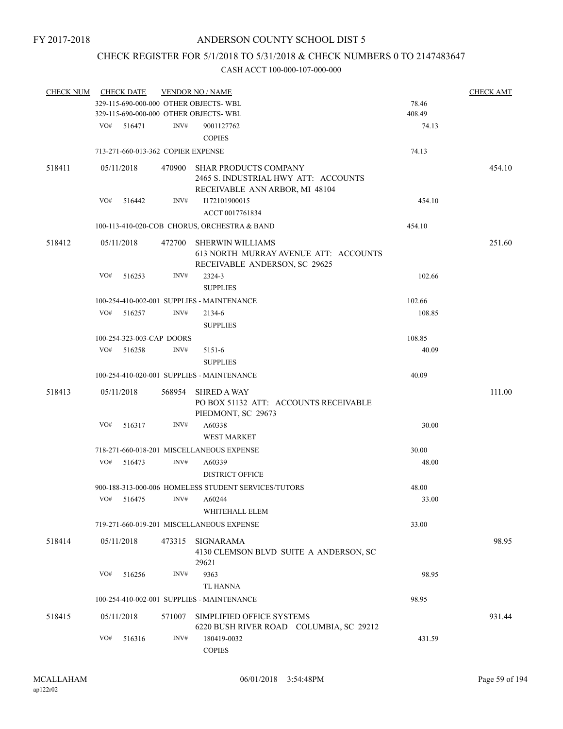# CHECK REGISTER FOR 5/1/2018 TO 5/31/2018 & CHECK NUMBERS 0 TO 2147483647

| <b>CHECK NUM</b> |     | <b>CHECK DATE</b>                  |        | <b>VENDOR NO / NAME</b>                                                                                |        | <b>CHECK AMT</b> |
|------------------|-----|------------------------------------|--------|--------------------------------------------------------------------------------------------------------|--------|------------------|
|                  |     |                                    |        | 329-115-690-000-000 OTHER OBJECTS- WBL                                                                 | 78.46  |                  |
|                  |     |                                    |        | 329-115-690-000-000 OTHER OBJECTS- WBL                                                                 | 408.49 |                  |
|                  | VO# | 516471                             | INV#   | 9001127762                                                                                             | 74.13  |                  |
|                  |     |                                    |        | <b>COPIES</b>                                                                                          |        |                  |
|                  |     | 713-271-660-013-362 COPIER EXPENSE |        |                                                                                                        | 74.13  |                  |
| 518411           |     | 05/11/2018                         | 470900 | <b>SHAR PRODUCTS COMPANY</b><br>2465 S. INDUSTRIAL HWY ATT: ACCOUNTS<br>RECEIVABLE ANN ARBOR, MI 48104 |        | 454.10           |
|                  | VO# | 516442                             | INV#   | I172101900015<br>ACCT 0017761834                                                                       | 454.10 |                  |
|                  |     |                                    |        | 100-113-410-020-COB CHORUS, ORCHESTRA & BAND                                                           | 454.10 |                  |
| 518412           |     | 05/11/2018                         | 472700 | SHERWIN WILLIAMS<br>613 NORTH MURRAY AVENUE ATT: ACCOUNTS<br>RECEIVABLE ANDERSON, SC 29625             |        | 251.60           |
|                  | VO# | 516253                             | INV#   | 2324-3                                                                                                 | 102.66 |                  |
|                  |     |                                    |        | <b>SUPPLIES</b>                                                                                        |        |                  |
|                  |     |                                    |        | 100-254-410-002-001 SUPPLIES - MAINTENANCE                                                             | 102.66 |                  |
|                  | VO# | 516257                             | INV#   | 2134-6                                                                                                 | 108.85 |                  |
|                  |     |                                    |        | <b>SUPPLIES</b>                                                                                        |        |                  |
|                  |     | 100-254-323-003-CAP DOORS          |        |                                                                                                        | 108.85 |                  |
|                  | VO# | 516258                             | INV#   | 5151-6                                                                                                 | 40.09  |                  |
|                  |     |                                    |        | <b>SUPPLIES</b>                                                                                        |        |                  |
|                  |     |                                    |        | 100-254-410-020-001 SUPPLIES - MAINTENANCE                                                             | 40.09  |                  |
| 518413           |     | 05/11/2018                         | 568954 | <b>SHRED A WAY</b><br>PO BOX 51132 ATT: ACCOUNTS RECEIVABLE<br>PIEDMONT, SC 29673                      |        | 111.00           |
|                  | VO# | 516317                             | INV#   | A60338<br><b>WEST MARKET</b>                                                                           | 30.00  |                  |
|                  |     |                                    |        | 718-271-660-018-201 MISCELLANEOUS EXPENSE                                                              | 30.00  |                  |
|                  | VO# | 516473                             | INV#   | A60339                                                                                                 | 48.00  |                  |
|                  |     |                                    |        | <b>DISTRICT OFFICE</b>                                                                                 |        |                  |
|                  |     |                                    |        | 900-188-313-000-006 HOMELESS STUDENT SERVICES/TUTORS                                                   | 48.00  |                  |
|                  |     |                                    |        | VO# 516475 INV# A60244                                                                                 | 33.00  |                  |
|                  |     |                                    |        |                                                                                                        |        |                  |
|                  |     |                                    |        | WHITEHALL ELEM<br>719-271-660-019-201 MISCELLANEOUS EXPENSE                                            | 33.00  |                  |
| 518414           |     | 05/11/2018                         | 473315 | SIGNARAMA<br>4130 CLEMSON BLVD SUITE A ANDERSON, SC                                                    |        | 98.95            |
|                  |     |                                    |        | 29621                                                                                                  |        |                  |
|                  | VO# | 516256                             | INV#   | 9363                                                                                                   | 98.95  |                  |
|                  |     |                                    |        | <b>TL HANNA</b>                                                                                        |        |                  |
|                  |     |                                    |        | 100-254-410-002-001 SUPPLIES - MAINTENANCE                                                             | 98.95  |                  |
| 518415           |     | 05/11/2018                         | 571007 | SIMPLIFIED OFFICE SYSTEMS                                                                              |        | 931.44           |
|                  | VO# | 516316                             | INV#   | 6220 BUSH RIVER ROAD COLUMBIA, SC 29212<br>180419-0032<br><b>COPIES</b>                                | 431.59 |                  |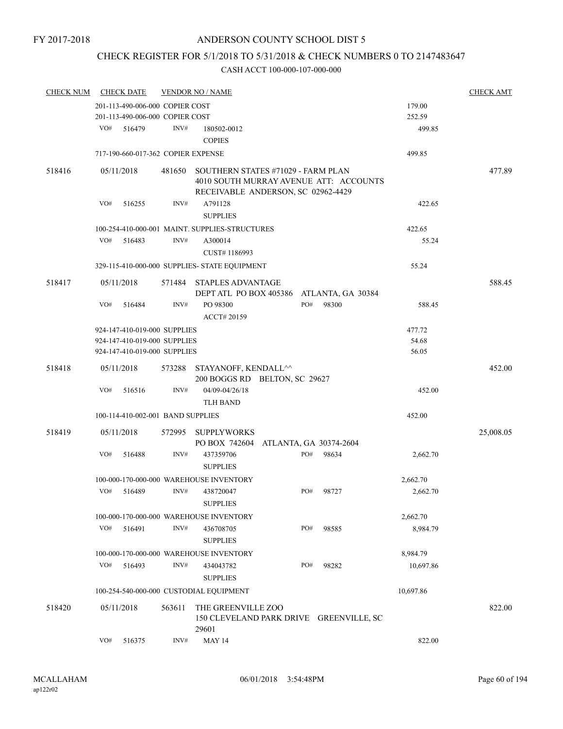# CHECK REGISTER FOR 5/1/2018 TO 5/31/2018 & CHECK NUMBERS 0 TO 2147483647

| <b>CHECK NUM</b> | <b>CHECK DATE</b>                       |        | <b>VENDOR NO / NAME</b>                          |     |                        |           | <b>CHECK AMT</b> |
|------------------|-----------------------------------------|--------|--------------------------------------------------|-----|------------------------|-----------|------------------|
|                  | 201-113-490-006-000 COPIER COST         |        |                                                  |     |                        | 179.00    |                  |
|                  | 201-113-490-006-000 COPIER COST         |        |                                                  |     |                        | 252.59    |                  |
|                  | VO#<br>516479                           | INV#   | 180502-0012                                      |     |                        | 499.85    |                  |
|                  |                                         |        | <b>COPIES</b>                                    |     |                        |           |                  |
|                  | 717-190-660-017-362 COPIER EXPENSE      |        |                                                  |     |                        | 499.85    |                  |
| 518416           | 05/11/2018                              | 481650 | SOUTHERN STATES #71029 - FARM PLAN               |     |                        |           | 477.89           |
|                  |                                         |        | 4010 SOUTH MURRAY AVENUE ATT: ACCOUNTS           |     |                        |           |                  |
|                  |                                         |        | RECEIVABLE ANDERSON, SC 02962-4429               |     |                        |           |                  |
|                  | VO#<br>516255                           | INV#   | A791128                                          |     |                        | 422.65    |                  |
|                  |                                         |        | <b>SUPPLIES</b>                                  |     |                        |           |                  |
|                  |                                         |        | 100-254-410-000-001 MAINT. SUPPLIES-STRUCTURES   |     |                        | 422.65    |                  |
|                  | VO#<br>516483                           | INV#   | A300014                                          |     |                        | 55.24     |                  |
|                  |                                         |        | CUST#1186993                                     |     |                        |           |                  |
|                  |                                         |        | 329-115-410-000-000 SUPPLIES- STATE EQUIPMENT    |     |                        | 55.24     |                  |
| 518417           | 05/11/2018                              | 571484 | <b>STAPLES ADVANTAGE</b>                         |     |                        |           | 588.45           |
|                  |                                         |        | DEPT ATL PO BOX 405386                           |     | ATLANTA, GA 30384      |           |                  |
|                  | VO#<br>516484                           | INV#   | PO 98300                                         | PO# | 98300                  | 588.45    |                  |
|                  |                                         |        | ACCT# 20159                                      |     |                        |           |                  |
|                  | 924-147-410-019-000 SUPPLIES            |        |                                                  |     |                        | 477.72    |                  |
|                  | 924-147-410-019-000 SUPPLIES            |        |                                                  |     |                        | 54.68     |                  |
|                  | 924-147-410-019-000 SUPPLIES            |        |                                                  |     |                        | 56.05     |                  |
| 518418           | 05/11/2018                              | 573288 | STAYANOFF, KENDALL^^                             |     |                        |           | 452.00           |
|                  |                                         |        | 200 BOGGS RD BELTON, SC 29627                    |     |                        |           |                  |
|                  | VO#<br>516516                           | INV#   | 04/09-04/26/18                                   |     |                        | 452.00    |                  |
|                  |                                         |        | <b>TLH BAND</b>                                  |     |                        |           |                  |
|                  | 100-114-410-002-001 BAND SUPPLIES       |        |                                                  |     |                        | 452.00    |                  |
| 518419           | 05/11/2018                              | 572995 | <b>SUPPLYWORKS</b><br>PO BOX 742604              |     | ATLANTA, GA 30374-2604 |           | 25,008.05        |
|                  | VO#<br>516488                           | INV#   | 437359706                                        | PO# | 98634                  | 2,662.70  |                  |
|                  |                                         |        | <b>SUPPLIES</b>                                  |     |                        |           |                  |
|                  |                                         |        | 100-000-170-000-000 WAREHOUSE INVENTORY          |     |                        | 2,662.70  |                  |
|                  | VO#<br>516489                           | INV#   | 438720047                                        | PO# | 98727                  | 2,662.70  |                  |
|                  |                                         |        | <b>SUPPLIES</b>                                  |     |                        |           |                  |
|                  |                                         |        | 100-000-170-000-000 WAREHOUSE INVENTORY          |     |                        | 2,662.70  |                  |
|                  | VO#<br>516491                           | INV#   | 436708705                                        | PO# | 98585                  | 8,984.79  |                  |
|                  |                                         |        | <b>SUPPLIES</b>                                  |     |                        |           |                  |
|                  | 100-000-170-000-000 WAREHOUSE INVENTORY |        |                                                  |     |                        | 8,984.79  |                  |
|                  | VO#<br>516493                           | INV#   | 434043782                                        | PO# | 98282                  | 10,697.86 |                  |
|                  |                                         |        | <b>SUPPLIES</b>                                  |     |                        |           |                  |
|                  | 100-254-540-000-000 CUSTODIAL EQUIPMENT |        |                                                  |     |                        | 10,697.86 |                  |
| 518420           | 05/11/2018                              | 563611 | THE GREENVILLE ZOO                               |     |                        |           | 822.00           |
|                  |                                         |        | 150 CLEVELAND PARK DRIVE GREENVILLE, SC<br>29601 |     |                        |           |                  |
|                  | VO#<br>516375                           | INV#   | <b>MAY 14</b>                                    |     |                        | 822.00    |                  |
|                  |                                         |        |                                                  |     |                        |           |                  |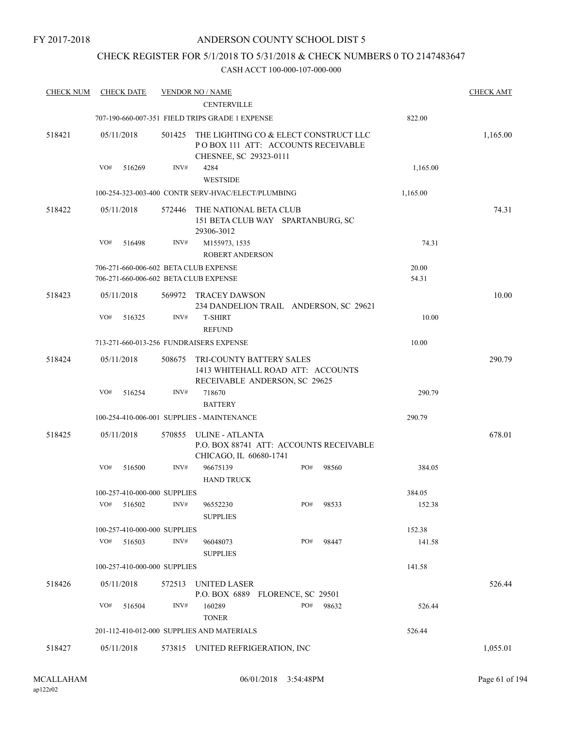# CHECK REGISTER FOR 5/1/2018 TO 5/31/2018 & CHECK NUMBERS 0 TO 2147483647

| <b>CHECK NUM</b> |     | <b>CHECK DATE</b> |                              | <b>VENDOR NO / NAME</b><br><b>CENTERVILLE</b>                                                         |     |       |                | <b>CHECK AMT</b> |
|------------------|-----|-------------------|------------------------------|-------------------------------------------------------------------------------------------------------|-----|-------|----------------|------------------|
|                  |     |                   |                              | 707-190-660-007-351 FIELD TRIPS GRADE 1 EXPENSE                                                       |     |       | 822.00         |                  |
| 518421           |     | 05/11/2018        | 501425                       | THE LIGHTING CO & ELECT CONSTRUCT LLC<br>POBOX 111 ATT: ACCOUNTS RECEIVABLE<br>CHESNEE, SC 29323-0111 |     |       |                | 1,165.00         |
|                  | VO# | 516269            | INV#                         | 4284<br><b>WESTSIDE</b>                                                                               |     |       | 1,165.00       |                  |
|                  |     |                   |                              | 100-254-323-003-400 CONTR SERV-HVAC/ELECT/PLUMBING                                                    |     |       | 1,165.00       |                  |
| 518422           |     | 05/11/2018        | 572446                       | THE NATIONAL BETA CLUB<br>151 BETA CLUB WAY SPARTANBURG, SC<br>29306-3012                             |     |       |                | 74.31            |
|                  | VO# | 516498            | INV#                         | M155973, 1535<br><b>ROBERT ANDERSON</b>                                                               |     |       | 74.31          |                  |
|                  |     |                   |                              | 706-271-660-006-602 BETA CLUB EXPENSE<br>706-271-660-006-602 BETA CLUB EXPENSE                        |     |       | 20.00<br>54.31 |                  |
| 518423           |     | 05/11/2018        | 569972                       | TRACEY DAWSON<br>234 DANDELION TRAIL ANDERSON, SC 29621                                               |     |       |                | 10.00            |
|                  | VO# | 516325            | INV#                         | <b>T-SHIRT</b><br><b>REFUND</b>                                                                       |     |       | 10.00          |                  |
|                  |     |                   |                              | 713-271-660-013-256 FUNDRAISERS EXPENSE                                                               |     |       | 10.00          |                  |
| 518424           |     | 05/11/2018        | 508675                       | <b>TRI-COUNTY BATTERY SALES</b><br>1413 WHITEHALL ROAD ATT: ACCOUNTS<br>RECEIVABLE ANDERSON, SC 29625 |     |       |                | 290.79           |
|                  | VO# | 516254            | INV#                         | 718670                                                                                                |     |       | 290.79         |                  |
|                  |     |                   |                              | <b>BATTERY</b>                                                                                        |     |       |                |                  |
|                  |     |                   |                              | 100-254-410-006-001 SUPPLIES - MAINTENANCE                                                            |     |       | 290.79         |                  |
| 518425           |     | 05/11/2018        | 570855                       | ULINE - ATLANTA<br>P.O. BOX 88741 ATT: ACCOUNTS RECEIVABLE<br>CHICAGO, IL 60680-1741                  |     |       |                | 678.01           |
|                  | VO# | 516500            | INV#                         | 96675139<br><b>HAND TRUCK</b>                                                                         | PO# | 98560 | 384.05         |                  |
|                  |     |                   | 100-257-410-000-000 SUPPLIES |                                                                                                       |     |       | 384.05         |                  |
|                  | VO# | 516502            | INV#                         | 96552230<br><b>SUPPLIES</b>                                                                           | PO# | 98533 | 152.38         |                  |
|                  |     |                   | 100-257-410-000-000 SUPPLIES |                                                                                                       |     |       | 152.38         |                  |
|                  | VO# | 516503            | INV#                         | 96048073<br><b>SUPPLIES</b>                                                                           | PO# | 98447 | 141.58         |                  |
|                  |     |                   | 100-257-410-000-000 SUPPLIES |                                                                                                       |     |       | 141.58         |                  |
| 518426           |     | 05/11/2018        | 572513                       | <b>UNITED LASER</b><br>P.O. BOX 6889 FLORENCE, SC 29501                                               |     |       |                | 526.44           |
|                  | VO# | 516504            | INV#                         | 160289<br><b>TONER</b>                                                                                | PO# | 98632 | 526.44         |                  |
|                  |     |                   |                              | 201-112-410-012-000 SUPPLIES AND MATERIALS                                                            |     |       | 526.44         |                  |
| 518427           |     | 05/11/2018        |                              | 573815 UNITED REFRIGERATION, INC                                                                      |     |       |                | 1,055.01         |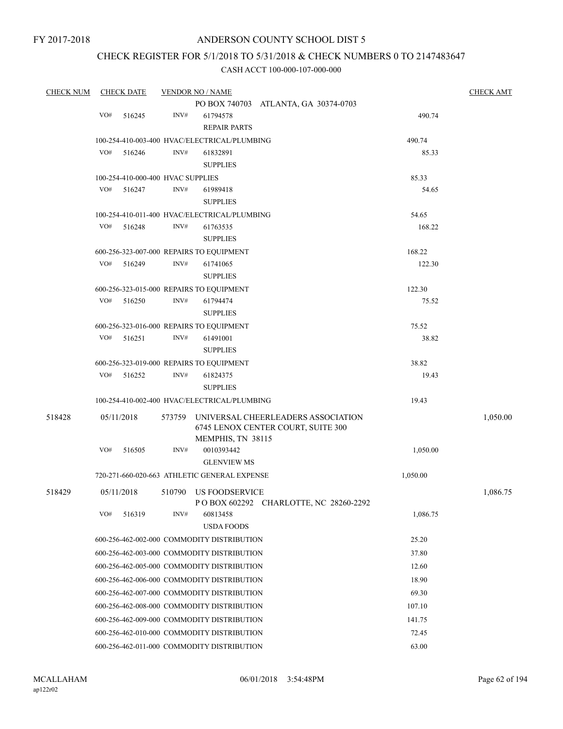# CHECK REGISTER FOR 5/1/2018 TO 5/31/2018 & CHECK NUMBERS 0 TO 2147483647

| <b>CHECK NUM</b> |     | <b>CHECK DATE</b>                            |        | <b>VENDOR NO / NAME</b>                      |                                       |          | <b>CHECK AMT</b> |
|------------------|-----|----------------------------------------------|--------|----------------------------------------------|---------------------------------------|----------|------------------|
|                  |     |                                              |        |                                              | PO BOX 740703 ATLANTA, GA 30374-0703  |          |                  |
|                  | VO# | 516245                                       | INV#   | 61794578                                     |                                       | 490.74   |                  |
|                  |     |                                              |        | <b>REPAIR PARTS</b>                          |                                       |          |                  |
|                  |     | 100-254-410-003-400 HVAC/ELECTRICAL/PLUMBING |        |                                              | 490.74                                |          |                  |
|                  | VO# | 516246                                       | INV#   | 61832891                                     |                                       | 85.33    |                  |
|                  |     |                                              |        | <b>SUPPLIES</b>                              |                                       |          |                  |
|                  |     | 100-254-410-000-400 HVAC SUPPLIES            |        | 85.33                                        |                                       |          |                  |
|                  | VO# | 516247                                       | INV#   | 61989418                                     |                                       | 54.65    |                  |
|                  |     |                                              |        | <b>SUPPLIES</b>                              |                                       |          |                  |
|                  |     |                                              |        | 100-254-410-011-400 HVAC/ELECTRICAL/PLUMBING |                                       | 54.65    |                  |
|                  | VO# | 516248                                       | INV#   | 61763535                                     |                                       | 168.22   |                  |
|                  |     |                                              |        | <b>SUPPLIES</b>                              |                                       |          |                  |
|                  |     |                                              |        | 600-256-323-007-000 REPAIRS TO EQUIPMENT     |                                       | 168.22   |                  |
|                  | VO# | 516249                                       | INV#   | 61741065                                     |                                       | 122.30   |                  |
|                  |     |                                              |        | <b>SUPPLIES</b>                              |                                       |          |                  |
|                  |     |                                              |        | 600-256-323-015-000 REPAIRS TO EQUIPMENT     |                                       | 122.30   |                  |
|                  | VO# | 516250                                       | INV#   | 61794474                                     |                                       | 75.52    |                  |
|                  |     |                                              |        | <b>SUPPLIES</b>                              |                                       |          |                  |
|                  |     |                                              |        | 600-256-323-016-000 REPAIRS TO EQUIPMENT     |                                       | 75.52    |                  |
|                  | VO# | 516251                                       | INV#   | 61491001                                     |                                       | 38.82    |                  |
|                  |     |                                              |        | <b>SUPPLIES</b>                              |                                       |          |                  |
|                  |     |                                              |        | 600-256-323-019-000 REPAIRS TO EQUIPMENT     |                                       | 38.82    |                  |
|                  | VO# | 516252                                       | INV#   | 61824375                                     |                                       | 19.43    |                  |
|                  |     |                                              |        | <b>SUPPLIES</b>                              |                                       |          |                  |
|                  |     |                                              |        | 100-254-410-002-400 HVAC/ELECTRICAL/PLUMBING |                                       | 19.43    |                  |
| 518428           |     | 05/11/2018                                   | 573759 |                                              | UNIVERSAL CHEERLEADERS ASSOCIATION    |          | 1,050.00         |
|                  |     |                                              |        |                                              | 6745 LENOX CENTER COURT, SUITE 300    |          |                  |
|                  |     |                                              |        | MEMPHIS, TN 38115                            |                                       |          |                  |
|                  | VO# | 516505                                       | INV#   | 0010393442                                   |                                       | 1,050.00 |                  |
|                  |     |                                              |        | <b>GLENVIEW MS</b>                           |                                       |          |                  |
|                  |     |                                              |        | 720-271-660-020-663 ATHLETIC GENERAL EXPENSE |                                       | 1,050.00 |                  |
| 518429           |     | 05/11/2018                                   |        | 510790 US FOODSERVICE                        |                                       |          | 1,086.75         |
|                  |     |                                              |        |                                              | POBOX 602292 CHARLOTTE, NC 28260-2292 |          |                  |
|                  | VO# | 516319                                       | INV#   | 60813458                                     |                                       | 1,086.75 |                  |
|                  |     |                                              |        | <b>USDA FOODS</b>                            |                                       |          |                  |
|                  |     |                                              |        | 600-256-462-002-000 COMMODITY DISTRIBUTION   |                                       | 25.20    |                  |
|                  |     |                                              |        | 600-256-462-003-000 COMMODITY DISTRIBUTION   |                                       | 37.80    |                  |
|                  |     | 600-256-462-005-000 COMMODITY DISTRIBUTION   |        |                                              | 12.60                                 |          |                  |
|                  |     |                                              |        | 600-256-462-006-000 COMMODITY DISTRIBUTION   |                                       | 18.90    |                  |
|                  |     |                                              |        | 600-256-462-007-000 COMMODITY DISTRIBUTION   |                                       | 69.30    |                  |
|                  |     |                                              |        | 600-256-462-008-000 COMMODITY DISTRIBUTION   |                                       | 107.10   |                  |
|                  |     |                                              |        | 600-256-462-009-000 COMMODITY DISTRIBUTION   |                                       | 141.75   |                  |
|                  |     |                                              |        | 600-256-462-010-000 COMMODITY DISTRIBUTION   |                                       | 72.45    |                  |
|                  |     |                                              |        | 600-256-462-011-000 COMMODITY DISTRIBUTION   |                                       | 63.00    |                  |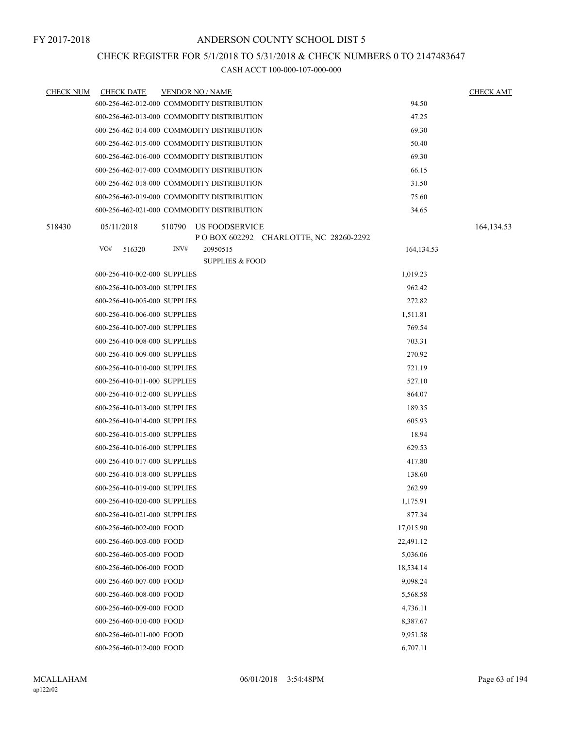# CHECK REGISTER FOR 5/1/2018 TO 5/31/2018 & CHECK NUMBERS 0 TO 2147483647

| <b>CHECK NUM</b> | <b>CHECK DATE</b>            |      | <b>VENDOR NO / NAME</b>                                          |            | <b>CHECK AMT</b> |
|------------------|------------------------------|------|------------------------------------------------------------------|------------|------------------|
|                  |                              |      | 600-256-462-012-000 COMMODITY DISTRIBUTION                       | 94.50      |                  |
|                  |                              |      | 600-256-462-013-000 COMMODITY DISTRIBUTION                       | 47.25      |                  |
|                  |                              |      | 600-256-462-014-000 COMMODITY DISTRIBUTION                       | 69.30      |                  |
|                  |                              |      | 600-256-462-015-000 COMMODITY DISTRIBUTION                       | 50.40      |                  |
|                  |                              |      | 600-256-462-016-000 COMMODITY DISTRIBUTION                       | 69.30      |                  |
|                  |                              |      | 600-256-462-017-000 COMMODITY DISTRIBUTION                       | 66.15      |                  |
|                  |                              |      | 600-256-462-018-000 COMMODITY DISTRIBUTION                       | 31.50      |                  |
|                  |                              |      | 600-256-462-019-000 COMMODITY DISTRIBUTION                       | 75.60      |                  |
|                  |                              |      | 600-256-462-021-000 COMMODITY DISTRIBUTION                       | 34.65      |                  |
| 518430           | 05/11/2018                   |      | 510790 US FOODSERVICE<br>P O BOX 602292 CHARLOTTE, NC 28260-2292 |            | 164, 134. 53     |
|                  | VO#<br>516320                | INV# | 20950515                                                         | 164,134.53 |                  |
|                  |                              |      | <b>SUPPLIES &amp; FOOD</b>                                       |            |                  |
|                  | 600-256-410-002-000 SUPPLIES |      |                                                                  | 1,019.23   |                  |
|                  | 600-256-410-003-000 SUPPLIES |      |                                                                  | 962.42     |                  |
|                  | 600-256-410-005-000 SUPPLIES |      |                                                                  | 272.82     |                  |
|                  | 600-256-410-006-000 SUPPLIES |      |                                                                  | 1,511.81   |                  |
|                  | 600-256-410-007-000 SUPPLIES |      |                                                                  | 769.54     |                  |
|                  | 600-256-410-008-000 SUPPLIES |      |                                                                  | 703.31     |                  |
|                  | 600-256-410-009-000 SUPPLIES |      |                                                                  | 270.92     |                  |
|                  | 600-256-410-010-000 SUPPLIES |      |                                                                  | 721.19     |                  |
|                  | 600-256-410-011-000 SUPPLIES |      |                                                                  | 527.10     |                  |
|                  | 600-256-410-012-000 SUPPLIES |      |                                                                  | 864.07     |                  |
|                  | 600-256-410-013-000 SUPPLIES |      |                                                                  | 189.35     |                  |
|                  | 600-256-410-014-000 SUPPLIES |      |                                                                  | 605.93     |                  |
|                  | 600-256-410-015-000 SUPPLIES |      |                                                                  | 18.94      |                  |
|                  | 600-256-410-016-000 SUPPLIES |      |                                                                  | 629.53     |                  |
|                  | 600-256-410-017-000 SUPPLIES |      |                                                                  | 417.80     |                  |
|                  | 600-256-410-018-000 SUPPLIES |      |                                                                  | 138.60     |                  |
|                  | 600-256-410-019-000 SUPPLIES |      |                                                                  | 262.99     |                  |
|                  | 600-256-410-020-000 SUPPLIES |      |                                                                  | 1,175.91   |                  |
|                  | 600-256-410-021-000 SUPPLIES |      |                                                                  | 877.34     |                  |
|                  | 600-256-460-002-000 FOOD     |      |                                                                  | 17,015.90  |                  |
|                  | 600-256-460-003-000 FOOD     |      |                                                                  | 22,491.12  |                  |
|                  | 600-256-460-005-000 FOOD     |      |                                                                  | 5,036.06   |                  |
|                  | 600-256-460-006-000 FOOD     |      |                                                                  | 18,534.14  |                  |
|                  | 600-256-460-007-000 FOOD     |      |                                                                  | 9,098.24   |                  |
|                  | 600-256-460-008-000 FOOD     |      |                                                                  | 5,568.58   |                  |
|                  | 600-256-460-009-000 FOOD     |      |                                                                  | 4,736.11   |                  |
|                  | 600-256-460-010-000 FOOD     |      |                                                                  | 8,387.67   |                  |
|                  | 600-256-460-011-000 FOOD     |      |                                                                  | 9,951.58   |                  |
|                  | 600-256-460-012-000 FOOD     |      |                                                                  | 6,707.11   |                  |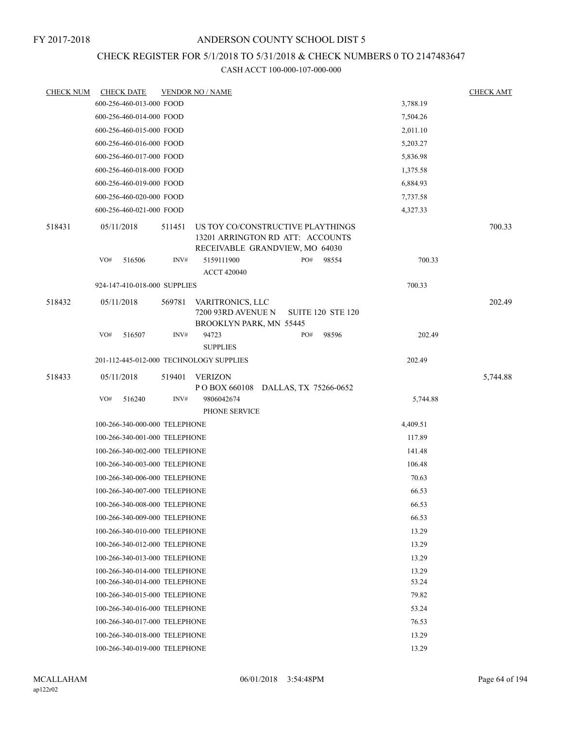#### FY 2017-2018

# ANDERSON COUNTY SCHOOL DIST 5

# CHECK REGISTER FOR 5/1/2018 TO 5/31/2018 & CHECK NUMBERS 0 TO 2147483647

| <b>CHECK NUM</b> | <b>CHECK DATE</b>                    |        | <b>VENDOR NO / NAME</b>                                                                                 |       |     |                          |          | <b>CHECK AMT</b> |  |  |
|------------------|--------------------------------------|--------|---------------------------------------------------------------------------------------------------------|-------|-----|--------------------------|----------|------------------|--|--|
|                  | 600-256-460-013-000 FOOD             |        |                                                                                                         |       |     |                          | 3,788.19 |                  |  |  |
|                  | 600-256-460-014-000 FOOD             |        |                                                                                                         |       |     |                          | 7,504.26 |                  |  |  |
|                  | 600-256-460-015-000 FOOD<br>2,011.10 |        |                                                                                                         |       |     |                          |          |                  |  |  |
|                  | 600-256-460-016-000 FOOD             |        |                                                                                                         |       |     |                          | 5,203.27 |                  |  |  |
|                  | 600-256-460-017-000 FOOD             |        |                                                                                                         |       |     |                          | 5,836.98 |                  |  |  |
|                  | 600-256-460-018-000 FOOD             |        |                                                                                                         |       |     |                          | 1,375.58 |                  |  |  |
|                  | 600-256-460-019-000 FOOD             |        |                                                                                                         |       |     |                          | 6,884.93 |                  |  |  |
|                  | 600-256-460-020-000 FOOD             |        |                                                                                                         |       |     |                          | 7,737.58 |                  |  |  |
|                  | 600-256-460-021-000 FOOD             |        |                                                                                                         |       |     |                          | 4,327.33 |                  |  |  |
| 518431           | 05/11/2018                           | 511451 | US TOY CO/CONSTRUCTIVE PLAYTHINGS<br>13201 ARRINGTON RD ATT: ACCOUNTS<br>RECEIVABLE GRANDVIEW, MO 64030 |       |     |                          |          | 700.33           |  |  |
|                  | VO#<br>516506                        | INV#   | 5159111900<br><b>ACCT 420040</b>                                                                        |       | PO# | 98554                    | 700.33   |                  |  |  |
|                  | 924-147-410-018-000 SUPPLIES         |        |                                                                                                         |       |     |                          | 700.33   |                  |  |  |
| 518432           | 05/11/2018                           | 569781 | VARITRONICS, LLC<br>7200 93RD AVENUE N<br>BROOKLYN PARK, MN 55445                                       |       |     | <b>SUITE 120 STE 120</b> |          | 202.49           |  |  |
|                  | VO#<br>516507                        | INV#   | 94723<br><b>SUPPLIES</b>                                                                                |       | PO# | 98596                    | 202.49   |                  |  |  |
|                  |                                      |        | 201-112-445-012-000 TECHNOLOGY SUPPLIES                                                                 |       |     |                          | 202.49   |                  |  |  |
| 518433           | 05/11/2018                           | 519401 | <b>VERIZON</b><br>POBOX 660108 DALLAS, TX 75266-0652                                                    |       |     |                          |          | 5,744.88         |  |  |
|                  | VO#<br>516240                        | INV#   | 9806042674<br>PHONE SERVICE                                                                             |       |     |                          | 5,744.88 |                  |  |  |
|                  | 100-266-340-000-000 TELEPHONE        |        |                                                                                                         |       |     |                          | 4,409.51 |                  |  |  |
|                  | 100-266-340-001-000 TELEPHONE        |        |                                                                                                         |       |     |                          | 117.89   |                  |  |  |
|                  | 100-266-340-002-000 TELEPHONE        |        |                                                                                                         |       |     |                          | 141.48   |                  |  |  |
|                  | 100-266-340-003-000 TELEPHONE        |        |                                                                                                         |       |     |                          | 106.48   |                  |  |  |
|                  | 100-266-340-006-000 TELEPHONE        |        |                                                                                                         |       |     |                          | 70.63    |                  |  |  |
|                  | 100-266-340-007-000 TELEPHONE        |        |                                                                                                         |       |     |                          | 66.53    |                  |  |  |
|                  | 100-266-340-008-000 TELEPHONE        |        |                                                                                                         |       |     |                          | 66.53    |                  |  |  |
|                  | 100-266-340-009-000 TELEPHONE        |        |                                                                                                         |       |     |                          | 66.53    |                  |  |  |
|                  | 100-266-340-010-000 TELEPHONE        |        |                                                                                                         |       |     |                          | 13.29    |                  |  |  |
|                  | 100-266-340-012-000 TELEPHONE        |        |                                                                                                         |       |     |                          | 13.29    |                  |  |  |
|                  | 100-266-340-013-000 TELEPHONE        |        |                                                                                                         |       |     |                          | 13.29    |                  |  |  |
|                  | 100-266-340-014-000 TELEPHONE        |        |                                                                                                         | 13.29 |     |                          |          |                  |  |  |
|                  | 100-266-340-014-000 TELEPHONE        |        |                                                                                                         |       |     |                          | 53.24    |                  |  |  |
|                  | 100-266-340-015-000 TELEPHONE        |        |                                                                                                         |       |     |                          | 79.82    |                  |  |  |
|                  | 100-266-340-016-000 TELEPHONE        |        |                                                                                                         |       |     |                          | 53.24    |                  |  |  |
|                  | 100-266-340-017-000 TELEPHONE        |        |                                                                                                         |       |     |                          | 76.53    |                  |  |  |
|                  | 100-266-340-018-000 TELEPHONE        |        |                                                                                                         |       |     |                          | 13.29    |                  |  |  |
|                  | 100-266-340-019-000 TELEPHONE        |        |                                                                                                         |       |     |                          | 13.29    |                  |  |  |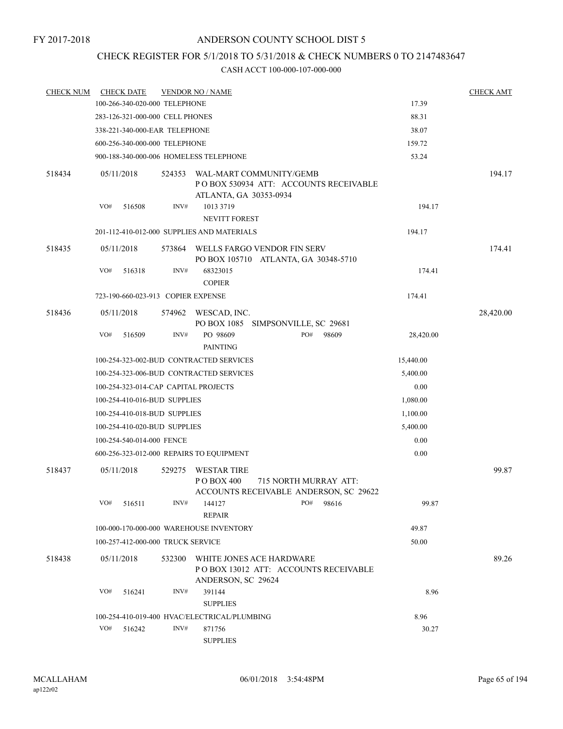# CHECK REGISTER FOR 5/1/2018 TO 5/31/2018 & CHECK NUMBERS 0 TO 2147483647

| <b>CHECK NUM</b> |            | <b>CHECK DATE</b>         | <b>VENDOR NO / NAME</b>                 |                                                                                             | <b>CHECK AMT</b> |                                                                 |           |           |
|------------------|------------|---------------------------|-----------------------------------------|---------------------------------------------------------------------------------------------|------------------|-----------------------------------------------------------------|-----------|-----------|
|                  |            |                           | 100-266-340-020-000 TELEPHONE           |                                                                                             |                  |                                                                 | 17.39     |           |
|                  |            |                           | 283-126-321-000-000 CELL PHONES         |                                                                                             |                  |                                                                 | 88.31     |           |
|                  |            |                           | 338-221-340-000-EAR TELEPHONE           | 38.07                                                                                       |                  |                                                                 |           |           |
|                  |            |                           | 600-256-340-000-000 TELEPHONE           |                                                                                             |                  |                                                                 | 159.72    |           |
|                  |            |                           | 900-188-340-000-006 HOMELESS TELEPHONE  | 53.24                                                                                       |                  |                                                                 |           |           |
| 518434           | 05/11/2018 |                           | 524353                                  | WAL-MART COMMUNITY/GEMB<br>PO BOX 530934 ATT: ACCOUNTS RECEIVABLE<br>ATLANTA, GA 30353-0934 |                  |                                                                 |           | 194.17    |
|                  | VO#        | 516508                    | INV#                                    | 1013 3719<br><b>NEVITT FOREST</b>                                                           | 194.17           |                                                                 |           |           |
|                  |            |                           |                                         | 201-112-410-012-000 SUPPLIES AND MATERIALS                                                  |                  |                                                                 | 194.17    |           |
| 518435           | 05/11/2018 |                           | 573864                                  | WELLS FARGO VENDOR FIN SERV                                                                 |                  | PO BOX 105710 ATLANTA, GA 30348-5710                            |           | 174.41    |
|                  | VO#        | 516318                    | INV#                                    | 68323015<br><b>COPIER</b>                                                                   |                  |                                                                 | 174.41    |           |
|                  |            |                           | 723-190-660-023-913 COPIER EXPENSE      |                                                                                             |                  |                                                                 | 174.41    |           |
| 518436           | 05/11/2018 |                           |                                         | 574962 WESCAD, INC.                                                                         |                  | PO BOX 1085 SIMPSONVILLE, SC 29681                              |           | 28,420.00 |
|                  | VO#        | 516509                    | INV#                                    | PO 98609<br><b>PAINTING</b>                                                                 |                  | PO#<br>98609                                                    | 28,420.00 |           |
|                  |            |                           | 100-254-323-002-BUD CONTRACTED SERVICES | 15,440.00                                                                                   |                  |                                                                 |           |           |
|                  |            |                           |                                         | 100-254-323-006-BUD CONTRACTED SERVICES                                                     |                  |                                                                 | 5,400.00  |           |
|                  |            |                           |                                         | 100-254-323-014-CAP CAPITAL PROJECTS                                                        |                  |                                                                 | 0.00      |           |
|                  |            |                           | 100-254-410-016-BUD SUPPLIES            |                                                                                             |                  |                                                                 | 1,080.00  |           |
|                  |            |                           | 100-254-410-018-BUD SUPPLIES            |                                                                                             |                  |                                                                 | 1,100.00  |           |
|                  |            |                           | 100-254-410-020-BUD SUPPLIES            | 5,400.00                                                                                    |                  |                                                                 |           |           |
|                  |            | 100-254-540-014-000 FENCE |                                         |                                                                                             |                  |                                                                 | 0.00      |           |
|                  |            |                           |                                         | 600-256-323-012-000 REPAIRS TO EQUIPMENT                                                    |                  |                                                                 | 0.00      |           |
| 518437           | 05/11/2018 |                           | 529275                                  | WESTAR TIRE<br>P O BOX 400                                                                  |                  | 715 NORTH MURRAY ATT:<br>ACCOUNTS RECEIVABLE ANDERSON, SC 29622 |           | 99.87     |
|                  | VO#        | 516511                    | INV#                                    | 144127<br><b>REPAIR</b>                                                                     |                  | PO#<br>98616                                                    | 99.87     |           |
|                  |            |                           |                                         | 100-000-170-000-000 WAREHOUSE INVENTORY                                                     |                  |                                                                 | 49.87     |           |
|                  |            |                           | 100-257-412-000-000 TRUCK SERVICE       |                                                                                             |                  |                                                                 | 50.00     |           |
| 518438           | 05/11/2018 |                           | 532300                                  | WHITE JONES ACE HARDWARE<br>ANDERSON, SC 29624                                              |                  | PO BOX 13012 ATT: ACCOUNTS RECEIVABLE                           |           | 89.26     |
|                  | VO#        | 516241                    | INV#                                    | 391144<br><b>SUPPLIES</b>                                                                   |                  |                                                                 | 8.96      |           |
|                  |            |                           |                                         |                                                                                             |                  | 8.96                                                            |           |           |
|                  | VO#        | 516242                    |                                         | 100-254-410-019-400 HVAC/ELECTRICAL/PLUMBING<br>INV#<br>871756                              |                  |                                                                 | 30.27     |           |
|                  |            |                           |                                         | <b>SUPPLIES</b>                                                                             |                  |                                                                 |           |           |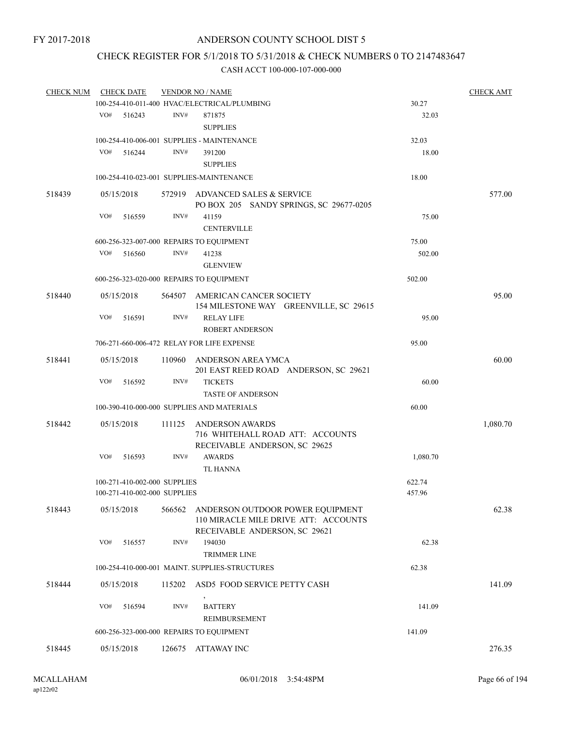# CHECK REGISTER FOR 5/1/2018 TO 5/31/2018 & CHECK NUMBERS 0 TO 2147483647

| <b>CHECK NUM</b> |     | <b>CHECK DATE</b>            |        | <b>VENDOR NO / NAME</b>                                                    |          | <b>CHECK AMT</b> |
|------------------|-----|------------------------------|--------|----------------------------------------------------------------------------|----------|------------------|
|                  |     |                              |        | 100-254-410-011-400 HVAC/ELECTRICAL/PLUMBING                               | 30.27    |                  |
|                  | VO# | 516243                       | INV#   | 871875                                                                     | 32.03    |                  |
|                  |     |                              |        | <b>SUPPLIES</b>                                                            |          |                  |
|                  |     |                              |        | 100-254-410-006-001 SUPPLIES - MAINTENANCE                                 | 32.03    |                  |
|                  | VO# | 516244                       | INV#   | 391200                                                                     | 18.00    |                  |
|                  |     |                              |        | <b>SUPPLIES</b>                                                            |          |                  |
|                  |     |                              |        |                                                                            |          |                  |
|                  |     |                              |        | 100-254-410-023-001 SUPPLIES-MAINTENANCE                                   | 18.00    |                  |
| 518439           |     | 05/15/2018                   |        | 572919 ADVANCED SALES & SERVICE<br>PO BOX 205 SANDY SPRINGS, SC 29677-0205 |          | 577.00           |
|                  | VO# | 516559                       | INV#   | 41159                                                                      | 75.00    |                  |
|                  |     |                              |        | <b>CENTERVILLE</b>                                                         |          |                  |
|                  |     |                              |        | 600-256-323-007-000 REPAIRS TO EQUIPMENT                                   | 75.00    |                  |
|                  | VO# | 516560                       | INV#   | 41238                                                                      | 502.00   |                  |
|                  |     |                              |        | <b>GLENVIEW</b>                                                            |          |                  |
|                  |     |                              |        |                                                                            |          |                  |
|                  |     |                              |        | 600-256-323-020-000 REPAIRS TO EQUIPMENT                                   | 502.00   |                  |
| 518440           |     | 05/15/2018                   |        | 564507 AMERICAN CANCER SOCIETY<br>154 MILESTONE WAY GREENVILLE, SC 29615   |          | 95.00            |
|                  | VO# | 516591                       | INV#   | <b>RELAY LIFE</b>                                                          | 95.00    |                  |
|                  |     |                              |        | <b>ROBERT ANDERSON</b>                                                     |          |                  |
|                  |     |                              |        | 706-271-660-006-472 RELAY FOR LIFE EXPENSE                                 | 95.00    |                  |
| 518441           |     | 05/15/2018                   |        | 110960 ANDERSON AREA YMCA                                                  |          | 60.00            |
|                  |     |                              |        | 201 EAST REED ROAD ANDERSON, SC 29621                                      |          |                  |
|                  | VO# | 516592                       | INV#   | <b>TICKETS</b>                                                             | 60.00    |                  |
|                  |     |                              |        | <b>TASTE OF ANDERSON</b>                                                   |          |                  |
|                  |     |                              |        | 100-390-410-000-000 SUPPLIES AND MATERIALS                                 | 60.00    |                  |
|                  |     |                              |        |                                                                            |          |                  |
| 518442           |     | 05/15/2018                   | 111125 | <b>ANDERSON AWARDS</b>                                                     |          | 1,080.70         |
|                  |     |                              |        | 716 WHITEHALL ROAD ATT: ACCOUNTS<br>RECEIVABLE ANDERSON, SC 29625          |          |                  |
|                  | VO# | 516593                       | INV#   | <b>AWARDS</b>                                                              | 1,080.70 |                  |
|                  |     |                              |        | <b>TL HANNA</b>                                                            |          |                  |
|                  |     | 100-271-410-002-000 SUPPLIES |        |                                                                            | 622.74   |                  |
|                  |     | 100-271-410-002-000 SUPPLIES |        |                                                                            | 457.96   |                  |
| 518443           |     | 05/15/2018                   | 566562 | ANDERSON OUTDOOR POWER EQUIPMENT                                           |          | 62.38            |
|                  |     |                              |        | 110 MIRACLE MILE DRIVE ATT: ACCOUNTS<br>RECEIVABLE ANDERSON, SC 29621      |          |                  |
|                  | VO# | 516557                       | INV#   | 194030                                                                     | 62.38    |                  |
|                  |     |                              |        | <b>TRIMMER LINE</b>                                                        |          |                  |
|                  |     |                              |        | 100-254-410-000-001 MAINT. SUPPLIES-STRUCTURES                             | 62.38    |                  |
| 518444           |     | 05/15/2018                   | 115202 | ASD5 FOOD SERVICE PETTY CASH                                               |          | 141.09           |
|                  | VO# | 516594                       | INV#   | <b>BATTERY</b>                                                             | 141.09   |                  |
|                  |     |                              |        | REIMBURSEMENT                                                              |          |                  |
|                  |     |                              |        |                                                                            | 141.09   |                  |
|                  |     |                              |        | 600-256-323-000-000 REPAIRS TO EQUIPMENT                                   |          |                  |
| 518445           |     | 05/15/2018                   | 126675 | ATTAWAY INC                                                                |          | 276.35           |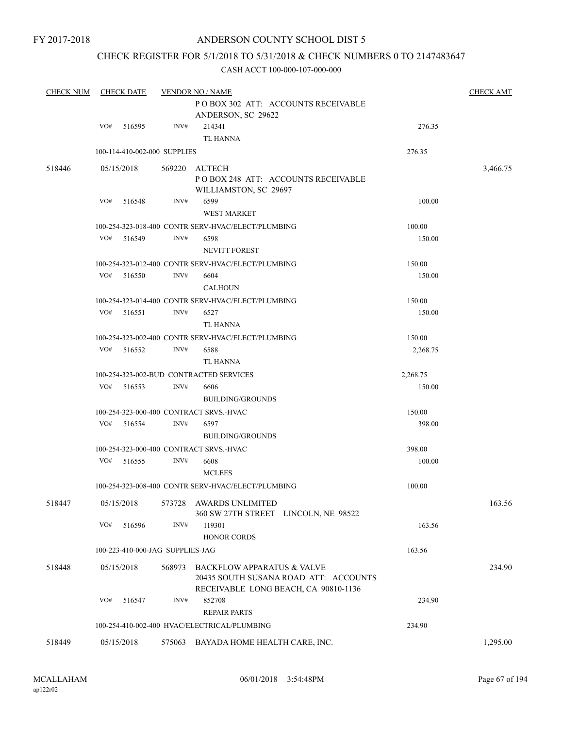# CHECK REGISTER FOR 5/1/2018 TO 5/31/2018 & CHECK NUMBERS 0 TO 2147483647

| <b>CHECK NUM</b> |     | <b>CHECK DATE</b> |                                  | <b>VENDOR NO / NAME</b>                            |          | <b>CHECK AMT</b> |
|------------------|-----|-------------------|----------------------------------|----------------------------------------------------|----------|------------------|
|                  |     |                   |                                  | PO BOX 302 ATT: ACCOUNTS RECEIVABLE                |          |                  |
|                  |     |                   |                                  | ANDERSON, SC 29622                                 |          |                  |
|                  | VO# | 516595            | INV#                             | 214341                                             | 276.35   |                  |
|                  |     |                   |                                  | <b>TL HANNA</b>                                    |          |                  |
|                  |     |                   | 100-114-410-002-000 SUPPLIES     |                                                    | 276.35   |                  |
| 518446           |     | 05/15/2018        | 569220                           | AUTECH                                             |          | 3,466.75         |
|                  |     |                   |                                  | POBOX 248 ATT: ACCOUNTS RECEIVABLE                 |          |                  |
|                  |     |                   |                                  | WILLIAMSTON, SC 29697                              |          |                  |
|                  | VO# | 516548            | INV#                             | 6599                                               | 100.00   |                  |
|                  |     |                   |                                  | <b>WEST MARKET</b>                                 |          |                  |
|                  |     |                   |                                  | 100-254-323-018-400 CONTR SERV-HVAC/ELECT/PLUMBING | 100.00   |                  |
|                  | VO# | 516549            | INV#                             | 6598                                               | 150.00   |                  |
|                  |     |                   |                                  | <b>NEVITT FOREST</b>                               |          |                  |
|                  |     |                   |                                  | 100-254-323-012-400 CONTR SERV-HVAC/ELECT/PLUMBING | 150.00   |                  |
|                  | VO# | 516550            | INV#                             | 6604                                               | 150.00   |                  |
|                  |     |                   |                                  |                                                    |          |                  |
|                  |     |                   |                                  | <b>CALHOUN</b>                                     |          |                  |
|                  |     |                   |                                  | 100-254-323-014-400 CONTR SERV-HVAC/ELECT/PLUMBING | 150.00   |                  |
|                  | VO# | 516551            | INV#                             | 6527                                               | 150.00   |                  |
|                  |     |                   |                                  | <b>TL HANNA</b>                                    |          |                  |
|                  |     |                   |                                  | 100-254-323-002-400 CONTR SERV-HVAC/ELECT/PLUMBING | 150.00   |                  |
|                  | VO# | 516552            | INV#                             | 6588                                               | 2,268.75 |                  |
|                  |     |                   |                                  | <b>TL HANNA</b>                                    |          |                  |
|                  |     |                   |                                  | 100-254-323-002-BUD CONTRACTED SERVICES            | 2,268.75 |                  |
|                  | VO# | 516553            | INV#                             | 6606                                               | 150.00   |                  |
|                  |     |                   |                                  | <b>BUILDING/GROUNDS</b>                            |          |                  |
|                  |     |                   |                                  | 100-254-323-000-400 CONTRACT SRVS.-HVAC            | 150.00   |                  |
|                  |     | VO# 516554        | INV#                             | 6597                                               | 398.00   |                  |
|                  |     |                   |                                  | <b>BUILDING/GROUNDS</b>                            |          |                  |
|                  |     |                   |                                  | 100-254-323-000-400 CONTRACT SRVS.-HVAC            | 398.00   |                  |
|                  | VO# | 516555            | INV#                             | 6608                                               | 100.00   |                  |
|                  |     |                   |                                  | <b>MCLEES</b>                                      |          |                  |
|                  |     |                   |                                  | 100-254-323-008-400 CONTR SERV-HVAC/ELECT/PLUMBING | 100.00   |                  |
| 518447           |     | 05/15/2018        |                                  | 573728 AWARDS UNLIMITED                            |          | 163.56           |
|                  |     |                   |                                  | 360 SW 27TH STREET LINCOLN, NE 98522               |          |                  |
|                  | VO# | 516596            | INV#                             | 119301                                             | 163.56   |                  |
|                  |     |                   |                                  | <b>HONOR CORDS</b>                                 |          |                  |
|                  |     |                   | 100-223-410-000-JAG SUPPLIES-JAG |                                                    | 163.56   |                  |
|                  |     |                   |                                  |                                                    |          |                  |
| 518448           |     | 05/15/2018        | 568973                           | <b>BACKFLOW APPARATUS &amp; VALVE</b>              |          | 234.90           |
|                  |     |                   |                                  | 20435 SOUTH SUSANA ROAD ATT: ACCOUNTS              |          |                  |
|                  |     |                   |                                  | RECEIVABLE LONG BEACH, CA 90810-1136               |          |                  |
|                  | VO# | 516547            | INV#                             | 852708                                             | 234.90   |                  |
|                  |     |                   |                                  | <b>REPAIR PARTS</b>                                |          |                  |
|                  |     |                   |                                  | 100-254-410-002-400 HVAC/ELECTRICAL/PLUMBING       | 234.90   |                  |
| 518449           |     | 05/15/2018        |                                  | 575063 BAYADA HOME HEALTH CARE, INC.               |          | 1,295.00         |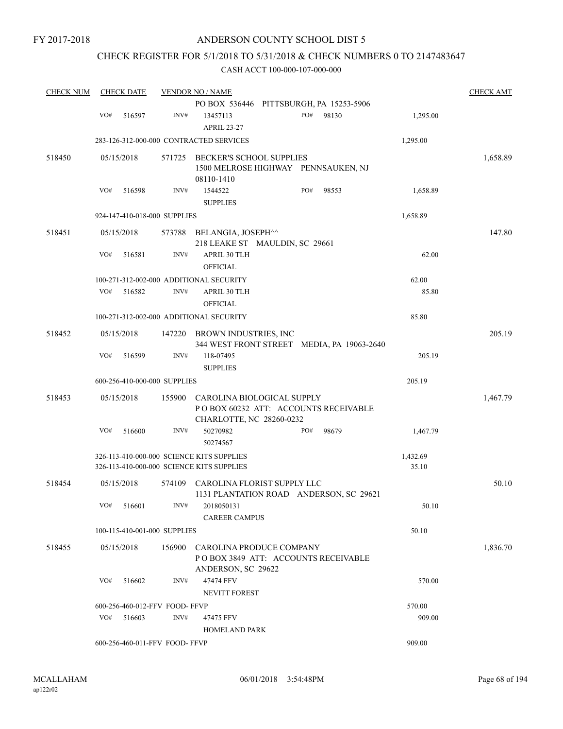# CHECK REGISTER FOR 5/1/2018 TO 5/31/2018 & CHECK NUMBERS 0 TO 2147483647

| <b>CHECK NUM</b> |     | <b>CHECK DATE</b> |                                | <b>VENDOR NO / NAME</b>                                                                        |     |       |          | <b>CHECK AMT</b> |
|------------------|-----|-------------------|--------------------------------|------------------------------------------------------------------------------------------------|-----|-------|----------|------------------|
|                  |     |                   |                                | PO BOX 536446 PITTSBURGH, PA 15253-5906                                                        |     |       |          |                  |
|                  | VO# | 516597            | INV#                           | 13457113<br><b>APRIL 23-27</b>                                                                 | PO# | 98130 | 1,295.00 |                  |
|                  |     |                   |                                | 283-126-312-000-000 CONTRACTED SERVICES                                                        |     |       | 1,295.00 |                  |
| 518450           |     | 05/15/2018        | 571725                         | <b>BECKER'S SCHOOL SUPPLIES</b>                                                                |     |       |          | 1,658.89         |
|                  |     |                   |                                | 1500 MELROSE HIGHWAY PENNSAUKEN, NJ<br>08110-1410                                              |     |       |          |                  |
|                  | VO# | 516598            | INV#                           | 1544522<br><b>SUPPLIES</b>                                                                     | PO# | 98553 | 1,658.89 |                  |
|                  |     |                   | 924-147-410-018-000 SUPPLIES   |                                                                                                |     |       | 1,658.89 |                  |
| 518451           |     | 05/15/2018        | 573788                         | BELANGIA, JOSEPH^^<br>218 LEAKE ST MAULDIN, SC 29661                                           |     |       |          | 147.80           |
|                  | VO# | 516581            | INV#                           | <b>APRIL 30 TLH</b><br><b>OFFICIAL</b>                                                         |     |       | 62.00    |                  |
|                  |     |                   |                                | 100-271-312-002-000 ADDITIONAL SECURITY                                                        |     |       | 62.00    |                  |
|                  | VO# | 516582            | INV#                           | APRIL 30 TLH<br><b>OFFICIAL</b>                                                                |     |       | 85.80    |                  |
|                  |     |                   |                                | 100-271-312-002-000 ADDITIONAL SECURITY                                                        |     |       | 85.80    |                  |
| 518452           |     | 05/15/2018        | 147220                         | BROWN INDUSTRIES, INC<br>344 WEST FRONT STREET MEDIA, PA 19063-2640                            |     |       |          | 205.19           |
|                  | VO# | 516599            | INV#                           | 118-07495<br><b>SUPPLIES</b>                                                                   |     |       | 205.19   |                  |
|                  |     |                   | 600-256-410-000-000 SUPPLIES   |                                                                                                |     |       | 205.19   |                  |
| 518453           |     | 05/15/2018        | 155900                         | CAROLINA BIOLOGICAL SUPPLY<br>POBOX 60232 ATT: ACCOUNTS RECEIVABLE<br>CHARLOTTE, NC 28260-0232 |     |       |          | 1,467.79         |
|                  | VO# | 516600            | INV#                           | 50270982<br>50274567                                                                           | PO# | 98679 | 1,467.79 |                  |
|                  |     |                   |                                | 326-113-410-000-000 SCIENCE KITS SUPPLIES                                                      |     |       | 1,432.69 |                  |
|                  |     |                   |                                | 326-113-410-000-000 SCIENCE KITS SUPPLIES                                                      |     |       | 35.10    |                  |
| 518454           |     | 05/15/2018        | 574109                         | CAROLINA FLORIST SUPPLY LLC<br>1131 PLANTATION ROAD ANDERSON, SC 29621                         |     |       |          | 50.10            |
|                  | VO# | 516601            | INV#                           | 2018050131                                                                                     |     |       | 50.10    |                  |
|                  |     |                   |                                | <b>CAREER CAMPUS</b>                                                                           |     |       |          |                  |
|                  |     |                   | 100-115-410-001-000 SUPPLIES   |                                                                                                |     |       | 50.10    |                  |
| 518455           |     | 05/15/2018        | 156900                         | CAROLINA PRODUCE COMPANY<br>POBOX 3849 ATT: ACCOUNTS RECEIVABLE<br>ANDERSON, SC 29622          |     |       |          | 1,836.70         |
|                  | VO# | 516602            | INV#                           | 47474 FFV                                                                                      |     |       | 570.00   |                  |
|                  |     |                   |                                | <b>NEVITT FOREST</b>                                                                           |     |       |          |                  |
|                  |     |                   | 600-256-460-012-FFV FOOD-FFVP  |                                                                                                |     |       | 570.00   |                  |
|                  | VO# | 516603            | INV#                           | 47475 FFV<br><b>HOMELAND PARK</b>                                                              |     |       | 909.00   |                  |
|                  |     |                   | 600-256-460-011-FFV FOOD- FFVP |                                                                                                |     |       | 909.00   |                  |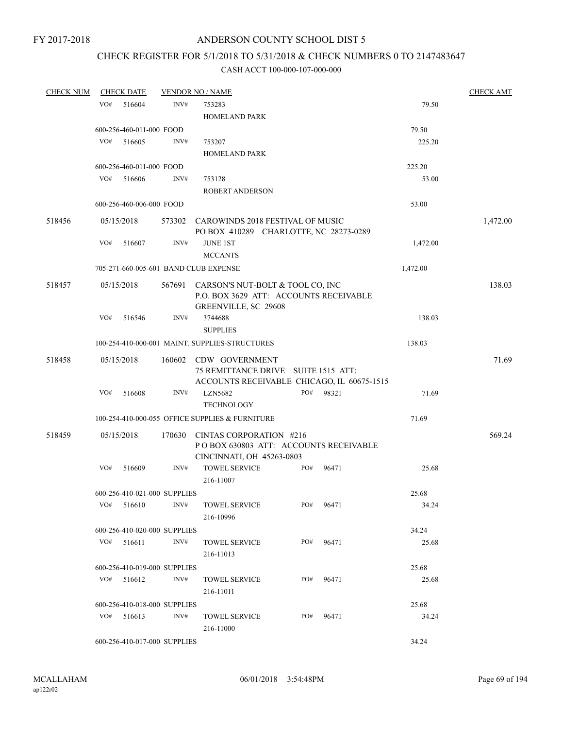# CHECK REGISTER FOR 5/1/2018 TO 5/31/2018 & CHECK NUMBERS 0 TO 2147483647

| <b>CHECK NUM</b> |        |                                                                                                                         |                                                                                          |                                                                                                                                                                                                                                                                         |                                                                                                                                                                                                                                                                                                                                                                            |                                                            |                                                                                                                                 | <b>CHECK AMT</b>                                                                                                                                                                                              |
|------------------|--------|-------------------------------------------------------------------------------------------------------------------------|------------------------------------------------------------------------------------------|-------------------------------------------------------------------------------------------------------------------------------------------------------------------------------------------------------------------------------------------------------------------------|----------------------------------------------------------------------------------------------------------------------------------------------------------------------------------------------------------------------------------------------------------------------------------------------------------------------------------------------------------------------------|------------------------------------------------------------|---------------------------------------------------------------------------------------------------------------------------------|---------------------------------------------------------------------------------------------------------------------------------------------------------------------------------------------------------------|
| VO#              | 516604 | INV#                                                                                                                    | 753283                                                                                   |                                                                                                                                                                                                                                                                         |                                                                                                                                                                                                                                                                                                                                                                            |                                                            | 79.50                                                                                                                           |                                                                                                                                                                                                               |
|                  |        |                                                                                                                         |                                                                                          |                                                                                                                                                                                                                                                                         |                                                                                                                                                                                                                                                                                                                                                                            |                                                            |                                                                                                                                 |                                                                                                                                                                                                               |
|                  |        |                                                                                                                         |                                                                                          |                                                                                                                                                                                                                                                                         |                                                                                                                                                                                                                                                                                                                                                                            |                                                            |                                                                                                                                 |                                                                                                                                                                                                               |
| VO#              |        | INV#                                                                                                                    |                                                                                          |                                                                                                                                                                                                                                                                         |                                                                                                                                                                                                                                                                                                                                                                            |                                                            |                                                                                                                                 |                                                                                                                                                                                                               |
|                  |        |                                                                                                                         |                                                                                          |                                                                                                                                                                                                                                                                         |                                                                                                                                                                                                                                                                                                                                                                            |                                                            |                                                                                                                                 |                                                                                                                                                                                                               |
|                  |        |                                                                                                                         |                                                                                          |                                                                                                                                                                                                                                                                         |                                                                                                                                                                                                                                                                                                                                                                            |                                                            |                                                                                                                                 |                                                                                                                                                                                                               |
|                  |        |                                                                                                                         |                                                                                          |                                                                                                                                                                                                                                                                         |                                                                                                                                                                                                                                                                                                                                                                            |                                                            |                                                                                                                                 |                                                                                                                                                                                                               |
|                  |        |                                                                                                                         |                                                                                          |                                                                                                                                                                                                                                                                         |                                                                                                                                                                                                                                                                                                                                                                            |                                                            |                                                                                                                                 |                                                                                                                                                                                                               |
|                  |        |                                                                                                                         |                                                                                          |                                                                                                                                                                                                                                                                         |                                                                                                                                                                                                                                                                                                                                                                            |                                                            | 53.00                                                                                                                           |                                                                                                                                                                                                               |
|                  |        | 573302                                                                                                                  |                                                                                          |                                                                                                                                                                                                                                                                         |                                                                                                                                                                                                                                                                                                                                                                            |                                                            |                                                                                                                                 | 1,472.00                                                                                                                                                                                                      |
|                  |        |                                                                                                                         |                                                                                          |                                                                                                                                                                                                                                                                         |                                                                                                                                                                                                                                                                                                                                                                            |                                                            |                                                                                                                                 |                                                                                                                                                                                                               |
| VO#              | 516607 | INV#                                                                                                                    | <b>JUNE 1ST</b>                                                                          |                                                                                                                                                                                                                                                                         |                                                                                                                                                                                                                                                                                                                                                                            |                                                            | 1,472.00                                                                                                                        |                                                                                                                                                                                                               |
|                  |        |                                                                                                                         | <b>MCCANTS</b>                                                                           |                                                                                                                                                                                                                                                                         |                                                                                                                                                                                                                                                                                                                                                                            |                                                            |                                                                                                                                 |                                                                                                                                                                                                               |
|                  |        |                                                                                                                         |                                                                                          |                                                                                                                                                                                                                                                                         |                                                                                                                                                                                                                                                                                                                                                                            |                                                            | 1,472.00                                                                                                                        |                                                                                                                                                                                                               |
|                  |        |                                                                                                                         |                                                                                          |                                                                                                                                                                                                                                                                         |                                                                                                                                                                                                                                                                                                                                                                            |                                                            |                                                                                                                                 | 138.03                                                                                                                                                                                                        |
|                  |        |                                                                                                                         |                                                                                          |                                                                                                                                                                                                                                                                         |                                                                                                                                                                                                                                                                                                                                                                            |                                                            |                                                                                                                                 |                                                                                                                                                                                                               |
|                  |        |                                                                                                                         |                                                                                          |                                                                                                                                                                                                                                                                         |                                                                                                                                                                                                                                                                                                                                                                            |                                                            |                                                                                                                                 |                                                                                                                                                                                                               |
| VO#              | 516546 | INV#                                                                                                                    | 3744688                                                                                  |                                                                                                                                                                                                                                                                         |                                                                                                                                                                                                                                                                                                                                                                            |                                                            | 138.03                                                                                                                          |                                                                                                                                                                                                               |
|                  |        |                                                                                                                         |                                                                                          |                                                                                                                                                                                                                                                                         |                                                                                                                                                                                                                                                                                                                                                                            |                                                            |                                                                                                                                 |                                                                                                                                                                                                               |
|                  |        |                                                                                                                         |                                                                                          |                                                                                                                                                                                                                                                                         |                                                                                                                                                                                                                                                                                                                                                                            |                                                            | 138.03                                                                                                                          |                                                                                                                                                                                                               |
|                  |        |                                                                                                                         |                                                                                          |                                                                                                                                                                                                                                                                         |                                                                                                                                                                                                                                                                                                                                                                            |                                                            |                                                                                                                                 | 71.69                                                                                                                                                                                                         |
|                  |        |                                                                                                                         |                                                                                          |                                                                                                                                                                                                                                                                         |                                                                                                                                                                                                                                                                                                                                                                            |                                                            |                                                                                                                                 |                                                                                                                                                                                                               |
|                  |        |                                                                                                                         |                                                                                          |                                                                                                                                                                                                                                                                         |                                                                                                                                                                                                                                                                                                                                                                            |                                                            |                                                                                                                                 |                                                                                                                                                                                                               |
| VO#              | 516608 | INV#                                                                                                                    | <b>LZN5682</b>                                                                           |                                                                                                                                                                                                                                                                         |                                                                                                                                                                                                                                                                                                                                                                            |                                                            | 71.69                                                                                                                           |                                                                                                                                                                                                               |
|                  |        |                                                                                                                         | <b>TECHNOLOGY</b>                                                                        |                                                                                                                                                                                                                                                                         |                                                                                                                                                                                                                                                                                                                                                                            |                                                            |                                                                                                                                 |                                                                                                                                                                                                               |
|                  |        |                                                                                                                         |                                                                                          |                                                                                                                                                                                                                                                                         |                                                                                                                                                                                                                                                                                                                                                                            |                                                            | 71.69                                                                                                                           |                                                                                                                                                                                                               |
|                  |        | 170630                                                                                                                  |                                                                                          |                                                                                                                                                                                                                                                                         |                                                                                                                                                                                                                                                                                                                                                                            |                                                            |                                                                                                                                 | 569.24                                                                                                                                                                                                        |
| VO#              | 516609 | INV#                                                                                                                    |                                                                                          |                                                                                                                                                                                                                                                                         |                                                                                                                                                                                                                                                                                                                                                                            | 96471                                                      | 25.68                                                                                                                           |                                                                                                                                                                                                               |
|                  |        |                                                                                                                         | 216-11007                                                                                |                                                                                                                                                                                                                                                                         |                                                                                                                                                                                                                                                                                                                                                                            |                                                            |                                                                                                                                 |                                                                                                                                                                                                               |
|                  |        |                                                                                                                         |                                                                                          |                                                                                                                                                                                                                                                                         |                                                                                                                                                                                                                                                                                                                                                                            |                                                            | 25.68                                                                                                                           |                                                                                                                                                                                                               |
| VO#              | 516610 | INV#                                                                                                                    |                                                                                          |                                                                                                                                                                                                                                                                         |                                                                                                                                                                                                                                                                                                                                                                            | 96471                                                      | 34.24                                                                                                                           |                                                                                                                                                                                                               |
|                  |        |                                                                                                                         | 216-10996                                                                                |                                                                                                                                                                                                                                                                         |                                                                                                                                                                                                                                                                                                                                                                            |                                                            |                                                                                                                                 |                                                                                                                                                                                                               |
|                  |        |                                                                                                                         |                                                                                          |                                                                                                                                                                                                                                                                         |                                                                                                                                                                                                                                                                                                                                                                            |                                                            | 34.24                                                                                                                           |                                                                                                                                                                                                               |
| VO#              |        | INV#                                                                                                                    |                                                                                          |                                                                                                                                                                                                                                                                         |                                                                                                                                                                                                                                                                                                                                                                            | 96471                                                      | 25.68                                                                                                                           |                                                                                                                                                                                                               |
|                  |        |                                                                                                                         | 216-11013                                                                                |                                                                                                                                                                                                                                                                         |                                                                                                                                                                                                                                                                                                                                                                            |                                                            |                                                                                                                                 |                                                                                                                                                                                                               |
|                  |        |                                                                                                                         |                                                                                          |                                                                                                                                                                                                                                                                         |                                                                                                                                                                                                                                                                                                                                                                            |                                                            | 25.68                                                                                                                           |                                                                                                                                                                                                               |
| VO#              | 516612 | INV#                                                                                                                    |                                                                                          |                                                                                                                                                                                                                                                                         |                                                                                                                                                                                                                                                                                                                                                                            | 96471                                                      | 25.68                                                                                                                           |                                                                                                                                                                                                               |
|                  |        |                                                                                                                         | 216-11011                                                                                |                                                                                                                                                                                                                                                                         |                                                                                                                                                                                                                                                                                                                                                                            |                                                            |                                                                                                                                 |                                                                                                                                                                                                               |
|                  |        |                                                                                                                         |                                                                                          |                                                                                                                                                                                                                                                                         |                                                                                                                                                                                                                                                                                                                                                                            |                                                            | 25.68                                                                                                                           |                                                                                                                                                                                                               |
|                  |        | INV#                                                                                                                    |                                                                                          |                                                                                                                                                                                                                                                                         |                                                                                                                                                                                                                                                                                                                                                                            | 96471                                                      | 34.24                                                                                                                           |                                                                                                                                                                                                               |
|                  |        |                                                                                                                         | 216-11000                                                                                |                                                                                                                                                                                                                                                                         |                                                                                                                                                                                                                                                                                                                                                                            |                                                            |                                                                                                                                 |                                                                                                                                                                                                               |
|                  |        |                                                                                                                         |                                                                                          |                                                                                                                                                                                                                                                                         |                                                                                                                                                                                                                                                                                                                                                                            |                                                            | 34.24                                                                                                                           |                                                                                                                                                                                                               |
|                  | VO#    | <b>CHECK DATE</b><br>516605<br>516606<br>05/15/2018<br>05/15/2018<br>05/15/2018<br>05/15/2018<br>516611<br>$VO#$ 516613 | 600-256-460-011-000 FOOD<br>600-256-460-011-000 FOOD<br>INV#<br>600-256-460-006-000 FOOD | <b>VENDOR NO / NAME</b><br>753207<br>753128<br>705-271-660-005-601 BAND CLUB EXPENSE<br><b>SUPPLIES</b><br>600-256-410-021-000 SUPPLIES<br>600-256-410-020-000 SUPPLIES<br>600-256-410-019-000 SUPPLIES<br>600-256-410-018-000 SUPPLIES<br>600-256-410-017-000 SUPPLIES | HOMELAND PARK<br><b>HOMELAND PARK</b><br><b>ROBERT ANDERSON</b><br>GREENVILLE, SC 29608<br>100-254-410-000-001 MAINT, SUPPLIES-STRUCTURES<br>160602 CDW GOVERNMENT<br>100-254-410-000-055 OFFICE SUPPLIES & FURNITURE<br>CINCINNATI, OH 45263-0803<br><b>TOWEL SERVICE</b><br><b>TOWEL SERVICE</b><br><b>TOWEL SERVICE</b><br><b>TOWEL SERVICE</b><br><b>TOWEL SERVICE</b> | CINTAS CORPORATION #216<br>PO#<br>PO#<br>PO#<br>PO#<br>PO# | CAROWINDS 2018 FESTIVAL OF MUSIC<br>567691 CARSON'S NUT-BOLT & TOOL CO, INC<br>75 REMITTANCE DRIVE SUITE 1515 ATT:<br>PO# 98321 | 79.50<br>225.20<br>225.20<br>53.00<br>PO BOX 410289 CHARLOTTE, NC 28273-0289<br>P.O. BOX 3629 ATT: ACCOUNTS RECEIVABLE<br>ACCOUNTS RECEIVABLE CHICAGO, IL 60675-1515<br>POBOX 630803 ATT: ACCOUNTS RECEIVABLE |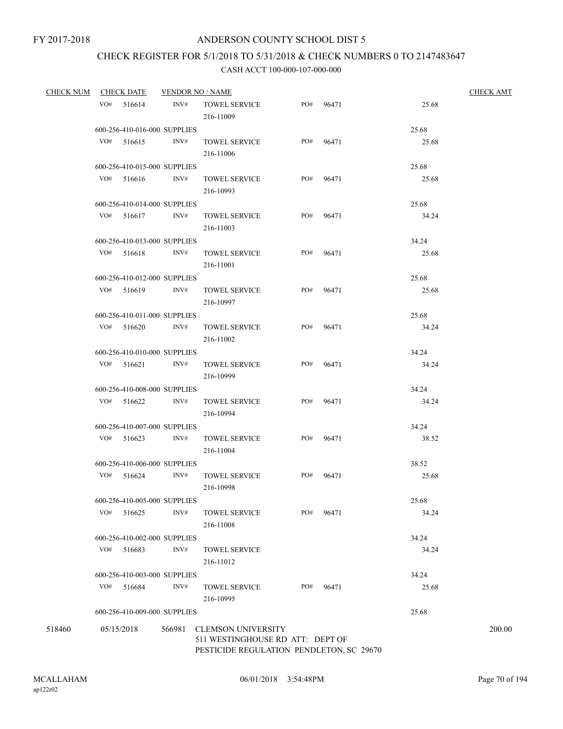# CHECK REGISTER FOR 5/1/2018 TO 5/31/2018 & CHECK NUMBERS 0 TO 2147483647

| <b>CHECK NUM</b> | <b>CHECK DATE</b> |                              | <b>VENDOR NO / NAME</b> |                                                                                                           |     | <b>CHECK AMT</b> |       |        |
|------------------|-------------------|------------------------------|-------------------------|-----------------------------------------------------------------------------------------------------------|-----|------------------|-------|--------|
|                  | VO#               | 516614                       | INV#                    | <b>TOWEL SERVICE</b><br>216-11009                                                                         | PO# | 96471            | 25.68 |        |
|                  |                   | 600-256-410-016-000 SUPPLIES |                         |                                                                                                           |     |                  | 25.68 |        |
|                  | $VO#$ 516615      |                              | INV#                    | <b>TOWEL SERVICE</b><br>216-11006                                                                         | PO# | 96471            | 25.68 |        |
|                  |                   | 600-256-410-015-000 SUPPLIES |                         |                                                                                                           |     |                  | 25.68 |        |
|                  | VO#               | 516616                       | INV#                    | <b>TOWEL SERVICE</b><br>216-10993                                                                         | PO# | 96471            | 25.68 |        |
|                  |                   | 600-256-410-014-000 SUPPLIES |                         |                                                                                                           |     |                  | 25.68 |        |
|                  | VO#               | 516617                       | INV#                    | <b>TOWEL SERVICE</b><br>216-11003                                                                         | PO# | 96471            | 34.24 |        |
|                  |                   | 600-256-410-013-000 SUPPLIES |                         |                                                                                                           |     |                  | 34.24 |        |
|                  | VO# 516618        |                              | INV#                    | <b>TOWEL SERVICE</b><br>216-11001                                                                         | PO# | 96471            | 25.68 |        |
|                  |                   | 600-256-410-012-000 SUPPLIES |                         |                                                                                                           |     |                  | 25.68 |        |
|                  | $VO#$ 516619      |                              | INV#                    | <b>TOWEL SERVICE</b><br>216-10997                                                                         | PO# | 96471            | 25.68 |        |
|                  |                   | 600-256-410-011-000 SUPPLIES |                         |                                                                                                           |     |                  | 25.68 |        |
|                  | $VO#$ 516620      |                              | INV#                    | <b>TOWEL SERVICE</b><br>216-11002                                                                         | PO# | 96471            | 34.24 |        |
|                  |                   | 600-256-410-010-000 SUPPLIES |                         |                                                                                                           |     |                  | 34.24 |        |
|                  | $VO#$ 516621      |                              | INV#                    | <b>TOWEL SERVICE</b><br>216-10999                                                                         | PO# | 96471            | 34.24 |        |
|                  |                   | 600-256-410-008-000 SUPPLIES |                         |                                                                                                           |     |                  | 34.24 |        |
|                  | $VO#$ 516622      |                              | INV#                    | <b>TOWEL SERVICE</b><br>216-10994                                                                         | PO# | 96471            | 34.24 |        |
|                  |                   | 600-256-410-007-000 SUPPLIES |                         |                                                                                                           |     |                  | 34.24 |        |
|                  | $VO#$ 516623      |                              | INV#                    | <b>TOWEL SERVICE</b><br>216-11004                                                                         | PO# | 96471            | 38.52 |        |
|                  |                   | 600-256-410-006-000 SUPPLIES |                         |                                                                                                           |     |                  | 38.52 |        |
|                  | VO#               | 516624                       | INV#                    | <b>TOWEL SERVICE</b><br>216-10998                                                                         | PO# | 96471            | 25.68 |        |
|                  |                   | 600-256-410-005-000 SUPPLIES |                         |                                                                                                           |     |                  | 25.68 |        |
|                  | VO#               | 516625                       | INV#                    | <b>TOWEL SERVICE</b><br>216-11008                                                                         | PO# | 96471            | 34.24 |        |
|                  |                   | 600-256-410-002-000 SUPPLIES |                         |                                                                                                           |     |                  | 34.24 |        |
|                  | VO#               | 516683                       | INV#                    | <b>TOWEL SERVICE</b><br>216-11012                                                                         |     |                  | 34.24 |        |
|                  |                   | 600-256-410-003-000 SUPPLIES |                         |                                                                                                           |     |                  | 34.24 |        |
|                  | VO#               | 516684                       | INV#                    | <b>TOWEL SERVICE</b><br>216-10995                                                                         | PO# | 96471            | 25.68 |        |
|                  |                   | 600-256-410-009-000 SUPPLIES |                         |                                                                                                           |     |                  | 25.68 |        |
| 518460           | 05/15/2018        |                              | 566981                  | <b>CLEMSON UNIVERSITY</b><br>511 WESTINGHOUSE RD ATT: DEPT OF<br>PESTICIDE REGULATION PENDLETON, SC 29670 |     |                  |       | 200.00 |
|                  |                   |                              |                         |                                                                                                           |     |                  |       |        |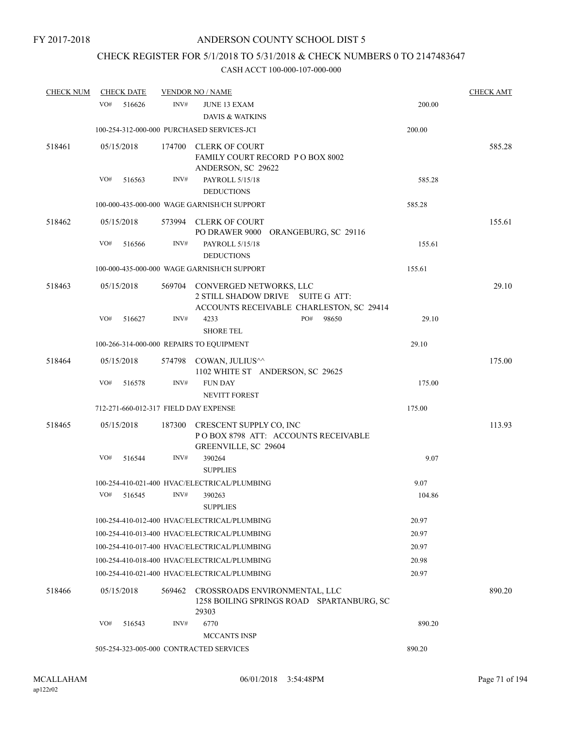# CHECK REGISTER FOR 5/1/2018 TO 5/31/2018 & CHECK NUMBERS 0 TO 2147483647

| <b>CHECK NUM</b> | <b>CHECK DATE</b>                     |        | <b>VENDOR NO / NAME</b>                                                                |     |                                           |        | <b>CHECK AMT</b> |
|------------------|---------------------------------------|--------|----------------------------------------------------------------------------------------|-----|-------------------------------------------|--------|------------------|
|                  | VO#<br>516626                         | INV#   | <b>JUNE 13 EXAM</b><br><b>DAVIS &amp; WATKINS</b>                                      |     |                                           | 200.00 |                  |
|                  |                                       |        | 100-254-312-000-000 PURCHASED SERVICES-JCI                                             |     |                                           | 200.00 |                  |
| 518461           | 05/15/2018                            |        | 174700 CLERK OF COURT<br>FAMILY COURT RECORD PO BOX 8002<br>ANDERSON, SC 29622         |     |                                           |        | 585.28           |
|                  | VO#<br>516563                         | INV#   | PAYROLL 5/15/18<br><b>DEDUCTIONS</b>                                                   |     |                                           | 585.28 |                  |
|                  |                                       |        | 100-000-435-000-000 WAGE GARNISH/CH SUPPORT                                            |     |                                           | 585.28 |                  |
| 518462           | 05/15/2018                            |        | 573994 CLERK OF COURT<br>PO DRAWER 9000 ORANGEBURG, SC 29116                           |     |                                           |        | 155.61           |
|                  | VO#<br>516566                         | INV#   | PAYROLL 5/15/18<br><b>DEDUCTIONS</b>                                                   |     |                                           | 155.61 |                  |
|                  |                                       |        | 100-000-435-000-000 WAGE GARNISH/CH SUPPORT                                            |     |                                           | 155.61 |                  |
| 518463           | 05/15/2018                            |        | 569704 CONVERGED NETWORKS, LLC<br>2 STILL SHADOW DRIVE SUITE G ATT:                    |     | ACCOUNTS RECEIVABLE CHARLESTON, SC 29414  |        | 29.10            |
|                  | VO#<br>516627                         | INV#   | 4233<br><b>SHORE TEL</b>                                                               | PO# | 98650                                     | 29.10  |                  |
|                  |                                       |        | 100-266-314-000-000 REPAIRS TO EQUIPMENT                                               |     |                                           | 29.10  |                  |
| 518464           | 05/15/2018                            |        | 574798 COWAN, JULIUS^^<br>1102 WHITE ST ANDERSON, SC 29625                             |     |                                           |        | 175.00           |
|                  | VO#<br>516578                         | INV#   | <b>FUN DAY</b><br><b>NEVITT FOREST</b>                                                 |     |                                           | 175.00 |                  |
|                  | 712-271-660-012-317 FIELD DAY EXPENSE |        |                                                                                        |     |                                           | 175.00 |                  |
| 518465           | 05/15/2018                            | 187300 | CRESCENT SUPPLY CO, INC<br>POBOX 8798 ATT: ACCOUNTS RECEIVABLE<br>GREENVILLE, SC 29604 |     |                                           |        | 113.93           |
|                  | VO#<br>516544                         | INV#   | 390264<br><b>SUPPLIES</b>                                                              |     |                                           | 9.07   |                  |
|                  |                                       |        | 100-254-410-021-400 HVAC/ELECTRICAL/PLUMBING                                           |     |                                           | 9.07   |                  |
|                  | VO#<br>516545                         | INV#   | 390263<br><b>SUPPLIES</b>                                                              |     |                                           | 104.86 |                  |
|                  |                                       |        | 100-254-410-012-400 HVAC/ELECTRICAL/PLUMBING                                           |     |                                           | 20.97  |                  |
|                  |                                       |        | 100-254-410-013-400 HVAC/ELECTRICAL/PLUMBING                                           |     |                                           | 20.97  |                  |
|                  |                                       |        | 100-254-410-017-400 HVAC/ELECTRICAL/PLUMBING                                           |     |                                           | 20.97  |                  |
|                  |                                       |        | 100-254-410-018-400 HVAC/ELECTRICAL/PLUMBING                                           |     |                                           | 20.98  |                  |
|                  |                                       |        | 100-254-410-021-400 HVAC/ELECTRICAL/PLUMBING                                           |     |                                           | 20.97  |                  |
| 518466           | 05/15/2018                            | 569462 | CROSSROADS ENVIRONMENTAL, LLC<br>29303                                                 |     | 1258 BOILING SPRINGS ROAD SPARTANBURG, SC |        | 890.20           |
|                  | VO#<br>516543                         | INV#   | 6770<br><b>MCCANTS INSP</b>                                                            |     |                                           | 890.20 |                  |
|                  |                                       |        | 505-254-323-005-000 CONTRACTED SERVICES                                                |     | 890.20                                    |        |                  |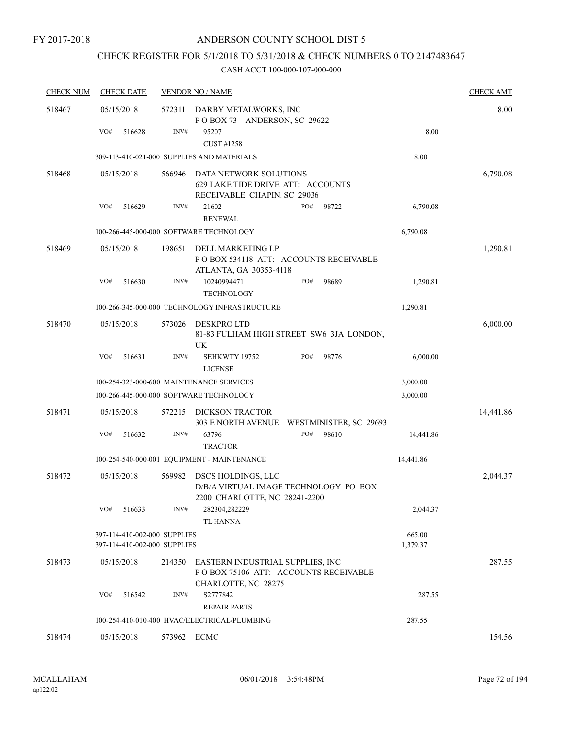# CHECK REGISTER FOR 5/1/2018 TO 5/31/2018 & CHECK NUMBERS 0 TO 2147483647

| <b>CHECK NUM</b> | <b>CHECK DATE</b>                                            |             | <b>VENDOR NO / NAME</b>                                                                    |                                           |                    | <b>CHECK AMT</b> |
|------------------|--------------------------------------------------------------|-------------|--------------------------------------------------------------------------------------------|-------------------------------------------|--------------------|------------------|
| 518467           | 05/15/2018                                                   | 572311      | DARBY METALWORKS, INC<br>POBOX 73 ANDERSON, SC 29622                                       |                                           |                    | 8.00             |
|                  | VO#<br>516628                                                | INV#        | 95207<br>CUST #1258                                                                        |                                           | 8.00               |                  |
|                  |                                                              |             | 309-113-410-021-000 SUPPLIES AND MATERIALS                                                 |                                           | 8.00               |                  |
| 518468           | 05/15/2018                                                   | 566946      | DATA NETWORK SOLUTIONS<br>629 LAKE TIDE DRIVE ATT: ACCOUNTS<br>RECEIVABLE CHAPIN, SC 29036 |                                           |                    | 6,790.08         |
|                  | VO#<br>516629                                                | INV#        | 21602<br><b>RENEWAL</b>                                                                    | PO#<br>98722                              | 6,790.08           |                  |
|                  |                                                              |             | 100-266-445-000-000 SOFTWARE TECHNOLOGY                                                    |                                           | 6,790.08           |                  |
| 518469           | 05/15/2018                                                   | 198651      | DELL MARKETING LP<br>ATLANTA, GA 30353-4118                                                | PO BOX 534118 ATT: ACCOUNTS RECEIVABLE    |                    | 1,290.81         |
|                  | VO#<br>516630                                                | INV#        | 10240994471<br><b>TECHNOLOGY</b>                                                           | PO#<br>98689                              | 1,290.81           |                  |
|                  |                                                              |             | 100-266-345-000-000 TECHNOLOGY INFRASTRUCTURE                                              |                                           | 1,290.81           |                  |
| 518470           | 05/15/2018                                                   | 573026      | <b>DESKPROLTD</b><br>UK                                                                    | 81-83 FULHAM HIGH STREET SW6 3JA LONDON,  |                    | 6,000.00         |
|                  | VO#<br>516631                                                | INV#        | SEHKWTY 19752<br><b>LICENSE</b>                                                            | PO#<br>98776                              | 6,000.00           |                  |
|                  |                                                              |             | 100-254-323-000-600 MAINTENANCE SERVICES                                                   |                                           | 3,000.00           |                  |
|                  |                                                              |             | 100-266-445-000-000 SOFTWARE TECHNOLOGY                                                    |                                           | 3,000.00           |                  |
| 518471           | 05/15/2018                                                   | 572215      | DICKSON TRACTOR                                                                            | 303 E NORTH AVENUE WESTMINISTER, SC 29693 |                    | 14,441.86        |
|                  | VO#<br>516632                                                | INV#        | 63796<br><b>TRACTOR</b>                                                                    | 98610<br>PO#                              | 14,441.86          |                  |
|                  |                                                              |             | 100-254-540-000-001 EQUIPMENT - MAINTENANCE                                                |                                           | 14,441.86          |                  |
| 518472           | 05/15/2018                                                   | 569982      | DSCS HOLDINGS, LLC<br>2200 CHARLOTTE, NC 28241-2200                                        | D/B/A VIRTUAL IMAGE TECHNOLOGY PO BOX     |                    | 2,044.37         |
|                  | VO#<br>516633                                                | INV#        | 282304,282229<br><b>TL HANNA</b>                                                           |                                           | 2,044.37           |                  |
|                  | 397-114-410-002-000 SUPPLIES<br>397-114-410-002-000 SUPPLIES |             |                                                                                            |                                           | 665.00<br>1,379.37 |                  |
| 518473           | 05/15/2018                                                   | 214350      | EASTERN INDUSTRIAL SUPPLIES, INC<br>CHARLOTTE, NC 28275                                    | POBOX 75106 ATT: ACCOUNTS RECEIVABLE      |                    | 287.55           |
|                  | VO#<br>516542                                                | INV#        | S2777842<br><b>REPAIR PARTS</b>                                                            |                                           | 287.55             |                  |
|                  |                                                              |             | 100-254-410-010-400 HVAC/ELECTRICAL/PLUMBING                                               |                                           | 287.55             |                  |
| 518474           | 05/15/2018                                                   | 573962 ECMC |                                                                                            |                                           |                    | 154.56           |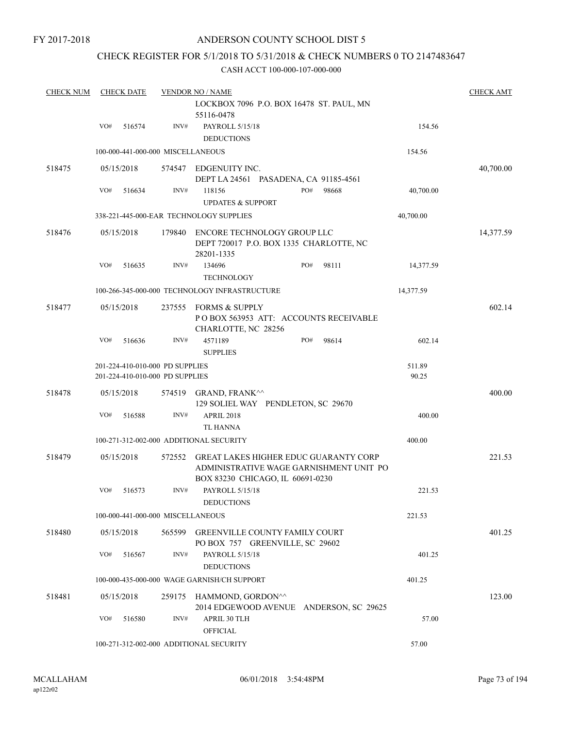### ANDERSON COUNTY SCHOOL DIST 5

### CHECK REGISTER FOR 5/1/2018 TO 5/31/2018 & CHECK NUMBERS 0 TO 2147483647

| <b>CHECK NUM</b> |     | <b>CHECK DATE</b> |                                                                    | <b>VENDOR NO / NAME</b>                                                                                                     |     |       |                 | <b>CHECK AMT</b> |
|------------------|-----|-------------------|--------------------------------------------------------------------|-----------------------------------------------------------------------------------------------------------------------------|-----|-------|-----------------|------------------|
|                  |     |                   |                                                                    | LOCKBOX 7096 P.O. BOX 16478 ST. PAUL, MN                                                                                    |     |       |                 |                  |
|                  |     |                   |                                                                    | 55116-0478                                                                                                                  |     |       |                 |                  |
|                  | VO# | 516574            | INV#                                                               | PAYROLL 5/15/18<br><b>DEDUCTIONS</b>                                                                                        |     |       | 154.56          |                  |
|                  |     |                   | 100-000-441-000-000 MISCELLANEOUS                                  |                                                                                                                             |     |       | 154.56          |                  |
| 518475           |     | 05/15/2018        |                                                                    | 574547 EDGENUITY INC.<br>DEPT LA 24561 PASADENA, CA 91185-4561                                                              |     |       |                 | 40,700.00        |
|                  | VO# | 516634            | INV#                                                               | 118156<br><b>UPDATES &amp; SUPPORT</b>                                                                                      | PO# | 98668 | 40,700.00       |                  |
|                  |     |                   |                                                                    | 338-221-445-000-EAR TECHNOLOGY SUPPLIES                                                                                     |     |       | 40,700.00       |                  |
| 518476           |     | 05/15/2018        | 179840                                                             | ENCORE TECHNOLOGY GROUP LLC<br>DEPT 720017 P.O. BOX 1335 CHARLOTTE, NC<br>28201-1335                                        |     |       |                 | 14,377.59        |
|                  | VO# | 516635            | INV#                                                               | 134696<br><b>TECHNOLOGY</b>                                                                                                 | PO# | 98111 | 14,377.59       |                  |
|                  |     |                   |                                                                    | 100-266-345-000-000 TECHNOLOGY INFRASTRUCTURE                                                                               |     |       | 14,377.59       |                  |
| 518477           |     | 05/15/2018        | 237555                                                             | <b>FORMS &amp; SUPPLY</b><br>POBOX 563953 ATT: ACCOUNTS RECEIVABLE<br>CHARLOTTE, NC 28256                                   |     |       |                 | 602.14           |
|                  | VO# | 516636            | INV#                                                               | 4571189<br><b>SUPPLIES</b>                                                                                                  | PO# | 98614 | 602.14          |                  |
|                  |     |                   | 201-224-410-010-000 PD SUPPLIES<br>201-224-410-010-000 PD SUPPLIES |                                                                                                                             |     |       | 511.89<br>90.25 |                  |
| 518478           |     | 05/15/2018        | 574519                                                             | GRAND, FRANK^^<br>129 SOLIEL WAY PENDLETON, SC 29670                                                                        |     |       |                 | 400.00           |
|                  | VO# | 516588            | INV#                                                               | <b>APRIL 2018</b><br>TL HANNA                                                                                               |     |       | 400.00          |                  |
|                  |     |                   |                                                                    | 100-271-312-002-000 ADDITIONAL SECURITY                                                                                     |     |       | 400.00          |                  |
| 518479           |     | 05/15/2018        | 572552                                                             | <b>GREAT LAKES HIGHER EDUC GUARANTY CORP</b><br>ADMINISTRATIVE WAGE GARNISHMENT UNIT PO<br>BOX 83230 CHICAGO, IL 60691-0230 |     |       |                 | 221.53           |
|                  | VO# | 516573            | INV#                                                               | PAYROLL 5/15/18<br><b>DEDUCTIONS</b>                                                                                        |     |       | 221.53          |                  |
|                  |     |                   | 100-000-441-000-000 MISCELLANEOUS                                  |                                                                                                                             |     |       | 221.53          |                  |
| 518480           |     | 05/15/2018        | 565599                                                             | <b>GREENVILLE COUNTY FAMILY COURT</b><br>PO BOX 757 GREENVILLE, SC 29602                                                    |     |       |                 | 401.25           |
|                  | VO# | 516567            | INV#                                                               | PAYROLL 5/15/18<br><b>DEDUCTIONS</b>                                                                                        |     |       | 401.25          |                  |
|                  |     |                   |                                                                    | 100-000-435-000-000 WAGE GARNISH/CH SUPPORT                                                                                 |     |       | 401.25          |                  |
| 518481           |     | 05/15/2018        |                                                                    | 259175 HAMMOND, GORDON <sup>^^</sup><br>2014 EDGEWOOD AVENUE ANDERSON, SC 29625                                             |     |       |                 | 123.00           |
|                  | VO# | 516580            | INV#                                                               | APRIL 30 TLH<br>OFFICIAL                                                                                                    |     |       | 57.00           |                  |
|                  |     |                   | 100-271-312-002-000 ADDITIONAL SECURITY                            | 57.00                                                                                                                       |     |       |                 |                  |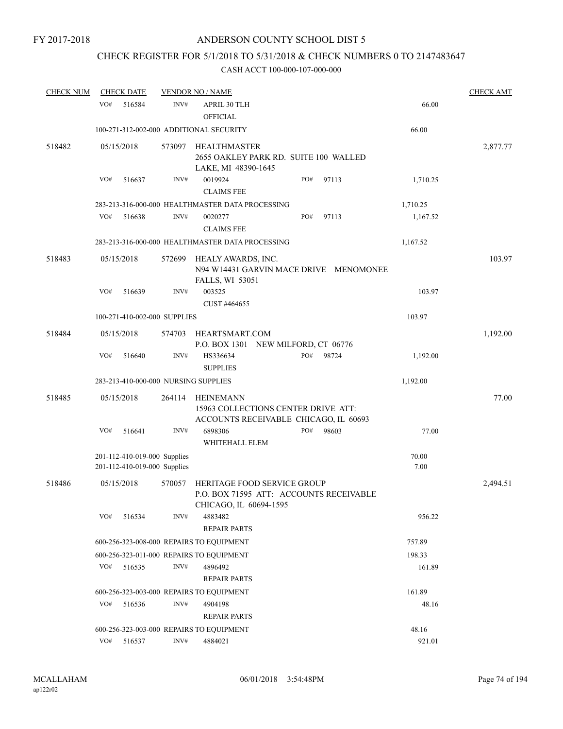# CHECK REGISTER FOR 5/1/2018 TO 5/31/2018 & CHECK NUMBERS 0 TO 2147483647

| <b>CHECK NUM</b> | <b>CHECK DATE</b>                                            |        | <b>VENDOR NO / NAME</b>                          |                                                                              |                   | <b>CHECK AMT</b> |
|------------------|--------------------------------------------------------------|--------|--------------------------------------------------|------------------------------------------------------------------------------|-------------------|------------------|
|                  | VO#<br>516584                                                | INV#   | <b>APRIL 30 TLH</b><br><b>OFFICIAL</b>           |                                                                              | 66.00             |                  |
|                  | 100-271-312-002-000 ADDITIONAL SECURITY                      |        |                                                  |                                                                              | 66.00             |                  |
| 518482           | 05/15/2018                                                   | 573097 | <b>HEALTHMASTER</b><br>LAKE, MI 48390-1645       | 2655 OAKLEY PARK RD. SUITE 100 WALLED                                        |                   | 2,877.77         |
|                  | VO#<br>516637                                                | INV#   | 0019924<br><b>CLAIMS FEE</b>                     | PO#                                                                          | 97113<br>1,710.25 |                  |
|                  |                                                              |        | 283-213-316-000-000 HEALTHMASTER DATA PROCESSING |                                                                              | 1,710.25          |                  |
|                  | VO#<br>516638                                                | INV#   | 0020277<br><b>CLAIMS FEE</b>                     | PO#                                                                          | 97113<br>1,167.52 |                  |
|                  |                                                              |        | 283-213-316-000-000 HEALTHMASTER DATA PROCESSING |                                                                              | 1,167.52          |                  |
| 518483           | 05/15/2018                                                   | 572699 | HEALY AWARDS, INC.<br>FALLS, WI 53051            | N94 W14431 GARVIN MACE DRIVE MENOMONEE                                       |                   | 103.97           |
|                  | VO#<br>516639                                                | INV#   | 003525<br>CUST #464655                           |                                                                              | 103.97            |                  |
|                  | 100-271-410-002-000 SUPPLIES                                 |        |                                                  |                                                                              | 103.97            |                  |
| 518484           | 05/15/2018                                                   | 574703 | HEARTSMART.COM                                   | P.O. BOX 1301 NEW MILFORD, CT 06776                                          |                   | 1,192.00         |
|                  | VO#<br>516640                                                | INV#   | HS336634<br><b>SUPPLIES</b>                      | PO#                                                                          | 98724<br>1,192.00 |                  |
|                  | 283-213-410-000-000 NURSING SUPPLIES                         |        |                                                  |                                                                              | 1,192.00          |                  |
| 518485           | 05/15/2018                                                   | 264114 | <b>HEINEMANN</b>                                 | 15963 COLLECTIONS CENTER DRIVE ATT:<br>ACCOUNTS RECEIVABLE CHICAGO, IL 60693 |                   | 77.00            |
|                  | VO#<br>516641                                                | INV#   | 6898306<br>WHITEHALL ELEM                        | PO#                                                                          | 98603<br>77.00    |                  |
|                  | 201-112-410-019-000 Supplies<br>201-112-410-019-000 Supplies |        |                                                  |                                                                              | 70.00<br>7.00     |                  |
| 518486           | 05/15/2018                                                   | 570057 | CHICAGO, IL 60694-1595                           | HERITAGE FOOD SERVICE GROUP<br>P.O. BOX 71595 ATT: ACCOUNTS RECEIVABLE       |                   | 2,494.51         |
|                  | VO#<br>516534                                                | INV#   | 4883482<br><b>REPAIR PARTS</b>                   |                                                                              | 956.22            |                  |
|                  | 600-256-323-008-000 REPAIRS TO EQUIPMENT                     |        |                                                  |                                                                              | 757.89            |                  |
|                  | 600-256-323-011-000 REPAIRS TO EQUIPMENT                     |        |                                                  |                                                                              | 198.33            |                  |
|                  | VO#<br>516535                                                | INV#   | 4896492<br><b>REPAIR PARTS</b>                   |                                                                              | 161.89            |                  |
|                  | 600-256-323-003-000 REPAIRS TO EQUIPMENT                     |        |                                                  |                                                                              | 161.89            |                  |
|                  | VO#<br>516536                                                | INV#   | 4904198<br><b>REPAIR PARTS</b>                   |                                                                              | 48.16             |                  |
|                  | 600-256-323-003-000 REPAIRS TO EQUIPMENT                     |        |                                                  |                                                                              | 48.16             |                  |
|                  | VO#<br>516537                                                | INV#   | 4884021                                          |                                                                              | 921.01            |                  |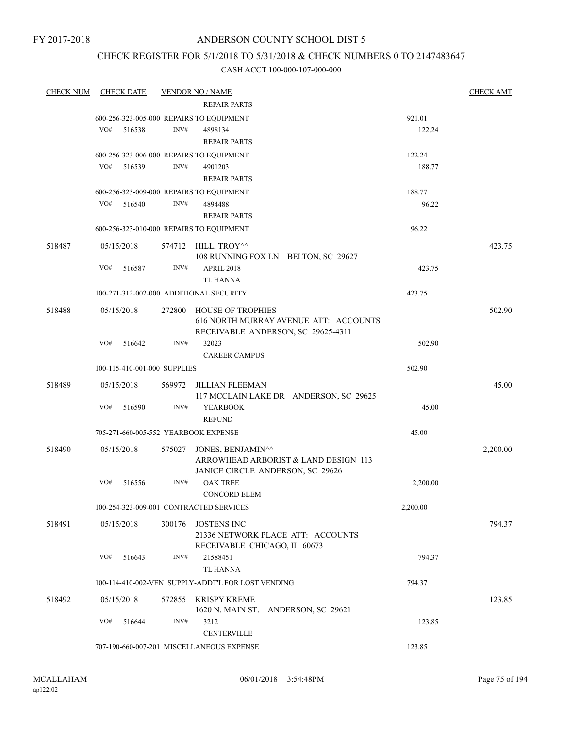### ANDERSON COUNTY SCHOOL DIST 5

### CHECK REGISTER FOR 5/1/2018 TO 5/31/2018 & CHECK NUMBERS 0 TO 2147483647

| <b>CHECK NUM</b> | <b>CHECK DATE</b>                    |        | <b>VENDOR NO / NAME</b>                                           |          | <b>CHECK AMT</b> |
|------------------|--------------------------------------|--------|-------------------------------------------------------------------|----------|------------------|
|                  |                                      |        | <b>REPAIR PARTS</b>                                               |          |                  |
|                  |                                      |        | 600-256-323-005-000 REPAIRS TO EQUIPMENT                          | 921.01   |                  |
|                  | VO#<br>516538                        | INV#   | 4898134                                                           | 122.24   |                  |
|                  |                                      |        | <b>REPAIR PARTS</b>                                               |          |                  |
|                  |                                      |        | 600-256-323-006-000 REPAIRS TO EQUIPMENT                          | 122.24   |                  |
|                  | VO#<br>516539                        | INV#   | 4901203                                                           | 188.77   |                  |
|                  |                                      |        | <b>REPAIR PARTS</b>                                               |          |                  |
|                  |                                      |        | 600-256-323-009-000 REPAIRS TO EQUIPMENT                          | 188.77   |                  |
|                  | VO#<br>516540                        | INV#   | 4894488                                                           | 96.22    |                  |
|                  |                                      |        | <b>REPAIR PARTS</b>                                               |          |                  |
|                  |                                      |        | 600-256-323-010-000 REPAIRS TO EQUIPMENT                          | 96.22    |                  |
| 518487           | 05/15/2018                           |        | 574712 HILL, TROY^^<br>108 RUNNING FOX LN BELTON, SC 29627        |          | 423.75           |
|                  | VO#<br>516587                        | INV#   | <b>APRIL 2018</b>                                                 | 423.75   |                  |
|                  |                                      |        | <b>TL HANNA</b>                                                   |          |                  |
|                  |                                      |        | 100-271-312-002-000 ADDITIONAL SECURITY                           | 423.75   |                  |
| 518488           | 05/15/2018                           | 272800 | <b>HOUSE OF TROPHIES</b><br>616 NORTH MURRAY AVENUE ATT: ACCOUNTS |          | 502.90           |
|                  |                                      |        | RECEIVABLE ANDERSON, SC 29625-4311                                |          |                  |
|                  | VO#<br>516642                        | INV#   | 32023                                                             | 502.90   |                  |
|                  |                                      |        | <b>CAREER CAMPUS</b>                                              |          |                  |
|                  | 100-115-410-001-000 SUPPLIES         |        |                                                                   | 502.90   |                  |
| 518489           | 05/15/2018                           |        | 569972 JILLIAN FLEEMAN<br>117 MCCLAIN LAKE DR ANDERSON, SC 29625  |          | 45.00            |
|                  | VO#<br>516590                        | INV#   | <b>YEARBOOK</b>                                                   | 45.00    |                  |
|                  |                                      |        | <b>REFUND</b>                                                     |          |                  |
|                  | 705-271-660-005-552 YEARBOOK EXPENSE |        |                                                                   | 45.00    |                  |
| 518490           | 05/15/2018                           | 575027 | JONES, BENJAMIN^^<br>ARROWHEAD ARBORIST & LAND DESIGN 113         |          | 2,200.00         |
|                  |                                      |        | JANICE CIRCLE ANDERSON, SC 29626                                  |          |                  |
|                  | VO#<br>516556                        | INV#   | <b>OAK TREE</b><br><b>CONCORD ELEM</b>                            | 2,200.00 |                  |
|                  |                                      |        | 100-254-323-009-001 CONTRACTED SERVICES                           | 2,200.00 |                  |
| 518491           | 05/15/2018                           | 300176 | JOSTENS INC<br>21336 NETWORK PLACE ATT: ACCOUNTS                  |          | 794.37           |
|                  | VO#<br>516643                        | INV#   | RECEIVABLE CHICAGO, IL 60673<br>21588451                          | 794.37   |                  |
|                  |                                      |        | <b>TL HANNA</b>                                                   |          |                  |
|                  |                                      |        | 100-114-410-002-VEN SUPPLY-ADDT'L FOR LOST VENDING                | 794.37   |                  |
| 518492           | 05/15/2018                           |        | 572855 KRISPY KREME<br>1620 N. MAIN ST. ANDERSON, SC 29621        |          | 123.85           |
|                  | VO#<br>516644                        | INV#   | 3212<br><b>CENTERVILLE</b>                                        | 123.85   |                  |
|                  |                                      |        | 707-190-660-007-201 MISCELLANEOUS EXPENSE                         | 123.85   |                  |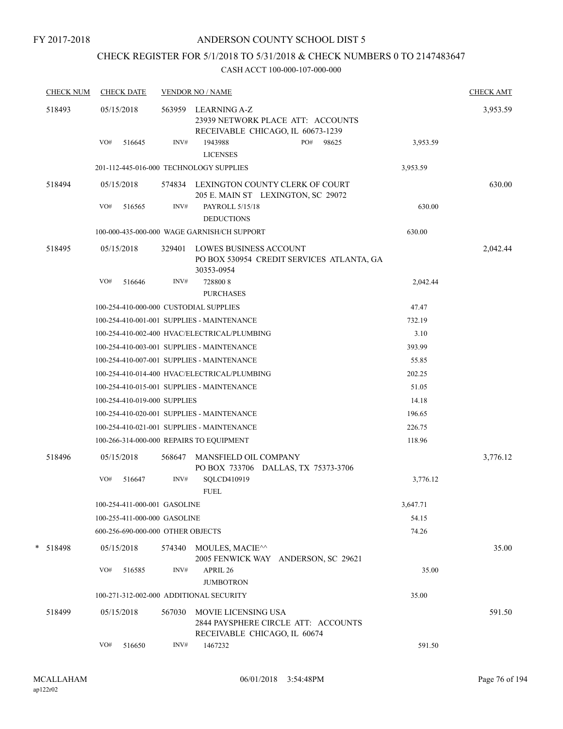### CHECK REGISTER FOR 5/1/2018 TO 5/31/2018 & CHECK NUMBERS 0 TO 2147483647

| <b>CHECK NUM</b> | <b>CHECK DATE</b>                        |        | <b>VENDOR NO / NAME</b>                             |                                                                              |          | <b>CHECK AMT</b> |
|------------------|------------------------------------------|--------|-----------------------------------------------------|------------------------------------------------------------------------------|----------|------------------|
| 518493           | 05/15/2018                               |        | 563959 LEARNING A-Z                                 | 23939 NETWORK PLACE ATT: ACCOUNTS<br>RECEIVABLE CHICAGO, IL 60673-1239       |          | 3,953.59         |
|                  | VO#<br>516645                            | INV#   | 1943988<br><b>LICENSES</b>                          | PO#<br>98625                                                                 | 3,953.59 |                  |
|                  | 201-112-445-016-000 TECHNOLOGY SUPPLIES  |        |                                                     |                                                                              | 3,953.59 |                  |
| 518494           | 05/15/2018                               |        |                                                     | 574834 LEXINGTON COUNTY CLERK OF COURT<br>205 E. MAIN ST LEXINGTON, SC 29072 |          | 630.00           |
|                  | VO#<br>516565                            | INV#   | PAYROLL 5/15/18<br><b>DEDUCTIONS</b>                |                                                                              | 630.00   |                  |
|                  |                                          |        | 100-000-435-000-000 WAGE GARNISH/CH SUPPORT         |                                                                              | 630.00   |                  |
| 518495           | 05/15/2018                               | 329401 | LOWES BUSINESS ACCOUNT<br>30353-0954                | PO BOX 530954 CREDIT SERVICES ATLANTA, GA                                    |          | 2,042.44         |
|                  | VO#<br>516646                            | INV#   | 7288008<br><b>PURCHASES</b>                         |                                                                              | 2,042.44 |                  |
|                  | 100-254-410-000-000 CUSTODIAL SUPPLIES   |        |                                                     |                                                                              | 47.47    |                  |
|                  |                                          |        | 100-254-410-001-001 SUPPLIES - MAINTENANCE          |                                                                              | 732.19   |                  |
|                  |                                          |        | 100-254-410-002-400 HVAC/ELECTRICAL/PLUMBING        |                                                                              | 3.10     |                  |
|                  |                                          |        | 100-254-410-003-001 SUPPLIES - MAINTENANCE          |                                                                              | 393.99   |                  |
|                  |                                          |        | 100-254-410-007-001 SUPPLIES - MAINTENANCE          |                                                                              | 55.85    |                  |
|                  |                                          |        | 100-254-410-014-400 HVAC/ELECTRICAL/PLUMBING        |                                                                              | 202.25   |                  |
|                  |                                          |        | 100-254-410-015-001 SUPPLIES - MAINTENANCE          |                                                                              | 51.05    |                  |
|                  | 100-254-410-019-000 SUPPLIES             |        |                                                     |                                                                              | 14.18    |                  |
|                  |                                          |        | 100-254-410-020-001 SUPPLIES - MAINTENANCE          |                                                                              | 196.65   |                  |
|                  |                                          |        | 100-254-410-021-001 SUPPLIES - MAINTENANCE          |                                                                              | 226.75   |                  |
|                  | 100-266-314-000-000 REPAIRS TO EQUIPMENT |        |                                                     |                                                                              | 118.96   |                  |
| 518496           | 05/15/2018                               | 568647 | MANSFIELD OIL COMPANY                               | PO BOX 733706 DALLAS, TX 75373-3706                                          |          | 3,776.12         |
|                  | VO#<br>516647                            | INV#   | SQLCD410919<br><b>FUEL</b>                          |                                                                              | 3,776.12 |                  |
|                  | 100-254-411-000-001 GASOLINE             |        |                                                     |                                                                              | 3,647.71 |                  |
|                  | 100-255-411-000-000 GASOLINE             |        |                                                     |                                                                              | 54.15    |                  |
|                  | 600-256-690-000-000 OTHER OBJECTS        |        |                                                     |                                                                              | 74.26    |                  |
| * 518498         | 05/15/2018                               | 574340 | MOULES, MACIE^^                                     | 2005 FENWICK WAY ANDERSON, SC 29621                                          |          | 35.00            |
|                  | VO#<br>516585                            | INV#   | APRIL 26<br><b>JUMBOTRON</b>                        |                                                                              | 35.00    |                  |
|                  | 100-271-312-002-000 ADDITIONAL SECURITY  |        |                                                     |                                                                              | 35.00    |                  |
| 518499           | 05/15/2018                               | 567030 | MOVIE LICENSING USA<br>RECEIVABLE CHICAGO, IL 60674 | 2844 PAYSPHERE CIRCLE ATT: ACCOUNTS                                          |          | 591.50           |
|                  | VO#<br>516650                            | INV#   | 1467232                                             |                                                                              | 591.50   |                  |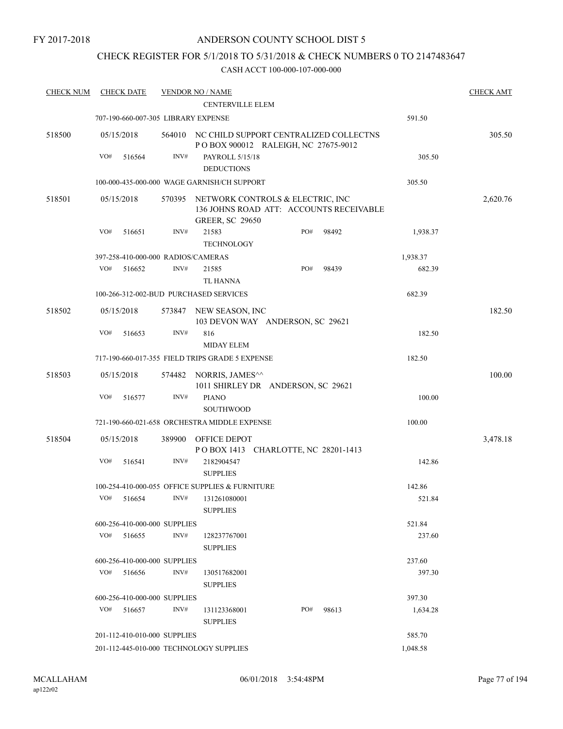### CHECK REGISTER FOR 5/1/2018 TO 5/31/2018 & CHECK NUMBERS 0 TO 2147483647

| <b>CHECK NUM</b> |            | <b>CHECK DATE</b>            |        | <b>VENDOR NO / NAME</b>                                                                               |     |       |          | <b>CHECK AMT</b> |
|------------------|------------|------------------------------|--------|-------------------------------------------------------------------------------------------------------|-----|-------|----------|------------------|
|                  |            |                              |        | <b>CENTERVILLE ELEM</b>                                                                               |     |       |          |                  |
|                  |            |                              |        | 707-190-660-007-305 LIBRARY EXPENSE                                                                   |     |       | 591.50   |                  |
| 518500           | 05/15/2018 |                              |        | 564010 NC CHILD SUPPORT CENTRALIZED COLLECTNS<br>POBOX 900012 RALEIGH, NC 27675-9012                  |     |       |          | 305.50           |
|                  | VO#        | 516564                       | INV#   | PAYROLL 5/15/18                                                                                       |     |       | 305.50   |                  |
|                  |            |                              |        | <b>DEDUCTIONS</b>                                                                                     |     |       |          |                  |
|                  |            |                              |        | 100-000-435-000-000 WAGE GARNISH/CH SUPPORT                                                           |     |       | 305.50   |                  |
| 518501           | 05/15/2018 |                              | 570395 | NETWORK CONTROLS & ELECTRIC, INC<br>136 JOHNS ROAD ATT: ACCOUNTS RECEIVABLE<br><b>GREER, SC 29650</b> |     |       |          | 2,620.76         |
|                  | VO#        | 516651                       | INV#   | 21583<br><b>TECHNOLOGY</b>                                                                            | PO# | 98492 | 1,938.37 |                  |
|                  |            |                              |        | 397-258-410-000-000 RADIOS/CAMERAS                                                                    |     |       | 1,938.37 |                  |
|                  | VO#        | 516652                       | INV#   | 21585                                                                                                 | PO# | 98439 | 682.39   |                  |
|                  |            |                              |        | <b>TL HANNA</b>                                                                                       |     |       |          |                  |
|                  |            |                              |        | 100-266-312-002-BUD PURCHASED SERVICES                                                                |     |       | 682.39   |                  |
| 518502           | 05/15/2018 |                              |        | 573847 NEW SEASON, INC<br>103 DEVON WAY ANDERSON, SC 29621                                            |     |       |          | 182.50           |
|                  | VO#        | 516653                       | INV#   | 816<br><b>MIDAY ELEM</b>                                                                              |     |       | 182.50   |                  |
|                  |            |                              |        | 717-190-660-017-355 FIELD TRIPS GRADE 5 EXPENSE                                                       |     |       | 182.50   |                  |
| 518503           | 05/15/2018 |                              | 574482 | NORRIS, JAMES^^<br>1011 SHIRLEY DR ANDERSON, SC 29621                                                 |     |       |          | 100.00           |
|                  | VO#        | 516577                       | INV#   | <b>PIANO</b><br><b>SOUTHWOOD</b>                                                                      |     |       | 100.00   |                  |
|                  |            |                              |        | 721-190-660-021-658 ORCHESTRA MIDDLE EXPENSE                                                          |     |       | 100.00   |                  |
| 518504           | 05/15/2018 |                              |        | 389900 OFFICE DEPOT<br>POBOX 1413 CHARLOTTE, NC 28201-1413                                            |     |       |          | 3,478.18         |
|                  | VO#        | 516541                       | INV#   | 2182904547<br><b>SUPPLIES</b>                                                                         |     |       | 142.86   |                  |
|                  |            |                              |        | 100-254-410-000-055 OFFICE SUPPLIES & FURNITURE                                                       |     |       | 142.86   |                  |
|                  |            | $VO#$ 516654                 |        | $INV#$ 131261080001<br><b>SUPPLIES</b>                                                                |     |       | 521.84   |                  |
|                  |            | 600-256-410-000-000 SUPPLIES |        |                                                                                                       |     |       | 521.84   |                  |
|                  | VO#        | 516655                       | INV#   | 128237767001<br><b>SUPPLIES</b>                                                                       |     |       | 237.60   |                  |
|                  |            | 600-256-410-000-000 SUPPLIES |        |                                                                                                       |     |       | 237.60   |                  |
|                  | VO#        | 516656                       | INV#   | 130517682001<br><b>SUPPLIES</b>                                                                       |     |       | 397.30   |                  |
|                  |            | 600-256-410-000-000 SUPPLIES |        |                                                                                                       |     |       | 397.30   |                  |
|                  | VO#        | 516657                       | INV#   | 131123368001<br><b>SUPPLIES</b>                                                                       | PO# | 98613 | 1,634.28 |                  |
|                  |            | 201-112-410-010-000 SUPPLIES |        |                                                                                                       |     |       | 585.70   |                  |
|                  |            |                              |        | 201-112-445-010-000 TECHNOLOGY SUPPLIES                                                               |     |       | 1,048.58 |                  |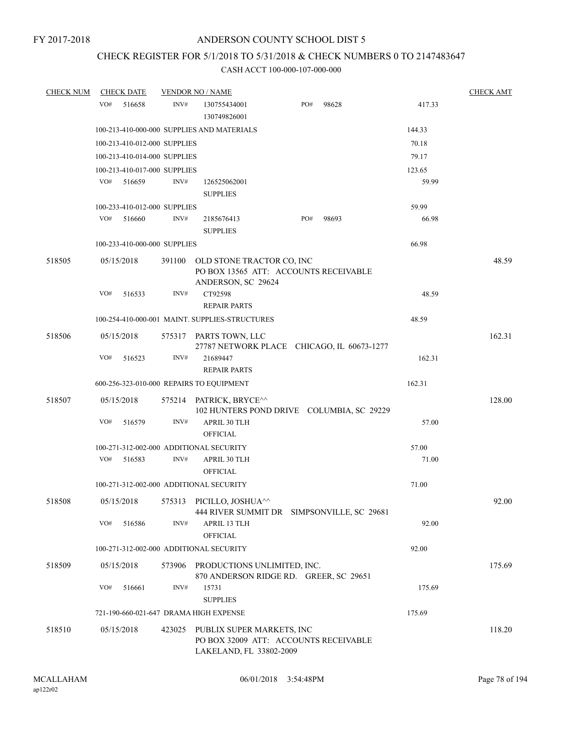### CHECK REGISTER FOR 5/1/2018 TO 5/31/2018 & CHECK NUMBERS 0 TO 2147483647

| <b>CHECK NUM</b> | <b>CHECK DATE</b>                        |        | <b>VENDOR NO / NAME</b>                                                                              |     |       |        | <b>CHECK AMT</b> |
|------------------|------------------------------------------|--------|------------------------------------------------------------------------------------------------------|-----|-------|--------|------------------|
|                  | VO#<br>516658                            | INV#   | 130755434001<br>130749826001                                                                         | PO# | 98628 | 417.33 |                  |
|                  |                                          |        | 100-213-410-000-000 SUPPLIES AND MATERIALS                                                           |     |       | 144.33 |                  |
|                  | 100-213-410-012-000 SUPPLIES             |        |                                                                                                      |     |       | 70.18  |                  |
|                  | 100-213-410-014-000 SUPPLIES             |        |                                                                                                      |     |       | 79.17  |                  |
|                  | 100-213-410-017-000 SUPPLIES             |        |                                                                                                      |     |       | 123.65 |                  |
|                  | VO#<br>516659                            | INV#   | 126525062001<br><b>SUPPLIES</b>                                                                      |     |       | 59.99  |                  |
|                  | 100-233-410-012-000 SUPPLIES             |        |                                                                                                      |     |       | 59.99  |                  |
|                  | VO#<br>516660                            | INV#   | 2185676413<br><b>SUPPLIES</b>                                                                        | PO# | 98693 | 66.98  |                  |
|                  | 100-233-410-000-000 SUPPLIES             |        |                                                                                                      |     |       | 66.98  |                  |
| 518505           | 05/15/2018                               | 391100 | OLD STONE TRACTOR CO, INC<br>PO BOX 13565 ATT: ACCOUNTS RECEIVABLE<br>ANDERSON, SC 29624             |     |       |        | 48.59            |
|                  | VO#<br>516533                            | INV#   | CT92598                                                                                              |     |       | 48.59  |                  |
|                  |                                          |        | <b>REPAIR PARTS</b>                                                                                  |     |       |        |                  |
|                  |                                          |        | 100-254-410-000-001 MAINT, SUPPLIES-STRUCTURES                                                       |     |       | 48.59  |                  |
| 518506           | 05/15/2018                               |        | 575317 PARTS TOWN, LLC<br>27787 NETWORK PLACE CHICAGO, IL 60673-1277                                 |     |       |        | 162.31           |
|                  | VO#<br>516523                            | INV#   | 21689447<br><b>REPAIR PARTS</b>                                                                      |     |       | 162.31 |                  |
|                  | 600-256-323-010-000 REPAIRS TO EQUIPMENT |        |                                                                                                      |     |       | 162.31 |                  |
| 518507           | 05/15/2018                               |        | 575214 PATRICK, BRYCE^^<br>102 HUNTERS POND DRIVE COLUMBIA, SC 29229                                 |     |       |        | 128.00           |
|                  | VO#<br>516579                            | INV#   | APRIL 30 TLH<br><b>OFFICIAL</b>                                                                      |     |       | 57.00  |                  |
|                  | 100-271-312-002-000 ADDITIONAL SECURITY  |        |                                                                                                      |     |       | 57.00  |                  |
|                  | VO#<br>516583                            | INV#   | APRIL 30 TLH<br><b>OFFICIAL</b>                                                                      |     |       | 71.00  |                  |
|                  | 100-271-312-002-000 ADDITIONAL SECURITY  |        |                                                                                                      |     |       | 71.00  |                  |
| 518508           |                                          |        | 05/15/2018 575313 PICILLO, JOSHUA <sup>^^</sup><br>444 RIVER SUMMIT DR SIMPSONVILLE, SC 29681        |     | 92.00 |        |                  |
|                  | VO#<br>516586                            | INV#   | <b>APRIL 13 TLH</b><br><b>OFFICIAL</b>                                                               |     |       | 92.00  |                  |
|                  | 100-271-312-002-000 ADDITIONAL SECURITY  |        |                                                                                                      |     |       | 92.00  |                  |
| 518509           | 05/15/2018                               | 573906 | PRODUCTIONS UNLIMITED, INC.<br>870 ANDERSON RIDGE RD. GREER, SC 29651                                |     |       |        | 175.69           |
|                  | VO#<br>516661                            | INV#   | 15731<br><b>SUPPLIES</b>                                                                             |     |       | 175.69 |                  |
|                  | 721-190-660-021-647 DRAMA HIGH EXPENSE   |        |                                                                                                      |     |       | 175.69 |                  |
| 518510           | 05/15/2018                               |        | 423025 PUBLIX SUPER MARKETS, INC<br>PO BOX 32009 ATT: ACCOUNTS RECEIVABLE<br>LAKELAND, FL 33802-2009 |     |       |        | 118.20           |
|                  |                                          |        |                                                                                                      |     |       |        |                  |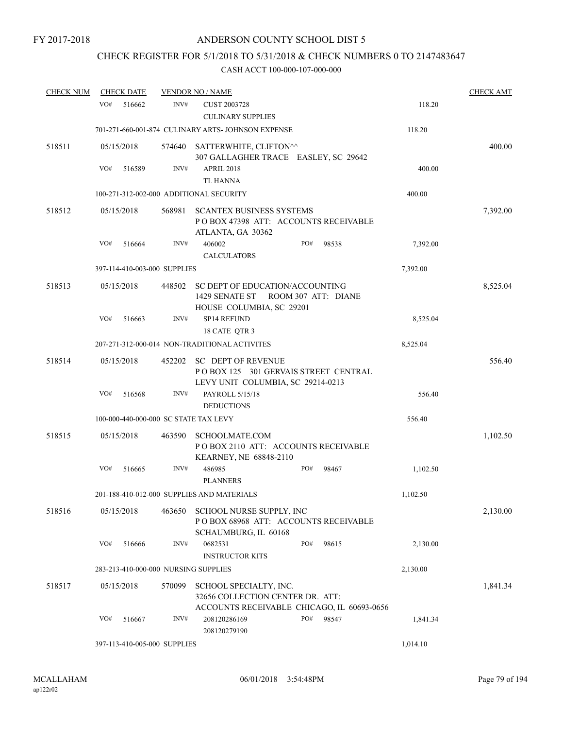# CHECK REGISTER FOR 5/1/2018 TO 5/31/2018 & CHECK NUMBERS 0 TO 2147483647

| <b>CHECK NUM</b> |     | <b>CHECK DATE</b> |                              | <b>VENDOR NO / NAME</b>                                                                                  |     |       |          | <b>CHECK AMT</b> |
|------------------|-----|-------------------|------------------------------|----------------------------------------------------------------------------------------------------------|-----|-------|----------|------------------|
|                  | VO# | 516662            | INV#                         | <b>CUST 2003728</b><br><b>CULINARY SUPPLIES</b>                                                          |     |       | 118.20   |                  |
|                  |     |                   |                              | 701-271-660-001-874 CULINARY ARTS- JOHNSON EXPENSE                                                       |     |       | 118.20   |                  |
| 518511           |     | 05/15/2018        | 574640                       | SATTERWHITE, CLIFTON^^<br>307 GALLAGHER TRACE EASLEY, SC 29642                                           |     |       |          | 400.00           |
|                  | VO# | 516589            | INV#                         | APRIL 2018<br><b>TL HANNA</b>                                                                            |     |       | 400.00   |                  |
|                  |     |                   |                              | 100-271-312-002-000 ADDITIONAL SECURITY                                                                  |     |       | 400.00   |                  |
| 518512           |     | 05/15/2018        | 568981                       | <b>SCANTEX BUSINESS SYSTEMS</b><br>POBOX 47398 ATT: ACCOUNTS RECEIVABLE<br>ATLANTA, GA 30362             |     |       |          | 7,392.00         |
|                  | VO# | 516664            | INV#                         | 406002<br><b>CALCULATORS</b>                                                                             | PO# | 98538 | 7,392.00 |                  |
|                  |     |                   | 397-114-410-003-000 SUPPLIES |                                                                                                          |     |       | 7,392.00 |                  |
| 518513           |     | 05/15/2018        | 448502                       | SC DEPT OF EDUCATION/ACCOUNTING<br>1429 SENATE ST ROOM 307 ATT: DIANE<br>HOUSE COLUMBIA, SC 29201        |     |       |          | 8,525.04         |
|                  | VO# | 516663            | INV#                         | <b>SP14 REFUND</b><br>18 CATE QTR 3                                                                      |     |       | 8,525.04 |                  |
|                  |     |                   |                              | 207-271-312-000-014 NON-TRADITIONAL ACTIVITES                                                            |     |       | 8,525.04 |                  |
| 518514           |     | 05/15/2018        | 452202                       | <b>SC DEPT OF REVENUE</b><br>POBOX 125 301 GERVAIS STREET CENTRAL<br>LEVY UNIT COLUMBIA, SC 29214-0213   |     |       |          | 556.40           |
|                  | VO# | 516568            | INV#                         | PAYROLL 5/15/18<br><b>DEDUCTIONS</b>                                                                     |     |       | 556.40   |                  |
|                  |     |                   |                              | 100-000-440-000-000 SC STATE TAX LEVY                                                                    |     |       | 556.40   |                  |
| 518515           |     | 05/15/2018        | 463590                       | <b>SCHOOLMATE.COM</b><br>POBOX 2110 ATT: ACCOUNTS RECEIVABLE<br>KEARNEY, NE 68848-2110                   |     |       |          | 1,102.50         |
|                  | VO# | 516665            | INV#                         | 486985<br><b>PLANNERS</b>                                                                                | PO# | 98467 | 1,102.50 |                  |
|                  |     |                   |                              | 201-188-410-012-000 SUPPLIES AND MATERIALS                                                               |     |       | 1,102.50 |                  |
| 518516           |     | 05/15/2018        | 463650                       | SCHOOL NURSE SUPPLY, INC<br>POBOX 68968 ATT: ACCOUNTS RECEIVABLE<br>SCHAUMBURG, IL 60168                 |     |       |          | 2,130.00         |
|                  | VO# | 516666            | INV#                         | 0682531<br><b>INSTRUCTOR KITS</b>                                                                        | PO# | 98615 | 2,130.00 |                  |
|                  |     |                   |                              | 283-213-410-000-000 NURSING SUPPLIES                                                                     |     |       | 2,130.00 |                  |
| 518517           |     | 05/15/2018        | 570099                       | SCHOOL SPECIALTY, INC.<br>32656 COLLECTION CENTER DR. ATT:<br>ACCOUNTS RECEIVABLE CHICAGO, IL 60693-0656 |     |       |          | 1,841.34         |
|                  | VO# | 516667            | INV#                         | 208120286169<br>208120279190                                                                             | PO# | 98547 | 1,841.34 |                  |
|                  |     |                   | 397-113-410-005-000 SUPPLIES |                                                                                                          |     |       | 1,014.10 |                  |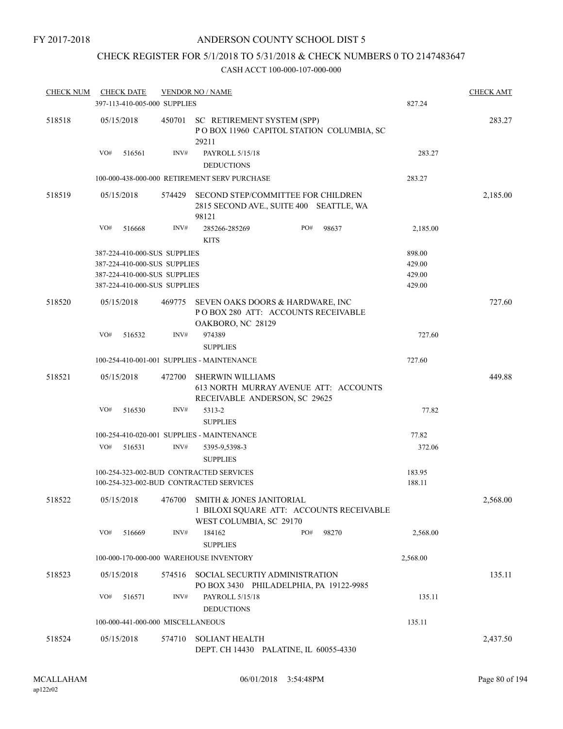### CHECK REGISTER FOR 5/1/2018 TO 5/31/2018 & CHECK NUMBERS 0 TO 2147483647

| <b>CHECK NUM</b> | <b>CHECK DATE</b>                 |        | <b>VENDOR NO / NAME</b>                                                                                |                  | <b>CHECK AMT</b> |
|------------------|-----------------------------------|--------|--------------------------------------------------------------------------------------------------------|------------------|------------------|
|                  | 397-113-410-005-000 SUPPLIES      |        |                                                                                                        | 827.24           |                  |
| 518518           | 05/15/2018                        |        | 450701 SC RETIREMENT SYSTEM (SPP)<br>POBOX 11960 CAPITOL STATION COLUMBIA, SC<br>29211                 |                  | 283.27           |
|                  | VO#<br>516561                     | INV#   | PAYROLL 5/15/18<br><b>DEDUCTIONS</b>                                                                   | 283.27           |                  |
|                  |                                   |        | 100-000-438-000-000 RETIREMENT SERV PURCHASE                                                           | 283.27           |                  |
| 518519           | 05/15/2018                        | 574429 | SECOND STEP/COMMITTEE FOR CHILDREN<br>2815 SECOND AVE., SUITE 400 SEATTLE, WA<br>98121                 |                  | 2,185.00         |
|                  | VO#<br>516668                     | INV#   | 285266-285269<br>PO#<br>98637<br><b>KITS</b>                                                           | 2,185.00         |                  |
|                  | 387-224-410-000-SUS SUPPLIES      |        |                                                                                                        | 898.00           |                  |
|                  | 387-224-410-000-SUS SUPPLIES      |        |                                                                                                        | 429.00           |                  |
|                  | 387-224-410-000-SUS SUPPLIES      |        |                                                                                                        | 429.00           |                  |
|                  | 387-224-410-000-SUS SUPPLIES      |        |                                                                                                        | 429.00           |                  |
| 518520           | 05/15/2018                        |        | 469775 SEVEN OAKS DOORS & HARDWARE, INC<br>POBOX 280 ATT: ACCOUNTS RECEIVABLE<br>OAKBORO, NC 28129     |                  | 727.60           |
|                  | VO#<br>516532                     | INV#   | 974389<br><b>SUPPLIES</b>                                                                              | 727.60           |                  |
|                  |                                   |        | 100-254-410-001-001 SUPPLIES - MAINTENANCE                                                             | 727.60           |                  |
| 518521           | 05/15/2018                        | 472700 | SHERWIN WILLIAMS<br>613 NORTH MURRAY AVENUE ATT: ACCOUNTS<br>RECEIVABLE ANDERSON, SC 29625             |                  | 449.88           |
|                  | VO#<br>516530                     | INV#   | 5313-2<br><b>SUPPLIES</b>                                                                              | 77.82            |                  |
|                  |                                   |        | 100-254-410-020-001 SUPPLIES - MAINTENANCE                                                             | 77.82            |                  |
|                  | VO#<br>516531                     | INV#   | 5395-9,5398-3<br><b>SUPPLIES</b>                                                                       | 372.06           |                  |
|                  |                                   |        | 100-254-323-002-BUD CONTRACTED SERVICES<br>100-254-323-002-BUD CONTRACTED SERVICES                     | 183.95<br>188.11 |                  |
| 518522           | 05/15/2018                        |        | 476700 SMITH & JONES JANITORIAL<br>1 BILOXI SQUARE ATT: ACCOUNTS RECEIVABLE<br>WEST COLUMBIA, SC 29170 |                  | 2,568.00         |
|                  | VO#<br>516669                     | INV#   | 184162<br>PO#<br>98270<br><b>SUPPLIES</b>                                                              | 2,568.00         |                  |
|                  |                                   |        | 100-000-170-000-000 WAREHOUSE INVENTORY                                                                | 2,568.00         |                  |
| 518523           | 05/15/2018                        | 574516 | SOCIAL SECURTIY ADMINISTRATION<br>PO BOX 3430 PHILADELPHIA, PA 19122-9985                              |                  | 135.11           |
|                  | VO#<br>516571                     | INV#   | PAYROLL 5/15/18<br><b>DEDUCTIONS</b>                                                                   | 135.11           |                  |
|                  | 100-000-441-000-000 MISCELLANEOUS |        |                                                                                                        | 135.11           |                  |
| 518524           |                                   | 574710 | SOLIANT HEALTH                                                                                         |                  |                  |
|                  | 05/15/2018                        |        | DEPT. CH 14430 PALATINE, IL 60055-4330                                                                 |                  | 2,437.50         |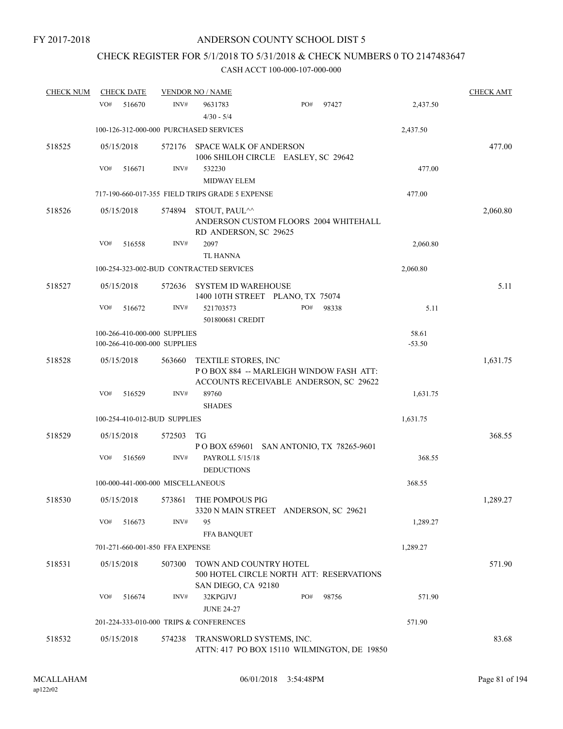# CHECK REGISTER FOR 5/1/2018 TO 5/31/2018 & CHECK NUMBERS 0 TO 2147483647

| <b>CHECK NUM</b> | <b>CHECK DATE</b>                       |        | <b>VENDOR NO / NAME</b>                                                                                 |     |       |          | <b>CHECK AMT</b> |
|------------------|-----------------------------------------|--------|---------------------------------------------------------------------------------------------------------|-----|-------|----------|------------------|
|                  | VO#<br>516670                           | INV#   | 9631783<br>$4/30 - 5/4$                                                                                 | PO# | 97427 | 2,437.50 |                  |
|                  | 100-126-312-000-000 PURCHASED SERVICES  |        |                                                                                                         |     |       | 2,437.50 |                  |
| 518525           | 05/15/2018                              | 572176 | <b>SPACE WALK OF ANDERSON</b><br>1006 SHILOH CIRCLE EASLEY, SC 29642                                    |     |       |          | 477.00           |
|                  | VO#<br>516671                           | INV#   | 532230<br><b>MIDWAY ELEM</b>                                                                            |     |       | 477.00   |                  |
|                  |                                         |        | 717-190-660-017-355 FIELD TRIPS GRADE 5 EXPENSE                                                         |     |       | 477.00   |                  |
| 518526           | 05/15/2018                              |        | 574894 STOUT, PAUL^^<br>ANDERSON CUSTOM FLOORS 2004 WHITEHALL<br>RD ANDERSON, SC 29625                  |     |       |          | 2,060.80         |
|                  | VO#<br>516558                           | INV#   | 2097<br><b>TL HANNA</b>                                                                                 |     |       | 2,060.80 |                  |
|                  |                                         |        | 100-254-323-002-BUD CONTRACTED SERVICES                                                                 |     |       | 2,060.80 |                  |
| 518527           | 05/15/2018                              | 572636 | <b>SYSTEM ID WAREHOUSE</b><br>1400 10TH STREET PLANO, TX 75074                                          |     |       |          | 5.11             |
|                  | VO#<br>516672                           | INV#   | 521703573<br>501800681 CREDIT                                                                           | PO# | 98338 | 5.11     |                  |
|                  | 100-266-410-000-000 SUPPLIES            |        |                                                                                                         |     |       | 58.61    |                  |
|                  | 100-266-410-000-000 SUPPLIES            |        |                                                                                                         |     |       | $-53.50$ |                  |
| 518528           | 05/15/2018                              | 563660 | TEXTILE STORES, INC<br>POBOX 884 -- MARLEIGH WINDOW FASH ATT:<br>ACCOUNTS RECEIVABLE ANDERSON, SC 29622 |     |       |          | 1,631.75         |
|                  | VO#<br>516529                           | INV#   | 89760<br><b>SHADES</b>                                                                                  |     |       | 1,631.75 |                  |
|                  | 100-254-410-012-BUD SUPPLIES            |        |                                                                                                         |     |       | 1,631.75 |                  |
| 518529           | 05/15/2018                              | 572503 | TG<br>P O BOX 659601 SAN ANTONIO, TX 78265-9601                                                         |     |       |          | 368.55           |
|                  | VO#<br>516569                           | INV#   | PAYROLL 5/15/18<br><b>DEDUCTIONS</b>                                                                    |     |       | 368.55   |                  |
|                  | 100-000-441-000-000 MISCELLANEOUS       |        |                                                                                                         |     |       | 368.55   |                  |
| 518530           | 05/15/2018                              |        | 573861 THE POMPOUS PIG<br>3320 N MAIN STREET ANDERSON, SC 29621                                         |     |       |          | 1,289.27         |
|                  | VO#<br>516673                           | INV#   | 95<br><b>FFA BANQUET</b>                                                                                |     |       | 1,289.27 |                  |
|                  | 701-271-660-001-850 FFA EXPENSE         |        |                                                                                                         |     |       | 1,289.27 |                  |
| 518531           | 05/15/2018                              | 507300 | TOWN AND COUNTRY HOTEL<br>500 HOTEL CIRCLE NORTH ATT: RESERVATIONS<br>SAN DIEGO, CA 92180               |     |       |          | 571.90           |
|                  | VO#<br>516674                           | INV#   | 32KPGJVJ<br><b>JUNE 24-27</b>                                                                           | PO# | 98756 | 571.90   |                  |
|                  | 201-224-333-010-000 TRIPS & CONFERENCES |        |                                                                                                         |     |       | 571.90   |                  |
| 518532           | 05/15/2018                              | 574238 | TRANSWORLD SYSTEMS, INC.<br>ATTN: 417 PO BOX 15110 WILMINGTON, DE 19850                                 |     |       |          | 83.68            |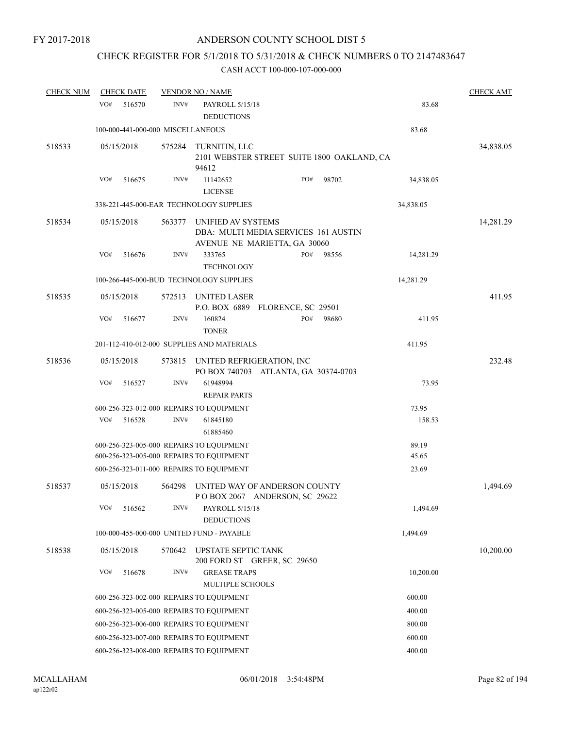# CHECK REGISTER FOR 5/1/2018 TO 5/31/2018 & CHECK NUMBERS 0 TO 2147483647

| <b>CHECK NUM</b> | <b>CHECK DATE</b>                 |        | <b>VENDOR NO / NAME</b>                                                                    |     |           |                | <b>CHECK AMT</b> |
|------------------|-----------------------------------|--------|--------------------------------------------------------------------------------------------|-----|-----------|----------------|------------------|
|                  | VO#<br>516570                     | INV#   | PAYROLL 5/15/18<br><b>DEDUCTIONS</b>                                                       |     |           | 83.68          |                  |
|                  | 100-000-441-000-000 MISCELLANEOUS |        |                                                                                            |     |           | 83.68          |                  |
| 518533           | 05/15/2018                        | 575284 | TURNITIN, LLC<br>2101 WEBSTER STREET SUITE 1800 OAKLAND, CA<br>94612                       |     |           |                | 34,838.05        |
|                  | VO#<br>516675                     | INV#   | PO#<br>98702<br>11142652<br><b>LICENSE</b>                                                 |     | 34,838.05 |                |                  |
|                  |                                   |        | 338-221-445-000-EAR TECHNOLOGY SUPPLIES                                                    |     |           | 34,838.05      |                  |
| 518534           | 05/15/2018                        | 563377 | UNIFIED AV SYSTEMS<br>DBA: MULTI MEDIA SERVICES 161 AUSTIN<br>AVENUE NE MARIETTA, GA 30060 |     |           |                | 14,281.29        |
|                  | VO#<br>516676                     | INV#   | 333765<br><b>TECHNOLOGY</b>                                                                | PO# | 98556     | 14,281.29      |                  |
|                  |                                   |        | 100-266-445-000-BUD TECHNOLOGY SUPPLIES                                                    |     |           | 14,281.29      |                  |
| 518535           | 05/15/2018                        | 572513 | UNITED LASER<br>P.O. BOX 6889 FLORENCE, SC 29501                                           |     |           |                | 411.95           |
|                  | VO#<br>516677                     | INV#   | 160824<br><b>TONER</b>                                                                     | PO# | 98680     | 411.95         |                  |
|                  |                                   |        | 201-112-410-012-000 SUPPLIES AND MATERIALS                                                 |     |           | 411.95         |                  |
| 518536           | 05/15/2018                        | 573815 | UNITED REFRIGERATION, INC<br>PO BOX 740703 ATLANTA, GA 30374-0703                          |     |           |                | 232.48           |
|                  | VO#<br>516527                     | INV#   | 61948994<br><b>REPAIR PARTS</b>                                                            |     |           | 73.95          |                  |
|                  |                                   |        | 600-256-323-012-000 REPAIRS TO EQUIPMENT                                                   |     |           | 73.95          |                  |
|                  | VO#<br>516528                     | INV#   | 61845180<br>61885460                                                                       |     |           | 158.53         |                  |
|                  |                                   |        | 600-256-323-005-000 REPAIRS TO EQUIPMENT<br>600-256-323-005-000 REPAIRS TO EQUIPMENT       |     |           | 89.19<br>45.65 |                  |
|                  |                                   |        | 600-256-323-011-000 REPAIRS TO EQUIPMENT                                                   |     |           | 23.69          |                  |
| 518537           | 05/15/2018                        | 564298 | UNITED WAY OF ANDERSON COUNTY<br>POBOX 2067 ANDERSON, SC 29622                             |     |           |                | 1,494.69         |
|                  | VO#<br>516562                     | INV#   | PAYROLL 5/15/18<br><b>DEDUCTIONS</b>                                                       |     |           | 1,494.69       |                  |
|                  |                                   |        | 100-000-455-000-000 UNITED FUND - PAYABLE                                                  |     |           | 1,494.69       |                  |
| 518538           | 05/15/2018                        | 570642 | <b>UPSTATE SEPTIC TANK</b><br>200 FORD ST GREER, SC 29650                                  |     |           |                | 10,200.00        |
|                  | VO#<br>516678                     | INV#   | <b>GREASE TRAPS</b><br><b>MULTIPLE SCHOOLS</b>                                             |     |           | 10,200.00      |                  |
|                  |                                   |        | 600-256-323-002-000 REPAIRS TO EQUIPMENT                                                   |     |           | 600.00         |                  |
|                  |                                   |        | 600-256-323-005-000 REPAIRS TO EQUIPMENT                                                   |     |           | 400.00         |                  |
|                  |                                   |        | 600-256-323-006-000 REPAIRS TO EQUIPMENT                                                   |     |           | 800.00         |                  |
|                  |                                   |        | 600-256-323-007-000 REPAIRS TO EQUIPMENT                                                   |     |           | 600.00         |                  |
|                  |                                   |        | 600-256-323-008-000 REPAIRS TO EQUIPMENT                                                   |     |           | 400.00         |                  |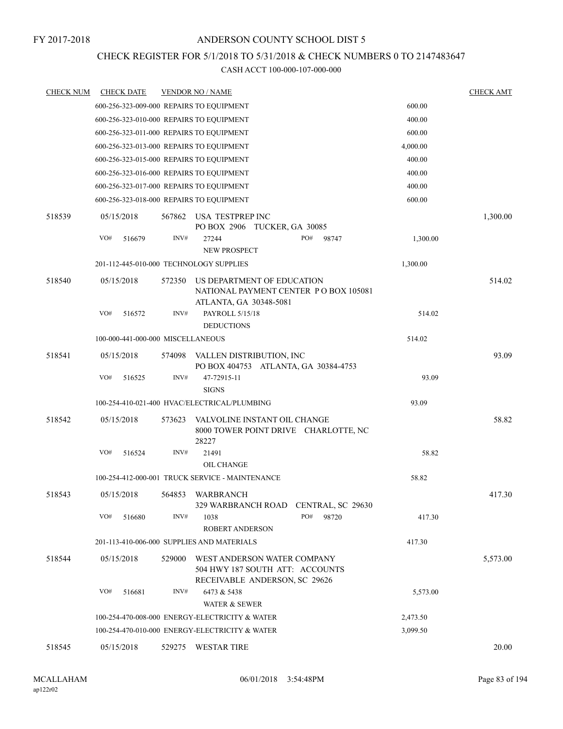### CHECK REGISTER FOR 5/1/2018 TO 5/31/2018 & CHECK NUMBERS 0 TO 2147483647

| <b>CHECK NUM</b> | <b>CHECK DATE</b>                        |        | <b>VENDOR NO / NAME</b>                                                                         |          | <b>CHECK AMT</b> |
|------------------|------------------------------------------|--------|-------------------------------------------------------------------------------------------------|----------|------------------|
|                  | 600-256-323-009-000 REPAIRS TO EQUIPMENT |        |                                                                                                 | 600.00   |                  |
|                  | 600-256-323-010-000 REPAIRS TO EQUIPMENT |        |                                                                                                 | 400.00   |                  |
|                  | 600-256-323-011-000 REPAIRS TO EQUIPMENT |        |                                                                                                 | 600.00   |                  |
|                  | 600-256-323-013-000 REPAIRS TO EQUIPMENT |        |                                                                                                 | 4,000.00 |                  |
|                  | 600-256-323-015-000 REPAIRS TO EQUIPMENT |        |                                                                                                 | 400.00   |                  |
|                  | 600-256-323-016-000 REPAIRS TO EQUIPMENT |        |                                                                                                 | 400.00   |                  |
|                  | 600-256-323-017-000 REPAIRS TO EQUIPMENT |        |                                                                                                 | 400.00   |                  |
|                  | 600-256-323-018-000 REPAIRS TO EQUIPMENT |        |                                                                                                 | 600.00   |                  |
| 518539           | 05/15/2018                               | 567862 | USA TESTPREP INC<br>PO BOX 2906 TUCKER, GA 30085                                                |          | 1,300.00         |
|                  | VO#<br>516679                            | INV#   | 27244<br>PO#<br>98747<br><b>NEW PROSPECT</b>                                                    | 1,300.00 |                  |
|                  | 201-112-445-010-000 TECHNOLOGY SUPPLIES  |        |                                                                                                 | 1,300.00 |                  |
| 518540           | 05/15/2018                               | 572350 | US DEPARTMENT OF EDUCATION<br>NATIONAL PAYMENT CENTER PO BOX 105081<br>ATLANTA, GA 30348-5081   |          | 514.02           |
|                  | VO#<br>516572                            | INV#   | PAYROLL 5/15/18<br><b>DEDUCTIONS</b>                                                            | 514.02   |                  |
|                  | 100-000-441-000-000 MISCELLANEOUS        |        |                                                                                                 | 514.02   |                  |
| 518541           | 05/15/2018                               | 574098 | VALLEN DISTRIBUTION, INC<br>PO BOX 404753 ATLANTA, GA 30384-4753                                |          | 93.09            |
|                  | VO#<br>516525                            | INV#   | 47-72915-11<br><b>SIGNS</b>                                                                     | 93.09    |                  |
|                  |                                          |        | 100-254-410-021-400 HVAC/ELECTRICAL/PLUMBING                                                    | 93.09    |                  |
| 518542           | 05/15/2018                               | 573623 | VALVOLINE INSTANT OIL CHANGE<br>8000 TOWER POINT DRIVE CHARLOTTE, NC<br>28227                   |          | 58.82            |
|                  | VO#<br>516524                            | INV#   | 21491                                                                                           | 58.82    |                  |
|                  |                                          |        | <b>OIL CHANGE</b>                                                                               |          |                  |
|                  |                                          |        | 100-254-412-000-001 TRUCK SERVICE - MAINTENANCE                                                 | 58.82    |                  |
| 518543           | 05/15/2018                               | 564853 | WARBRANCH<br>329 WARBRANCH ROAD CENTRAL, SC 29630                                               |          | 417.30           |
|                  | VO#<br>516680                            | INV#   | PO#<br>98720<br>1038<br><b>ROBERT ANDERSON</b>                                                  | 417.30   |                  |
|                  |                                          |        | 201-113-410-006-000 SUPPLIES AND MATERIALS                                                      | 417.30   |                  |
| 518544           | 05/15/2018                               | 529000 | WEST ANDERSON WATER COMPANY<br>504 HWY 187 SOUTH ATT: ACCOUNTS<br>RECEIVABLE ANDERSON, SC 29626 |          | 5,573.00         |
|                  | VO#<br>516681                            | INV#   | 6473 & 5438<br><b>WATER &amp; SEWER</b>                                                         | 5,573.00 |                  |
|                  |                                          |        | 100-254-470-008-000 ENERGY-ELECTRICITY & WATER                                                  | 2,473.50 |                  |
|                  |                                          |        | 100-254-470-010-000 ENERGY-ELECTRICITY & WATER                                                  | 3,099.50 |                  |
| 518545           | 05/15/2018                               | 529275 | <b>WESTAR TIRE</b>                                                                              |          | 20.00            |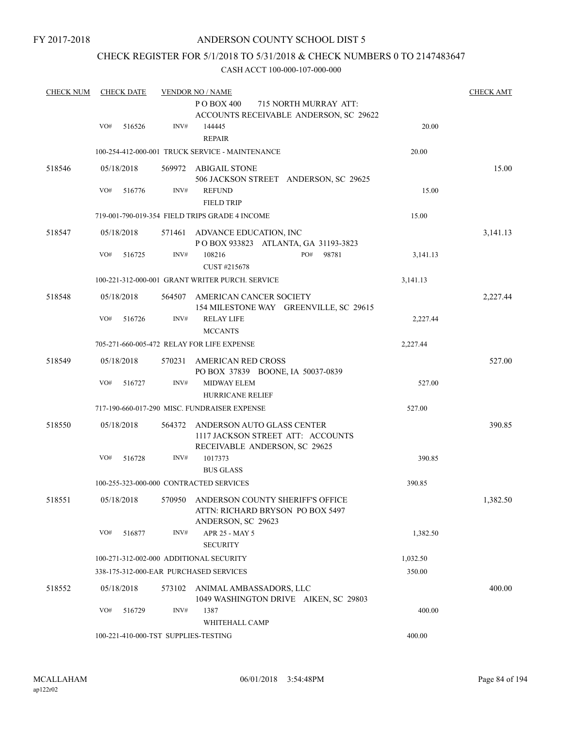### ANDERSON COUNTY SCHOOL DIST 5

### CHECK REGISTER FOR 5/1/2018 TO 5/31/2018 & CHECK NUMBERS 0 TO 2147483647

| <b>CHECK NUM</b> | <b>CHECK DATE</b>                       |        | <b>VENDOR NO / NAME</b>                                                                           |          | <b>CHECK AMT</b> |
|------------------|-----------------------------------------|--------|---------------------------------------------------------------------------------------------------|----------|------------------|
|                  |                                         |        | P O BOX 400<br>715 NORTH MURRAY ATT:<br>ACCOUNTS RECEIVABLE ANDERSON, SC 29622                    |          |                  |
|                  | VO#<br>516526                           | INV#   | 144445<br><b>REPAIR</b>                                                                           | 20.00    |                  |
|                  |                                         |        | 100-254-412-000-001 TRUCK SERVICE - MAINTENANCE                                                   | 20.00    |                  |
| 518546           | 05/18/2018                              |        | 569972 ABIGAIL STONE<br>506 JACKSON STREET ANDERSON, SC 29625                                     |          | 15.00            |
|                  | VO#<br>516776                           | INV#   | <b>REFUND</b><br><b>FIELD TRIP</b>                                                                | 15.00    |                  |
|                  |                                         |        | 719-001-790-019-354 FIELD TRIPS GRADE 4 INCOME                                                    | 15.00    |                  |
| 518547           | 05/18/2018                              | 571461 | ADVANCE EDUCATION, INC<br>POBOX 933823 ATLANTA, GA 31193-3823                                     |          | 3,141.13         |
|                  | VO#<br>516725                           | INV#   | PO#<br>108216<br>98781<br>CUST #215678                                                            | 3,141.13 |                  |
|                  |                                         |        | 100-221-312-000-001 GRANT WRITER PURCH. SERVICE                                                   | 3,141.13 |                  |
| 518548           | 05/18/2018                              | 564507 | AMERICAN CANCER SOCIETY<br>154 MILESTONE WAY GREENVILLE, SC 29615                                 |          | 2,227.44         |
|                  | VO#<br>516726                           | INV#   | <b>RELAY LIFE</b><br><b>MCCANTS</b>                                                               | 2,227.44 |                  |
|                  |                                         |        | 705-271-660-005-472 RELAY FOR LIFE EXPENSE                                                        | 2,227.44 |                  |
| 518549           | 05/18/2018                              | 570231 | AMERICAN RED CROSS<br>PO BOX 37839 BOONE, IA 50037-0839                                           |          | 527.00           |
|                  | VO#<br>516727                           | INV#   | <b>MIDWAY ELEM</b><br><b>HURRICANE RELIEF</b>                                                     | 527.00   |                  |
|                  |                                         |        | 717-190-660-017-290 MISC. FUNDRAISER EXPENSE                                                      | 527.00   |                  |
| 518550           | 05/18/2018                              | 564372 | ANDERSON AUTO GLASS CENTER<br>1117 JACKSON STREET ATT: ACCOUNTS<br>RECEIVABLE ANDERSON, SC 29625  |          | 390.85           |
|                  | VO#<br>516728                           | INV#   | 1017373<br><b>BUS GLASS</b>                                                                       | 390.85   |                  |
|                  |                                         |        | 100-255-323-000-000 CONTRACTED SERVICES                                                           | 390.85   |                  |
| 518551           | 05/18/2018                              |        | 570950 ANDERSON COUNTY SHERIFF'S OFFICE<br>ATTN: RICHARD BRYSON PO BOX 5497<br>ANDERSON, SC 29623 |          | 1,382.50         |
|                  | VO#<br>516877                           | INV#   | APR 25 - MAY 5<br><b>SECURITY</b>                                                                 | 1,382.50 |                  |
|                  | 100-271-312-002-000 ADDITIONAL SECURITY |        |                                                                                                   | 1,032.50 |                  |
|                  | 338-175-312-000-EAR PURCHASED SERVICES  |        |                                                                                                   | 350.00   |                  |
| 518552           | 05/18/2018                              |        | 573102 ANIMAL AMBASSADORS, LLC<br>1049 WASHINGTON DRIVE AIKEN, SC 29803                           |          | 400.00           |
|                  | VO#<br>516729                           | INV#   | 1387<br>WHITEHALL CAMP                                                                            | 400.00   |                  |
|                  | 100-221-410-000-TST SUPPLIES-TESTING    |        |                                                                                                   | 400.00   |                  |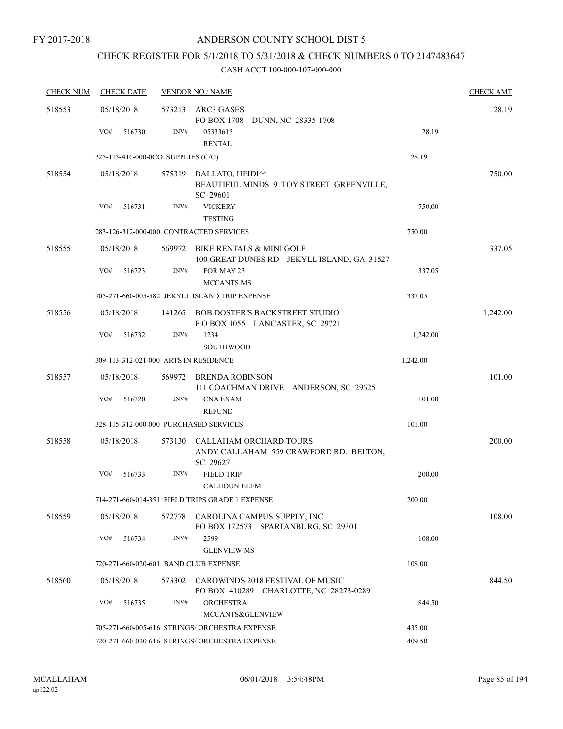# CHECK REGISTER FOR 5/1/2018 TO 5/31/2018 & CHECK NUMBERS 0 TO 2147483647

| <b>CHECK NUM</b> | <b>CHECK DATE</b>                       |        | <b>VENDOR NO / NAME</b>                                                         |          | <b>CHECK AMT</b> |
|------------------|-----------------------------------------|--------|---------------------------------------------------------------------------------|----------|------------------|
| 518553           | 05/18/2018                              | 573213 | ARC3 GASES<br>PO BOX 1708 DUNN, NC 28335-1708                                   |          | 28.19            |
|                  | VO#<br>516730                           | INV#   | 05333615<br><b>RENTAL</b>                                                       | 28.19    |                  |
|                  | 325-115-410-000-0CO SUPPLIES (C/O)      |        |                                                                                 | 28.19    |                  |
| 518554           | 05/18/2018                              |        | 575319 BALLATO, HEIDI^^<br>BEAUTIFUL MINDS 9 TOY STREET GREENVILLE,<br>SC 29601 |          | 750.00           |
|                  | VO#<br>516731                           | INV#   | <b>VICKERY</b><br><b>TESTING</b>                                                | 750.00   |                  |
|                  | 283-126-312-000-000 CONTRACTED SERVICES |        |                                                                                 | 750.00   |                  |
| 518555           | 05/18/2018                              | 569972 | BIKE RENTALS & MINI GOLF<br>100 GREAT DUNES RD JEKYLL ISLAND, GA 31527          |          | 337.05           |
|                  | VO#<br>516723                           | INV#   | FOR MAY 23<br><b>MCCANTS MS</b>                                                 | 337.05   |                  |
|                  |                                         |        | 705-271-660-005-582 JEKYLL ISLAND TRIP EXPENSE                                  | 337.05   |                  |
| 518556           | 05/18/2018                              |        | 141265 BOB DOSTER'S BACKSTREET STUDIO<br>POBOX 1055 LANCASTER, SC 29721         |          | 1,242.00         |
|                  | VO#<br>516732                           | INV#   | 1234<br><b>SOUTHWOOD</b>                                                        | 1,242.00 |                  |
|                  | 309-113-312-021-000 ARTS IN RESIDENCE   |        |                                                                                 | 1,242.00 |                  |
| 518557           | 05/18/2018                              |        | 569972 BRENDA ROBINSON<br>111 COACHMAN DRIVE ANDERSON, SC 29625                 |          | 101.00           |
|                  | VO#<br>516720                           | INV#   | <b>CNA EXAM</b><br><b>REFUND</b>                                                | 101.00   |                  |
|                  | 328-115-312-000-000 PURCHASED SERVICES  |        |                                                                                 | 101.00   |                  |
| 518558           | 05/18/2018                              | 573130 | CALLAHAM ORCHARD TOURS<br>ANDY CALLAHAM 559 CRAWFORD RD. BELTON,<br>SC 29627    |          | 200.00           |
|                  | VO#<br>516733                           | INV#   | <b>FIELD TRIP</b><br><b>CALHOUN ELEM</b>                                        | 200.00   |                  |
|                  |                                         |        | 714-271-660-014-351 FIELD TRIPS GRADE 1 EXPENSE                                 | 200.00   |                  |
| 518559           | 05/18/2018                              | 572778 | CAROLINA CAMPUS SUPPLY, INC<br>PO BOX 172573 SPARTANBURG, SC 29301              |          | 108.00           |
|                  | VO#<br>516734                           | INV#   | 2599<br><b>GLENVIEW MS</b>                                                      | 108.00   |                  |
|                  | 720-271-660-020-601 BAND CLUB EXPENSE   |        |                                                                                 | 108.00   |                  |
| 518560           | 05/18/2018                              | 573302 | CAROWINDS 2018 FESTIVAL OF MUSIC<br>PO BOX 410289 CHARLOTTE, NC 28273-0289      |          | 844.50           |
|                  | VO#<br>516735                           | INV#   | <b>ORCHESTRA</b><br>MCCANTS&GLENVIEW                                            | 844.50   |                  |
|                  |                                         |        | 705-271-660-005-616 STRINGS/ ORCHESTRA EXPENSE                                  | 435.00   |                  |
|                  |                                         |        | 720-271-660-020-616 STRINGS/ ORCHESTRA EXPENSE                                  | 409.50   |                  |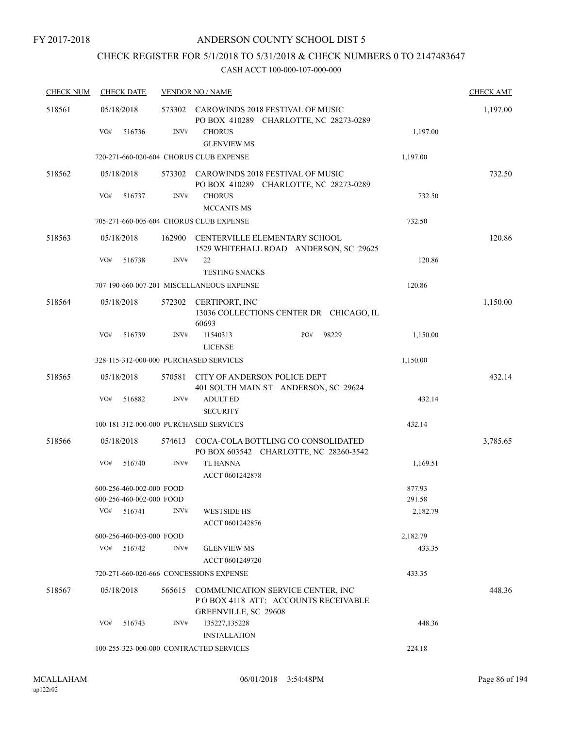## CHECK REGISTER FOR 5/1/2018 TO 5/31/2018 & CHECK NUMBERS 0 TO 2147483647

| <b>CHECK NUM</b> | <b>CHECK DATE</b>                         |        | <b>VENDOR NO / NAME</b>                   |                                                                                     |                    | <b>CHECK AMT</b> |
|------------------|-------------------------------------------|--------|-------------------------------------------|-------------------------------------------------------------------------------------|--------------------|------------------|
| 518561           | 05/18/2018                                |        |                                           | 573302 CAROWINDS 2018 FESTIVAL OF MUSIC<br>PO BOX 410289 CHARLOTTE, NC 28273-0289   |                    | 1,197.00         |
|                  | VO#<br>516736                             | INV#   | <b>CHORUS</b><br><b>GLENVIEW MS</b>       |                                                                                     | 1,197.00           |                  |
|                  |                                           |        | 720-271-660-020-604 CHORUS CLUB EXPENSE   |                                                                                     | 1,197.00           |                  |
| 518562           | 05/18/2018                                |        |                                           | 573302 CAROWINDS 2018 FESTIVAL OF MUSIC<br>PO BOX 410289 CHARLOTTE, NC 28273-0289   |                    | 732.50           |
|                  | VO#<br>516737                             | INV#   | <b>CHORUS</b><br><b>MCCANTS MS</b>        |                                                                                     | 732.50             |                  |
|                  |                                           |        | 705-271-660-005-604  CHORUS CLUB EXPENSE  |                                                                                     | 732.50             |                  |
| 518563           | 05/18/2018                                | 162900 |                                           | CENTERVILLE ELEMENTARY SCHOOL<br>1529 WHITEHALL ROAD ANDERSON, SC 29625             |                    | 120.86           |
|                  | VO#<br>516738                             | INV#   | 22<br><b>TESTING SNACKS</b>               |                                                                                     | 120.86             |                  |
|                  |                                           |        | 707-190-660-007-201 MISCELLANEOUS EXPENSE |                                                                                     | 120.86             |                  |
| 518564           | 05/18/2018                                | 572302 | CERTIPORT, INC<br>60693                   | 13036 COLLECTIONS CENTER DR CHICAGO, IL                                             |                    | 1,150.00         |
|                  | VO#<br>516739                             | INV#   | 11540313<br><b>LICENSE</b>                | PO#<br>98229                                                                        | 1,150.00           |                  |
|                  | 328-115-312-000-000 PURCHASED SERVICES    |        |                                           |                                                                                     | 1,150.00           |                  |
| 518565           | 05/18/2018                                | 570581 | <b>CITY OF ANDERSON POLICE DEPT</b>       | 401 SOUTH MAIN ST ANDERSON, SC 29624                                                |                    | 432.14           |
|                  | VO#<br>516882                             | INV#   | <b>ADULT ED</b><br><b>SECURITY</b>        |                                                                                     | 432.14             |                  |
|                  | 100-181-312-000-000 PURCHASED SERVICES    |        |                                           |                                                                                     | 432.14             |                  |
| 518566           | 05/18/2018                                |        |                                           | 574613 COCA-COLA BOTTLING CO CONSOLIDATED<br>PO BOX 603542 CHARLOTTE, NC 28260-3542 |                    | 3,785.65         |
|                  | VO#<br>516740                             | INV#   | <b>TL HANNA</b><br>ACCT 0601242878        |                                                                                     | 1,169.51           |                  |
|                  | 600-256-460-002-000 FOOD                  |        |                                           |                                                                                     | 877.93             |                  |
|                  | 600-256-460-002-000 FOOD<br>VO#<br>516741 | INV#   | <b>WESTSIDE HS</b><br>ACCT 0601242876     |                                                                                     | 291.58<br>2,182.79 |                  |
|                  | 600-256-460-003-000 FOOD                  |        |                                           |                                                                                     | 2,182.79           |                  |
|                  | VO#<br>516742                             | INV#   | <b>GLENVIEW MS</b><br>ACCT 0601249720     |                                                                                     | 433.35             |                  |
|                  |                                           |        | 720-271-660-020-666 CONCESSIONS EXPENSE   |                                                                                     | 433.35             |                  |
| 518567           | 05/18/2018                                |        | <b>GREENVILLE, SC 29608</b>               | 565615 COMMUNICATION SERVICE CENTER, INC<br>POBOX 4118 ATT: ACCOUNTS RECEIVABLE     |                    | 448.36           |
|                  | VO#<br>516743                             | INV#   | 135227,135228<br><b>INSTALLATION</b>      |                                                                                     | 448.36             |                  |
|                  |                                           |        | 100-255-323-000-000 CONTRACTED SERVICES   |                                                                                     | 224.18             |                  |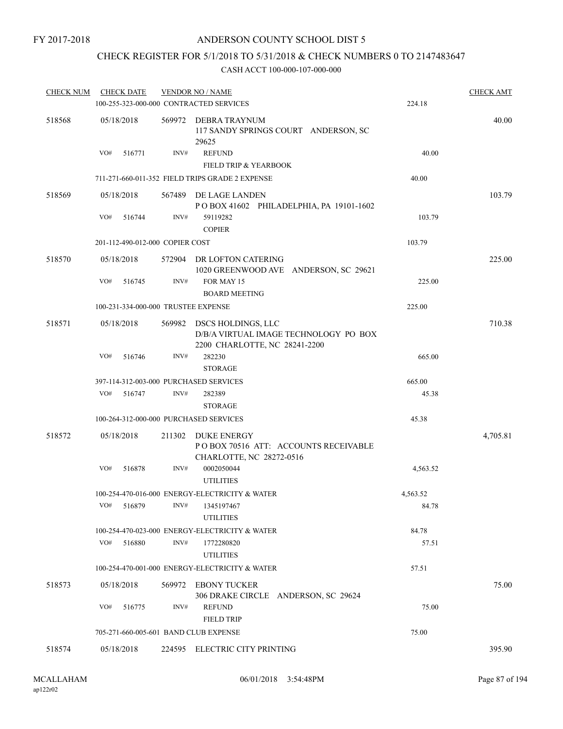### CHECK REGISTER FOR 5/1/2018 TO 5/31/2018 & CHECK NUMBERS 0 TO 2147483647

| <b>CHECK NUM</b> | <b>CHECK DATE</b> |                                       | <b>VENDOR NO / NAME</b>                                                                      |          | <b>CHECK AMT</b> |
|------------------|-------------------|---------------------------------------|----------------------------------------------------------------------------------------------|----------|------------------|
|                  |                   |                                       | 100-255-323-000-000 CONTRACTED SERVICES                                                      | 224.18   |                  |
| 518568           | 05/18/2018        | 569972                                | DEBRA TRAYNUM<br>117 SANDY SPRINGS COURT ANDERSON, SC<br>29625                               |          | 40.00            |
|                  | VO#<br>516771     | INV#                                  | <b>REFUND</b><br><b>FIELD TRIP &amp; YEARBOOK</b>                                            | 40.00    |                  |
|                  |                   |                                       | 711-271-660-011-352 FIELD TRIPS GRADE 2 EXPENSE                                              | 40.00    |                  |
| 518569           | 05/18/2018        |                                       | 567489 DE LAGE LANDEN<br>POBOX 41602 PHILADELPHIA, PA 19101-1602                             |          | 103.79           |
|                  | VO#<br>516744     | INV#                                  | 59119282<br><b>COPIER</b>                                                                    | 103.79   |                  |
|                  |                   | 201-112-490-012-000 COPIER COST       |                                                                                              | 103.79   |                  |
| 518570           | 05/18/2018        | 572904                                | DR LOFTON CATERING<br>1020 GREENWOOD AVE ANDERSON, SC 29621                                  |          | 225.00           |
|                  | VO#<br>516745     | INV#                                  | FOR MAY 15<br><b>BOARD MEETING</b>                                                           | 225.00   |                  |
|                  |                   | 100-231-334-000-000 TRUSTEE EXPENSE   |                                                                                              | 225.00   |                  |
| 518571           | 05/18/2018        | 569982                                | DSCS HOLDINGS, LLC<br>D/B/A VIRTUAL IMAGE TECHNOLOGY PO BOX<br>2200 CHARLOTTE, NC 28241-2200 |          | 710.38           |
|                  | VO#<br>516746     | INV#                                  | 282230<br><b>STORAGE</b>                                                                     | 665.00   |                  |
|                  |                   |                                       | 397-114-312-003-000 PURCHASED SERVICES                                                       | 665.00   |                  |
|                  | VO#<br>516747     | INV#                                  | 282389<br><b>STORAGE</b>                                                                     | 45.38    |                  |
|                  |                   |                                       | 100-264-312-000-000 PURCHASED SERVICES                                                       | 45.38    |                  |
| 518572           | 05/18/2018        | 211302                                | DUKE ENERGY<br>POBOX 70516 ATT: ACCOUNTS RECEIVABLE<br>CHARLOTTE, NC 28272-0516              |          | 4,705.81         |
|                  | VO#<br>516878     | INV#                                  | 0002050044<br><b>UTILITIES</b>                                                               | 4,563.52 |                  |
|                  |                   |                                       | 100-254-470-016-000 ENERGY-ELECTRICITY & WATER                                               | 4,563.52 |                  |
|                  | VO#<br>516879     | INV#                                  | 1345197467<br><b>UTILITIES</b>                                                               | 84.78    |                  |
|                  |                   |                                       | 100-254-470-023-000 ENERGY-ELECTRICITY & WATER                                               | 84.78    |                  |
|                  | VO#<br>516880     | INV#                                  | 1772280820<br><b>UTILITIES</b>                                                               | 57.51    |                  |
|                  |                   |                                       | 100-254-470-001-000 ENERGY-ELECTRICITY & WATER                                               | 57.51    |                  |
| 518573           | 05/18/2018        | 569972                                | EBONY TUCKER<br>306 DRAKE CIRCLE ANDERSON, SC 29624                                          |          | 75.00            |
|                  | VO#<br>516775     | INV#                                  | <b>REFUND</b><br><b>FIELD TRIP</b>                                                           | 75.00    |                  |
|                  |                   | 705-271-660-005-601 BAND CLUB EXPENSE |                                                                                              | 75.00    |                  |
| 518574           | 05/18/2018        |                                       | 224595 ELECTRIC CITY PRINTING                                                                |          | 395.90           |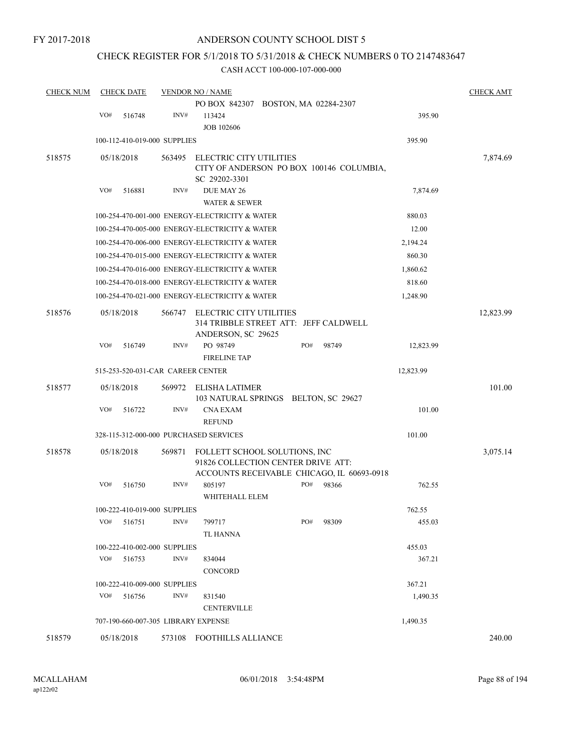### CHECK REGISTER FOR 5/1/2018 TO 5/31/2018 & CHECK NUMBERS 0 TO 2147483647

| <b>CHECK NUM</b> |     | <b>CHECK DATE</b>                 |        | <b>VENDOR NO / NAME</b>                                                                                           |     |       |           | <b>CHECK AMT</b> |
|------------------|-----|-----------------------------------|--------|-------------------------------------------------------------------------------------------------------------------|-----|-------|-----------|------------------|
|                  |     |                                   |        | PO BOX 842307 BOSTON, MA 02284-2307                                                                               |     |       |           |                  |
|                  | VO# | 516748                            | INV#   | 113424<br><b>JOB 102606</b>                                                                                       |     |       | 395.90    |                  |
|                  |     | 100-112-410-019-000 SUPPLIES      |        |                                                                                                                   |     |       | 395.90    |                  |
| 518575           |     | 05/18/2018                        | 563495 | ELECTRIC CITY UTILITIES<br>CITY OF ANDERSON PO BOX 100146 COLUMBIA,                                               |     |       |           | 7,874.69         |
|                  | VO# | 516881                            | INV#   | SC 29202-3301<br>DUE MAY 26<br><b>WATER &amp; SEWER</b>                                                           |     |       | 7,874.69  |                  |
|                  |     |                                   |        | 100-254-470-001-000 ENERGY-ELECTRICITY & WATER                                                                    |     |       | 880.03    |                  |
|                  |     |                                   |        | 100-254-470-005-000 ENERGY-ELECTRICITY & WATER                                                                    |     |       | 12.00     |                  |
|                  |     |                                   |        | 100-254-470-006-000 ENERGY-ELECTRICITY & WATER                                                                    |     |       | 2,194.24  |                  |
|                  |     |                                   |        | 100-254-470-015-000 ENERGY-ELECTRICITY & WATER                                                                    |     |       | 860.30    |                  |
|                  |     |                                   |        | 100-254-470-016-000 ENERGY-ELECTRICITY & WATER                                                                    |     |       | 1,860.62  |                  |
|                  |     |                                   |        | 100-254-470-018-000 ENERGY-ELECTRICITY & WATER                                                                    |     |       | 818.60    |                  |
|                  |     |                                   |        | 100-254-470-021-000 ENERGY-ELECTRICITY & WATER                                                                    |     |       | 1,248.90  |                  |
| 518576           |     | 05/18/2018                        | 566747 | ELECTRIC CITY UTILITIES<br>314 TRIBBLE STREET ATT: JEFF CALDWELL<br>ANDERSON, SC 29625                            |     |       |           | 12,823.99        |
|                  | VO# | 516749                            | INV#   | PO 98749<br><b>FIRELINE TAP</b>                                                                                   | PO# | 98749 | 12,823.99 |                  |
|                  |     | 515-253-520-031-CAR CAREER CENTER |        |                                                                                                                   |     |       | 12,823.99 |                  |
| 518577           |     | 05/18/2018                        | 569972 | ELISHA LATIMER<br>103 NATURAL SPRINGS BELTON, SC 29627                                                            |     |       |           | 101.00           |
|                  | VO# | 516722                            | INV#   | <b>CNA EXAM</b><br><b>REFUND</b>                                                                                  |     |       | 101.00    |                  |
|                  |     |                                   |        | 328-115-312-000-000 PURCHASED SERVICES                                                                            |     |       | 101.00    |                  |
| 518578           |     | 05/18/2018                        | 569871 | FOLLETT SCHOOL SOLUTIONS, INC<br>91826 COLLECTION CENTER DRIVE ATT:<br>ACCOUNTS RECEIVABLE CHICAGO, IL 60693-0918 |     |       |           | 3,075.14         |
|                  | VO# | 516750                            | INV#   | 805197<br>WHITEHALL ELEM                                                                                          | PO# | 98366 | 762.55    |                  |
|                  |     | 100-222-410-019-000 SUPPLIES      |        |                                                                                                                   |     |       | 762.55    |                  |
|                  | VO# | 516751                            | INV#   | 799717<br>TL HANNA                                                                                                | PO# | 98309 | 455.03    |                  |
|                  |     | 100-222-410-002-000 SUPPLIES      |        |                                                                                                                   |     |       | 455.03    |                  |
|                  | VO# | 516753                            | INV#   | 834044<br><b>CONCORD</b>                                                                                          |     |       | 367.21    |                  |
|                  |     | 100-222-410-009-000 SUPPLIES      |        |                                                                                                                   |     |       | 367.21    |                  |
|                  | VO# | 516756                            | INV#   | 831540<br><b>CENTERVILLE</b>                                                                                      |     |       | 1,490.35  |                  |
|                  |     |                                   |        | 707-190-660-007-305 LIBRARY EXPENSE                                                                               |     |       | 1,490.35  |                  |
| 518579           |     | 05/18/2018                        |        | 573108 FOOTHILLS ALLIANCE                                                                                         |     |       |           | 240.00           |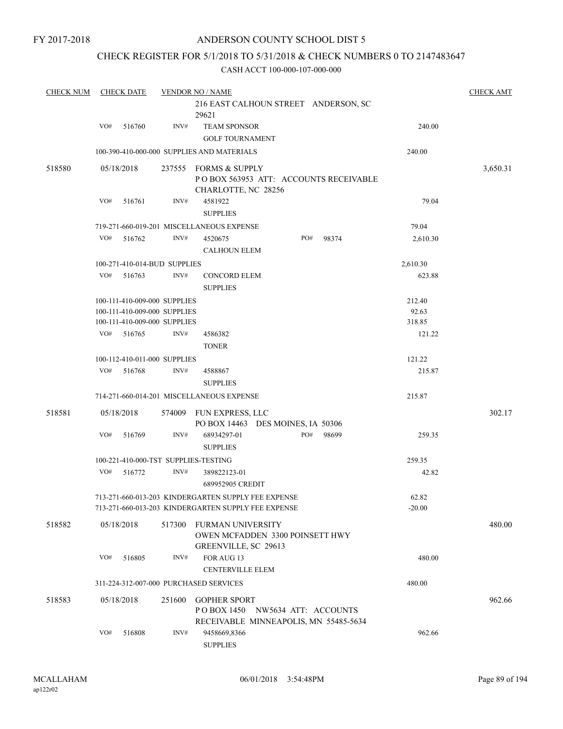### CHECK REGISTER FOR 5/1/2018 TO 5/31/2018 & CHECK NUMBERS 0 TO 2147483647

| <b>CHECK NUM</b> |     | <b>CHECK DATE</b>            |        | <b>VENDOR NO / NAME</b>                                                             |     |       |          | <b>CHECK AMT</b> |
|------------------|-----|------------------------------|--------|-------------------------------------------------------------------------------------|-----|-------|----------|------------------|
|                  |     |                              |        | 216 EAST CALHOUN STREET ANDERSON, SC<br>29621                                       |     |       |          |                  |
|                  | VO# | 516760                       | INV#   | <b>TEAM SPONSOR</b>                                                                 |     |       | 240.00   |                  |
|                  |     |                              |        | <b>GOLF TOURNAMENT</b>                                                              |     |       |          |                  |
|                  |     |                              |        | 100-390-410-000-000 SUPPLIES AND MATERIALS                                          |     |       | 240.00   |                  |
| 518580           |     | 05/18/2018                   | 237555 | <b>FORMS &amp; SUPPLY</b>                                                           |     |       |          | 3,650.31         |
|                  |     |                              |        | POBOX 563953 ATT: ACCOUNTS RECEIVABLE<br>CHARLOTTE, NC 28256                        |     |       |          |                  |
|                  | VO# | 516761                       | INV#   | 4581922<br><b>SUPPLIES</b>                                                          |     |       | 79.04    |                  |
|                  |     |                              |        | 719-271-660-019-201 MISCELLANEOUS EXPENSE                                           |     |       | 79.04    |                  |
|                  | VO# | 516762                       | INV#   | 4520675                                                                             | PO# | 98374 | 2,610.30 |                  |
|                  |     |                              |        | <b>CALHOUN ELEM</b>                                                                 |     |       |          |                  |
|                  |     | 100-271-410-014-BUD SUPPLIES |        |                                                                                     |     |       | 2,610.30 |                  |
|                  | VO# | 516763                       | INV#   | <b>CONCORD ELEM</b>                                                                 |     |       | 623.88   |                  |
|                  |     |                              |        | <b>SUPPLIES</b>                                                                     |     |       |          |                  |
|                  |     | 100-111-410-009-000 SUPPLIES |        |                                                                                     |     |       | 212.40   |                  |
|                  |     | 100-111-410-009-000 SUPPLIES |        |                                                                                     |     |       | 92.63    |                  |
|                  |     | 100-111-410-009-000 SUPPLIES |        |                                                                                     |     |       | 318.85   |                  |
|                  | VO# | 516765                       | INV#   | 4586382                                                                             |     |       | 121.22   |                  |
|                  |     |                              |        | <b>TONER</b>                                                                        |     |       |          |                  |
|                  |     | 100-112-410-011-000 SUPPLIES |        |                                                                                     |     |       | 121.22   |                  |
|                  | VO# | 516768                       | INV#   | 4588867                                                                             |     |       | 215.87   |                  |
|                  |     |                              |        | <b>SUPPLIES</b>                                                                     |     |       |          |                  |
|                  |     |                              |        | 714-271-660-014-201 MISCELLANEOUS EXPENSE                                           |     |       | 215.87   |                  |
| 518581           |     | 05/18/2018                   | 574009 | FUN EXPRESS, LLC<br>PO BOX 14463 DES MOINES, IA 50306                               |     |       |          | 302.17           |
|                  | VO# | 516769                       | INV#   | 68934297-01<br><b>SUPPLIES</b>                                                      | PO# | 98699 | 259.35   |                  |
|                  |     |                              |        | 100-221-410-000-TST SUPPLIES-TESTING                                                |     |       | 259.35   |                  |
|                  | VO# | 516772                       | INV#   | 389822123-01                                                                        |     |       | 42.82    |                  |
|                  |     |                              |        | 689952905 CREDIT                                                                    |     |       |          |                  |
|                  |     |                              |        | 713-271-660-013-203 KINDERGARTEN SUPPLY FEE EXPENSE                                 |     |       | 62.82    |                  |
|                  |     |                              |        | 713-271-660-013-203 KINDERGARTEN SUPPLY FEE EXPENSE                                 |     |       | $-20.00$ |                  |
| 518582           |     | 05/18/2018                   | 517300 | FURMAN UNIVERSITY<br><b>OWEN MCFADDEN 3300 POINSETT HWY</b><br>GREENVILLE, SC 29613 |     |       |          | 480.00           |
|                  | VO# | 516805                       | INV#   | FOR AUG 13                                                                          |     |       | 480.00   |                  |
|                  |     |                              |        | <b>CENTERVILLE ELEM</b>                                                             |     |       |          |                  |
|                  |     |                              |        | 311-224-312-007-000 PURCHASED SERVICES                                              |     |       | 480.00   |                  |
|                  |     |                              |        |                                                                                     |     |       |          |                  |
| 518583           |     | 05/18/2018                   | 251600 | <b>GOPHER SPORT</b><br>POBOX 1450 NW5634 ATT: ACCOUNTS                              |     |       |          | 962.66           |
|                  |     |                              |        | RECEIVABLE MINNEAPOLIS, MN 55485-5634                                               |     |       |          |                  |
|                  | VO# | 516808                       | INV#   | 9458669,8366                                                                        |     |       | 962.66   |                  |
|                  |     |                              |        | <b>SUPPLIES</b>                                                                     |     |       |          |                  |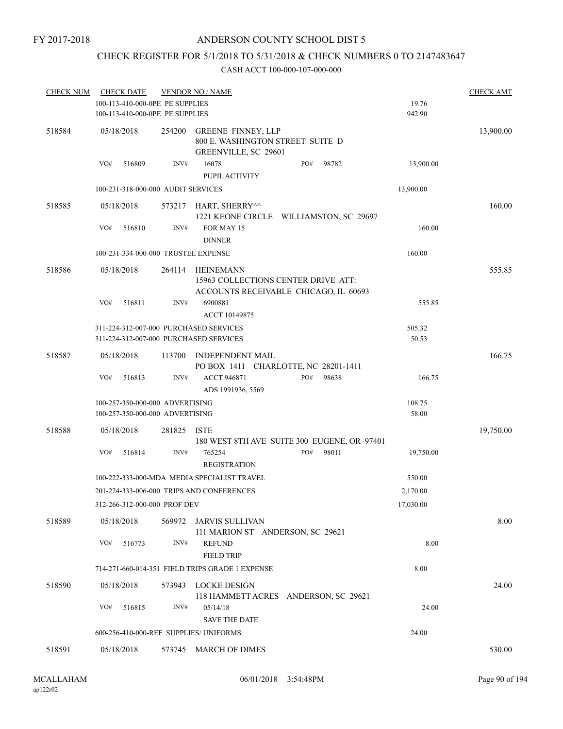### CHECK REGISTER FOR 5/1/2018 TO 5/31/2018 & CHECK NUMBERS 0 TO 2147483647

| <b>CHECK NUM</b> | <b>CHECK DATE</b><br>100-113-410-000-0PE PE SUPPLIES<br>100-113-410-000-0PE PE SUPPLIES |        | <b>VENDOR NO / NAME</b>                                                                   |              | 19.76<br>942.90 | <b>CHECK AMT</b> |
|------------------|-----------------------------------------------------------------------------------------|--------|-------------------------------------------------------------------------------------------|--------------|-----------------|------------------|
| 518584           | 05/18/2018                                                                              | 254200 | <b>GREENE FINNEY, LLP</b><br>800 E. WASHINGTON STREET SUITE D<br>GREENVILLE, SC 29601     |              |                 | 13,900.00        |
|                  | VO#<br>516809                                                                           | INV#   | 16078<br>PUPIL ACTIVITY                                                                   | PO#<br>98782 | 13,900.00       |                  |
|                  | 100-231-318-000-000 AUDIT SERVICES                                                      |        |                                                                                           |              | 13,900.00       |                  |
| 518585           | 05/18/2018                                                                              |        | 573217 HART, SHERRY^^<br>1221 KEONE CIRCLE WILLIAMSTON, SC 29697                          |              |                 | 160.00           |
|                  | VO#<br>516810                                                                           | INV#   | FOR MAY 15<br><b>DINNER</b>                                                               |              | 160.00          |                  |
|                  | 100-231-334-000-000 TRUSTEE EXPENSE                                                     |        |                                                                                           |              | 160.00          |                  |
| 518586           | 05/18/2018                                                                              | 264114 | HEINEMANN<br>15963 COLLECTIONS CENTER DRIVE ATT:<br>ACCOUNTS RECEIVABLE CHICAGO, IL 60693 |              |                 | 555.85           |
|                  | VO#<br>516811                                                                           | INV#   | 6900881<br>ACCT 10149875                                                                  |              | 555.85          |                  |
|                  | 311-224-312-007-000 PURCHASED SERVICES<br>311-224-312-007-000 PURCHASED SERVICES        |        |                                                                                           |              | 505.32<br>50.53 |                  |
| 518587           | 05/18/2018                                                                              | 113700 | INDEPENDENT MAIL<br>PO BOX 1411 CHARLOTTE, NC 28201-1411                                  |              |                 | 166.75           |
|                  | VO#<br>516813                                                                           | INV#   | <b>ACCT 946871</b><br>ADS 1991936, 5569                                                   | PO#<br>98638 | 166.75          |                  |
|                  | 100-257-350-000-000 ADVERTISING<br>100-257-350-000-000 ADVERTISING                      |        |                                                                                           |              | 108.75<br>58.00 |                  |
| 518588           | 05/18/2018                                                                              | 281825 | <b>ISTE</b><br>180 WEST 8TH AVE SUITE 300 EUGENE, OR 97401                                |              |                 | 19,750.00        |
|                  | VO#<br>516814                                                                           | INV#   | 765254<br><b>REGISTRATION</b>                                                             | PO#<br>98011 | 19,750.00       |                  |
|                  |                                                                                         |        | 100-222-333-000-MDA MEDIA SPECIALIST TRAVEL                                               |              | 550.00          |                  |
|                  |                                                                                         |        | 201-224-333-006-000 TRIPS AND CONFERENCES                                                 |              | 2,170.00        |                  |
|                  | 312-266-312-000-000 PROF DEV                                                            |        |                                                                                           |              | 17,030.00       |                  |
| 518589           | 05/18/2018                                                                              | 569972 | JARVIS SULLIVAN<br>111 MARION ST ANDERSON, SC 29621                                       |              |                 | 8.00             |
|                  | VO#<br>516773                                                                           | INV#   | <b>REFUND</b><br><b>FIELD TRIP</b>                                                        |              | 8.00            |                  |
|                  |                                                                                         |        | 714-271-660-014-351 FIELD TRIPS GRADE 1 EXPENSE                                           |              | 8.00            |                  |
| 518590           | 05/18/2018                                                                              | 573943 | LOCKE DESIGN<br>118 HAMMETT ACRES ANDERSON, SC 29621                                      |              |                 | 24.00            |
|                  | VO#<br>516815                                                                           | INV#   | 05/14/18<br><b>SAVE THE DATE</b>                                                          |              | 24.00           |                  |
|                  | 600-256-410-000-REF SUPPLIES/ UNIFORMS                                                  |        |                                                                                           |              | 24.00           |                  |
| 518591           | 05/18/2018                                                                              |        | 573745 MARCH OF DIMES                                                                     |              |                 | 530.00           |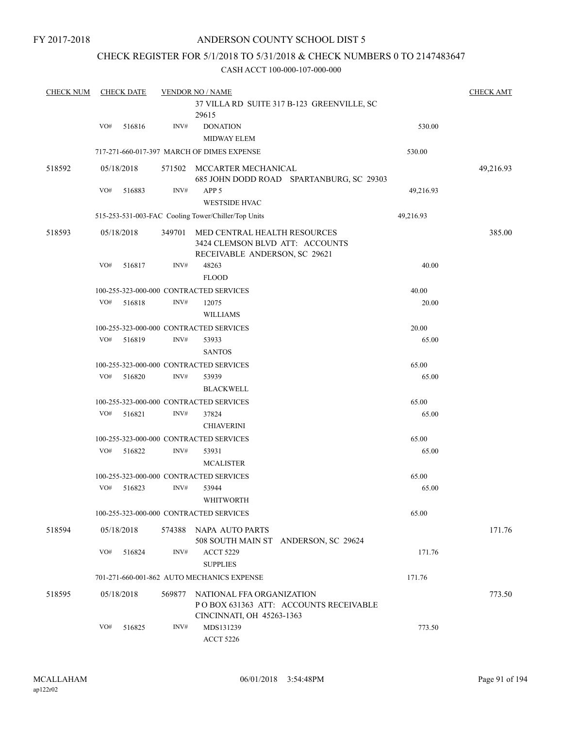### CHECK REGISTER FOR 5/1/2018 TO 5/31/2018 & CHECK NUMBERS 0 TO 2147483647

| <b>CHECK NUM</b> |     | <b>CHECK DATE</b> |        | <b>VENDOR NO / NAME</b><br>37 VILLA RD SUITE 317 B-123 GREENVILLE, SC                            |           | <b>CHECK AMT</b> |
|------------------|-----|-------------------|--------|--------------------------------------------------------------------------------------------------|-----------|------------------|
|                  | VO# | 516816            | INV#   | 29615<br><b>DONATION</b><br><b>MIDWAY ELEM</b>                                                   | 530.00    |                  |
|                  |     |                   |        | 717-271-660-017-397 MARCH OF DIMES EXPENSE                                                       | 530.00    |                  |
| 518592           |     | 05/18/2018        | 571502 | MCCARTER MECHANICAL<br>685 JOHN DODD ROAD SPARTANBURG, SC 29303                                  |           | 49,216.93        |
|                  | VO# | 516883            | INV#   | APP <sub>5</sub><br><b>WESTSIDE HVAC</b>                                                         | 49,216.93 |                  |
|                  |     |                   |        | 515-253-531-003-FAC Cooling Tower/Chiller/Top Units                                              | 49,216.93 |                  |
| 518593           |     | 05/18/2018        | 349701 | MED CENTRAL HEALTH RESOURCES<br>3424 CLEMSON BLVD ATT: ACCOUNTS<br>RECEIVABLE ANDERSON, SC 29621 |           | 385.00           |
|                  | VO# | 516817            | INV#   | 48263                                                                                            | 40.00     |                  |
|                  |     |                   |        | <b>FLOOD</b>                                                                                     |           |                  |
|                  |     |                   |        | 100-255-323-000-000 CONTRACTED SERVICES                                                          | 40.00     |                  |
|                  | VO# | 516818            | INV#   | 12075<br><b>WILLIAMS</b>                                                                         | 20.00     |                  |
|                  |     |                   |        | 100-255-323-000-000 CONTRACTED SERVICES                                                          | 20.00     |                  |
|                  | VO# | 516819            | INV#   | 53933<br><b>SANTOS</b>                                                                           | 65.00     |                  |
|                  |     |                   |        | 100-255-323-000-000 CONTRACTED SERVICES                                                          | 65.00     |                  |
|                  | VO# | 516820            | INV#   | 53939<br><b>BLACKWELL</b>                                                                        | 65.00     |                  |
|                  |     |                   |        | 100-255-323-000-000 CONTRACTED SERVICES                                                          | 65.00     |                  |
|                  | VO# | 516821            | INV#   | 37824<br><b>CHIAVERINI</b>                                                                       | 65.00     |                  |
|                  |     |                   |        | 100-255-323-000-000 CONTRACTED SERVICES                                                          | 65.00     |                  |
|                  | VO# | 516822            | INV#   | 53931<br><b>MCALISTER</b>                                                                        | 65.00     |                  |
|                  |     |                   |        | 100-255-323-000-000 CONTRACTED SERVICES                                                          | 65.00     |                  |
|                  | VO# | 516823            | INV#   | 53944<br><b>WHITWORTH</b>                                                                        | 65.00     |                  |
|                  |     |                   |        | 100-255-323-000-000 CONTRACTED SERVICES                                                          | 65.00     |                  |
| 518594           |     | 05/18/2018        |        | 574388 NAPA AUTO PARTS<br>508 SOUTH MAIN ST ANDERSON, SC 29624                                   |           | 171.76           |
|                  | VO# | 516824            | INV#   | <b>ACCT 5229</b><br><b>SUPPLIES</b>                                                              | 171.76    |                  |
|                  |     |                   |        | 701-271-660-001-862 AUTO MECHANICS EXPENSE                                                       | 171.76    |                  |
| 518595           |     | 05/18/2018        | 569877 | NATIONAL FFA ORGANIZATION<br>POBOX 631363 ATT: ACCOUNTS RECEIVABLE<br>CINCINNATI, OH 45263-1363  |           | 773.50           |
|                  | VO# | 516825            | INV#   | MDS131239<br><b>ACCT 5226</b>                                                                    | 773.50    |                  |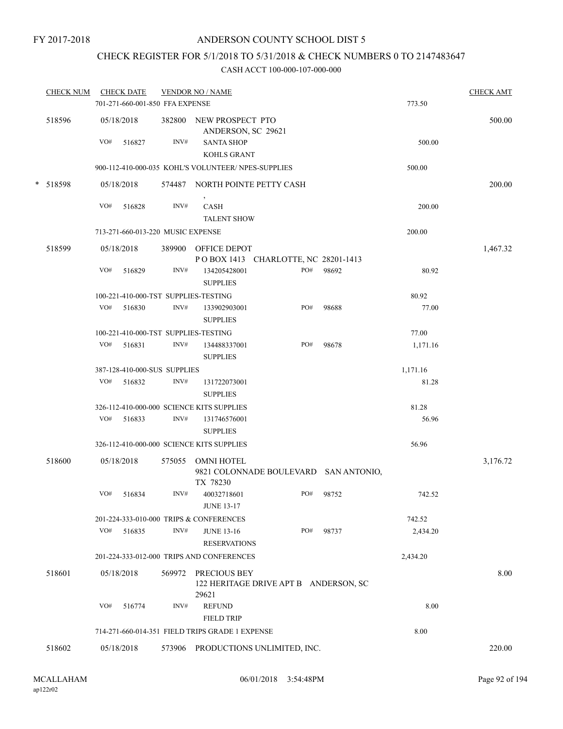# CHECK REGISTER FOR 5/1/2018 TO 5/31/2018 & CHECK NUMBERS 0 TO 2147483647

| <b>CHECK NUM</b> |     | <b>CHECK DATE</b><br>701-271-660-001-850 FFA EXPENSE |        | <b>VENDOR NO / NAME</b>                             |                                       |                                       | 773.50   | <b>CHECK AMT</b> |
|------------------|-----|------------------------------------------------------|--------|-----------------------------------------------------|---------------------------------------|---------------------------------------|----------|------------------|
| 518596           |     | 05/18/2018                                           |        | 382800 NEW PROSPECT PTO<br>ANDERSON, SC 29621       |                                       |                                       |          | 500.00           |
|                  | VO# | 516827                                               | INV#   | <b>SANTA SHOP</b><br><b>KOHLS GRANT</b>             |                                       |                                       | 500.00   |                  |
|                  |     |                                                      |        | 900-112-410-000-035 KOHL'S VOLUNTEER/ NPES-SUPPLIES |                                       |                                       | 500.00   |                  |
| * 518598         |     | 05/18/2018                                           |        | 574487 NORTH POINTE PETTY CASH                      |                                       |                                       |          | 200.00           |
|                  | VO# | 516828                                               | INV#   | $\,$<br>CASH<br><b>TALENT SHOW</b>                  |                                       |                                       | 200.00   |                  |
|                  |     | 713-271-660-013-220 MUSIC EXPENSE                    |        |                                                     |                                       |                                       | 200.00   |                  |
| 518599           |     | 05/18/2018                                           |        | 389900 OFFICE DEPOT                                 | POBOX 1413 CHARLOTTE, NC 28201-1413   |                                       |          | 1,467.32         |
|                  | VO# | 516829                                               | INV#   | 134205428001<br><b>SUPPLIES</b>                     | PO#                                   | 98692                                 | 80.92    |                  |
|                  |     |                                                      |        | 100-221-410-000-TST SUPPLIES-TESTING                |                                       |                                       | 80.92    |                  |
|                  | VO# | 516830                                               | INV#   | 133902903001<br><b>SUPPLIES</b>                     | PO#                                   | 98688                                 | 77.00    |                  |
|                  |     |                                                      |        | 100-221-410-000-TST SUPPLIES-TESTING                |                                       |                                       | 77.00    |                  |
|                  | VO# | 516831                                               | INV#   | 134488337001<br><b>SUPPLIES</b>                     | PO#                                   | 98678                                 | 1,171.16 |                  |
|                  |     | 387-128-410-000-SUS SUPPLIES                         |        |                                                     |                                       |                                       | 1,171.16 |                  |
|                  | VO# | 516832                                               | INV#   | 131722073001<br><b>SUPPLIES</b>                     |                                       |                                       | 81.28    |                  |
|                  |     |                                                      |        | 326-112-410-000-000 SCIENCE KITS SUPPLIES           |                                       |                                       | 81.28    |                  |
|                  | VO# | 516833                                               | INV#   | 131746576001<br><b>SUPPLIES</b>                     |                                       |                                       | 56.96    |                  |
|                  |     |                                                      |        | 326-112-410-000-000 SCIENCE KITS SUPPLIES           |                                       |                                       | 56.96    |                  |
| 518600           |     | 05/18/2018                                           | 575055 | <b>OMNI HOTEL</b><br>TX 78230                       |                                       | 9821 COLONNADE BOULEVARD SAN ANTONIO, |          | 3,176.72         |
|                  | VO# | 516834                                               | INV#   | 40032718601<br><b>JUNE 13-17</b>                    | PO#                                   | 98752                                 | 742.52   |                  |
|                  |     |                                                      |        | 201-224-333-010-000 TRIPS & CONFERENCES             |                                       |                                       | 742.52   |                  |
|                  | VO# | 516835                                               | INV#   | <b>JUNE 13-16</b><br><b>RESERVATIONS</b>            | PO#                                   | 98737                                 | 2,434.20 |                  |
|                  |     |                                                      |        | 201-224-333-012-000 TRIPS AND CONFERENCES           |                                       |                                       | 2,434.20 |                  |
| 518601           |     | 05/18/2018                                           | 569972 | PRECIOUS BEY                                        | 122 HERITAGE DRIVE APT B ANDERSON, SC |                                       |          | 8.00             |
|                  | VO# | 516774                                               | INV#   | 29621<br><b>REFUND</b><br><b>FIELD TRIP</b>         |                                       |                                       | 8.00     |                  |
|                  |     |                                                      |        | 714-271-660-014-351 FIELD TRIPS GRADE 1 EXPENSE     |                                       |                                       | 8.00     |                  |
| 518602           |     | 05/18/2018                                           | 573906 |                                                     | PRODUCTIONS UNLIMITED, INC.           |                                       |          | 220.00           |
|                  |     |                                                      |        |                                                     |                                       |                                       |          |                  |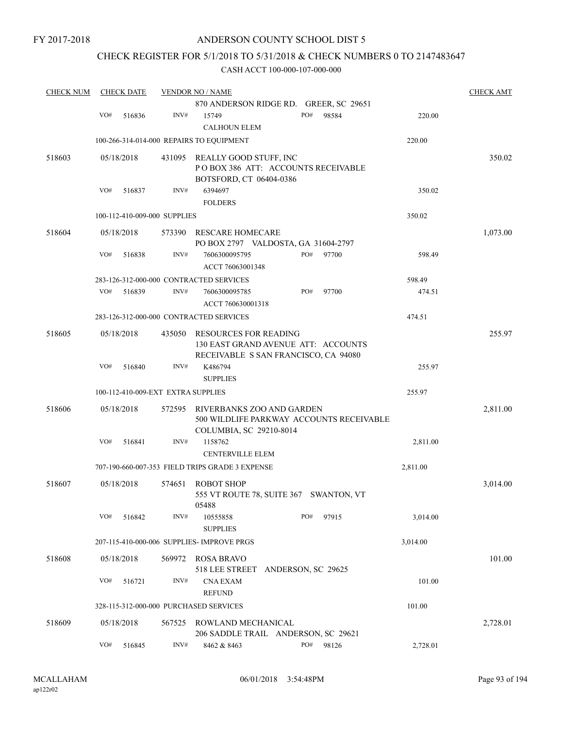### ANDERSON COUNTY SCHOOL DIST 5

### CHECK REGISTER FOR 5/1/2018 TO 5/31/2018 & CHECK NUMBERS 0 TO 2147483647

| <b>CHECK NUM</b> |     | <b>CHECK DATE</b> |                                    | <b>VENDOR NO / NAME</b>                                                                              |     |       |          | <b>CHECK AMT</b> |
|------------------|-----|-------------------|------------------------------------|------------------------------------------------------------------------------------------------------|-----|-------|----------|------------------|
|                  |     |                   |                                    | 870 ANDERSON RIDGE RD. GREER, SC 29651                                                               |     |       |          |                  |
|                  | VO# | 516836            | INV#                               | 15749                                                                                                | PO# | 98584 | 220.00   |                  |
|                  |     |                   |                                    | <b>CALHOUN ELEM</b>                                                                                  |     |       |          |                  |
|                  |     |                   |                                    | 100-266-314-014-000 REPAIRS TO EQUIPMENT                                                             |     |       | 220.00   |                  |
| 518603           |     | 05/18/2018        | 431095                             | REALLY GOOD STUFF, INC<br>POBOX 386 ATT: ACCOUNTS RECEIVABLE                                         |     |       |          | 350.02           |
|                  |     |                   |                                    | BOTSFORD, CT 06404-0386                                                                              |     |       |          |                  |
|                  | VO# | 516837            | INV#                               | 6394697                                                                                              |     |       | 350.02   |                  |
|                  |     |                   |                                    | <b>FOLDERS</b>                                                                                       |     |       |          |                  |
|                  |     |                   | 100-112-410-009-000 SUPPLIES       |                                                                                                      |     |       | 350.02   |                  |
| 518604           |     | 05/18/2018        | 573390                             | RESCARE HOMECARE<br>PO BOX 2797 VALDOSTA, GA 31604-2797                                              |     |       |          | 1,073.00         |
|                  | VO# | 516838            | INV#                               | 7606300095795<br>ACCT 76063001348                                                                    | PO# | 97700 | 598.49   |                  |
|                  |     |                   |                                    | 283-126-312-000-000 CONTRACTED SERVICES                                                              |     |       | 598.49   |                  |
|                  | VO# | 516839            | INV#                               | 7606300095785<br>ACCT 760630001318                                                                   | PO# | 97700 | 474.51   |                  |
|                  |     |                   |                                    | 283-126-312-000-000 CONTRACTED SERVICES                                                              |     |       | 474.51   |                  |
| 518605           |     | 05/18/2018        | 435050                             | RESOURCES FOR READING<br>130 EAST GRAND AVENUE ATT: ACCOUNTS<br>RECEIVABLE S SAN FRANCISCO, CA 94080 |     |       |          | 255.97           |
|                  | VO# | 516840            | INV#                               | K486794<br><b>SUPPLIES</b>                                                                           |     |       | 255.97   |                  |
|                  |     |                   | 100-112-410-009-EXT EXTRA SUPPLIES |                                                                                                      |     |       | 255.97   |                  |
| 518606           |     | 05/18/2018        | 572595                             | RIVERBANKS ZOO AND GARDEN<br>500 WILDLIFE PARKWAY ACCOUNTS RECEIVABLE<br>COLUMBIA, SC 29210-8014     |     |       |          | 2,811.00         |
|                  | VO# | 516841            | INV#                               | 1158762<br><b>CENTERVILLE ELEM</b>                                                                   |     |       | 2,811.00 |                  |
|                  |     |                   |                                    | 707-190-660-007-353 FIELD TRIPS GRADE 3 EXPENSE                                                      |     |       | 2,811.00 |                  |
| 518607           |     | 05/18/2018        | 574651                             | <b>ROBOT SHOP</b><br>555 VT ROUTE 78, SUITE 367 SWANTON, VT<br>05488                                 |     |       |          | 3,014.00         |
|                  | VO# | 516842            | INV#                               | 10555858<br><b>SUPPLIES</b>                                                                          | PO# | 97915 | 3,014.00 |                  |
|                  |     |                   |                                    | 207-115-410-000-006 SUPPLIES- IMPROVE PRGS                                                           |     |       | 3,014.00 |                  |
| 518608           |     | 05/18/2018        | 569972                             | ROSA BRAVO<br>518 LEE STREET ANDERSON, SC 29625                                                      |     |       |          | 101.00           |
|                  | VO# | 516721            | INV#                               | <b>CNA EXAM</b><br><b>REFUND</b>                                                                     |     |       | 101.00   |                  |
|                  |     |                   |                                    | 328-115-312-000-000 PURCHASED SERVICES                                                               |     |       | 101.00   |                  |
| 518609           |     | 05/18/2018        | 567525                             | ROWLAND MECHANICAL<br>206 SADDLE TRAIL ANDERSON, SC 29621                                            |     |       |          | 2,728.01         |
|                  | VO# | 516845            | INV#                               | 8462 & 8463                                                                                          | PO# | 98126 | 2,728.01 |                  |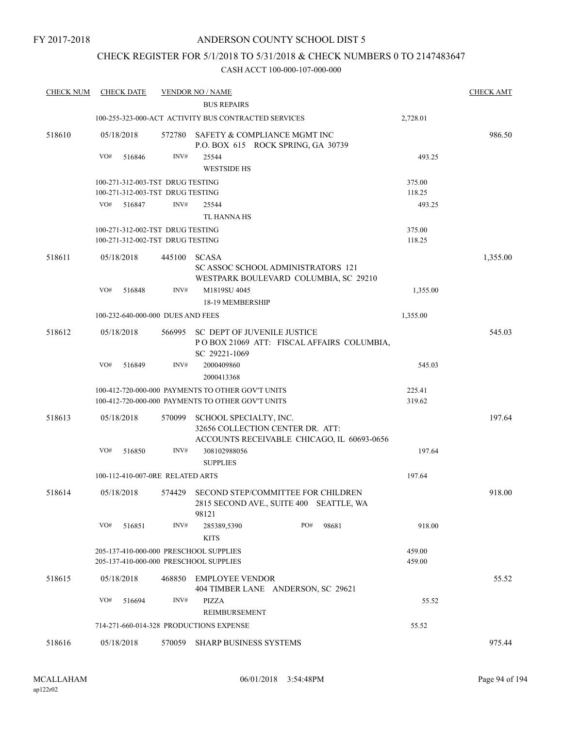### ANDERSON COUNTY SCHOOL DIST 5

### CHECK REGISTER FOR 5/1/2018 TO 5/31/2018 & CHECK NUMBERS 0 TO 2147483647

| <b>CHECK NUM</b> | <b>CHECK DATE</b>                       |        | <b>VENDOR NO / NAME</b>                                                                                  |       |                  | <b>CHECK AMT</b> |
|------------------|-----------------------------------------|--------|----------------------------------------------------------------------------------------------------------|-------|------------------|------------------|
|                  |                                         |        | <b>BUS REPAIRS</b>                                                                                       |       |                  |                  |
|                  |                                         |        | 100-255-323-000-ACT ACTIVITY BUS CONTRACTED SERVICES                                                     |       | 2,728.01         |                  |
| 518610           | 05/18/2018                              | 572780 | SAFETY & COMPLIANCE MGMT INC<br>P.O. BOX 615 ROCK SPRING, GA 30739                                       |       |                  | 986.50           |
|                  | VO#<br>516846                           | INV#   | 25544                                                                                                    |       | 493.25           |                  |
|                  |                                         |        | <b>WESTSIDE HS</b>                                                                                       |       |                  |                  |
|                  | 100-271-312-003-TST DRUG TESTING        |        |                                                                                                          |       | 375.00           |                  |
|                  | 100-271-312-003-TST DRUG TESTING        |        |                                                                                                          |       | 118.25           |                  |
|                  | VO#<br>516847                           | INV#   | 25544                                                                                                    |       | 493.25           |                  |
|                  |                                         |        | <b>TL HANNA HS</b>                                                                                       |       |                  |                  |
|                  | 100-271-312-002-TST DRUG TESTING        |        |                                                                                                          |       | 375.00           |                  |
|                  | 100-271-312-002-TST DRUG TESTING        |        |                                                                                                          |       | 118.25           |                  |
| 518611           | 05/18/2018                              | 445100 | <b>SCASA</b><br><b>SC ASSOC SCHOOL ADMINISTRATORS 121</b>                                                |       |                  | 1,355.00         |
|                  |                                         |        | WESTPARK BOULEVARD COLUMBIA, SC 29210                                                                    |       |                  |                  |
|                  | VO#<br>516848                           | INV#   | M1819SU 4045<br>18-19 MEMBERSHIP                                                                         |       | 1,355.00         |                  |
|                  | 100-232-640-000-000 DUES AND FEES       |        |                                                                                                          |       | 1,355.00         |                  |
| 518612           | 05/18/2018                              |        | 566995 SC DEPT OF JUVENILE JUSTICE<br>POBOX 21069 ATT: FISCAL AFFAIRS COLUMBIA,                          |       |                  | 545.03           |
|                  | VO#<br>516849                           | INV#   | SC 29221-1069<br>2000409860<br>2000413368                                                                |       | 545.03           |                  |
|                  |                                         |        |                                                                                                          |       |                  |                  |
|                  |                                         |        | 100-412-720-000-000 PAYMENTS TO OTHER GOV'T UNITS<br>100-412-720-000-000 PAYMENTS TO OTHER GOV'T UNITS   |       | 225.41<br>319.62 |                  |
| 518613           | 05/18/2018                              | 570099 | SCHOOL SPECIALTY, INC.<br>32656 COLLECTION CENTER DR. ATT:<br>ACCOUNTS RECEIVABLE CHICAGO, IL 60693-0656 |       |                  | 197.64           |
|                  | VO#<br>516850                           | INV#   | 308102988056<br><b>SUPPLIES</b>                                                                          |       | 197.64           |                  |
|                  | 100-112-410-007-0RE RELATED ARTS        |        |                                                                                                          |       | 197.64           |                  |
| 518614           | 05/18/2018                              | 574429 | SECOND STEP/COMMITTEE FOR CHILDREN<br>2815 SECOND AVE., SUITE 400 SEATTLE, WA<br>98121                   |       |                  | 918.00           |
|                  | VO#<br>516851                           | INV#   | PO#<br>285389,5390<br><b>KITS</b>                                                                        | 98681 | 918.00           |                  |
|                  | 205-137-410-000-000 PRESCHOOL SUPPLIES  |        |                                                                                                          |       | 459.00           |                  |
|                  | 205-137-410-000-000 PRESCHOOL SUPPLIES  |        |                                                                                                          |       | 459.00           |                  |
| 518615           | 05/18/2018                              | 468850 | <b>EMPLOYEE VENDOR</b><br>404 TIMBER LANE ANDERSON, SC 29621                                             |       |                  | 55.52            |
|                  | VO#<br>516694                           | INV#   | PIZZA<br>REIMBURSEMENT                                                                                   |       | 55.52            |                  |
|                  | 714-271-660-014-328 PRODUCTIONS EXPENSE |        |                                                                                                          |       | 55.52            |                  |
| 518616           | 05/18/2018                              |        | 570059 SHARP BUSINESS SYSTEMS                                                                            |       |                  | 975.44           |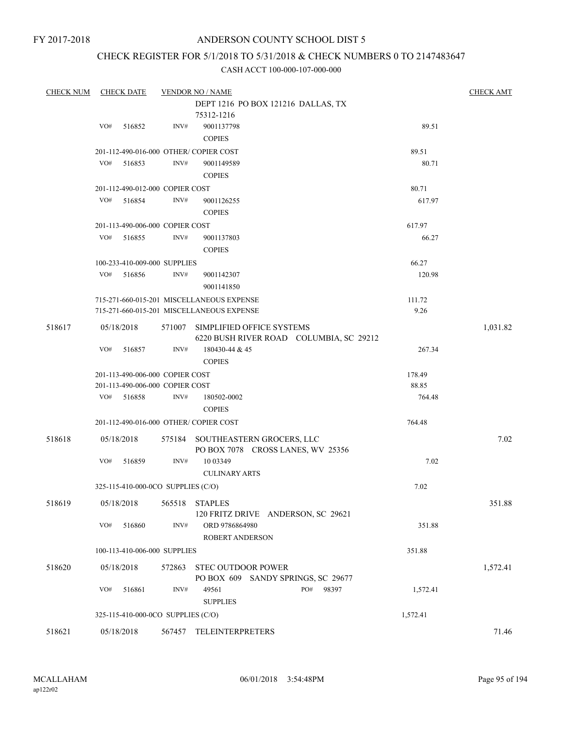### CHECK REGISTER FOR 5/1/2018 TO 5/31/2018 & CHECK NUMBERS 0 TO 2147483647

| <b>CHECK NUM</b> |     | <b>CHECK DATE</b>                  |        | <b>VENDOR NO / NAME</b>                   |          | <b>CHECK AMT</b> |
|------------------|-----|------------------------------------|--------|-------------------------------------------|----------|------------------|
|                  |     |                                    |        | DEPT 1216 PO BOX 121216 DALLAS, TX        |          |                  |
|                  |     |                                    |        | 75312-1216                                |          |                  |
|                  | VO# | 516852                             | INV#   | 9001137798                                | 89.51    |                  |
|                  |     |                                    |        | <b>COPIES</b>                             |          |                  |
|                  |     |                                    |        | 201-112-490-016-000 OTHER/ COPIER COST    | 89.51    |                  |
|                  | VO# | 516853                             | INV#   | 9001149589                                | 80.71    |                  |
|                  |     |                                    |        | <b>COPIES</b>                             |          |                  |
|                  |     | 201-112-490-012-000 COPIER COST    |        |                                           | 80.71    |                  |
|                  | VO# | 516854                             | INV#   | 9001126255                                | 617.97   |                  |
|                  |     |                                    |        | <b>COPIES</b>                             |          |                  |
|                  |     |                                    |        |                                           |          |                  |
|                  |     | 201-113-490-006-000 COPIER COST    |        |                                           | 617.97   |                  |
|                  | VO# | 516855                             | INV#   | 9001137803                                | 66.27    |                  |
|                  |     |                                    |        | <b>COPIES</b>                             |          |                  |
|                  |     | 100-233-410-009-000 SUPPLIES       |        |                                           | 66.27    |                  |
|                  | VO# | 516856                             | INV#   | 9001142307                                | 120.98   |                  |
|                  |     |                                    |        | 9001141850                                |          |                  |
|                  |     |                                    |        | 715-271-660-015-201 MISCELLANEOUS EXPENSE | 111.72   |                  |
|                  |     |                                    |        | 715-271-660-015-201 MISCELLANEOUS EXPENSE | 9.26     |                  |
| 518617           |     | 05/18/2018                         |        | 571007 SIMPLIFIED OFFICE SYSTEMS          |          | 1,031.82         |
|                  |     |                                    |        | 6220 BUSH RIVER ROAD COLUMBIA, SC 29212   |          |                  |
|                  | VO# | 516857                             | INV#   | 180430-44 & 45                            | 267.34   |                  |
|                  |     |                                    |        | <b>COPIES</b>                             |          |                  |
|                  |     | 201-113-490-006-000 COPIER COST    |        |                                           | 178.49   |                  |
|                  |     | 201-113-490-006-000 COPIER COST    |        |                                           | 88.85    |                  |
|                  | VO# | 516858                             | INV#   | 180502-0002                               | 764.48   |                  |
|                  |     |                                    |        | <b>COPIES</b>                             |          |                  |
|                  |     |                                    |        | 201-112-490-016-000 OTHER/ COPIER COST    | 764.48   |                  |
|                  |     |                                    |        |                                           |          |                  |
| 518618           |     | 05/18/2018                         |        | 575184 SOUTHEASTERN GROCERS, LLC          |          | 7.02             |
|                  |     |                                    |        | PO BOX 7078 CROSS LANES, WV 25356         |          |                  |
|                  | VO# | 516859                             | INV#   | 10 03 349                                 | 7.02     |                  |
|                  |     |                                    |        | <b>CULINARY ARTS</b>                      |          |                  |
|                  |     | 325-115-410-000-0CO SUPPLIES (C/O) |        |                                           | 7.02     |                  |
| 518619           |     | 05/18/2018                         |        | 565518 STAPLES                            |          | 351.88           |
|                  |     |                                    |        | 120 FRITZ DRIVE ANDERSON, SC 29621        |          |                  |
|                  | VO# | 516860                             | INV#   | ORD 9786864980                            | 351.88   |                  |
|                  |     |                                    |        | <b>ROBERT ANDERSON</b>                    |          |                  |
|                  |     | 100-113-410-006-000 SUPPLIES       |        |                                           | 351.88   |                  |
|                  |     |                                    |        |                                           |          |                  |
| 518620           |     | 05/18/2018                         | 572863 | <b>STEC OUTDOOR POWER</b>                 |          | 1,572.41         |
|                  |     |                                    |        | PO BOX 609 SANDY SPRINGS, SC 29677        |          |                  |
|                  | VO# | 516861                             | INV#   | PO#<br>98397<br>49561                     | 1,572.41 |                  |
|                  |     |                                    |        | <b>SUPPLIES</b>                           |          |                  |
|                  |     | 325-115-410-000-0CO SUPPLIES (C/O) |        |                                           | 1,572.41 |                  |
| 518621           |     | 05/18/2018                         |        | 567457 TELEINTERPRETERS                   |          | 71.46            |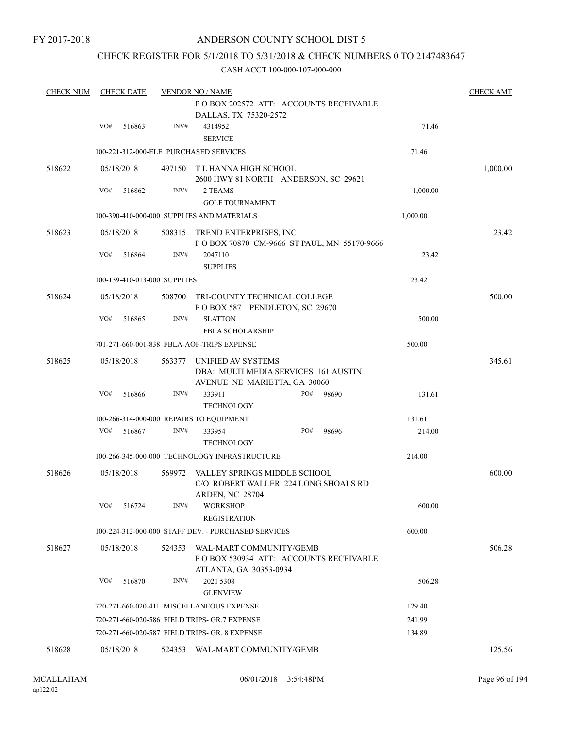### ANDERSON COUNTY SCHOOL DIST 5

### CHECK REGISTER FOR 5/1/2018 TO 5/31/2018 & CHECK NUMBERS 0 TO 2147483647

| <b>CHECK NUM</b> |     | <b>CHECK DATE</b>            |        | <b>VENDOR NO / NAME</b>                                          |     |       |          | <b>CHECK AMT</b> |
|------------------|-----|------------------------------|--------|------------------------------------------------------------------|-----|-------|----------|------------------|
|                  |     |                              |        | PO BOX 202572 ATT: ACCOUNTS RECEIVABLE                           |     |       |          |                  |
|                  |     |                              |        | DALLAS, TX 75320-2572                                            |     |       |          |                  |
|                  | VO# | 516863                       | INV#   | 4314952                                                          |     |       | 71.46    |                  |
|                  |     |                              |        | <b>SERVICE</b>                                                   |     |       |          |                  |
|                  |     |                              |        | 100-221-312-000-ELE PURCHASED SERVICES                           |     |       | 71.46    |                  |
| 518622           |     | 05/18/2018                   |        | 497150 T L HANNA HIGH SCHOOL                                     |     |       |          | 1,000.00         |
|                  |     |                              |        | 2600 HWY 81 NORTH ANDERSON, SC 29621                             |     |       |          |                  |
|                  | VO# | 516862                       | INV#   | 2 TEAMS                                                          |     |       | 1,000.00 |                  |
|                  |     |                              |        | <b>GOLF TOURNAMENT</b>                                           |     |       |          |                  |
|                  |     |                              |        | 100-390-410-000-000 SUPPLIES AND MATERIALS                       |     |       | 1,000.00 |                  |
| 518623           |     | 05/18/2018                   |        | 508315 TREND ENTERPRISES, INC                                    |     |       |          | 23.42            |
|                  |     |                              |        | POBOX 70870 CM-9666 ST PAUL, MN 55170-9666                       |     |       |          |                  |
|                  | VO# | 516864                       | INV#   | 2047110                                                          |     |       | 23.42    |                  |
|                  |     |                              |        | <b>SUPPLIES</b>                                                  |     |       |          |                  |
|                  |     | 100-139-410-013-000 SUPPLIES |        |                                                                  |     |       | 23.42    |                  |
| 518624           |     | 05/18/2018                   | 508700 | TRI-COUNTY TECHNICAL COLLEGE                                     |     |       |          | 500.00           |
|                  |     |                              |        | POBOX 587 PENDLETON, SC 29670                                    |     |       |          |                  |
|                  | VO# | 516865                       | INV#   | <b>SLATTON</b>                                                   |     |       | 500.00   |                  |
|                  |     |                              |        | FBLA SCHOLARSHIP                                                 |     |       |          |                  |
|                  |     |                              |        | 701-271-660-001-838 FBLA-AOF-TRIPS EXPENSE                       |     |       | 500.00   |                  |
| 518625           |     | 05/18/2018                   | 563377 | UNIFIED AV SYSTEMS                                               |     |       |          | 345.61           |
|                  |     |                              |        | DBA: MULTI MEDIA SERVICES 161 AUSTIN                             |     |       |          |                  |
|                  |     |                              |        | AVENUE NE MARIETTA, GA 30060                                     |     |       |          |                  |
|                  | VO# | 516866                       | INV#   | 333911                                                           | PO# | 98690 | 131.61   |                  |
|                  |     |                              |        | <b>TECHNOLOGY</b>                                                |     |       |          |                  |
|                  |     |                              |        | 100-266-314-000-000 REPAIRS TO EQUIPMENT                         |     |       | 131.61   |                  |
|                  | VO# | 516867                       | INV#   | 333954                                                           | PO# | 98696 | 214.00   |                  |
|                  |     |                              |        | <b>TECHNOLOGY</b>                                                |     |       |          |                  |
|                  |     |                              |        | 100-266-345-000-000 TECHNOLOGY INFRASTRUCTURE                    |     |       | 214.00   |                  |
| 518626           |     | 05/18/2018                   | 569972 | VALLEY SPRINGS MIDDLE SCHOOL                                     |     |       |          | 600.00           |
|                  |     |                              |        | C/O ROBERT WALLER 224 LONG SHOALS RD                             |     |       |          |                  |
|                  |     |                              |        | <b>ARDEN, NC 28704</b>                                           |     |       |          |                  |
|                  | VO# | 516724                       | INV#   | <b>WORKSHOP</b>                                                  |     |       | 600.00   |                  |
|                  |     |                              |        | <b>REGISTRATION</b>                                              |     |       |          |                  |
|                  |     |                              |        | 100-224-312-000-000 STAFF DEV. - PURCHASED SERVICES              |     |       | 600.00   |                  |
|                  |     |                              |        |                                                                  |     |       |          |                  |
| 518627           |     | 05/18/2018                   | 524353 | WAL-MART COMMUNITY/GEMB<br>POBOX 530934 ATT: ACCOUNTS RECEIVABLE |     |       |          | 506.28           |
|                  |     |                              |        | ATLANTA, GA 30353-0934                                           |     |       |          |                  |
|                  | VO# | 516870                       | INV#   | 2021 5308                                                        |     |       | 506.28   |                  |
|                  |     |                              |        | <b>GLENVIEW</b>                                                  |     |       |          |                  |
|                  |     |                              |        | 720-271-660-020-411 MISCELLANEOUS EXPENSE                        |     |       | 129.40   |                  |
|                  |     |                              |        |                                                                  |     |       |          |                  |
|                  |     |                              |        | 720-271-660-020-586 FIELD TRIPS- GR.7 EXPENSE                    |     |       | 241.99   |                  |
|                  |     |                              |        | 720-271-660-020-587 FIELD TRIPS- GR. 8 EXPENSE                   |     |       | 134.89   |                  |
| 518628           |     | 05/18/2018                   | 524353 | WAL-MART COMMUNITY/GEMB                                          |     |       |          | 125.56           |
|                  |     |                              |        |                                                                  |     |       |          |                  |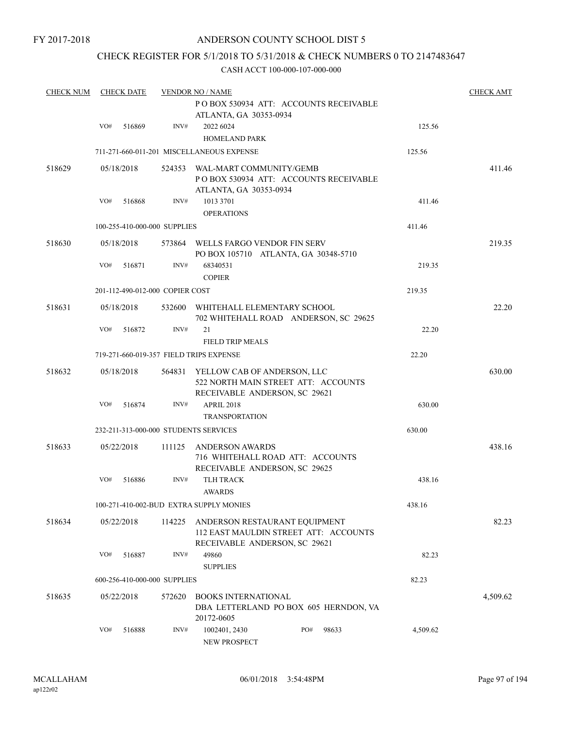### ANDERSON COUNTY SCHOOL DIST 5

### CHECK REGISTER FOR 5/1/2018 TO 5/31/2018 & CHECK NUMBERS 0 TO 2147483647

| <b>CHECK NUM</b> |     | <b>CHECK DATE</b> |                                 | <b>VENDOR NO / NAME</b>                                                                                    |     |       |          | <b>CHECK AMT</b> |
|------------------|-----|-------------------|---------------------------------|------------------------------------------------------------------------------------------------------------|-----|-------|----------|------------------|
|                  |     |                   |                                 | PO BOX 530934 ATT: ACCOUNTS RECEIVABLE<br>ATLANTA, GA 30353-0934                                           |     |       |          |                  |
|                  | VO# | 516869            | INV#                            | 2022 6024<br><b>HOMELAND PARK</b>                                                                          |     |       | 125.56   |                  |
|                  |     |                   |                                 | 711-271-660-011-201 MISCELLANEOUS EXPENSE                                                                  |     |       | 125.56   |                  |
| 518629           |     | 05/18/2018        | 524353                          | WAL-MART COMMUNITY/GEMB<br>PO BOX 530934 ATT: ACCOUNTS RECEIVABLE<br>ATLANTA, GA 30353-0934                |     |       |          | 411.46           |
|                  | VO# | 516868            | INV#                            | 1013 3701<br><b>OPERATIONS</b>                                                                             |     |       | 411.46   |                  |
|                  |     |                   | 100-255-410-000-000 SUPPLIES    |                                                                                                            |     |       | 411.46   |                  |
| 518630           |     | 05/18/2018        | 573864                          | WELLS FARGO VENDOR FIN SERV<br>PO BOX 105710 ATLANTA, GA 30348-5710                                        |     |       |          | 219.35           |
|                  | VO# | 516871            | INV#                            | 68340531<br><b>COPIER</b>                                                                                  |     |       | 219.35   |                  |
|                  |     |                   | 201-112-490-012-000 COPIER COST |                                                                                                            |     |       | 219.35   |                  |
| 518631           |     | 05/18/2018        | 532600                          | WHITEHALL ELEMENTARY SCHOOL<br>702 WHITEHALL ROAD ANDERSON, SC 29625                                       |     |       |          | 22.20            |
|                  | VO# | 516872            | INV#                            | 21<br><b>FIELD TRIP MEALS</b>                                                                              |     |       | 22.20    |                  |
|                  |     |                   |                                 | 719-271-660-019-357 FIELD TRIPS EXPENSE                                                                    |     |       | 22.20    |                  |
| 518632           |     | 05/18/2018        |                                 | 564831 YELLOW CAB OF ANDERSON, LLC<br>522 NORTH MAIN STREET ATT: ACCOUNTS<br>RECEIVABLE ANDERSON, SC 29621 |     |       |          | 630.00           |
|                  | VO# | 516874            | INV#                            | <b>APRIL 2018</b><br><b>TRANSPORTATION</b>                                                                 |     |       | 630.00   |                  |
|                  |     |                   |                                 | 232-211-313-000-000 STUDENTS SERVICES                                                                      |     |       | 630.00   |                  |
| 518633           |     | 05/22/2018        | 111125                          | ANDERSON AWARDS<br>716 WHITEHALL ROAD ATT: ACCOUNTS<br>RECEIVABLE ANDERSON, SC 29625                       |     |       |          | 438.16           |
|                  | VO# | 516886            | INV#                            | <b>TLH TRACK</b><br><b>AWARDS</b>                                                                          |     |       | 438.16   |                  |
|                  |     |                   |                                 | 100-271-410-002-BUD EXTRA SUPPLY MONIES                                                                    |     |       | 438.16   |                  |
| 518634           |     | 05/22/2018        | 114225                          | ANDERSON RESTAURANT EQUIPMENT<br>112 EAST MAULDIN STREET ATT: ACCOUNTS<br>RECEIVABLE ANDERSON, SC 29621    |     |       |          | 82.23            |
|                  | VO# | 516887            | INV#                            | 49860<br><b>SUPPLIES</b>                                                                                   |     |       | 82.23    |                  |
|                  |     |                   | 600-256-410-000-000 SUPPLIES    |                                                                                                            |     |       | 82.23    |                  |
| 518635           |     | 05/22/2018        | 572620                          | <b>BOOKS INTERNATIONAL</b><br>DBA LETTERLAND PO BOX 605 HERNDON, VA<br>20172-0605                          |     |       |          | 4,509.62         |
|                  | VO# | 516888            | INV#                            | 1002401, 2430<br><b>NEW PROSPECT</b>                                                                       | PO# | 98633 | 4,509.62 |                  |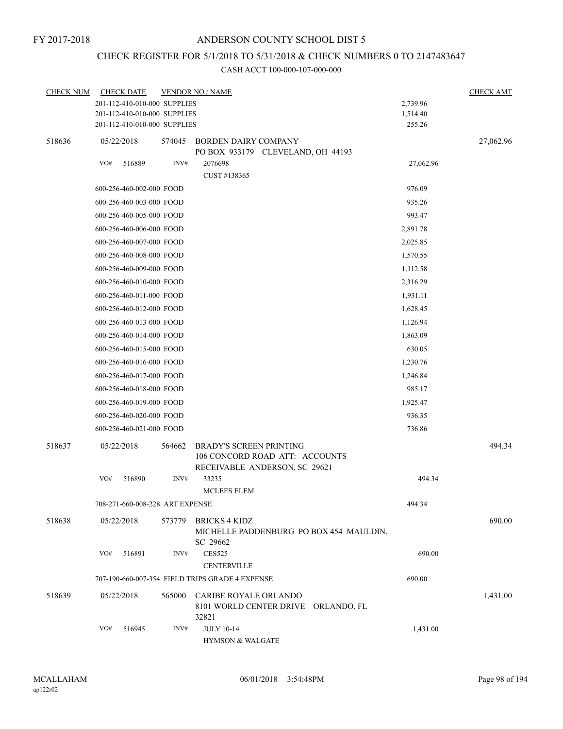### ANDERSON COUNTY SCHOOL DIST 5

# CHECK REGISTER FOR 5/1/2018 TO 5/31/2018 & CHECK NUMBERS 0 TO 2147483647

| <b>CHECK NUM</b> |     | <b>CHECK DATE</b>               |                | <b>VENDOR NO / NAME</b>                                               |           | <b>CHECK AMT</b> |
|------------------|-----|---------------------------------|----------------|-----------------------------------------------------------------------|-----------|------------------|
|                  |     | 201-112-410-010-000 SUPPLIES    |                |                                                                       | 2,739.96  |                  |
|                  |     | 201-112-410-010-000 SUPPLIES    |                |                                                                       | 1,514.40  |                  |
|                  |     | 201-112-410-010-000 SUPPLIES    |                |                                                                       | 255.26    |                  |
| 518636           |     | 05/22/2018                      | 574045         | BORDEN DAIRY COMPANY<br>PO BOX 933179 CLEVELAND, OH 44193             |           | 27,062.96        |
|                  | VO# | 516889                          | $\text{INV}\#$ | 2076698<br>CUST #138365                                               | 27,062.96 |                  |
|                  |     | 600-256-460-002-000 FOOD        |                |                                                                       | 976.09    |                  |
|                  |     | 600-256-460-003-000 FOOD        |                |                                                                       | 935.26    |                  |
|                  |     | 600-256-460-005-000 FOOD        |                |                                                                       | 993.47    |                  |
|                  |     | 600-256-460-006-000 FOOD        |                |                                                                       | 2,891.78  |                  |
|                  |     | 600-256-460-007-000 FOOD        |                |                                                                       | 2,025.85  |                  |
|                  |     | 600-256-460-008-000 FOOD        |                |                                                                       | 1,570.55  |                  |
|                  |     | 600-256-460-009-000 FOOD        |                |                                                                       | 1,112.58  |                  |
|                  |     | 600-256-460-010-000 FOOD        |                |                                                                       | 2,316.29  |                  |
|                  |     | 600-256-460-011-000 FOOD        |                |                                                                       | 1,931.11  |                  |
|                  |     | 600-256-460-012-000 FOOD        |                |                                                                       | 1,628.45  |                  |
|                  |     | 600-256-460-013-000 FOOD        |                |                                                                       | 1,126.94  |                  |
|                  |     | 600-256-460-014-000 FOOD        |                |                                                                       | 1,863.09  |                  |
|                  |     | 600-256-460-015-000 FOOD        |                |                                                                       | 630.05    |                  |
|                  |     | 600-256-460-016-000 FOOD        |                |                                                                       | 1,230.76  |                  |
|                  |     | 600-256-460-017-000 FOOD        |                |                                                                       | 1,246.84  |                  |
|                  |     | 600-256-460-018-000 FOOD        |                |                                                                       | 985.17    |                  |
|                  |     | 600-256-460-019-000 FOOD        |                |                                                                       | 1,925.47  |                  |
|                  |     | 600-256-460-020-000 FOOD        |                |                                                                       | 936.35    |                  |
|                  |     | 600-256-460-021-000 FOOD        |                |                                                                       | 736.86    |                  |
| 518637           |     | 05/22/2018                      | 564662         | <b>BRADY'S SCREEN PRINTING</b>                                        |           | 494.34           |
|                  |     |                                 |                | 106 CONCORD ROAD ATT: ACCOUNTS<br>RECEIVABLE ANDERSON, SC 29621       |           |                  |
|                  | VO# | 516890                          | INV#           | 33235<br><b>MCLEES ELEM</b>                                           | 494.34    |                  |
|                  |     | 708-271-660-008-228 ART EXPENSE |                |                                                                       | 494.34    |                  |
| 518638           |     | 05/22/2018                      | 573779         | <b>BRICKS 4 KIDZ</b>                                                  |           | 690.00           |
|                  |     |                                 |                | MICHELLE PADDENBURG PO BOX 454 MAULDIN,<br>SC 29662                   |           |                  |
|                  | VO# | 516891                          | INV#           | <b>CES525</b><br><b>CENTERVILLE</b>                                   | 690.00    |                  |
|                  |     |                                 |                | 707-190-660-007-354 FIELD TRIPS GRADE 4 EXPENSE                       | 690.00    |                  |
|                  |     |                                 |                |                                                                       |           |                  |
| 518639           |     | 05/22/2018                      | 565000         | CARIBE ROYALE ORLANDO<br>8101 WORLD CENTER DRIVE ORLANDO, FL<br>32821 |           | 1,431.00         |
|                  | VO# | 516945                          | INV#           | <b>JULY 10-14</b><br><b>HYMSON &amp; WALGATE</b>                      | 1,431.00  |                  |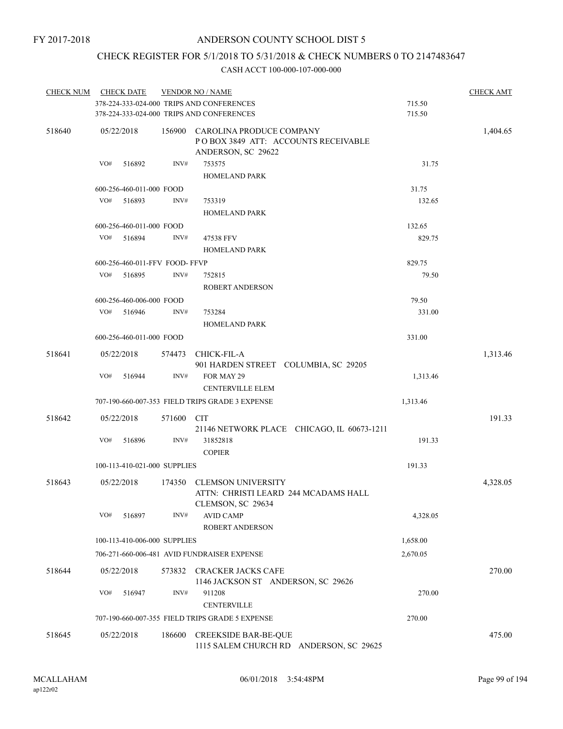### CHECK REGISTER FOR 5/1/2018 TO 5/31/2018 & CHECK NUMBERS 0 TO 2147483647

| <b>CHECK NUM</b> | <b>CHECK DATE</b> |                          |                               | <b>VENDOR NO / NAME</b>                         |          | <b>CHECK AMT</b> |
|------------------|-------------------|--------------------------|-------------------------------|-------------------------------------------------|----------|------------------|
|                  |                   |                          |                               | 378-224-333-024-000 TRIPS AND CONFERENCES       | 715.50   |                  |
|                  |                   |                          |                               | 378-224-333-024-000 TRIPS AND CONFERENCES       | 715.50   |                  |
| 518640           | 05/22/2018        |                          |                               | 156900 CAROLINA PRODUCE COMPANY                 |          | 1,404.65         |
|                  |                   |                          |                               | POBOX 3849 ATT: ACCOUNTS RECEIVABLE             |          |                  |
|                  |                   |                          |                               | ANDERSON, SC 29622                              |          |                  |
|                  | VO#               | 516892                   | INV#                          | 753575                                          | 31.75    |                  |
|                  |                   |                          |                               | <b>HOMELAND PARK</b>                            |          |                  |
|                  |                   | 600-256-460-011-000 FOOD |                               |                                                 | 31.75    |                  |
|                  | VO#               | 516893                   | INV#                          | 753319                                          | 132.65   |                  |
|                  |                   |                          |                               | <b>HOMELAND PARK</b>                            |          |                  |
|                  |                   | 600-256-460-011-000 FOOD |                               |                                                 | 132.65   |                  |
|                  | VO#               | 516894                   | INV#                          | 47538 FFV                                       | 829.75   |                  |
|                  |                   |                          |                               | <b>HOMELAND PARK</b>                            |          |                  |
|                  |                   |                          | 600-256-460-011-FFV FOOD-FFVP |                                                 | 829.75   |                  |
|                  | VO#               | 516895                   | INV#                          | 752815                                          | 79.50    |                  |
|                  |                   |                          |                               | <b>ROBERT ANDERSON</b>                          |          |                  |
|                  |                   | 600-256-460-006-000 FOOD |                               |                                                 | 79.50    |                  |
|                  | VO#               | 516946                   | INV#                          | 753284                                          | 331.00   |                  |
|                  |                   |                          |                               | <b>HOMELAND PARK</b>                            |          |                  |
|                  |                   | 600-256-460-011-000 FOOD |                               |                                                 | 331.00   |                  |
| 518641           | 05/22/2018        |                          | 574473                        | <b>CHICK-FIL-A</b>                              |          | 1,313.46         |
|                  |                   |                          |                               | 901 HARDEN STREET COLUMBIA, SC 29205            |          |                  |
|                  | VO#               | 516944                   | INV#                          | FOR MAY 29                                      | 1,313.46 |                  |
|                  |                   |                          |                               | <b>CENTERVILLE ELEM</b>                         |          |                  |
|                  |                   |                          |                               | 707-190-660-007-353 FIELD TRIPS GRADE 3 EXPENSE | 1,313.46 |                  |
| 518642           | 05/22/2018        |                          | 571600 CIT                    |                                                 |          | 191.33           |
|                  |                   |                          |                               | 21146 NETWORK PLACE CHICAGO, IL 60673-1211      |          |                  |
|                  | VO#               | 516896                   | INV#                          | 31852818                                        | 191.33   |                  |
|                  |                   |                          |                               | <b>COPIER</b>                                   |          |                  |
|                  |                   |                          | 100-113-410-021-000 SUPPLIES  |                                                 | 191.33   |                  |
| 518643           | 05/22/2018        |                          |                               | 174350 CLEMSON UNIVERSITY                       |          | 4,328.05         |
|                  |                   |                          |                               | ATTN: CHRISTI LEARD 244 MCADAMS HALL            |          |                  |
|                  |                   |                          |                               | CLEMSON, SC 29634                               |          |                  |
|                  | VO#               | 516897                   | INV#                          | <b>AVID CAMP</b>                                | 4,328.05 |                  |
|                  |                   |                          |                               | ROBERT ANDERSON                                 |          |                  |
|                  |                   |                          | 100-113-410-006-000 SUPPLIES  |                                                 | 1,658.00 |                  |
|                  |                   |                          |                               | 706-271-660-006-481 AVID FUNDRAISER EXPENSE     | 2,670.05 |                  |
| 518644           | 05/22/2018        |                          | 573832                        | <b>CRACKER JACKS CAFE</b>                       |          | 270.00           |
|                  |                   |                          |                               | 1146 JACKSON ST ANDERSON, SC 29626              |          |                  |
|                  | VO#               | 516947                   | INV#                          | 911208                                          | 270.00   |                  |
|                  |                   |                          |                               | <b>CENTERVILLE</b>                              |          |                  |
|                  |                   |                          |                               | 707-190-660-007-355 FIELD TRIPS GRADE 5 EXPENSE | 270.00   |                  |
| 518645           | 05/22/2018        |                          | 186600                        | <b>CREEKSIDE BAR-BE-QUE</b>                     |          | 475.00           |
|                  |                   |                          |                               | 1115 SALEM CHURCH RD ANDERSON, SC 29625         |          |                  |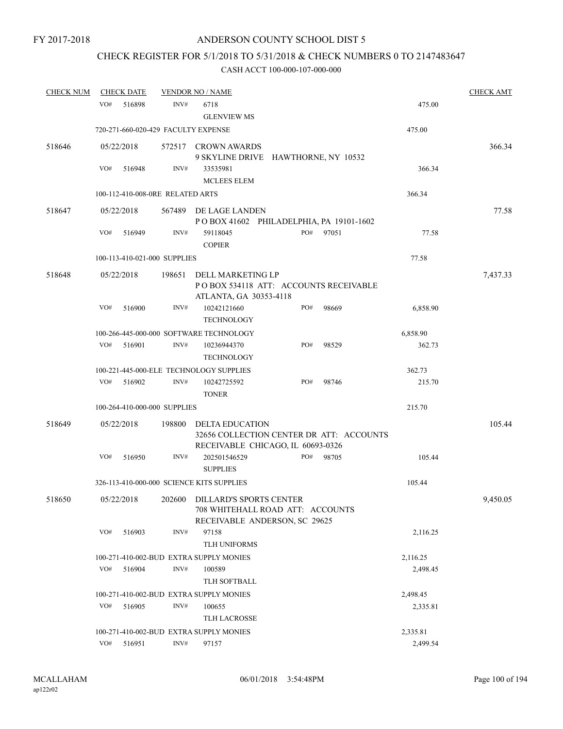# CHECK REGISTER FOR 5/1/2018 TO 5/31/2018 & CHECK NUMBERS 0 TO 2147483647

| <b>CHECK NUM</b> |                      | <b>CHECK DATE</b> |                                  | <b>VENDOR NO / NAME</b>                                                       |  |     |        |        |          | <b>CHECK AMT</b> |
|------------------|----------------------|-------------------|----------------------------------|-------------------------------------------------------------------------------|--|-----|--------|--------|----------|------------------|
|                  | VO#                  | 516898            | INV#                             | 6718                                                                          |  |     |        |        | 475.00   |                  |
|                  |                      |                   |                                  | <b>GLENVIEW MS</b>                                                            |  |     |        |        |          |                  |
|                  |                      |                   |                                  | 720-271-660-020-429 FACULTY EXPENSE                                           |  |     |        |        | 475.00   |                  |
| 518646           |                      | 05/22/2018        |                                  | 572517 CROWN AWARDS                                                           |  |     |        |        |          | 366.34           |
|                  |                      |                   |                                  | 9 SKYLINE DRIVE HAWTHORNE, NY 10532                                           |  |     |        |        |          |                  |
|                  | VO#                  | 516948            | INV#                             | 33535981                                                                      |  |     |        | 366.34 |          |                  |
|                  |                      |                   |                                  | <b>MCLEES ELEM</b>                                                            |  |     |        |        |          |                  |
|                  |                      |                   | 100-112-410-008-0RE RELATED ARTS |                                                                               |  |     |        |        | 366.34   |                  |
| 518647           |                      | 05/22/2018        |                                  | 567489 DE LAGE LANDEN                                                         |  |     |        |        |          | 77.58            |
|                  |                      |                   |                                  | POBOX 41602 PHILADELPHIA, PA 19101-1602                                       |  |     |        |        |          |                  |
|                  | VO#                  | 516949            | INV#                             | 59118045<br><b>COPIER</b>                                                     |  | PO# | 97051  |        | 77.58    |                  |
|                  |                      |                   | 100-113-410-021-000 SUPPLIES     |                                                                               |  |     |        |        | 77.58    |                  |
| 518648           |                      | 05/22/2018        | 198651                           | DELL MARKETING LP                                                             |  |     |        |        |          | 7,437.33         |
|                  |                      |                   |                                  | PO BOX 534118 ATT: ACCOUNTS RECEIVABLE                                        |  |     |        |        |          |                  |
|                  |                      |                   |                                  | ATLANTA, GA 30353-4118                                                        |  |     |        |        |          |                  |
|                  | VO#                  | 516900            | INV#                             | 10242121660                                                                   |  | PO# | 98669  |        | 6,858.90 |                  |
|                  |                      |                   |                                  | <b>TECHNOLOGY</b>                                                             |  |     |        |        |          |                  |
|                  |                      |                   |                                  | 100-266-445-000-000 SOFTWARE TECHNOLOGY                                       |  |     |        |        | 6,858.90 |                  |
|                  | VO#                  | 516901            | INV#                             | 10236944370                                                                   |  | PO# | 98529  |        | 362.73   |                  |
|                  |                      |                   |                                  | <b>TECHNOLOGY</b>                                                             |  |     |        |        |          |                  |
|                  |                      |                   |                                  | 100-221-445-000-ELE TECHNOLOGY SUPPLIES                                       |  |     |        |        | 362.73   |                  |
|                  | VO#                  | 516902            | INV#                             | 10242725592<br><b>TONER</b>                                                   |  | PO# | 98746  |        | 215.70   |                  |
|                  |                      |                   | 100-264-410-000-000 SUPPLIES     |                                                                               |  |     |        |        | 215.70   |                  |
| 518649           | 198800<br>05/22/2018 |                   | DELTA EDUCATION                  |                                                                               |  |     | 105.44 |        |          |                  |
|                  |                      |                   |                                  | 32656 COLLECTION CENTER DR ATT: ACCOUNTS<br>RECEIVABLE CHICAGO, IL 60693-0326 |  |     |        |        |          |                  |
|                  | VO#                  | 516950            | INV#                             | 202501546529                                                                  |  | PO# | 98705  |        | 105.44   |                  |
|                  |                      |                   |                                  | <b>SUPPLIES</b>                                                               |  |     |        |        |          |                  |
|                  |                      |                   |                                  | 326-113-410-000-000 SCIENCE KITS SUPPLIES                                     |  |     |        |        | 105.44   |                  |
| 518650           |                      |                   |                                  | 05/22/2018 202600 DILLARD'S SPORTS CENTER                                     |  |     |        |        |          | 9,450.05         |
|                  |                      |                   |                                  | 708 WHITEHALL ROAD ATT: ACCOUNTS                                              |  |     |        |        |          |                  |
|                  |                      |                   |                                  | RECEIVABLE ANDERSON, SC 29625                                                 |  |     |        |        |          |                  |
|                  | VO#                  | 516903            | INV#                             | 97158                                                                         |  |     |        |        | 2,116.25 |                  |
|                  |                      |                   |                                  | TLH UNIFORMS                                                                  |  |     |        |        |          |                  |
|                  |                      |                   |                                  | 100-271-410-002-BUD EXTRA SUPPLY MONIES                                       |  |     |        |        | 2,116.25 |                  |
|                  | VO#                  | 516904            | INV#                             | 100589                                                                        |  |     |        |        | 2,498.45 |                  |
|                  |                      |                   |                                  | TLH SOFTBALL                                                                  |  |     |        |        |          |                  |
|                  |                      |                   |                                  | 100-271-410-002-BUD EXTRA SUPPLY MONIES                                       |  |     |        |        | 2,498.45 |                  |
|                  | VO#                  | 516905            | INV#                             | 100655                                                                        |  |     |        |        | 2,335.81 |                  |
|                  |                      |                   |                                  | <b>TLH LACROSSE</b>                                                           |  |     |        |        |          |                  |
|                  |                      |                   |                                  | 100-271-410-002-BUD EXTRA SUPPLY MONIES                                       |  |     |        |        | 2,335.81 |                  |
|                  | VO#                  | 516951            | INV#                             | 97157                                                                         |  |     |        |        | 2,499.54 |                  |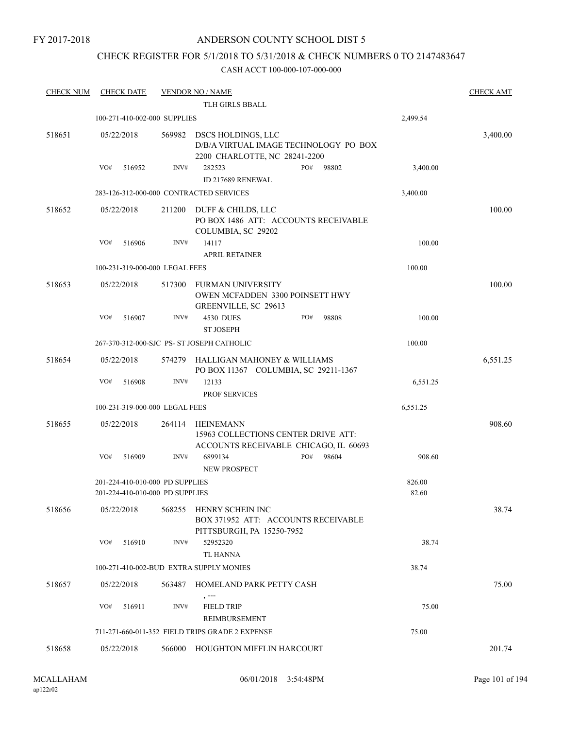### ANDERSON COUNTY SCHOOL DIST 5

### CHECK REGISTER FOR 5/1/2018 TO 5/31/2018 & CHECK NUMBERS 0 TO 2147483647

| <b>CHECK NUM</b> | <b>CHECK DATE</b>                                                  |        | <b>VENDOR NO / NAME</b><br>TLH GIRLS BBALL                                                   |              |                 | <b>CHECK AMT</b> |
|------------------|--------------------------------------------------------------------|--------|----------------------------------------------------------------------------------------------|--------------|-----------------|------------------|
|                  |                                                                    |        |                                                                                              |              |                 |                  |
|                  | 100-271-410-002-000 SUPPLIES                                       |        |                                                                                              |              | 2,499.54        |                  |
| 518651           | 05/22/2018                                                         | 569982 | DSCS HOLDINGS, LLC<br>D/B/A VIRTUAL IMAGE TECHNOLOGY PO BOX<br>2200 CHARLOTTE, NC 28241-2200 |              |                 | 3,400.00         |
|                  | VO#<br>516952                                                      | INV#   | 282523<br>ID 217689 RENEWAL                                                                  | PO#<br>98802 | 3,400.00        |                  |
|                  | 283-126-312-000-000 CONTRACTED SERVICES                            |        |                                                                                              |              | 3,400.00        |                  |
| 518652           | 05/22/2018                                                         | 211200 | DUFF & CHILDS, LLC<br>PO BOX 1486 ATT: ACCOUNTS RECEIVABLE<br>COLUMBIA, SC 29202             |              |                 | 100.00           |
|                  | VO#<br>516906                                                      | INV#   | 14117<br><b>APRIL RETAINER</b>                                                               |              | 100.00          |                  |
|                  | 100-231-319-000-000 LEGAL FEES                                     |        |                                                                                              |              | 100.00          |                  |
| 518653           | 05/22/2018                                                         | 517300 | <b>FURMAN UNIVERSITY</b><br>OWEN MCFADDEN 3300 POINSETT HWY<br>GREENVILLE, SC 29613          |              |                 | 100.00           |
|                  | VO#<br>516907                                                      | INV#   | <b>4530 DUES</b><br><b>ST JOSEPH</b>                                                         | PO#<br>98808 | 100.00          |                  |
|                  |                                                                    |        | 267-370-312-000-SJC PS- ST JOSEPH CATHOLIC                                                   |              | 100.00          |                  |
| 518654           | 05/22/2018                                                         | 574279 | HALLIGAN MAHONEY & WILLIAMS<br>PO BOX 11367 COLUMBIA, SC 29211-1367                          |              |                 | 6,551.25         |
|                  | VO#<br>516908                                                      | INV#   | 12133<br><b>PROF SERVICES</b>                                                                |              | 6,551.25        |                  |
|                  | 100-231-319-000-000 LEGAL FEES                                     |        |                                                                                              |              | 6,551.25        |                  |
| 518655           | 05/22/2018                                                         | 264114 | HEINEMANN<br>15963 COLLECTIONS CENTER DRIVE ATT:<br>ACCOUNTS RECEIVABLE CHICAGO, IL 60693    |              |                 | 908.60           |
|                  | VO#<br>516909                                                      | INV#   | 6899134<br><b>NEW PROSPECT</b>                                                               | PO#<br>98604 | 908.60          |                  |
|                  | 201-224-410-010-000 PD SUPPLIES<br>201-224-410-010-000 PD SUPPLIES |        |                                                                                              |              | 826.00<br>82.60 |                  |
| 518656           | 05/22/2018                                                         | 568255 | HENRY SCHEIN INC<br>BOX 371952 ATT: ACCOUNTS RECEIVABLE<br>PITTSBURGH, PA 15250-7952         |              |                 | 38.74            |
|                  | VO#<br>516910                                                      | INV#   | 52952320<br><b>TL HANNA</b>                                                                  |              | 38.74           |                  |
|                  | 100-271-410-002-BUD EXTRA SUPPLY MONIES                            |        |                                                                                              |              | 38.74           |                  |
|                  |                                                                    |        |                                                                                              |              |                 |                  |
| 518657           | 05/22/2018                                                         | 563487 | HOMELAND PARK PETTY CASH<br>, ---                                                            |              |                 | 75.00            |
|                  | VO#<br>516911                                                      | INV#   | <b>FIELD TRIP</b>                                                                            |              | 75.00           |                  |
|                  |                                                                    |        | REIMBURSEMENT                                                                                |              |                 |                  |
|                  |                                                                    |        | 711-271-660-011-352 FIELD TRIPS GRADE 2 EXPENSE                                              |              | 75.00           |                  |
| 518658           | 05/22/2018                                                         |        | 566000 HOUGHTON MIFFLIN HARCOURT                                                             |              |                 | 201.74           |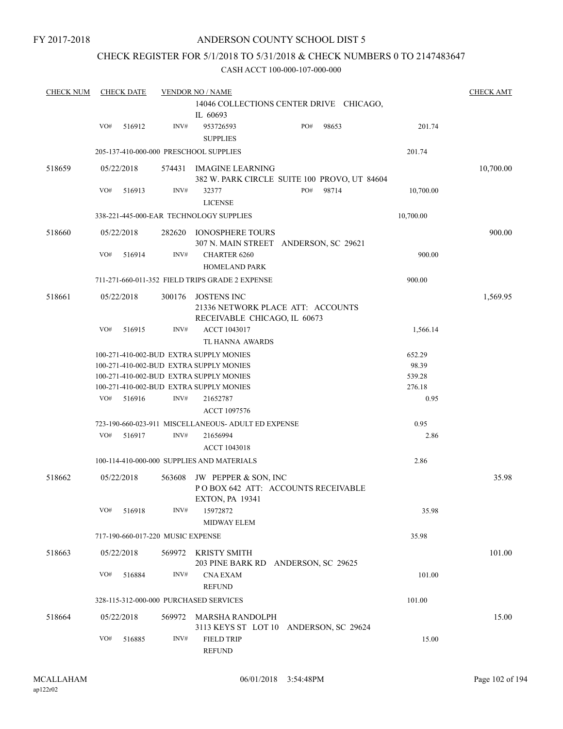### CHECK REGISTER FOR 5/1/2018 TO 5/31/2018 & CHECK NUMBERS 0 TO 2147483647

| <b>CHECK NUM</b> |            | <b>CHECK DATE</b> |                                   | <b>VENDOR NO / NAME</b>                                                                 |     |       |                 | <b>CHECK AMT</b> |
|------------------|------------|-------------------|-----------------------------------|-----------------------------------------------------------------------------------------|-----|-------|-----------------|------------------|
|                  |            |                   |                                   | 14046 COLLECTIONS CENTER DRIVE CHICAGO,<br>IL 60693                                     |     |       |                 |                  |
|                  | VO#        | 516912            | INV#                              | 953726593<br><b>SUPPLIES</b>                                                            | PO# | 98653 | 201.74          |                  |
|                  |            |                   |                                   | 205-137-410-000-000 PRESCHOOL SUPPLIES                                                  |     |       | 201.74          |                  |
| 518659           |            | 05/22/2018        | 574431                            | IMAGINE LEARNING<br>382 W. PARK CIRCLE SUITE 100 PROVO, UT 84604                        |     |       |                 | 10,700.00        |
|                  | VO#        | 516913            | INV#                              | 32377<br><b>LICENSE</b>                                                                 | PO# | 98714 | 10,700.00       |                  |
|                  |            |                   |                                   | 338-221-445-000-EAR TECHNOLOGY SUPPLIES                                                 |     |       | 10,700.00       |                  |
| 518660           |            | 05/22/2018        | 282620                            | IONOSPHERE TOURS<br>307 N. MAIN STREET ANDERSON, SC 29621                               |     |       |                 | 900.00           |
|                  | VO#        | 516914            | INV#                              | <b>CHARTER 6260</b><br><b>HOMELAND PARK</b>                                             |     |       | 900.00          |                  |
|                  |            |                   |                                   | 711-271-660-011-352 FIELD TRIPS GRADE 2 EXPENSE                                         |     |       | 900.00          |                  |
| 518661           | 05/22/2018 |                   | 300176                            | <b>JOSTENS INC</b><br>21336 NETWORK PLACE ATT: ACCOUNTS<br>RECEIVABLE CHICAGO, IL 60673 |     |       |                 | 1,569.95         |
|                  | VO#        | 516915            | INV#                              | ACCT 1043017<br>TL HANNA AWARDS                                                         |     |       | 1,566.14        |                  |
|                  |            |                   |                                   | 100-271-410-002-BUD EXTRA SUPPLY MONIES<br>100-271-410-002-BUD EXTRA SUPPLY MONIES      |     |       | 652.29<br>98.39 |                  |
|                  |            |                   |                                   | 100-271-410-002-BUD EXTRA SUPPLY MONIES                                                 |     |       | 539.28          |                  |
|                  | VO#        | 516916            | INV#                              | 100-271-410-002-BUD EXTRA SUPPLY MONIES<br>21652787<br>ACCT 1097576                     |     |       | 276.18<br>0.95  |                  |
|                  |            |                   |                                   | 723-190-660-023-911 MISCELLANEOUS- ADULT ED EXPENSE                                     |     |       | 0.95            |                  |
|                  | VO#        | 516917            | INV#                              | 21656994<br><b>ACCT 1043018</b>                                                         |     |       | 2.86            |                  |
|                  |            |                   |                                   | 100-114-410-000-000 SUPPLIES AND MATERIALS                                              |     |       | 2.86            |                  |
| 518662           |            | 05/22/2018        | 563608                            | JW PEPPER & SON, INC<br>POBOX 642 ATT: ACCOUNTS RECEIVABLE<br><b>EXTON, PA 19341</b>    |     |       |                 | 35.98            |
|                  | VO#        | 516918            | INV#                              | 15972872<br><b>MIDWAY ELEM</b>                                                          |     |       | 35.98           |                  |
|                  |            |                   | 717-190-660-017-220 MUSIC EXPENSE |                                                                                         |     |       | 35.98           |                  |
| 518663           |            | 05/22/2018        |                                   | 569972 KRISTY SMITH<br>203 PINE BARK RD ANDERSON, SC 29625                              |     |       |                 | 101.00           |
|                  | VO#        | 516884            | INV#                              | <b>CNA EXAM</b><br><b>REFUND</b>                                                        |     |       | 101.00          |                  |
|                  |            |                   |                                   | 328-115-312-000-000 PURCHASED SERVICES                                                  |     |       | 101.00          |                  |
| 518664           |            | 05/22/2018        |                                   | 569972 MARSHA RANDOLPH<br>3113 KEYS ST LOT 10 ANDERSON, SC 29624                        |     |       |                 | 15.00            |
|                  | VO#        | 516885            | INV#                              | <b>FIELD TRIP</b><br><b>REFUND</b>                                                      |     |       | 15.00           |                  |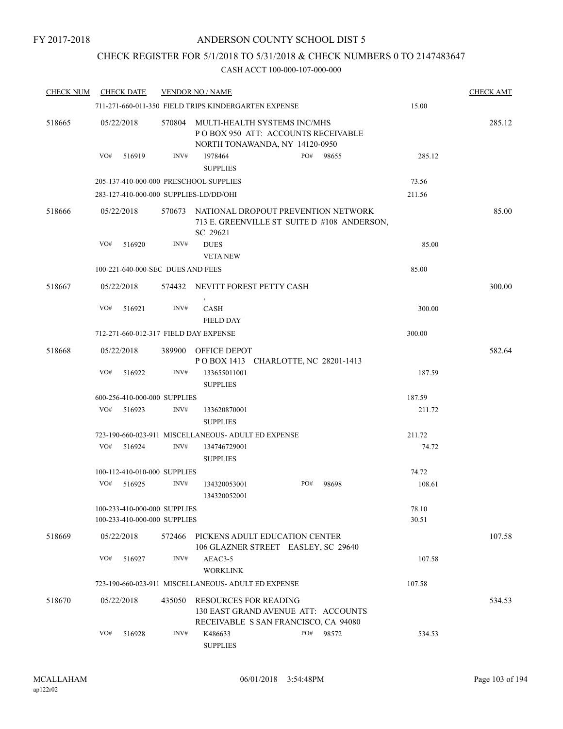### CHECK REGISTER FOR 5/1/2018 TO 5/31/2018 & CHECK NUMBERS 0 TO 2147483647

| <b>CHECK NUM</b> | <b>CHECK DATE</b>                                            | <b>VENDOR NO / NAME</b> |                                                                                                             | <b>CHECK AMT</b> |     |                                             |                |        |
|------------------|--------------------------------------------------------------|-------------------------|-------------------------------------------------------------------------------------------------------------|------------------|-----|---------------------------------------------|----------------|--------|
|                  |                                                              |                         | 711-271-660-011-350 FIELD TRIPS KINDERGARTEN EXPENSE                                                        |                  |     |                                             | 15.00          |        |
| 518665           | 05/22/2018                                                   |                         | 570804 MULTI-HEALTH SYSTEMS INC/MHS<br>POBOX 950 ATT: ACCOUNTS RECEIVABLE<br>NORTH TONAWANDA, NY 14120-0950 |                  |     |                                             |                | 285.12 |
|                  | VO#<br>516919                                                | INV#                    | 1978464<br><b>SUPPLIES</b>                                                                                  |                  | PO# | 98655                                       | 285.12         |        |
|                  | 205-137-410-000-000 PRESCHOOL SUPPLIES                       |                         |                                                                                                             |                  |     |                                             | 73.56          |        |
|                  | 283-127-410-000-000 SUPPLIES-LD/DD/OHI                       |                         |                                                                                                             |                  |     |                                             | 211.56         |        |
| 518666           | 05/22/2018                                                   |                         | 570673 NATIONAL DROPOUT PREVENTION NETWORK<br>SC 29621                                                      |                  |     | 713 E. GREENVILLE ST SUITE D #108 ANDERSON, |                | 85.00  |
|                  | VO#<br>516920                                                | INV#                    | <b>DUES</b><br><b>VETANEW</b>                                                                               |                  |     |                                             | 85.00          |        |
|                  |                                                              |                         | 100-221-640-000-SEC DUES AND FEES                                                                           |                  |     | 85.00                                       |                |        |
| 518667           | 05/22/2018                                                   |                         | 574432 NEVITT FOREST PETTY CASH                                                                             |                  |     |                                             |                | 300.00 |
|                  |                                                              |                         | $\,$                                                                                                        |                  |     |                                             |                |        |
|                  | VO#<br>516921                                                | INV#                    | CASH                                                                                                        |                  |     |                                             | 300.00         |        |
|                  |                                                              |                         | <b>FIELD DAY</b>                                                                                            |                  |     |                                             |                |        |
|                  | 712-271-660-012-317 FIELD DAY EXPENSE                        |                         |                                                                                                             |                  |     |                                             | 300.00         |        |
| 518668           | 05/22/2018                                                   | 389900                  | OFFICE DEPOT<br>POBOX 1413 CHARLOTTE, NC 28201-1413                                                         |                  |     |                                             |                | 582.64 |
|                  | VO#<br>516922                                                | INV#                    | 133655011001<br><b>SUPPLIES</b>                                                                             |                  |     |                                             | 187.59         |        |
|                  | 600-256-410-000-000 SUPPLIES                                 |                         |                                                                                                             |                  |     |                                             | 187.59         |        |
|                  | VO#<br>516923                                                | INV#                    | 133620870001<br><b>SUPPLIES</b>                                                                             |                  |     |                                             | 211.72         |        |
|                  |                                                              |                         | 723-190-660-023-911 MISCELLANEOUS- ADULT ED EXPENSE                                                         |                  |     | 211.72                                      |                |        |
|                  | VO#<br>516924                                                | INV#                    | 134746729001<br><b>SUPPLIES</b>                                                                             |                  |     |                                             | 74.72          |        |
|                  | 100-112-410-010-000 SUPPLIES                                 |                         |                                                                                                             |                  |     |                                             | 74.72          |        |
|                  | VO#<br>516925                                                | INV#                    | 134320053001<br>134320052001                                                                                |                  | PO# | 98698                                       | 108.61         |        |
|                  | 100-233-410-000-000 SUPPLIES<br>100-233-410-000-000 SUPPLIES |                         |                                                                                                             |                  |     |                                             | 78.10<br>30.51 |        |
| 518669           | 05/22/2018                                                   | 572466                  | PICKENS ADULT EDUCATION CENTER<br>106 GLAZNER STREET EASLEY, SC 29640                                       |                  |     |                                             |                | 107.58 |
|                  | VO#<br>516927                                                | INV#                    | AEAC3-5<br><b>WORKLINK</b>                                                                                  |                  |     |                                             | 107.58         |        |
|                  |                                                              |                         | 723-190-660-023-911 MISCELLANEOUS- ADULT ED EXPENSE                                                         |                  |     |                                             | 107.58         |        |
| 518670           | 05/22/2018                                                   | 435050                  | <b>RESOURCES FOR READING</b><br>130 EAST GRAND AVENUE ATT: ACCOUNTS<br>RECEIVABLE S SAN FRANCISCO, CA 94080 |                  |     |                                             |                | 534.53 |
|                  | VO#<br>516928                                                | INV#                    | K486633<br><b>SUPPLIES</b>                                                                                  |                  | PO# | 98572                                       | 534.53         |        |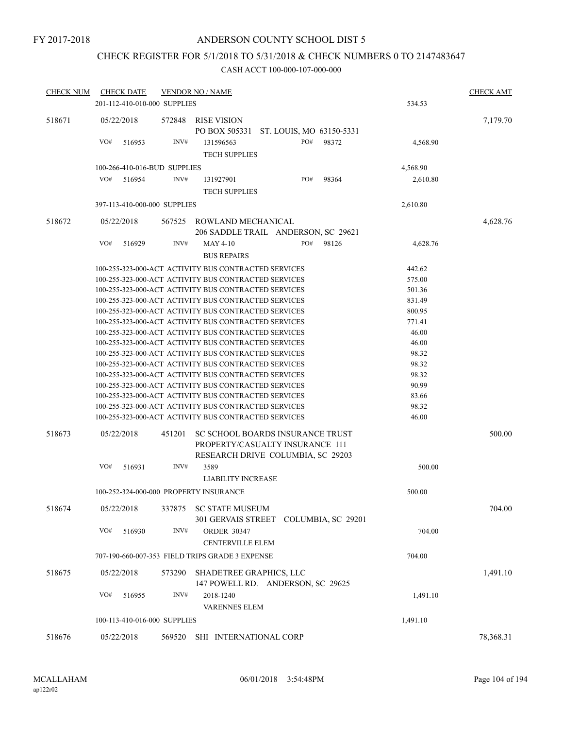### CHECK REGISTER FOR 5/1/2018 TO 5/31/2018 & CHECK NUMBERS 0 TO 2147483647

| <b>CHECK NUM</b> | <b>CHECK DATE</b>            | <b>VENDOR NO / NAME</b>                                                                                                        | <b>CHECK AMT</b> |
|------------------|------------------------------|--------------------------------------------------------------------------------------------------------------------------------|------------------|
|                  | 201-112-410-010-000 SUPPLIES | 534.53                                                                                                                         |                  |
| 518671           | 05/22/2018                   | 572848<br>RISE VISION<br>PO BOX 505331<br>ST. LOUIS, MO 63150-5331                                                             | 7,179.70         |
|                  | VO#<br>516953                | INV#<br>PO#<br>98372<br>131596563<br>4,568.90<br><b>TECH SUPPLIES</b>                                                          |                  |
|                  | 100-266-410-016-BUD SUPPLIES | 4,568.90                                                                                                                       |                  |
|                  | VO#<br>516954                | PO#<br>INV#<br>98364<br>131927901<br>2,610.80                                                                                  |                  |
|                  |                              | <b>TECH SUPPLIES</b>                                                                                                           |                  |
|                  | 397-113-410-000-000 SUPPLIES | 2,610.80                                                                                                                       |                  |
|                  |                              |                                                                                                                                |                  |
| 518672           | 05/22/2018                   | 567525<br>ROWLAND MECHANICAL                                                                                                   | 4,628.76         |
|                  |                              | 206 SADDLE TRAIL ANDERSON, SC 29621                                                                                            |                  |
|                  | VO#<br>516929                | INV#<br>PO#<br><b>MAY 4-10</b><br>98126<br>4,628.76                                                                            |                  |
|                  |                              | <b>BUS REPAIRS</b>                                                                                                             |                  |
|                  |                              | 100-255-323-000-ACT ACTIVITY BUS CONTRACTED SERVICES<br>442.62                                                                 |                  |
|                  |                              | 575.00<br>100-255-323-000-ACT ACTIVITY BUS CONTRACTED SERVICES                                                                 |                  |
|                  |                              | 501.36<br>100-255-323-000-ACT ACTIVITY BUS CONTRACTED SERVICES                                                                 |                  |
|                  |                              | 100-255-323-000-ACT ACTIVITY BUS CONTRACTED SERVICES<br>831.49                                                                 |                  |
|                  |                              | 100-255-323-000-ACT ACTIVITY BUS CONTRACTED SERVICES<br>800.95                                                                 |                  |
|                  |                              | 100-255-323-000-ACT ACTIVITY BUS CONTRACTED SERVICES<br>771.41                                                                 |                  |
|                  |                              | 100-255-323-000-ACT ACTIVITY BUS CONTRACTED SERVICES<br>46.00                                                                  |                  |
|                  |                              | 46.00<br>100-255-323-000-ACT ACTIVITY BUS CONTRACTED SERVICES                                                                  |                  |
|                  |                              | 98.32<br>100-255-323-000-ACT ACTIVITY BUS CONTRACTED SERVICES<br>98.32<br>100-255-323-000-ACT ACTIVITY BUS CONTRACTED SERVICES |                  |
|                  |                              | 98.32<br>100-255-323-000-ACT ACTIVITY BUS CONTRACTED SERVICES                                                                  |                  |
|                  |                              | 100-255-323-000-ACT ACTIVITY BUS CONTRACTED SERVICES<br>90.99                                                                  |                  |
|                  |                              | 83.66<br>100-255-323-000-ACT ACTIVITY BUS CONTRACTED SERVICES                                                                  |                  |
|                  |                              | 98.32<br>100-255-323-000-ACT ACTIVITY BUS CONTRACTED SERVICES                                                                  |                  |
|                  |                              | 100-255-323-000-ACT ACTIVITY BUS CONTRACTED SERVICES<br>46.00                                                                  |                  |
| 518673           | 05/22/2018                   | 451201<br>SC SCHOOL BOARDS INSURANCE TRUST                                                                                     | 500.00           |
|                  |                              | PROPERTY/CASUALTY INSURANCE 111                                                                                                |                  |
|                  |                              | RESEARCH DRIVE COLUMBIA, SC 29203                                                                                              |                  |
|                  | VO#<br>516931                | INV#<br>3589<br>500.00                                                                                                         |                  |
|                  |                              | <b>LIABILITY INCREASE</b>                                                                                                      |                  |
|                  |                              | 100-252-324-000-000 PROPERTY INSURANCE<br>500.00                                                                               |                  |
|                  |                              |                                                                                                                                |                  |
| 518674           | 05/22/2018                   | <b>SC STATE MUSEUM</b><br>337875                                                                                               | 704.00           |
|                  |                              | 301 GERVAIS STREET COLUMBIA, SC 29201                                                                                          |                  |
|                  | VO#<br>516930                | INV#<br><b>ORDER 30347</b><br>704.00                                                                                           |                  |
|                  |                              | <b>CENTERVILLE ELEM</b>                                                                                                        |                  |
|                  |                              | 707-190-660-007-353 FIELD TRIPS GRADE 3 EXPENSE<br>704.00                                                                      |                  |
| 518675           | 05/22/2018                   | SHADETREE GRAPHICS, LLC<br>573290                                                                                              | 1,491.10         |
|                  |                              | 147 POWELL RD. ANDERSON, SC 29625                                                                                              |                  |
|                  | VO#<br>516955                | INV#<br>2018-1240<br>1,491.10                                                                                                  |                  |
|                  |                              |                                                                                                                                |                  |
|                  |                              | <b>VARENNES ELEM</b>                                                                                                           |                  |
|                  | 100-113-410-016-000 SUPPLIES | 1,491.10                                                                                                                       |                  |
| 518676           | 05/22/2018                   | SHI INTERNATIONAL CORP<br>569520                                                                                               | 78,368.31        |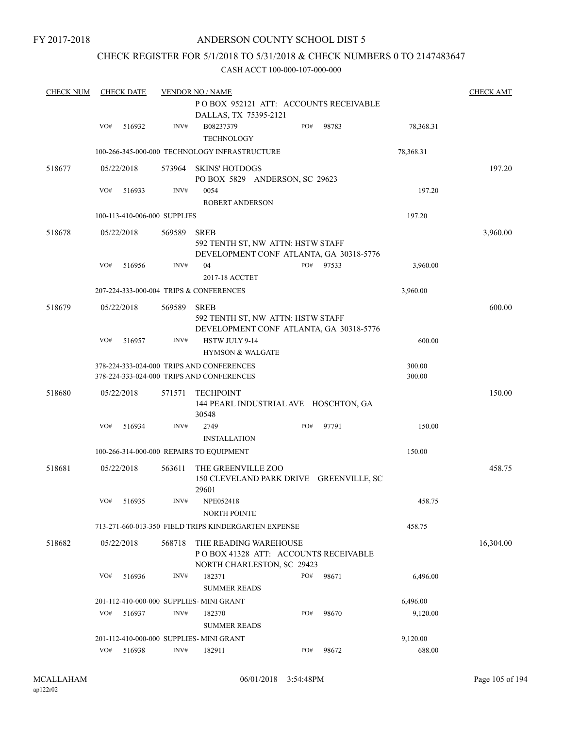### CHECK REGISTER FOR 5/1/2018 TO 5/31/2018 & CHECK NUMBERS 0 TO 2147483647

| <b>CHECK NUM</b> |     | <b>CHECK DATE</b>            |        | <b>VENDOR NO / NAME</b>                                                                     |     |       |           | <b>CHECK AMT</b> |
|------------------|-----|------------------------------|--------|---------------------------------------------------------------------------------------------|-----|-------|-----------|------------------|
|                  |     |                              |        | POBOX 952121 ATT: ACCOUNTS RECEIVABLE                                                       |     |       |           |                  |
|                  |     |                              |        | DALLAS, TX 75395-2121                                                                       |     |       |           |                  |
|                  | VO# | 516932                       | INV#   | B08237379<br><b>TECHNOLOGY</b>                                                              | PO# | 98783 | 78,368.31 |                  |
|                  |     |                              |        | 100-266-345-000-000 TECHNOLOGY INFRASTRUCTURE                                               |     |       | 78,368.31 |                  |
| 518677           |     | 05/22/2018                   | 573964 | <b>SKINS' HOTDOGS</b><br>PO BOX 5829 ANDERSON, SC 29623                                     |     |       |           | 197.20           |
|                  | VO# | 516933                       | INV#   | 0054<br><b>ROBERT ANDERSON</b>                                                              |     |       | 197.20    |                  |
|                  |     | 100-113-410-006-000 SUPPLIES |        |                                                                                             |     |       | 197.20    |                  |
| 518678           |     | 05/22/2018                   | 569589 | <b>SREB</b>                                                                                 |     |       |           | 3,960.00         |
|                  |     |                              |        | 592 TENTH ST, NW ATTN: HSTW STAFF<br>DEVELOPMENT CONF ATLANTA, GA 30318-5776                |     |       |           |                  |
|                  | VO# | 516956                       | INV#   | 04<br>2017-18 ACCTET                                                                        | PO# | 97533 | 3,960.00  |                  |
|                  |     |                              |        | 207-224-333-000-004 TRIPS & CONFERENCES                                                     |     |       | 3,960.00  |                  |
| 518679           |     | 05/22/2018                   | 569589 | <b>SREB</b>                                                                                 |     |       |           | 600.00           |
|                  |     |                              |        | 592 TENTH ST, NW ATTN: HSTW STAFF<br>DEVELOPMENT CONF ATLANTA, GA 30318-5776                |     |       |           |                  |
|                  | VO# | 516957                       | INV#   | HSTW JULY 9-14<br><b>HYMSON &amp; WALGATE</b>                                               |     |       | 600.00    |                  |
|                  |     |                              |        | 378-224-333-024-000 TRIPS AND CONFERENCES                                                   |     |       | 300.00    |                  |
|                  |     |                              |        | 378-224-333-024-000 TRIPS AND CONFERENCES                                                   |     |       | 300.00    |                  |
| 518680           |     | 05/22/2018                   | 571571 | <b>TECHPOINT</b><br>144 PEARL INDUSTRIAL AVE HOSCHTON, GA<br>30548                          |     |       |           | 150.00           |
|                  | VO# | 516934                       | INV#   | 2749<br><b>INSTALLATION</b>                                                                 | PO# | 97791 | 150.00    |                  |
|                  |     |                              |        | 100-266-314-000-000 REPAIRS TO EQUIPMENT                                                    |     |       | 150.00    |                  |
| 518681           |     | 05/22/2018                   | 563611 | THE GREENVILLE ZOO<br>150 CLEVELAND PARK DRIVE GREENVILLE, SC<br>29601                      |     |       |           | 458.75           |
|                  |     | VO# 516935                   |        | INV# NPE052418                                                                              |     |       | 458.75    |                  |
|                  |     |                              |        | <b>NORTH POINTE</b>                                                                         |     |       |           |                  |
|                  |     |                              |        | 713-271-660-013-350 FIELD TRIPS KINDERGARTEN EXPENSE                                        |     |       | 458.75    |                  |
| 518682           |     | 05/22/2018                   | 568718 | THE READING WAREHOUSE<br>POBOX 41328 ATT: ACCOUNTS RECEIVABLE<br>NORTH CHARLESTON, SC 29423 |     |       |           | 16,304.00        |
|                  | VO# | 516936                       | INV#   | 182371<br><b>SUMMER READS</b>                                                               | PO# | 98671 | 6,496.00  |                  |
|                  |     |                              |        | 201-112-410-000-000 SUPPLIES- MINI GRANT                                                    |     |       | 6,496.00  |                  |
|                  | VO# | 516937                       | INV#   | 182370                                                                                      | PO# | 98670 | 9,120.00  |                  |
|                  |     |                              |        | <b>SUMMER READS</b>                                                                         |     |       |           |                  |
|                  |     |                              |        | 201-112-410-000-000 SUPPLIES- MINI GRANT                                                    |     |       | 9,120.00  |                  |
|                  | VO# | 516938                       | INV#   | 182911                                                                                      | PO# | 98672 | 688.00    |                  |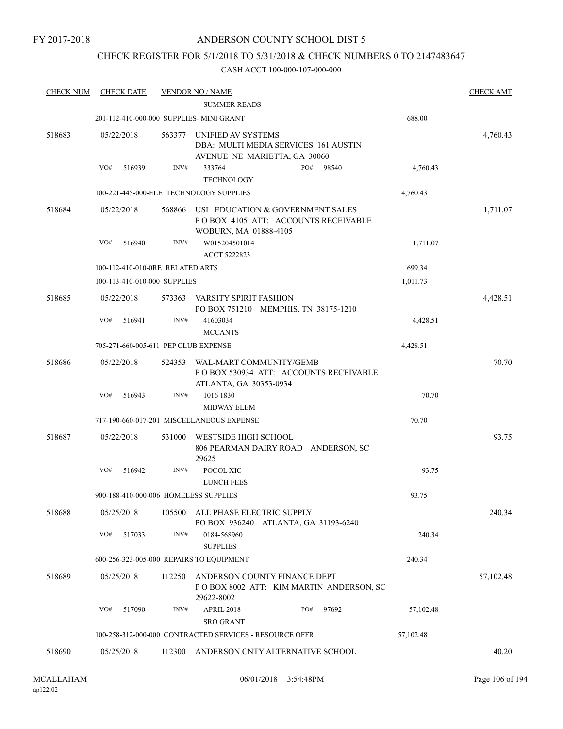### CHECK REGISTER FOR 5/1/2018 TO 5/31/2018 & CHECK NUMBERS 0 TO 2147483647

| <b>CHECK NUM</b> | <b>CHECK DATE</b>                        |        | <b>VENDOR NO / NAME</b>                                                                          |              |           | <b>CHECK AMT</b> |
|------------------|------------------------------------------|--------|--------------------------------------------------------------------------------------------------|--------------|-----------|------------------|
|                  |                                          |        | <b>SUMMER READS</b>                                                                              |              |           |                  |
|                  | 201-112-410-000-000 SUPPLIES- MINI GRANT |        |                                                                                                  |              | 688.00    |                  |
| 518683           | 05/22/2018                               | 563377 | UNIFIED AV SYSTEMS<br>DBA: MULTI MEDIA SERVICES 161 AUSTIN<br>AVENUE NE MARIETTA, GA 30060       |              |           | 4,760.43         |
|                  | VO#<br>516939                            | INV#   | 333764<br><b>TECHNOLOGY</b>                                                                      | PO#<br>98540 | 4,760.43  |                  |
|                  |                                          |        | 100-221-445-000-ELE TECHNOLOGY SUPPLIES                                                          |              | 4,760.43  |                  |
| 518684           | 05/22/2018                               | 568866 | USI EDUCATION & GOVERNMENT SALES<br>POBOX 4105 ATT: ACCOUNTS RECEIVABLE<br>WOBURN, MA 01888-4105 |              |           | 1,711.07         |
|                  | VO#<br>516940                            | INV#   | W015204501014<br><b>ACCT 5222823</b>                                                             |              | 1,711.07  |                  |
|                  | 100-112-410-010-0RE RELATED ARTS         |        |                                                                                                  |              | 699.34    |                  |
|                  | 100-113-410-010-000 SUPPLIES             |        |                                                                                                  |              | 1,011.73  |                  |
| 518685           | 05/22/2018                               | 573363 | <b>VARSITY SPIRIT FASHION</b><br>PO BOX 751210 MEMPHIS, TN 38175-1210                            |              |           | 4,428.51         |
|                  | VO#<br>516941                            | INV#   | 41603034<br><b>MCCANTS</b>                                                                       |              | 4,428.51  |                  |
|                  | 705-271-660-005-611 PEP CLUB EXPENSE     |        |                                                                                                  |              | 4,428.51  |                  |
| 518686           | 05/22/2018                               | 524353 | WAL-MART COMMUNITY/GEMB<br>POBOX 530934 ATT: ACCOUNTS RECEIVABLE<br>ATLANTA, GA 30353-0934       |              |           | 70.70            |
|                  | VO#<br>516943                            | INV#   | 1016 1830                                                                                        |              | 70.70     |                  |
|                  |                                          |        | <b>MIDWAY ELEM</b>                                                                               |              |           |                  |
|                  |                                          |        | 717-190-660-017-201 MISCELLANEOUS EXPENSE                                                        |              | 70.70     |                  |
| 518687           | 05/22/2018                               | 531000 | WESTSIDE HIGH SCHOOL<br>806 PEARMAN DAIRY ROAD ANDERSON, SC<br>29625                             |              |           | 93.75            |
|                  | VO#<br>516942                            | INV#   | POCOL XIC<br><b>LUNCH FEES</b>                                                                   |              | 93.75     |                  |
|                  | 900-188-410-000-006 HOMELESS SUPPLIES    |        |                                                                                                  |              | 93.75     |                  |
| 518688           | 05/25/2018                               | 105500 | ALL PHASE ELECTRIC SUPPLY<br>PO BOX 936240 ATLANTA, GA 31193-6240                                |              |           | 240.34           |
|                  | VO#<br>517033                            | INV#   | 0184-568960<br><b>SUPPLIES</b>                                                                   |              | 240.34    |                  |
|                  | 600-256-323-005-000 REPAIRS TO EQUIPMENT |        |                                                                                                  |              | 240.34    |                  |
| 518689           | 05/25/2018                               | 112250 | ANDERSON COUNTY FINANCE DEPT<br>POBOX 8002 ATT: KIM MARTIN ANDERSON, SC<br>29622-8002            |              |           | 57,102.48        |
|                  | VO#<br>517090                            | INV#   | APRIL 2018<br><b>SRO GRANT</b>                                                                   | PO#<br>97692 | 57,102.48 |                  |
|                  |                                          |        | 100-258-312-000-000 CONTRACTED SERVICES - RESOURCE OFFR                                          |              | 57,102.48 |                  |
| 518690           | 05/25/2018                               | 112300 | ANDERSON CNTY ALTERNATIVE SCHOOL                                                                 |              |           | 40.20            |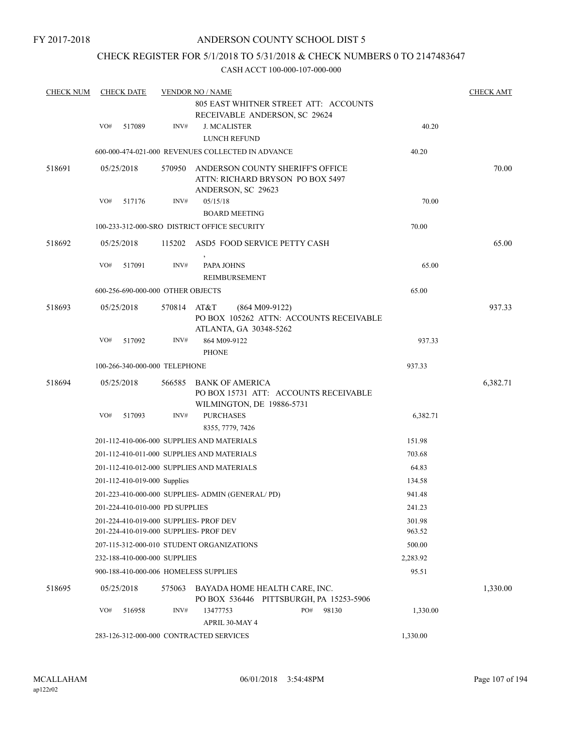### ANDERSON COUNTY SCHOOL DIST 5

### CHECK REGISTER FOR 5/1/2018 TO 5/31/2018 & CHECK NUMBERS 0 TO 2147483647

| <b>CHECK NUM</b> |     | <b>CHECK DATE</b>                 |        | <b>VENDOR NO / NAME</b><br>805 EAST WHITNER STREET ATT: ACCOUNTS                           |                  |                                         |                  | <b>CHECK AMT</b> |
|------------------|-----|-----------------------------------|--------|--------------------------------------------------------------------------------------------|------------------|-----------------------------------------|------------------|------------------|
|                  |     |                                   |        | RECEIVABLE ANDERSON, SC 29624                                                              |                  |                                         |                  |                  |
|                  | VO# | 517089                            | INV#   | <b>J. MCALISTER</b><br>LUNCH REFUND                                                        |                  |                                         | 40.20            |                  |
|                  |     |                                   |        | 600-000-474-021-000 REVENUES COLLECTED IN ADVANCE                                          |                  |                                         | 40.20            |                  |
| 518691           |     | 05/25/2018                        | 570950 | ANDERSON COUNTY SHERIFF'S OFFICE<br>ATTN: RICHARD BRYSON PO BOX 5497<br>ANDERSON, SC 29623 |                  |                                         |                  | 70.00            |
|                  | VO# | 517176                            | INV#   | 05/15/18                                                                                   |                  |                                         | 70.00            |                  |
|                  |     |                                   |        | <b>BOARD MEETING</b><br>100-233-312-000-SRO DISTRICT OFFICE SECURITY                       |                  |                                         | 70.00            |                  |
|                  |     |                                   |        |                                                                                            |                  |                                         |                  |                  |
| 518692           |     | 05/25/2018                        |        | 115202 ASD5 FOOD SERVICE PETTY CASH                                                        |                  |                                         |                  | 65.00            |
|                  | VO# | 517091                            | INV#   | $\,$<br>PAPA JOHNS                                                                         |                  |                                         | 65.00            |                  |
|                  |     | 600-256-690-000-000 OTHER OBJECTS |        | REIMBURSEMENT                                                                              |                  |                                         | 65.00            |                  |
|                  |     |                                   |        |                                                                                            |                  |                                         |                  |                  |
| 518693           |     | 05/25/2018                        | 570814 | AT&T<br>ATLANTA, GA 30348-5262                                                             | $(864 M09-9122)$ | PO BOX 105262 ATTN: ACCOUNTS RECEIVABLE |                  | 937.33           |
|                  | VO# | 517092                            | INV#   | 864 M09-9122<br><b>PHONE</b>                                                               |                  |                                         | 937.33           |                  |
|                  |     | 100-266-340-000-000 TELEPHONE     |        |                                                                                            |                  |                                         | 937.33           |                  |
| 518694           |     | 05/25/2018                        | 566585 | BANK OF AMERICA<br>PO BOX 15731 ATT: ACCOUNTS RECEIVABLE                                   |                  |                                         |                  | 6,382.71         |
|                  | VO# | 517093                            | INV#   | WILMINGTON, DE 19886-5731<br><b>PURCHASES</b><br>8355, 7779, 7426                          |                  |                                         | 6,382.71         |                  |
|                  |     |                                   |        | 201-112-410-006-000 SUPPLIES AND MATERIALS                                                 |                  |                                         | 151.98           |                  |
|                  |     |                                   |        | 201-112-410-011-000 SUPPLIES AND MATERIALS                                                 |                  |                                         | 703.68           |                  |
|                  |     |                                   |        | 201-112-410-012-000 SUPPLIES AND MATERIALS                                                 |                  |                                         | 64.83            |                  |
|                  |     | 201-112-410-019-000 Supplies      |        |                                                                                            |                  |                                         | 134.58           |                  |
|                  |     |                                   |        | 201-223-410-000-000 SUPPLIES- ADMIN (GENERAL/PD)                                           |                  |                                         | 941.48           |                  |
|                  |     | 201-224-410-010-000 PD SUPPLIES   |        |                                                                                            |                  |                                         | 241.23           |                  |
|                  |     |                                   |        | 201-224-410-019-000 SUPPLIES- PROF DEV<br>201-224-410-019-000 SUPPLIES- PROF DEV           |                  |                                         | 301.98<br>963.52 |                  |
|                  |     |                                   |        | 207-115-312-000-010 STUDENT ORGANIZATIONS                                                  |                  |                                         | 500.00           |                  |
|                  |     | 232-188-410-000-000 SUPPLIES      |        |                                                                                            |                  |                                         | 2,283.92         |                  |
|                  |     |                                   |        | 900-188-410-000-006 HOMELESS SUPPLIES                                                      |                  |                                         | 95.51            |                  |
| 518695           |     | 05/25/2018                        | 575063 | BAYADA HOME HEALTH CARE, INC.<br>PO BOX 536446 PITTSBURGH, PA 15253-5906                   |                  |                                         |                  | 1,330.00         |
|                  | VO# | 516958                            | INV#   | 13477753<br>APRIL 30-MAY 4                                                                 | PO#              | 98130                                   | 1,330.00         |                  |
|                  |     |                                   |        | 283-126-312-000-000 CONTRACTED SERVICES                                                    |                  |                                         | 1,330.00         |                  |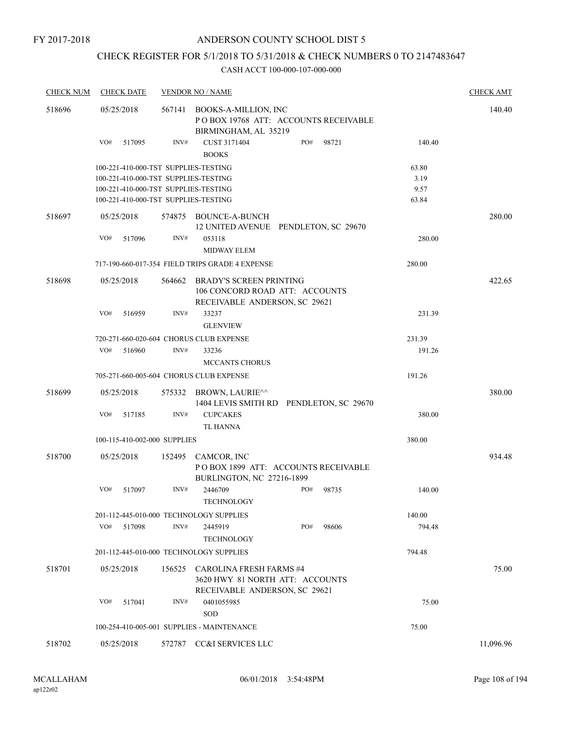### CHECK REGISTER FOR 5/1/2018 TO 5/31/2018 & CHECK NUMBERS 0 TO 2147483647

| <b>CHECK NUM</b> | <b>CHECK DATE</b>                       |        | <b>VENDOR NO / NAME</b>                                                                           |     |       |        | <b>CHECK AMT</b> |
|------------------|-----------------------------------------|--------|---------------------------------------------------------------------------------------------------|-----|-------|--------|------------------|
| 518696           | 05/25/2018                              | 567141 | BOOKS-A-MILLION, INC<br>POBOX 19768 ATT: ACCOUNTS RECEIVABLE<br>BIRMINGHAM, AL 35219              |     |       |        | 140.40           |
|                  | VO#<br>517095                           | INV#   | CUST 3171404<br><b>BOOKS</b>                                                                      | PO# | 98721 | 140.40 |                  |
|                  | 100-221-410-000-TST SUPPLIES-TESTING    |        |                                                                                                   |     |       | 63.80  |                  |
|                  | 100-221-410-000-TST SUPPLIES-TESTING    |        |                                                                                                   |     |       | 3.19   |                  |
|                  | 100-221-410-000-TST SUPPLIES-TESTING    |        |                                                                                                   |     |       | 9.57   |                  |
|                  | 100-221-410-000-TST SUPPLIES-TESTING    |        |                                                                                                   |     |       | 63.84  |                  |
| 518697           | 05/25/2018                              |        | 574875 BOUNCE-A-BUNCH<br>12 UNITED AVENUE PENDLETON, SC 29670                                     |     |       |        | 280.00           |
|                  | VO#<br>517096                           | INV#   | 053118<br><b>MIDWAY ELEM</b>                                                                      |     |       | 280.00 |                  |
|                  |                                         |        | 717-190-660-017-354 FIELD TRIPS GRADE 4 EXPENSE                                                   |     |       | 280.00 |                  |
| 518698           | 05/25/2018                              | 564662 | <b>BRADY'S SCREEN PRINTING</b><br>106 CONCORD ROAD ATT: ACCOUNTS<br>RECEIVABLE ANDERSON, SC 29621 |     |       |        | 422.65           |
|                  | VO#<br>516959                           | INV#   | 33237                                                                                             |     |       | 231.39 |                  |
|                  |                                         |        | <b>GLENVIEW</b>                                                                                   |     |       |        |                  |
|                  | 720-271-660-020-604 CHORUS CLUB EXPENSE |        |                                                                                                   |     |       | 231.39 |                  |
|                  | VO#<br>516960                           | INV#   | 33236<br><b>MCCANTS CHORUS</b>                                                                    |     |       | 191.26 |                  |
|                  | 705-271-660-005-604 CHORUS CLUB EXPENSE |        |                                                                                                   |     |       | 191.26 |                  |
| 518699           | 05/25/2018                              | 575332 | BROWN, LAURIE^^<br>1404 LEVIS SMITH RD PENDLETON, SC 29670                                        |     |       |        | 380.00           |
|                  | VO#<br>517185                           | INV#   | <b>CUPCAKES</b><br><b>TL HANNA</b>                                                                |     |       | 380.00 |                  |
|                  | 100-115-410-002-000 SUPPLIES            |        |                                                                                                   |     |       | 380.00 |                  |
| 518700           | 05/25/2018                              | 152495 | CAMCOR, INC<br>POBOX 1899 ATT: ACCOUNTS RECEIVABLE<br>BURLINGTON, NC 27216-1899                   |     |       |        | 934.48           |
|                  | VO#<br>517097                           | INV#   | 2446709<br>TECHNOLOGY                                                                             | PO# | 98735 | 140.00 |                  |
|                  | 201-112-445-010-000 TECHNOLOGY SUPPLIES |        |                                                                                                   |     |       | 140.00 |                  |
|                  | VO#<br>517098                           | INV#   | 2445919<br><b>TECHNOLOGY</b>                                                                      | PO# | 98606 | 794.48 |                  |
|                  | 201-112-445-010-000 TECHNOLOGY SUPPLIES |        |                                                                                                   |     |       | 794.48 |                  |
| 518701           | 05/25/2018                              | 156525 | CAROLINA FRESH FARMS #4                                                                           |     |       |        | 75.00            |
|                  |                                         |        | 3620 HWY 81 NORTH ATT: ACCOUNTS<br>RECEIVABLE ANDERSON, SC 29621                                  |     |       |        |                  |
|                  | VO#<br>517041                           | INV#   | 0401055985<br><b>SOD</b>                                                                          |     |       | 75.00  |                  |
|                  |                                         |        | 100-254-410-005-001 SUPPLIES - MAINTENANCE                                                        |     |       | 75.00  |                  |
| 518702           | 05/25/2018                              |        | 572787 CC&I SERVICES LLC                                                                          |     |       |        | 11,096.96        |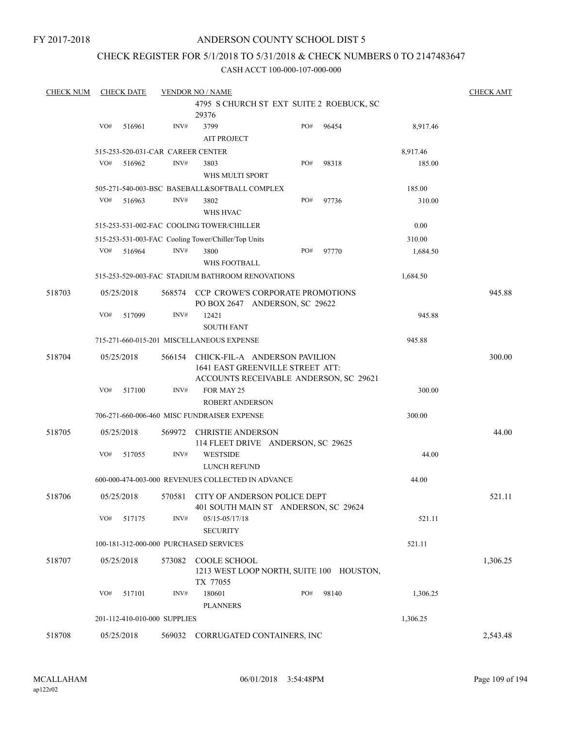## ANDERSON COUNTY SCHOOL DIST 5

### CHECK REGISTER FOR 5/1/2018 TO 5/31/2018 & CHECK NUMBERS 0 TO 2147483647

| <b>CHECK NUM</b> |     | <b>CHECK DATE</b> |                                   | <b>VENDOR NO / NAME</b>                             |                                                                            |       |          | <b>CHECK AMT</b> |
|------------------|-----|-------------------|-----------------------------------|-----------------------------------------------------|----------------------------------------------------------------------------|-------|----------|------------------|
|                  |     |                   |                                   |                                                     | 4795 S CHURCH ST EXT SUITE 2 ROEBUCK, SC                                   |       |          |                  |
|                  |     |                   |                                   | 29376                                               |                                                                            |       |          |                  |
|                  | VO# | 516961            | INV#                              | 3799                                                | PO#                                                                        | 96454 | 8,917.46 |                  |
|                  |     |                   |                                   | <b>AIT PROJECT</b>                                  |                                                                            |       |          |                  |
|                  |     |                   | 515-253-520-031-CAR CAREER CENTER |                                                     |                                                                            |       | 8,917.46 |                  |
|                  | VO# | 516962            | INV#                              | 3803                                                | PO#                                                                        | 98318 | 185.00   |                  |
|                  |     |                   |                                   | WHS MULTI SPORT                                     |                                                                            |       |          |                  |
|                  |     |                   |                                   | 505-271-540-003-BSC BASEBALL&SOFTBALL COMPLEX       |                                                                            |       | 185.00   |                  |
|                  | VO# | 516963            | INV#                              | 3802                                                | PO#                                                                        | 97736 | 310.00   |                  |
|                  |     |                   |                                   | WHS HVAC                                            |                                                                            |       |          |                  |
|                  |     |                   |                                   | 515-253-531-002-FAC COOLING TOWER/CHILLER           |                                                                            |       | 0.00     |                  |
|                  |     |                   |                                   | 515-253-531-003-FAC Cooling Tower/Chiller/Top Units |                                                                            |       | 310.00   |                  |
|                  | VO# | 516964            | INV#                              | 3800                                                | PO#                                                                        | 97770 | 1,684.50 |                  |
|                  |     |                   |                                   | WHS FOOTBALL                                        |                                                                            |       |          |                  |
|                  |     |                   |                                   | 515-253-529-003-FAC STADIUM BATHROOM RENOVATIONS    |                                                                            |       | 1,684.50 |                  |
| 518703           |     | 05/25/2018        |                                   |                                                     | 568574 CCP CROWE'S CORPORATE PROMOTIONS                                    |       |          | 945.88           |
|                  |     |                   |                                   |                                                     | PO BOX 2647 ANDERSON, SC 29622                                             |       |          |                  |
|                  | VO# | 517099            | INV#                              | 12421                                               |                                                                            |       | 945.88   |                  |
|                  |     |                   |                                   | <b>SOUTH FANT</b>                                   |                                                                            |       |          |                  |
|                  |     |                   |                                   | 715-271-660-015-201 MISCELLANEOUS EXPENSE           |                                                                            |       | 945.88   |                  |
|                  |     |                   |                                   |                                                     |                                                                            |       |          |                  |
| 518704           |     | 05/25/2018        | 566154                            |                                                     | CHICK-FIL-A ANDERSON PAVILION                                              |       |          | 300.00           |
|                  |     |                   |                                   |                                                     | 1641 EAST GREENVILLE STREET ATT:<br>ACCOUNTS RECEIVABLE ANDERSON, SC 29621 |       |          |                  |
|                  | VO# | 517100            | INV#                              | FOR MAY 25                                          |                                                                            |       | 300.00   |                  |
|                  |     |                   |                                   | <b>ROBERT ANDERSON</b>                              |                                                                            |       |          |                  |
|                  |     |                   |                                   | 706-271-660-006-460 MISC FUNDRAISER EXPENSE         |                                                                            |       | 300.00   |                  |
|                  |     |                   |                                   |                                                     |                                                                            |       |          |                  |
| 518705           |     | 05/25/2018        | 569972                            | <b>CHRISTIE ANDERSON</b>                            |                                                                            |       |          | 44.00            |
|                  |     |                   |                                   |                                                     | 114 FLEET DRIVE ANDERSON, SC 29625                                         |       |          |                  |
|                  | VO# | 517055            | INV#                              | <b>WESTSIDE</b>                                     |                                                                            |       | 44.00    |                  |
|                  |     |                   |                                   | <b>LUNCH REFUND</b>                                 |                                                                            |       |          |                  |
|                  |     |                   |                                   | 600-000-474-003-000 REVENUES COLLECTED IN ADVANCE   |                                                                            |       | 44.00    |                  |
| 518706           |     | 05/25/2018        | 570581                            |                                                     | CITY OF ANDERSON POLICE DEPT                                               |       |          | 521.11           |
|                  |     |                   |                                   |                                                     | 401 SOUTH MAIN ST ANDERSON, SC 29624                                       |       |          |                  |
|                  | VO# | 517175            | INV#                              | 05/15-05/17/18                                      |                                                                            |       | 521.11   |                  |
|                  |     |                   |                                   | <b>SECURITY</b>                                     |                                                                            |       |          |                  |
|                  |     |                   |                                   | 100-181-312-000-000 PURCHASED SERVICES              |                                                                            |       | 521.11   |                  |
| 518707           |     | 05/25/2018        | 573082                            | COOLE SCHOOL                                        |                                                                            |       |          | 1,306.25         |
|                  |     |                   |                                   |                                                     | 1213 WEST LOOP NORTH, SUITE 100 HOUSTON,                                   |       |          |                  |
|                  |     |                   |                                   | TX 77055                                            |                                                                            |       |          |                  |
|                  | VO# | 517101            | INV#                              | 180601                                              | PO#                                                                        | 98140 | 1,306.25 |                  |
|                  |     |                   |                                   | <b>PLANNERS</b>                                     |                                                                            |       |          |                  |
|                  |     |                   | 201-112-410-010-000 SUPPLIES      |                                                     |                                                                            |       | 1,306.25 |                  |
| 518708           |     | 05/25/2018        | 569032                            |                                                     | CORRUGATED CONTAINERS, INC                                                 |       |          | 2,543.48         |
|                  |     |                   |                                   |                                                     |                                                                            |       |          |                  |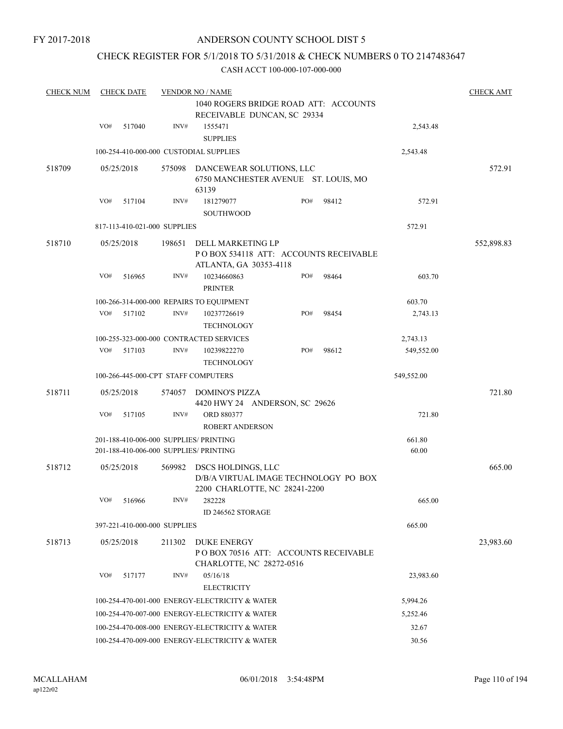## CHECK REGISTER FOR 5/1/2018 TO 5/31/2018 & CHECK NUMBERS 0 TO 2147483647

| <b>CHECK NUM</b> |     | <b>CHECK DATE</b>                              |        | <b>VENDOR NO / NAME</b>                                                                      |     |       |                 |            |  |
|------------------|-----|------------------------------------------------|--------|----------------------------------------------------------------------------------------------|-----|-------|-----------------|------------|--|
|                  |     |                                                |        | 1040 ROGERS BRIDGE ROAD ATT: ACCOUNTS                                                        |     |       |                 |            |  |
|                  |     |                                                |        | RECEIVABLE DUNCAN, SC 29334                                                                  |     |       |                 |            |  |
|                  | VO# | 517040                                         | INV#   | 1555471                                                                                      |     |       | 2,543.48        |            |  |
|                  |     |                                                |        | <b>SUPPLIES</b>                                                                              |     |       |                 |            |  |
|                  |     |                                                |        | 100-254-410-000-000 CUSTODIAL SUPPLIES                                                       |     |       | 2,543.48        |            |  |
| 518709           |     | 05/25/2018                                     | 575098 | DANCEWEAR SOLUTIONS, LLC<br>6750 MANCHESTER AVENUE ST. LOUIS, MO<br>63139                    |     |       |                 | 572.91     |  |
|                  | VO# | 517104                                         | INV#   | 181279077                                                                                    | PO# | 98412 | 572.91          |            |  |
|                  |     |                                                |        | <b>SOUTHWOOD</b>                                                                             |     |       |                 |            |  |
|                  |     | 817-113-410-021-000 SUPPLIES                   |        |                                                                                              |     |       | 572.91          |            |  |
| 518710           |     | 05/25/2018                                     | 198651 | DELL MARKETING LP<br>PO BOX 534118 ATT: ACCOUNTS RECEIVABLE<br>ATLANTA, GA 30353-4118        |     |       |                 | 552,898.83 |  |
|                  | VO# | 516965                                         | INV#   | 10234660863<br><b>PRINTER</b>                                                                | PO# | 98464 | 603.70          |            |  |
|                  |     |                                                |        | 100-266-314-000-000 REPAIRS TO EQUIPMENT                                                     |     |       | 603.70          |            |  |
|                  | VO# | 517102                                         | INV#   | 10237726619<br><b>TECHNOLOGY</b>                                                             | PO# | 98454 | 2,743.13        |            |  |
|                  |     |                                                |        | 100-255-323-000-000 CONTRACTED SERVICES                                                      |     |       | 2,743.13        |            |  |
|                  | VO# | 517103                                         | INV#   | 10239822270<br><b>TECHNOLOGY</b>                                                             | PO# | 98612 | 549,552.00      |            |  |
|                  |     |                                                |        | 100-266-445-000-CPT STAFF COMPUTERS                                                          |     |       | 549,552.00      |            |  |
| 518711           |     | 05/25/2018                                     | 574057 | DOMINO'S PIZZA<br>4420 HWY 24 ANDERSON, SC 29626                                             |     |       |                 | 721.80     |  |
|                  | VO# | 517105                                         | INV#   | ORD 880377<br><b>ROBERT ANDERSON</b>                                                         |     |       | 721.80          |            |  |
|                  |     |                                                |        | 201-188-410-006-000 SUPPLIES/ PRINTING<br>201-188-410-006-000 SUPPLIES/ PRINTING             |     |       | 661.80<br>60.00 |            |  |
| 518712           |     | 05/25/2018                                     | 569982 | DSCS HOLDINGS, LLC<br>D/B/A VIRTUAL IMAGE TECHNOLOGY PO BOX<br>2200 CHARLOTTE, NC 28241-2200 |     |       |                 | 665.00     |  |
|                  |     | VO# 516966                                     | INV#   | 282228<br>ID 246562 STORAGE                                                                  |     |       | 665.00          |            |  |
|                  |     | 397-221-410-000-000 SUPPLIES                   |        |                                                                                              |     |       | 665.00          |            |  |
| 518713           |     | 05/25/2018                                     | 211302 | DUKE ENERGY<br>POBOX 70516 ATT: ACCOUNTS RECEIVABLE<br>CHARLOTTE, NC 28272-0516              |     |       |                 | 23,983.60  |  |
|                  | VO# | 517177                                         | INV#   | 05/16/18                                                                                     |     |       | 23,983.60       |            |  |
|                  |     |                                                |        | <b>ELECTRICITY</b>                                                                           |     |       |                 |            |  |
|                  |     |                                                |        | 100-254-470-001-000 ENERGY-ELECTRICITY & WATER                                               |     |       | 5,994.26        |            |  |
|                  |     |                                                |        | 100-254-470-007-000 ENERGY-ELECTRICITY & WATER                                               |     |       | 5,252.46        |            |  |
|                  |     | 100-254-470-008-000 ENERGY-ELECTRICITY & WATER |        |                                                                                              |     |       | 32.67           |            |  |
|                  |     |                                                |        | 100-254-470-009-000 ENERGY-ELECTRICITY & WATER                                               |     |       | 30.56           |            |  |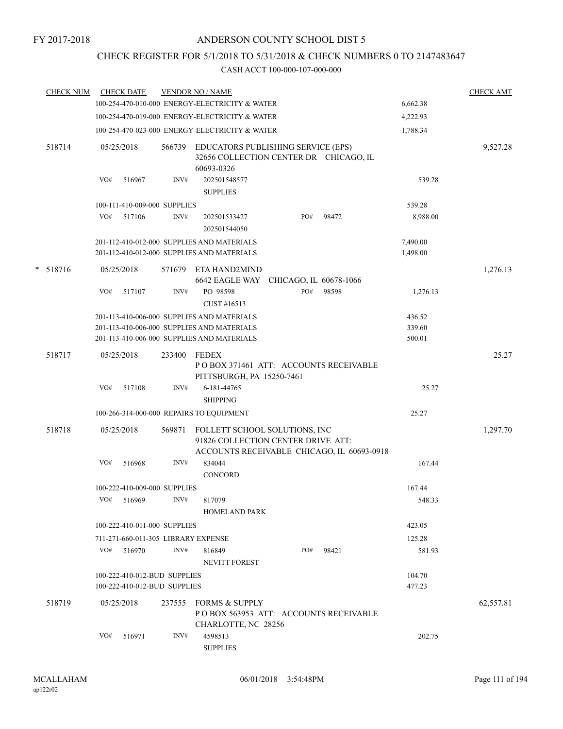## CHECK REGISTER FOR 5/1/2018 TO 5/31/2018 & CHECK NUMBERS 0 TO 2147483647

| <b>CHECK NUM</b> | <b>CHECK DATE</b>                        |        | <b>VENDOR NO / NAME</b>                                                                                           |     |       |                      | <b>CHECK AMT</b> |
|------------------|------------------------------------------|--------|-------------------------------------------------------------------------------------------------------------------|-----|-------|----------------------|------------------|
|                  |                                          |        | 100-254-470-010-000 ENERGY-ELECTRICITY & WATER                                                                    |     |       | 6,662.38             |                  |
|                  |                                          |        | 100-254-470-019-000 ENERGY-ELECTRICITY & WATER                                                                    |     |       | 4,222.93             |                  |
|                  |                                          |        | 100-254-470-023-000 ENERGY-ELECTRICITY & WATER                                                                    |     |       | 1,788.34             |                  |
| 518714           | 05/25/2018                               | 566739 | EDUCATORS PUBLISHING SERVICE (EPS)<br>32656 COLLECTION CENTER DR CHICAGO, IL<br>60693-0326                        |     |       |                      | 9,527.28         |
|                  | VO#<br>516967                            | INV#   | 202501548577<br><b>SUPPLIES</b>                                                                                   |     |       | 539.28               |                  |
|                  | 100-111-410-009-000 SUPPLIES             |        |                                                                                                                   |     |       | 539.28               |                  |
|                  | VO#<br>517106                            | INV#   | 202501533427<br>202501544050                                                                                      | PO# | 98472 | 8,988.00             |                  |
|                  |                                          |        | 201-112-410-012-000 SUPPLIES AND MATERIALS<br>201-112-410-012-000 SUPPLIES AND MATERIALS                          |     |       | 7,490.00<br>1,498.00 |                  |
| $* 518716$       | 05/25/2018                               | 571679 | ETA HAND2MIND<br>6642 EAGLE WAY CHICAGO, IL 60678-1066                                                            |     |       |                      | 1,276.13         |
|                  | VO#<br>517107                            | INV#   | PO 98598<br>CUST #16513                                                                                           | PO# | 98598 | 1,276.13             |                  |
|                  |                                          |        | 201-113-410-006-000 SUPPLIES AND MATERIALS                                                                        |     |       | 436.52               |                  |
|                  |                                          |        | 201-113-410-006-000 SUPPLIES AND MATERIALS                                                                        |     |       | 339.60               |                  |
|                  |                                          |        | 201-113-410-006-000 SUPPLIES AND MATERIALS                                                                        |     |       | 500.01               |                  |
| 518717           | 05/25/2018                               | 233400 | <b>FEDEX</b><br>PO BOX 371461 ATT: ACCOUNTS RECEIVABLE                                                            |     |       |                      | 25.27            |
|                  | VO#<br>517108                            | INV#   | PITTSBURGH, PA 15250-7461<br>6-181-44765                                                                          |     |       | 25.27                |                  |
|                  | 100-266-314-000-000 REPAIRS TO EQUIPMENT |        | <b>SHIPPING</b>                                                                                                   |     |       | 25.27                |                  |
|                  |                                          |        |                                                                                                                   |     |       |                      |                  |
| 518718           | 05/25/2018                               | 569871 | FOLLETT SCHOOL SOLUTIONS, INC<br>91826 COLLECTION CENTER DRIVE ATT:<br>ACCOUNTS RECEIVABLE CHICAGO, IL 60693-0918 |     |       |                      | 1,297.70         |
|                  | VO#<br>516968                            | INV#   | 834044<br><b>CONCORD</b>                                                                                          |     |       | 167.44               |                  |
|                  | 100-222-410-009-000 SUPPLIES             |        |                                                                                                                   |     |       | 167.44               |                  |
|                  | VO# 516969                               | INV#   | 817079<br><b>HOMELAND PARK</b>                                                                                    |     |       | 548.33               |                  |
|                  | 100-222-410-011-000 SUPPLIES             |        |                                                                                                                   |     |       | 423.05               |                  |
|                  | 711-271-660-011-305 LIBRARY EXPENSE      |        |                                                                                                                   |     |       | 125.28               |                  |
|                  | VO# 516970                               | INV#   | 816849<br><b>NEVITT FOREST</b>                                                                                    | PO# | 98421 | 581.93               |                  |
|                  | 100-222-410-012-BUD SUPPLIES             |        |                                                                                                                   |     |       | 104.70               |                  |
|                  | 100-222-410-012-BUD SUPPLIES             |        |                                                                                                                   |     |       | 477.23               |                  |
| 518719           | 05/25/2018                               | 237555 | <b>FORMS &amp; SUPPLY</b><br>PO BOX 563953 ATT: ACCOUNTS RECEIVABLE<br>CHARLOTTE, NC 28256                        |     |       |                      | 62,557.81        |
|                  | VO#<br>516971                            | INV#   | 4598513<br><b>SUPPLIES</b>                                                                                        |     |       | 202.75               |                  |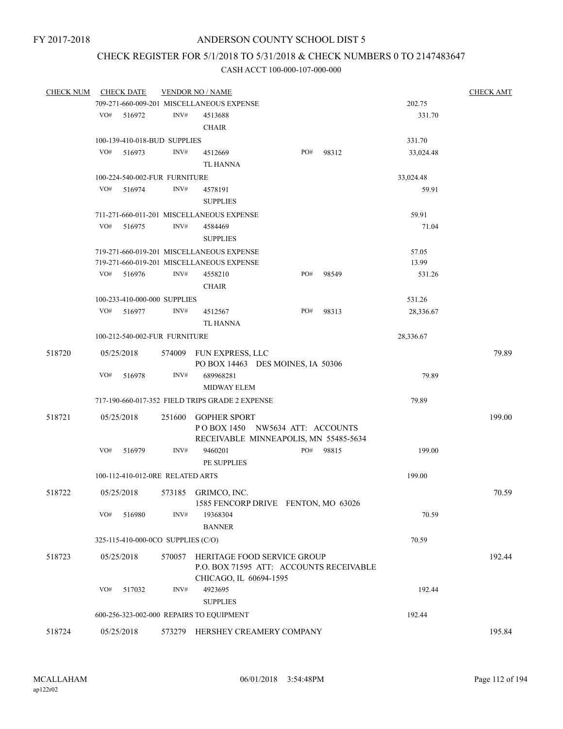## CHECK REGISTER FOR 5/1/2018 TO 5/31/2018 & CHECK NUMBERS 0 TO 2147483647

| <b>CHECK NUM</b> |     | <b>CHECK DATE</b>                  |        | <b>VENDOR NO / NAME</b>                         |  |        |       |           | <b>CHECK AMT</b> |
|------------------|-----|------------------------------------|--------|-------------------------------------------------|--|--------|-------|-----------|------------------|
|                  |     |                                    |        | 709-271-660-009-201 MISCELLANEOUS EXPENSE       |  |        |       | 202.75    |                  |
|                  |     | VO# 516972                         | INV#   | 4513688                                         |  |        |       | 331.70    |                  |
|                  |     |                                    |        | <b>CHAIR</b>                                    |  |        |       |           |                  |
|                  |     | 100-139-410-018-BUD SUPPLIES       |        |                                                 |  | 331.70 |       |           |                  |
|                  | VO# | 516973                             | INV#   | 4512669                                         |  | PO#    | 98312 | 33,024.48 |                  |
|                  |     |                                    |        | TL HANNA                                        |  |        |       |           |                  |
|                  |     | 100-224-540-002-FUR FURNITURE      |        |                                                 |  |        |       | 33,024.48 |                  |
|                  | VO# | 516974                             | INV#   | 4578191                                         |  |        |       | 59.91     |                  |
|                  |     |                                    |        | <b>SUPPLIES</b>                                 |  |        |       |           |                  |
|                  |     |                                    |        | 711-271-660-011-201 MISCELLANEOUS EXPENSE       |  |        |       | 59.91     |                  |
|                  | VO# | 516975                             | INV#   | 4584469                                         |  |        |       | 71.04     |                  |
|                  |     |                                    |        | <b>SUPPLIES</b>                                 |  |        |       |           |                  |
|                  |     |                                    |        | 719-271-660-019-201 MISCELLANEOUS EXPENSE       |  |        |       | 57.05     |                  |
|                  |     |                                    |        | 719-271-660-019-201 MISCELLANEOUS EXPENSE       |  |        |       | 13.99     |                  |
|                  | VO# | 516976                             | INV#   | 4558210                                         |  | PO#    | 98549 | 531.26    |                  |
|                  |     |                                    |        | <b>CHAIR</b>                                    |  |        |       |           |                  |
|                  |     | 100-233-410-000-000 SUPPLIES       |        |                                                 |  |        |       | 531.26    |                  |
|                  | VO# | 516977                             | INV#   | 4512567                                         |  | PO#    | 98313 | 28,336.67 |                  |
|                  |     |                                    |        | TL HANNA                                        |  |        |       |           |                  |
|                  |     | 100-212-540-002-FUR FURNITURE      |        |                                                 |  |        |       | 28,336.67 |                  |
|                  |     |                                    |        |                                                 |  |        |       |           |                  |
| 518720           |     | 05/25/2018                         |        | 574009 FUN EXPRESS, LLC                         |  |        |       |           | 79.89            |
|                  |     |                                    |        | PO BOX 14463 DES MOINES, IA 50306               |  |        |       |           |                  |
|                  | VO# | 516978                             | INV#   | 689968281                                       |  |        |       | 79.89     |                  |
|                  |     |                                    |        | <b>MIDWAY ELEM</b>                              |  |        |       |           |                  |
|                  |     |                                    |        | 717-190-660-017-352 FIELD TRIPS GRADE 2 EXPENSE |  |        |       | 79.89     |                  |
| 518721           |     | 05/25/2018                         | 251600 | <b>GOPHER SPORT</b>                             |  |        |       |           | 199.00           |
|                  |     |                                    |        | POBOX 1450 NW5634 ATT: ACCOUNTS                 |  |        |       |           |                  |
|                  |     |                                    |        | RECEIVABLE MINNEAPOLIS, MN 55485-5634           |  |        |       |           |                  |
|                  | VO# | 516979                             | INV#   | 9460201                                         |  | PO#    | 98815 | 199.00    |                  |
|                  |     |                                    |        | PE SUPPLIES                                     |  |        |       |           |                  |
|                  |     | 100-112-410-012-0RE RELATED ARTS   |        |                                                 |  |        |       | 199.00    |                  |
| 518722           |     | 05/25/2018                         |        | 573185 GRIMCO, INC.                             |  |        |       |           | 70.59            |
|                  |     |                                    |        | 1585 FENCORP DRIVE FENTON, MO 63026             |  |        |       |           |                  |
|                  | VO# | 516980                             | INV#   | 19368304                                        |  |        |       | 70.59     |                  |
|                  |     |                                    |        | <b>BANNER</b>                                   |  |        |       |           |                  |
|                  |     | 325-115-410-000-0CO SUPPLIES (C/O) |        |                                                 |  |        |       | 70.59     |                  |
| 518723           |     | 05/25/2018                         | 570057 | HERITAGE FOOD SERVICE GROUP                     |  |        |       |           | 192.44           |
|                  |     |                                    |        | P.O. BOX 71595 ATT: ACCOUNTS RECEIVABLE         |  |        |       |           |                  |
|                  |     |                                    |        | CHICAGO, IL 60694-1595                          |  |        |       |           |                  |
|                  | VO# | 517032                             | INV#   | 4923695                                         |  |        |       | 192.44    |                  |
|                  |     |                                    |        | <b>SUPPLIES</b>                                 |  |        |       |           |                  |
|                  |     |                                    |        | 600-256-323-002-000 REPAIRS TO EQUIPMENT        |  |        |       | 192.44    |                  |
|                  |     |                                    |        |                                                 |  |        |       |           |                  |
| 518724           |     | 05/25/2018                         |        | 573279 HERSHEY CREAMERY COMPANY                 |  |        |       |           | 195.84           |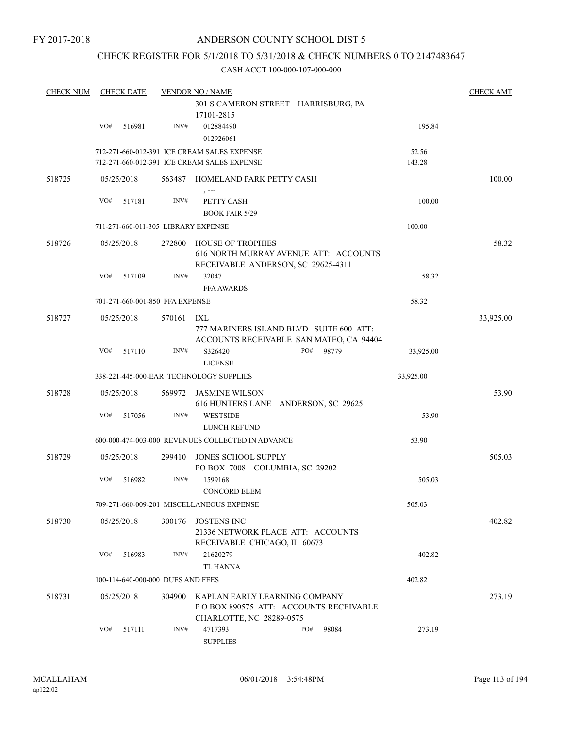## CHECK REGISTER FOR 5/1/2018 TO 5/31/2018 & CHECK NUMBERS 0 TO 2147483647

| <b>CHECK NUM</b> |     | <b>CHECK DATE</b> |                                   | <b>VENDOR NO / NAME</b><br>301 S CAMERON STREET HARRISBURG, PA<br>17101-2815                            |     |       |                 | <b>CHECK AMT</b> |
|------------------|-----|-------------------|-----------------------------------|---------------------------------------------------------------------------------------------------------|-----|-------|-----------------|------------------|
|                  | VO# | 516981            | INV#                              | 012884490<br>012926061                                                                                  |     |       | 195.84          |                  |
|                  |     |                   |                                   | 712-271-660-012-391 ICE CREAM SALES EXPENSE<br>712-271-660-012-391 ICE CREAM SALES EXPENSE              |     |       | 52.56<br>143.28 |                  |
| 518725           |     | 05/25/2018        |                                   | 563487 HOMELAND PARK PETTY CASH                                                                         |     |       |                 | 100.00           |
|                  | VO# | 517181            | INV#                              | PETTY CASH<br><b>BOOK FAIR 5/29</b>                                                                     |     |       | 100.00          |                  |
|                  |     |                   |                                   | 711-271-660-011-305 LIBRARY EXPENSE                                                                     |     |       | 100.00          |                  |
| 518726           |     | 05/25/2018        | 272800                            | <b>HOUSE OF TROPHIES</b><br>616 NORTH MURRAY AVENUE ATT: ACCOUNTS<br>RECEIVABLE ANDERSON, SC 29625-4311 |     |       |                 | 58.32            |
|                  | VO# | 517109            | INV#                              | 32047<br><b>FFA AWARDS</b>                                                                              |     |       | 58.32           |                  |
|                  |     |                   | 701-271-660-001-850 FFA EXPENSE   |                                                                                                         |     |       | 58.32           |                  |
| 518727           |     | 05/25/2018        | 570161 IXL                        | 777 MARINERS ISLAND BLVD SUITE 600 ATT:<br>ACCOUNTS RECEIVABLE SAN MATEO, CA 94404                      |     |       |                 | 33,925.00        |
|                  | VO# | 517110            | INV#                              | S326420<br><b>LICENSE</b>                                                                               | PO# | 98779 | 33,925.00       |                  |
|                  |     |                   |                                   | 338-221-445-000-EAR TECHNOLOGY SUPPLIES                                                                 |     |       | 33,925.00       |                  |
| 518728           |     | 05/25/2018        | 569972                            | JASMINE WILSON<br>616 HUNTERS LANE ANDERSON, SC 29625                                                   |     |       |                 | 53.90            |
|                  | VO# | 517056            | INV#                              | <b>WESTSIDE</b><br>LUNCH REFUND                                                                         |     |       | 53.90           |                  |
|                  |     |                   |                                   | 600-000-474-003-000 REVENUES COLLECTED IN ADVANCE                                                       |     |       | 53.90           |                  |
| 518729           |     | 05/25/2018        | 299410                            | JONES SCHOOL SUPPLY<br>PO BOX 7008 COLUMBIA, SC 29202                                                   |     |       |                 | 505.03           |
|                  | VO# | 516982            | INV#                              | 1599168<br><b>CONCORD ELEM</b>                                                                          |     |       | 505.03          |                  |
|                  |     |                   |                                   | 709-271-660-009-201 MISCELLANEOUS EXPENSE                                                               |     |       | 505.03          |                  |
| 518730           |     | 05/25/2018        | 300176                            | <b>JOSTENS INC</b><br>21336 NETWORK PLACE ATT: ACCOUNTS<br>RECEIVABLE CHICAGO, IL 60673                 |     |       |                 | 402.82           |
|                  | VO# | 516983            | INV#                              | 21620279<br>TL HANNA                                                                                    |     |       | 402.82          |                  |
|                  |     |                   | 100-114-640-000-000 DUES AND FEES |                                                                                                         |     |       | 402.82          |                  |
| 518731           |     | 05/25/2018        | 304900                            | KAPLAN EARLY LEARNING COMPANY<br>PO BOX 890575 ATT: ACCOUNTS RECEIVABLE<br>CHARLOTTE, NC 28289-0575     |     |       |                 | 273.19           |
|                  | VO# | 517111            | INV#                              | 4717393<br><b>SUPPLIES</b>                                                                              | PO# | 98084 | 273.19          |                  |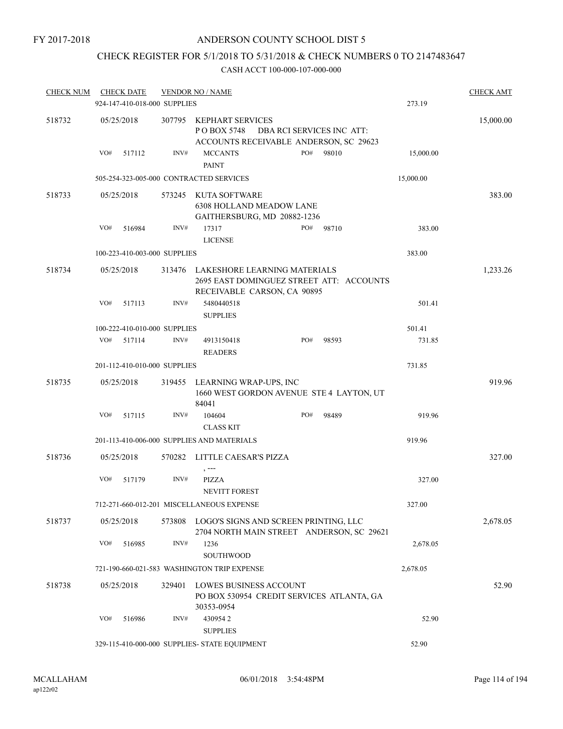## CHECK REGISTER FOR 5/1/2018 TO 5/31/2018 & CHECK NUMBERS 0 TO 2147483647

| <b>CHECK NUM</b> |     | <b>CHECK DATE</b>            |        | <b>VENDOR NO / NAME</b>                                                                                 |     |                           |           | <b>CHECK AMT</b> |
|------------------|-----|------------------------------|--------|---------------------------------------------------------------------------------------------------------|-----|---------------------------|-----------|------------------|
|                  |     | 924-147-410-018-000 SUPPLIES |        |                                                                                                         |     |                           | 273.19    |                  |
| 518732           |     | 05/25/2018                   | 307795 | KEPHART SERVICES<br>P O BOX 5748<br>ACCOUNTS RECEIVABLE ANDERSON, SC 29623                              |     | DBA RCI SERVICES INC ATT: |           | 15,000.00        |
|                  | VO# | 517112                       | INV#   | <b>MCCANTS</b><br><b>PAINT</b>                                                                          | PO# | 98010                     | 15,000.00 |                  |
|                  |     |                              |        | 505-254-323-005-000 CONTRACTED SERVICES                                                                 |     |                           | 15,000.00 |                  |
| 518733           |     | 05/25/2018                   | 573245 | KUTA SOFTWARE<br><b>6308 HOLLAND MEADOW LANE</b><br>GAITHERSBURG, MD 20882-1236                         |     |                           |           | 383.00           |
|                  | VO# | 516984                       | INV#   | 17317<br><b>LICENSE</b>                                                                                 | PO# | 98710                     | 383.00    |                  |
|                  |     | 100-223-410-003-000 SUPPLIES |        |                                                                                                         |     |                           | 383.00    |                  |
| 518734           |     | 05/25/2018                   | 313476 | LAKESHORE LEARNING MATERIALS<br>2695 EAST DOMINGUEZ STREET ATT: ACCOUNTS<br>RECEIVABLE CARSON, CA 90895 |     |                           |           | 1,233.26         |
|                  | VO# | 517113                       | INV#   | 5480440518<br><b>SUPPLIES</b>                                                                           |     |                           | 501.41    |                  |
|                  |     | 100-222-410-010-000 SUPPLIES |        |                                                                                                         |     |                           | 501.41    |                  |
|                  | VO# | 517114                       | INV#   | 4913150418<br><b>READERS</b>                                                                            | PO# | 98593                     | 731.85    |                  |
|                  |     | 201-112-410-010-000 SUPPLIES |        |                                                                                                         |     |                           | 731.85    |                  |
| 518735           |     | 05/25/2018                   |        | 319455 LEARNING WRAP-UPS, INC<br>1660 WEST GORDON AVENUE STE 4 LAYTON, UT<br>84041                      |     |                           |           | 919.96           |
|                  | VO# | 517115                       | INV#   | 104604<br><b>CLASS KIT</b>                                                                              | PO# | 98489                     | 919.96    |                  |
|                  |     |                              |        | 201-113-410-006-000 SUPPLIES AND MATERIALS                                                              |     |                           | 919.96    |                  |
| 518736           |     | 05/25/2018                   |        | 570282 LITTLE CAESAR'S PIZZA<br>$, -- -$                                                                |     |                           |           | 327.00           |
|                  | VO# | 517179                       | INV#   | PIZZA<br><b>NEVITT FOREST</b>                                                                           |     |                           | 327.00    |                  |
|                  |     |                              |        | 712-271-660-012-201 MISCELLANEOUS EXPENSE                                                               |     |                           | 327.00    |                  |
| 518737           |     | 05/25/2018                   | 573808 | LOGO'S SIGNS AND SCREEN PRINTING, LLC<br>2704 NORTH MAIN STREET ANDERSON, SC 29621                      |     |                           |           | 2,678.05         |
|                  | VO# | 516985                       | INV#   | 1236<br>SOUTHWOOD                                                                                       |     |                           | 2,678.05  |                  |
|                  |     |                              |        | 721-190-660-021-583 WASHINGTON TRIP EXPENSE                                                             |     |                           | 2,678.05  |                  |
| 518738           |     | 05/25/2018                   | 329401 | <b>LOWES BUSINESS ACCOUNT</b><br>PO BOX 530954 CREDIT SERVICES ATLANTA, GA<br>30353-0954                |     |                           |           | 52.90            |
|                  | VO# | 516986                       | INV#   | 4309542<br><b>SUPPLIES</b>                                                                              |     |                           | 52.90     |                  |
|                  |     |                              |        | 329-115-410-000-000 SUPPLIES- STATE EQUIPMENT                                                           |     |                           | 52.90     |                  |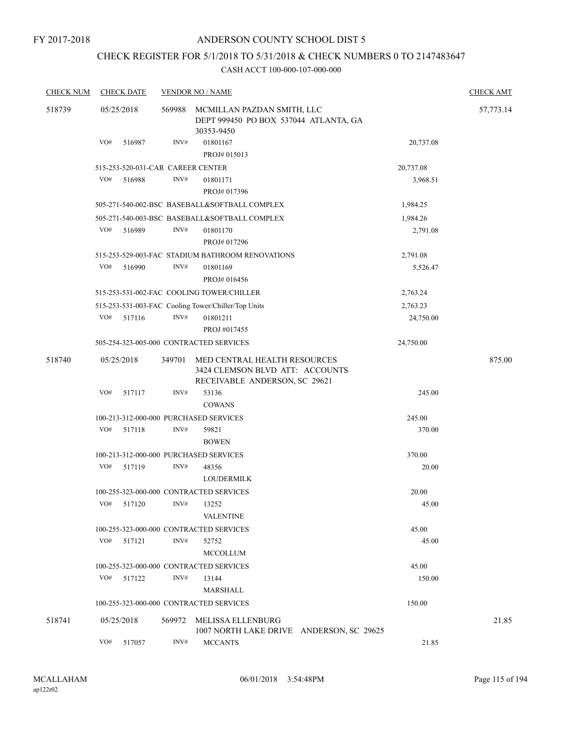# CHECK REGISTER FOR 5/1/2018 TO 5/31/2018 & CHECK NUMBERS 0 TO 2147483647

| <b>CHECK NUM</b> | <b>CHECK DATE</b> |        |        | <b>VENDOR NO / NAME</b>                                                                          |           | <b>CHECK AMT</b> |
|------------------|-------------------|--------|--------|--------------------------------------------------------------------------------------------------|-----------|------------------|
| 518739           | 05/25/2018        |        | 569988 | MCMILLAN PAZDAN SMITH, LLC<br>DEPT 999450 PO BOX 537044 ATLANTA, GA<br>30353-9450                |           | 57,773.14        |
|                  | VO#               | 516987 | INV#   | 01801167<br>PROJ# 015013                                                                         | 20,737.08 |                  |
|                  |                   |        |        | 515-253-520-031-CAR CAREER CENTER                                                                | 20,737.08 |                  |
|                  | VO#               | 516988 | INV#   | 01801171<br>PROJ# 017396                                                                         | 3,968.51  |                  |
|                  |                   |        |        | 505-271-540-002-BSC BASEBALL&SOFTBALL COMPLEX                                                    | 1,984.25  |                  |
|                  |                   |        |        | 505-271-540-003-BSC BASEBALL&SOFTBALL COMPLEX                                                    | 1,984.26  |                  |
|                  | VO#               | 516989 | INV#   | 01801170<br>PROJ#017296                                                                          | 2,791.08  |                  |
|                  |                   |        |        | 515-253-529-003-FAC STADIUM BATHROOM RENOVATIONS                                                 | 2,791.08  |                  |
|                  | VO#               | 516990 | INV#   | 01801169<br>PROJ# 016456                                                                         | 5,526.47  |                  |
|                  |                   |        |        | 515-253-531-002-FAC COOLING TOWER/CHILLER                                                        | 2,763.24  |                  |
|                  |                   |        |        | 515-253-531-003-FAC Cooling Tower/Chiller/Top Units                                              | 2,763.23  |                  |
|                  | VO#               | 517116 | INV#   | 01801211                                                                                         | 24,750.00 |                  |
|                  |                   |        |        | PROJ #017455                                                                                     |           |                  |
|                  |                   |        |        | 505-254-323-005-000 CONTRACTED SERVICES                                                          | 24,750.00 |                  |
| 518740           | 05/25/2018        |        | 349701 | MED CENTRAL HEALTH RESOURCES<br>3424 CLEMSON BLVD ATT: ACCOUNTS<br>RECEIVABLE ANDERSON, SC 29621 |           | 875.00           |
|                  | VO#               | 517117 | INV#   | 53136<br><b>COWANS</b>                                                                           | 245.00    |                  |
|                  |                   |        |        | 100-213-312-000-000 PURCHASED SERVICES                                                           | 245.00    |                  |
|                  | VO#               | 517118 | INV#   | 59821                                                                                            | 370.00    |                  |
|                  |                   |        |        | <b>BOWEN</b>                                                                                     |           |                  |
|                  |                   |        |        | 100-213-312-000-000 PURCHASED SERVICES                                                           | 370.00    |                  |
|                  | VO#               | 517119 | INV#   | 48356<br><b>LOUDERMILK</b>                                                                       | 20.00     |                  |
|                  |                   |        |        | 100-255-323-000-000 CONTRACTED SERVICES                                                          | 20.00     |                  |
|                  | VO#               | 517120 | INV#   | 13252<br><b>VALENTINE</b>                                                                        | 45.00     |                  |
|                  |                   |        |        | 100-255-323-000-000 CONTRACTED SERVICES                                                          | 45.00     |                  |
|                  | VO#               | 517121 | INV#   | 52752<br><b>MCCOLLUM</b>                                                                         | 45.00     |                  |
|                  |                   |        |        | 100-255-323-000-000 CONTRACTED SERVICES                                                          | 45.00     |                  |
|                  | VO#               | 517122 | INV#   | 13144                                                                                            | 150.00    |                  |
|                  |                   |        |        | MARSHALL                                                                                         |           |                  |
|                  |                   |        |        | 100-255-323-000-000 CONTRACTED SERVICES                                                          | 150.00    |                  |
| 518741           | 05/25/2018        |        | 569972 | MELISSA ELLENBURG<br>1007 NORTH LAKE DRIVE ANDERSON, SC 29625                                    |           | 21.85            |
|                  | VO#               | 517057 | INV#   | <b>MCCANTS</b>                                                                                   | 21.85     |                  |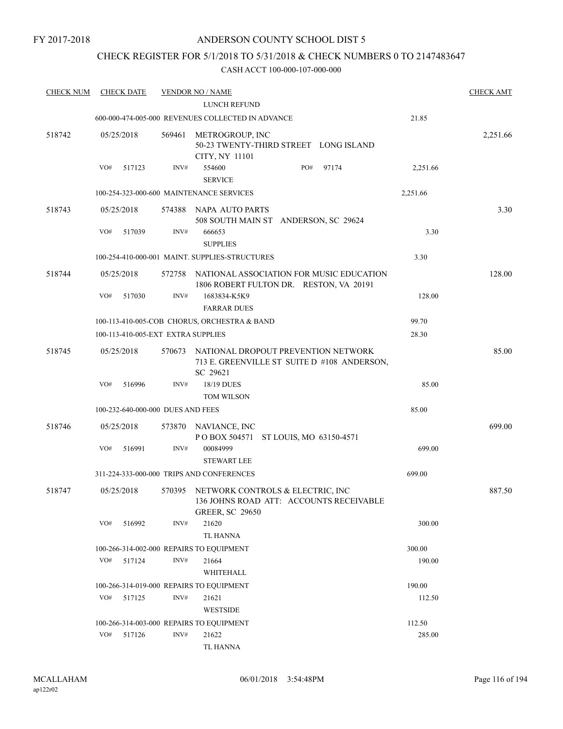## CHECK REGISTER FOR 5/1/2018 TO 5/31/2018 & CHECK NUMBERS 0 TO 2147483647

| <b>CHECK NUM</b> | <b>CHECK DATE</b>                        |        | <b>VENDOR NO / NAME</b>                                                                                      |          | <b>CHECK AMT</b> |
|------------------|------------------------------------------|--------|--------------------------------------------------------------------------------------------------------------|----------|------------------|
|                  |                                          |        | LUNCH REFUND                                                                                                 |          |                  |
|                  |                                          |        | 600-000-474-005-000 REVENUES COLLECTED IN ADVANCE                                                            | 21.85    |                  |
| 518742           | 05/25/2018                               | 569461 | METROGROUP, INC<br>50-23 TWENTY-THIRD STREET LONG ISLAND<br>CITY, NY 11101                                   |          | 2,251.66         |
|                  | VO#<br>517123                            | INV#   | PO#<br>554600<br>97174<br><b>SERVICE</b>                                                                     | 2,251.66 |                  |
|                  |                                          |        | 100-254-323-000-600 MAINTENANCE SERVICES                                                                     | 2,251.66 |                  |
| 518743           | 05/25/2018                               | 574388 | NAPA AUTO PARTS<br>508 SOUTH MAIN ST ANDERSON, SC 29624                                                      |          | 3.30             |
|                  | VO#<br>517039                            | INV#   | 666653<br><b>SUPPLIES</b>                                                                                    | 3.30     |                  |
|                  |                                          |        | 100-254-410-000-001 MAINT. SUPPLIES-STRUCTURES                                                               | 3.30     |                  |
| 518744           | 05/25/2018                               | 572758 | NATIONAL ASSOCIATION FOR MUSIC EDUCATION<br>1806 ROBERT FULTON DR. RESTON, VA 20191                          |          | 128.00           |
|                  | VO#<br>517030                            | INV#   | 1683834-K5K9<br><b>FARRAR DUES</b>                                                                           | 128.00   |                  |
|                  |                                          |        | 100-113-410-005-COB CHORUS, ORCHESTRA & BAND                                                                 | 99.70    |                  |
|                  | 100-113-410-005-EXT EXTRA SUPPLIES       |        |                                                                                                              | 28.30    |                  |
| 518745           | 05/25/2018                               | 570673 | NATIONAL DROPOUT PREVENTION NETWORK<br>713 E. GREENVILLE ST SUITE D #108 ANDERSON,<br>SC 29621               |          | 85.00            |
|                  | VO#<br>516996                            | INV#   | 18/19 DUES<br><b>TOM WILSON</b>                                                                              | 85.00    |                  |
|                  | 100-232-640-000-000 DUES AND FEES        |        |                                                                                                              | 85.00    |                  |
|                  |                                          |        |                                                                                                              |          |                  |
| 518746           | 05/25/2018                               |        | 573870 NAVIANCE, INC<br>POBOX 504571 ST LOUIS, MO 63150-4571                                                 |          | 699.00           |
|                  | VO#<br>516991                            | INV#   | 00084999<br><b>STEWART LEE</b>                                                                               | 699.00   |                  |
|                  |                                          |        | 311-224-333-000-000 TRIPS AND CONFERENCES                                                                    | 699.00   |                  |
| 518747           | 05/25/2018                               |        | 570395 NETWORK CONTROLS & ELECTRIC, INC<br>136 JOHNS ROAD ATT: ACCOUNTS RECEIVABLE<br><b>GREER, SC 29650</b> |          | 887.50           |
|                  | VO#<br>516992                            | INV#   | 21620<br>TL HANNA                                                                                            | 300.00   |                  |
|                  | 100-266-314-002-000 REPAIRS TO EQUIPMENT |        |                                                                                                              | 300.00   |                  |
|                  | VO#<br>517124                            | INV#   | 21664                                                                                                        | 190.00   |                  |
|                  |                                          |        | WHITEHALL                                                                                                    |          |                  |
|                  | 100-266-314-019-000 REPAIRS TO EQUIPMENT |        |                                                                                                              | 190.00   |                  |
|                  | VO#<br>517125                            | INV#   | 21621<br><b>WESTSIDE</b>                                                                                     | 112.50   |                  |
|                  | 100-266-314-003-000 REPAIRS TO EQUIPMENT |        |                                                                                                              | 112.50   |                  |
|                  | VO#<br>517126                            | INV#   | 21622<br>TL HANNA                                                                                            | 285.00   |                  |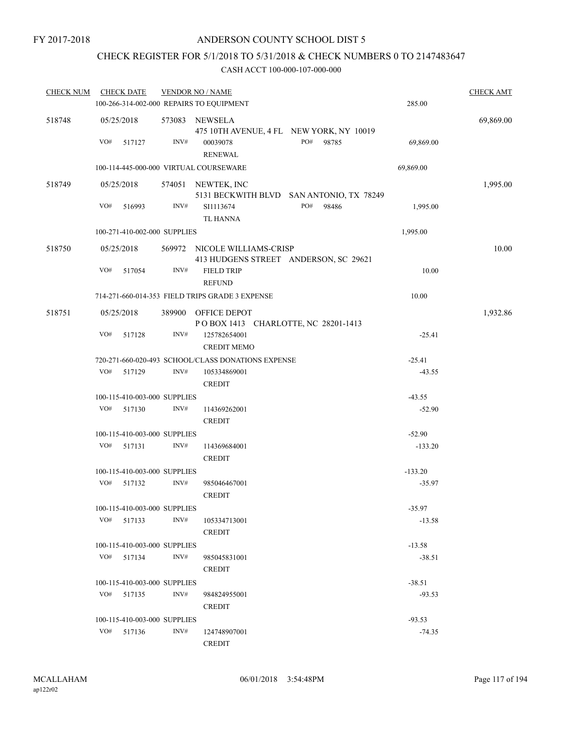## CHECK REGISTER FOR 5/1/2018 TO 5/31/2018 & CHECK NUMBERS 0 TO 2147483647

| <b>CHECK NUM</b> | <b>CHECK DATE</b>                                  | <b>VENDOR NO / NAME</b> |                                    |                                          |           | <b>CHECK AMT</b> |
|------------------|----------------------------------------------------|-------------------------|------------------------------------|------------------------------------------|-----------|------------------|
|                  | 100-266-314-002-000 REPAIRS TO EQUIPMENT           |                         |                                    |                                          | 285.00    |                  |
| 518748           | 05/25/2018                                         |                         | 573083 NEWSELA                     | 475 10TH AVENUE, 4 FL NEW YORK, NY 10019 |           | 69,869.00        |
|                  | VO#<br>517127                                      | INV#                    | 00039078<br><b>RENEWAL</b>         | PO#<br>98785                             | 69,869.00 |                  |
|                  | 100-114-445-000-000 VIRTUAL COURSEWARE             |                         |                                    |                                          | 69,869.00 |                  |
| 518749           | 05/25/2018                                         |                         | 574051 NEWTEK, INC                 | 5131 BECKWITH BLVD SAN ANTONIO, TX 78249 |           | 1,995.00         |
|                  | VO#<br>516993                                      | INV#                    | SI1113674<br><b>TL HANNA</b>       | PO# 98486                                | 1,995.00  |                  |
|                  | 100-271-410-002-000 SUPPLIES                       |                         |                                    |                                          | 1,995.00  |                  |
| 518750           | 05/25/2018                                         |                         | 569972 NICOLE WILLIAMS-CRISP       | 413 HUDGENS STREET ANDERSON, SC 29621    |           | 10.00            |
|                  | VO#<br>517054                                      | INV#                    | <b>FIELD TRIP</b><br><b>REFUND</b> |                                          | 10.00     |                  |
|                  | 714-271-660-014-353 FIELD TRIPS GRADE 3 EXPENSE    |                         |                                    |                                          | 10.00     |                  |
| 518751           | 05/25/2018                                         |                         | 389900 OFFICE DEPOT                | POBOX 1413 CHARLOTTE, NC 28201-1413      |           | 1,932.86         |
|                  | VO#<br>517128                                      | INV#                    | 125782654001<br><b>CREDIT MEMO</b> |                                          | $-25.41$  |                  |
|                  | 720-271-660-020-493 SCHOOL/CLASS DONATIONS EXPENSE |                         |                                    |                                          | $-25.41$  |                  |
|                  | VO#<br>517129                                      | INV#                    | 105334869001<br><b>CREDIT</b>      |                                          | $-43.55$  |                  |
|                  | 100-115-410-003-000 SUPPLIES                       |                         |                                    |                                          | $-43.55$  |                  |
|                  | VO#<br>517130                                      | INV#                    | 114369262001<br><b>CREDIT</b>      |                                          | $-52.90$  |                  |
|                  | 100-115-410-003-000 SUPPLIES                       |                         |                                    |                                          | $-52.90$  |                  |
|                  | VO#<br>517131                                      | INV#                    | 114369684001<br><b>CREDIT</b>      |                                          | $-133.20$ |                  |
|                  | 100-115-410-003-000 SUPPLIES                       |                         |                                    |                                          | $-133.20$ |                  |
|                  | VO#<br>517132                                      | INV#                    | 985046467001<br><b>CREDIT</b>      |                                          | $-35.97$  |                  |
|                  | 100-115-410-003-000 SUPPLIES                       |                         |                                    |                                          | $-35.97$  |                  |
|                  | VO#<br>517133                                      | INV#                    | 105334713001<br><b>CREDIT</b>      |                                          | $-13.58$  |                  |
|                  | 100-115-410-003-000 SUPPLIES                       |                         |                                    |                                          | $-13.58$  |                  |
|                  | VO#<br>517134                                      | INV#                    | 985045831001<br><b>CREDIT</b>      |                                          | $-38.51$  |                  |
|                  | 100-115-410-003-000 SUPPLIES                       |                         |                                    |                                          | $-38.51$  |                  |
|                  | VO# 517135                                         | INV#                    | 984824955001<br><b>CREDIT</b>      |                                          | $-93.53$  |                  |
|                  | 100-115-410-003-000 SUPPLIES                       |                         |                                    |                                          | $-93.53$  |                  |
|                  | VO#<br>517136                                      | INV#                    | 124748907001<br><b>CREDIT</b>      |                                          | $-74.35$  |                  |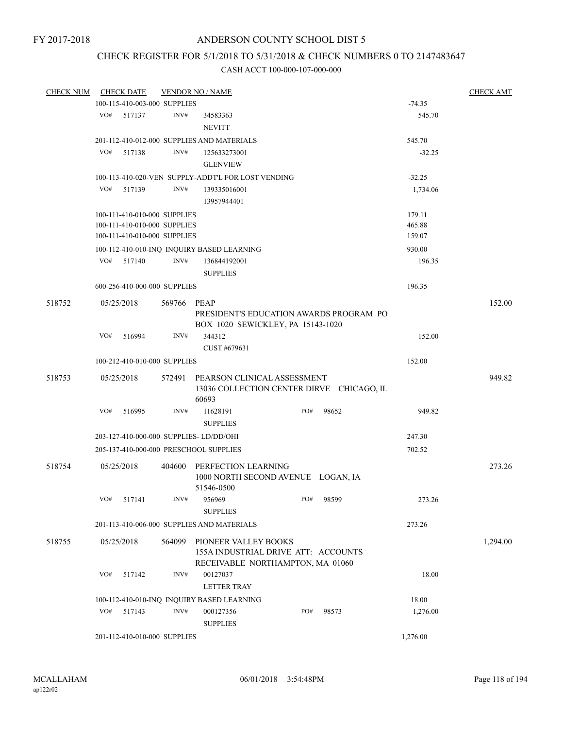# CHECK REGISTER FOR 5/1/2018 TO 5/31/2018 & CHECK NUMBERS 0 TO 2147483647

| <b>CHECK NUM</b> |     | <b>CHECK DATE</b>            |        | <b>VENDOR NO / NAME</b>                            |  |     |                                           |          | <b>CHECK AMT</b> |
|------------------|-----|------------------------------|--------|----------------------------------------------------|--|-----|-------------------------------------------|----------|------------------|
|                  |     | 100-115-410-003-000 SUPPLIES |        |                                                    |  |     |                                           | $-74.35$ |                  |
|                  | VO# | 517137                       | INV#   | 34583363<br><b>NEVITT</b>                          |  |     |                                           | 545.70   |                  |
|                  |     |                              |        |                                                    |  |     |                                           |          |                  |
|                  |     |                              |        | 201-112-410-012-000 SUPPLIES AND MATERIALS         |  |     |                                           | 545.70   |                  |
|                  | VO# | 517138                       | INV#   | 125633273001                                       |  |     |                                           | $-32.25$ |                  |
|                  |     |                              |        | <b>GLENVIEW</b>                                    |  |     |                                           |          |                  |
|                  |     |                              |        | 100-113-410-020-VEN SUPPLY-ADDT'L FOR LOST VENDING |  |     |                                           | $-32.25$ |                  |
|                  | VO# | 517139                       | INV#   | 139335016001                                       |  |     |                                           | 1,734.06 |                  |
|                  |     |                              |        | 13957944401                                        |  |     |                                           |          |                  |
|                  |     | 100-111-410-010-000 SUPPLIES |        |                                                    |  |     |                                           | 179.11   |                  |
|                  |     | 100-111-410-010-000 SUPPLIES |        |                                                    |  |     |                                           | 465.88   |                  |
|                  |     | 100-111-410-010-000 SUPPLIES |        |                                                    |  |     |                                           | 159.07   |                  |
|                  |     |                              |        | 100-112-410-010-INQ INQUIRY BASED LEARNING         |  |     |                                           | 930.00   |                  |
|                  | VO# | 517140                       | INV#   | 136844192001                                       |  |     |                                           | 196.35   |                  |
|                  |     |                              |        | <b>SUPPLIES</b>                                    |  |     |                                           |          |                  |
|                  |     | 600-256-410-000-000 SUPPLIES |        |                                                    |  |     |                                           | 196.35   |                  |
| 518752           |     | 05/25/2018                   | 569766 | <b>PEAP</b>                                        |  |     |                                           |          | 152.00           |
|                  |     |                              |        | PRESIDENT'S EDUCATION AWARDS PROGRAM PO            |  |     |                                           |          |                  |
|                  |     |                              |        | BOX 1020 SEWICKLEY, PA 15143-1020                  |  |     |                                           |          |                  |
|                  | VO# | 516994                       | INV#   | 344312                                             |  |     |                                           | 152.00   |                  |
|                  |     |                              |        | CUST #679631                                       |  |     |                                           |          |                  |
|                  |     | 100-212-410-010-000 SUPPLIES |        |                                                    |  |     |                                           | 152.00   |                  |
|                  |     |                              |        |                                                    |  |     |                                           |          |                  |
| 518753           |     | 05/25/2018                   | 572491 | PEARSON CLINICAL ASSESSMENT                        |  |     |                                           |          | 949.82           |
|                  |     |                              |        | 60693                                              |  |     | 13036 COLLECTION CENTER DIRVE CHICAGO, IL |          |                  |
|                  | VO# |                              | INV#   |                                                    |  | PO# |                                           |          |                  |
|                  |     | 516995                       |        | 11628191                                           |  |     | 98652                                     | 949.82   |                  |
|                  |     |                              |        | <b>SUPPLIES</b>                                    |  |     |                                           |          |                  |
|                  |     |                              |        | 203-127-410-000-000 SUPPLIES-LD/DD/OHI             |  |     |                                           | 247.30   |                  |
|                  |     |                              |        | 205-137-410-000-000 PRESCHOOL SUPPLIES             |  |     |                                           | 702.52   |                  |
| 518754           |     | 05/25/2018                   | 404600 | PERFECTION LEARNING                                |  |     |                                           |          | 273.26           |
|                  |     |                              |        | 1000 NORTH SECOND AVENUE LOGAN, IA                 |  |     |                                           |          |                  |
|                  |     |                              |        | 51546-0500                                         |  |     |                                           |          |                  |
|                  |     | VO# 517141                   |        | INV# 956969                                        |  |     | PO# 98599                                 | 273.26   |                  |
|                  |     |                              |        | <b>SUPPLIES</b>                                    |  |     |                                           |          |                  |
|                  |     |                              |        | 201-113-410-006-000 SUPPLIES AND MATERIALS         |  |     |                                           | 273.26   |                  |
| 518755           |     | 05/25/2018                   | 564099 | PIONEER VALLEY BOOKS                               |  |     |                                           |          | 1,294.00         |
|                  |     |                              |        | 155A INDUSTRIAL DRIVE ATT: ACCOUNTS                |  |     |                                           |          |                  |
|                  |     |                              |        | RECEIVABLE NORTHAMPTON, MA 01060                   |  |     |                                           |          |                  |
|                  | VO# | 517142                       | INV#   | 00127037                                           |  |     |                                           | 18.00    |                  |
|                  |     |                              |        | <b>LETTER TRAY</b>                                 |  |     |                                           |          |                  |
|                  |     |                              |        |                                                    |  |     |                                           |          |                  |
|                  |     |                              |        | 100-112-410-010-INQ INQUIRY BASED LEARNING         |  |     |                                           | 18.00    |                  |
|                  | VO# | 517143                       | INV#   | 000127356                                          |  | PO# | 98573                                     | 1,276.00 |                  |
|                  |     |                              |        | <b>SUPPLIES</b>                                    |  |     |                                           |          |                  |
|                  |     | 201-112-410-010-000 SUPPLIES |        |                                                    |  |     |                                           | 1,276.00 |                  |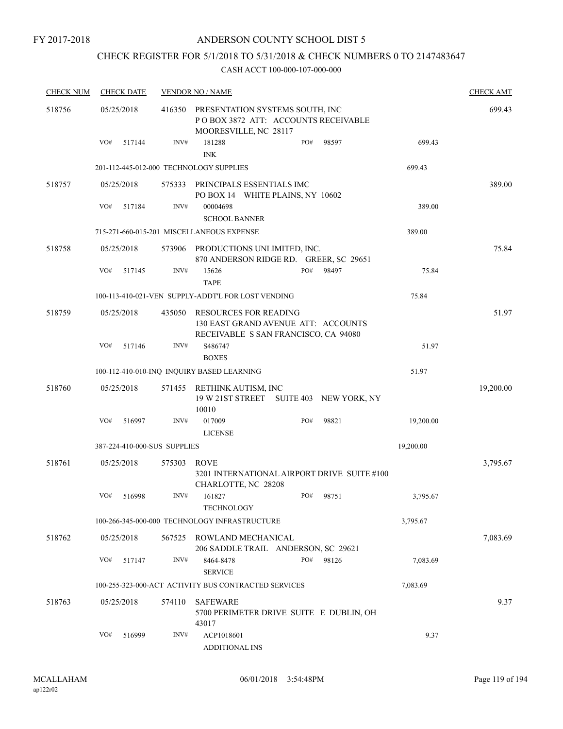## CHECK REGISTER FOR 5/1/2018 TO 5/31/2018 & CHECK NUMBERS 0 TO 2147483647

| <b>CHECK NUM</b> |            | <b>CHECK DATE</b> |                              | <b>VENDOR NO / NAME</b>                                                                                     | <b>CHECK AMT</b> |
|------------------|------------|-------------------|------------------------------|-------------------------------------------------------------------------------------------------------------|------------------|
| 518756           | 05/25/2018 |                   | 416350                       | PRESENTATION SYSTEMS SOUTH, INC<br>POBOX 3872 ATT: ACCOUNTS RECEIVABLE<br>MOORESVILLE, NC 28117             | 699.43           |
|                  | VO#        | 517144            | INV#                         | 181288<br>PO#<br>98597<br>699.43<br><b>INK</b>                                                              |                  |
|                  |            |                   |                              | 201-112-445-012-000 TECHNOLOGY SUPPLIES<br>699.43                                                           |                  |
| 518757           | 05/25/2018 |                   | 575333                       | PRINCIPALS ESSENTIALS IMC<br>PO BOX 14 WHITE PLAINS, NY 10602                                               | 389.00           |
|                  | VO#        | 517184            | INV#                         | 00004698<br>389.00<br><b>SCHOOL BANNER</b>                                                                  |                  |
|                  |            |                   |                              | 715-271-660-015-201 MISCELLANEOUS EXPENSE<br>389.00                                                         |                  |
| 518758           | 05/25/2018 |                   | 573906                       | PRODUCTIONS UNLIMITED, INC.<br>870 ANDERSON RIDGE RD. GREER, SC 29651                                       | 75.84            |
|                  | VO#        | 517145            | INV#                         | PO#<br>98497<br>75.84<br>15626<br><b>TAPE</b>                                                               |                  |
|                  |            |                   |                              | 100-113-410-021-VEN SUPPLY-ADDT'L FOR LOST VENDING<br>75.84                                                 |                  |
| 518759           | 05/25/2018 |                   | 435050                       | <b>RESOURCES FOR READING</b><br>130 EAST GRAND AVENUE ATT: ACCOUNTS<br>RECEIVABLE S SAN FRANCISCO, CA 94080 | 51.97            |
|                  | VO#        | 517146            | INV#                         | S486747<br>51.97<br><b>BOXES</b>                                                                            |                  |
|                  |            |                   |                              | 51.97<br>100-112-410-010-INQ INQUIRY BASED LEARNING                                                         |                  |
| 518760           | 05/25/2018 |                   | 571455                       | RETHINK AUTISM, INC<br>19 W 21ST STREET SUITE 403 NEW YORK, NY<br>10010                                     | 19,200.00        |
|                  | VO#        | 516997            | INV#                         | 017009<br>PO#<br>98821<br>19,200.00<br><b>LICENSE</b>                                                       |                  |
|                  |            |                   | 387-224-410-000-SUS SUPPLIES | 19,200.00                                                                                                   |                  |
| 518761           | 05/25/2018 |                   | 575303                       | <b>ROVE</b><br>3201 INTERNATIONAL AIRPORT DRIVE SUITE #100<br>CHARLOTTE, NC 28208                           | 3,795.67         |
|                  | VO#        | 516998            | INV#                         | PO#<br>161827<br>98751<br>3,795.67<br><b>TECHNOLOGY</b>                                                     |                  |
|                  |            |                   |                              | 100-266-345-000-000 TECHNOLOGY INFRASTRUCTURE<br>3,795.67                                                   |                  |
| 518762           | 05/25/2018 |                   | 567525                       | ROWLAND MECHANICAL<br>206 SADDLE TRAIL ANDERSON, SC 29621                                                   | 7,083.69         |
|                  | VO#        | 517147            | INV#                         | PO#<br>8464-8478<br>98126<br>7,083.69<br><b>SERVICE</b>                                                     |                  |
|                  |            |                   |                              | 100-255-323-000-ACT ACTIVITY BUS CONTRACTED SERVICES<br>7,083.69                                            |                  |
| 518763           | 05/25/2018 |                   | 574110                       | <b>SAFEWARE</b><br>5700 PERIMETER DRIVE SUITE E DUBLIN, OH<br>43017                                         | 9.37             |
|                  | VO#        | 516999            | INV#                         | ACP1018601<br>9.37<br><b>ADDITIONAL INS</b>                                                                 |                  |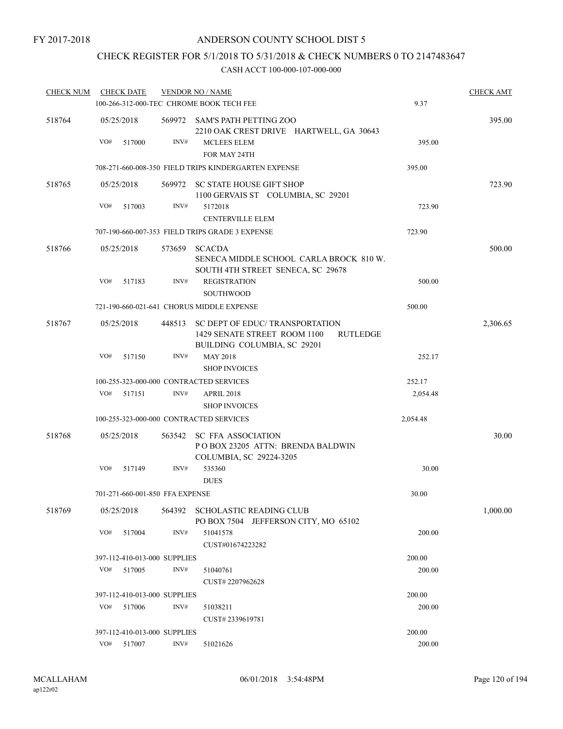## CHECK REGISTER FOR 5/1/2018 TO 5/31/2018 & CHECK NUMBERS 0 TO 2147483647

| <b>CHECK NUM</b> |     | <b>CHECK DATE</b> |                                 | <b>VENDOR NO / NAME</b>                                                                                           |          | <b>CHECK AMT</b> |
|------------------|-----|-------------------|---------------------------------|-------------------------------------------------------------------------------------------------------------------|----------|------------------|
|                  |     |                   |                                 | 100-266-312-000-TEC CHROME BOOK TECH FEE                                                                          | 9.37     |                  |
| 518764           |     | 05/25/2018        |                                 | 569972 SAM'S PATH PETTING ZOO<br>2210 OAK CREST DRIVE HARTWELL, GA 30643                                          |          | 395.00           |
|                  | VO# | 517000            | INV#                            | <b>MCLEES ELEM</b><br>FOR MAY 24TH                                                                                | 395.00   |                  |
|                  |     |                   |                                 | 708-271-660-008-350 FIELD TRIPS KINDERGARTEN EXPENSE                                                              | 395.00   |                  |
| 518765           |     | 05/25/2018        |                                 | 569972 SC STATE HOUSE GIFT SHOP<br>1100 GERVAIS ST COLUMBIA, SC 29201                                             |          | 723.90           |
|                  | VO# | 517003            | INV#                            | 5172018<br><b>CENTERVILLE ELEM</b>                                                                                | 723.90   |                  |
|                  |     |                   |                                 | 707-190-660-007-353 FIELD TRIPS GRADE 3 EXPENSE                                                                   | 723.90   |                  |
| 518766           |     | 05/25/2018        | 573659                          | <b>SCACDA</b><br>SENECA MIDDLE SCHOOL CARLA BROCK 810 W.<br>SOUTH 4TH STREET SENECA, SC 29678                     |          | 500.00           |
|                  | VO# | 517183            | INV#                            | <b>REGISTRATION</b><br><b>SOUTHWOOD</b>                                                                           | 500.00   |                  |
|                  |     |                   |                                 | 721-190-660-021-641 CHORUS MIDDLE EXPENSE                                                                         | 500.00   |                  |
| 518767           |     | 05/25/2018        | 448513                          | SC DEPT OF EDUC/ TRANSPORTATION<br>1429 SENATE STREET ROOM 1100<br><b>RUTLEDGE</b><br>BUILDING COLUMBIA, SC 29201 |          | 2,306.65         |
|                  | VO# | 517150            | INV#                            | <b>MAY 2018</b><br><b>SHOP INVOICES</b>                                                                           | 252.17   |                  |
|                  |     |                   |                                 | 100-255-323-000-000 CONTRACTED SERVICES                                                                           | 252.17   |                  |
|                  | VO# | 517151            | INV#                            | APRIL 2018<br><b>SHOP INVOICES</b>                                                                                | 2,054.48 |                  |
|                  |     |                   |                                 | 100-255-323-000-000 CONTRACTED SERVICES                                                                           | 2,054.48 |                  |
| 518768           |     | 05/25/2018        | 563542                          | <b>SC FFA ASSOCIATION</b><br>POBOX 23205 ATTN: BRENDA BALDWIN<br>COLUMBIA, SC 29224-3205                          |          | 30.00            |
|                  | VO# | 517149            | INV#                            | 535360<br><b>DUES</b>                                                                                             | 30.00    |                  |
|                  |     |                   | 701-271-660-001-850 FFA EXPENSE |                                                                                                                   | 30.00    |                  |
| 518769           |     | 05/25/2018        |                                 | 564392 SCHOLASTIC READING CLUB<br>PO BOX 7504 JEFFERSON CITY, MO 65102                                            |          | 1,000.00         |
|                  | VO# | 517004            | INV#                            | 51041578<br>CUST#01674223282                                                                                      | 200.00   |                  |
|                  |     |                   | 397-112-410-013-000 SUPPLIES    |                                                                                                                   | 200.00   |                  |
|                  | VO# | 517005            | INV#                            | 51040761<br>CUST#2207962628                                                                                       | 200.00   |                  |
|                  |     |                   | 397-112-410-013-000 SUPPLIES    |                                                                                                                   | 200.00   |                  |
|                  | VO# | 517006            | INV#                            | 51038211<br>CUST#2339619781                                                                                       | 200.00   |                  |
|                  |     |                   | 397-112-410-013-000 SUPPLIES    |                                                                                                                   | 200.00   |                  |
|                  | VO# | 517007            | INV#                            | 51021626                                                                                                          | 200.00   |                  |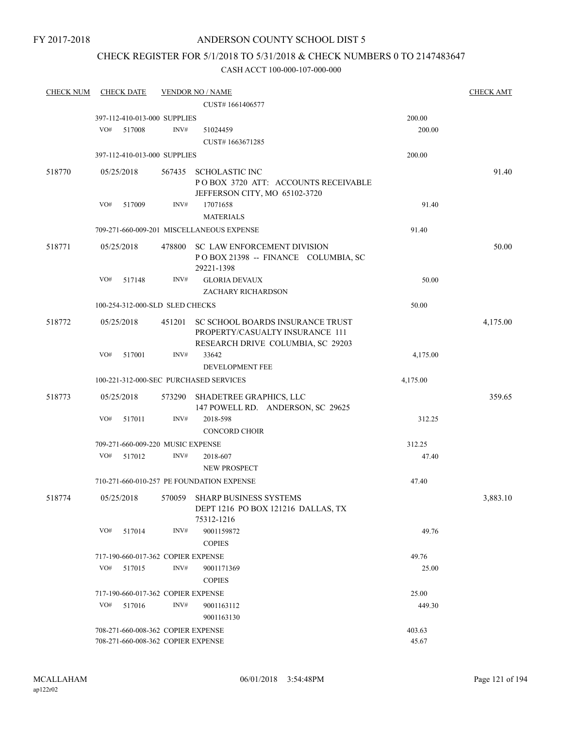## CHECK REGISTER FOR 5/1/2018 TO 5/31/2018 & CHECK NUMBERS 0 TO 2147483647

| <b>CHECK NUM</b> |     | <b>CHECK DATE</b> |                                    | <b>VENDOR NO / NAME</b>                                                                                  |          | <b>CHECK AMT</b> |
|------------------|-----|-------------------|------------------------------------|----------------------------------------------------------------------------------------------------------|----------|------------------|
|                  |     |                   |                                    | CUST#1661406577                                                                                          |          |                  |
|                  |     |                   | 397-112-410-013-000 SUPPLIES       |                                                                                                          | 200.00   |                  |
|                  | VO# | 517008            | INV#                               | 51024459                                                                                                 | 200.00   |                  |
|                  |     |                   |                                    | CUST#1663671285                                                                                          |          |                  |
|                  |     |                   | 397-112-410-013-000 SUPPLIES       |                                                                                                          | 200.00   |                  |
| 518770           |     | 05/25/2018        |                                    | 567435 SCHOLASTIC INC                                                                                    |          | 91.40            |
|                  |     |                   |                                    | POBOX 3720 ATT: ACCOUNTS RECEIVABLE                                                                      |          |                  |
|                  |     |                   |                                    | JEFFERSON CITY, MO 65102-3720                                                                            |          |                  |
|                  | VO# | 517009            | INV#                               | 17071658                                                                                                 | 91.40    |                  |
|                  |     |                   |                                    | <b>MATERIALS</b>                                                                                         |          |                  |
|                  |     |                   |                                    | 709-271-660-009-201 MISCELLANEOUS EXPENSE                                                                | 91.40    |                  |
| 518771           |     | 05/25/2018        |                                    | 478800 SC LAW ENFORCEMENT DIVISION<br>POBOX 21398 -- FINANCE COLUMBIA, SC<br>29221-1398                  |          | 50.00            |
|                  | VO# | 517148            | INV#                               | <b>GLORIA DEVAUX</b><br>ZACHARY RICHARDSON                                                               | 50.00    |                  |
|                  |     |                   | 100-254-312-000-SLD SLED CHECKS    |                                                                                                          | 50.00    |                  |
| 518772           |     | 05/25/2018        | 451201                             | SC SCHOOL BOARDS INSURANCE TRUST<br>PROPERTY/CASUALTY INSURANCE 111<br>RESEARCH DRIVE COLUMBIA, SC 29203 |          | 4,175.00         |
|                  | VO# | 517001            | INV#                               | 33642                                                                                                    | 4,175.00 |                  |
|                  |     |                   |                                    | DEVELOPMENT FEE                                                                                          |          |                  |
|                  |     |                   |                                    | 100-221-312-000-SEC PURCHASED SERVICES                                                                   | 4,175.00 |                  |
| 518773           |     | 05/25/2018        |                                    | 573290 SHADETREE GRAPHICS, LLC                                                                           |          | 359.65           |
|                  |     |                   |                                    | 147 POWELL RD. ANDERSON, SC 29625                                                                        |          |                  |
|                  | VO# | 517011            | INV#                               | 2018-598<br><b>CONCORD CHOIR</b>                                                                         | 312.25   |                  |
|                  |     |                   | 709-271-660-009-220 MUSIC EXPENSE  |                                                                                                          | 312.25   |                  |
|                  | VO# | 517012            | INV#                               | 2018-607                                                                                                 | 47.40    |                  |
|                  |     |                   |                                    | <b>NEW PROSPECT</b>                                                                                      |          |                  |
|                  |     |                   |                                    | 710-271-660-010-257 PE FOUNDATION EXPENSE                                                                | 47.40    |                  |
| 518774           |     | 05/25/2018        |                                    | 570059 SHARP BUSINESS SYSTEMS<br>DEPT 1216 PO BOX 121216 DALLAS, TX<br>75312-1216                        |          | 3,883.10         |
|                  | VO# | 517014            | INV#                               | 9001159872<br><b>COPIES</b>                                                                              | 49.76    |                  |
|                  |     |                   | 717-190-660-017-362 COPIER EXPENSE |                                                                                                          | 49.76    |                  |
|                  | VO# | 517015            | INV#                               | 9001171369                                                                                               | 25.00    |                  |
|                  |     |                   |                                    | <b>COPIES</b>                                                                                            |          |                  |
|                  |     |                   | 717-190-660-017-362 COPIER EXPENSE |                                                                                                          | 25.00    |                  |
|                  | VO# | 517016            | INV#                               | 9001163112                                                                                               | 449.30   |                  |
|                  |     |                   |                                    | 9001163130                                                                                               |          |                  |
|                  |     |                   | 708-271-660-008-362 COPIER EXPENSE |                                                                                                          | 403.63   |                  |
|                  |     |                   | 708-271-660-008-362 COPIER EXPENSE | 45.67                                                                                                    |          |                  |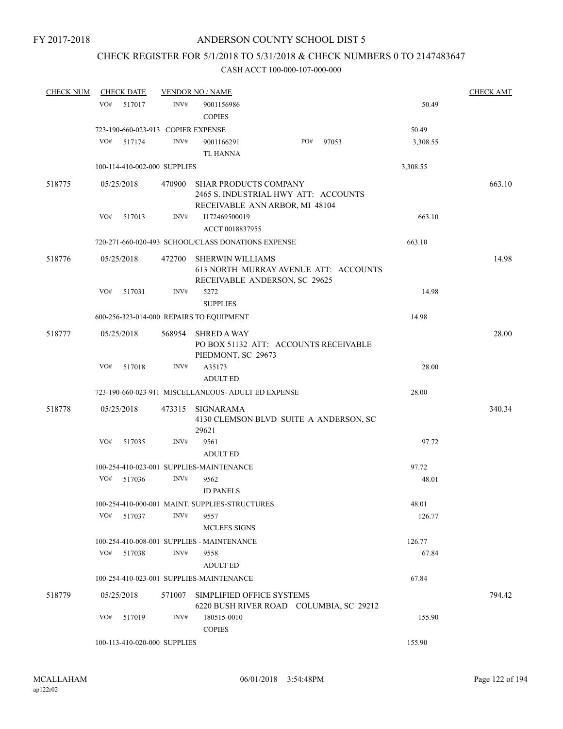## CHECK REGISTER FOR 5/1/2018 TO 5/31/2018 & CHECK NUMBERS 0 TO 2147483647

| <b>CHECK NUM</b> |     | <b>CHECK DATE</b>                  |        | <b>VENDOR NO / NAME</b>                             |                                                                        |       |          | <b>CHECK AMT</b> |
|------------------|-----|------------------------------------|--------|-----------------------------------------------------|------------------------------------------------------------------------|-------|----------|------------------|
|                  | VO# | 517017                             | INV#   | 9001156986<br><b>COPIES</b>                         |                                                                        |       | 50.49    |                  |
|                  |     | 723-190-660-023-913 COPIER EXPENSE |        |                                                     |                                                                        |       | 50.49    |                  |
|                  | VO# | 517174                             | INV#   | 9001166291                                          | PO#                                                                    | 97053 | 3,308.55 |                  |
|                  |     |                                    |        | <b>TL HANNA</b>                                     |                                                                        |       |          |                  |
|                  |     | 100-114-410-002-000 SUPPLIES       |        |                                                     |                                                                        |       | 3,308.55 |                  |
| 518775           |     | 05/25/2018                         | 470900 | <b>SHAR PRODUCTS COMPANY</b>                        | 2465 S. INDUSTRIAL HWY ATT: ACCOUNTS<br>RECEIVABLE ANN ARBOR, MI 48104 |       |          | 663.10           |
|                  | VO# | 517013                             | INV#   | I172469500019<br>ACCT 0018837955                    |                                                                        |       | 663.10   |                  |
|                  |     |                                    |        | 720-271-660-020-493 SCHOOL/CLASS DONATIONS EXPENSE  |                                                                        |       | 663.10   |                  |
| 518776           |     | 05/25/2018                         | 472700 | <b>SHERWIN WILLIAMS</b>                             | 613 NORTH MURRAY AVENUE ATT: ACCOUNTS<br>RECEIVABLE ANDERSON, SC 29625 |       |          | 14.98            |
|                  | VO# | 517031                             | INV#   | 5272<br><b>SUPPLIES</b>                             |                                                                        |       | 14.98    |                  |
|                  |     |                                    |        | 600-256-323-014-000 REPAIRS TO EQUIPMENT            |                                                                        |       | 14.98    |                  |
| 518777           |     | 05/25/2018                         | 568954 | <b>SHRED A WAY</b><br>PIEDMONT, SC 29673            | PO BOX 51132 ATT: ACCOUNTS RECEIVABLE                                  |       |          | 28.00            |
|                  | VO# | 517018                             | INV#   | A35173<br><b>ADULT ED</b>                           |                                                                        |       | 28.00    |                  |
|                  |     |                                    |        | 723-190-660-023-911 MISCELLANEOUS- ADULT ED EXPENSE |                                                                        |       | 28.00    |                  |
| 518778           |     | 05/25/2018                         | 473315 | <b>SIGNARAMA</b><br>29621                           | 4130 CLEMSON BLVD SUITE A ANDERSON, SC                                 |       |          | 340.34           |
|                  | VO# | 517035                             | INV#   | 9561<br><b>ADULT ED</b>                             |                                                                        |       | 97.72    |                  |
|                  |     |                                    |        | 100-254-410-023-001 SUPPLIES-MAINTENANCE            |                                                                        |       | 97.72    |                  |
|                  | VO# | 517036                             | INV#   | 9562<br><b>ID PANELS</b>                            |                                                                        |       | 48.01    |                  |
|                  |     |                                    |        | 100-254-410-000-001 MAINT. SUPPLIES-STRUCTURES      |                                                                        |       | 48.01    |                  |
|                  | VO# | 517037                             | INV#   | 9557<br><b>MCLEES SIGNS</b>                         |                                                                        |       | 126.77   |                  |
|                  |     |                                    |        | 100-254-410-008-001 SUPPLIES - MAINTENANCE          |                                                                        |       | 126.77   |                  |
|                  | VO# | 517038                             | INV#   | 9558                                                |                                                                        |       | 67.84    |                  |
|                  |     |                                    |        | <b>ADULT ED</b>                                     |                                                                        |       |          |                  |
|                  |     |                                    |        | 100-254-410-023-001 SUPPLIES-MAINTENANCE            |                                                                        |       | 67.84    |                  |
| 518779           |     | 05/25/2018                         | 571007 | SIMPLIFIED OFFICE SYSTEMS                           | 6220 BUSH RIVER ROAD COLUMBIA, SC 29212                                |       |          | 794.42           |
|                  | VO# | 517019                             | INV#   | 180515-0010<br><b>COPIES</b>                        |                                                                        |       | 155.90   |                  |
|                  |     | 100-113-410-020-000 SUPPLIES       |        |                                                     |                                                                        |       | 155.90   |                  |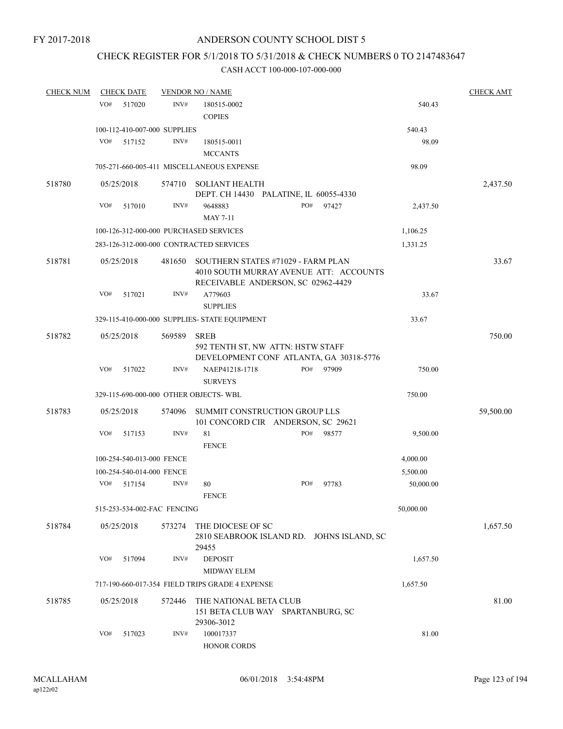## CHECK REGISTER FOR 5/1/2018 TO 5/31/2018 & CHECK NUMBERS 0 TO 2147483647

| <b>CHECK NUM</b> | <b>CHECK DATE</b> |                                        | <b>VENDOR NO / NAME</b>                                                                     |     |       |           | <b>CHECK AMT</b> |
|------------------|-------------------|----------------------------------------|---------------------------------------------------------------------------------------------|-----|-------|-----------|------------------|
|                  | VO#               | 517020<br>INV#                         | 180515-0002<br><b>COPIES</b>                                                                |     |       | 540.43    |                  |
|                  |                   | 100-112-410-007-000 SUPPLIES           |                                                                                             |     |       | 540.43    |                  |
|                  | VO#               | 517152<br>INV#                         | 180515-0011<br><b>MCCANTS</b>                                                               |     |       | 98.09     |                  |
|                  |                   |                                        | 705-271-660-005-411 MISCELLANEOUS EXPENSE                                                   |     |       | 98.09     |                  |
|                  |                   |                                        |                                                                                             |     |       |           |                  |
| 518780           | 05/25/2018        | 574710                                 | SOLIANT HEALTH<br>DEPT. CH 14430 PALATINE, IL 60055-4330                                    |     |       |           | 2,437.50         |
|                  | VO#               | INV#<br>517010                         | 9648883                                                                                     | PO# | 97427 | 2,437.50  |                  |
|                  |                   |                                        | <b>MAY 7-11</b>                                                                             |     |       |           |                  |
|                  |                   | 100-126-312-000-000 PURCHASED SERVICES |                                                                                             |     |       | 1,106.25  |                  |
|                  |                   |                                        | 283-126-312-000-000 CONTRACTED SERVICES                                                     |     |       | 1,331.25  |                  |
| 518781           | 05/25/2018        | 481650                                 | SOUTHERN STATES #71029 - FARM PLAN<br>4010 SOUTH MURRAY AVENUE ATT: ACCOUNTS                |     |       |           | 33.67            |
|                  | VO#               | INV#<br>517021                         | RECEIVABLE ANDERSON, SC 02962-4429<br>A779603                                               |     |       | 33.67     |                  |
|                  |                   |                                        | <b>SUPPLIES</b>                                                                             |     |       |           |                  |
|                  |                   |                                        | 329-115-410-000-000 SUPPLIES- STATE EQUIPMENT                                               |     |       | 33.67     |                  |
| 518782           | 05/25/2018        | 569589                                 | <b>SREB</b><br>592 TENTH ST, NW ATTN: HSTW STAFF<br>DEVELOPMENT CONF ATLANTA, GA 30318-5776 |     |       |           | 750.00           |
|                  | VO#               | INV#<br>517022                         | NAEP41218-1718<br><b>SURVEYS</b>                                                            | PO# | 97909 | 750.00    |                  |
|                  |                   | 329-115-690-000-000 OTHER OBJECTS-WBL  |                                                                                             |     |       | 750.00    |                  |
| 518783           | 05/25/2018        | 574096                                 | SUMMIT CONSTRUCTION GROUP LLS<br>101 CONCORD CIR ANDERSON, SC 29621                         |     |       |           | 59,500.00        |
|                  | VO#               | INV#<br>517153                         | 81<br><b>FENCE</b>                                                                          | PO# | 98577 | 9,500.00  |                  |
|                  |                   | 100-254-540-013-000 FENCE              |                                                                                             |     |       | 4,000.00  |                  |
|                  |                   | 100-254-540-014-000 FENCE              |                                                                                             |     |       | 5,500.00  |                  |
|                  | VO#               | 517154<br>INV#                         | 80<br><b>FENCE</b>                                                                          | PO# | 97783 | 50,000.00 |                  |
|                  |                   | 515-253-534-002-FAC FENCING            |                                                                                             |     |       | 50,000.00 |                  |
| 518784           | 05/25/2018        | 573274                                 | THE DIOCESE OF SC<br>2810 SEABROOK ISLAND RD. JOHNS ISLAND, SC<br>29455                     |     |       |           | 1,657.50         |
|                  | VO#               | 517094<br>INV#                         | <b>DEPOSIT</b><br>MIDWAY ELEM                                                               |     |       | 1,657.50  |                  |
|                  |                   |                                        | 717-190-660-017-354 FIELD TRIPS GRADE 4 EXPENSE                                             |     |       | 1,657.50  |                  |
| 518785           | 05/25/2018        | 572446                                 | THE NATIONAL BETA CLUB<br>151 BETA CLUB WAY SPARTANBURG, SC<br>29306-3012                   |     |       |           | 81.00            |
|                  | VO#               | INV#<br>517023                         | 100017337<br>HONOR CORDS                                                                    |     |       | 81.00     |                  |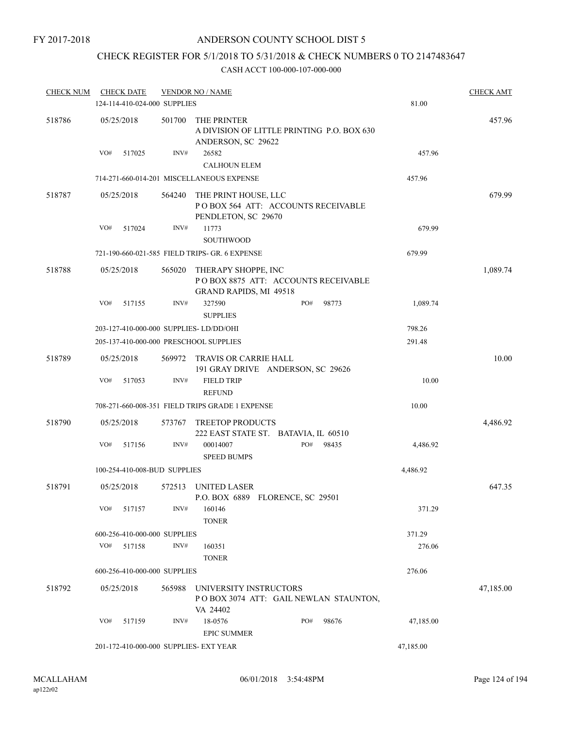#### ANDERSON COUNTY SCHOOL DIST 5

## CHECK REGISTER FOR 5/1/2018 TO 5/31/2018 & CHECK NUMBERS 0 TO 2147483647

| <b>CHECK NUM</b> |     | <b>CHECK DATE</b>            |        | <b>VENDOR NO / NAME</b>                                                                     |     |       |           | <b>CHECK AMT</b> |
|------------------|-----|------------------------------|--------|---------------------------------------------------------------------------------------------|-----|-------|-----------|------------------|
|                  |     | 124-114-410-024-000 SUPPLIES |        |                                                                                             |     |       | 81.00     |                  |
| 518786           |     | 05/25/2018                   | 501700 | THE PRINTER<br>A DIVISION OF LITTLE PRINTING P.O. BOX 630<br>ANDERSON, SC 29622             |     |       |           | 457.96           |
|                  | VO# | 517025                       | INV#   | 26582<br><b>CALHOUN ELEM</b>                                                                |     |       | 457.96    |                  |
|                  |     |                              |        | 714-271-660-014-201 MISCELLANEOUS EXPENSE                                                   |     |       | 457.96    |                  |
| 518787           |     | 05/25/2018                   | 564240 | THE PRINT HOUSE, LLC<br>POBOX 564 ATT: ACCOUNTS RECEIVABLE<br>PENDLETON, SC 29670           |     |       |           | 679.99           |
|                  | VO# | 517024                       | INV#   | 11773<br><b>SOUTHWOOD</b>                                                                   |     |       | 679.99    |                  |
|                  |     |                              |        | 721-190-660-021-585 FIELD TRIPS- GR. 6 EXPENSE                                              |     |       | 679.99    |                  |
| 518788           |     | 05/25/2018                   | 565020 | THERAPY SHOPPE, INC<br>POBOX 8875 ATT: ACCOUNTS RECEIVABLE<br><b>GRAND RAPIDS, MI 49518</b> |     |       |           | 1,089.74         |
|                  | VO# | 517155                       | INV#   | 327590<br><b>SUPPLIES</b>                                                                   | PO# | 98773 | 1,089.74  |                  |
|                  |     |                              |        | 203-127-410-000-000 SUPPLIES-LD/DD/OHI                                                      |     |       | 798.26    |                  |
|                  |     |                              |        | 205-137-410-000-000 PRESCHOOL SUPPLIES                                                      |     |       | 291.48    |                  |
| 518789           |     | 05/25/2018                   | 569972 | TRAVIS OR CARRIE HALL<br>191 GRAY DRIVE ANDERSON, SC 29626                                  |     |       |           | 10.00            |
|                  | VO# | 517053                       | INV#   | <b>FIELD TRIP</b><br><b>REFUND</b>                                                          |     |       | 10.00     |                  |
|                  |     |                              |        | 708-271-660-008-351 FIELD TRIPS GRADE 1 EXPENSE                                             |     |       | 10.00     |                  |
| 518790           |     | 05/25/2018                   |        | 573767 TREETOP PRODUCTS<br>222 EAST STATE ST. BATAVIA, IL 60510                             |     |       |           | 4,486.92         |
|                  | VO# | 517156                       | INV#   | 00014007<br><b>SPEED BUMPS</b>                                                              | PO# | 98435 | 4,486.92  |                  |
|                  |     | 100-254-410-008-BUD SUPPLIES |        |                                                                                             |     |       | 4,486.92  |                  |
| 518791           |     | 05/25/2018                   |        | 572513 UNITED LASER<br>P.O. BOX 6889 FLORENCE, SC 29501                                     |     |       |           | 647.35           |
|                  | VO# | 517157                       | INV#   | 160146<br><b>TONER</b>                                                                      |     |       | 371.29    |                  |
|                  |     | 600-256-410-000-000 SUPPLIES |        |                                                                                             |     |       | 371.29    |                  |
|                  | VO# | 517158                       | INV#   | 160351<br><b>TONER</b>                                                                      |     |       | 276.06    |                  |
|                  |     | 600-256-410-000-000 SUPPLIES |        |                                                                                             |     |       | 276.06    |                  |
| 518792           |     | 05/25/2018                   | 565988 | UNIVERSITY INSTRUCTORS<br>POBOX 3074 ATT: GAIL NEWLAN STAUNTON,<br>VA 24402                 |     |       |           | 47,185.00        |
|                  | VO# | 517159                       | INV#   | 18-0576<br><b>EPIC SUMMER</b>                                                               | PO# | 98676 | 47,185.00 |                  |
|                  |     |                              |        | 201-172-410-000-000 SUPPLIES- EXT YEAR                                                      |     |       | 47,185.00 |                  |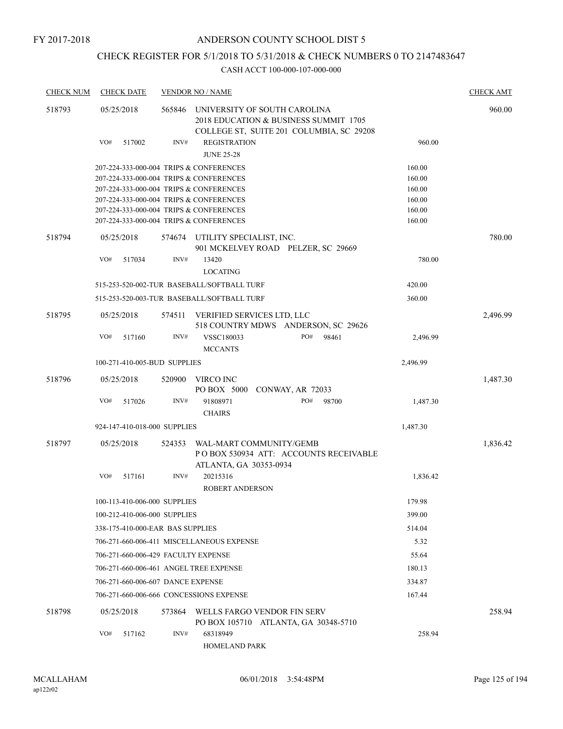## CHECK REGISTER FOR 5/1/2018 TO 5/31/2018 & CHECK NUMBERS 0 TO 2147483647

| <b>CHECK NUM</b> | <b>CHECK DATE</b>                                                                  |        | <b>VENDOR NO / NAME</b>                                                                                           |                  | <b>CHECK AMT</b> |
|------------------|------------------------------------------------------------------------------------|--------|-------------------------------------------------------------------------------------------------------------------|------------------|------------------|
| 518793           | 05/25/2018                                                                         | 565846 | UNIVERSITY OF SOUTH CAROLINA<br>2018 EDUCATION & BUSINESS SUMMIT 1705<br>COLLEGE ST, SUITE 201 COLUMBIA, SC 29208 |                  | 960.00           |
|                  | VO#<br>517002                                                                      | INV#   | <b>REGISTRATION</b><br><b>JUNE 25-28</b>                                                                          | 960.00           |                  |
|                  | 207-224-333-000-004 TRIPS & CONFERENCES                                            |        |                                                                                                                   | 160.00           |                  |
|                  | 207-224-333-000-004 TRIPS & CONFERENCES                                            |        |                                                                                                                   | 160.00           |                  |
|                  | 207-224-333-000-004 TRIPS & CONFERENCES                                            |        |                                                                                                                   | 160.00           |                  |
|                  | 207-224-333-000-004 TRIPS & CONFERENCES<br>207-224-333-000-004 TRIPS & CONFERENCES |        |                                                                                                                   | 160.00           |                  |
|                  | 207-224-333-000-004 TRIPS & CONFERENCES                                            |        |                                                                                                                   | 160.00<br>160.00 |                  |
| 518794           | 05/25/2018                                                                         |        | 574674 UTILITY SPECIALIST, INC.                                                                                   |                  | 780.00           |
|                  | VO#<br>517034                                                                      | INV#   | 901 MCKELVEY ROAD PELZER, SC 29669<br>13420                                                                       | 780.00           |                  |
|                  |                                                                                    |        | <b>LOCATING</b>                                                                                                   |                  |                  |
|                  |                                                                                    |        | 515-253-520-002-TUR BASEBALL/SOFTBALL TURF                                                                        | 420.00           |                  |
|                  |                                                                                    |        | 515-253-520-003-TUR BASEBALL/SOFTBALL TURF                                                                        | 360.00           |                  |
| 518795           | 05/25/2018                                                                         | 574511 | <b>VERIFIED SERVICES LTD, LLC</b><br>518 COUNTRY MDWS ANDERSON, SC 29626                                          |                  | 2,496.99         |
|                  | VO#<br>517160                                                                      | INV#   | PO#<br>VSSC180033<br>98461<br><b>MCCANTS</b>                                                                      | 2,496.99         |                  |
|                  | 100-271-410-005-BUD SUPPLIES                                                       |        |                                                                                                                   | 2,496.99         |                  |
| 518796           | 05/25/2018                                                                         | 520900 | VIRCO INC<br>PO BOX 5000<br>CONWAY, AR 72033                                                                      |                  | 1,487.30         |
|                  | VO#<br>517026                                                                      | INV#   | 91808971<br>PO#<br>98700<br><b>CHAIRS</b>                                                                         | 1,487.30         |                  |
|                  | 924-147-410-018-000 SUPPLIES                                                       |        |                                                                                                                   | 1,487.30         |                  |
| 518797           | 05/25/2018                                                                         | 524353 | WAL-MART COMMUNITY/GEMB<br>PO BOX 530934 ATT: ACCOUNTS RECEIVABLE<br>ATLANTA, GA 30353-0934                       |                  | 1,836.42         |
|                  | VO#<br>517161                                                                      | INV#   | 20215316<br><b>ROBERT ANDERSON</b>                                                                                | 1,836.42         |                  |
|                  | 100-113-410-006-000 SUPPLIES                                                       |        |                                                                                                                   | 179.98           |                  |
|                  | 100-212-410-006-000 SUPPLIES                                                       |        |                                                                                                                   | 399.00           |                  |
|                  | 338-175-410-000-EAR BAS SUPPLIES                                                   |        |                                                                                                                   | 514.04           |                  |
|                  |                                                                                    |        | 706-271-660-006-411 MISCELLANEOUS EXPENSE                                                                         | 5.32             |                  |
|                  | 706-271-660-006-429 FACULTY EXPENSE                                                |        |                                                                                                                   | 55.64            |                  |
|                  | 706-271-660-006-461 ANGEL TREE EXPENSE                                             |        |                                                                                                                   | 180.13           |                  |
|                  | 706-271-660-006-607 DANCE EXPENSE                                                  |        |                                                                                                                   | 334.87           |                  |
|                  | 706-271-660-006-666 CONCESSIONS EXPENSE                                            |        |                                                                                                                   | 167.44           |                  |
| 518798           | 05/25/2018                                                                         | 573864 | WELLS FARGO VENDOR FIN SERV<br>PO BOX 105710 ATLANTA, GA 30348-5710                                               |                  | 258.94           |
|                  | VO#<br>517162                                                                      | INV#   | 68318949<br><b>HOMELAND PARK</b>                                                                                  | 258.94           |                  |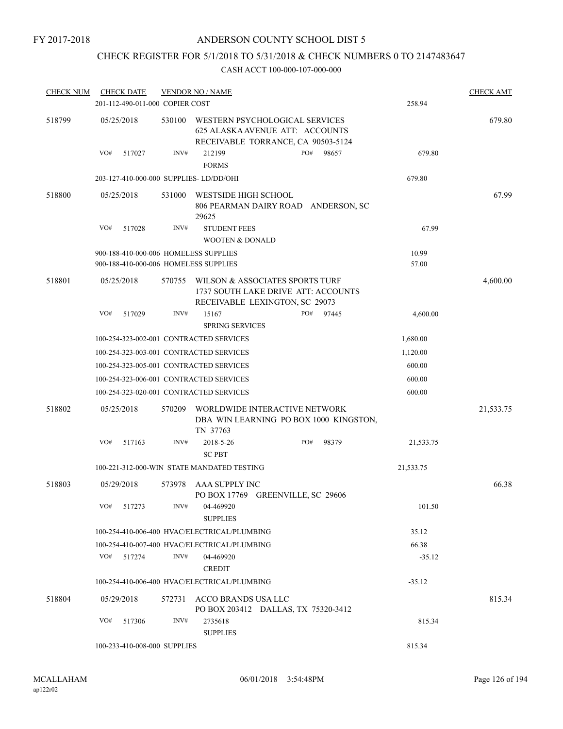## CHECK REGISTER FOR 5/1/2018 TO 5/31/2018 & CHECK NUMBERS 0 TO 2147483647

| <b>CHECK NUM</b> | <b>CHECK DATE</b>                       |        | <b>VENDOR NO / NAME</b>                                                                                  |     |       |           | <b>CHECK AMT</b> |
|------------------|-----------------------------------------|--------|----------------------------------------------------------------------------------------------------------|-----|-------|-----------|------------------|
|                  | 201-112-490-011-000 COPIER COST         |        |                                                                                                          |     |       | 258.94    |                  |
| 518799           | 05/25/2018                              | 530100 | WESTERN PSYCHOLOGICAL SERVICES<br>625 ALASKA AVENUE ATT: ACCOUNTS<br>RECEIVABLE TORRANCE, CA 90503-5124  |     |       |           | 679.80           |
|                  | VO#<br>517027                           | INV#   | 212199<br><b>FORMS</b>                                                                                   | PO# | 98657 | 679.80    |                  |
|                  | 203-127-410-000-000 SUPPLIES-LD/DD/OHI  |        |                                                                                                          |     |       | 679.80    |                  |
| 518800           | 05/25/2018                              | 531000 | WESTSIDE HIGH SCHOOL<br>806 PEARMAN DAIRY ROAD ANDERSON, SC<br>29625                                     |     |       |           | 67.99            |
|                  | VO#<br>517028                           | INV#   | <b>STUDENT FEES</b>                                                                                      |     |       | 67.99     |                  |
|                  |                                         |        | <b>WOOTEN &amp; DONALD</b>                                                                               |     |       |           |                  |
|                  | 900-188-410-000-006 HOMELESS SUPPLIES   |        |                                                                                                          |     |       | 10.99     |                  |
|                  | 900-188-410-000-006 HOMELESS SUPPLIES   |        |                                                                                                          |     |       | 57.00     |                  |
| 518801           | 05/25/2018                              | 570755 | WILSON & ASSOCIATES SPORTS TURF<br>1737 SOUTH LAKE DRIVE ATT: ACCOUNTS<br>RECEIVABLE LEXINGTON, SC 29073 |     |       |           | 4,600.00         |
|                  | VO#<br>517029                           | INV#   | 15167<br><b>SPRING SERVICES</b>                                                                          | PO# | 97445 | 4,600.00  |                  |
|                  | 100-254-323-002-001 CONTRACTED SERVICES |        |                                                                                                          |     |       | 1,680.00  |                  |
|                  | 100-254-323-003-001 CONTRACTED SERVICES |        |                                                                                                          |     |       | 1,120.00  |                  |
|                  | 100-254-323-005-001 CONTRACTED SERVICES |        |                                                                                                          |     |       | 600.00    |                  |
|                  | 100-254-323-006-001 CONTRACTED SERVICES |        |                                                                                                          |     |       | 600.00    |                  |
|                  | 100-254-323-020-001 CONTRACTED SERVICES |        |                                                                                                          |     |       | 600.00    |                  |
| 518802           | 05/25/2018                              | 570209 | WORLDWIDE INTERACTIVE NETWORK<br>DBA WIN LEARNING PO BOX 1000 KINGSTON,<br>TN 37763                      |     |       |           | 21,533.75        |
|                  | VO#<br>517163                           | INV#   | 2018-5-26<br><b>SC PBT</b>                                                                               | PO# | 98379 | 21,533.75 |                  |
|                  |                                         |        | 100-221-312-000-WIN STATE MANDATED TESTING                                                               |     |       | 21,533.75 |                  |
| 518803           | 05/29/2018                              | 573978 | AAA SUPPLY INC<br>PO BOX 17769 GREENVILLE, SC 29606                                                      |     |       |           | 66.38            |
|                  | VO#<br>517273                           | INV#   | 04-469920<br><b>SUPPLIES</b>                                                                             |     |       | 101.50    |                  |
|                  |                                         |        | 100-254-410-006-400 HVAC/ELECTRICAL/PLUMBING                                                             |     |       | 35.12     |                  |
|                  |                                         |        | 100-254-410-007-400 HVAC/ELECTRICAL/PLUMBING                                                             |     |       | 66.38     |                  |
|                  | VO#<br>517274                           | INV#   | 04-469920<br><b>CREDIT</b>                                                                               |     |       | $-35.12$  |                  |
|                  |                                         |        | 100-254-410-006-400 HVAC/ELECTRICAL/PLUMBING                                                             |     |       | $-35.12$  |                  |
| 518804           | 05/29/2018                              | 572731 | ACCO BRANDS USA LLC<br>PO BOX 203412 DALLAS, TX 75320-3412                                               |     |       |           | 815.34           |
|                  | VO#<br>517306                           | INV#   | 2735618<br><b>SUPPLIES</b>                                                                               |     |       | 815.34    |                  |
|                  | 100-233-410-008-000 SUPPLIES            |        |                                                                                                          |     |       | 815.34    |                  |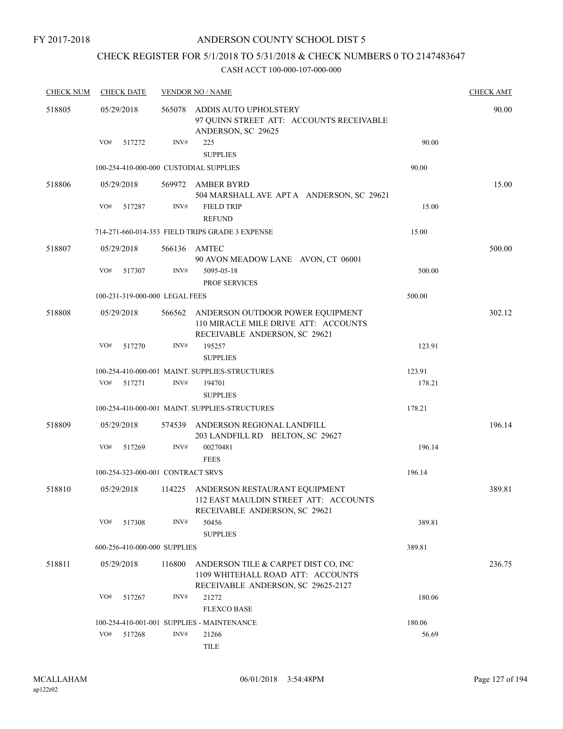## ANDERSON COUNTY SCHOOL DIST 5

## CHECK REGISTER FOR 5/1/2018 TO 5/31/2018 & CHECK NUMBERS 0 TO 2147483647

| <b>CHECK NUM</b> | <b>CHECK DATE</b> |                                        | <b>VENDOR NO / NAME</b>                                                                                        |        | <b>CHECK AMT</b> |
|------------------|-------------------|----------------------------------------|----------------------------------------------------------------------------------------------------------------|--------|------------------|
| 518805           | 05/29/2018        | 565078                                 | ADDIS AUTO UPHOLSTERY<br>97 QUINN STREET ATT: ACCOUNTS RECEIVABLE<br>ANDERSON, SC 29625                        |        | 90.00            |
|                  | VO#               | INV#<br>517272                         | 225<br><b>SUPPLIES</b>                                                                                         | 90.00  |                  |
|                  |                   | 100-254-410-000-000 CUSTODIAL SUPPLIES |                                                                                                                | 90.00  |                  |
| 518806           | 05/29/2018        | 569972                                 | AMBER BYRD<br>504 MARSHALL AVE APT A ANDERSON, SC 29621                                                        |        | 15.00            |
|                  | VO#               | INV#<br>517287                         | <b>FIELD TRIP</b><br><b>REFUND</b>                                                                             | 15.00  |                  |
|                  |                   |                                        | 714-271-660-014-353 FIELD TRIPS GRADE 3 EXPENSE                                                                | 15.00  |                  |
| 518807           | 05/29/2018        | 566136                                 | AMTEC<br>90 AVON MEADOW LANE AVON, CT 06001                                                                    |        | 500.00           |
|                  | VO#               | 517307<br>INV#                         | 5095-05-18<br><b>PROF SERVICES</b>                                                                             | 500.00 |                  |
|                  |                   | 100-231-319-000-000 LEGAL FEES         |                                                                                                                | 500.00 |                  |
| 518808           | 05/29/2018        | 566562                                 | ANDERSON OUTDOOR POWER EQUIPMENT<br>110 MIRACLE MILE DRIVE ATT: ACCOUNTS<br>RECEIVABLE ANDERSON, SC 29621      |        | 302.12           |
|                  | VO#               | 517270<br>INV#                         | 195257<br><b>SUPPLIES</b>                                                                                      | 123.91 |                  |
|                  |                   |                                        | 100-254-410-000-001 MAINT. SUPPLIES-STRUCTURES                                                                 | 123.91 |                  |
|                  | VO#               | INV#<br>517271                         | 194701<br><b>SUPPLIES</b>                                                                                      | 178.21 |                  |
|                  |                   |                                        | 100-254-410-000-001 MAINT. SUPPLIES-STRUCTURES                                                                 | 178.21 |                  |
| 518809           | 05/29/2018        | 574539                                 | ANDERSON REGIONAL LANDFILL<br>203 LANDFILL RD BELTON, SC 29627                                                 |        | 196.14           |
|                  | VO#               | INV#<br>517269                         | 00270481<br><b>FEES</b>                                                                                        | 196.14 |                  |
|                  |                   | 100-254-323-000-001 CONTRACT SRVS      |                                                                                                                | 196.14 |                  |
| 518810           | 05/29/2018        |                                        | 114225 ANDERSON RESTAURANT EQUIPMENT<br>112 EAST MAULDIN STREET ATT: ACCOUNTS<br>RECEIVABLE ANDERSON, SC 29621 |        | 389.81           |
|                  | VO#               | INV#<br>517308                         | 50456<br><b>SUPPLIES</b>                                                                                       | 389.81 |                  |
|                  |                   | 600-256-410-000-000 SUPPLIES           |                                                                                                                | 389.81 |                  |
| 518811           | 05/29/2018        | 116800                                 | ANDERSON TILE & CARPET DIST CO, INC<br>1109 WHITEHALL ROAD ATT: ACCOUNTS<br>RECEIVABLE ANDERSON, SC 29625-2127 |        | 236.75           |
|                  | VO#               | INV#<br>517267                         | 21272<br><b>FLEXCO BASE</b>                                                                                    | 180.06 |                  |
|                  |                   |                                        | 100-254-410-001-001 SUPPLIES - MAINTENANCE                                                                     | 180.06 |                  |
|                  | VO#               | INV#<br>517268                         | 21266<br><b>TILE</b>                                                                                           | 56.69  |                  |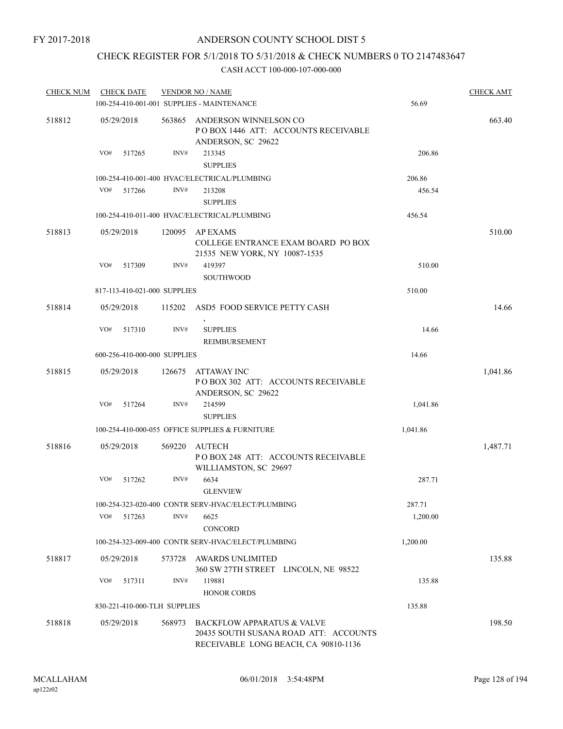## CHECK REGISTER FOR 5/1/2018 TO 5/31/2018 & CHECK NUMBERS 0 TO 2147483647

| <b>CHECK NUM</b> | <b>CHECK DATE</b>            |        |        | <b>VENDOR NO / NAME</b>                                                                                                |          | <b>CHECK AMT</b> |
|------------------|------------------------------|--------|--------|------------------------------------------------------------------------------------------------------------------------|----------|------------------|
|                  |                              |        |        | 100-254-410-001-001 SUPPLIES - MAINTENANCE                                                                             | 56.69    |                  |
| 518812           | 05/29/2018                   |        | 563865 | ANDERSON WINNELSON CO<br>POBOX 1446 ATT: ACCOUNTS RECEIVABLE<br>ANDERSON, SC 29622                                     |          | 663.40           |
|                  | VO#                          | 517265 | INV#   | 213345<br><b>SUPPLIES</b>                                                                                              | 206.86   |                  |
|                  |                              |        |        | 100-254-410-001-400 HVAC/ELECTRICAL/PLUMBING                                                                           | 206.86   |                  |
|                  | VO#                          | 517266 | INV#   | 213208                                                                                                                 | 456.54   |                  |
|                  |                              |        |        | <b>SUPPLIES</b>                                                                                                        |          |                  |
|                  |                              |        |        | 100-254-410-011-400 HVAC/ELECTRICAL/PLUMBING                                                                           | 456.54   |                  |
| 518813           | 05/29/2018                   |        | 120095 | AP EXAMS<br>COLLEGE ENTRANCE EXAM BOARD PO BOX<br>21535 NEW YORK, NY 10087-1535                                        |          | 510.00           |
|                  | VO#                          | 517309 | INV#   | 419397<br><b>SOUTHWOOD</b>                                                                                             | 510.00   |                  |
|                  | 817-113-410-021-000 SUPPLIES |        |        |                                                                                                                        | 510.00   |                  |
| 518814           | 05/29/2018                   |        |        | 115202 ASD5 FOOD SERVICE PETTY CASH<br>$\,$                                                                            |          | 14.66            |
|                  | VO#                          | 517310 | INV#   | <b>SUPPLIES</b><br>REIMBURSEMENT                                                                                       | 14.66    |                  |
|                  | 600-256-410-000-000 SUPPLIES |        |        |                                                                                                                        | 14.66    |                  |
| 518815           | 05/29/2018                   |        | 126675 | ATTAWAY INC<br>POBOX 302 ATT: ACCOUNTS RECEIVABLE<br>ANDERSON, SC 29622                                                |          | 1,041.86         |
|                  | VO#                          | 517264 | INV#   | 214599                                                                                                                 | 1,041.86 |                  |
|                  |                              |        |        | <b>SUPPLIES</b>                                                                                                        |          |                  |
|                  |                              |        |        | 100-254-410-000-055 OFFICE SUPPLIES & FURNITURE                                                                        | 1,041.86 |                  |
| 518816           | 05/29/2018                   |        | 569220 | AUTECH<br>PO BOX 248 ATT: ACCOUNTS RECEIVABLE<br>WILLIAMSTON, SC 29697                                                 |          | 1,487.71         |
|                  | VO#                          | 517262 | INV#   | 6634<br><b>GLENVIEW</b>                                                                                                | 287.71   |                  |
|                  |                              |        |        | 100-254-323-020-400 CONTR SERV-HVAC/ELECT/PLUMBING                                                                     | 287.71   |                  |
|                  | VO#                          | 517263 | INV#   | 6625                                                                                                                   | 1,200.00 |                  |
|                  |                              |        |        | CONCORD                                                                                                                |          |                  |
|                  |                              |        |        | 100-254-323-009-400 CONTR SERV-HVAC/ELECT/PLUMBING                                                                     | 1,200.00 |                  |
| 518817           | 05/29/2018                   |        | 573728 | <b>AWARDS UNLIMITED</b><br>360 SW 27TH STREET LINCOLN, NE 98522                                                        |          | 135.88           |
|                  | VO#                          | 517311 | INV#   | 119881                                                                                                                 | 135.88   |                  |
|                  |                              |        |        | <b>HONOR CORDS</b>                                                                                                     |          |                  |
|                  | 830-221-410-000-TLH SUPPLIES |        |        |                                                                                                                        | 135.88   |                  |
| 518818           | 05/29/2018                   |        | 568973 | <b>BACKFLOW APPARATUS &amp; VALVE</b><br>20435 SOUTH SUSANA ROAD ATT: ACCOUNTS<br>RECEIVABLE LONG BEACH, CA 90810-1136 |          | 198.50           |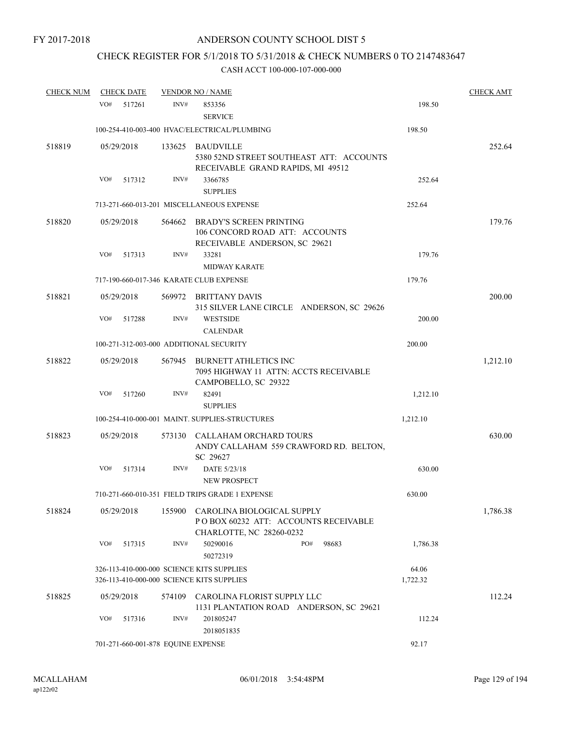# CHECK REGISTER FOR 5/1/2018 TO 5/31/2018 & CHECK NUMBERS 0 TO 2147483647

| <b>CHECK NUM</b> | <b>CHECK DATE</b>                                                                      |        | <b>VENDOR NO / NAME</b>                                                                               |              |                   | <b>CHECK AMT</b> |
|------------------|----------------------------------------------------------------------------------------|--------|-------------------------------------------------------------------------------------------------------|--------------|-------------------|------------------|
|                  | VO#<br>517261                                                                          | INV#   | 853356<br><b>SERVICE</b>                                                                              |              | 198.50            |                  |
|                  |                                                                                        |        | 100-254-410-003-400 HVAC/ELECTRICAL/PLUMBING                                                          |              | 198.50            |                  |
| 518819           | 05/29/2018                                                                             |        | 133625 BAUDVILLE<br>5380 52ND STREET SOUTHEAST ATT: ACCOUNTS<br>RECEIVABLE GRAND RAPIDS, MI 49512     |              |                   | 252.64           |
|                  | VO#<br>517312                                                                          | INV#   | 3366785<br><b>SUPPLIES</b>                                                                            |              | 252.64            |                  |
|                  |                                                                                        |        | 713-271-660-013-201 MISCELLANEOUS EXPENSE                                                             |              | 252.64            |                  |
| 518820           | 05/29/2018                                                                             | 564662 | BRADY'S SCREEN PRINTING<br>106 CONCORD ROAD ATT: ACCOUNTS<br>RECEIVABLE ANDERSON, SC 29621            |              |                   | 179.76           |
|                  | VO#<br>517313                                                                          | INV#   | 33281<br><b>MIDWAY KARATE</b>                                                                         |              | 179.76            |                  |
|                  |                                                                                        |        | 717-190-660-017-346 KARATE CLUB EXPENSE                                                               |              | 179.76            |                  |
| 518821           | 05/29/2018                                                                             |        | 569972 BRITTANY DAVIS<br>315 SILVER LANE CIRCLE ANDERSON, SC 29626                                    |              |                   | 200.00           |
|                  | VO#<br>517288                                                                          | INV#   | <b>WESTSIDE</b><br><b>CALENDAR</b>                                                                    |              | 200.00            |                  |
|                  | 100-271-312-003-000 ADDITIONAL SECURITY                                                |        |                                                                                                       |              | 200.00            |                  |
| 518822           | 05/29/2018                                                                             | 567945 | <b>BURNETT ATHLETICS INC</b><br>7095 HIGHWAY 11 ATTN: ACCTS RECEIVABLE<br>CAMPOBELLO, SC 29322        |              |                   | 1,212.10         |
|                  | VO#<br>517260                                                                          | INV#   | 82491                                                                                                 |              | 1,212.10          |                  |
|                  |                                                                                        |        | <b>SUPPLIES</b>                                                                                       |              |                   |                  |
|                  |                                                                                        |        | 100-254-410-000-001 MAINT. SUPPLIES-STRUCTURES                                                        |              | 1,212.10          |                  |
| 518823           | 05/29/2018                                                                             | 573130 | CALLAHAM ORCHARD TOURS<br>ANDY CALLAHAM 559 CRAWFORD RD. BELTON,<br>SC 29627                          |              |                   | 630.00           |
|                  | VO#<br>517314                                                                          | INV#   | DATE 5/23/18<br>NEW PROSPECT                                                                          |              | 630.00            |                  |
|                  |                                                                                        |        | 710-271-660-010-351 FIELD TRIPS GRADE 1 EXPENSE                                                       |              | 630.00            |                  |
| 518824           | 05/29/2018                                                                             |        | 155900 CAROLINA BIOLOGICAL SUPPLY<br>POBOX 60232 ATT: ACCOUNTS RECEIVABLE<br>CHARLOTTE, NC 28260-0232 |              |                   | 1,786.38         |
|                  | VO#<br>517315                                                                          | INV#   | 50290016<br>50272319                                                                                  | PO#<br>98683 | 1,786.38          |                  |
|                  | 326-113-410-000-000 SCIENCE KITS SUPPLIES<br>326-113-410-000-000 SCIENCE KITS SUPPLIES |        |                                                                                                       |              | 64.06<br>1,722.32 |                  |
| 518825           | 05/29/2018                                                                             | 574109 | CAROLINA FLORIST SUPPLY LLC<br>1131 PLANTATION ROAD ANDERSON, SC 29621                                |              |                   | 112.24           |
|                  | VO#<br>517316                                                                          | INV#   | 201805247<br>2018051835                                                                               |              | 112.24            |                  |
|                  | 701-271-660-001-878 EQUINE EXPENSE                                                     |        |                                                                                                       |              | 92.17             |                  |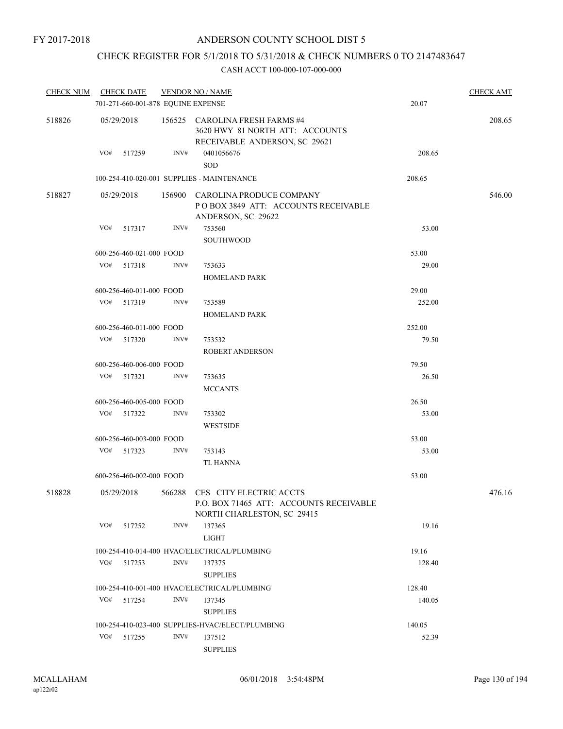# CHECK REGISTER FOR 5/1/2018 TO 5/31/2018 & CHECK NUMBERS 0 TO 2147483647

| <b>CHECK NUM</b> |            | <b>CHECK DATE</b><br>701-271-660-001-878 EQUINE EXPENSE |      | <b>VENDOR NO / NAME</b>                                                                                 | 20.07  | <b>CHECK AMT</b> |
|------------------|------------|---------------------------------------------------------|------|---------------------------------------------------------------------------------------------------------|--------|------------------|
| 518826           |            | 05/29/2018                                              |      | 156525 CAROLINA FRESH FARMS #4<br>3620 HWY 81 NORTH ATT: ACCOUNTS<br>RECEIVABLE ANDERSON, SC 29621      |        | 208.65           |
|                  | VO#        | 517259                                                  | INV# | 0401056676<br><b>SOD</b>                                                                                | 208.65 |                  |
|                  |            |                                                         |      | 100-254-410-020-001 SUPPLIES - MAINTENANCE                                                              | 208.65 |                  |
| 518827           | 05/29/2018 |                                                         |      | 156900 CAROLINA PRODUCE COMPANY<br>POBOX 3849 ATT: ACCOUNTS RECEIVABLE<br>ANDERSON, SC 29622            |        | 546.00           |
|                  | VO#        | 517317                                                  | INV# | 753560                                                                                                  | 53.00  |                  |
|                  |            |                                                         |      | <b>SOUTHWOOD</b>                                                                                        |        |                  |
|                  |            | 600-256-460-021-000 FOOD                                |      |                                                                                                         | 53.00  |                  |
|                  | VO#        | 517318                                                  | INV# | 753633                                                                                                  | 29.00  |                  |
|                  |            |                                                         |      | <b>HOMELAND PARK</b>                                                                                    |        |                  |
|                  |            | 600-256-460-011-000 FOOD                                |      |                                                                                                         | 29.00  |                  |
|                  |            | VO# 517319                                              | INV# | 753589                                                                                                  | 252.00 |                  |
|                  |            |                                                         |      | <b>HOMELAND PARK</b>                                                                                    |        |                  |
|                  |            | 600-256-460-011-000 FOOD                                |      |                                                                                                         | 252.00 |                  |
|                  | VO#        | 517320                                                  | INV# | 753532                                                                                                  | 79.50  |                  |
|                  |            |                                                         |      | <b>ROBERT ANDERSON</b>                                                                                  |        |                  |
|                  |            | 600-256-460-006-000 FOOD                                |      |                                                                                                         | 79.50  |                  |
|                  | VO#        | 517321                                                  | INV# | 753635                                                                                                  | 26.50  |                  |
|                  |            |                                                         |      | <b>MCCANTS</b>                                                                                          |        |                  |
|                  |            | 600-256-460-005-000 FOOD                                |      |                                                                                                         | 26.50  |                  |
|                  |            | VO# 517322                                              | INV# | 753302                                                                                                  | 53.00  |                  |
|                  |            |                                                         |      | <b>WESTSIDE</b>                                                                                         |        |                  |
|                  |            | 600-256-460-003-000 FOOD                                |      |                                                                                                         | 53.00  |                  |
|                  | VO#        | 517323                                                  | INV# | 753143                                                                                                  | 53.00  |                  |
|                  |            |                                                         |      | TL HANNA                                                                                                |        |                  |
|                  |            | 600-256-460-002-000 FOOD                                |      |                                                                                                         | 53.00  |                  |
| 518828           |            | 05/29/2018                                              |      | 566288 CES CITY ELECTRIC ACCTS<br>P.O. BOX 71465 ATT: ACCOUNTS RECEIVABLE<br>NORTH CHARLESTON, SC 29415 |        | 476.16           |
|                  | VO#        | 517252                                                  | INV# | 137365                                                                                                  | 19.16  |                  |
|                  |            |                                                         |      | <b>LIGHT</b>                                                                                            |        |                  |
|                  |            |                                                         |      | 100-254-410-014-400 HVAC/ELECTRICAL/PLUMBING                                                            | 19.16  |                  |
|                  | VO#        | 517253                                                  | INV# | 137375                                                                                                  | 128.40 |                  |
|                  |            |                                                         |      | <b>SUPPLIES</b>                                                                                         |        |                  |
|                  |            |                                                         |      | 100-254-410-001-400 HVAC/ELECTRICAL/PLUMBING                                                            | 128.40 |                  |
|                  | VO#        | 517254                                                  | INV# | 137345                                                                                                  | 140.05 |                  |
|                  |            |                                                         |      | <b>SUPPLIES</b>                                                                                         |        |                  |
|                  |            |                                                         |      | 100-254-410-023-400 SUPPLIES-HVAC/ELECT/PLUMBING                                                        | 140.05 |                  |
|                  | VO#        | 517255                                                  | INV# | 137512                                                                                                  | 52.39  |                  |
|                  |            |                                                         |      | <b>SUPPLIES</b>                                                                                         |        |                  |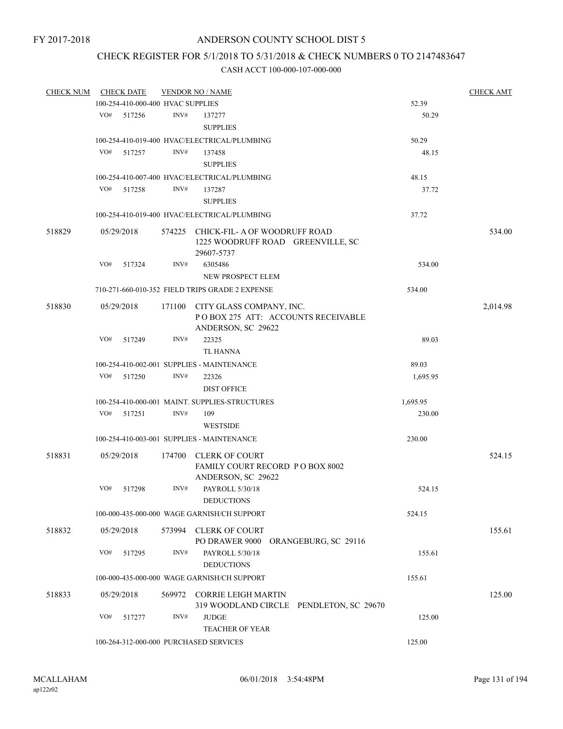## CHECK REGISTER FOR 5/1/2018 TO 5/31/2018 & CHECK NUMBERS 0 TO 2147483647

| <b>CHECK NUM</b> |     | <b>CHECK DATE</b>                 |        | <b>VENDOR NO / NAME</b>                                                                 |          | <b>CHECK AMT</b> |
|------------------|-----|-----------------------------------|--------|-----------------------------------------------------------------------------------------|----------|------------------|
|                  |     | 100-254-410-000-400 HVAC SUPPLIES |        |                                                                                         | 52.39    |                  |
|                  | VO# | 517256                            | INV#   | 137277<br><b>SUPPLIES</b>                                                               | 50.29    |                  |
|                  |     |                                   |        |                                                                                         |          |                  |
|                  | VO# |                                   | INV#   | 100-254-410-019-400 HVAC/ELECTRICAL/PLUMBING                                            | 50.29    |                  |
|                  |     | 517257                            |        | 137458                                                                                  | 48.15    |                  |
|                  |     |                                   |        | <b>SUPPLIES</b>                                                                         |          |                  |
|                  |     |                                   |        | 100-254-410-007-400 HVAC/ELECTRICAL/PLUMBING                                            | 48.15    |                  |
|                  | VO# | 517258                            | INV#   | 137287                                                                                  | 37.72    |                  |
|                  |     |                                   |        | <b>SUPPLIES</b>                                                                         |          |                  |
|                  |     |                                   |        | 100-254-410-019-400 HVAC/ELECTRICAL/PLUMBING                                            | 37.72    |                  |
| 518829           |     | 05/29/2018                        |        | 574225 CHICK-FIL- A OF WOODRUFF ROAD<br>1225 WOODRUFF ROAD GREENVILLE, SC<br>29607-5737 |          | 534.00           |
|                  | VO# | 517324                            | INV#   | 6305486                                                                                 | 534.00   |                  |
|                  |     |                                   |        | NEW PROSPECT ELEM                                                                       |          |                  |
|                  |     |                                   |        | 710-271-660-010-352 FIELD TRIPS GRADE 2 EXPENSE                                         | 534.00   |                  |
| 518830           |     | 05/29/2018                        | 171100 | CITY GLASS COMPANY, INC.<br>POBOX 275 ATT: ACCOUNTS RECEIVABLE<br>ANDERSON, SC 29622    |          | 2,014.98         |
|                  | VO# | 517249                            | INV#   | 22325<br><b>TL HANNA</b>                                                                | 89.03    |                  |
|                  |     |                                   |        | 100-254-410-002-001 SUPPLIES - MAINTENANCE                                              | 89.03    |                  |
|                  | VO# | 517250                            | INV#   | 22326                                                                                   | 1,695.95 |                  |
|                  |     |                                   |        | <b>DIST OFFICE</b>                                                                      |          |                  |
|                  |     |                                   |        | 100-254-410-000-001 MAINT. SUPPLIES-STRUCTURES                                          | 1,695.95 |                  |
|                  | VO# | 517251                            | INV#   | 109                                                                                     | 230.00   |                  |
|                  |     |                                   |        | <b>WESTSIDE</b>                                                                         |          |                  |
|                  |     |                                   |        | 100-254-410-003-001 SUPPLIES - MAINTENANCE                                              | 230.00   |                  |
| 518831           |     | 05/29/2018                        | 174700 | <b>CLERK OF COURT</b><br>FAMILY COURT RECORD PO BOX 8002<br>ANDERSON, SC 29622          |          | 524.15           |
|                  | VO# | 517298                            | INV#   | PAYROLL 5/30/18<br><b>DEDUCTIONS</b>                                                    | 524.15   |                  |
|                  |     |                                   |        | 100-000-435-000-000 WAGE GARNISH/CH SUPPORT                                             | 524.15   |                  |
| 518832           |     | 05/29/2018                        | 573994 | <b>CLERK OF COURT</b><br>PO DRAWER 9000<br>ORANGEBURG, SC 29116                         |          | 155.61           |
|                  | VO# | 517295                            | INV#   | PAYROLL 5/30/18<br><b>DEDUCTIONS</b>                                                    | 155.61   |                  |
|                  |     |                                   |        | 100-000-435-000-000 WAGE GARNISH/CH SUPPORT                                             | 155.61   |                  |
| 518833           |     | 05/29/2018                        | 569972 | <b>CORRIE LEIGH MARTIN</b><br>319 WOODLAND CIRCLE PENDLETON, SC 29670                   |          | 125.00           |
|                  | VO# | 517277                            | INV#   | <b>JUDGE</b><br><b>TEACHER OF YEAR</b>                                                  | 125.00   |                  |
|                  |     |                                   |        | 100-264-312-000-000 PURCHASED SERVICES                                                  | 125.00   |                  |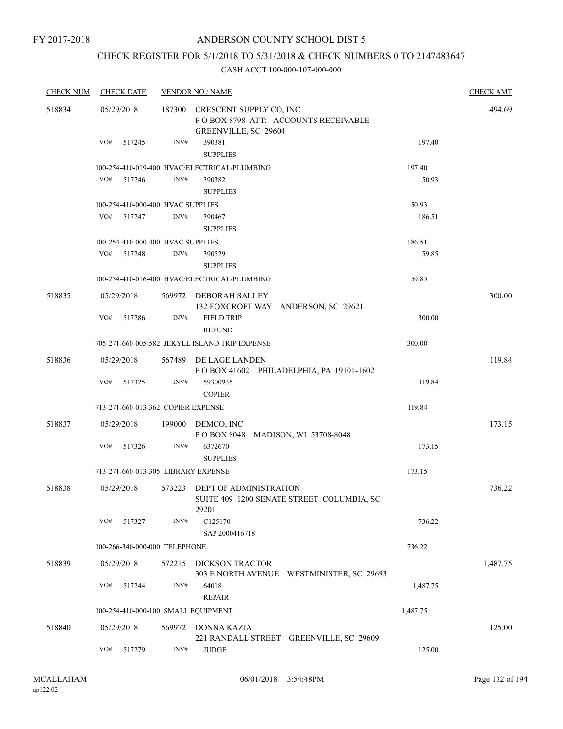#### ANDERSON COUNTY SCHOOL DIST 5

# CHECK REGISTER FOR 5/1/2018 TO 5/31/2018 & CHECK NUMBERS 0 TO 2147483647

| <b>CHECK NUM</b> | <b>CHECK DATE</b>                   |        | <b>VENDOR NO / NAME</b>                                                                       |          | <b>CHECK AMT</b> |
|------------------|-------------------------------------|--------|-----------------------------------------------------------------------------------------------|----------|------------------|
| 518834           | 05/29/2018                          |        | 187300 CRESCENT SUPPLY CO, INC<br>POBOX 8798 ATT: ACCOUNTS RECEIVABLE<br>GREENVILLE, SC 29604 |          | 494.69           |
|                  | VO#<br>517245                       | INV#   | 390381<br><b>SUPPLIES</b>                                                                     | 197.40   |                  |
|                  |                                     |        | 100-254-410-019-400 HVAC/ELECTRICAL/PLUMBING                                                  | 197.40   |                  |
|                  | VO#<br>517246                       | INV#   | 390382<br><b>SUPPLIES</b>                                                                     | 50.93    |                  |
|                  | 100-254-410-000-400 HVAC SUPPLIES   |        |                                                                                               | 50.93    |                  |
|                  | VO#<br>517247                       | INV#   | 390467<br><b>SUPPLIES</b>                                                                     | 186.51   |                  |
|                  | 100-254-410-000-400 HVAC SUPPLIES   |        |                                                                                               | 186.51   |                  |
|                  | VO#<br>517248                       | INV#   | 390529<br><b>SUPPLIES</b>                                                                     | 59.85    |                  |
|                  |                                     |        | 100-254-410-016-400 HVAC/ELECTRICAL/PLUMBING                                                  | 59.85    |                  |
| 518835           | 05/29/2018                          |        | 569972 DEBORAH SALLEY<br>132 FOXCROFT WAY ANDERSON, SC 29621                                  |          | 300.00           |
|                  | VO#<br>517286                       | INV#   | <b>FIELD TRIP</b><br><b>REFUND</b>                                                            | 300.00   |                  |
|                  |                                     |        | 705-271-660-005-582 JEKYLL ISLAND TRIP EXPENSE                                                | 300.00   |                  |
| 518836           | 05/29/2018                          |        | 567489 DE LAGE LANDEN<br>POBOX 41602 PHILADELPHIA, PA 19101-1602                              |          | 119.84           |
|                  | VO#<br>517325                       | INV#   | 59300935<br><b>COPIER</b>                                                                     | 119.84   |                  |
|                  | 713-271-660-013-362 COPIER EXPENSE  |        |                                                                                               | 119.84   |                  |
| 518837           | 05/29/2018                          |        | 199000 DEMCO, INC<br>POBOX 8048 MADISON, WI 53708-8048                                        |          | 173.15           |
|                  | VO#<br>517326                       | INV#   | 6372670<br><b>SUPPLIES</b>                                                                    | 173.15   |                  |
|                  | 713-271-660-013-305 LIBRARY EXPENSE |        |                                                                                               | 173.15   |                  |
| 518838           | 05/29/2018                          |        | 573223 DEPT OF ADMINISTRATION<br>SUITE 409 1200 SENATE STREET COLUMBIA, SC<br>29201           |          | 736.22           |
|                  | VO#<br>517327                       | INV#   | C125170<br>SAP 2000416718                                                                     | 736.22   |                  |
|                  | 100-266-340-000-000 TELEPHONE       |        |                                                                                               | 736.22   |                  |
| 518839           | 05/29/2018                          | 572215 | DICKSON TRACTOR<br>303 E NORTH AVENUE WESTMINISTER, SC 29693                                  |          | 1,487.75         |
|                  | VO#<br>517244                       | INV#   | 64018<br><b>REPAIR</b>                                                                        | 1,487.75 |                  |
|                  | 100-254-410-000-100 SMALL EQUIPMENT |        |                                                                                               | 1,487.75 |                  |
| 518840           | 05/29/2018                          | 569972 | DONNA KAZIA<br>221 RANDALL STREET GREENVILLE, SC 29609                                        |          | 125.00           |
|                  | VO#<br>517279                       | INV#   | $\ensuremath{\mathsf{JUDGE}}$                                                                 | 125.00   |                  |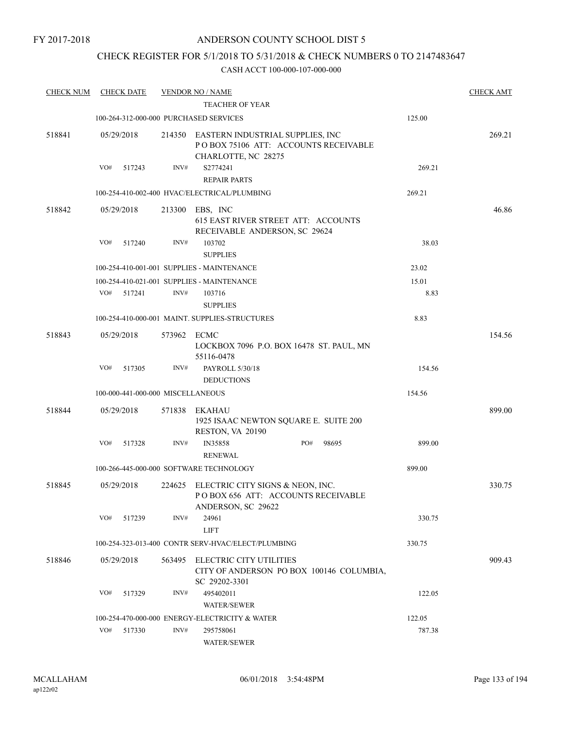## CHECK REGISTER FOR 5/1/2018 TO 5/31/2018 & CHECK NUMBERS 0 TO 2147483647

| <b>CHECK NUM</b> |            | <b>CHECK DATE</b>                 |        | <b>VENDOR NO / NAME</b><br><b>TEACHER OF YEAR</b>                                               |              |        | <b>CHECK AMT</b> |
|------------------|------------|-----------------------------------|--------|-------------------------------------------------------------------------------------------------|--------------|--------|------------------|
|                  |            |                                   |        | 100-264-312-000-000 PURCHASED SERVICES                                                          |              | 125.00 |                  |
| 518841           | 05/29/2018 |                                   | 214350 | EASTERN INDUSTRIAL SUPPLIES, INC<br>POBOX 75106 ATT: ACCOUNTS RECEIVABLE<br>CHARLOTTE, NC 28275 |              |        | 269.21           |
|                  | VO#        | 517243                            | INV#   | S2774241<br><b>REPAIR PARTS</b>                                                                 |              | 269.21 |                  |
|                  |            |                                   |        | 100-254-410-002-400 HVAC/ELECTRICAL/PLUMBING                                                    |              | 269.21 |                  |
| 518842           | 05/29/2018 |                                   | 213300 | EBS, INC<br>615 EAST RIVER STREET ATT: ACCOUNTS<br>RECEIVABLE ANDERSON, SC 29624                |              |        | 46.86            |
|                  | VO#        | 517240                            | INV#   | 103702<br><b>SUPPLIES</b>                                                                       |              | 38.03  |                  |
|                  |            |                                   |        | 100-254-410-001-001 SUPPLIES - MAINTENANCE                                                      |              | 23.02  |                  |
|                  |            |                                   |        | 100-254-410-021-001 SUPPLIES - MAINTENANCE                                                      |              | 15.01  |                  |
|                  | VO#        | 517241                            | INV#   | 103716<br><b>SUPPLIES</b>                                                                       |              | 8.83   |                  |
|                  |            |                                   |        | 100-254-410-000-001 MAINT. SUPPLIES-STRUCTURES                                                  |              | 8.83   |                  |
| 518843           | 05/29/2018 |                                   | 573962 | ECMC<br>LOCKBOX 7096 P.O. BOX 16478 ST. PAUL, MN<br>55116-0478                                  |              |        | 154.56           |
|                  | VO#        | 517305                            | INV#   | PAYROLL 5/30/18<br><b>DEDUCTIONS</b>                                                            |              | 154.56 |                  |
|                  |            | 100-000-441-000-000 MISCELLANEOUS |        |                                                                                                 |              | 154.56 |                  |
| 518844           | 05/29/2018 |                                   | 571838 | EKAHAU<br>1925 ISAAC NEWTON SQUARE E. SUITE 200<br>RESTON, VA 20190                             |              |        | 899.00           |
|                  | VO#        | 517328                            | INV#   | <b>IN35858</b><br><b>RENEWAL</b>                                                                | PO#<br>98695 | 899.00 |                  |
|                  |            |                                   |        | 100-266-445-000-000 SOFTWARE TECHNOLOGY                                                         |              | 899.00 |                  |
| 518845           | 05/29/2018 |                                   | 224625 | ELECTRIC CITY SIGNS & NEON, INC.<br>POBOX 656 ATT: ACCOUNTS RECEIVABLE<br>ANDERSON, SC 29622    |              |        | 330.75           |
|                  | VO#        | 517239                            | INV#   | 24961<br><b>LIFT</b>                                                                            |              | 330.75 |                  |
|                  |            |                                   |        | 100-254-323-013-400 CONTR SERV-HVAC/ELECT/PLUMBING                                              |              | 330.75 |                  |
| 518846           | 05/29/2018 |                                   | 563495 | <b>ELECTRIC CITY UTILITIES</b><br>CITY OF ANDERSON PO BOX 100146 COLUMBIA,<br>SC 29202-3301     |              |        | 909.43           |
|                  | VO#        | 517329                            | INV#   | 495402011<br>WATER/SEWER                                                                        |              | 122.05 |                  |
|                  |            |                                   |        | 100-254-470-000-000 ENERGY-ELECTRICITY & WATER                                                  |              | 122.05 |                  |
|                  | VO#        | 517330                            | INV#   | 295758061<br>WATER/SEWER                                                                        |              | 787.38 |                  |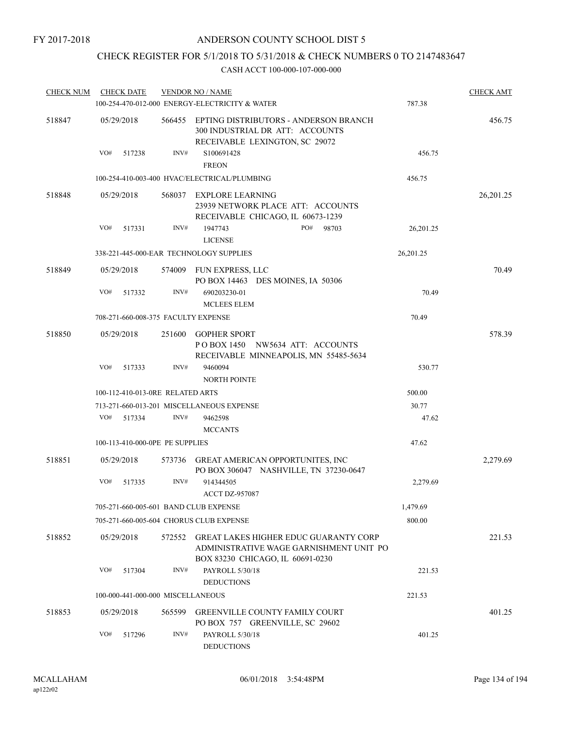## CHECK REGISTER FOR 5/1/2018 TO 5/31/2018 & CHECK NUMBERS 0 TO 2147483647

| <b>CHECK NUM</b> | <b>CHECK DATE</b>                   |        | <b>VENDOR NO / NAME</b><br>100-254-470-012-000 ENERGY-ELECTRICITY & WATER                                            | 787.38    | <b>CHECK AMT</b> |
|------------------|-------------------------------------|--------|----------------------------------------------------------------------------------------------------------------------|-----------|------------------|
| 518847           | 05/29/2018                          | 566455 | EPTING DISTRIBUTORS - ANDERSON BRANCH<br>300 INDUSTRIAL DR ATT: ACCOUNTS<br>RECEIVABLE LEXINGTON, SC 29072           |           | 456.75           |
|                  | VO#<br>517238                       | INV#   | S100691428<br><b>FREON</b>                                                                                           | 456.75    |                  |
|                  |                                     |        | 100-254-410-003-400 HVAC/ELECTRICAL/PLUMBING                                                                         | 456.75    |                  |
| 518848           | 05/29/2018                          |        | 568037 EXPLORE LEARNING<br>23939 NETWORK PLACE ATT: ACCOUNTS<br>RECEIVABLE CHICAGO, IL 60673-1239                    |           | 26, 201. 25      |
|                  | VO#<br>517331                       | INV#   | 1947743<br>PO#<br>98703                                                                                              | 26,201.25 |                  |
|                  |                                     |        | <b>LICENSE</b>                                                                                                       |           |                  |
|                  |                                     |        | 338-221-445-000-EAR TECHNOLOGY SUPPLIES                                                                              | 26,201.25 |                  |
| 518849           | 05/29/2018                          |        | 574009 FUN EXPRESS, LLC<br>PO BOX 14463 DES MOINES, IA 50306                                                         |           | 70.49            |
|                  | VO#<br>517332                       | INV#   | 690203230-01<br><b>MCLEES ELEM</b>                                                                                   | 70.49     |                  |
|                  | 708-271-660-008-375 FACULTY EXPENSE |        |                                                                                                                      | 70.49     |                  |
| 518850           | 05/29/2018                          |        | 251600 GOPHER SPORT<br>POBOX 1450 NW5634 ATT: ACCOUNTS<br>RECEIVABLE MINNEAPOLIS, MN 55485-5634                      |           | 578.39           |
|                  | VO#<br>517333                       | INV#   | 9460094<br><b>NORTH POINTE</b>                                                                                       | 530.77    |                  |
|                  | 100-112-410-013-0RE RELATED ARTS    |        |                                                                                                                      | 500.00    |                  |
|                  |                                     |        | 713-271-660-013-201 MISCELLANEOUS EXPENSE                                                                            | 30.77     |                  |
|                  | VO#<br>517334                       | INV#   | 9462598<br><b>MCCANTS</b>                                                                                            | 47.62     |                  |
|                  | 100-113-410-000-0PE PE SUPPLIES     |        |                                                                                                                      | 47.62     |                  |
| 518851           | 05/29/2018                          |        | 573736 GREAT AMERICAN OPPORTUNITES, INC<br>PO BOX 306047 NASHVILLE, TN 37230-0647                                    |           | 2,279.69         |
|                  | VO#<br>517335                       | INV#   | 914344505<br><b>ACCT DZ-957087</b>                                                                                   | 2,279.69  |                  |
|                  |                                     |        | 705-271-660-005-601 BAND CLUB EXPENSE                                                                                | 1,479.69  |                  |
|                  |                                     |        | 705-271-660-005-604  CHORUS CLUB EXPENSE                                                                             | 800.00    |                  |
| 518852           | 05/29/2018                          | 572552 | GREAT LAKES HIGHER EDUC GUARANTY CORP<br>ADMINISTRATIVE WAGE GARNISHMENT UNIT PO<br>BOX 83230 CHICAGO, IL 60691-0230 |           | 221.53           |
|                  | VO#<br>517304                       | INV#   | PAYROLL 5/30/18<br><b>DEDUCTIONS</b>                                                                                 | 221.53    |                  |
|                  | 100-000-441-000-000 MISCELLANEOUS   |        |                                                                                                                      | 221.53    |                  |
| 518853           | 05/29/2018                          | 565599 | GREENVILLE COUNTY FAMILY COURT<br>PO BOX 757 GREENVILLE, SC 29602                                                    |           | 401.25           |
|                  | VO#<br>517296                       | INV#   | PAYROLL 5/30/18<br><b>DEDUCTIONS</b>                                                                                 | 401.25    |                  |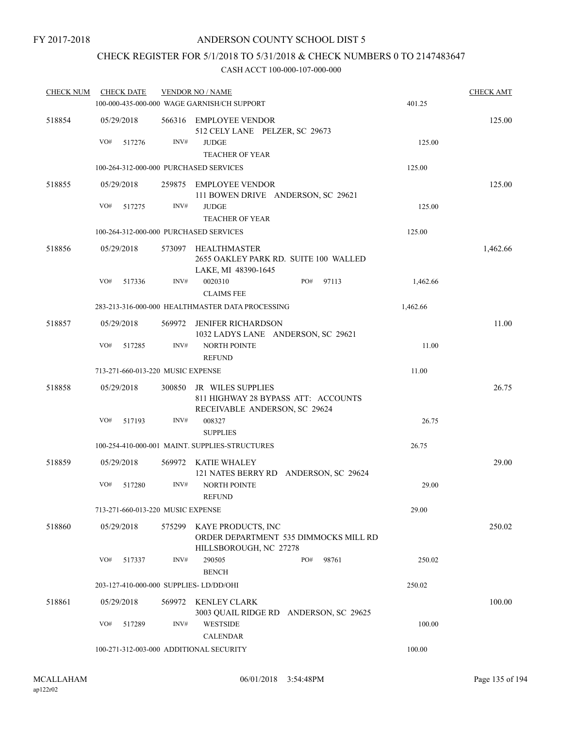#### ANDERSON COUNTY SCHOOL DIST 5

## CHECK REGISTER FOR 5/1/2018 TO 5/31/2018 & CHECK NUMBERS 0 TO 2147483647

| <b>CHECK NUM</b> | <b>CHECK DATE</b>                       |        | <b>VENDOR NO / NAME</b>                                                                          |                                        |          | <b>CHECK AMT</b> |
|------------------|-----------------------------------------|--------|--------------------------------------------------------------------------------------------------|----------------------------------------|----------|------------------|
|                  |                                         |        | 100-000-435-000-000 WAGE GARNISH/CH SUPPORT                                                      |                                        | 401.25   |                  |
| 518854           | 05/29/2018                              | 566316 | EMPLOYEE VENDOR<br>512 CELY LANE PELZER, SC 29673                                                |                                        |          | 125.00           |
|                  | VO#<br>517276                           | INV#   | <b>JUDGE</b><br><b>TEACHER OF YEAR</b>                                                           |                                        | 125.00   |                  |
|                  | 100-264-312-000-000 PURCHASED SERVICES  |        |                                                                                                  |                                        | 125.00   |                  |
| 518855           | 05/29/2018                              | 259875 | <b>EMPLOYEE VENDOR</b><br>111 BOWEN DRIVE ANDERSON, SC 29621                                     |                                        |          | 125.00           |
|                  | VO#<br>517275                           | INV#   | <b>JUDGE</b><br><b>TEACHER OF YEAR</b>                                                           |                                        | 125.00   |                  |
|                  | 100-264-312-000-000 PURCHASED SERVICES  |        |                                                                                                  |                                        | 125.00   |                  |
| 518856           | 05/29/2018                              |        | 573097 HEALTHMASTER<br>2655 OAKLEY PARK RD. SUITE 100 WALLED<br>LAKE, MI 48390-1645              |                                        |          | 1,462.66         |
|                  | VO#<br>517336                           | INV#   | 0020310<br><b>CLAIMS FEE</b>                                                                     | PO#<br>97113                           | 1,462.66 |                  |
|                  |                                         |        | 283-213-316-000-000 HEALTHMASTER DATA PROCESSING                                                 |                                        | 1,462.66 |                  |
| 518857           | 05/29/2018                              |        | 569972 JENIFER RICHARDSON<br>1032 LADYS LANE ANDERSON, SC 29621                                  |                                        |          | 11.00            |
|                  | VO#<br>517285                           | INV#   | <b>NORTH POINTE</b><br><b>REFUND</b>                                                             |                                        | 11.00    |                  |
|                  | 713-271-660-013-220 MUSIC EXPENSE       |        |                                                                                                  |                                        | 11.00    |                  |
| 518858           | 05/29/2018                              | 300850 | <b>JR WILES SUPPLIES</b><br>811 HIGHWAY 28 BYPASS ATT: ACCOUNTS<br>RECEIVABLE ANDERSON, SC 29624 |                                        |          | 26.75            |
|                  | VO#<br>517193                           | INV#   | 008327<br><b>SUPPLIES</b>                                                                        |                                        | 26.75    |                  |
|                  |                                         |        | 100-254-410-000-001 MAINT. SUPPLIES-STRUCTURES                                                   |                                        | 26.75    |                  |
| 518859           | 05/29/2018                              | 569972 | KATIE WHALEY                                                                                     | 121 NATES BERRY RD ANDERSON, SC 29624  |          | 29.00            |
|                  | VO#<br>517280                           | INV#   | <b>NORTH POINTE</b><br><b>REFUND</b>                                                             |                                        | 29.00    |                  |
|                  | 713-271-660-013-220 MUSIC EXPENSE       |        |                                                                                                  |                                        | 29.00    |                  |
| 518860           | 05/29/2018                              | 575299 | KAYE PRODUCTS, INC<br>HILLSBOROUGH, NC 27278                                                     | ORDER DEPARTMENT 535 DIMMOCKS MILL RD  |          | 250.02           |
|                  | VO#<br>517337                           | INV#   | 290505<br><b>BENCH</b>                                                                           | PO#<br>98761                           | 250.02   |                  |
|                  | 203-127-410-000-000 SUPPLIES- LD/DD/OHI |        |                                                                                                  |                                        | 250.02   |                  |
| 518861           | 05/29/2018                              | 569972 | KENLEY CLARK                                                                                     | 3003 OUAIL RIDGE RD ANDERSON, SC 29625 |          | 100.00           |
|                  | VO#<br>517289                           | INV#   | <b>WESTSIDE</b><br><b>CALENDAR</b>                                                               |                                        | 100.00   |                  |
|                  |                                         |        | 100-271-312-003-000 ADDITIONAL SECURITY                                                          |                                        | 100.00   |                  |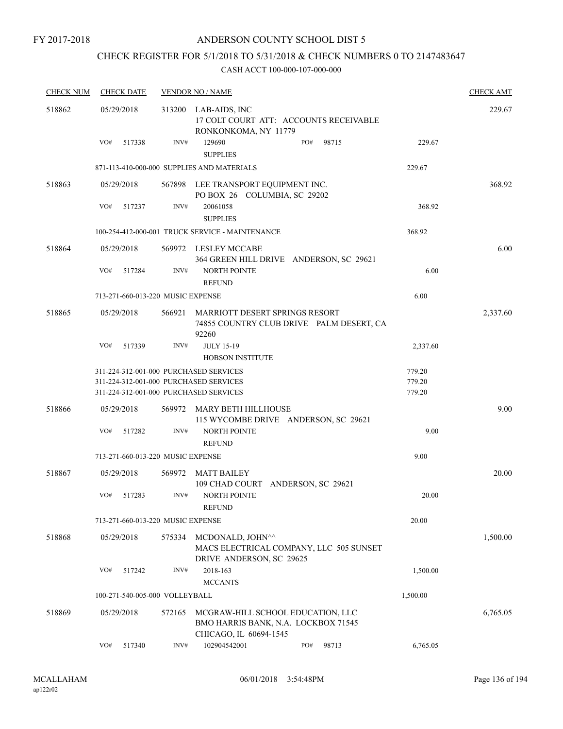## ANDERSON COUNTY SCHOOL DIST 5

## CHECK REGISTER FOR 5/1/2018 TO 5/31/2018 & CHECK NUMBERS 0 TO 2147483647

| <b>CHECK NUM</b> | <b>CHECK DATE</b>                      |        | <b>VENDOR NO / NAME</b>                                                                            |          |          |  |  |
|------------------|----------------------------------------|--------|----------------------------------------------------------------------------------------------------|----------|----------|--|--|
| 518862           | 05/29/2018                             | 313200 | LAB-AIDS, INC<br>17 COLT COURT ATT: ACCOUNTS RECEIVABLE<br>RONKONKOMA, NY 11779                    |          | 229.67   |  |  |
|                  | VO#<br>517338                          | INV#   | PO#<br>129690<br>98715<br><b>SUPPLIES</b>                                                          | 229.67   |          |  |  |
|                  |                                        |        | 871-113-410-000-000 SUPPLIES AND MATERIALS                                                         | 229.67   |          |  |  |
| 518863           | 05/29/2018                             |        | 567898 LEE TRANSPORT EQUIPMENT INC.<br>PO BOX 26 COLUMBIA, SC 29202                                |          | 368.92   |  |  |
|                  | VO#<br>517237                          | INV#   | 20061058<br><b>SUPPLIES</b>                                                                        | 368.92   |          |  |  |
|                  |                                        |        | 100-254-412-000-001 TRUCK SERVICE - MAINTENANCE                                                    | 368.92   |          |  |  |
| 518864           | 05/29/2018                             |        | 569972 LESLEY MCCABE<br>364 GREEN HILL DRIVE ANDERSON, SC 29621                                    |          | 6.00     |  |  |
|                  | VO#<br>517284                          | INV#   | <b>NORTH POINTE</b><br><b>REFUND</b>                                                               | 6.00     |          |  |  |
|                  | 713-271-660-013-220 MUSIC EXPENSE      |        |                                                                                                    | 6.00     |          |  |  |
| 518865           | 05/29/2018                             | 566921 | MARRIOTT DESERT SPRINGS RESORT<br>74855 COUNTRY CLUB DRIVE PALM DESERT, CA<br>92260                |          | 2,337.60 |  |  |
|                  | VO#<br>517339                          | INV#   | <b>JULY 15-19</b><br><b>HOBSON INSTITUTE</b>                                                       | 2,337.60 |          |  |  |
|                  | 311-224-312-001-000 PURCHASED SERVICES |        |                                                                                                    | 779.20   |          |  |  |
|                  | 311-224-312-001-000 PURCHASED SERVICES |        |                                                                                                    | 779.20   |          |  |  |
|                  | 311-224-312-001-000 PURCHASED SERVICES |        |                                                                                                    | 779.20   |          |  |  |
| 518866           | 05/29/2018                             |        | 569972 MARY BETH HILLHOUSE<br>115 WYCOMBE DRIVE ANDERSON, SC 29621                                 |          | 9.00     |  |  |
|                  | VO#<br>517282                          | INV#   | <b>NORTH POINTE</b><br><b>REFUND</b>                                                               | 9.00     |          |  |  |
|                  | 713-271-660-013-220 MUSIC EXPENSE      |        |                                                                                                    | 9.00     |          |  |  |
| 518867           | 05/29/2018                             | 569972 | <b>MATT BAILEY</b><br>109 CHAD COURT ANDERSON, SC 29621                                            |          | 20.00    |  |  |
|                  | VO#<br>517283                          | INV#   | <b>NORTH POINTE</b><br><b>REFUND</b>                                                               | 20.00    |          |  |  |
|                  | 713-271-660-013-220 MUSIC EXPENSE      |        |                                                                                                    | 20.00    |          |  |  |
| 518868           | 05/29/2018                             | 575334 | MCDONALD, JOHN^^<br>MACS ELECTRICAL COMPANY, LLC 505 SUNSET<br>DRIVE ANDERSON, SC 29625            |          | 1,500.00 |  |  |
|                  | VO#<br>517242                          | INV#   | 2018-163<br><b>MCCANTS</b>                                                                         | 1,500.00 |          |  |  |
|                  | 100-271-540-005-000 VOLLEYBALL         |        |                                                                                                    | 1,500.00 |          |  |  |
| 518869           | 05/29/2018                             | 572165 | MCGRAW-HILL SCHOOL EDUCATION, LLC<br>BMO HARRIS BANK, N.A. LOCKBOX 71545<br>CHICAGO, IL 60694-1545 |          | 6,765.05 |  |  |
|                  | VO#<br>517340                          | INV#   | 102904542001<br>PO#<br>98713                                                                       | 6,765.05 |          |  |  |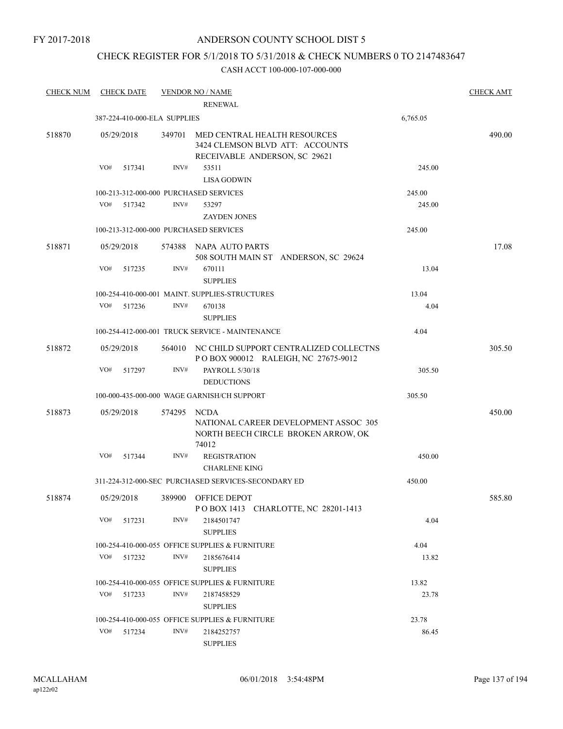## ANDERSON COUNTY SCHOOL DIST 5

## CHECK REGISTER FOR 5/1/2018 TO 5/31/2018 & CHECK NUMBERS 0 TO 2147483647

| <b>CHECK NUM</b> |            | <b>CHECK DATE</b> |                              | <b>VENDOR NO / NAME</b><br><b>RENEWAL</b>                                                        |          | <b>CHECK AMT</b> |
|------------------|------------|-------------------|------------------------------|--------------------------------------------------------------------------------------------------|----------|------------------|
|                  |            |                   | 387-224-410-000-ELA SUPPLIES |                                                                                                  | 6,765.05 |                  |
| 518870           | 05/29/2018 |                   | 349701                       | MED CENTRAL HEALTH RESOURCES<br>3424 CLEMSON BLVD ATT: ACCOUNTS<br>RECEIVABLE ANDERSON, SC 29621 |          | 490.00           |
|                  | VO#        | 517341            | INV#                         | 53511<br><b>LISA GODWIN</b>                                                                      | 245.00   |                  |
|                  |            |                   |                              | 100-213-312-000-000 PURCHASED SERVICES                                                           | 245.00   |                  |
|                  | VO#        | 517342            | INV#                         | 53297<br><b>ZAYDEN JONES</b>                                                                     | 245.00   |                  |
|                  |            |                   |                              | 100-213-312-000-000 PURCHASED SERVICES                                                           | 245.00   |                  |
| 518871           | 05/29/2018 |                   |                              | 574388 NAPA AUTO PARTS<br>508 SOUTH MAIN ST ANDERSON, SC 29624                                   |          | 17.08            |
|                  | VO#        | 517235            | INV#                         | 670111<br><b>SUPPLIES</b>                                                                        | 13.04    |                  |
|                  |            |                   |                              | 100-254-410-000-001 MAINT. SUPPLIES-STRUCTURES                                                   | 13.04    |                  |
|                  | VO#        | 517236            | INV#                         | 670138<br><b>SUPPLIES</b>                                                                        | 4.04     |                  |
|                  |            |                   |                              | 100-254-412-000-001 TRUCK SERVICE - MAINTENANCE                                                  | 4.04     |                  |
| 518872           | 05/29/2018 |                   |                              | 564010 NC CHILD SUPPORT CENTRALIZED COLLECTNS<br>POBOX 900012 RALEIGH, NC 27675-9012             |          | 305.50           |
|                  | VO#        | 517297            | INV#                         | PAYROLL 5/30/18<br><b>DEDUCTIONS</b>                                                             | 305.50   |                  |
|                  |            |                   |                              | 100-000-435-000-000 WAGE GARNISH/CH SUPPORT                                                      | 305.50   |                  |
| 518873           | 05/29/2018 |                   | 574295                       | NCDA<br>NATIONAL CAREER DEVELOPMENT ASSOC 305<br>NORTH BEECH CIRCLE BROKEN ARROW, OK<br>74012    |          | 450.00           |
|                  | VO#        | 517344            | INV#                         | <b>REGISTRATION</b><br><b>CHARLENE KING</b>                                                      | 450.00   |                  |
|                  |            |                   |                              | 311-224-312-000-SEC PURCHASED SERVICES-SECONDARY ED                                              | 450.00   |                  |
| 518874           | 05/29/2018 |                   |                              | 389900 OFFICE DEPOT<br>POBOX 1413 CHARLOTTE, NC 28201-1413                                       |          | 585.80           |
|                  | VO#        | 517231            | INV#                         | 2184501747<br><b>SUPPLIES</b>                                                                    | 4.04     |                  |
|                  |            |                   |                              | 100-254-410-000-055 OFFICE SUPPLIES & FURNITURE                                                  | 4.04     |                  |
|                  | VO#        | 517232            | INV#                         | 2185676414<br><b>SUPPLIES</b>                                                                    | 13.82    |                  |
|                  |            |                   |                              | 100-254-410-000-055 OFFICE SUPPLIES & FURNITURE                                                  | 13.82    |                  |
|                  | VO#        | 517233            | INV#                         | 2187458529<br><b>SUPPLIES</b>                                                                    | 23.78    |                  |
|                  |            |                   |                              | 100-254-410-000-055 OFFICE SUPPLIES & FURNITURE                                                  | 23.78    |                  |
|                  | VO#        | 517234            | INV#                         | 2184252757<br><b>SUPPLIES</b>                                                                    | 86.45    |                  |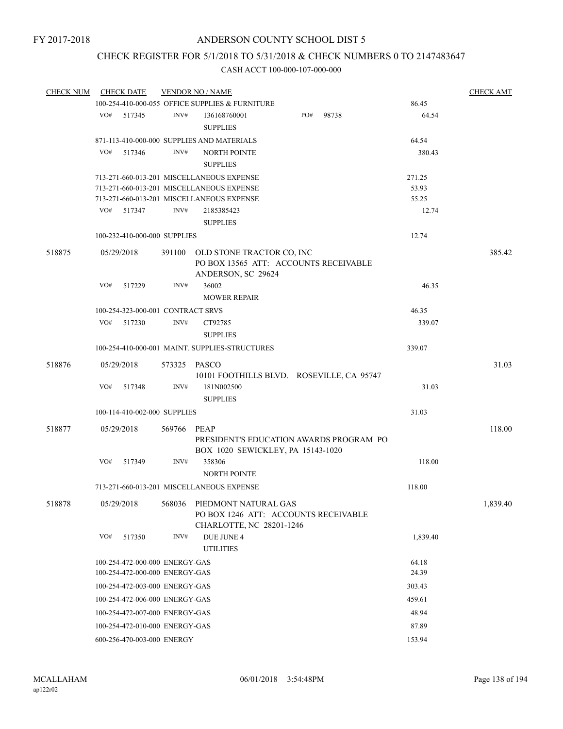## CHECK REGISTER FOR 5/1/2018 TO 5/31/2018 & CHECK NUMBERS 0 TO 2147483647

| <b>CHECK NUM</b> | <b>CHECK DATE</b><br><b>VENDOR NO / NAME</b> |        |                                           |                                                                                      |  |     |       |          |          |
|------------------|----------------------------------------------|--------|-------------------------------------------|--------------------------------------------------------------------------------------|--|-----|-------|----------|----------|
|                  |                                              |        |                                           | 100-254-410-000-055 OFFICE SUPPLIES & FURNITURE                                      |  |     |       | 86.45    |          |
|                  | VO#                                          | 517345 | INV#                                      | 136168760001<br><b>SUPPLIES</b>                                                      |  | PO# | 98738 | 64.54    |          |
|                  |                                              |        |                                           |                                                                                      |  |     |       |          |          |
|                  |                                              |        |                                           | 871-113-410-000-000 SUPPLIES AND MATERIALS                                           |  |     |       | 64.54    |          |
|                  | VO#                                          | 517346 | INV#                                      | <b>NORTH POINTE</b><br><b>SUPPLIES</b>                                               |  |     |       | 380.43   |          |
|                  |                                              |        | 713-271-660-013-201 MISCELLANEOUS EXPENSE | 271.25                                                                               |  |     |       |          |          |
|                  | 713-271-660-013-201 MISCELLANEOUS EXPENSE    |        |                                           |                                                                                      |  |     |       |          |          |
|                  |                                              |        |                                           | 713-271-660-013-201 MISCELLANEOUS EXPENSE                                            |  |     |       |          |          |
|                  | VO#                                          | 517347 | INV#                                      | 2185385423<br><b>SUPPLIES</b>                                                        |  |     |       | 12.74    |          |
|                  |                                              |        | 100-232-410-000-000 SUPPLIES              |                                                                                      |  |     |       | 12.74    |          |
| 518875           | 05/29/2018                                   |        |                                           | 391100 OLD STONE TRACTOR CO, INC                                                     |  |     |       |          | 385.42   |
|                  |                                              |        |                                           | PO BOX 13565 ATT: ACCOUNTS RECEIVABLE                                                |  |     |       |          |          |
|                  |                                              |        |                                           | ANDERSON, SC 29624                                                                   |  |     |       |          |          |
|                  | VO#                                          | 517229 | INV#                                      | 36002                                                                                |  |     |       | 46.35    |          |
|                  |                                              |        |                                           | <b>MOWER REPAIR</b>                                                                  |  |     |       |          |          |
|                  |                                              |        | 100-254-323-000-001 CONTRACT SRVS         | 46.35                                                                                |  |     |       |          |          |
|                  | VO#                                          | 517230 | INV#                                      | CT92785                                                                              |  |     |       | 339.07   |          |
|                  |                                              |        |                                           | <b>SUPPLIES</b>                                                                      |  |     |       |          |          |
|                  |                                              |        |                                           |                                                                                      |  |     |       |          |          |
|                  |                                              |        |                                           | 100-254-410-000-001 MAINT. SUPPLIES-STRUCTURES                                       |  |     |       | 339.07   |          |
| 518876           | 05/29/2018                                   |        | 573325 PASCO                              |                                                                                      |  |     |       |          | 31.03    |
|                  |                                              |        |                                           | 10101 FOOTHILLS BLVD. ROSEVILLE, CA 95747                                            |  |     |       |          |          |
|                  | VO#                                          | 517348 | INV#                                      | 181N002500                                                                           |  |     |       | 31.03    |          |
|                  |                                              |        |                                           | <b>SUPPLIES</b>                                                                      |  |     |       |          |          |
|                  |                                              |        | 100-114-410-002-000 SUPPLIES              |                                                                                      |  |     |       | 31.03    |          |
| 518877           | 05/29/2018                                   |        | 569766                                    | PEAP<br>PRESIDENT'S EDUCATION AWARDS PROGRAM PO<br>BOX 1020 SEWICKLEY, PA 15143-1020 |  |     |       |          | 118.00   |
|                  | VO#                                          | 517349 | INV#                                      | 358306<br><b>NORTH POINTE</b>                                                        |  |     |       | 118.00   |          |
|                  |                                              |        |                                           | 713-271-660-013-201 MISCELLANEOUS EXPENSE                                            |  |     |       | 118.00   |          |
| 518878           | 05/29/2018                                   |        | 568036                                    | PIEDMONT NATURAL GAS                                                                 |  |     |       |          | 1,839.40 |
|                  |                                              |        |                                           | PO BOX 1246 ATT: ACCOUNTS RECEIVABLE<br>CHARLOTTE, NC 28201-1246                     |  |     |       |          |          |
|                  | VO#                                          | 517350 | INV#                                      | DUE JUNE 4                                                                           |  |     |       | 1,839.40 |          |
|                  |                                              |        |                                           | <b>UTILITIES</b>                                                                     |  |     |       |          |          |
|                  |                                              |        | 100-254-472-000-000 ENERGY-GAS            |                                                                                      |  |     |       | 64.18    |          |
|                  |                                              |        | 100-254-472-000-000 ENERGY-GAS            | 24.39                                                                                |  |     |       |          |          |
|                  | 100-254-472-003-000 ENERGY-GAS<br>303.43     |        |                                           |                                                                                      |  |     |       |          |          |
|                  | 100-254-472-006-000 ENERGY-GAS               |        |                                           |                                                                                      |  |     |       |          |          |
|                  | 100-254-472-007-000 ENERGY-GAS               |        |                                           |                                                                                      |  |     |       | 48.94    |          |
|                  | 100-254-472-010-000 ENERGY-GAS               |        |                                           |                                                                                      |  |     |       | 87.89    |          |
|                  |                                              |        | 600-256-470-003-000 ENERGY                | 153.94                                                                               |  |     |       |          |          |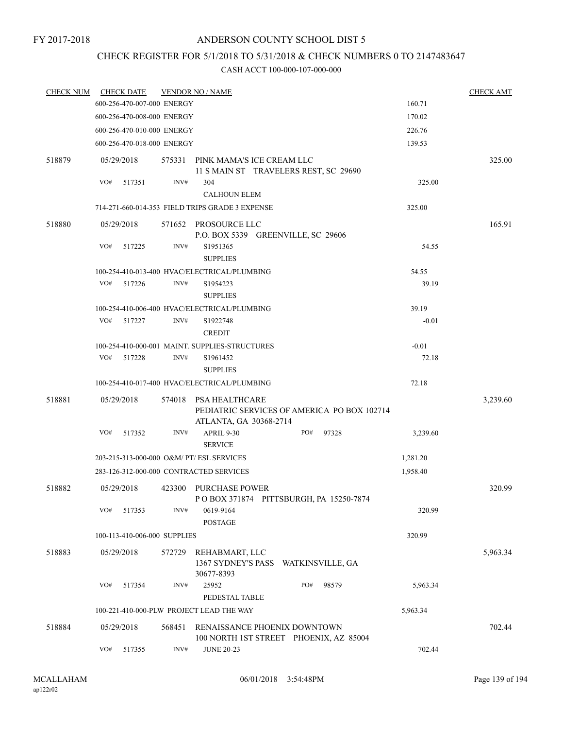# CHECK REGISTER FOR 5/1/2018 TO 5/31/2018 & CHECK NUMBERS 0 TO 2147483647

| <b>CHECK NUM</b> | <b>CHECK DATE</b>                         |        | <b>VENDOR NO / NAME</b>                                |                                             |          | <b>CHECK AMT</b> |
|------------------|-------------------------------------------|--------|--------------------------------------------------------|---------------------------------------------|----------|------------------|
|                  | 600-256-470-007-000 ENERGY                |        |                                                        | 160.71                                      |          |                  |
|                  | 600-256-470-008-000 ENERGY                |        |                                                        |                                             | 170.02   |                  |
|                  | 600-256-470-010-000 ENERGY                |        |                                                        |                                             | 226.76   |                  |
|                  | 600-256-470-018-000 ENERGY                |        |                                                        |                                             | 139.53   |                  |
| 518879           | 05/29/2018                                |        | 575331 PINK MAMA'S ICE CREAM LLC                       | 11 S MAIN ST TRAVELERS REST, SC 29690       |          | 325.00           |
|                  | VO#<br>517351                             | INV#   | 304                                                    |                                             | 325.00   |                  |
|                  |                                           |        | <b>CALHOUN ELEM</b>                                    |                                             |          |                  |
|                  |                                           |        | 714-271-660-014-353 FIELD TRIPS GRADE 3 EXPENSE        |                                             | 325.00   |                  |
| 518880           | 05/29/2018                                |        | 571652 PROSOURCE LLC                                   | P.O. BOX 5339 GREENVILLE, SC 29606          |          | 165.91           |
|                  | VO#<br>517225                             | INV#   | S1951365<br><b>SUPPLIES</b>                            |                                             | 54.55    |                  |
|                  |                                           |        | 100-254-410-013-400 HVAC/ELECTRICAL/PLUMBING           |                                             | 54.55    |                  |
|                  | VO#<br>517226                             | INV#   | S1954223<br><b>SUPPLIES</b>                            |                                             | 39.19    |                  |
|                  |                                           |        | 100-254-410-006-400 HVAC/ELECTRICAL/PLUMBING           |                                             | 39.19    |                  |
|                  | VO#<br>517227                             | INV#   | S1922748                                               |                                             | $-0.01$  |                  |
|                  |                                           |        | <b>CREDIT</b>                                          |                                             |          |                  |
|                  |                                           |        | 100-254-410-000-001 MAINT, SUPPLIES-STRUCTURES         |                                             | $-0.01$  |                  |
|                  | VO#<br>517228                             | INV#   | S <sub>1961452</sub><br><b>SUPPLIES</b>                |                                             | 72.18    |                  |
|                  |                                           |        | 100-254-410-017-400 HVAC/ELECTRICAL/PLUMBING           |                                             | 72.18    |                  |
| 518881           | 05/29/2018                                | 574018 | PSA HEALTHCARE                                         | PEDIATRIC SERVICES OF AMERICA PO BOX 102714 |          | 3,239.60         |
|                  | VO#<br>517352                             | INV#   | ATLANTA, GA 30368-2714<br>APRIL 9-30<br><b>SERVICE</b> | PO#<br>97328                                | 3,239.60 |                  |
|                  | 203-215-313-000-000 O&M/ PT/ ESL SERVICES |        |                                                        |                                             | 1,281.20 |                  |
|                  | 283-126-312-000-000 CONTRACTED SERVICES   |        |                                                        |                                             | 1,958.40 |                  |
| 518882           | 05/29/2018                                | 423300 | PURCHASE POWER                                         | POBOX 371874 PITTSBURGH, PA 15250-7874      |          | 320.99           |
|                  | VO#<br>517353                             | INV#   | 0619-9164<br><b>POSTAGE</b>                            |                                             | 320.99   |                  |
|                  | 100-113-410-006-000 SUPPLIES              |        |                                                        |                                             | 320.99   |                  |
| 518883           | 05/29/2018                                | 572729 | REHABMART, LLC<br>30677-8393                           | 1367 SYDNEY'S PASS WATKINSVILLE, GA         |          | 5,963.34         |
|                  | VO#<br>517354                             | INV#   | 25952<br>PEDESTAL TABLE                                | PO#<br>98579                                | 5,963.34 |                  |
|                  |                                           |        | 100-221-410-000-PLW PROJECT LEAD THE WAY               |                                             | 5,963.34 |                  |
| 518884           | 05/29/2018                                | 568451 |                                                        | RENAISSANCE PHOENIX DOWNTOWN                |          | 702.44           |
|                  | VO#<br>517355                             | INV#   | <b>JUNE 20-23</b>                                      | 100 NORTH 1ST STREET PHOENIX, AZ 85004      | 702.44   |                  |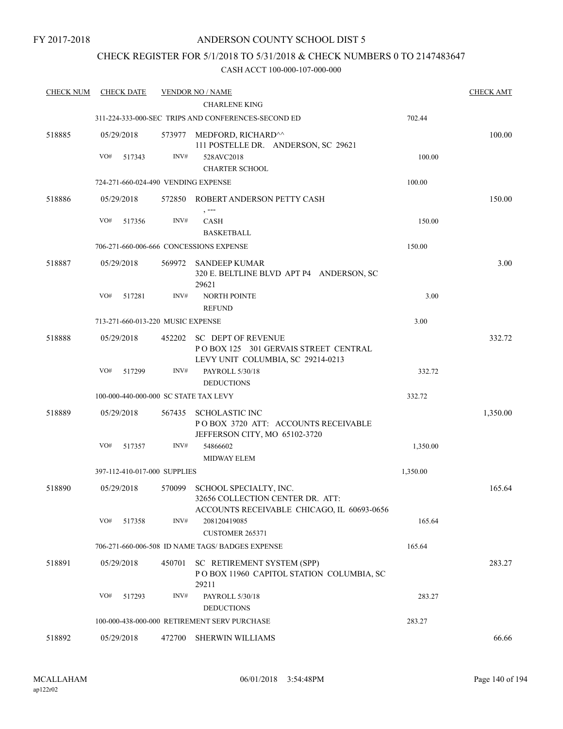## ANDERSON COUNTY SCHOOL DIST 5

## CHECK REGISTER FOR 5/1/2018 TO 5/31/2018 & CHECK NUMBERS 0 TO 2147483647

| <b>CHECK NUM</b> | <b>CHECK DATE</b>                     |        | <b>VENDOR NO / NAME</b>                                                                                  |          | <b>CHECK AMT</b> |
|------------------|---------------------------------------|--------|----------------------------------------------------------------------------------------------------------|----------|------------------|
|                  |                                       |        | <b>CHARLENE KING</b>                                                                                     |          |                  |
|                  |                                       |        | 311-224-333-000-SEC TRIPS AND CONFERENCES-SECOND ED                                                      | 702.44   |                  |
| 518885           | 05/29/2018                            |        | 573977 MEDFORD, RICHARD^^<br>111 POSTELLE DR. ANDERSON, SC 29621                                         |          | 100.00           |
|                  | VO#<br>517343                         | INV#   | 528AVC2018<br><b>CHARTER SCHOOL</b>                                                                      | 100.00   |                  |
|                  | 724-271-660-024-490 VENDING EXPENSE   |        |                                                                                                          | 100.00   |                  |
| 518886           | 05/29/2018                            |        | 572850 ROBERT ANDERSON PETTY CASH                                                                        |          | 150.00           |
|                  | VO#<br>517356                         | INV#   | $, --$<br><b>CASH</b><br><b>BASKETBALL</b>                                                               | 150.00   |                  |
|                  |                                       |        | 706-271-660-006-666 CONCESSIONS EXPENSE                                                                  | 150.00   |                  |
| 518887           | 05/29/2018                            |        | 569972 SANDEEP KUMAR<br>320 E. BELTLINE BLVD APT P4 ANDERSON, SC                                         |          | 3.00             |
|                  | VO#<br>517281                         | INV#   | 29621<br><b>NORTH POINTE</b><br><b>REFUND</b>                                                            | 3.00     |                  |
|                  | 713-271-660-013-220 MUSIC EXPENSE     |        |                                                                                                          | 3.00     |                  |
| 518888           | 05/29/2018                            |        | 452202 SC DEPT OF REVENUE<br>POBOX 125 301 GERVAIS STREET CENTRAL<br>LEVY UNIT COLUMBIA, SC 29214-0213   |          | 332.72           |
|                  | VO#<br>517299                         | INV#   | PAYROLL 5/30/18<br><b>DEDUCTIONS</b>                                                                     | 332.72   |                  |
|                  | 100-000-440-000-000 SC STATE TAX LEVY |        |                                                                                                          | 332.72   |                  |
| 518889           | 05/29/2018                            | 567435 | SCHOLASTIC INC<br>POBOX 3720 ATT: ACCOUNTS RECEIVABLE<br>JEFFERSON CITY, MO 65102-3720                   |          | 1,350.00         |
|                  | VO#<br>517357                         | INV#   | 54866602<br>MIDWAY ELEM                                                                                  | 1,350.00 |                  |
|                  | 397-112-410-017-000 SUPPLIES          |        |                                                                                                          | 1,350.00 |                  |
| 518890           | 05/29/2018                            | 570099 | SCHOOL SPECIALTY, INC.<br>32656 COLLECTION CENTER DR. ATT:<br>ACCOUNTS RECEIVABLE CHICAGO, IL 60693-0656 |          | 165.64           |
|                  | VO#<br>517358                         | INV#   | 208120419085<br><b>CUSTOMER 265371</b>                                                                   | 165.64   |                  |
|                  |                                       |        | 706-271-660-006-508 ID NAME TAGS/ BADGES EXPENSE                                                         | 165.64   |                  |
| 518891           | 05/29/2018                            | 450701 | SC RETIREMENT SYSTEM (SPP)<br>POBOX 11960 CAPITOL STATION COLUMBIA, SC<br>29211                          |          | 283.27           |
|                  | VO#<br>517293                         | INV#   | PAYROLL 5/30/18<br><b>DEDUCTIONS</b>                                                                     | 283.27   |                  |
|                  |                                       |        | 100-000-438-000-000 RETIREMENT SERV PURCHASE                                                             | 283.27   |                  |
| 518892           | 05/29/2018                            |        | 472700 SHERWIN WILLIAMS                                                                                  |          | 66.66            |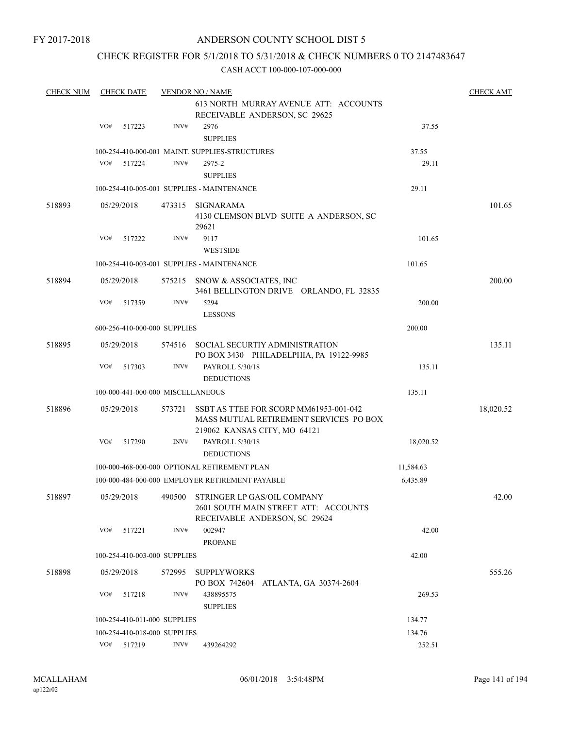## ANDERSON COUNTY SCHOOL DIST 5

## CHECK REGISTER FOR 5/1/2018 TO 5/31/2018 & CHECK NUMBERS 0 TO 2147483647

| 613 NORTH MURRAY AVENUE ATT: ACCOUNTS<br>RECEIVABLE ANDERSON, SC 29625<br>VO#<br>INV#<br>2976<br>37.55<br>517223<br><b>SUPPLIES</b><br>100-254-410-000-001 MAINT. SUPPLIES-STRUCTURES<br>37.55<br>VO#<br>INV#<br>517224<br>2975-2<br>29.11<br><b>SUPPLIES</b><br>100-254-410-005-001 SUPPLIES - MAINTENANCE<br>29.11<br>518893<br>05/29/2018<br>473315<br>SIGNARAMA<br>4130 CLEMSON BLVD SUITE A ANDERSON, SC<br>29621<br>9117<br>VO#<br>517222<br>INV#<br>101.65<br><b>WESTSIDE</b><br>100-254-410-003-001 SUPPLIES - MAINTENANCE<br>101.65<br>518894<br>05/29/2018<br>200.00<br>575215 SNOW & ASSOCIATES, INC<br>3461 BELLINGTON DRIVE ORLANDO, FL 32835<br>VO#<br>INV#<br>5294<br>517359<br>200.00<br><b>LESSONS</b><br>200.00<br>600-256-410-000-000 SUPPLIES<br>518895<br>05/29/2018<br>SOCIAL SECURTIY ADMINISTRATION<br>574516<br>PO BOX 3430 PHILADELPHIA, PA 19122-9985<br>VO#<br>INV#<br>517303<br>PAYROLL 5/30/18<br>135.11<br><b>DEDUCTIONS</b><br>135.11<br>100-000-441-000-000 MISCELLANEOUS<br>518896<br>05/29/2018<br>573721<br>SSBT AS TTEE FOR SCORP MM61953-001-042<br>18,020.52<br>MASS MUTUAL RETIREMENT SERVICES PO BOX<br>219062 KANSAS CITY, MO 64121<br>VO#<br>517290<br>INV#<br>PAYROLL 5/30/18<br>18,020.52<br><b>DEDUCTIONS</b><br>100-000-468-000-000 OPTIONAL RETIREMENT PLAN<br>11,584.63<br>6,435.89<br>100-000-484-000-000 EMPLOYER RETIREMENT PAYABLE<br>518897<br>05/29/2018<br>STRINGER LP GAS/OIL COMPANY<br>490500<br>2601 SOUTH MAIN STREET ATT: ACCOUNTS<br>RECEIVABLE ANDERSON, SC 29624<br>VO#<br>517221<br>INV#<br>002947<br>42.00<br><b>PROPANE</b><br>42.00<br>100-254-410-003-000 SUPPLIES<br>518898<br>05/29/2018<br>572995<br><b>SUPPLYWORKS</b><br>PO BOX 742604<br>ATLANTA, GA 30374-2604<br>VO#<br>INV#<br>438895575<br>517218<br>269.53<br><b>SUPPLIES</b><br>100-254-410-011-000 SUPPLIES<br>134.77<br>100-254-410-018-000 SUPPLIES | <b>CHECK NUM</b> | <b>CHECK DATE</b> | <b>VENDOR NO / NAME</b> |        | <b>CHECK AMT</b> |
|------------------------------------------------------------------------------------------------------------------------------------------------------------------------------------------------------------------------------------------------------------------------------------------------------------------------------------------------------------------------------------------------------------------------------------------------------------------------------------------------------------------------------------------------------------------------------------------------------------------------------------------------------------------------------------------------------------------------------------------------------------------------------------------------------------------------------------------------------------------------------------------------------------------------------------------------------------------------------------------------------------------------------------------------------------------------------------------------------------------------------------------------------------------------------------------------------------------------------------------------------------------------------------------------------------------------------------------------------------------------------------------------------------------------------------------------------------------------------------------------------------------------------------------------------------------------------------------------------------------------------------------------------------------------------------------------------------------------------------------------------------------------------------------------------------------------------------------------------------------------------------------|------------------|-------------------|-------------------------|--------|------------------|
|                                                                                                                                                                                                                                                                                                                                                                                                                                                                                                                                                                                                                                                                                                                                                                                                                                                                                                                                                                                                                                                                                                                                                                                                                                                                                                                                                                                                                                                                                                                                                                                                                                                                                                                                                                                                                                                                                          |                  |                   |                         |        |                  |
|                                                                                                                                                                                                                                                                                                                                                                                                                                                                                                                                                                                                                                                                                                                                                                                                                                                                                                                                                                                                                                                                                                                                                                                                                                                                                                                                                                                                                                                                                                                                                                                                                                                                                                                                                                                                                                                                                          |                  |                   |                         |        |                  |
|                                                                                                                                                                                                                                                                                                                                                                                                                                                                                                                                                                                                                                                                                                                                                                                                                                                                                                                                                                                                                                                                                                                                                                                                                                                                                                                                                                                                                                                                                                                                                                                                                                                                                                                                                                                                                                                                                          |                  |                   |                         |        |                  |
|                                                                                                                                                                                                                                                                                                                                                                                                                                                                                                                                                                                                                                                                                                                                                                                                                                                                                                                                                                                                                                                                                                                                                                                                                                                                                                                                                                                                                                                                                                                                                                                                                                                                                                                                                                                                                                                                                          |                  |                   |                         |        |                  |
|                                                                                                                                                                                                                                                                                                                                                                                                                                                                                                                                                                                                                                                                                                                                                                                                                                                                                                                                                                                                                                                                                                                                                                                                                                                                                                                                                                                                                                                                                                                                                                                                                                                                                                                                                                                                                                                                                          |                  |                   |                         |        |                  |
|                                                                                                                                                                                                                                                                                                                                                                                                                                                                                                                                                                                                                                                                                                                                                                                                                                                                                                                                                                                                                                                                                                                                                                                                                                                                                                                                                                                                                                                                                                                                                                                                                                                                                                                                                                                                                                                                                          |                  |                   |                         |        |                  |
|                                                                                                                                                                                                                                                                                                                                                                                                                                                                                                                                                                                                                                                                                                                                                                                                                                                                                                                                                                                                                                                                                                                                                                                                                                                                                                                                                                                                                                                                                                                                                                                                                                                                                                                                                                                                                                                                                          |                  |                   |                         |        |                  |
|                                                                                                                                                                                                                                                                                                                                                                                                                                                                                                                                                                                                                                                                                                                                                                                                                                                                                                                                                                                                                                                                                                                                                                                                                                                                                                                                                                                                                                                                                                                                                                                                                                                                                                                                                                                                                                                                                          |                  |                   |                         |        |                  |
|                                                                                                                                                                                                                                                                                                                                                                                                                                                                                                                                                                                                                                                                                                                                                                                                                                                                                                                                                                                                                                                                                                                                                                                                                                                                                                                                                                                                                                                                                                                                                                                                                                                                                                                                                                                                                                                                                          |                  |                   |                         |        | 101.65           |
|                                                                                                                                                                                                                                                                                                                                                                                                                                                                                                                                                                                                                                                                                                                                                                                                                                                                                                                                                                                                                                                                                                                                                                                                                                                                                                                                                                                                                                                                                                                                                                                                                                                                                                                                                                                                                                                                                          |                  |                   |                         |        |                  |
|                                                                                                                                                                                                                                                                                                                                                                                                                                                                                                                                                                                                                                                                                                                                                                                                                                                                                                                                                                                                                                                                                                                                                                                                                                                                                                                                                                                                                                                                                                                                                                                                                                                                                                                                                                                                                                                                                          |                  |                   |                         |        |                  |
|                                                                                                                                                                                                                                                                                                                                                                                                                                                                                                                                                                                                                                                                                                                                                                                                                                                                                                                                                                                                                                                                                                                                                                                                                                                                                                                                                                                                                                                                                                                                                                                                                                                                                                                                                                                                                                                                                          |                  |                   |                         |        |                  |
|                                                                                                                                                                                                                                                                                                                                                                                                                                                                                                                                                                                                                                                                                                                                                                                                                                                                                                                                                                                                                                                                                                                                                                                                                                                                                                                                                                                                                                                                                                                                                                                                                                                                                                                                                                                                                                                                                          |                  |                   |                         |        |                  |
|                                                                                                                                                                                                                                                                                                                                                                                                                                                                                                                                                                                                                                                                                                                                                                                                                                                                                                                                                                                                                                                                                                                                                                                                                                                                                                                                                                                                                                                                                                                                                                                                                                                                                                                                                                                                                                                                                          |                  |                   |                         |        |                  |
|                                                                                                                                                                                                                                                                                                                                                                                                                                                                                                                                                                                                                                                                                                                                                                                                                                                                                                                                                                                                                                                                                                                                                                                                                                                                                                                                                                                                                                                                                                                                                                                                                                                                                                                                                                                                                                                                                          |                  |                   |                         |        |                  |
|                                                                                                                                                                                                                                                                                                                                                                                                                                                                                                                                                                                                                                                                                                                                                                                                                                                                                                                                                                                                                                                                                                                                                                                                                                                                                                                                                                                                                                                                                                                                                                                                                                                                                                                                                                                                                                                                                          |                  |                   |                         |        |                  |
|                                                                                                                                                                                                                                                                                                                                                                                                                                                                                                                                                                                                                                                                                                                                                                                                                                                                                                                                                                                                                                                                                                                                                                                                                                                                                                                                                                                                                                                                                                                                                                                                                                                                                                                                                                                                                                                                                          |                  |                   |                         |        |                  |
|                                                                                                                                                                                                                                                                                                                                                                                                                                                                                                                                                                                                                                                                                                                                                                                                                                                                                                                                                                                                                                                                                                                                                                                                                                                                                                                                                                                                                                                                                                                                                                                                                                                                                                                                                                                                                                                                                          |                  |                   |                         |        |                  |
|                                                                                                                                                                                                                                                                                                                                                                                                                                                                                                                                                                                                                                                                                                                                                                                                                                                                                                                                                                                                                                                                                                                                                                                                                                                                                                                                                                                                                                                                                                                                                                                                                                                                                                                                                                                                                                                                                          |                  |                   |                         |        | 135.11           |
|                                                                                                                                                                                                                                                                                                                                                                                                                                                                                                                                                                                                                                                                                                                                                                                                                                                                                                                                                                                                                                                                                                                                                                                                                                                                                                                                                                                                                                                                                                                                                                                                                                                                                                                                                                                                                                                                                          |                  |                   |                         |        |                  |
|                                                                                                                                                                                                                                                                                                                                                                                                                                                                                                                                                                                                                                                                                                                                                                                                                                                                                                                                                                                                                                                                                                                                                                                                                                                                                                                                                                                                                                                                                                                                                                                                                                                                                                                                                                                                                                                                                          |                  |                   |                         |        |                  |
|                                                                                                                                                                                                                                                                                                                                                                                                                                                                                                                                                                                                                                                                                                                                                                                                                                                                                                                                                                                                                                                                                                                                                                                                                                                                                                                                                                                                                                                                                                                                                                                                                                                                                                                                                                                                                                                                                          |                  |                   |                         |        |                  |
|                                                                                                                                                                                                                                                                                                                                                                                                                                                                                                                                                                                                                                                                                                                                                                                                                                                                                                                                                                                                                                                                                                                                                                                                                                                                                                                                                                                                                                                                                                                                                                                                                                                                                                                                                                                                                                                                                          |                  |                   |                         |        |                  |
|                                                                                                                                                                                                                                                                                                                                                                                                                                                                                                                                                                                                                                                                                                                                                                                                                                                                                                                                                                                                                                                                                                                                                                                                                                                                                                                                                                                                                                                                                                                                                                                                                                                                                                                                                                                                                                                                                          |                  |                   |                         |        |                  |
|                                                                                                                                                                                                                                                                                                                                                                                                                                                                                                                                                                                                                                                                                                                                                                                                                                                                                                                                                                                                                                                                                                                                                                                                                                                                                                                                                                                                                                                                                                                                                                                                                                                                                                                                                                                                                                                                                          |                  |                   |                         |        |                  |
|                                                                                                                                                                                                                                                                                                                                                                                                                                                                                                                                                                                                                                                                                                                                                                                                                                                                                                                                                                                                                                                                                                                                                                                                                                                                                                                                                                                                                                                                                                                                                                                                                                                                                                                                                                                                                                                                                          |                  |                   |                         |        |                  |
|                                                                                                                                                                                                                                                                                                                                                                                                                                                                                                                                                                                                                                                                                                                                                                                                                                                                                                                                                                                                                                                                                                                                                                                                                                                                                                                                                                                                                                                                                                                                                                                                                                                                                                                                                                                                                                                                                          |                  |                   |                         |        |                  |
|                                                                                                                                                                                                                                                                                                                                                                                                                                                                                                                                                                                                                                                                                                                                                                                                                                                                                                                                                                                                                                                                                                                                                                                                                                                                                                                                                                                                                                                                                                                                                                                                                                                                                                                                                                                                                                                                                          |                  |                   |                         |        |                  |
|                                                                                                                                                                                                                                                                                                                                                                                                                                                                                                                                                                                                                                                                                                                                                                                                                                                                                                                                                                                                                                                                                                                                                                                                                                                                                                                                                                                                                                                                                                                                                                                                                                                                                                                                                                                                                                                                                          |                  |                   |                         |        |                  |
|                                                                                                                                                                                                                                                                                                                                                                                                                                                                                                                                                                                                                                                                                                                                                                                                                                                                                                                                                                                                                                                                                                                                                                                                                                                                                                                                                                                                                                                                                                                                                                                                                                                                                                                                                                                                                                                                                          |                  |                   |                         |        | 42.00            |
|                                                                                                                                                                                                                                                                                                                                                                                                                                                                                                                                                                                                                                                                                                                                                                                                                                                                                                                                                                                                                                                                                                                                                                                                                                                                                                                                                                                                                                                                                                                                                                                                                                                                                                                                                                                                                                                                                          |                  |                   |                         |        |                  |
|                                                                                                                                                                                                                                                                                                                                                                                                                                                                                                                                                                                                                                                                                                                                                                                                                                                                                                                                                                                                                                                                                                                                                                                                                                                                                                                                                                                                                                                                                                                                                                                                                                                                                                                                                                                                                                                                                          |                  |                   |                         |        |                  |
|                                                                                                                                                                                                                                                                                                                                                                                                                                                                                                                                                                                                                                                                                                                                                                                                                                                                                                                                                                                                                                                                                                                                                                                                                                                                                                                                                                                                                                                                                                                                                                                                                                                                                                                                                                                                                                                                                          |                  |                   |                         |        |                  |
|                                                                                                                                                                                                                                                                                                                                                                                                                                                                                                                                                                                                                                                                                                                                                                                                                                                                                                                                                                                                                                                                                                                                                                                                                                                                                                                                                                                                                                                                                                                                                                                                                                                                                                                                                                                                                                                                                          |                  |                   |                         |        | 555.26           |
|                                                                                                                                                                                                                                                                                                                                                                                                                                                                                                                                                                                                                                                                                                                                                                                                                                                                                                                                                                                                                                                                                                                                                                                                                                                                                                                                                                                                                                                                                                                                                                                                                                                                                                                                                                                                                                                                                          |                  |                   |                         |        |                  |
|                                                                                                                                                                                                                                                                                                                                                                                                                                                                                                                                                                                                                                                                                                                                                                                                                                                                                                                                                                                                                                                                                                                                                                                                                                                                                                                                                                                                                                                                                                                                                                                                                                                                                                                                                                                                                                                                                          |                  |                   |                         |        |                  |
|                                                                                                                                                                                                                                                                                                                                                                                                                                                                                                                                                                                                                                                                                                                                                                                                                                                                                                                                                                                                                                                                                                                                                                                                                                                                                                                                                                                                                                                                                                                                                                                                                                                                                                                                                                                                                                                                                          |                  |                   |                         |        |                  |
|                                                                                                                                                                                                                                                                                                                                                                                                                                                                                                                                                                                                                                                                                                                                                                                                                                                                                                                                                                                                                                                                                                                                                                                                                                                                                                                                                                                                                                                                                                                                                                                                                                                                                                                                                                                                                                                                                          |                  |                   |                         |        |                  |
|                                                                                                                                                                                                                                                                                                                                                                                                                                                                                                                                                                                                                                                                                                                                                                                                                                                                                                                                                                                                                                                                                                                                                                                                                                                                                                                                                                                                                                                                                                                                                                                                                                                                                                                                                                                                                                                                                          |                  |                   |                         |        |                  |
| VO# 517219<br>INV#<br>439264292<br>252.51                                                                                                                                                                                                                                                                                                                                                                                                                                                                                                                                                                                                                                                                                                                                                                                                                                                                                                                                                                                                                                                                                                                                                                                                                                                                                                                                                                                                                                                                                                                                                                                                                                                                                                                                                                                                                                                |                  |                   |                         |        |                  |
|                                                                                                                                                                                                                                                                                                                                                                                                                                                                                                                                                                                                                                                                                                                                                                                                                                                                                                                                                                                                                                                                                                                                                                                                                                                                                                                                                                                                                                                                                                                                                                                                                                                                                                                                                                                                                                                                                          |                  |                   |                         | 134.76 |                  |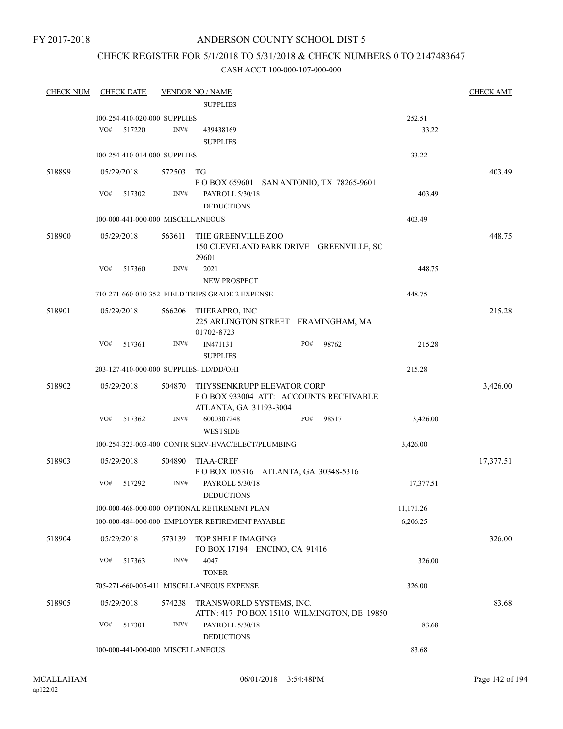#### ANDERSON COUNTY SCHOOL DIST 5

## CHECK REGISTER FOR 5/1/2018 TO 5/31/2018 & CHECK NUMBERS 0 TO 2147483647

| <b>CHECK NUM</b> | <b>CHECK DATE</b>                       |        | <b>VENDOR NO / NAME</b>                                                 |           | <b>CHECK AMT</b> |
|------------------|-----------------------------------------|--------|-------------------------------------------------------------------------|-----------|------------------|
|                  |                                         |        | <b>SUPPLIES</b>                                                         |           |                  |
|                  | 100-254-410-020-000 SUPPLIES            |        |                                                                         | 252.51    |                  |
|                  | VO#<br>517220                           | INV#   | 439438169                                                               | 33.22     |                  |
|                  |                                         |        | <b>SUPPLIES</b>                                                         |           |                  |
|                  | 100-254-410-014-000 SUPPLIES            |        |                                                                         | 33.22     |                  |
| 518899           | 05/29/2018                              | 572503 | TG                                                                      |           | 403.49           |
|                  |                                         |        | P O BOX 659601 SAN ANTONIO, TX 78265-9601                               |           |                  |
|                  | VO#<br>517302                           | INV#   | PAYROLL 5/30/18                                                         | 403.49    |                  |
|                  |                                         |        | <b>DEDUCTIONS</b>                                                       |           |                  |
|                  | 100-000-441-000-000 MISCELLANEOUS       |        |                                                                         | 403.49    |                  |
| 518900           | 05/29/2018                              | 563611 | THE GREENVILLE ZOO                                                      |           | 448.75           |
|                  |                                         |        | 150 CLEVELAND PARK DRIVE GREENVILLE, SC                                 |           |                  |
|                  | VO#<br>517360                           | INV#   | 29601<br>2021                                                           | 448.75    |                  |
|                  |                                         |        | <b>NEW PROSPECT</b>                                                     |           |                  |
|                  |                                         |        | 710-271-660-010-352 FIELD TRIPS GRADE 2 EXPENSE                         | 448.75    |                  |
|                  |                                         |        |                                                                         |           |                  |
| 518901           | 05/29/2018                              | 566206 | THERAPRO, INC<br>225 ARLINGTON STREET FRAMINGHAM, MA                    |           | 215.28           |
|                  |                                         |        | 01702-8723                                                              |           |                  |
|                  | VO#<br>517361                           | INV#   | PO#<br>IN471131<br>98762                                                | 215.28    |                  |
|                  |                                         |        | <b>SUPPLIES</b>                                                         |           |                  |
|                  | 203-127-410-000-000 SUPPLIES- LD/DD/OHI |        |                                                                         | 215.28    |                  |
| 518902           | 05/29/2018                              | 504870 | THYSSENKRUPP ELEVATOR CORP                                              |           | 3,426.00         |
|                  |                                         |        | PO BOX 933004 ATT: ACCOUNTS RECEIVABLE                                  |           |                  |
|                  |                                         |        | ATLANTA, GA 31193-3004                                                  |           |                  |
|                  | VO#<br>517362                           | INV#   | 6000307248<br>PO#<br>98517                                              | 3,426.00  |                  |
|                  |                                         |        | <b>WESTSIDE</b>                                                         |           |                  |
|                  |                                         |        | 100-254-323-003-400 CONTR SERV-HVAC/ELECT/PLUMBING                      | 3,426.00  |                  |
| 518903           | 05/29/2018                              | 504890 | <b>TIAA-CREF</b>                                                        |           | 17,377.51        |
|                  |                                         |        | POBOX 105316 ATLANTA, GA 30348-5316                                     |           |                  |
|                  | VO#<br>517292                           | INV#   | PAYROLL 5/30/18<br><b>DEDUCTIONS</b>                                    | 17,377.51 |                  |
|                  |                                         |        | 100-000-468-000-000 OPTIONAL RETIREMENT PLAN                            | 11,171.26 |                  |
|                  |                                         |        | 100-000-484-000-000 EMPLOYER RETIREMENT PAYABLE                         | 6,206.25  |                  |
|                  |                                         |        |                                                                         |           |                  |
| 518904           | 05/29/2018                              | 573139 | TOP SHELF IMAGING                                                       |           | 326.00           |
|                  | VO#<br>517363                           | INV#   | PO BOX 17194 ENCINO, CA 91416<br>4047                                   | 326.00    |                  |
|                  |                                         |        | <b>TONER</b>                                                            |           |                  |
|                  |                                         |        | 705-271-660-005-411 MISCELLANEOUS EXPENSE                               | 326.00    |                  |
| 518905           |                                         |        |                                                                         |           |                  |
|                  | 05/29/2018                              | 574238 | TRANSWORLD SYSTEMS, INC.<br>ATTN: 417 PO BOX 15110 WILMINGTON, DE 19850 |           | 83.68            |
|                  | VO#<br>517301                           | INV#   | PAYROLL 5/30/18                                                         | 83.68     |                  |
|                  |                                         |        | <b>DEDUCTIONS</b>                                                       |           |                  |
|                  | 100-000-441-000-000 MISCELLANEOUS       |        | 83.68                                                                   |           |                  |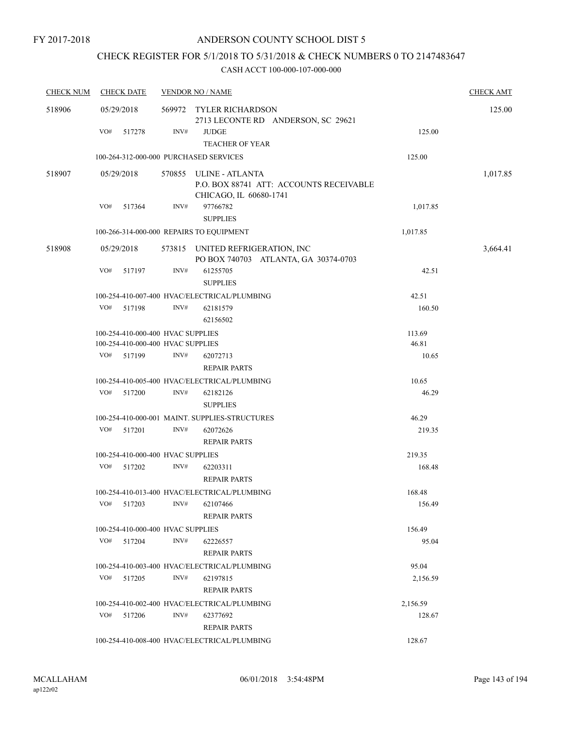## CHECK REGISTER FOR 5/1/2018 TO 5/31/2018 & CHECK NUMBERS 0 TO 2147483647

| <b>CHECK NUM</b> | <b>CHECK DATE</b>                                                      | <b>VENDOR NO / NAME</b> |                                                                                             |                 |          |  |  |
|------------------|------------------------------------------------------------------------|-------------------------|---------------------------------------------------------------------------------------------|-----------------|----------|--|--|
| 518906           | 05/29/2018                                                             |                         | 569972 TYLER RICHARDSON<br>2713 LECONTE RD ANDERSON, SC 29621                               |                 | 125.00   |  |  |
|                  | VO#<br>517278                                                          | INV#                    | <b>JUDGE</b><br><b>TEACHER OF YEAR</b>                                                      | 125.00          |          |  |  |
|                  |                                                                        |                         | 100-264-312-000-000 PURCHASED SERVICES                                                      | 125.00          |          |  |  |
| 518907           | 05/29/2018                                                             |                         | 570855 ULINE - ATLANTA<br>P.O. BOX 88741 ATT: ACCOUNTS RECEIVABLE<br>CHICAGO, IL 60680-1741 |                 | 1,017.85 |  |  |
|                  | VO#<br>517364                                                          | INV#                    | 97766782<br><b>SUPPLIES</b>                                                                 | 1,017.85        |          |  |  |
|                  |                                                                        |                         | 100-266-314-000-000 REPAIRS TO EQUIPMENT                                                    | 1,017.85        |          |  |  |
| 518908           | 05/29/2018                                                             |                         | 573815 UNITED REFRIGERATION, INC<br>PO BOX 740703 ATLANTA, GA 30374-0703                    |                 | 3,664.41 |  |  |
|                  | VO#<br>517197                                                          | INV#                    | 61255705<br><b>SUPPLIES</b>                                                                 | 42.51           |          |  |  |
|                  |                                                                        |                         | 100-254-410-007-400 HVAC/ELECTRICAL/PLUMBING                                                | 42.51           |          |  |  |
|                  | VO#<br>517198                                                          | INV#                    | 62181579<br>62156502                                                                        | 160.50          |          |  |  |
|                  | 100-254-410-000-400 HVAC SUPPLIES<br>100-254-410-000-400 HVAC SUPPLIES |                         |                                                                                             | 113.69<br>46.81 |          |  |  |
|                  | VO#<br>517199                                                          | INV#                    | 62072713<br><b>REPAIR PARTS</b>                                                             | 10.65           |          |  |  |
|                  |                                                                        |                         | 100-254-410-005-400 HVAC/ELECTRICAL/PLUMBING                                                | 10.65           |          |  |  |
|                  | VO#<br>517200                                                          | INV#                    | 62182126<br><b>SUPPLIES</b>                                                                 | 46.29           |          |  |  |
|                  |                                                                        |                         | 100-254-410-000-001 MAINT. SUPPLIES-STRUCTURES                                              | 46.29           |          |  |  |
|                  | VO#<br>517201                                                          | INV#                    | 62072626<br><b>REPAIR PARTS</b>                                                             | 219.35          |          |  |  |
|                  | 100-254-410-000-400 HVAC SUPPLIES                                      |                         |                                                                                             | 219.35          |          |  |  |
|                  | VO#<br>517202                                                          | INV#                    | 62203311<br><b>REPAIR PARTS</b>                                                             | 168.48          |          |  |  |
|                  |                                                                        |                         | 100-254-410-013-400 HVAC/ELECTRICAL/PLUMBING                                                | 168.48          |          |  |  |
|                  | VO#<br>517203                                                          | INV#                    | 62107466<br><b>REPAIR PARTS</b>                                                             | 156.49          |          |  |  |
|                  | 100-254-410-000-400 HVAC SUPPLIES                                      |                         |                                                                                             | 156.49          |          |  |  |
|                  | VO#<br>517204                                                          | INV#                    | 62226557<br><b>REPAIR PARTS</b>                                                             | 95.04           |          |  |  |
|                  |                                                                        |                         | 100-254-410-003-400 HVAC/ELECTRICAL/PLUMBING                                                | 95.04           |          |  |  |
|                  | VO#<br>517205                                                          | INV#                    | 62197815<br><b>REPAIR PARTS</b>                                                             | 2,156.59        |          |  |  |
|                  |                                                                        |                         | 100-254-410-002-400 HVAC/ELECTRICAL/PLUMBING                                                | 2,156.59        |          |  |  |
|                  | VO#<br>517206                                                          | INV#                    | 62377692<br><b>REPAIR PARTS</b>                                                             | 128.67          |          |  |  |
|                  |                                                                        |                         | 100-254-410-008-400 HVAC/ELECTRICAL/PLUMBING                                                | 128.67          |          |  |  |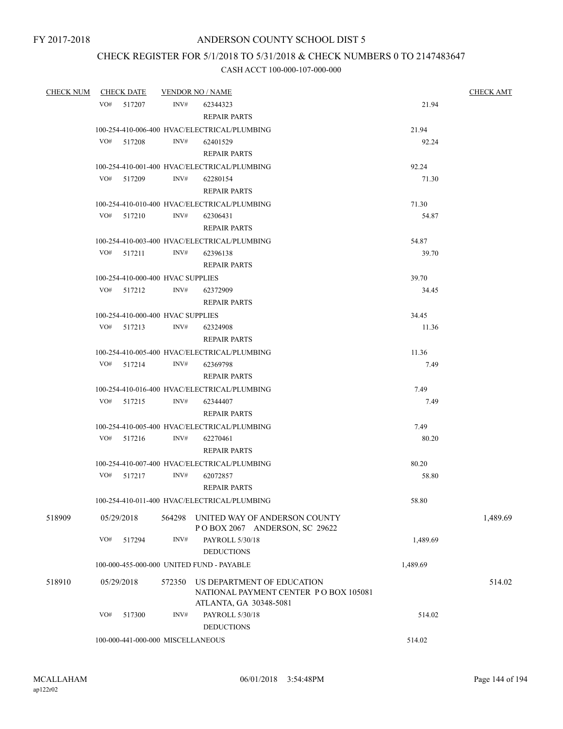## CHECK REGISTER FOR 5/1/2018 TO 5/31/2018 & CHECK NUMBERS 0 TO 2147483647

| <b>CHECK NUM</b> |     | <b>CHECK DATE</b> |                                              | <b>VENDOR NO / NAME</b>                      | <b>CHECK AMT</b> |          |
|------------------|-----|-------------------|----------------------------------------------|----------------------------------------------|------------------|----------|
|                  |     | VO# 517207        | INV#                                         | 62344323                                     | 21.94            |          |
|                  |     |                   |                                              | <b>REPAIR PARTS</b>                          |                  |          |
|                  |     |                   | 100-254-410-006-400 HVAC/ELECTRICAL/PLUMBING | 21.94                                        |                  |          |
|                  |     | VO# 517208        | INV#                                         | 62401529                                     | 92.24            |          |
|                  |     |                   |                                              | <b>REPAIR PARTS</b>                          |                  |          |
|                  |     |                   |                                              | 100-254-410-001-400 HVAC/ELECTRICAL/PLUMBING | 92.24            |          |
|                  |     | VO# 517209        | INV#                                         | 62280154                                     | 71.30            |          |
|                  |     |                   |                                              | <b>REPAIR PARTS</b>                          |                  |          |
|                  |     |                   | 100-254-410-010-400 HVAC/ELECTRICAL/PLUMBING | 71.30                                        |                  |          |
|                  |     | VO# 517210        | INV#                                         | 62306431                                     | 54.87            |          |
|                  |     |                   |                                              | <b>REPAIR PARTS</b>                          |                  |          |
|                  |     |                   |                                              | 100-254-410-003-400 HVAC/ELECTRICAL/PLUMBING | 54.87            |          |
|                  |     | VO# 517211        | INV#                                         | 62396138                                     | 39.70            |          |
|                  |     |                   |                                              | <b>REPAIR PARTS</b>                          |                  |          |
|                  |     |                   | 100-254-410-000-400 HVAC SUPPLIES            | 39.70                                        |                  |          |
|                  |     |                   | VO# 517212 INV#                              | 62372909                                     | 34.45            |          |
|                  |     |                   |                                              | <b>REPAIR PARTS</b>                          |                  |          |
|                  |     |                   | 100-254-410-000-400 HVAC SUPPLIES            |                                              | 34.45            |          |
|                  |     | VO# 517213        | INV#                                         | 62324908                                     | 11.36            |          |
|                  |     |                   |                                              | <b>REPAIR PARTS</b>                          |                  |          |
|                  |     |                   |                                              | 100-254-410-005-400 HVAC/ELECTRICAL/PLUMBING | 11.36            |          |
|                  |     | VO# 517214        | INV#                                         | 62369798                                     | 7.49             |          |
|                  |     |                   |                                              | <b>REPAIR PARTS</b>                          |                  |          |
|                  |     |                   | 100-254-410-016-400 HVAC/ELECTRICAL/PLUMBING | 7.49                                         |                  |          |
|                  |     | VO# 517215        | INV#                                         | 62344407                                     | 7.49             |          |
|                  |     |                   |                                              | <b>REPAIR PARTS</b>                          |                  |          |
|                  |     |                   |                                              | 100-254-410-005-400 HVAC/ELECTRICAL/PLUMBING | 7.49             |          |
|                  |     | VO# 517216        | INV#                                         | 62270461                                     | 80.20            |          |
|                  |     |                   |                                              | <b>REPAIR PARTS</b>                          |                  |          |
|                  |     |                   |                                              | 100-254-410-007-400 HVAC/ELECTRICAL/PLUMBING | 80.20            |          |
|                  |     | VO# 517217        | INV#                                         | 62072857                                     | 58.80            |          |
|                  |     |                   |                                              | <b>REPAIR PARTS</b>                          |                  |          |
|                  |     |                   |                                              | 100-254-410-011-400 HVAC/ELECTRICAL/PLUMBING | 58.80            |          |
| 518909           |     | 05/29/2018        | 564298                                       | UNITED WAY OF ANDERSON COUNTY                |                  | 1,489.69 |
|                  |     |                   |                                              | POBOX 2067 ANDERSON, SC 29622                |                  |          |
|                  | VO# | 517294            | INV#                                         | PAYROLL 5/30/18                              | 1,489.69         |          |
|                  |     |                   |                                              | <b>DEDUCTIONS</b>                            |                  |          |
|                  |     |                   |                                              | 100-000-455-000-000 UNITED FUND - PAYABLE    | 1,489.69         |          |
| 518910           |     | 05/29/2018        | 572350                                       | US DEPARTMENT OF EDUCATION                   |                  | 514.02   |
|                  |     |                   |                                              | NATIONAL PAYMENT CENTER PO BOX 105081        |                  |          |
|                  |     |                   |                                              | ATLANTA, GA 30348-5081                       |                  |          |
|                  | VO# | 517300            | INV#                                         | PAYROLL 5/30/18                              | 514.02           |          |
|                  |     |                   |                                              | <b>DEDUCTIONS</b>                            |                  |          |
|                  |     |                   | 100-000-441-000-000 MISCELLANEOUS            | 514.02                                       |                  |          |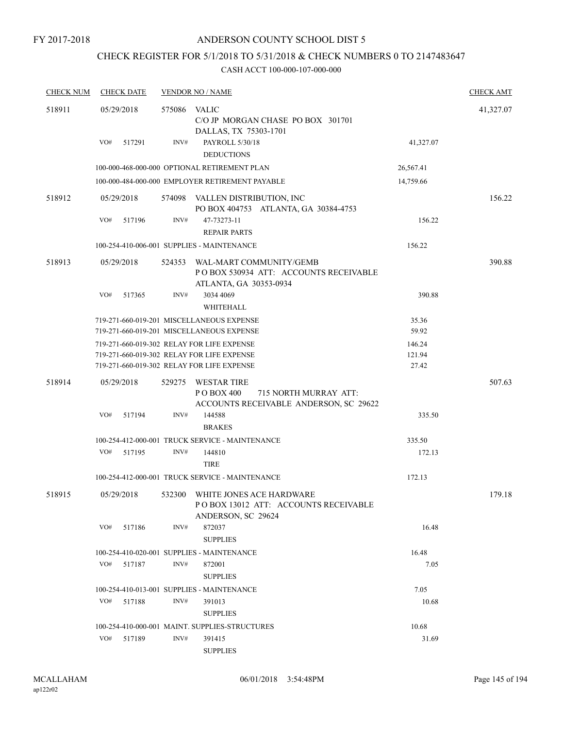## CHECK REGISTER FOR 5/1/2018 TO 5/31/2018 & CHECK NUMBERS 0 TO 2147483647

| <b>CHECK NUM</b> | <b>CHECK DATE</b> |        | <b>VENDOR NO / NAME</b>                                                                              |           | <b>CHECK AMT</b> |
|------------------|-------------------|--------|------------------------------------------------------------------------------------------------------|-----------|------------------|
| 518911           | 05/29/2018        | 575086 | VALIC<br>C/O JP MORGAN CHASE PO BOX 301701<br>DALLAS, TX 75303-1701                                  |           | 41,327.07        |
|                  | VO#<br>517291     | INV#   | PAYROLL 5/30/18<br><b>DEDUCTIONS</b>                                                                 | 41,327.07 |                  |
|                  |                   |        | 100-000-468-000-000 OPTIONAL RETIREMENT PLAN                                                         | 26,567.41 |                  |
|                  |                   |        | 100-000-484-000-000 EMPLOYER RETIREMENT PAYABLE                                                      | 14,759.66 |                  |
| 518912           | 05/29/2018        | 574098 | VALLEN DISTRIBUTION, INC<br>PO BOX 404753 ATLANTA, GA 30384-4753                                     |           | 156.22           |
|                  | VO#<br>517196     | INV#   | 47-73273-11<br><b>REPAIR PARTS</b>                                                                   | 156.22    |                  |
|                  |                   |        | 100-254-410-006-001 SUPPLIES - MAINTENANCE                                                           | 156.22    |                  |
| 518913           | 05/29/2018        | 524353 | WAL-MART COMMUNITY/GEMB<br>PO BOX 530934 ATT: ACCOUNTS RECEIVABLE<br>ATLANTA, GA 30353-0934          |           | 390.88           |
|                  | VO#<br>517365     | INV#   | 3034 4069<br>WHITEHALL                                                                               | 390.88    |                  |
|                  |                   |        | 719-271-660-019-201 MISCELLANEOUS EXPENSE                                                            | 35.36     |                  |
|                  |                   |        | 719-271-660-019-201 MISCELLANEOUS EXPENSE                                                            | 59.92     |                  |
|                  |                   |        | 719-271-660-019-302 RELAY FOR LIFE EXPENSE                                                           | 146.24    |                  |
|                  |                   |        | 719-271-660-019-302 RELAY FOR LIFE EXPENSE                                                           | 121.94    |                  |
|                  |                   |        | 719-271-660-019-302 RELAY FOR LIFE EXPENSE                                                           | 27.42     |                  |
| 518914           | 05/29/2018        | 529275 | <b>WESTAR TIRE</b><br>P O BOX 400<br>715 NORTH MURRAY ATT:<br>ACCOUNTS RECEIVABLE ANDERSON, SC 29622 |           | 507.63           |
|                  | VO#<br>517194     | INV#   | 144588<br><b>BRAKES</b>                                                                              | 335.50    |                  |
|                  |                   |        | 100-254-412-000-001 TRUCK SERVICE - MAINTENANCE                                                      | 335.50    |                  |
|                  | VO#<br>517195     | INV#   | 144810<br><b>TIRE</b>                                                                                | 172.13    |                  |
|                  |                   |        | 100-254-412-000-001 TRUCK SERVICE - MAINTENANCE                                                      | 172.13    |                  |
| 518915           | 05/29/2018        | 532300 | WHITE JONES ACE HARDWARE<br>POBOX 13012 ATT: ACCOUNTS RECEIVABLE<br>ANDERSON, SC 29624               |           | 179.18           |
|                  | VO#<br>517186     | INV#   | 872037<br><b>SUPPLIES</b>                                                                            | 16.48     |                  |
|                  |                   |        | 100-254-410-020-001 SUPPLIES - MAINTENANCE                                                           | 16.48     |                  |
|                  | VO#<br>517187     | INV#   | 872001<br><b>SUPPLIES</b>                                                                            | 7.05      |                  |
|                  |                   |        | 100-254-410-013-001 SUPPLIES - MAINTENANCE                                                           | 7.05      |                  |
|                  | VO#<br>517188     | INV#   | 391013                                                                                               | 10.68     |                  |
|                  |                   |        | <b>SUPPLIES</b>                                                                                      |           |                  |
|                  |                   |        | 100-254-410-000-001 MAINT. SUPPLIES-STRUCTURES                                                       | 10.68     |                  |
|                  | VO#<br>517189     | INV#   | 391415                                                                                               | 31.69     |                  |
|                  |                   |        | <b>SUPPLIES</b>                                                                                      |           |                  |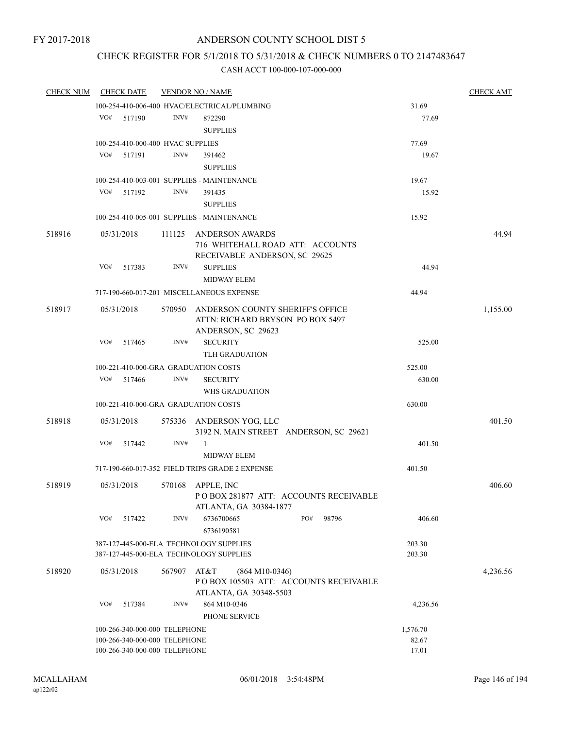## CHECK REGISTER FOR 5/1/2018 TO 5/31/2018 & CHECK NUMBERS 0 TO 2147483647

| <b>CHECK NUM</b> |     | <b>CHECK DATE</b>                 | <b>VENDOR NO / NAME</b> |                                                 | <b>CHECK AMT</b>                       |          |          |
|------------------|-----|-----------------------------------|-------------------------|-------------------------------------------------|----------------------------------------|----------|----------|
|                  |     |                                   |                         | 100-254-410-006-400 HVAC/ELECTRICAL/PLUMBING    |                                        | 31.69    |          |
|                  | VO# | 517190                            | INV#                    | 872290                                          |                                        | 77.69    |          |
|                  |     |                                   |                         | <b>SUPPLIES</b>                                 |                                        |          |          |
|                  |     | 100-254-410-000-400 HVAC SUPPLIES |                         |                                                 |                                        | 77.69    |          |
|                  | VO# | 517191                            | INV#                    | 391462                                          |                                        | 19.67    |          |
|                  |     |                                   |                         | <b>SUPPLIES</b>                                 |                                        |          |          |
|                  |     |                                   |                         | 100-254-410-003-001 SUPPLIES - MAINTENANCE      |                                        | 19.67    |          |
|                  | VO# | 517192                            | INV#                    | 391435                                          |                                        | 15.92    |          |
|                  |     |                                   |                         | <b>SUPPLIES</b>                                 |                                        |          |          |
|                  |     |                                   |                         | 100-254-410-005-001 SUPPLIES - MAINTENANCE      |                                        | 15.92    |          |
|                  |     |                                   |                         |                                                 |                                        |          |          |
| 518916           |     | 05/31/2018                        | 111125                  | <b>ANDERSON AWARDS</b>                          |                                        |          | 44.94    |
|                  |     |                                   |                         | 716 WHITEHALL ROAD ATT: ACCOUNTS                |                                        |          |          |
|                  |     |                                   |                         | RECEIVABLE ANDERSON, SC 29625                   |                                        |          |          |
|                  | VO# | 517383                            | INV#                    | <b>SUPPLIES</b>                                 |                                        | 44.94    |          |
|                  |     |                                   |                         | <b>MIDWAY ELEM</b>                              |                                        |          |          |
|                  |     |                                   |                         | 717-190-660-017-201 MISCELLANEOUS EXPENSE       |                                        | 44.94    |          |
| 518917           |     | 05/31/2018                        | 570950                  | ANDERSON COUNTY SHERIFF'S OFFICE                |                                        |          | 1,155.00 |
|                  |     |                                   |                         | ATTN: RICHARD BRYSON PO BOX 5497                |                                        |          |          |
|                  |     |                                   |                         | ANDERSON, SC 29623                              |                                        |          |          |
|                  | VO# | 517465                            | INV#                    | <b>SECURITY</b>                                 |                                        | 525.00   |          |
|                  |     |                                   |                         | <b>TLH GRADUATION</b>                           |                                        |          |          |
|                  |     |                                   |                         | 100-221-410-000-GRA GRADUATION COSTS            |                                        | 525.00   |          |
|                  | VO# | 517466                            | INV#                    | <b>SECURITY</b>                                 |                                        | 630.00   |          |
|                  |     |                                   |                         | WHS GRADUATION                                  |                                        |          |          |
|                  |     |                                   |                         | 100-221-410-000-GRA GRADUATION COSTS            |                                        | 630.00   |          |
| 518918           |     | 05/31/2018                        |                         | 575336 ANDERSON YOG, LLC                        |                                        |          | 401.50   |
|                  |     |                                   |                         |                                                 | 3192 N. MAIN STREET ANDERSON, SC 29621 |          |          |
|                  | VO# | 517442                            | INV#                    | $\mathbf{1}$                                    |                                        | 401.50   |          |
|                  |     |                                   |                         | <b>MIDWAY ELEM</b>                              |                                        |          |          |
|                  |     |                                   |                         | 717-190-660-017-352 FIELD TRIPS GRADE 2 EXPENSE |                                        | 401.50   |          |
|                  |     |                                   |                         |                                                 |                                        |          |          |
| 518919           |     | 05/31/2018                        | 570168                  | APPLE, INC                                      |                                        |          | 406.60   |
|                  |     |                                   |                         |                                                 | PO BOX 281877 ATT: ACCOUNTS RECEIVABLE |          |          |
|                  |     |                                   |                         | ATLANTA, GA 30384-1877                          |                                        |          |          |
|                  | VO# | 517422                            | INV#                    | 6736700665                                      | PO#<br>98796                           | 406.60   |          |
|                  |     |                                   |                         | 6736190581                                      |                                        |          |          |
|                  |     |                                   |                         | 387-127-445-000-ELA TECHNOLOGY SUPPLIES         |                                        | 203.30   |          |
|                  |     |                                   |                         | 387-127-445-000-ELA TECHNOLOGY SUPPLIES         |                                        | 203.30   |          |
| 518920           |     | 05/31/2018                        | 567907                  | AT&T<br>$(864 M10-0346)$                        |                                        |          | 4,236.56 |
|                  |     |                                   |                         |                                                 | PO BOX 105503 ATT: ACCOUNTS RECEIVABLE |          |          |
|                  |     |                                   |                         | ATLANTA, GA 30348-5503                          |                                        |          |          |
|                  | VO# | 517384                            | INV#                    | 864 M10-0346                                    |                                        | 4,236.56 |          |
|                  |     |                                   |                         | PHONE SERVICE                                   |                                        |          |          |
|                  |     | 100-266-340-000-000 TELEPHONE     |                         |                                                 |                                        | 1,576.70 |          |
|                  |     | 100-266-340-000-000 TELEPHONE     |                         |                                                 |                                        | 82.67    |          |
|                  |     | 100-266-340-000-000 TELEPHONE     |                         |                                                 |                                        | 17.01    |          |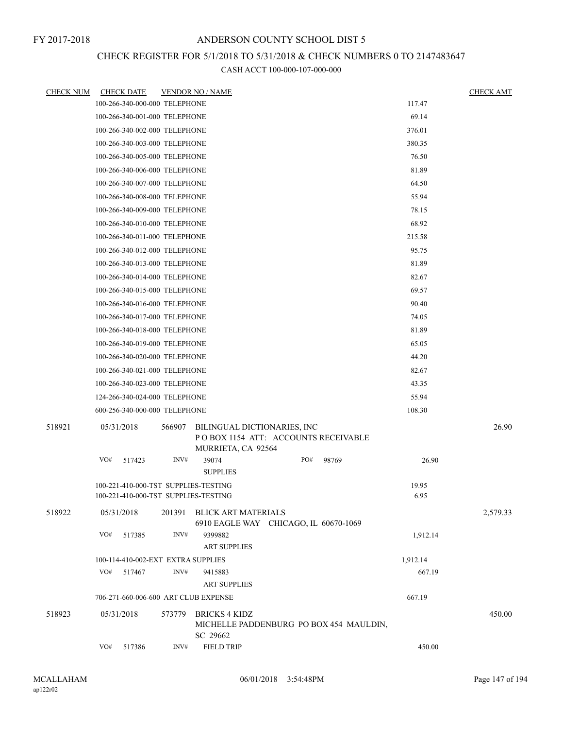## CHECK REGISTER FOR 5/1/2018 TO 5/31/2018 & CHECK NUMBERS 0 TO 2147483647

| <u>CHECK NUM</u> | <b>CHECK DATE</b>                                   |        | <b>VENDOR NO / NAME</b>                                                                  |     |       |                    | <b>CHECK AMT</b> |
|------------------|-----------------------------------------------------|--------|------------------------------------------------------------------------------------------|-----|-------|--------------------|------------------|
|                  | 100-266-340-000-000 TELEPHONE                       |        |                                                                                          |     |       | 117.47             |                  |
|                  | 100-266-340-001-000 TELEPHONE                       |        |                                                                                          |     |       | 69.14              |                  |
|                  | 100-266-340-002-000 TELEPHONE                       |        |                                                                                          |     |       | 376.01             |                  |
|                  | 100-266-340-003-000 TELEPHONE                       |        |                                                                                          |     |       | 380.35             |                  |
|                  | 100-266-340-005-000 TELEPHONE                       |        |                                                                                          |     |       | 76.50              |                  |
|                  | 100-266-340-006-000 TELEPHONE                       |        |                                                                                          |     |       | 81.89              |                  |
|                  | 100-266-340-007-000 TELEPHONE                       |        |                                                                                          |     |       | 64.50              |                  |
|                  | 100-266-340-008-000 TELEPHONE                       |        |                                                                                          |     |       | 55.94              |                  |
|                  | 100-266-340-009-000 TELEPHONE                       |        |                                                                                          |     |       | 78.15              |                  |
|                  | 100-266-340-010-000 TELEPHONE                       |        |                                                                                          |     |       | 68.92              |                  |
|                  | 100-266-340-011-000 TELEPHONE                       |        |                                                                                          |     |       | 215.58             |                  |
|                  | 100-266-340-012-000 TELEPHONE                       |        |                                                                                          |     |       | 95.75              |                  |
|                  | 100-266-340-013-000 TELEPHONE                       |        |                                                                                          |     |       | 81.89              |                  |
|                  | 100-266-340-014-000 TELEPHONE                       |        |                                                                                          |     |       | 82.67              |                  |
|                  | 100-266-340-015-000 TELEPHONE                       |        |                                                                                          |     |       | 69.57              |                  |
|                  | 100-266-340-016-000 TELEPHONE                       |        |                                                                                          |     |       | 90.40              |                  |
|                  | 100-266-340-017-000 TELEPHONE                       |        |                                                                                          |     |       | 74.05              |                  |
|                  | 100-266-340-018-000 TELEPHONE                       |        |                                                                                          |     |       | 81.89              |                  |
|                  | 100-266-340-019-000 TELEPHONE                       |        |                                                                                          |     |       | 65.05              |                  |
|                  | 100-266-340-020-000 TELEPHONE                       |        |                                                                                          |     |       | 44.20              |                  |
|                  | 100-266-340-021-000 TELEPHONE                       |        |                                                                                          |     |       | 82.67              |                  |
|                  | 100-266-340-023-000 TELEPHONE                       |        |                                                                                          |     |       | 43.35              |                  |
|                  | 124-266-340-024-000 TELEPHONE                       |        |                                                                                          |     |       | 55.94              |                  |
|                  | 600-256-340-000-000 TELEPHONE                       |        |                                                                                          |     |       | 108.30             |                  |
| 518921           | 05/31/2018                                          | 566907 | BILINGUAL DICTIONARIES, INC<br>POBOX 1154 ATT: ACCOUNTS RECEIVABLE<br>MURRIETA, CA 92564 |     |       |                    | 26.90            |
|                  | VO#<br>517423                                       | INV#   | 39074<br><b>SUPPLIES</b>                                                                 | PO# | 98769 | 26.90              |                  |
|                  | 100-221-410-000-TST SUPPLIES-TESTING                |        |                                                                                          |     |       | 19.95              |                  |
|                  | 100-221-410-000-TST SUPPLIES-TESTING                |        |                                                                                          |     |       | 6.95               |                  |
| 518922           | 05/31/2018                                          | 201391 | <b>BLICK ART MATERIALS</b><br>6910 EAGLE WAY CHICAGO, IL 60670-1069                      |     |       |                    | 2,579.33         |
|                  | VO#<br>517385                                       | INV#   | 9399882                                                                                  |     |       | 1,912.14           |                  |
|                  |                                                     |        | <b>ART SUPPLIES</b>                                                                      |     |       |                    |                  |
|                  | 100-114-410-002-EXT EXTRA SUPPLIES<br>VO#<br>517467 | INV#   | 9415883                                                                                  |     |       | 1,912.14<br>667.19 |                  |
|                  |                                                     |        | <b>ART SUPPLIES</b>                                                                      |     |       |                    |                  |
|                  | 706-271-660-006-600 ART CLUB EXPENSE                |        |                                                                                          |     |       | 667.19             |                  |
|                  |                                                     |        |                                                                                          |     |       |                    |                  |
| 518923           | 05/31/2018                                          | 573779 | <b>BRICKS 4 KIDZ</b><br>MICHELLE PADDENBURG PO BOX 454 MAULDIN,<br>SC 29662              |     |       |                    | 450.00           |
|                  | VO#<br>517386                                       | INV#   | <b>FIELD TRIP</b>                                                                        |     |       | 450.00             |                  |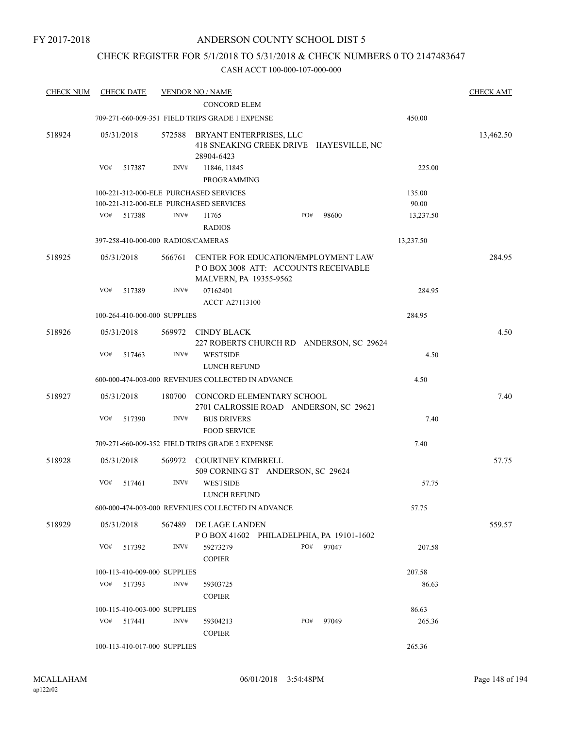## CHECK REGISTER FOR 5/1/2018 TO 5/31/2018 & CHECK NUMBERS 0 TO 2147483647

| <b>CHECK NUM</b> | <b>CHECK DATE</b>                                                                |        | <b>VENDOR NO / NAME</b>                                                                               |     |       |                 | <b>CHECK AMT</b> |
|------------------|----------------------------------------------------------------------------------|--------|-------------------------------------------------------------------------------------------------------|-----|-------|-----------------|------------------|
|                  |                                                                                  |        | <b>CONCORD ELEM</b>                                                                                   |     |       |                 |                  |
|                  |                                                                                  |        | 709-271-660-009-351 FIELD TRIPS GRADE 1 EXPENSE                                                       |     |       | 450.00          |                  |
| 518924           | 05/31/2018                                                                       | 572588 | BRYANT ENTERPRISES, LLC<br>418 SNEAKING CREEK DRIVE HAYESVILLE, NC<br>28904-6423                      |     |       |                 | 13,462.50        |
|                  | VO#<br>517387                                                                    | INV#   | 11846, 11845<br>PROGRAMMING                                                                           |     |       | 225.00          |                  |
|                  | 100-221-312-000-ELE PURCHASED SERVICES<br>100-221-312-000-ELE PURCHASED SERVICES |        |                                                                                                       |     |       | 135.00<br>90.00 |                  |
|                  | VO#<br>517388                                                                    | INV#   | 11765<br><b>RADIOS</b>                                                                                | PO# | 98600 | 13,237.50       |                  |
|                  | 397-258-410-000-000 RADIOS/CAMERAS                                               |        |                                                                                                       |     |       | 13,237.50       |                  |
| 518925           | 05/31/2018                                                                       | 566761 | CENTER FOR EDUCATION/EMPLOYMENT LAW<br>PO BOX 3008 ATT: ACCOUNTS RECEIVABLE<br>MALVERN, PA 19355-9562 |     |       |                 | 284.95           |
|                  | VO#<br>517389                                                                    | INV#   | 07162401<br><b>ACCT A27113100</b>                                                                     |     |       | 284.95          |                  |
|                  | 100-264-410-000-000 SUPPLIES                                                     |        |                                                                                                       |     |       | 284.95          |                  |
| 518926           | 05/31/2018                                                                       | 569972 | CINDY BLACK<br>227 ROBERTS CHURCH RD ANDERSON, SC 29624                                               |     |       |                 | 4.50             |
|                  | VO#<br>517463                                                                    | INV#   | <b>WESTSIDE</b><br>LUNCH REFUND                                                                       |     |       | 4.50            |                  |
|                  |                                                                                  |        | 600-000-474-003-000 REVENUES COLLECTED IN ADVANCE                                                     |     |       | 4.50            |                  |
| 518927           | 05/31/2018                                                                       | 180700 | CONCORD ELEMENTARY SCHOOL<br>2701 CALROSSIE ROAD ANDERSON, SC 29621                                   |     |       |                 | 7.40             |
|                  | VO#<br>517390                                                                    | INV#   | <b>BUS DRIVERS</b><br><b>FOOD SERVICE</b>                                                             |     |       | 7.40            |                  |
|                  |                                                                                  |        | 709-271-660-009-352 FIELD TRIPS GRADE 2 EXPENSE                                                       |     |       | 7.40            |                  |
| 518928           | 05/31/2018                                                                       | 569972 | <b>COURTNEY KIMBRELL</b><br>509 CORNING ST ANDERSON, SC 29624                                         |     |       |                 | 57.75            |
|                  | VO#<br>517461                                                                    | INV#   | <b>WESTSIDE</b><br>LUNCH REFUND                                                                       |     |       | 57.75           |                  |
|                  |                                                                                  |        | 600-000-474-003-000 REVENUES COLLECTED IN ADVANCE                                                     |     |       | 57.75           |                  |
| 518929           | 05/31/2018                                                                       | 567489 | DE LAGE LANDEN<br>POBOX 41602 PHILADELPHIA, PA 19101-1602                                             |     |       |                 | 559.57           |
|                  | VO#<br>517392                                                                    | INV#   | 59273279<br><b>COPIER</b>                                                                             | PO# | 97047 | 207.58          |                  |
|                  | 100-113-410-009-000 SUPPLIES                                                     |        |                                                                                                       |     |       | 207.58          |                  |
|                  | VO#<br>517393                                                                    | INV#   | 59303725<br><b>COPIER</b>                                                                             |     |       | 86.63           |                  |
|                  | 100-115-410-003-000 SUPPLIES                                                     |        |                                                                                                       |     |       | 86.63           |                  |
|                  | VO#<br>517441                                                                    | INV#   | 59304213<br><b>COPIER</b>                                                                             | PO# | 97049 | 265.36          |                  |
|                  | 100-113-410-017-000 SUPPLIES                                                     |        |                                                                                                       |     |       | 265.36          |                  |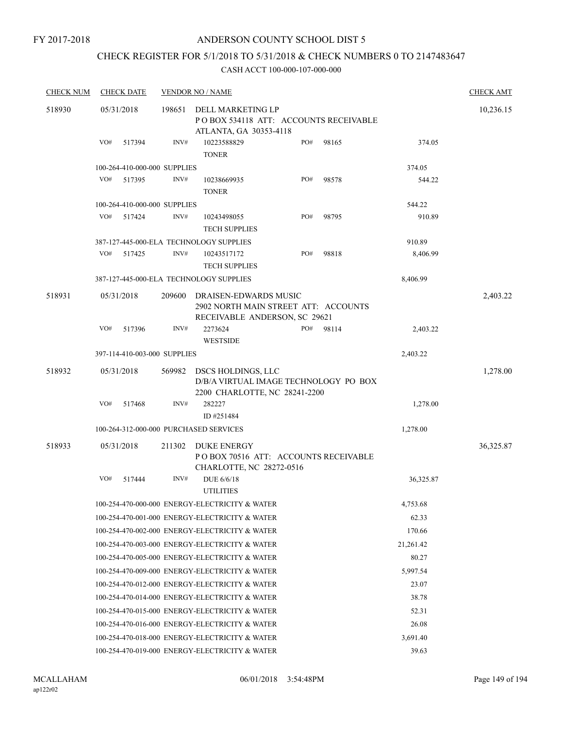## CHECK REGISTER FOR 5/1/2018 TO 5/31/2018 & CHECK NUMBERS 0 TO 2147483647

| <b>CHECK NUM</b> | <b>CHECK DATE</b>                      |        | <b>VENDOR NO / NAME</b>                                                                        |     |       |           | <b>CHECK AMT</b> |
|------------------|----------------------------------------|--------|------------------------------------------------------------------------------------------------|-----|-------|-----------|------------------|
| 518930           | 05/31/2018                             | 198651 | DELL MARKETING LP<br>POBOX 534118 ATT: ACCOUNTS RECEIVABLE                                     |     |       |           | 10,236.15        |
|                  | VO#<br>517394                          | INV#   | ATLANTA, GA 30353-4118<br>10223588829<br><b>TONER</b>                                          | PO# | 98165 | 374.05    |                  |
|                  | 100-264-410-000-000 SUPPLIES           |        |                                                                                                |     |       | 374.05    |                  |
|                  | VO#<br>517395                          | INV#   | 10238669935<br><b>TONER</b>                                                                    | PO# | 98578 | 544.22    |                  |
|                  | 100-264-410-000-000 SUPPLIES           |        |                                                                                                |     |       | 544.22    |                  |
|                  | VO#<br>517424                          | INV#   | 10243498055<br><b>TECH SUPPLIES</b>                                                            | PO# | 98795 | 910.89    |                  |
|                  |                                        |        | 387-127-445-000-ELA TECHNOLOGY SUPPLIES                                                        |     |       | 910.89    |                  |
|                  | VO#<br>517425                          | INV#   | 10243517172<br><b>TECH SUPPLIES</b>                                                            | PO# | 98818 | 8,406.99  |                  |
|                  |                                        |        | 387-127-445-000-ELA TECHNOLOGY SUPPLIES                                                        |     |       | 8,406.99  |                  |
| 518931           | 05/31/2018                             | 209600 | DRAISEN-EDWARDS MUSIC<br>2902 NORTH MAIN STREET ATT: ACCOUNTS<br>RECEIVABLE ANDERSON, SC 29621 |     |       |           | 2,403.22         |
|                  | VO#<br>517396                          | INV#   | 2273624<br><b>WESTSIDE</b>                                                                     | PO# | 98114 | 2,403.22  |                  |
|                  | 397-114-410-003-000 SUPPLIES           |        |                                                                                                |     |       | 2,403.22  |                  |
| 518932           | 05/31/2018                             | 569982 | DSCS HOLDINGS, LLC<br>D/B/A VIRTUAL IMAGE TECHNOLOGY PO BOX<br>2200 CHARLOTTE, NC 28241-2200   |     |       |           | 1,278.00         |
|                  | VO#<br>517468                          | INV#   | 282227<br>ID #251484                                                                           |     |       | 1,278.00  |                  |
|                  | 100-264-312-000-000 PURCHASED SERVICES |        |                                                                                                |     |       | 1,278.00  |                  |
| 518933           | 05/31/2018                             | 211302 | DUKE ENERGY<br>POBOX 70516 ATT: ACCOUNTS RECEIVABLE<br>CHARLOTTE, NC 28272-0516                |     |       |           | 36,325.87        |
|                  | VO#<br>517444                          | INV#   | DUE 6/6/18<br><b>UTILITIES</b>                                                                 |     |       | 36,325.87 |                  |
|                  |                                        |        | 100-254-470-000-000 ENERGY-ELECTRICITY & WATER                                                 |     |       | 4,753.68  |                  |
|                  |                                        |        | 100-254-470-001-000 ENERGY-ELECTRICITY & WATER                                                 |     |       | 62.33     |                  |
|                  |                                        |        | 100-254-470-002-000 ENERGY-ELECTRICITY & WATER                                                 |     |       | 170.66    |                  |
|                  |                                        |        | 100-254-470-003-000 ENERGY-ELECTRICITY & WATER                                                 |     |       | 21,261.42 |                  |
|                  |                                        |        | 100-254-470-005-000 ENERGY-ELECTRICITY & WATER                                                 |     |       | 80.27     |                  |
|                  |                                        |        | 100-254-470-009-000 ENERGY-ELECTRICITY & WATER                                                 |     |       | 5,997.54  |                  |
|                  |                                        |        | 100-254-470-012-000 ENERGY-ELECTRICITY & WATER                                                 |     |       | 23.07     |                  |
|                  |                                        |        | 100-254-470-014-000 ENERGY-ELECTRICITY & WATER                                                 |     |       | 38.78     |                  |
|                  |                                        |        | 100-254-470-015-000 ENERGY-ELECTRICITY & WATER                                                 |     |       | 52.31     |                  |
|                  |                                        |        | 100-254-470-016-000 ENERGY-ELECTRICITY & WATER                                                 |     |       | 26.08     |                  |
|                  |                                        |        | 100-254-470-018-000 ENERGY-ELECTRICITY & WATER                                                 |     |       | 3,691.40  |                  |
|                  |                                        |        | 100-254-470-019-000 ENERGY-ELECTRICITY & WATER                                                 |     |       | 39.63     |                  |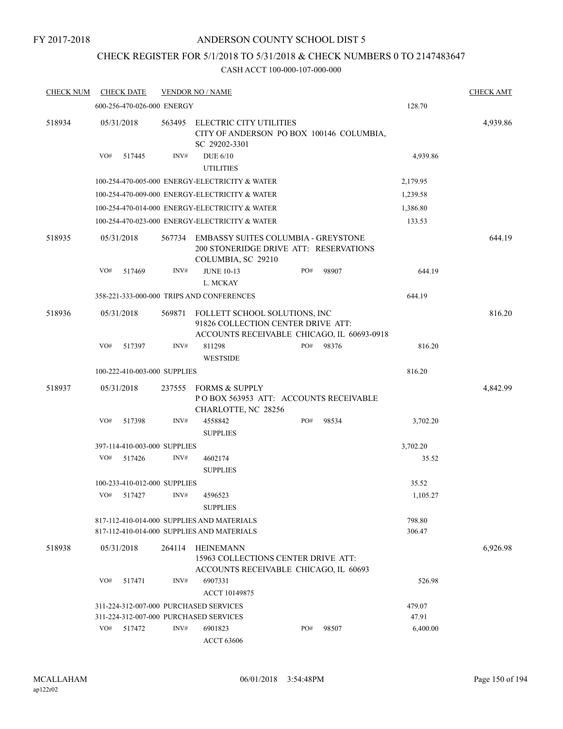### FY 2017-2018

### ANDERSON COUNTY SCHOOL DIST 5

## CHECK REGISTER FOR 5/1/2018 TO 5/31/2018 & CHECK NUMBERS 0 TO 2147483647

| <b>CHECK NUM</b> | <b>CHECK DATE</b>                      |        | <b>VENDOR NO / NAME</b>                                                                                           |     |       |                  | <b>CHECK AMT</b> |
|------------------|----------------------------------------|--------|-------------------------------------------------------------------------------------------------------------------|-----|-------|------------------|------------------|
|                  | 600-256-470-026-000 ENERGY             |        |                                                                                                                   |     |       | 128.70           |                  |
| 518934           | 05/31/2018                             | 563495 | ELECTRIC CITY UTILITIES<br>CITY OF ANDERSON PO BOX 100146 COLUMBIA,<br>SC 29202-3301                              |     |       |                  | 4,939.86         |
|                  | VO#<br>517445                          | INV#   | <b>DUE 6/10</b><br><b>UTILITIES</b>                                                                               |     |       | 4,939.86         |                  |
|                  |                                        |        | 100-254-470-005-000 ENERGY-ELECTRICITY & WATER                                                                    |     |       | 2,179.95         |                  |
|                  |                                        |        | 100-254-470-009-000 ENERGY-ELECTRICITY & WATER                                                                    |     |       | 1,239.58         |                  |
|                  |                                        |        | 100-254-470-014-000 ENERGY-ELECTRICITY & WATER                                                                    |     |       | 1,386.80         |                  |
|                  |                                        |        | 100-254-470-023-000 ENERGY-ELECTRICITY & WATER                                                                    |     |       | 133.53           |                  |
| 518935           | 05/31/2018                             | 567734 | EMBASSY SUITES COLUMBIA - GREYSTONE<br>200 STONERIDGE DRIVE ATT: RESERVATIONS<br>COLUMBIA, SC 29210               |     |       |                  | 644.19           |
|                  | VO#<br>517469                          | INV#   | <b>JUNE 10-13</b><br>L. MCKAY                                                                                     | PO# | 98907 | 644.19           |                  |
|                  |                                        |        | 358-221-333-000-000 TRIPS AND CONFERENCES                                                                         |     |       | 644.19           |                  |
| 518936           | 05/31/2018                             | 569871 | FOLLETT SCHOOL SOLUTIONS, INC<br>91826 COLLECTION CENTER DRIVE ATT:<br>ACCOUNTS RECEIVABLE CHICAGO, IL 60693-0918 |     |       |                  | 816.20           |
|                  | VO#<br>517397                          | INV#   | 811298<br><b>WESTSIDE</b>                                                                                         | PO# | 98376 | 816.20           |                  |
|                  | 100-222-410-003-000 SUPPLIES           |        |                                                                                                                   |     |       | 816.20           |                  |
| 518937           | 05/31/2018                             | 237555 | <b>FORMS &amp; SUPPLY</b><br>PO BOX 563953 ATT: ACCOUNTS RECEIVABLE<br>CHARLOTTE, NC 28256                        |     |       |                  | 4,842.99         |
|                  | VO#<br>517398                          | INV#   | 4558842<br><b>SUPPLIES</b>                                                                                        | PO# | 98534 | 3,702.20         |                  |
|                  | 397-114-410-003-000 SUPPLIES           |        |                                                                                                                   |     |       | 3,702.20         |                  |
|                  | VO#<br>517426                          | INV#   | 4602174<br><b>SUPPLIES</b>                                                                                        |     |       | 35.52            |                  |
|                  | 100-233-410-012-000 SUPPLIES           |        |                                                                                                                   |     |       | 35.52            |                  |
|                  | VO#<br>517427                          | INV#   | 4596523<br><b>SUPPLIES</b>                                                                                        |     |       | 1,105.27         |                  |
|                  |                                        |        | 817-112-410-014-000 SUPPLIES AND MATERIALS<br>817-112-410-014-000 SUPPLIES AND MATERIALS                          |     |       | 798.80<br>306.47 |                  |
| 518938           | 05/31/2018                             | 264114 | HEINEMANN<br>15963 COLLECTIONS CENTER DRIVE ATT:<br>ACCOUNTS RECEIVABLE CHICAGO, IL 60693                         |     |       |                  | 6,926.98         |
|                  | VO#<br>517471                          | INV#   | 6907331<br>ACCT 10149875                                                                                          |     |       | 526.98           |                  |
|                  | 311-224-312-007-000 PURCHASED SERVICES |        |                                                                                                                   |     |       | 479.07           |                  |
|                  | 311-224-312-007-000 PURCHASED SERVICES |        |                                                                                                                   |     |       | 47.91            |                  |
|                  | VO#<br>517472                          | INV#   | 6901823<br><b>ACCT 63606</b>                                                                                      | PO# | 98507 | 6,400.00         |                  |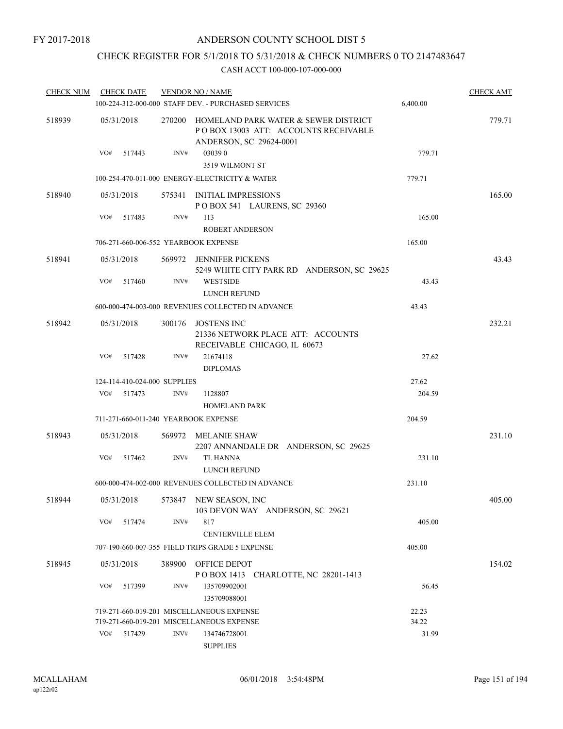## CHECK REGISTER FOR 5/1/2018 TO 5/31/2018 & CHECK NUMBERS 0 TO 2147483647

| <b>CHECK NUM</b> | <b>CHECK DATE</b>            |        |        | <b>VENDOR NO / NAME</b>                                                                                 |          | <b>CHECK AMT</b> |
|------------------|------------------------------|--------|--------|---------------------------------------------------------------------------------------------------------|----------|------------------|
|                  |                              |        |        | 100-224-312-000-000 STAFF DEV. - PURCHASED SERVICES                                                     | 6,400.00 |                  |
| 518939           | 05/31/2018                   |        | 270200 | HOMELAND PARK WATER & SEWER DISTRICT<br>POBOX 13003 ATT: ACCOUNTS RECEIVABLE<br>ANDERSON, SC 29624-0001 |          | 779.71           |
|                  | VO#                          | 517443 | INV#   | 030390<br>3519 WILMONT ST                                                                               | 779.71   |                  |
|                  |                              |        |        | 100-254-470-011-000 ENERGY-ELECTRICITY & WATER                                                          | 779.71   |                  |
| 518940           | 05/31/2018                   |        |        | 575341 INITIAL IMPRESSIONS<br>POBOX 541 LAURENS, SC 29360                                               |          | 165.00           |
|                  | VO#                          | 517483 | INV#   | 113<br><b>ROBERT ANDERSON</b>                                                                           | 165.00   |                  |
|                  |                              |        |        | 706-271-660-006-552 YEARBOOK EXPENSE                                                                    | 165.00   |                  |
| 518941           | 05/31/2018                   |        |        | 569972 JENNIFER PICKENS<br>5249 WHITE CITY PARK RD ANDERSON, SC 29625                                   |          | 43.43            |
|                  | VO#                          | 517460 | INV#   | <b>WESTSIDE</b><br>LUNCH REFUND                                                                         | 43.43    |                  |
|                  |                              |        |        | 600-000-474-003-000 REVENUES COLLECTED IN ADVANCE                                                       | 43.43    |                  |
| 518942           | 05/31/2018                   |        | 300176 | JOSTENS INC<br>21336 NETWORK PLACE ATT: ACCOUNTS<br>RECEIVABLE CHICAGO, IL 60673                        |          | 232.21           |
|                  | VO#                          | 517428 | INV#   | 21674118<br><b>DIPLOMAS</b>                                                                             | 27.62    |                  |
|                  | 124-114-410-024-000 SUPPLIES |        |        |                                                                                                         | 27.62    |                  |
|                  | VO#                          | 517473 | INV#   | 1128807<br><b>HOMELAND PARK</b>                                                                         | 204.59   |                  |
|                  |                              |        |        | 711-271-660-011-240 YEARBOOK EXPENSE                                                                    | 204.59   |                  |
| 518943           | 05/31/2018                   |        |        | 569972 MELANIE SHAW<br>2207 ANNANDALE DR ANDERSON, SC 29625                                             |          | 231.10           |
|                  | VO#                          | 517462 | INV#   | <b>TL HANNA</b><br>LUNCH REFUND                                                                         | 231.10   |                  |
|                  |                              |        |        | 600-000-474-002-000 REVENUES COLLECTED IN ADVANCE                                                       | 231.10   |                  |
| 518944           | 05/31/2018                   |        |        | 573847 NEW SEASON, INC<br>103 DEVON WAY ANDERSON, SC 29621                                              |          | 405.00           |
|                  | VO#                          | 517474 | INV#   | 817<br><b>CENTERVILLE ELEM</b>                                                                          | 405.00   |                  |
|                  |                              |        |        | 707-190-660-007-355 FIELD TRIPS GRADE 5 EXPENSE                                                         | 405.00   |                  |
| 518945           | 05/31/2018                   |        |        | 389900 OFFICE DEPOT<br>POBOX 1413 CHARLOTTE, NC 28201-1413                                              |          | 154.02           |
|                  | VO#                          | 517399 | INV#   | 135709902001<br>135709088001                                                                            | 56.45    |                  |
|                  |                              |        |        | 719-271-660-019-201 MISCELLANEOUS EXPENSE                                                               | 22.23    |                  |
|                  |                              |        |        | 719-271-660-019-201 MISCELLANEOUS EXPENSE                                                               | 34.22    |                  |
|                  | VO#                          | 517429 | INV#   | 134746728001<br><b>SUPPLIES</b>                                                                         | 31.99    |                  |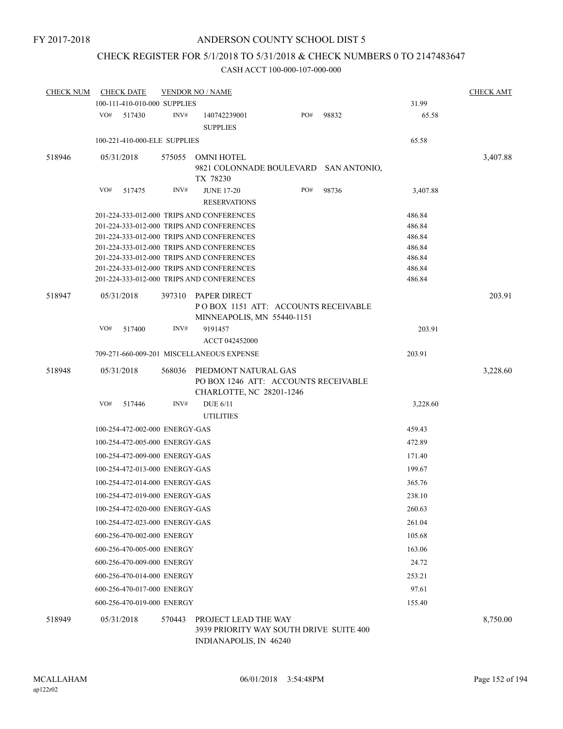## CHECK REGISTER FOR 5/1/2018 TO 5/31/2018 & CHECK NUMBERS 0 TO 2147483647

| <b>CHECK NUM</b> |                                                                                                            | <b>CHECK DATE</b>              |        | <b>VENDOR NO / NAME</b>                                                                   |     |       |          | <b>CHECK AMT</b> |  |  |  |  |
|------------------|------------------------------------------------------------------------------------------------------------|--------------------------------|--------|-------------------------------------------------------------------------------------------|-----|-------|----------|------------------|--|--|--|--|
|                  |                                                                                                            | 100-111-410-010-000 SUPPLIES   |        |                                                                                           |     |       | 31.99    |                  |  |  |  |  |
|                  | VO#                                                                                                        | 517430                         | INV#   | 140742239001<br><b>SUPPLIES</b>                                                           | PO# | 98832 | 65.58    |                  |  |  |  |  |
|                  |                                                                                                            | 100-221-410-000-ELE SUPPLIES   |        |                                                                                           |     |       | 65.58    |                  |  |  |  |  |
| 518946           |                                                                                                            | 05/31/2018                     | 575055 | OMNI HOTEL                                                                                |     |       |          | 3,407.88         |  |  |  |  |
|                  |                                                                                                            |                                |        | 9821 COLONNADE BOULEVARD SAN ANTONIO,<br>TX 78230                                         |     |       |          |                  |  |  |  |  |
|                  | VO#                                                                                                        | 517475                         | INV#   | <b>JUNE 17-20</b><br><b>RESERVATIONS</b>                                                  | PO# | 98736 | 3,407.88 |                  |  |  |  |  |
|                  | 201-224-333-012-000 TRIPS AND CONFERENCES<br>486.84                                                        |                                |        |                                                                                           |     |       |          |                  |  |  |  |  |
|                  | 201-224-333-012-000 TRIPS AND CONFERENCES<br>486.84                                                        |                                |        |                                                                                           |     |       |          |                  |  |  |  |  |
|                  | 201-224-333-012-000 TRIPS AND CONFERENCES<br>486.84                                                        |                                |        |                                                                                           |     |       |          |                  |  |  |  |  |
|                  | 201-224-333-012-000 TRIPS AND CONFERENCES<br>486.84                                                        |                                |        |                                                                                           |     |       |          |                  |  |  |  |  |
|                  | 201-224-333-012-000 TRIPS AND CONFERENCES<br>486.84<br>201-224-333-012-000 TRIPS AND CONFERENCES<br>486.84 |                                |        |                                                                                           |     |       |          |                  |  |  |  |  |
|                  |                                                                                                            |                                |        | 201-224-333-012-000 TRIPS AND CONFERENCES                                                 |     |       | 486.84   |                  |  |  |  |  |
| 518947           |                                                                                                            | 05/31/2018                     | 397310 | PAPER DIRECT<br>POBOX 1151 ATT: ACCOUNTS RECEIVABLE<br>MINNEAPOLIS, MN 55440-1151         |     |       |          | 203.91           |  |  |  |  |
|                  | VO#                                                                                                        | 517400                         | INV#   | 9191457<br>ACCT 042452000                                                                 |     |       | 203.91   |                  |  |  |  |  |
|                  |                                                                                                            |                                |        | 709-271-660-009-201 MISCELLANEOUS EXPENSE                                                 |     |       | 203.91   |                  |  |  |  |  |
| 518948           |                                                                                                            | 05/31/2018                     | 568036 | PIEDMONT NATURAL GAS<br>PO BOX 1246 ATT: ACCOUNTS RECEIVABLE                              |     |       |          | 3,228.60         |  |  |  |  |
|                  | VO#                                                                                                        |                                | INV#   | CHARLOTTE, NC 28201-1246                                                                  |     |       |          |                  |  |  |  |  |
|                  |                                                                                                            | 517446                         |        | <b>DUE 6/11</b><br><b>UTILITIES</b>                                                       |     |       | 3,228.60 |                  |  |  |  |  |
|                  |                                                                                                            | 100-254-472-002-000 ENERGY-GAS |        |                                                                                           |     |       | 459.43   |                  |  |  |  |  |
|                  |                                                                                                            | 100-254-472-005-000 ENERGY-GAS |        |                                                                                           |     |       | 472.89   |                  |  |  |  |  |
|                  |                                                                                                            | 100-254-472-009-000 ENERGY-GAS |        |                                                                                           |     |       | 171.40   |                  |  |  |  |  |
|                  |                                                                                                            | 100-254-472-013-000 ENERGY-GAS |        |                                                                                           |     |       | 199.67   |                  |  |  |  |  |
|                  |                                                                                                            | 100-254-472-014-000 ENERGY-GAS |        |                                                                                           |     |       | 365.76   |                  |  |  |  |  |
|                  |                                                                                                            | 100-254-472-019-000 ENERGY-GAS |        |                                                                                           |     |       | 238.10   |                  |  |  |  |  |
|                  |                                                                                                            | 100-254-472-020-000 ENERGY-GAS |        |                                                                                           |     |       | 260.63   |                  |  |  |  |  |
|                  |                                                                                                            | 100-254-472-023-000 ENERGY-GAS |        |                                                                                           |     |       | 261.04   |                  |  |  |  |  |
|                  |                                                                                                            | 600-256-470-002-000 ENERGY     |        |                                                                                           |     |       | 105.68   |                  |  |  |  |  |
|                  |                                                                                                            | 600-256-470-005-000 ENERGY     |        |                                                                                           |     |       | 163.06   |                  |  |  |  |  |
|                  |                                                                                                            | 600-256-470-009-000 ENERGY     |        |                                                                                           |     |       | 24.72    |                  |  |  |  |  |
|                  |                                                                                                            | 600-256-470-014-000 ENERGY     |        |                                                                                           |     |       | 253.21   |                  |  |  |  |  |
|                  |                                                                                                            | 600-256-470-017-000 ENERGY     |        |                                                                                           |     |       | 97.61    |                  |  |  |  |  |
|                  |                                                                                                            | 600-256-470-019-000 ENERGY     |        |                                                                                           |     |       | 155.40   |                  |  |  |  |  |
| 518949           |                                                                                                            | 05/31/2018                     | 570443 | PROJECT LEAD THE WAY<br>3939 PRIORITY WAY SOUTH DRIVE SUITE 400<br>INDIANAPOLIS, IN 46240 |     |       |          | 8,750.00         |  |  |  |  |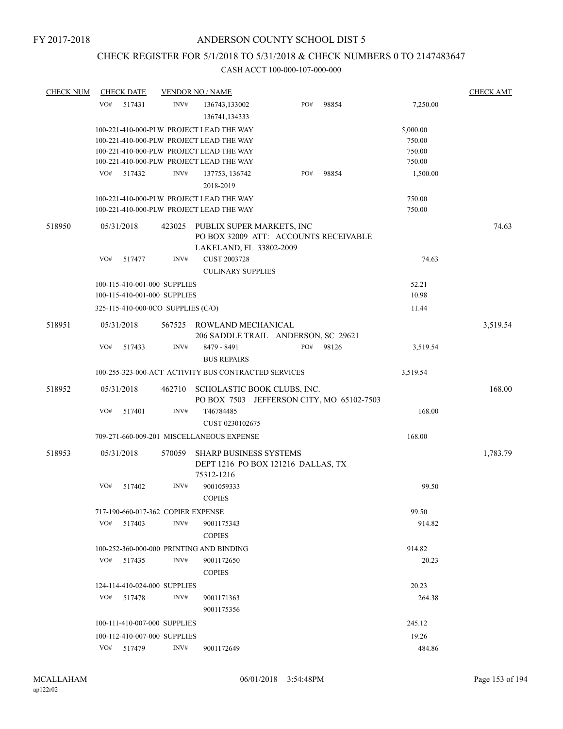## CHECK REGISTER FOR 5/1/2018 TO 5/31/2018 & CHECK NUMBERS 0 TO 2147483647

| <b>CHECK NUM</b> | <b>CHECK DATE</b>                        |        | <b>VENDOR NO / NAME</b>                                                              |                                            |       |                  | <b>CHECK AMT</b> |
|------------------|------------------------------------------|--------|--------------------------------------------------------------------------------------|--------------------------------------------|-------|------------------|------------------|
|                  | VO#<br>517431                            | INV#   | 136743,133002<br>136741,134333                                                       | PO#                                        | 98854 | 7,250.00         |                  |
|                  |                                          |        | 100-221-410-000-PLW PROJECT LEAD THE WAY                                             |                                            |       | 5,000.00         |                  |
|                  |                                          |        | 100-221-410-000-PLW PROJECT LEAD THE WAY                                             |                                            |       | 750.00           |                  |
|                  |                                          |        | 100-221-410-000-PLW PROJECT LEAD THE WAY                                             |                                            |       | 750.00           |                  |
|                  |                                          |        | 100-221-410-000-PLW PROJECT LEAD THE WAY                                             |                                            |       | 750.00           |                  |
|                  | VO#<br>517432                            | INV#   | 137753, 136742                                                                       | PO#                                        | 98854 | 1,500.00         |                  |
|                  |                                          |        | 2018-2019                                                                            |                                            |       |                  |                  |
|                  |                                          |        | 100-221-410-000-PLW PROJECT LEAD THE WAY<br>100-221-410-000-PLW PROJECT LEAD THE WAY |                                            |       | 750.00<br>750.00 |                  |
| 518950           | 05/31/2018                               | 423025 | PUBLIX SUPER MARKETS, INC<br>LAKELAND, FL 33802-2009                                 | PO BOX 32009 ATT: ACCOUNTS RECEIVABLE      |       |                  | 74.63            |
|                  | VO#<br>517477                            | INV#   | <b>CUST 2003728</b><br><b>CULINARY SUPPLIES</b>                                      |                                            |       | 74.63            |                  |
|                  | 100-115-410-001-000 SUPPLIES             |        |                                                                                      |                                            |       | 52.21            |                  |
|                  | 100-115-410-001-000 SUPPLIES             |        |                                                                                      |                                            |       | 10.98            |                  |
|                  | 325-115-410-000-0CO SUPPLIES (C/O)       |        |                                                                                      |                                            |       | 11.44            |                  |
| 518951           | 05/31/2018                               | 567525 | ROWLAND MECHANICAL                                                                   |                                            |       |                  | 3,519.54         |
|                  | VO#<br>517433                            | INV#   | 8479 - 8491<br><b>BUS REPAIRS</b>                                                    | 206 SADDLE TRAIL ANDERSON, SC 29621<br>PO# | 98126 | 3,519.54         |                  |
|                  |                                          |        | 100-255-323-000-ACT ACTIVITY BUS CONTRACTED SERVICES                                 |                                            |       | 3,519.54         |                  |
|                  |                                          |        |                                                                                      |                                            |       |                  |                  |
| 518952           | 05/31/2018                               |        | 462710 SCHOLASTIC BOOK CLUBS, INC.                                                   | PO BOX 7503 JEFFERSON CITY, MO 65102-7503  |       |                  | 168.00           |
|                  | VO#<br>517401                            | INV#   | T46784485<br>CUST 0230102675                                                         |                                            |       | 168.00           |                  |
|                  |                                          |        | 709-271-660-009-201 MISCELLANEOUS EXPENSE                                            |                                            |       | 168.00           |                  |
| 518953           | 05/31/2018                               | 570059 | <b>SHARP BUSINESS SYSTEMS</b><br>75312-1216                                          | DEPT 1216 PO BOX 121216 DALLAS, TX         |       |                  | 1,783.79         |
|                  | VO#<br>517402                            | INV#   | 9001059333<br><b>COPIES</b>                                                          |                                            |       | 99.50            |                  |
|                  | 717-190-660-017-362 COPIER EXPENSE       |        |                                                                                      |                                            |       | 99.50            |                  |
|                  | VO#<br>517403                            | INV#   | 9001175343<br><b>COPIES</b>                                                          |                                            |       | 914.82           |                  |
|                  | 100-252-360-000-000 PRINTING AND BINDING |        |                                                                                      |                                            |       | 914.82           |                  |
|                  | VO#                                      | INV#   |                                                                                      |                                            |       |                  |                  |
|                  | 517435                                   |        | 9001172650<br><b>COPIES</b>                                                          |                                            |       | 20.23            |                  |
|                  | 124-114-410-024-000 SUPPLIES             |        |                                                                                      |                                            |       | 20.23            |                  |
|                  | VO#<br>517478                            | INV#   | 9001171363<br>9001175356                                                             |                                            |       | 264.38           |                  |
|                  | 100-111-410-007-000 SUPPLIES             |        |                                                                                      |                                            |       | 245.12           |                  |
|                  | 100-112-410-007-000 SUPPLIES             |        |                                                                                      |                                            |       | 19.26            |                  |
|                  | VO# 517479                               | INV#   | 9001172649                                                                           |                                            |       | 484.86           |                  |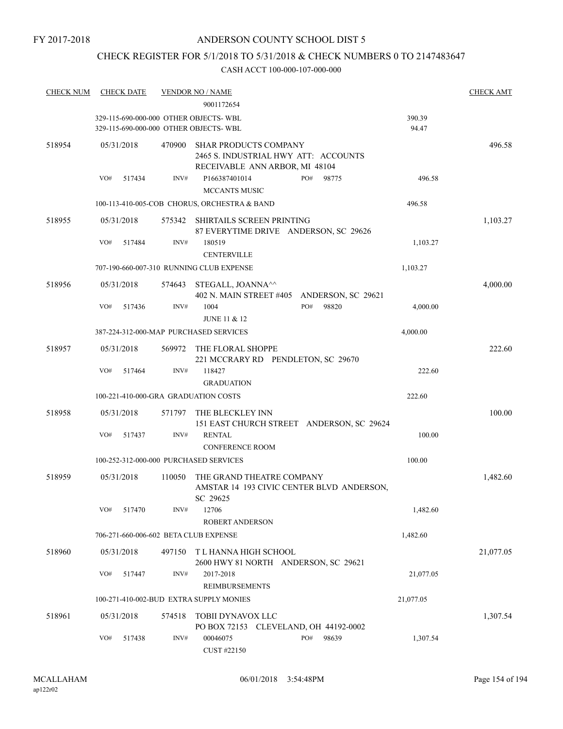## CHECK REGISTER FOR 5/1/2018 TO 5/31/2018 & CHECK NUMBERS 0 TO 2147483647

| <b>CHECK NUM</b> | <b>CHECK DATE</b>                                                              |        | <b>VENDOR NO / NAME</b>                                                                                |                    |                 | <b>CHECK AMT</b> |
|------------------|--------------------------------------------------------------------------------|--------|--------------------------------------------------------------------------------------------------------|--------------------|-----------------|------------------|
|                  |                                                                                |        | 9001172654                                                                                             |                    |                 |                  |
|                  | 329-115-690-000-000 OTHER OBJECTS-WBL<br>329-115-690-000-000 OTHER OBJECTS-WBL |        |                                                                                                        |                    | 390.39<br>94.47 |                  |
| 518954           | 05/31/2018                                                                     | 470900 | <b>SHAR PRODUCTS COMPANY</b><br>2465 S. INDUSTRIAL HWY ATT: ACCOUNTS<br>RECEIVABLE ANN ARBOR, MI 48104 |                    |                 | 496.58           |
|                  | VO#<br>517434                                                                  | INV#   | P166387401014<br><b>MCCANTS MUSIC</b>                                                                  | PO#<br>98775       | 496.58          |                  |
|                  |                                                                                |        | 100-113-410-005-COB CHORUS, ORCHESTRA & BAND                                                           |                    | 496.58          |                  |
| 518955           | 05/31/2018                                                                     | 575342 | SHIRTAILS SCREEN PRINTING<br>87 EVERYTIME DRIVE ANDERSON, SC 29626                                     |                    |                 | 1,103.27         |
|                  | VO#<br>517484                                                                  | INV#   | 180519<br><b>CENTERVILLE</b>                                                                           |                    | 1,103.27        |                  |
|                  |                                                                                |        | 707-190-660-007-310 RUNNING CLUB EXPENSE                                                               |                    | 1,103.27        |                  |
| 518956           | 05/31/2018                                                                     | 574643 | STEGALL, JOANNA <sup>^^</sup><br>402 N. MAIN STREET #405                                               | ANDERSON, SC 29621 |                 | 4,000.00         |
|                  | VO#<br>517436                                                                  | INV#   | 1004<br><b>JUNE 11 &amp; 12</b>                                                                        | PO#<br>98820       | 4,000.00        |                  |
|                  |                                                                                |        | 387-224-312-000-MAP PURCHASED SERVICES                                                                 |                    | 4,000.00        |                  |
| 518957           | 05/31/2018                                                                     | 569972 | THE FLORAL SHOPPE<br>221 MCCRARY RD PENDLETON, SC 29670                                                |                    |                 | 222.60           |
|                  | VO#<br>517464                                                                  | INV#   | 118427<br><b>GRADUATION</b>                                                                            |                    | 222.60          |                  |
|                  | 100-221-410-000-GRA GRADUATION COSTS                                           |        |                                                                                                        |                    | 222.60          |                  |
| 518958           | 05/31/2018                                                                     | 571797 | THE BLECKLEY INN<br>151 EAST CHURCH STREET ANDERSON, SC 29624                                          |                    |                 | 100.00           |
|                  | VO#<br>517437                                                                  | INV#   | <b>RENTAL</b><br><b>CONFERENCE ROOM</b>                                                                |                    | 100.00          |                  |
|                  | 100-252-312-000-000 PURCHASED SERVICES                                         |        |                                                                                                        |                    | 100.00          |                  |
| 518959           | 05/31/2018                                                                     | 110050 | THE GRAND THEATRE COMPANY<br>AMSTAR 14 193 CIVIC CENTER BLVD ANDERSON.<br>SC 29625                     |                    |                 | 1,482.60         |
|                  | VO#<br>517470                                                                  | INV#   | 12706<br>ROBERT ANDERSON                                                                               |                    | 1,482.60        |                  |
|                  | 706-271-660-006-602 BETA CLUB EXPENSE                                          |        |                                                                                                        |                    | 1,482.60        |                  |
| 518960           | 05/31/2018                                                                     |        | 497150 TL HANNA HIGH SCHOOL<br>2600 HWY 81 NORTH ANDERSON, SC 29621                                    |                    |                 | 21,077.05        |
|                  | VO#<br>517447                                                                  | INV#   | 2017-2018<br><b>REIMBURSEMENTS</b>                                                                     |                    | 21,077.05       |                  |
|                  |                                                                                |        | 100-271-410-002-BUD EXTRA SUPPLY MONIES                                                                |                    | 21,077.05       |                  |
| 518961           | 05/31/2018                                                                     | 574518 | TOBII DYNAVOX LLC<br>PO BOX 72153 CLEVELAND, OH 44192-0002                                             |                    |                 | 1,307.54         |
|                  | VO#<br>517438                                                                  | INV#   | 00046075<br>CUST #22150                                                                                | PO#<br>98639       | 1,307.54        |                  |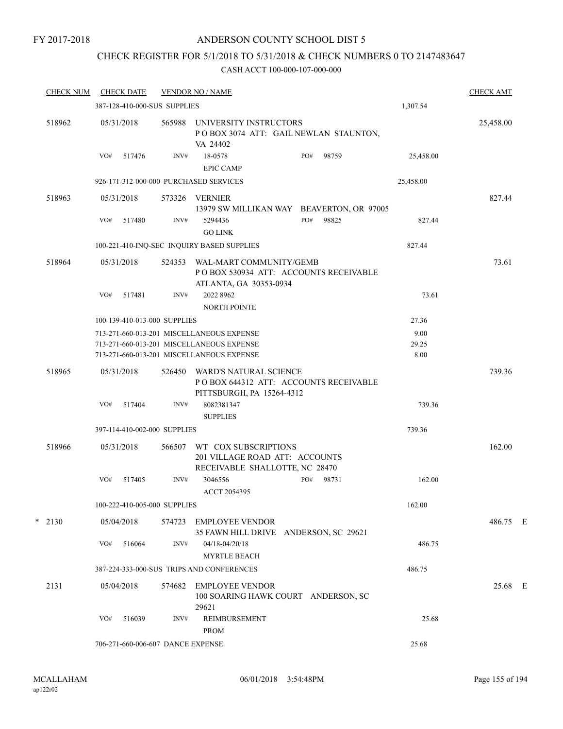### FY 2017-2018

## ANDERSON COUNTY SCHOOL DIST 5

## CHECK REGISTER FOR 5/1/2018 TO 5/31/2018 & CHECK NUMBERS 0 TO 2147483647

| <b>CHECK NUM</b> |     | <b>CHECK DATE</b>                 |        | <b>VENDOR NO / NAME</b>                                                                                                             |     |       |                       | <b>CHECK AMT</b> |  |
|------------------|-----|-----------------------------------|--------|-------------------------------------------------------------------------------------------------------------------------------------|-----|-------|-----------------------|------------------|--|
|                  |     | 387-128-410-000-SUS SUPPLIES      |        |                                                                                                                                     |     |       | 1,307.54              |                  |  |
| 518962           |     | 05/31/2018                        | 565988 | UNIVERSITY INSTRUCTORS<br>POBOX 3074 ATT: GAIL NEWLAN STAUNTON,<br>VA 24402                                                         |     |       |                       | 25,458.00        |  |
|                  | VO# | 517476                            | INV#   | 18-0578<br><b>EPIC CAMP</b>                                                                                                         | PO# | 98759 | 25,458.00             |                  |  |
|                  |     |                                   |        | 926-171-312-000-000 PURCHASED SERVICES                                                                                              |     |       | 25,458.00             |                  |  |
| 518963           |     | 05/31/2018                        | 573326 | VERNIER<br>13979 SW MILLIKAN WAY BEAVERTON, OR 97005                                                                                |     |       |                       | 827.44           |  |
|                  | VO# | 517480                            | INV#   | 5294436<br><b>GO LINK</b>                                                                                                           | PO# | 98825 | 827.44                |                  |  |
|                  |     |                                   |        | 100-221-410-INQ-SEC INQUIRY BASED SUPPLIES                                                                                          |     |       | 827.44                |                  |  |
| 518964           |     | 05/31/2018                        | 524353 | WAL-MART COMMUNITY/GEMB<br>PO BOX 530934 ATT: ACCOUNTS RECEIVABLE<br>ATLANTA, GA 30353-0934                                         |     |       |                       | 73.61            |  |
|                  | VO# | 517481                            | INV#   | 2022 8962<br><b>NORTH POINTE</b>                                                                                                    |     |       | 73.61                 |                  |  |
|                  |     | 100-139-410-013-000 SUPPLIES      |        |                                                                                                                                     |     |       | 27.36                 |                  |  |
|                  |     |                                   |        | 713-271-660-013-201 MISCELLANEOUS EXPENSE<br>713-271-660-013-201 MISCELLANEOUS EXPENSE<br>713-271-660-013-201 MISCELLANEOUS EXPENSE |     |       | 9.00<br>29.25<br>8.00 |                  |  |
| 518965           |     | 05/31/2018                        | 526450 | WARD'S NATURAL SCIENCE<br>POBOX 644312 ATT: ACCOUNTS RECEIVABLE<br>PITTSBURGH, PA 15264-4312                                        |     |       |                       | 739.36           |  |
|                  | VO# | 517404                            | INV#   | 8082381347<br><b>SUPPLIES</b>                                                                                                       |     |       | 739.36                |                  |  |
|                  |     | 397-114-410-002-000 SUPPLIES      |        |                                                                                                                                     |     |       | 739.36                |                  |  |
| 518966           |     | 05/31/2018                        |        | 566507 WT COX SUBSCRIPTIONS<br>201 VILLAGE ROAD ATT: ACCOUNTS<br>RECEIVABLE SHALLOTTE, NC 28470                                     |     |       |                       | 162.00           |  |
|                  | VO# | 517405                            | INV#   | 3046556<br>ACCT 2054395                                                                                                             | PO# | 98731 | 162.00                |                  |  |
|                  |     | 100-222-410-005-000 SUPPLIES      |        |                                                                                                                                     |     |       | 162.00                |                  |  |
| $*$ 2130         |     | 05/04/2018                        | 574723 | <b>EMPLOYEE VENDOR</b><br>35 FAWN HILL DRIVE ANDERSON, SC 29621                                                                     |     |       |                       | 486.75 E         |  |
|                  | VO# | 516064                            | INV#   | $04/18 - 04/20/18$<br><b>MYRTLE BEACH</b>                                                                                           |     |       | 486.75                |                  |  |
|                  |     |                                   |        | 387-224-333-000-SUS TRIPS AND CONFERENCES                                                                                           |     |       | 486.75                |                  |  |
| 2131             |     | 05/04/2018                        | 574682 | <b>EMPLOYEE VENDOR</b><br>100 SOARING HAWK COURT ANDERSON, SC<br>29621                                                              |     |       |                       | 25.68 E          |  |
|                  | VO# | 516039                            | INV#   | REIMBURSEMENT<br><b>PROM</b>                                                                                                        |     |       | 25.68                 |                  |  |
|                  |     | 706-271-660-006-607 DANCE EXPENSE |        |                                                                                                                                     |     |       | 25.68                 |                  |  |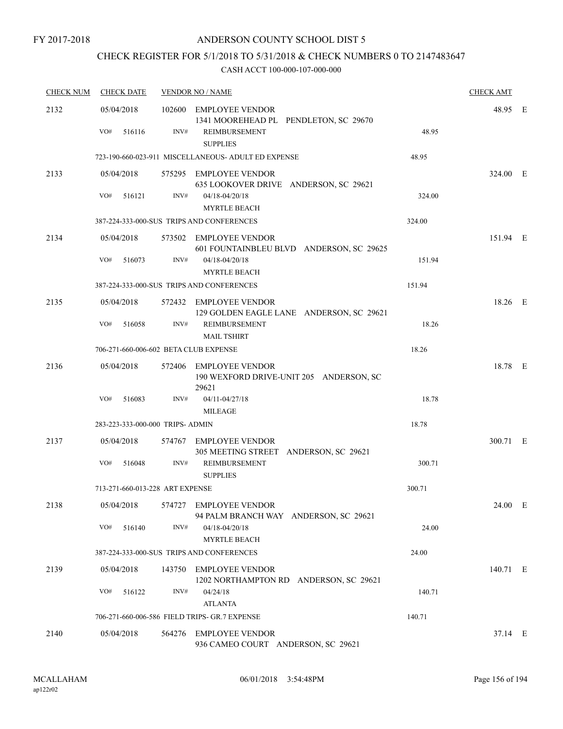## CHECK REGISTER FOR 5/1/2018 TO 5/31/2018 & CHECK NUMBERS 0 TO 2147483647

| <b>CHECK NUM</b> | <b>CHECK DATE</b>                     |        | <b>VENDOR NO / NAME</b>                                                          |        | <b>CHECK AMT</b> |  |
|------------------|---------------------------------------|--------|----------------------------------------------------------------------------------|--------|------------------|--|
| 2132             | 05/04/2018<br>VO#<br>516116           | INV#   | 102600 EMPLOYEE VENDOR<br>1341 MOOREHEAD PL PENDLETON, SC 29670<br>REIMBURSEMENT | 48.95  | 48.95 E          |  |
|                  |                                       |        | <b>SUPPLIES</b>                                                                  |        |                  |  |
|                  |                                       |        | 723-190-660-023-911 MISCELLANEOUS- ADULT ED EXPENSE                              | 48.95  |                  |  |
| 2133             | 05/04/2018                            |        | 575295 EMPLOYEE VENDOR<br>635 LOOKOVER DRIVE ANDERSON, SC 29621                  |        | 324.00 E         |  |
|                  | VO#<br>516121                         | INV#   | $04/18 - 04/20/18$<br><b>MYRTLE BEACH</b>                                        | 324.00 |                  |  |
|                  |                                       |        | 387-224-333-000-SUS TRIPS AND CONFERENCES                                        | 324.00 |                  |  |
| 2134             | 05/04/2018                            |        | 573502 EMPLOYEE VENDOR<br>601 FOUNTAINBLEU BLVD ANDERSON, SC 29625               |        | 151.94 E         |  |
|                  | VO#<br>516073                         | INV#   | $04/18 - 04/20/18$<br><b>MYRTLE BEACH</b>                                        | 151.94 |                  |  |
|                  |                                       |        | 387-224-333-000-SUS TRIPS AND CONFERENCES                                        | 151.94 |                  |  |
| 2135             | 05/04/2018                            |        | 572432 EMPLOYEE VENDOR<br>129 GOLDEN EAGLE LANE ANDERSON, SC 29621               |        | 18.26 E          |  |
|                  | VO#<br>516058                         | INV#   | REIMBURSEMENT<br><b>MAIL TSHIRT</b>                                              | 18.26  |                  |  |
|                  | 706-271-660-006-602 BETA CLUB EXPENSE |        |                                                                                  | 18.26  |                  |  |
| 2136             | 05/04/2018                            |        | 572406 EMPLOYEE VENDOR<br>190 WEXFORD DRIVE-UNIT 205 ANDERSON, SC<br>29621       |        | 18.78 E          |  |
|                  | VO#<br>516083                         | INV#   | 04/11-04/27/18<br>MILEAGE                                                        | 18.78  |                  |  |
|                  | 283-223-333-000-000 TRIPS- ADMIN      |        |                                                                                  | 18.78  |                  |  |
| 2137             | 05/04/2018                            |        | 574767 EMPLOYEE VENDOR<br>305 MEETING STREET ANDERSON, SC 29621                  |        | 300.71 E         |  |
|                  | VO#<br>516048                         | INV#   | REIMBURSEMENT<br><b>SUPPLIES</b>                                                 | 300.71 |                  |  |
|                  | 713-271-660-013-228 ART EXPENSE       |        |                                                                                  | 300.71 |                  |  |
| 2138             | 05/04/2018                            |        | 574727 EMPLOYEE VENDOR<br>94 PALM BRANCH WAY ANDERSON, SC 29621                  |        | 24.00 E          |  |
|                  | VO#<br>516140                         | INV#   | $04/18 - 04/20/18$<br><b>MYRTLE BEACH</b>                                        | 24.00  |                  |  |
|                  |                                       |        | 387-224-333-000-SUS TRIPS AND CONFERENCES                                        | 24.00  |                  |  |
| 2139             | 05/04/2018                            |        | 143750 EMPLOYEE VENDOR<br>1202 NORTHAMPTON RD ANDERSON, SC 29621                 |        | 140.71 E         |  |
|                  | VO#<br>516122                         | INV#   | 04/24/18<br><b>ATLANTA</b>                                                       | 140.71 |                  |  |
|                  |                                       |        | 706-271-660-006-586 FIELD TRIPS- GR.7 EXPENSE                                    | 140.71 |                  |  |
| 2140             | 05/04/2018                            | 564276 | <b>EMPLOYEE VENDOR</b><br>936 CAMEO COURT ANDERSON, SC 29621                     |        | 37.14 E          |  |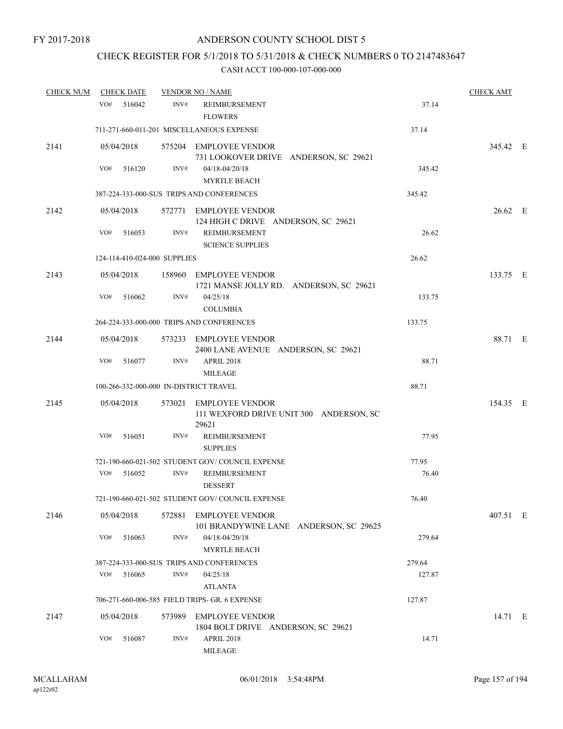## CHECK REGISTER FOR 5/1/2018 TO 5/31/2018 & CHECK NUMBERS 0 TO 2147483647

| <b>CHECK NUM</b> | <b>CHECK DATE</b>                      |        | <b>VENDOR NO / NAME</b>                                           |                                         |        | <b>CHECK AMT</b> |  |
|------------------|----------------------------------------|--------|-------------------------------------------------------------------|-----------------------------------------|--------|------------------|--|
|                  | VO#<br>516042                          | INV#   | REIMBURSEMENT<br><b>FLOWERS</b>                                   |                                         | 37.14  |                  |  |
|                  |                                        |        | 711-271-660-011-201 MISCELLANEOUS EXPENSE                         |                                         | 37.14  |                  |  |
| 2141             | 05/04/2018                             |        | 575204 EMPLOYEE VENDOR<br>731 LOOKOVER DRIVE ANDERSON, SC 29621   |                                         |        | 345.42 E         |  |
|                  | VO#<br>516120                          | INV#   | $04/18 - 04/20/18$<br><b>MYRTLE BEACH</b>                         |                                         | 345.42 |                  |  |
|                  |                                        |        | 387-224-333-000-SUS TRIPS AND CONFERENCES                         |                                         | 345.42 |                  |  |
| 2142             | 05/04/2018<br>VO#                      | INV#   | 572771 EMPLOYEE VENDOR<br>124 HIGH C DRIVE ANDERSON, SC 29621     |                                         |        | 26.62 E          |  |
|                  | 516053                                 |        | <b>REIMBURSEMENT</b><br><b>SCIENCE SUPPLIES</b>                   |                                         | 26.62  |                  |  |
|                  | 124-114-410-024-000 SUPPLIES           |        |                                                                   |                                         | 26.62  |                  |  |
| 2143             | 05/04/2018                             |        | 158960 EMPLOYEE VENDOR<br>1721 MANSE JOLLY RD. ANDERSON, SC 29621 |                                         |        | 133.75 E         |  |
|                  | VO#<br>516062                          | INV#   | 04/25/18<br><b>COLUMBIA</b>                                       |                                         | 133.75 |                  |  |
|                  |                                        |        | 264-224-333-000-000 TRIPS AND CONFERENCES                         |                                         | 133.75 |                  |  |
| 2144             | 05/04/2018                             |        | 573233 EMPLOYEE VENDOR<br>2400 LANE AVENUE ANDERSON, SC 29621     |                                         |        | 88.71 E          |  |
|                  | VO#<br>516077                          | INV#   | <b>APRIL 2018</b><br><b>MILEAGE</b>                               |                                         | 88.71  |                  |  |
|                  | 100-266-332-000-000 IN-DISTRICT TRAVEL |        |                                                                   |                                         | 88.71  |                  |  |
| 2145             | 05/04/2018                             |        | 573021 EMPLOYEE VENDOR<br>29621                                   | 111 WEXFORD DRIVE UNIT 300 ANDERSON, SC |        | 154.35 E         |  |
|                  | VO#<br>516051                          | INV#   | REIMBURSEMENT<br><b>SUPPLIES</b>                                  |                                         | 77.95  |                  |  |
|                  |                                        |        | 721-190-660-021-502 STUDENT GOV/COUNCIL EXPENSE                   |                                         | 77.95  |                  |  |
|                  | VO#<br>516052                          | INV#   | REIMBURSEMENT<br><b>DESSERT</b>                                   |                                         | 76.40  |                  |  |
|                  |                                        |        | 721-190-660-021-502 STUDENT GOV/COUNCIL EXPENSE                   |                                         | 76.40  |                  |  |
| 2146             | 05/04/2018                             |        | 572881 EMPLOYEE VENDOR                                            | 101 BRANDYWINE LANE ANDERSON, SC 29625  |        | 407.51 E         |  |
|                  | VO#<br>516063                          | INV#   | 04/18-04/20/18<br><b>MYRTLE BEACH</b>                             |                                         | 279.64 |                  |  |
|                  |                                        |        | 387-224-333-000-SUS TRIPS AND CONFERENCES                         |                                         | 279.64 |                  |  |
|                  | VO#<br>516065                          | INV#   | 04/25/18<br><b>ATLANTA</b>                                        |                                         | 127.87 |                  |  |
|                  |                                        |        | 706-271-660-006-585 FIELD TRIPS- GR. 6 EXPENSE                    |                                         | 127.87 |                  |  |
| 2147             | 05/04/2018                             | 573989 | <b>EMPLOYEE VENDOR</b><br>1804 BOLT DRIVE ANDERSON, SC 29621      |                                         |        | 14.71 E          |  |
|                  | VO#<br>516087                          | INV#   | APRIL 2018<br><b>MILEAGE</b>                                      |                                         | 14.71  |                  |  |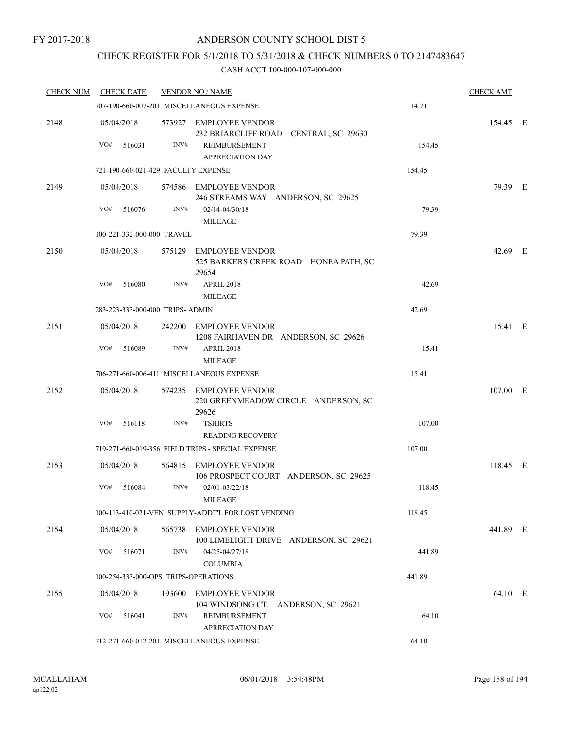## CHECK REGISTER FOR 5/1/2018 TO 5/31/2018 & CHECK NUMBERS 0 TO 2147483647

| <b>CHECK NUM</b> | <b>CHECK DATE</b> |                                      | <b>VENDOR NO / NAME</b>                                                  |        | <b>CHECK AMT</b> |  |
|------------------|-------------------|--------------------------------------|--------------------------------------------------------------------------|--------|------------------|--|
|                  |                   |                                      | 707-190-660-007-201 MISCELLANEOUS EXPENSE                                | 14.71  |                  |  |
| 2148             | 05/04/2018        |                                      | 573927 EMPLOYEE VENDOR<br>232 BRIARCLIFF ROAD CENTRAL, SC 29630          |        | 154.45 E         |  |
|                  | VO#<br>516031     | INV#                                 | <b>REIMBURSEMENT</b><br><b>APPRECIATION DAY</b>                          | 154.45 |                  |  |
|                  |                   | 721-190-660-021-429 FACULTY EXPENSE  |                                                                          | 154.45 |                  |  |
| 2149             | 05/04/2018        |                                      | 574586 EMPLOYEE VENDOR<br>246 STREAMS WAY ANDERSON, SC 29625             |        | 79.39 E          |  |
|                  | VO#<br>516076     | INV#                                 | $02/14 - 04/30/18$<br><b>MILEAGE</b>                                     | 79.39  |                  |  |
|                  |                   | 100-221-332-000-000 TRAVEL           |                                                                          | 79.39  |                  |  |
| 2150             | 05/04/2018        |                                      | 575129 EMPLOYEE VENDOR<br>525 BARKERS CREEK ROAD HONEA PATH, SC<br>29654 |        | 42.69 E          |  |
|                  | VO#<br>516080     | INV#                                 | <b>APRIL 2018</b><br><b>MILEAGE</b>                                      | 42.69  |                  |  |
|                  |                   | 283-223-333-000-000 TRIPS- ADMIN     |                                                                          | 42.69  |                  |  |
| 2151             | 05/04/2018        |                                      | 242200 EMPLOYEE VENDOR<br>1208 FAIRHAVEN DR ANDERSON, SC 29626           |        | 15.41 E          |  |
|                  | VO#<br>516089     | INV#                                 | <b>APRIL 2018</b><br><b>MILEAGE</b>                                      | 15.41  |                  |  |
|                  |                   |                                      | 706-271-660-006-411 MISCELLANEOUS EXPENSE                                | 15.41  |                  |  |
| 2152             | 05/04/2018        |                                      | 574235 EMPLOYEE VENDOR<br>220 GREENMEADOW CIRCLE ANDERSON, SC<br>29626   |        | 107.00 E         |  |
|                  | VO#<br>516118     | INV#                                 | <b>TSHIRTS</b><br><b>READING RECOVERY</b>                                | 107.00 |                  |  |
|                  |                   |                                      | 719-271-660-019-356 FIELD TRIPS - SPECIAL EXPENSE                        | 107.00 |                  |  |
| 2153             | 05/04/2018        |                                      | 564815 EMPLOYEE VENDOR<br>106 PROSPECT COURT ANDERSON, SC 29625          |        | 118.45 E         |  |
|                  | VO#<br>516084     | INV#                                 | $02/01 - 03/22/18$<br><b>MILEAGE</b>                                     | 118.45 |                  |  |
|                  |                   |                                      | 100-113-410-021-VEN SUPPLY-ADDT'L FOR LOST VENDING                       | 118.45 |                  |  |
| 2154             | 05/04/2018        |                                      | 565738 EMPLOYEE VENDOR<br>100 LIMELIGHT DRIVE ANDERSON, SC 29621         |        | 441.89 E         |  |
|                  | VO#<br>516071     | INV#                                 | 04/25-04/27/18<br><b>COLUMBIA</b>                                        | 441.89 |                  |  |
|                  |                   | 100-254-333-000-OPS TRIPS-OPERATIONS |                                                                          | 441.89 |                  |  |
| 2155             | 05/04/2018        |                                      | 193600 EMPLOYEE VENDOR<br>104 WINDSONG CT. ANDERSON, SC 29621            |        | 64.10 E          |  |
|                  | VO#<br>516041     | INV#                                 | REIMBURSEMENT<br><b>APRRECIATION DAY</b>                                 | 64.10  |                  |  |
|                  |                   |                                      | 712-271-660-012-201 MISCELLANEOUS EXPENSE                                | 64.10  |                  |  |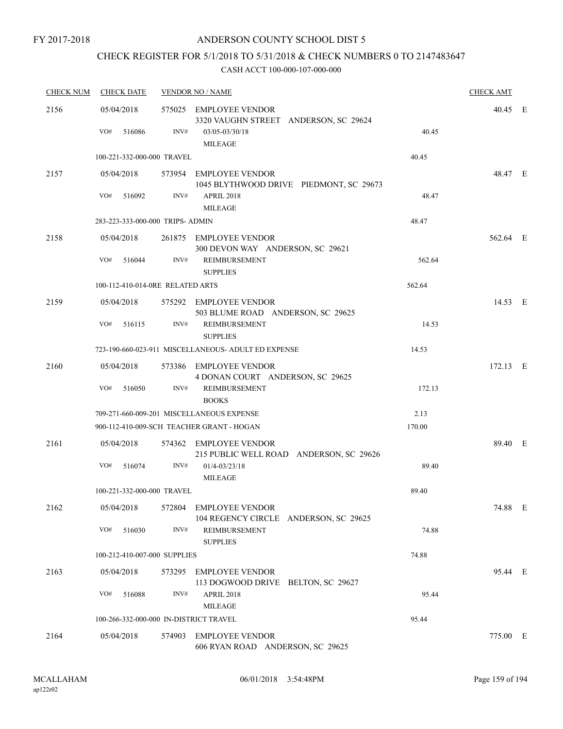## CHECK REGISTER FOR 5/1/2018 TO 5/31/2018 & CHECK NUMBERS 0 TO 2147483647

| <b>CHECK NUM</b> | <b>CHECK DATE</b>                      | <b>VENDOR NO / NAME</b> | <b>CHECK AMT</b>                                                                                    |        |          |  |
|------------------|----------------------------------------|-------------------------|-----------------------------------------------------------------------------------------------------|--------|----------|--|
| 2156             | 05/04/2018<br>VO#<br>516086            | INV#                    | 575025 EMPLOYEE VENDOR<br>3320 VAUGHN STREET ANDERSON, SC 29624<br>03/05-03/30/18<br><b>MILEAGE</b> | 40.45  | 40.45 E  |  |
|                  | 100-221-332-000-000 TRAVEL             |                         |                                                                                                     | 40.45  |          |  |
| 2157             | 05/04/2018                             |                         | 573954 EMPLOYEE VENDOR<br>1045 BLYTHWOOD DRIVE PIEDMONT, SC 29673                                   |        | 48.47 E  |  |
|                  | VO#<br>516092                          | INV#                    | <b>APRIL 2018</b><br><b>MILEAGE</b>                                                                 | 48.47  |          |  |
|                  | 283-223-333-000-000 TRIPS- ADMIN       |                         |                                                                                                     | 48.47  |          |  |
| 2158             | 05/04/2018                             |                         | 261875 EMPLOYEE VENDOR<br>300 DEVON WAY ANDERSON, SC 29621                                          |        | 562.64 E |  |
|                  | VO#<br>516044                          | INV#                    | REIMBURSEMENT<br><b>SUPPLIES</b>                                                                    | 562.64 |          |  |
|                  | 100-112-410-014-0RE RELATED ARTS       |                         |                                                                                                     | 562.64 |          |  |
| 2159             | 05/04/2018                             |                         | 575292 EMPLOYEE VENDOR<br>503 BLUME ROAD ANDERSON, SC 29625                                         |        | 14.53 E  |  |
|                  | VO#<br>516115                          | INV#                    | REIMBURSEMENT<br><b>SUPPLIES</b>                                                                    | 14.53  |          |  |
|                  |                                        |                         | 723-190-660-023-911 MISCELLANEOUS- ADULT ED EXPENSE                                                 | 14.53  |          |  |
| 2160             | 05/04/2018                             |                         | 573386 EMPLOYEE VENDOR<br>4 DONAN COURT ANDERSON, SC 29625                                          |        | 172.13 E |  |
|                  | VO#<br>516050                          | INV#                    | <b>REIMBURSEMENT</b><br><b>BOOKS</b>                                                                | 172.13 |          |  |
|                  |                                        |                         | 709-271-660-009-201 MISCELLANEOUS EXPENSE                                                           | 2.13   |          |  |
|                  |                                        |                         | 900-112-410-009-SCH TEACHER GRANT - HOGAN                                                           | 170.00 |          |  |
| 2161             | 05/04/2018                             |                         | 574362 EMPLOYEE VENDOR<br>215 PUBLIC WELL ROAD ANDERSON, SC 29626                                   |        | 89.40 E  |  |
|                  | VO#<br>516074                          | INV#                    | $01/4 - 03/23/18$<br><b>MILEAGE</b>                                                                 | 89.40  |          |  |
|                  | 100-221-332-000-000 TRAVEL             |                         |                                                                                                     | 89.40  |          |  |
| 2162             | 05/04/2018                             |                         | 572804 EMPLOYEE VENDOR<br>104 REGENCY CIRCLE ANDERSON, SC 29625                                     |        | 74.88 E  |  |
|                  | VO#<br>516030                          | INV#                    | REIMBURSEMENT<br><b>SUPPLIES</b>                                                                    | 74.88  |          |  |
|                  | 100-212-410-007-000 SUPPLIES           |                         |                                                                                                     | 74.88  |          |  |
| 2163             | 05/04/2018                             |                         | 573295 EMPLOYEE VENDOR<br>113 DOGWOOD DRIVE BELTON, SC 29627                                        |        | 95.44 E  |  |
|                  | VO#<br>516088                          | INV#                    | APRIL 2018<br><b>MILEAGE</b>                                                                        | 95.44  |          |  |
|                  | 100-266-332-000-000 IN-DISTRICT TRAVEL |                         |                                                                                                     | 95.44  |          |  |
| 2164             | 05/04/2018                             |                         | 574903 EMPLOYEE VENDOR<br>606 RYAN ROAD ANDERSON, SC 29625                                          |        | 775.00 E |  |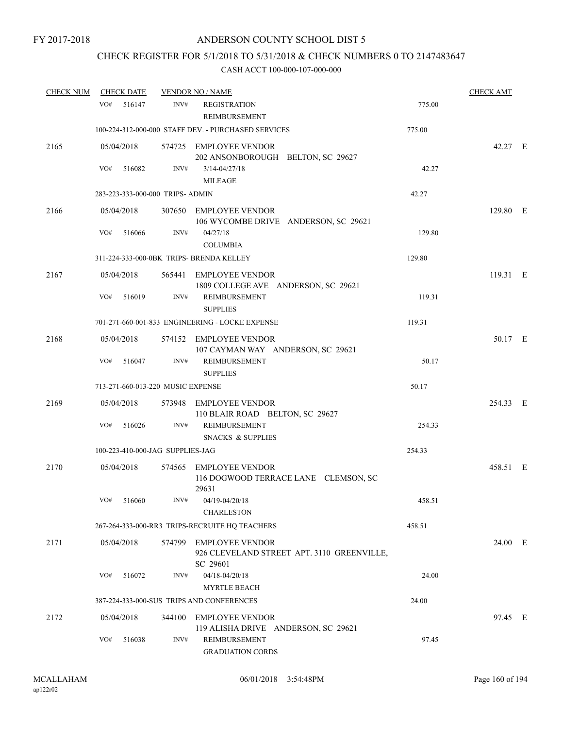## CHECK REGISTER FOR 5/1/2018 TO 5/31/2018 & CHECK NUMBERS 0 TO 2147483647

| <b>CHECK NUM</b> |            | <b>CHECK DATE</b> |                                   | <b>VENDOR NO / NAME</b>                                                          |        | <b>CHECK AMT</b> |  |
|------------------|------------|-------------------|-----------------------------------|----------------------------------------------------------------------------------|--------|------------------|--|
|                  | VO#        | 516147            | INV#                              | <b>REGISTRATION</b><br><b>REIMBURSEMENT</b>                                      | 775.00 |                  |  |
|                  |            |                   |                                   | 100-224-312-000-000 STAFF DEV. - PURCHASED SERVICES                              | 775.00 |                  |  |
| 2165             | 05/04/2018 |                   |                                   | 574725 EMPLOYEE VENDOR<br>202 ANSONBOROUGH BELTON, SC 29627                      |        | 42.27 E          |  |
|                  | VO#        | 516082            | INV#                              | $3/14 - 04/27/18$<br><b>MILEAGE</b>                                              | 42.27  |                  |  |
|                  |            |                   | 283-223-333-000-000 TRIPS- ADMIN  |                                                                                  | 42.27  |                  |  |
| 2166             | 05/04/2018 |                   |                                   | 307650 EMPLOYEE VENDOR<br>106 WYCOMBE DRIVE ANDERSON, SC 29621                   |        | 129.80 E         |  |
|                  | VO#        | 516066            | INV#                              | 04/27/18<br><b>COLUMBIA</b>                                                      | 129.80 |                  |  |
|                  |            |                   |                                   | 311-224-333-000-0BK TRIPS- BRENDA KELLEY                                         | 129.80 |                  |  |
| 2167             | 05/04/2018 |                   |                                   | 565441 EMPLOYEE VENDOR<br>1809 COLLEGE AVE ANDERSON, SC 29621                    |        | 119.31 E         |  |
|                  | VO#        | 516019            | INV#                              | REIMBURSEMENT<br><b>SUPPLIES</b>                                                 | 119.31 |                  |  |
|                  |            |                   |                                   | 701-271-660-001-833 ENGINEERING - LOCKE EXPENSE                                  | 119.31 |                  |  |
| 2168             | 05/04/2018 |                   |                                   | 574152 EMPLOYEE VENDOR<br>107 CAYMAN WAY ANDERSON, SC 29621                      |        | 50.17 E          |  |
|                  | VO#        | 516047            | INV#                              | REIMBURSEMENT<br><b>SUPPLIES</b>                                                 | 50.17  |                  |  |
|                  |            |                   | 713-271-660-013-220 MUSIC EXPENSE |                                                                                  | 50.17  |                  |  |
| 2169             | 05/04/2018 |                   |                                   | 573948 EMPLOYEE VENDOR<br>110 BLAIR ROAD BELTON, SC 29627                        |        | 254.33 E         |  |
|                  | VO#        | 516026            | INV#                              | REIMBURSEMENT<br><b>SNACKS &amp; SUPPLIES</b>                                    | 254.33 |                  |  |
|                  |            |                   | 100-223-410-000-JAG SUPPLIES-JAG  |                                                                                  | 254.33 |                  |  |
| 2170             | 05/04/2018 |                   |                                   | 574565 EMPLOYEE VENDOR<br>116 DOGWOOD TERRACE LANE CLEMSON, SC<br>29631          |        | 458.51 E         |  |
|                  | $\rm VO\#$ | 516060            | $\text{INV}\#$                    | 04/19-04/20/18<br><b>CHARLESTON</b>                                              | 458.51 |                  |  |
|                  |            |                   |                                   | 267-264-333-000-RR3 TRIPS-RECRUITE HQ TEACHERS                                   | 458.51 |                  |  |
| 2171             | 05/04/2018 |                   |                                   | 574799 EMPLOYEE VENDOR<br>926 CLEVELAND STREET APT. 3110 GREENVILLE,<br>SC 29601 |        | 24.00 E          |  |
|                  | VO#        | 516072            | INV#                              | 04/18-04/20/18<br><b>MYRTLE BEACH</b>                                            | 24.00  |                  |  |
|                  |            |                   |                                   | 387-224-333-000-SUS TRIPS AND CONFERENCES                                        | 24.00  |                  |  |
| 2172             | 05/04/2018 |                   | 344100                            | <b>EMPLOYEE VENDOR</b><br>119 ALISHA DRIVE ANDERSON, SC 29621                    |        | 97.45 E          |  |
|                  | VO#        | 516038            | INV#                              | REIMBURSEMENT<br><b>GRADUATION CORDS</b>                                         | 97.45  |                  |  |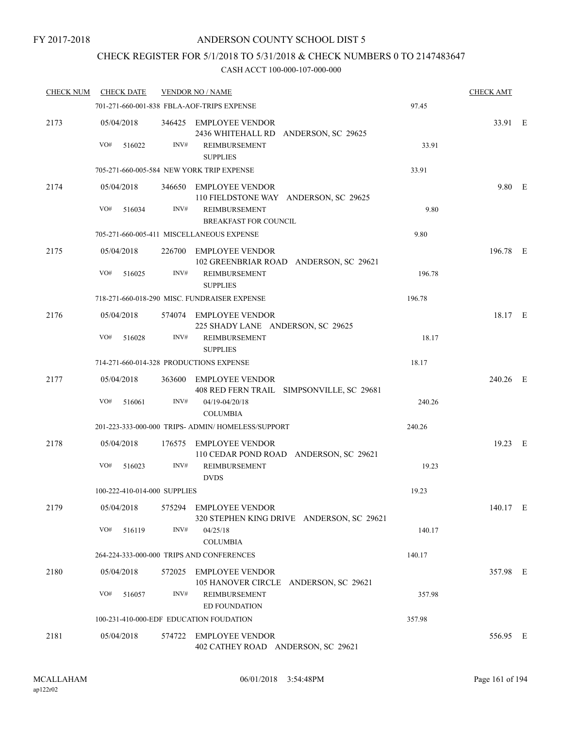## CHECK REGISTER FOR 5/1/2018 TO 5/31/2018 & CHECK NUMBERS 0 TO 2147483647

| <b>CHECK NUM</b> | <b>CHECK DATE</b>                       |        | <b>VENDOR NO / NAME</b>                                             |        | <b>CHECK AMT</b> |  |
|------------------|-----------------------------------------|--------|---------------------------------------------------------------------|--------|------------------|--|
|                  |                                         |        | 701-271-660-001-838 FBLA-AOF-TRIPS EXPENSE                          | 97.45  |                  |  |
| 2173             | 05/04/2018<br>VO#<br>516022             | INV#   | 346425 EMPLOYEE VENDOR<br>2436 WHITEHALL RD ANDERSON, SC 29625      | 33.91  | 33.91 E          |  |
|                  |                                         |        | <b>REIMBURSEMENT</b><br><b>SUPPLIES</b>                             |        |                  |  |
|                  |                                         |        | 705-271-660-005-584 NEW YORK TRIP EXPENSE                           | 33.91  |                  |  |
| 2174             | 05/04/2018                              |        | 346650 EMPLOYEE VENDOR<br>110 FIELDSTONE WAY ANDERSON, SC 29625     |        | 9.80 E           |  |
|                  | VO#<br>516034                           | INV#   | REIMBURSEMENT<br><b>BREAKFAST FOR COUNCIL</b>                       | 9.80   |                  |  |
|                  |                                         |        | 705-271-660-005-411 MISCELLANEOUS EXPENSE                           | 9.80   |                  |  |
| 2175             | 05/04/2018                              |        | 226700 EMPLOYEE VENDOR<br>102 GREENBRIAR ROAD ANDERSON, SC 29621    |        | 196.78 E         |  |
|                  | VO#<br>516025                           | INV#   | REIMBURSEMENT<br><b>SUPPLIES</b>                                    | 196.78 |                  |  |
|                  |                                         |        | 718-271-660-018-290 MISC. FUNDRAISER EXPENSE                        | 196.78 |                  |  |
| 2176             | 05/04/2018                              |        | 574074 EMPLOYEE VENDOR<br>225 SHADY LANE ANDERSON, SC 29625         |        | 18.17 E          |  |
|                  | VO#<br>516028                           | INV#   | <b>REIMBURSEMENT</b><br><b>SUPPLIES</b>                             | 18.17  |                  |  |
|                  | 714-271-660-014-328 PRODUCTIONS EXPENSE |        | 18.17                                                               |        |                  |  |
| 2177             | 05/04/2018                              |        | 363600 EMPLOYEE VENDOR<br>408 RED FERN TRAIL SIMPSONVILLE, SC 29681 |        | 240.26 E         |  |
|                  | VO#<br>516061                           | INV#   | 04/19-04/20/18<br><b>COLUMBIA</b>                                   | 240.26 |                  |  |
|                  |                                         |        | 201-223-333-000-000 TRIPS- ADMIN/HOMELESS/SUPPORT                   | 240.26 |                  |  |
| 2178             | 05/04/2018                              |        | 176575 EMPLOYEE VENDOR<br>110 CEDAR POND ROAD ANDERSON, SC 29621    |        | 19.23 E          |  |
|                  | VO#<br>516023                           | INV#   | <b>REIMBURSEMENT</b><br><b>DVDS</b>                                 | 19.23  |                  |  |
|                  | 100-222-410-014-000 SUPPLIES            |        |                                                                     | 19.23  |                  |  |
| 2179             | 05/04/2018                              | 575294 | <b>EMPLOYEE VENDOR</b><br>320 STEPHEN KING DRIVE ANDERSON, SC 29621 |        | 140.17 E         |  |
|                  | VO#<br>516119                           | INV#   | 04/25/18<br><b>COLUMBIA</b>                                         | 140.17 |                  |  |
|                  |                                         |        | 264-224-333-000-000 TRIPS AND CONFERENCES                           | 140.17 |                  |  |
| 2180             | 05/04/2018                              |        | 572025 EMPLOYEE VENDOR<br>105 HANOVER CIRCLE ANDERSON, SC 29621     |        | 357.98 E         |  |
|                  | VO#<br>516057                           | INV#   | <b>REIMBURSEMENT</b><br>ED FOUNDATION                               | 357.98 |                  |  |
|                  |                                         |        | 100-231-410-000-EDF EDUCATION FOUDATION                             | 357.98 |                  |  |
| 2181             | 05/04/2018                              |        | 574722 EMPLOYEE VENDOR<br>402 CATHEY ROAD ANDERSON, SC 29621        |        | 556.95 E         |  |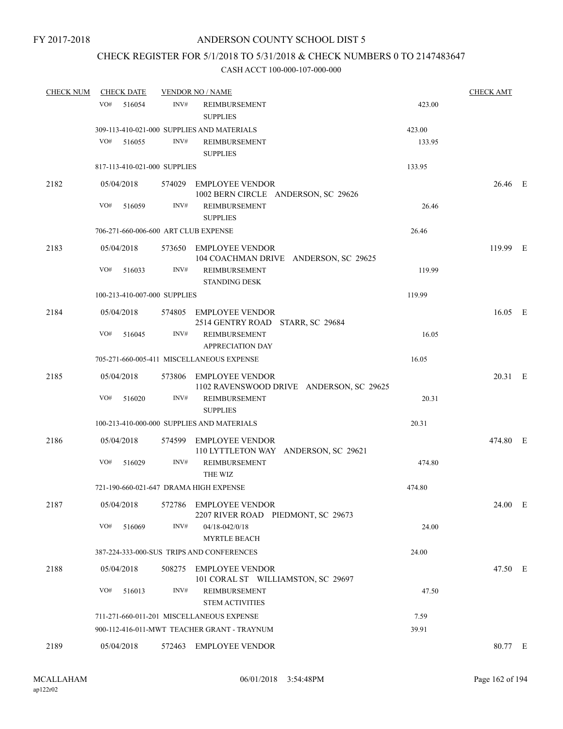## CHECK REGISTER FOR 5/1/2018 TO 5/31/2018 & CHECK NUMBERS 0 TO 2147483647

| <b>CHECK NUM</b> | <b>CHECK DATE</b>                      |        | <b>VENDOR NO / NAME</b>                                         |        | <b>CHECK AMT</b> |  |
|------------------|----------------------------------------|--------|-----------------------------------------------------------------|--------|------------------|--|
|                  | VO#<br>516054                          | INV#   | <b>REIMBURSEMENT</b><br><b>SUPPLIES</b>                         | 423.00 |                  |  |
|                  |                                        |        | 309-113-410-021-000 SUPPLIES AND MATERIALS                      | 423.00 |                  |  |
|                  | VO#<br>516055                          | INV#   | REIMBURSEMENT<br><b>SUPPLIES</b>                                | 133.95 |                  |  |
|                  | 817-113-410-021-000 SUPPLIES           |        |                                                                 | 133.95 |                  |  |
| 2182             | 05/04/2018                             |        | 574029 EMPLOYEE VENDOR                                          |        | 26.46 E          |  |
|                  | VO#<br>516059                          | INV#   | 1002 BERN CIRCLE ANDERSON, SC 29626<br><b>REIMBURSEMENT</b>     | 26.46  |                  |  |
|                  |                                        |        | <b>SUPPLIES</b>                                                 |        |                  |  |
|                  | 706-271-660-006-600 ART CLUB EXPENSE   |        |                                                                 | 26.46  |                  |  |
| 2183             | 05/04/2018                             |        | 573650 EMPLOYEE VENDOR<br>104 COACHMAN DRIVE ANDERSON, SC 29625 |        | 119.99 E         |  |
|                  | VO#<br>516033                          | INV#   | REIMBURSEMENT<br><b>STANDING DESK</b>                           | 119.99 |                  |  |
|                  | 100-213-410-007-000 SUPPLIES           |        |                                                                 | 119.99 |                  |  |
| 2184             | 05/04/2018                             |        | 574805 EMPLOYEE VENDOR<br>2514 GENTRY ROAD STARR, SC 29684      |        | 16.05 E          |  |
|                  | VO#<br>516045                          | INV#   | <b>REIMBURSEMENT</b><br><b>APPRECIATION DAY</b>                 | 16.05  |                  |  |
|                  |                                        |        | 705-271-660-005-411 MISCELLANEOUS EXPENSE                       | 16.05  |                  |  |
| 2185             | 05/04/2018                             |        | 573806 EMPLOYEE VENDOR                                          |        | 20.31 E          |  |
|                  |                                        |        | 1102 RAVENSWOOD DRIVE ANDERSON, SC 29625                        |        |                  |  |
|                  | VO#<br>516020                          | INV#   | REIMBURSEMENT<br><b>SUPPLIES</b>                                | 20.31  |                  |  |
|                  |                                        |        | 100-213-410-000-000 SUPPLIES AND MATERIALS                      | 20.31  |                  |  |
| 2186             | 05/04/2018                             |        | 574599 EMPLOYEE VENDOR<br>110 LYTTLETON WAY ANDERSON, SC 29621  |        | 474.80 E         |  |
|                  | VO#<br>516029                          | INV#   | <b>REIMBURSEMENT</b><br>THE WIZ                                 | 474.80 |                  |  |
|                  | 721-190-660-021-647 DRAMA HIGH EXPENSE |        |                                                                 | 474.80 |                  |  |
| 2187             | 05/04/2018                             |        | 572786 EMPLOYEE VENDOR<br>2207 RIVER ROAD PIEDMONT, SC 29673    |        | 24.00 E          |  |
|                  | VO#<br>516069                          | INV#   | $04/18 - 042/0/18$<br><b>MYRTLE BEACH</b>                       | 24.00  |                  |  |
|                  |                                        |        | 387-224-333-000-SUS TRIPS AND CONFERENCES                       | 24.00  |                  |  |
|                  |                                        |        |                                                                 |        |                  |  |
| 2188             | 05/04/2018                             | 508275 | <b>EMPLOYEE VENDOR</b><br>101 CORAL ST WILLIAMSTON, SC 29697    |        | 47.50 E          |  |
|                  | VO#<br>516013                          | INV#   | REIMBURSEMENT<br><b>STEM ACTIVITIES</b>                         | 47.50  |                  |  |
|                  |                                        |        | 711-271-660-011-201 MISCELLANEOUS EXPENSE                       | 7.59   |                  |  |
|                  |                                        |        | 900-112-416-011-MWT TEACHER GRANT - TRAYNUM                     | 39.91  |                  |  |
| 2189             | 05/04/2018                             | 572463 | <b>EMPLOYEE VENDOR</b>                                          |        | 80.77 E          |  |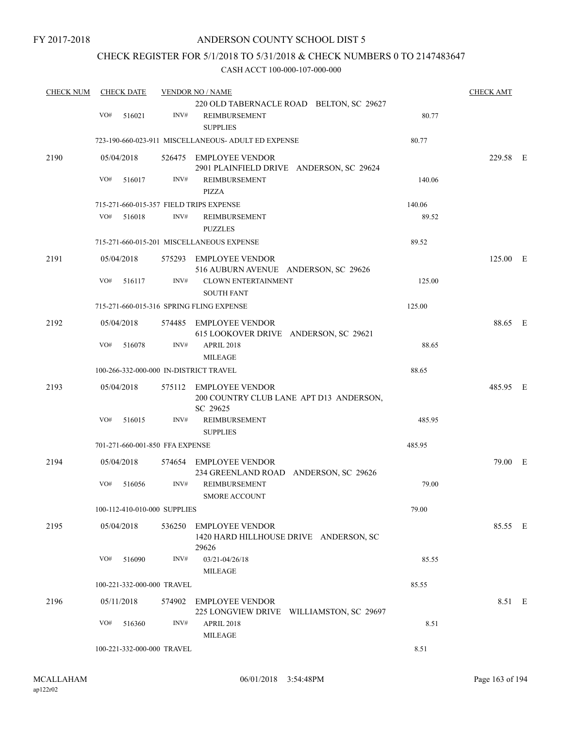### CHECK REGISTER FOR 5/1/2018 TO 5/31/2018 & CHECK NUMBERS 0 TO 2147483647

| <b>CHECK NUM</b> | <b>CHECK DATE</b> |                                          | <b>VENDOR NO / NAME</b>                                         |                                          |        | <b>CHECK AMT</b> |  |
|------------------|-------------------|------------------------------------------|-----------------------------------------------------------------|------------------------------------------|--------|------------------|--|
|                  | VO#               | INV#<br>516021                           | REIMBURSEMENT                                                   | 220 OLD TABERNACLE ROAD BELTON, SC 29627 | 80.77  |                  |  |
|                  |                   |                                          | <b>SUPPLIES</b>                                                 |                                          |        |                  |  |
|                  |                   |                                          | 723-190-660-023-911 MISCELLANEOUS- ADULT ED EXPENSE             |                                          | 80.77  |                  |  |
| 2190             | 05/04/2018        |                                          | 526475 EMPLOYEE VENDOR                                          | 2901 PLAINFIELD DRIVE ANDERSON, SC 29624 |        | 229.58 E         |  |
|                  | VO#               | INV#<br>516017                           | REIMBURSEMENT<br>PIZZA                                          |                                          | 140.06 |                  |  |
|                  |                   | 715-271-660-015-357 FIELD TRIPS EXPENSE  |                                                                 |                                          | 140.06 |                  |  |
|                  | VO#               | INV#<br>516018                           | <b>REIMBURSEMENT</b><br><b>PUZZLES</b>                          |                                          | 89.52  |                  |  |
|                  |                   |                                          | 715-271-660-015-201 MISCELLANEOUS EXPENSE                       |                                          | 89.52  |                  |  |
| 2191             | 05/04/2018        |                                          | 575293 EMPLOYEE VENDOR<br>516 AUBURN AVENUE ANDERSON, SC 29626  |                                          |        | 125.00 E         |  |
|                  | VO#               | INV#<br>516117                           | <b>CLOWN ENTERTAINMENT</b><br><b>SOUTH FANT</b>                 |                                          | 125.00 |                  |  |
|                  |                   | 715-271-660-015-316 SPRING FLING EXPENSE |                                                                 |                                          | 125.00 |                  |  |
| 2192             | 05/04/2018        |                                          | 574485 EMPLOYEE VENDOR<br>615 LOOKOVER DRIVE ANDERSON, SC 29621 |                                          |        | 88.65 E          |  |
|                  | VO#               | INV#<br>516078                           | <b>APRIL 2018</b><br><b>MILEAGE</b>                             |                                          | 88.65  |                  |  |
|                  |                   | 100-266-332-000-000 IN-DISTRICT TRAVEL   |                                                                 |                                          | 88.65  |                  |  |
| 2193             | 05/04/2018        |                                          | 575112 EMPLOYEE VENDOR<br>SC 29625                              | 200 COUNTRY CLUB LANE APT D13 ANDERSON,  |        | 485.95 E         |  |
|                  | VO#               | 516015<br>INV#                           | <b>REIMBURSEMENT</b><br><b>SUPPLIES</b>                         |                                          | 485.95 |                  |  |
|                  |                   | 701-271-660-001-850 FFA EXPENSE          |                                                                 |                                          | 485.95 |                  |  |
| 2194             | 05/04/2018        |                                          | 574654 EMPLOYEE VENDOR<br>234 GREENLAND ROAD ANDERSON, SC 29626 |                                          |        | 79.00 E          |  |
|                  | VO#               | INV#<br>516056                           | <b>REIMBURSEMENT</b><br><b>SMORE ACCOUNT</b>                    |                                          | 79.00  |                  |  |
|                  |                   | 100-112-410-010-000 SUPPLIES             |                                                                 |                                          | 79.00  |                  |  |
| 2195             | 05/04/2018        | 536250                                   | <b>EMPLOYEE VENDOR</b><br>29626                                 | 1420 HARD HILLHOUSE DRIVE ANDERSON, SC   |        | 85.55 E          |  |
|                  | VO#               | 516090<br>INV#                           | 03/21-04/26/18<br>MILEAGE                                       |                                          | 85.55  |                  |  |
|                  |                   | 100-221-332-000-000 TRAVEL               |                                                                 |                                          | 85.55  |                  |  |
| 2196             | 05/11/2018        | 574902                                   | <b>EMPLOYEE VENDOR</b>                                          | 225 LONGVIEW DRIVE WILLIAMSTON, SC 29697 |        | 8.51 E           |  |
|                  | VO#               | INV#<br>516360                           | <b>APRIL 2018</b><br><b>MILEAGE</b>                             |                                          | 8.51   |                  |  |
|                  |                   | 100-221-332-000-000 TRAVEL               |                                                                 |                                          | 8.51   |                  |  |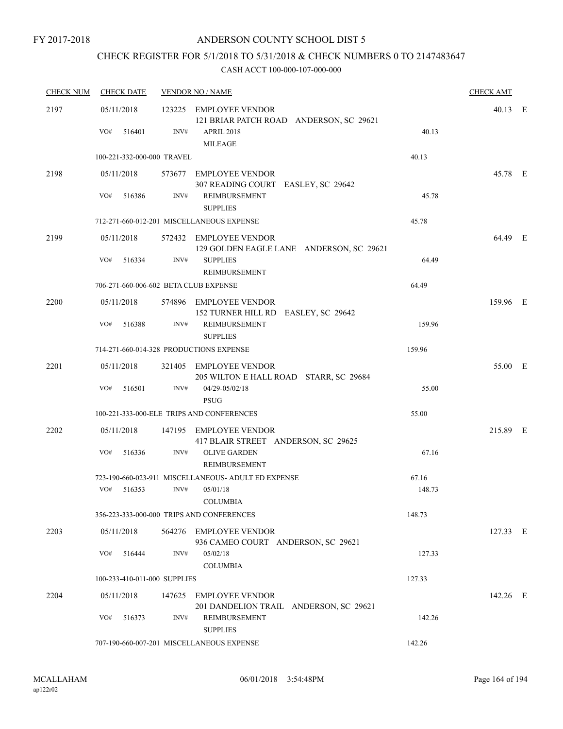## CHECK REGISTER FOR 5/1/2018 TO 5/31/2018 & CHECK NUMBERS 0 TO 2147483647

| <b>CHECK NUM</b> | <b>CHECK DATE</b>                       |      | <b>VENDOR NO / NAME</b>                                                                |        | <b>CHECK AMT</b> |  |
|------------------|-----------------------------------------|------|----------------------------------------------------------------------------------------|--------|------------------|--|
| 2197             | 05/11/2018<br>VO#<br>516401             | INV# | 123225 EMPLOYEE VENDOR<br>121 BRIAR PATCH ROAD ANDERSON, SC 29621<br><b>APRIL 2018</b> | 40.13  | 40.13 E          |  |
|                  | 100-221-332-000-000 TRAVEL              |      | <b>MILEAGE</b>                                                                         | 40.13  |                  |  |
|                  |                                         |      |                                                                                        |        |                  |  |
| 2198             | 05/11/2018                              |      | 573677 EMPLOYEE VENDOR<br>307 READING COURT EASLEY, SC 29642                           |        | 45.78 E          |  |
|                  | VO#<br>516386                           | INV# | REIMBURSEMENT<br><b>SUPPLIES</b>                                                       | 45.78  |                  |  |
|                  |                                         |      | 712-271-660-012-201 MISCELLANEOUS EXPENSE                                              | 45.78  |                  |  |
| 2199             | 05/11/2018                              |      | 572432 EMPLOYEE VENDOR<br>129 GOLDEN EAGLE LANE ANDERSON, SC 29621                     |        | 64.49 E          |  |
|                  | VO#<br>516334                           | INV# | <b>SUPPLIES</b><br>REIMBURSEMENT                                                       | 64.49  |                  |  |
|                  | 706-271-660-006-602 BETA CLUB EXPENSE   |      |                                                                                        | 64.49  |                  |  |
| 2200             | 05/11/2018                              |      | 574896 EMPLOYEE VENDOR<br>152 TURNER HILL RD EASLEY, SC 29642                          |        | 159.96 E         |  |
|                  | VO#<br>516388                           | INV# | REIMBURSEMENT<br><b>SUPPLIES</b>                                                       | 159.96 |                  |  |
|                  | 714-271-660-014-328 PRODUCTIONS EXPENSE |      |                                                                                        | 159.96 |                  |  |
| 2201             | 05/11/2018                              |      | 321405 EMPLOYEE VENDOR<br>205 WILTON E HALL ROAD STARR, SC 29684                       |        | 55.00 E          |  |
|                  | VO#<br>516501                           | INV# | 04/29-05/02/18<br><b>PSUG</b>                                                          | 55.00  |                  |  |
|                  |                                         |      | 100-221-333-000-ELE TRIPS AND CONFERENCES                                              | 55.00  |                  |  |
| 2202             | 05/11/2018                              |      | 147195 EMPLOYEE VENDOR<br>417 BLAIR STREET ANDERSON, SC 29625                          |        | 215.89 E         |  |
|                  | VO#<br>516336                           | INV# | <b>OLIVE GARDEN</b><br><b>REIMBURSEMENT</b>                                            | 67.16  |                  |  |
|                  |                                         |      | 723-190-660-023-911 MISCELLANEOUS- ADULT ED EXPENSE                                    | 67.16  |                  |  |
|                  | $VO#$ 516353                            | INV# | 05/01/18<br><b>COLUMBIA</b>                                                            | 148.73 |                  |  |
|                  |                                         |      | 356-223-333-000-000 TRIPS AND CONFERENCES                                              | 148.73 |                  |  |
| 2203             | 05/11/2018                              |      | 564276 EMPLOYEE VENDOR<br>936 CAMEO COURT ANDERSON, SC 29621                           |        | 127.33 E         |  |
|                  | VO#<br>516444                           | INV# | 05/02/18<br><b>COLUMBIA</b>                                                            | 127.33 |                  |  |
|                  | 100-233-410-011-000 SUPPLIES            |      |                                                                                        | 127.33 |                  |  |
| 2204             | 05/11/2018                              |      | 147625 EMPLOYEE VENDOR<br>201 DANDELION TRAIL ANDERSON, SC 29621                       |        | 142.26 E         |  |
|                  | VO#<br>516373                           | INV# | REIMBURSEMENT<br><b>SUPPLIES</b>                                                       | 142.26 |                  |  |
|                  |                                         |      | 707-190-660-007-201 MISCELLANEOUS EXPENSE                                              | 142.26 |                  |  |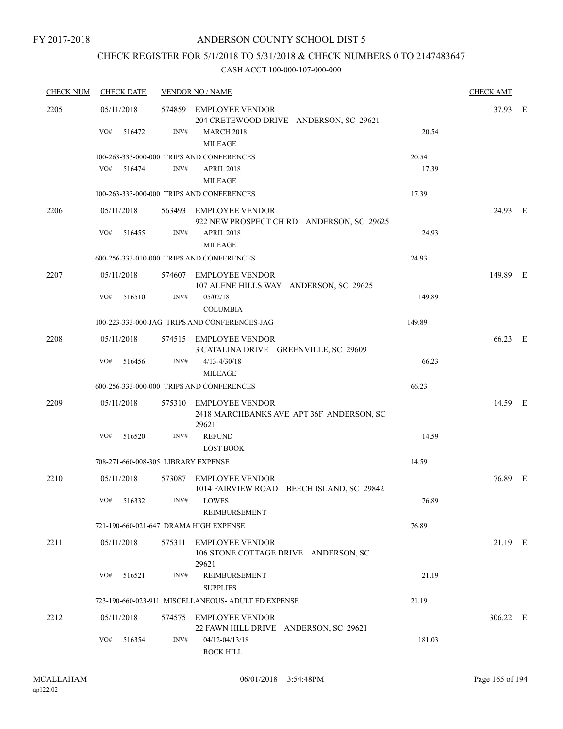## CHECK REGISTER FOR 5/1/2018 TO 5/31/2018 & CHECK NUMBERS 0 TO 2147483647

| <b>CHECK NUM</b> | <b>CHECK DATE</b>                      |      | <b>VENDOR NO / NAME</b>                                         |                                           |        | <b>CHECK AMT</b> |  |
|------------------|----------------------------------------|------|-----------------------------------------------------------------|-------------------------------------------|--------|------------------|--|
| 2205             | 05/11/2018<br>VO#<br>516472            | INV# | 574859 EMPLOYEE VENDOR<br><b>MARCH 2018</b>                     | 204 CRETEWOOD DRIVE ANDERSON, SC 29621    | 20.54  | 37.93 E          |  |
|                  |                                        |      | <b>MILEAGE</b><br>100-263-333-000-000 TRIPS AND CONFERENCES     |                                           | 20.54  |                  |  |
|                  | $VO#$ 516474                           | INV# | <b>APRIL 2018</b><br><b>MILEAGE</b>                             |                                           | 17.39  |                  |  |
|                  |                                        |      | 100-263-333-000-000 TRIPS AND CONFERENCES                       |                                           | 17.39  |                  |  |
| 2206             | 05/11/2018<br>VO#<br>516455            | INV# | 563493 EMPLOYEE VENDOR<br>APRIL 2018                            | 922 NEW PROSPECT CH RD ANDERSON, SC 29625 | 24.93  | 24.93 E          |  |
|                  |                                        |      | <b>MILEAGE</b>                                                  |                                           |        |                  |  |
|                  |                                        |      | 600-256-333-010-000 TRIPS AND CONFERENCES                       |                                           | 24.93  |                  |  |
| 2207             | 05/11/2018                             |      | 574607 EMPLOYEE VENDOR                                          | 107 ALENE HILLS WAY ANDERSON, SC 29625    |        | 149.89 E         |  |
|                  | VO#<br>516510                          | INV# | 05/02/18<br><b>COLUMBIA</b>                                     |                                           | 149.89 |                  |  |
|                  |                                        |      | 100-223-333-000-JAG TRIPS AND CONFERENCES-JAG                   |                                           | 149.89 |                  |  |
| 2208             | 05/11/2018                             |      | 574515 EMPLOYEE VENDOR<br>3 CATALINA DRIVE GREENVILLE, SC 29609 |                                           |        | 66.23 E          |  |
|                  | VO#<br>516456                          | INV# | $4/13 - 4/30/18$<br><b>MILEAGE</b>                              |                                           | 66.23  |                  |  |
|                  |                                        |      | 600-256-333-000-000 TRIPS AND CONFERENCES                       |                                           | 66.23  |                  |  |
| 2209             | 05/11/2018                             |      | 575310 EMPLOYEE VENDOR<br>29621                                 | 2418 MARCHBANKS AVE APT 36F ANDERSON, SC  |        | 14.59 E          |  |
|                  | VO#<br>516520                          | INV# | <b>REFUND</b><br><b>LOST BOOK</b>                               |                                           | 14.59  |                  |  |
|                  | 708-271-660-008-305 LIBRARY EXPENSE    |      |                                                                 |                                           | 14.59  |                  |  |
| 2210             | 05/11/2018                             |      | 573087 EMPLOYEE VENDOR                                          | 1014 FAIRVIEW ROAD BEECH ISLAND, SC 29842 |        | 76.89 E          |  |
|                  | VO# 516332                             |      | INV# LOWES<br>REIMBURSEMENT                                     |                                           | 76.89  |                  |  |
|                  | 721-190-660-021-647 DRAMA HIGH EXPENSE |      |                                                                 |                                           | 76.89  |                  |  |
| 2211             | 05/11/2018                             |      | 575311 EMPLOYEE VENDOR<br>29621                                 | 106 STONE COTTAGE DRIVE ANDERSON, SC      |        | 21.19 E          |  |
|                  | VO#<br>516521                          | INV# | REIMBURSEMENT<br><b>SUPPLIES</b>                                |                                           | 21.19  |                  |  |
|                  |                                        |      | 723-190-660-023-911 MISCELLANEOUS- ADULT ED EXPENSE             |                                           | 21.19  |                  |  |
| 2212             | 05/11/2018                             |      | 574575 EMPLOYEE VENDOR<br>22 FAWN HILL DRIVE ANDERSON, SC 29621 |                                           |        | 306.22 E         |  |
|                  | VO#<br>516354                          | INV# | 04/12-04/13/18<br><b>ROCK HILL</b>                              |                                           | 181.03 |                  |  |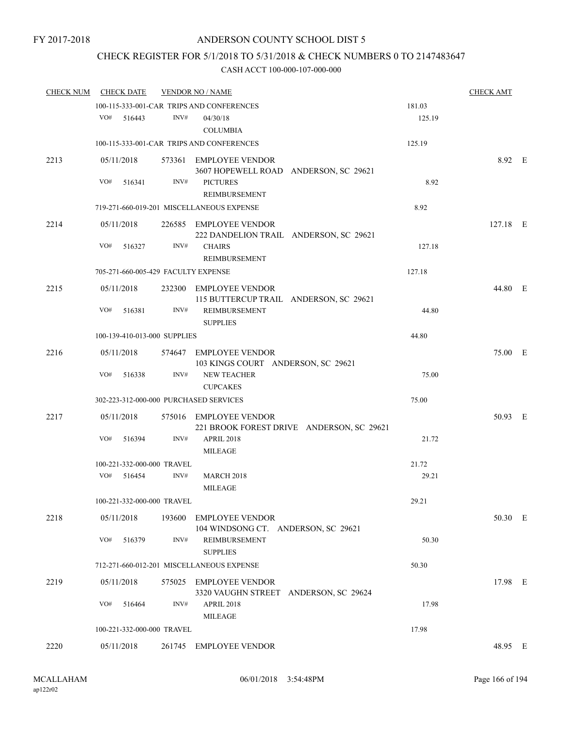## CHECK REGISTER FOR 5/1/2018 TO 5/31/2018 & CHECK NUMBERS 0 TO 2147483647

| <b>CHECK NUM</b> | <b>CHECK DATE</b>            |            |        | <b>VENDOR NO / NAME</b>                                             |        | <b>CHECK AMT</b> |  |
|------------------|------------------------------|------------|--------|---------------------------------------------------------------------|--------|------------------|--|
|                  |                              |            |        | 100-115-333-001-CAR TRIPS AND CONFERENCES                           | 181.03 |                  |  |
|                  | $VO#$ 516443                 |            | INV#   | 04/30/18<br><b>COLUMBIA</b>                                         | 125.19 |                  |  |
|                  |                              |            |        | 100-115-333-001-CAR TRIPS AND CONFERENCES                           | 125.19 |                  |  |
| 2213             | 05/11/2018                   |            |        | 573361 EMPLOYEE VENDOR<br>3607 HOPEWELL ROAD ANDERSON, SC 29621     |        | 8.92 E           |  |
|                  | VO#                          | 516341     | INV#   | <b>PICTURES</b><br>REIMBURSEMENT                                    | 8.92   |                  |  |
|                  |                              |            |        | 719-271-660-019-201 MISCELLANEOUS EXPENSE                           | 8.92   |                  |  |
| 2214             | 05/11/2018                   |            |        | 226585 EMPLOYEE VENDOR<br>222 DANDELION TRAIL ANDERSON, SC 29621    |        | $127.18$ E       |  |
|                  | VO#                          | 516327     | INV#   | <b>CHAIRS</b><br>REIMBURSEMENT                                      | 127.18 |                  |  |
|                  |                              |            |        | 705-271-660-005-429 FACULTY EXPENSE                                 | 127.18 |                  |  |
| 2215             | 05/11/2018                   |            |        | 232300 EMPLOYEE VENDOR<br>115 BUTTERCUP TRAIL ANDERSON, SC 29621    |        | 44.80 E          |  |
|                  | VO#                          | 516381     | INV#   | REIMBURSEMENT<br><b>SUPPLIES</b>                                    | 44.80  |                  |  |
|                  | 100-139-410-013-000 SUPPLIES |            |        |                                                                     | 44.80  |                  |  |
| 2216             |                              | 05/11/2018 |        | 574647 EMPLOYEE VENDOR<br>103 KINGS COURT ANDERSON, SC 29621        |        | 75.00 E          |  |
|                  | VO#                          | 516338     | INV#   | <b>NEW TEACHER</b><br><b>CUPCAKES</b>                               | 75.00  |                  |  |
|                  |                              |            |        | 302-223-312-000-000 PURCHASED SERVICES                              | 75.00  |                  |  |
| 2217             | 05/11/2018                   |            |        | 575016 EMPLOYEE VENDOR<br>221 BROOK FOREST DRIVE ANDERSON, SC 29621 |        | 50.93 E          |  |
|                  | VO#                          | 516394     | INV#   | APRIL 2018<br><b>MILEAGE</b>                                        | 21.72  |                  |  |
|                  | 100-221-332-000-000 TRAVEL   |            |        |                                                                     | 21.72  |                  |  |
|                  | VO# 516454                   |            | INV#   | <b>MARCH 2018</b><br><b>MILEAGE</b>                                 | 29.21  |                  |  |
|                  | 100-221-332-000-000 TRAVEL   |            |        |                                                                     | 29.21  |                  |  |
| 2218             | 05/11/2018                   |            | 193600 | <b>EMPLOYEE VENDOR</b><br>104 WINDSONG CT. ANDERSON, SC 29621       |        | 50.30 E          |  |
|                  | VO#                          | 516379     | INV#   | REIMBURSEMENT<br><b>SUPPLIES</b>                                    | 50.30  |                  |  |
|                  |                              |            |        | 712-271-660-012-201 MISCELLANEOUS EXPENSE                           | 50.30  |                  |  |
| 2219             | 05/11/2018                   |            |        | 575025 EMPLOYEE VENDOR<br>3320 VAUGHN STREET ANDERSON, SC 29624     |        | 17.98 E          |  |
|                  | VO#                          | 516464     | INV#   | <b>APRIL 2018</b><br><b>MILEAGE</b>                                 | 17.98  |                  |  |
|                  | 100-221-332-000-000 TRAVEL   |            |        |                                                                     | 17.98  |                  |  |
| 2220             | 05/11/2018                   |            | 261745 | <b>EMPLOYEE VENDOR</b>                                              |        | 48.95 E          |  |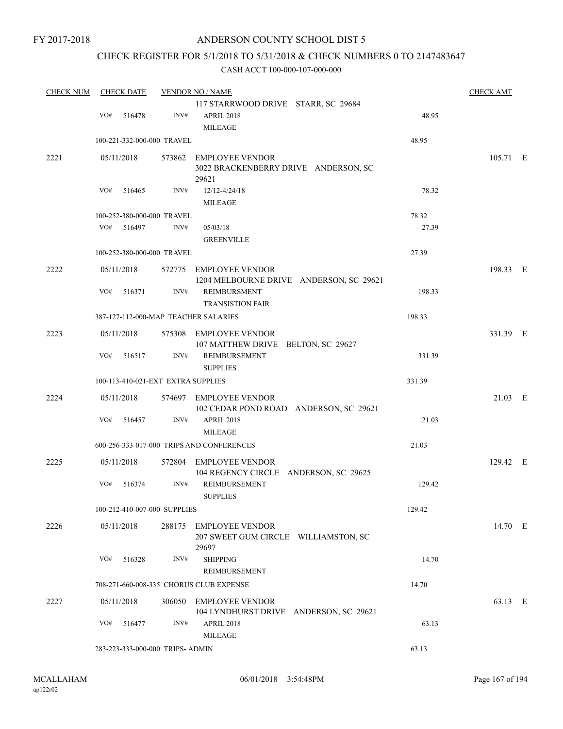FY 2017-2018

## ANDERSON COUNTY SCHOOL DIST 5

## CHECK REGISTER FOR 5/1/2018 TO 5/31/2018 & CHECK NUMBERS 0 TO 2147483647

| <b>CHECK NUM</b> |     | <b>CHECK DATE</b> |                                    | <b>VENDOR NO / NAME</b>                                                 |        | <b>CHECK AMT</b> |  |
|------------------|-----|-------------------|------------------------------------|-------------------------------------------------------------------------|--------|------------------|--|
|                  |     |                   |                                    | 117 STARRWOOD DRIVE STARR, SC 29684                                     |        |                  |  |
|                  | VO# | 516478            | INV#                               | <b>APRIL 2018</b><br><b>MILEAGE</b>                                     | 48.95  |                  |  |
|                  |     |                   | 100-221-332-000-000 TRAVEL         |                                                                         | 48.95  |                  |  |
| 2221             |     | 05/11/2018        |                                    | 573862 EMPLOYEE VENDOR<br>3022 BRACKENBERRY DRIVE ANDERSON, SC<br>29621 |        | 105.71 E         |  |
|                  | VO# | 516465            | INV#                               | 12/12-4/24/18<br>MILEAGE                                                | 78.32  |                  |  |
|                  |     |                   | 100-252-380-000-000 TRAVEL         |                                                                         | 78.32  |                  |  |
|                  | VO# | 516497            | INV#                               | 05/03/18<br><b>GREENVILLE</b>                                           | 27.39  |                  |  |
|                  |     |                   | 100-252-380-000-000 TRAVEL         |                                                                         | 27.39  |                  |  |
|                  |     |                   |                                    |                                                                         |        |                  |  |
| 2222             |     | 05/11/2018        |                                    | 572775 EMPLOYEE VENDOR<br>1204 MELBOURNE DRIVE ANDERSON, SC 29621       |        | 198.33 E         |  |
|                  | VO# | 516371            | INV#                               | <b>REIMBURSMENT</b><br><b>TRANSISTION FAIR</b>                          | 198.33 |                  |  |
|                  |     |                   |                                    | 387-127-112-000-MAP TEACHER SALARIES                                    | 198.33 |                  |  |
| 2223             |     | 05/11/2018        |                                    | 575308 EMPLOYEE VENDOR<br>107 MATTHEW DRIVE BELTON, SC 29627            |        | 331.39 E         |  |
|                  | VO# | 516517            | INV#                               | REIMBURSEMENT<br><b>SUPPLIES</b>                                        | 331.39 |                  |  |
|                  |     |                   | 100-113-410-021-EXT EXTRA SUPPLIES |                                                                         | 331.39 |                  |  |
| 2224             |     | 05/11/2018        |                                    | 574697 EMPLOYEE VENDOR<br>102 CEDAR POND ROAD ANDERSON, SC 29621        |        | 21.03 E          |  |
|                  | VO# | 516457            | INV#                               | <b>APRIL 2018</b><br><b>MILEAGE</b>                                     | 21.03  |                  |  |
|                  |     |                   |                                    | 600-256-333-017-000 TRIPS AND CONFERENCES                               | 21.03  |                  |  |
| 2225             |     | 05/11/2018        |                                    | 572804 EMPLOYEE VENDOR<br>104 REGENCY CIRCLE ANDERSON, SC 29625         |        | 129.42 E         |  |
|                  | VO# | 516374            | INV#                               | REIMBURSEMENT<br><b>SUPPLIES</b>                                        | 129.42 |                  |  |
|                  |     |                   | 100-212-410-007-000 SUPPLIES       |                                                                         | 129.42 |                  |  |
| 2226             |     | 05/11/2018        |                                    | 288175 EMPLOYEE VENDOR<br>207 SWEET GUM CIRCLE WILLIAMSTON, SC<br>29697 |        | 14.70 E          |  |
|                  | VO# | 516328            | INV#                               | <b>SHIPPING</b><br>REIMBURSEMENT                                        | 14.70  |                  |  |
|                  |     |                   |                                    | 708-271-660-008-335 CHORUS CLUB EXPENSE                                 | 14.70  |                  |  |
| 2227             |     | 05/11/2018        | 306050                             | <b>EMPLOYEE VENDOR</b><br>104 LYNDHURST DRIVE ANDERSON, SC 29621        |        | 63.13 E          |  |
|                  | VO# | 516477            | INV#                               | APRIL 2018<br><b>MILEAGE</b>                                            | 63.13  |                  |  |
|                  |     |                   | 283-223-333-000-000 TRIPS- ADMIN   |                                                                         | 63.13  |                  |  |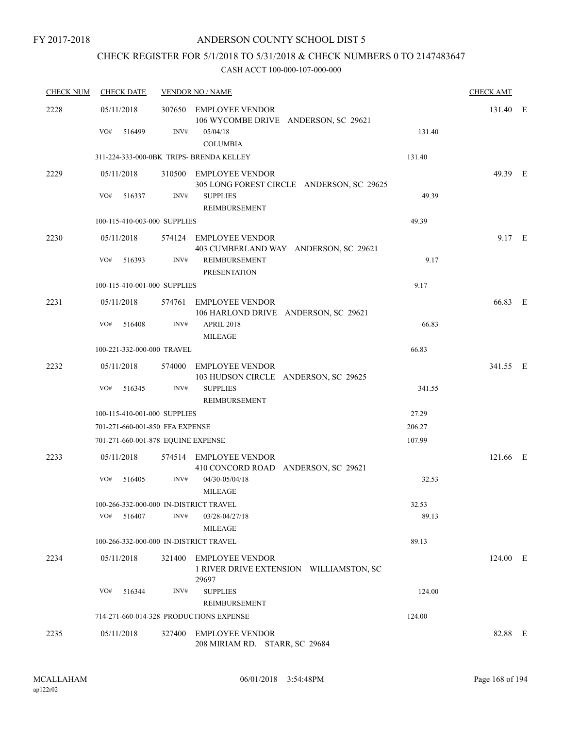## CHECK REGISTER FOR 5/1/2018 TO 5/31/2018 & CHECK NUMBERS 0 TO 2147483647

| <b>CHECK NUM</b> | <b>CHECK DATE</b>                       |        | <b>VENDOR NO / NAME</b>                                                    |        | <b>CHECK AMT</b> |  |
|------------------|-----------------------------------------|--------|----------------------------------------------------------------------------|--------|------------------|--|
| 2228             | 05/11/2018                              |        | 307650 EMPLOYEE VENDOR<br>106 WYCOMBE DRIVE ANDERSON, SC 29621             |        | 131.40 E         |  |
|                  | VO#<br>516499                           | INV#   | 05/04/18<br><b>COLUMBIA</b>                                                | 131.40 |                  |  |
|                  |                                         |        | 311-224-333-000-0BK TRIPS- BRENDA KELLEY                                   | 131.40 |                  |  |
| 2229             | 05/11/2018                              |        | 310500 EMPLOYEE VENDOR<br>305 LONG FOREST CIRCLE ANDERSON, SC 29625        |        | 49.39 E          |  |
|                  | VO#<br>516337                           | INV#   | <b>SUPPLIES</b><br><b>REIMBURSEMENT</b>                                    | 49.39  |                  |  |
|                  | 100-115-410-003-000 SUPPLIES            |        |                                                                            | 49.39  |                  |  |
| 2230             | 05/11/2018                              |        | 574124 EMPLOYEE VENDOR<br>403 CUMBERLAND WAY ANDERSON, SC 29621            |        | $9.17$ E         |  |
|                  | VO#<br>516393                           | INV#   | REIMBURSEMENT<br><b>PRESENTATION</b>                                       | 9.17   |                  |  |
|                  | 100-115-410-001-000 SUPPLIES            |        |                                                                            | 9.17   |                  |  |
| 2231             | 05/11/2018                              |        | 574761 EMPLOYEE VENDOR<br>106 HARLOND DRIVE ANDERSON, SC 29621             |        | 66.83 E          |  |
|                  | VO#<br>516408                           | INV#   | <b>APRIL 2018</b><br><b>MILEAGE</b>                                        | 66.83  |                  |  |
|                  | 100-221-332-000-000 TRAVEL              |        |                                                                            | 66.83  |                  |  |
| 2232             | 05/11/2018                              | 574000 | <b>EMPLOYEE VENDOR</b><br>103 HUDSON CIRCLE ANDERSON, SC 29625             |        | 341.55 E         |  |
|                  | VO#<br>516345                           | INV#   | <b>SUPPLIES</b><br>REIMBURSEMENT                                           | 341.55 |                  |  |
|                  | 100-115-410-001-000 SUPPLIES            |        |                                                                            | 27.29  |                  |  |
|                  | 701-271-660-001-850 FFA EXPENSE         |        |                                                                            | 206.27 |                  |  |
|                  | 701-271-660-001-878 EQUINE EXPENSE      |        |                                                                            | 107.99 |                  |  |
| 2233             | 05/11/2018                              |        | 574514 EMPLOYEE VENDOR<br>410 CONCORD ROAD ANDERSON, SC 29621              |        | 121.66 E         |  |
|                  | VO#<br>516405                           | INV#   | 04/30-05/04/18<br><b>MILEAGE</b>                                           | 32.53  |                  |  |
|                  | 100-266-332-000-000 IN-DISTRICT TRAVEL  | INV#   |                                                                            | 32.53  |                  |  |
|                  | VO#<br>516407                           |        | 03/28-04/27/18<br><b>MILEAGE</b>                                           | 89.13  |                  |  |
|                  | 100-266-332-000-000 IN-DISTRICT TRAVEL  |        |                                                                            | 89.13  |                  |  |
| 2234             | 05/11/2018                              | 321400 | <b>EMPLOYEE VENDOR</b><br>1 RIVER DRIVE EXTENSION WILLIAMSTON, SC<br>29697 |        | 124.00 E         |  |
|                  | VO#<br>516344                           | INV#   | <b>SUPPLIES</b><br>REIMBURSEMENT                                           | 124.00 |                  |  |
|                  | 714-271-660-014-328 PRODUCTIONS EXPENSE |        |                                                                            | 124.00 |                  |  |
| 2235             | 05/11/2018                              | 327400 | <b>EMPLOYEE VENDOR</b><br>208 MIRIAM RD. STARR, SC 29684                   |        | 82.88 E          |  |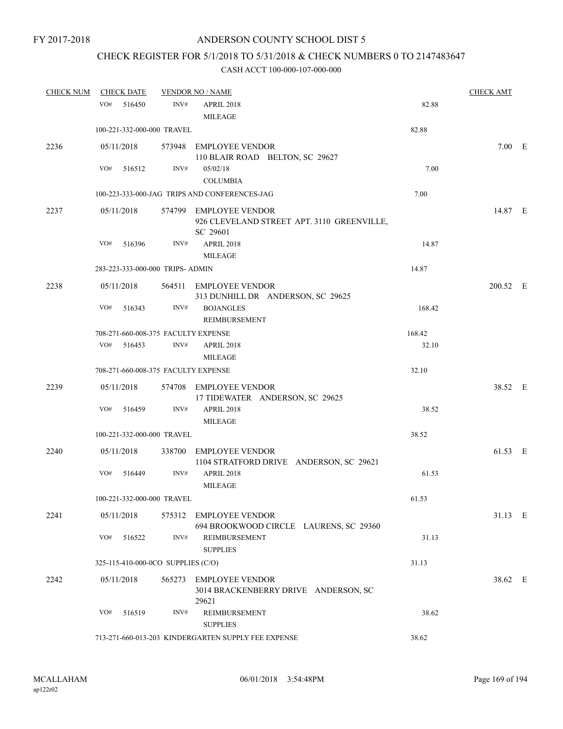# CHECK REGISTER FOR 5/1/2018 TO 5/31/2018 & CHECK NUMBERS 0 TO 2147483647

| <b>CHECK NUM</b> |     | <b>CHECK DATE</b> |                                    | <b>VENDOR NO / NAME</b>                                                          |        | <b>CHECK AMT</b> |  |
|------------------|-----|-------------------|------------------------------------|----------------------------------------------------------------------------------|--------|------------------|--|
|                  | VO# | 516450            | INV#                               | <b>APRIL 2018</b><br><b>MILEAGE</b>                                              | 82.88  |                  |  |
|                  |     |                   | 100-221-332-000-000 TRAVEL         |                                                                                  | 82.88  |                  |  |
| 2236             |     | 05/11/2018        |                                    | 573948 EMPLOYEE VENDOR<br>110 BLAIR ROAD BELTON, SC 29627                        |        | $7.00$ E         |  |
|                  | VO# | 516512            | INV#                               | 05/02/18<br><b>COLUMBIA</b>                                                      | 7.00   |                  |  |
|                  |     |                   |                                    | 100-223-333-000-JAG TRIPS AND CONFERENCES-JAG                                    | 7.00   |                  |  |
| 2237             |     | 05/11/2018        |                                    | 574799 EMPLOYEE VENDOR<br>926 CLEVELAND STREET APT. 3110 GREENVILLE,<br>SC 29601 |        | 14.87 E          |  |
|                  | VO# | 516396            | INV#                               | APRIL 2018<br><b>MILEAGE</b>                                                     | 14.87  |                  |  |
|                  |     |                   | 283-223-333-000-000 TRIPS- ADMIN   |                                                                                  | 14.87  |                  |  |
| 2238             |     | 05/11/2018        |                                    | 564511 EMPLOYEE VENDOR<br>313 DUNHILL DR ANDERSON, SC 29625                      |        | 200.52 E         |  |
|                  | VO# | 516343            | INV#                               | <b>BOJANGLES</b><br>REIMBURSEMENT                                                | 168.42 |                  |  |
|                  |     |                   |                                    | 708-271-660-008-375 FACULTY EXPENSE                                              | 168.42 |                  |  |
|                  |     | $VO#$ 516453      | INV#                               | <b>APRIL 2018</b><br><b>MILEAGE</b>                                              | 32.10  |                  |  |
|                  |     |                   |                                    | 708-271-660-008-375 FACULTY EXPENSE                                              | 32.10  |                  |  |
| 2239             |     | 05/11/2018        |                                    | 574708 EMPLOYEE VENDOR<br>17 TIDEWATER ANDERSON, SC 29625                        |        | 38.52 E          |  |
|                  | VO# | 516459            | INV#                               | APRIL 2018<br><b>MILEAGE</b>                                                     | 38.52  |                  |  |
|                  |     |                   | 100-221-332-000-000 TRAVEL         |                                                                                  | 38.52  |                  |  |
| 2240             |     | 05/11/2018        |                                    | 338700 EMPLOYEE VENDOR<br>1104 STRATFORD DRIVE ANDERSON, SC 29621                |        | 61.53 E          |  |
|                  | VO# | 516449            | INV#                               | APRIL 2018<br><b>MILEAGE</b>                                                     | 61.53  |                  |  |
|                  |     |                   | 100-221-332-000-000 TRAVEL         |                                                                                  | 61.53  |                  |  |
| 2241             |     | 05/11/2018        |                                    | 575312 EMPLOYEE VENDOR<br>694 BROOKWOOD CIRCLE LAURENS, SC 29360                 |        | 31.13 E          |  |
|                  | VO# | 516522            | INV#                               | REIMBURSEMENT<br><b>SUPPLIES</b>                                                 | 31.13  |                  |  |
|                  |     |                   | 325-115-410-000-0CO SUPPLIES (C/O) |                                                                                  | 31.13  |                  |  |
| 2242             |     | 05/11/2018        |                                    | 565273 EMPLOYEE VENDOR<br>3014 BRACKENBERRY DRIVE ANDERSON, SC<br>29621          |        | 38.62 E          |  |
|                  | VO# | 516519            | INV#                               | REIMBURSEMENT<br><b>SUPPLIES</b>                                                 | 38.62  |                  |  |
|                  |     |                   |                                    | 713-271-660-013-203 KINDERGARTEN SUPPLY FEE EXPENSE                              | 38.62  |                  |  |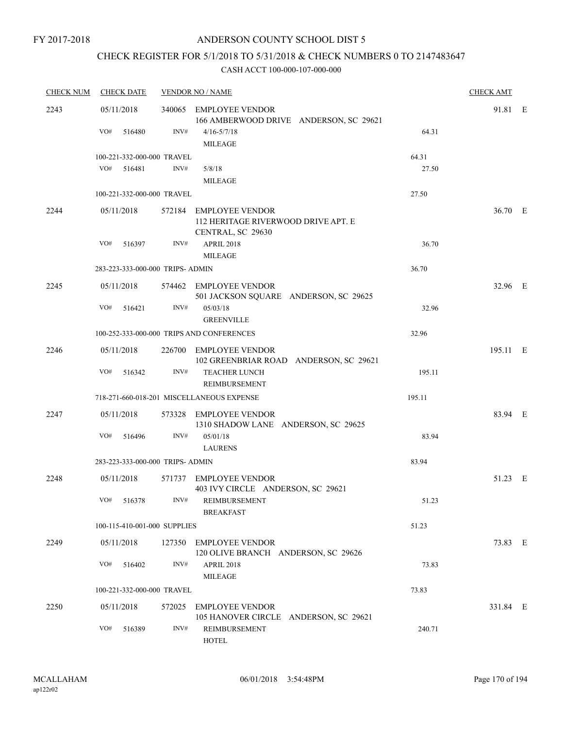## CHECK REGISTER FOR 5/1/2018 TO 5/31/2018 & CHECK NUMBERS 0 TO 2147483647

| <b>CHECK NUM</b> | <b>CHECK DATE</b>                |        | <b>VENDOR NO / NAME</b>                                                            |        | <b>CHECK AMT</b> |  |
|------------------|----------------------------------|--------|------------------------------------------------------------------------------------|--------|------------------|--|
| 2243             | 05/11/2018                       |        | 340065 EMPLOYEE VENDOR<br>166 AMBERWOOD DRIVE ANDERSON, SC 29621                   |        | 91.81 E          |  |
|                  | VO#<br>516480                    | INV#   | $4/16 - 5/7/18$                                                                    | 64.31  |                  |  |
|                  |                                  |        | <b>MILEAGE</b>                                                                     |        |                  |  |
|                  | 100-221-332-000-000 TRAVEL       |        |                                                                                    | 64.31  |                  |  |
|                  | VO#<br>516481                    | INV#   | 5/8/18                                                                             | 27.50  |                  |  |
|                  |                                  |        | <b>MILEAGE</b>                                                                     |        |                  |  |
|                  | 100-221-332-000-000 TRAVEL       |        |                                                                                    | 27.50  |                  |  |
| 2244             | 05/11/2018                       |        | 572184 EMPLOYEE VENDOR<br>112 HERITAGE RIVERWOOD DRIVE APT. E<br>CENTRAL, SC 29630 |        | 36.70 E          |  |
|                  | VO#<br>516397                    | INV#   | <b>APRIL 2018</b><br><b>MILEAGE</b>                                                | 36.70  |                  |  |
|                  | 283-223-333-000-000 TRIPS- ADMIN |        |                                                                                    | 36.70  |                  |  |
|                  |                                  |        |                                                                                    |        |                  |  |
| 2245             | 05/11/2018                       |        | 574462 EMPLOYEE VENDOR<br>501 JACKSON SQUARE ANDERSON, SC 29625                    |        | 32.96 E          |  |
|                  | VO#<br>516421                    | INV#   | 05/03/18                                                                           | 32.96  |                  |  |
|                  |                                  |        | <b>GREENVILLE</b>                                                                  |        |                  |  |
|                  |                                  |        | 100-252-333-000-000 TRIPS AND CONFERENCES                                          | 32.96  |                  |  |
| 2246             | 05/11/2018                       | 226700 | EMPLOYEE VENDOR<br>102 GREENBRIAR ROAD ANDERSON, SC 29621                          |        | 195.11 E         |  |
|                  | VO#<br>516342                    | INV#   | <b>TEACHER LUNCH</b><br>REIMBURSEMENT                                              | 195.11 |                  |  |
|                  |                                  |        | 718-271-660-018-201 MISCELLANEOUS EXPENSE                                          | 195.11 |                  |  |
| 2247             | 05/11/2018                       |        | 573328 EMPLOYEE VENDOR<br>1310 SHADOW LANE ANDERSON, SC 29625                      |        | 83.94 E          |  |
|                  | VO#<br>516496                    | INV#   | 05/01/18                                                                           | 83.94  |                  |  |
|                  |                                  |        | <b>LAURENS</b>                                                                     |        |                  |  |
|                  | 283-223-333-000-000 TRIPS- ADMIN |        |                                                                                    | 83.94  |                  |  |
| 2248             | 05/11/2018                       |        | 571737 EMPLOYEE VENDOR                                                             |        | 51.23 E          |  |
|                  | VO# 516378                       |        | 403 IVY CIRCLE ANDERSON, SC 29621<br>INV# REIMBURSEMENT                            | 51.23  |                  |  |
|                  | 100-115-410-001-000 SUPPLIES     |        | <b>BREAKFAST</b>                                                                   | 51.23  |                  |  |
|                  |                                  |        |                                                                                    |        |                  |  |
| 2249             | 05/11/2018                       |        | 127350 EMPLOYEE VENDOR<br>120 OLIVE BRANCH ANDERSON, SC 29626                      |        | 73.83 E          |  |
|                  | VO# 516402                       | INV#   | APRIL 2018<br><b>MILEAGE</b>                                                       | 73.83  |                  |  |
|                  | 100-221-332-000-000 TRAVEL       |        |                                                                                    | 73.83  |                  |  |
| 2250             | 05/11/2018                       |        | 572025 EMPLOYEE VENDOR                                                             |        | 331.84 E         |  |
|                  |                                  |        | 105 HANOVER CIRCLE ANDERSON, SC 29621                                              |        |                  |  |
|                  | VO#<br>516389                    | INV#   | REIMBURSEMENT<br>HOTEL                                                             | 240.71 |                  |  |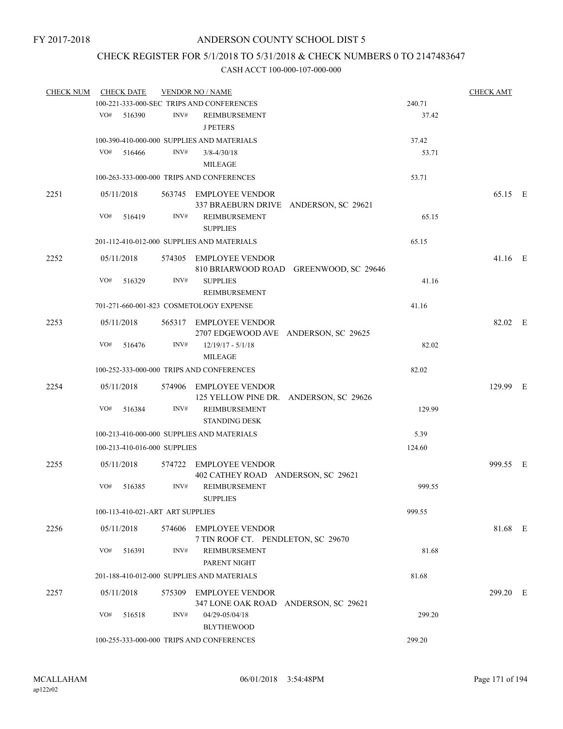## CHECK REGISTER FOR 5/1/2018 TO 5/31/2018 & CHECK NUMBERS 0 TO 2147483647

| <b>CHECK NUM</b> | <b>CHECK DATE</b>                |        | <b>VENDOR NO / NAME</b>                                          | <b>CHECK AMT</b>                       |        |           |  |
|------------------|----------------------------------|--------|------------------------------------------------------------------|----------------------------------------|--------|-----------|--|
|                  |                                  |        | 100-221-333-000-SEC TRIPS AND CONFERENCES                        |                                        | 240.71 |           |  |
|                  | VO#<br>516390                    | INV#   | REIMBURSEMENT<br><b>J PETERS</b>                                 |                                        | 37.42  |           |  |
|                  |                                  |        | 100-390-410-000-000 SUPPLIES AND MATERIALS                       |                                        | 37.42  |           |  |
|                  | VO#<br>516466                    | INV#   | $3/8 - 4/30/18$<br>MILEAGE                                       |                                        | 53.71  |           |  |
|                  |                                  |        | 100-263-333-000-000 TRIPS AND CONFERENCES                        |                                        | 53.71  |           |  |
| 2251             | 05/11/2018                       |        | 563745 EMPLOYEE VENDOR<br>337 BRAEBURN DRIVE ANDERSON, SC 29621  |                                        |        | 65.15 E   |  |
|                  | VO#<br>516419                    | INV#   | REIMBURSEMENT<br><b>SUPPLIES</b>                                 |                                        | 65.15  |           |  |
|                  |                                  |        | 201-112-410-012-000 SUPPLIES AND MATERIALS                       |                                        | 65.15  |           |  |
| 2252             | 05/11/2018                       |        | 574305 EMPLOYEE VENDOR                                           | 810 BRIARWOOD ROAD GREENWOOD, SC 29646 |        | $41.16$ E |  |
|                  | VO#<br>516329                    | INV#   | <b>SUPPLIES</b><br>REIMBURSEMENT                                 |                                        | 41.16  |           |  |
|                  |                                  |        | 701-271-660-001-823 COSMETOLOGY EXPENSE                          |                                        | 41.16  |           |  |
| 2253             | 05/11/2018                       |        | 565317 EMPLOYEE VENDOR<br>2707 EDGEWOOD AVE ANDERSON, SC 29625   |                                        |        | 82.02 E   |  |
|                  | VO#<br>516476                    | INV#   | $12/19/17 - 5/1/18$<br><b>MILEAGE</b>                            |                                        | 82.02  |           |  |
|                  |                                  |        | 100-252-333-000-000 TRIPS AND CONFERENCES                        |                                        | 82.02  |           |  |
| 2254             | 05/11/2018                       |        | 574906 EMPLOYEE VENDOR<br>125 YELLOW PINE DR. ANDERSON, SC 29626 |                                        |        | 129.99 E  |  |
|                  | VO#<br>516384                    | INV#   | <b>REIMBURSEMENT</b><br><b>STANDING DESK</b>                     |                                        | 129.99 |           |  |
|                  |                                  |        | 100-213-410-000-000 SUPPLIES AND MATERIALS                       |                                        | 5.39   |           |  |
|                  | 100-213-410-016-000 SUPPLIES     |        |                                                                  |                                        | 124.60 |           |  |
| 2255             | 05/11/2018                       | 574722 | EMPLOYEE VENDOR<br>402 CATHEY ROAD ANDERSON, SC 29621            |                                        |        | 999.55 E  |  |
|                  | VO#<br>516385                    | INV#   | <b>REIMBURSEMENT</b><br><b>SUPPLIES</b>                          |                                        | 999.55 |           |  |
|                  | 100-113-410-021-ART ART SUPPLIES |        |                                                                  |                                        | 999.55 |           |  |
| 2256             | 05/11/2018                       |        | 574606 EMPLOYEE VENDOR<br>7 TIN ROOF CT. PENDLETON, SC 29670     |                                        |        | 81.68 E   |  |
|                  | VO#<br>516391                    | INV#   | REIMBURSEMENT<br>PARENT NIGHT                                    |                                        | 81.68  |           |  |
|                  |                                  |        | 201-188-410-012-000 SUPPLIES AND MATERIALS                       |                                        | 81.68  |           |  |
| 2257             | 05/11/2018                       |        | 575309 EMPLOYEE VENDOR<br>347 LONE OAK ROAD ANDERSON, SC 29621   |                                        |        | 299.20 E  |  |
|                  | VO#<br>516518                    | INV#   | 04/29-05/04/18<br><b>BLYTHEWOOD</b>                              |                                        | 299.20 |           |  |
|                  |                                  |        | 100-255-333-000-000 TRIPS AND CONFERENCES                        |                                        | 299.20 |           |  |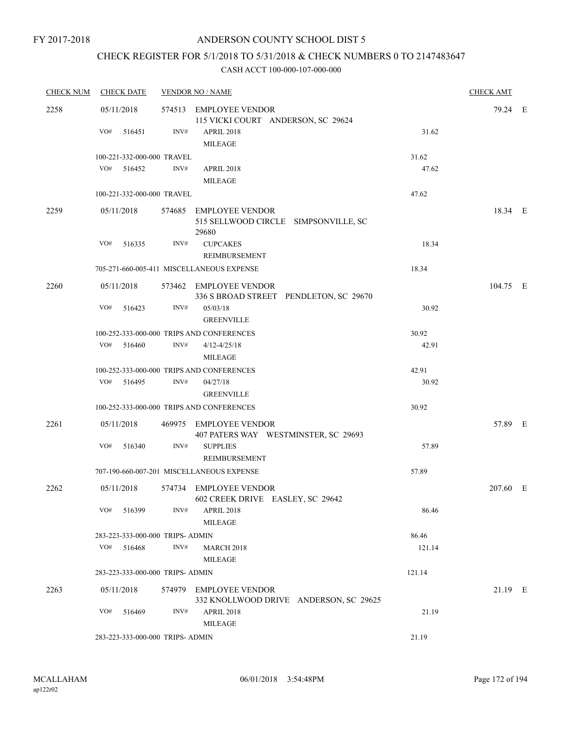## CHECK REGISTER FOR 5/1/2018 TO 5/31/2018 & CHECK NUMBERS 0 TO 2147483647

| <b>CHECK NUM</b> | <b>CHECK DATE</b>                |      | <b>VENDOR NO / NAME</b>                       |        | <b>CHECK AMT</b> |  |
|------------------|----------------------------------|------|-----------------------------------------------|--------|------------------|--|
| 2258             | 05/11/2018                       |      | 574513 EMPLOYEE VENDOR                        |        | 79.24 E          |  |
|                  |                                  |      | 115 VICKI COURT ANDERSON, SC 29624            |        |                  |  |
|                  | VO#<br>516451                    | INV# | APRIL 2018                                    | 31.62  |                  |  |
|                  |                                  |      | <b>MILEAGE</b>                                |        |                  |  |
|                  | 100-221-332-000-000 TRAVEL       |      |                                               | 31.62  |                  |  |
|                  | VO# 516452                       | INV# | APRIL 2018                                    | 47.62  |                  |  |
|                  |                                  |      | <b>MILEAGE</b>                                |        |                  |  |
|                  | 100-221-332-000-000 TRAVEL       |      |                                               | 47.62  |                  |  |
| 2259             | 05/11/2018                       |      | 574685 EMPLOYEE VENDOR                        |        | 18.34 E          |  |
|                  |                                  |      | 515 SELLWOOD CIRCLE SIMPSONVILLE, SC<br>29680 |        |                  |  |
|                  | VO#<br>516335                    | INV# | <b>CUPCAKES</b>                               | 18.34  |                  |  |
|                  |                                  |      | REIMBURSEMENT                                 |        |                  |  |
|                  |                                  |      | 705-271-660-005-411 MISCELLANEOUS EXPENSE     | 18.34  |                  |  |
| 2260             | 05/11/2018                       |      | 573462 EMPLOYEE VENDOR                        |        | 104.75 E         |  |
|                  |                                  |      | 336 S BROAD STREET PENDLETON, SC 29670        |        |                  |  |
|                  | VO#<br>516423                    | INV# | 05/03/18                                      | 30.92  |                  |  |
|                  |                                  |      | <b>GREENVILLE</b>                             |        |                  |  |
|                  |                                  |      | 100-252-333-000-000 TRIPS AND CONFERENCES     | 30.92  |                  |  |
|                  | $VO#$ 516460                     | INV# | $4/12 - 4/25/18$                              | 42.91  |                  |  |
|                  |                                  |      | MILEAGE                                       |        |                  |  |
|                  |                                  |      | 100-252-333-000-000 TRIPS AND CONFERENCES     | 42.91  |                  |  |
|                  | VO# 516495                       | INV# | 04/27/18                                      | 30.92  |                  |  |
|                  |                                  |      | <b>GREENVILLE</b>                             |        |                  |  |
|                  |                                  |      | 100-252-333-000-000 TRIPS AND CONFERENCES     | 30.92  |                  |  |
| 2261             | 05/11/2018                       |      | 469975 EMPLOYEE VENDOR                        |        | 57.89 E          |  |
|                  |                                  |      | 407 PATERS WAY WESTMINSTER, SC 29693          |        |                  |  |
|                  | VO#<br>516340                    | INV# | <b>SUPPLIES</b>                               | 57.89  |                  |  |
|                  |                                  |      | REIMBURSEMENT                                 |        |                  |  |
|                  |                                  |      | 707-190-660-007-201 MISCELLANEOUS EXPENSE     | 57.89  |                  |  |
| 2262             | 05/11/2018                       |      | 574734 EMPLOYEE VENDOR                        |        | 207.60 E         |  |
|                  |                                  |      | 602 CREEK DRIVE EASLEY, SC 29642              |        |                  |  |
|                  | $VO#$ 516399                     | INV# | <b>APRIL 2018</b>                             | 86.46  |                  |  |
|                  |                                  |      | <b>MILEAGE</b>                                |        |                  |  |
|                  | 283-223-333-000-000 TRIPS- ADMIN |      |                                               | 86.46  |                  |  |
|                  | VO# 516468                       | INV# | <b>MARCH 2018</b>                             | 121.14 |                  |  |
|                  |                                  |      | MILEAGE                                       |        |                  |  |
|                  | 283-223-333-000-000 TRIPS- ADMIN |      |                                               | 121.14 |                  |  |
| 2263             | 05/11/2018                       |      | 574979 EMPLOYEE VENDOR                        |        | 21.19 E          |  |
|                  |                                  |      | 332 KNOLLWOOD DRIVE ANDERSON, SC 29625        |        |                  |  |
|                  | VO# 516469                       | INV# | <b>APRIL 2018</b>                             | 21.19  |                  |  |
|                  |                                  |      | <b>MILEAGE</b>                                |        |                  |  |
|                  | 283-223-333-000-000 TRIPS- ADMIN |      |                                               | 21.19  |                  |  |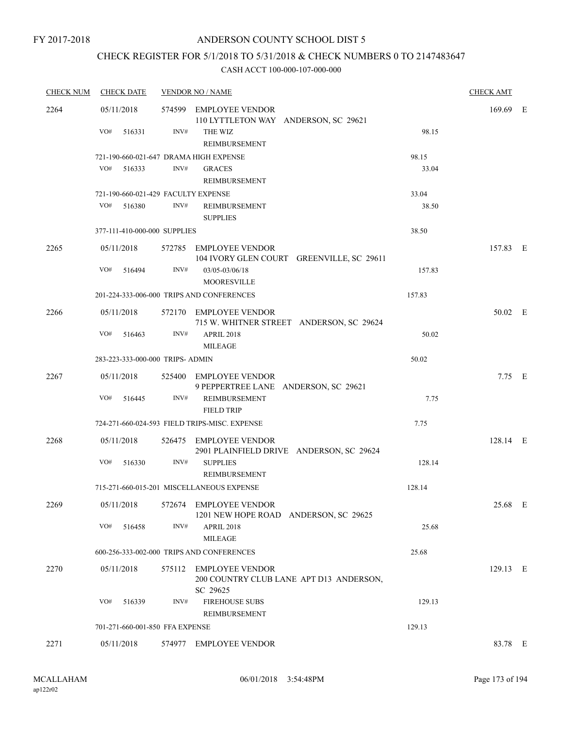## CHECK REGISTER FOR 5/1/2018 TO 5/31/2018 & CHECK NUMBERS 0 TO 2147483647

| <b>CHECK NUM</b> | <b>CHECK DATE</b>                      |      | <b>VENDOR NO / NAME</b>                                                       |        | <b>CHECK AMT</b> |  |
|------------------|----------------------------------------|------|-------------------------------------------------------------------------------|--------|------------------|--|
| 2264             | 05/11/2018                             |      | 574599 EMPLOYEE VENDOR<br>110 LYTTLETON WAY ANDERSON, SC 29621                |        | 169.69 E         |  |
|                  | VO#<br>516331                          | INV# | THE WIZ<br>REIMBURSEMENT                                                      | 98.15  |                  |  |
|                  | 721-190-660-021-647 DRAMA HIGH EXPENSE |      |                                                                               | 98.15  |                  |  |
|                  | VO#<br>516333                          | INV# | <b>GRACES</b><br><b>REIMBURSEMENT</b>                                         | 33.04  |                  |  |
|                  | 721-190-660-021-429 FACULTY EXPENSE    |      |                                                                               | 33.04  |                  |  |
|                  | VO#<br>516380                          | INV# | REIMBURSEMENT<br><b>SUPPLIES</b>                                              | 38.50  |                  |  |
|                  | 377-111-410-000-000 SUPPLIES           |      |                                                                               | 38.50  |                  |  |
| 2265             | 05/11/2018                             |      | 572785 EMPLOYEE VENDOR<br>104 IVORY GLEN COURT GREENVILLE, SC 29611           |        | 157.83 E         |  |
|                  | VO#<br>516494                          | INV# | 03/05-03/06/18<br><b>MOORESVILLE</b>                                          | 157.83 |                  |  |
|                  |                                        |      | 201-224-333-006-000 TRIPS AND CONFERENCES                                     | 157.83 |                  |  |
| 2266             | 05/11/2018                             |      | 572170 EMPLOYEE VENDOR<br>715 W. WHITNER STREET ANDERSON, SC 29624            |        | 50.02 E          |  |
|                  | VO#<br>516463                          | INV# | APRIL 2018<br><b>MILEAGE</b>                                                  | 50.02  |                  |  |
|                  | 283-223-333-000-000 TRIPS- ADMIN       |      |                                                                               | 50.02  |                  |  |
| 2267             | 05/11/2018                             |      | 525400 EMPLOYEE VENDOR<br>9 PEPPERTREE LANE ANDERSON, SC 29621                |        | $7.75$ E         |  |
|                  | VO#<br>516445                          | INV# | REIMBURSEMENT<br><b>FIELD TRIP</b>                                            | 7.75   |                  |  |
|                  |                                        |      | 724-271-660-024-593 FIELD TRIPS-MISC. EXPENSE                                 | 7.75   |                  |  |
| 2268             | 05/11/2018                             |      | 526475 EMPLOYEE VENDOR<br>2901 PLAINFIELD DRIVE ANDERSON, SC 29624            |        | 128.14 E         |  |
|                  | VO#<br>516330                          | INV# | <b>SUPPLIES</b><br>REIMBURSEMENT                                              | 128.14 |                  |  |
|                  |                                        |      | 715-271-660-015-201 MISCELLANEOUS EXPENSE                                     | 128.14 |                  |  |
| 2269             | 05/11/2018                             |      | 572674 EMPLOYEE VENDOR<br>1201 NEW HOPE ROAD ANDERSON, SC 29625               |        | 25.68 E          |  |
|                  | VO#<br>516458                          | INV# | <b>APRIL 2018</b><br><b>MILEAGE</b>                                           | 25.68  |                  |  |
|                  |                                        |      | 600-256-333-002-000 TRIPS AND CONFERENCES                                     | 25.68  |                  |  |
| 2270             | 05/11/2018                             |      | 575112 EMPLOYEE VENDOR<br>200 COUNTRY CLUB LANE APT D13 ANDERSON,<br>SC 29625 |        | 129.13 E         |  |
|                  | VO#<br>516339                          | INV# | <b>FIREHOUSE SUBS</b><br>REIMBURSEMENT                                        | 129.13 |                  |  |
|                  | 701-271-660-001-850 FFA EXPENSE        |      |                                                                               | 129.13 |                  |  |
| 2271             | 05/11/2018                             |      | 574977 EMPLOYEE VENDOR                                                        |        | 83.78 E          |  |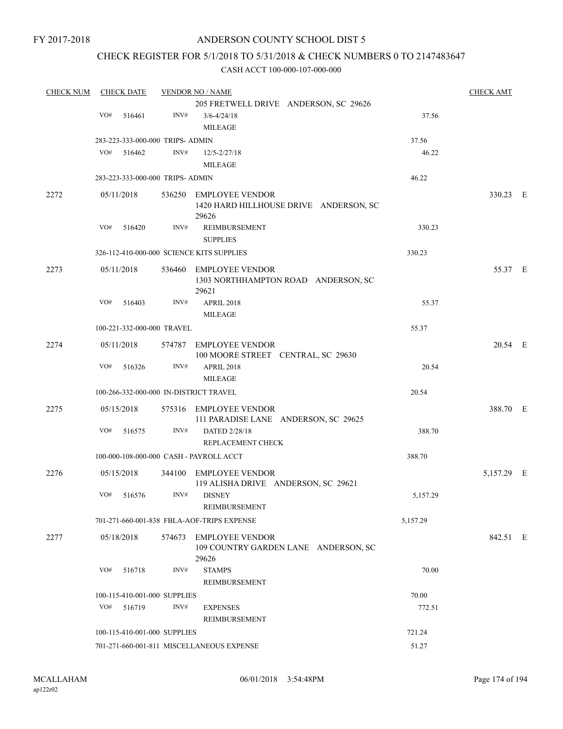FY 2017-2018

## ANDERSON COUNTY SCHOOL DIST 5

## CHECK REGISTER FOR 5/1/2018 TO 5/31/2018 & CHECK NUMBERS 0 TO 2147483647

| <b>CHECK NUM</b> | <b>CHECK DATE</b> |            | <b>VENDOR NO / NAME</b>          | <b>CHECK AMT</b>                                                        |          |            |  |
|------------------|-------------------|------------|----------------------------------|-------------------------------------------------------------------------|----------|------------|--|
|                  |                   |            |                                  | 205 FRETWELL DRIVE ANDERSON, SC 29626                                   |          |            |  |
|                  | VO#               | 516461     | INV#                             | $3/6 - 4/24/18$                                                         | 37.56    |            |  |
|                  |                   |            |                                  | <b>MILEAGE</b>                                                          |          |            |  |
|                  |                   |            | 283-223-333-000-000 TRIPS- ADMIN |                                                                         | 37.56    |            |  |
|                  | VO#               | 516462     | INV#                             | $12/5 - 2/27/18$                                                        | 46.22    |            |  |
|                  |                   |            |                                  | <b>MILEAGE</b>                                                          |          |            |  |
|                  |                   |            | 283-223-333-000-000 TRIPS- ADMIN |                                                                         | 46.22    |            |  |
| 2272             |                   | 05/11/2018 |                                  | 536250 EMPLOYEE VENDOR<br>1420 HARD HILLHOUSE DRIVE ANDERSON, SC        |          | 330.23 E   |  |
|                  |                   |            |                                  | 29626                                                                   |          |            |  |
|                  | VO#               | 516420     | INV#                             | REIMBURSEMENT<br><b>SUPPLIES</b>                                        | 330.23   |            |  |
|                  |                   |            |                                  | 326-112-410-000-000 SCIENCE KITS SUPPLIES                               | 330.23   |            |  |
| 2273             |                   | 05/11/2018 |                                  | 536460 EMPLOYEE VENDOR<br>1303 NORTHHAMPTON ROAD ANDERSON, SC<br>29621  |          | 55.37 E    |  |
|                  | VO#               | 516403     | INV#                             | <b>APRIL 2018</b><br><b>MILEAGE</b>                                     | 55.37    |            |  |
|                  |                   |            | 100-221-332-000-000 TRAVEL       |                                                                         | 55.37    |            |  |
| 2274             |                   | 05/11/2018 |                                  | 574787 EMPLOYEE VENDOR<br>100 MOORE STREET CENTRAL, SC 29630            |          | 20.54 E    |  |
|                  | VO#               | 516326     | INV#                             | APRIL 2018<br><b>MILEAGE</b>                                            | 20.54    |            |  |
|                  |                   |            |                                  | 100-266-332-000-000 IN-DISTRICT TRAVEL                                  | 20.54    |            |  |
| 2275             |                   | 05/15/2018 |                                  | 575316 EMPLOYEE VENDOR<br>111 PARADISE LANE ANDERSON, SC 29625          |          | 388.70 E   |  |
|                  | VO#               | 516575     | INV#                             | DATED 2/28/18<br>REPLACEMENT CHECK                                      | 388.70   |            |  |
|                  |                   |            |                                  | 100-000-108-000-000 CASH - PAYROLL ACCT                                 | 388.70   |            |  |
| 2276             |                   | 05/15/2018 | 344100                           | EMPLOYEE VENDOR<br>119 ALISHA DRIVE ANDERSON, SC 29621                  |          | 5,157.29 E |  |
|                  | VO#               | 516576     | INV#                             | <b>DISNEY</b><br>REIMBURSEMENT                                          | 5,157.29 |            |  |
|                  |                   |            |                                  | 701-271-660-001-838 FBLA-AOF-TRIPS EXPENSE                              | 5,157.29 |            |  |
| 2277             |                   | 05/18/2018 | 574673                           | <b>EMPLOYEE VENDOR</b><br>109 COUNTRY GARDEN LANE ANDERSON, SC<br>29626 |          | 842.51 E   |  |
|                  | VO#               | 516718     | INV#                             | <b>STAMPS</b><br>REIMBURSEMENT                                          | 70.00    |            |  |
|                  |                   |            | 100-115-410-001-000 SUPPLIES     |                                                                         | 70.00    |            |  |
|                  | VO#               | 516719     | INV#                             | <b>EXPENSES</b><br>REIMBURSEMENT                                        | 772.51   |            |  |
|                  |                   |            | 100-115-410-001-000 SUPPLIES     |                                                                         | 721.24   |            |  |
|                  |                   |            |                                  | 701-271-660-001-811 MISCELLANEOUS EXPENSE                               | 51.27    |            |  |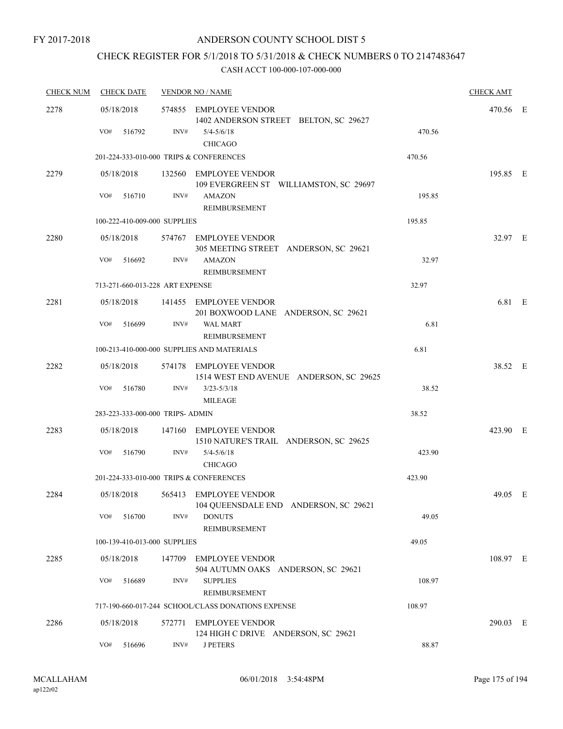## CHECK REGISTER FOR 5/1/2018 TO 5/31/2018 & CHECK NUMBERS 0 TO 2147483647

| <b>CHECK NUM</b> | <b>CHECK DATE</b>                       |        | <b>VENDOR NO / NAME</b>                                                           |        | <b>CHECK AMT</b> |  |
|------------------|-----------------------------------------|--------|-----------------------------------------------------------------------------------|--------|------------------|--|
| 2278             | 05/18/2018<br>VO#<br>516792             | INV#   | 574855 EMPLOYEE VENDOR<br>1402 ANDERSON STREET BELTON, SC 29627<br>$5/4 - 5/6/18$ | 470.56 | 470.56 E         |  |
|                  | 201-224-333-010-000 TRIPS & CONFERENCES |        | <b>CHICAGO</b>                                                                    | 470.56 |                  |  |
| 2279             | 05/18/2018                              |        | 132560 EMPLOYEE VENDOR<br>109 EVERGREEN ST WILLIAMSTON, SC 29697                  |        | 195.85 E         |  |
|                  | VO#<br>516710                           | INV#   | <b>AMAZON</b><br><b>REIMBURSEMENT</b>                                             | 195.85 |                  |  |
|                  | 100-222-410-009-000 SUPPLIES            |        |                                                                                   | 195.85 |                  |  |
| 2280             | 05/18/2018                              |        | 574767 EMPLOYEE VENDOR<br>305 MEETING STREET ANDERSON, SC 29621                   |        | 32.97 E          |  |
|                  | VO#<br>516692                           | INV#   | <b>AMAZON</b><br>REIMBURSEMENT                                                    | 32.97  |                  |  |
|                  | 713-271-660-013-228 ART EXPENSE         |        |                                                                                   | 32.97  |                  |  |
| 2281             | 05/18/2018                              |        | 141455 EMPLOYEE VENDOR<br>201 BOXWOOD LANE ANDERSON, SC 29621                     |        | 6.81 E           |  |
|                  | VO#<br>516699                           | INV#   | <b>WAL MART</b><br><b>REIMBURSEMENT</b>                                           | 6.81   |                  |  |
|                  |                                         |        | 100-213-410-000-000 SUPPLIES AND MATERIALS                                        | 6.81   |                  |  |
| 2282             | 05/18/2018                              |        | 574178 EMPLOYEE VENDOR<br>1514 WEST END AVENUE ANDERSON, SC 29625                 |        | 38.52 E          |  |
|                  | VO#<br>516780                           | INV#   | $3/23 - 5/3/18$<br><b>MILEAGE</b>                                                 | 38.52  |                  |  |
|                  | 283-223-333-000-000 TRIPS- ADMIN        |        |                                                                                   | 38.52  |                  |  |
| 2283             | 05/18/2018                              |        | 147160 EMPLOYEE VENDOR<br>1510 NATURE'S TRAIL ANDERSON, SC 29625                  |        | 423.90 E         |  |
|                  | VO#<br>516790                           | INV#   | $5/4 - 5/6/18$<br><b>CHICAGO</b>                                                  | 423.90 |                  |  |
|                  | 201-224-333-010-000 TRIPS & CONFERENCES |        |                                                                                   | 423.90 |                  |  |
| 2284             | 05/18/2018                              |        | 565413 EMPLOYEE VENDOR<br>104 QUEENSDALE END ANDERSON, SC 29621                   |        | 49.05 E          |  |
|                  | VO#<br>516700                           | INV#   | <b>DONUTS</b><br><b>REIMBURSEMENT</b>                                             | 49.05  |                  |  |
|                  | 100-139-410-013-000 SUPPLIES            |        |                                                                                   | 49.05  |                  |  |
| 2285             | 05/18/2018                              | 147709 | <b>EMPLOYEE VENDOR</b><br>504 AUTUMN OAKS ANDERSON, SC 29621                      |        | 108.97 E         |  |
|                  | VO#<br>516689                           | INV#   | <b>SUPPLIES</b><br>REIMBURSEMENT                                                  | 108.97 |                  |  |
|                  |                                         |        | 717-190-660-017-244 SCHOOL/CLASS DONATIONS EXPENSE                                | 108.97 |                  |  |
| 2286             | 05/18/2018                              | 572771 | <b>EMPLOYEE VENDOR</b><br>124 HIGH C DRIVE ANDERSON, SC 29621                     |        | 290.03 E         |  |
|                  | VO#<br>516696                           | INV#   | <b>J PETERS</b>                                                                   | 88.87  |                  |  |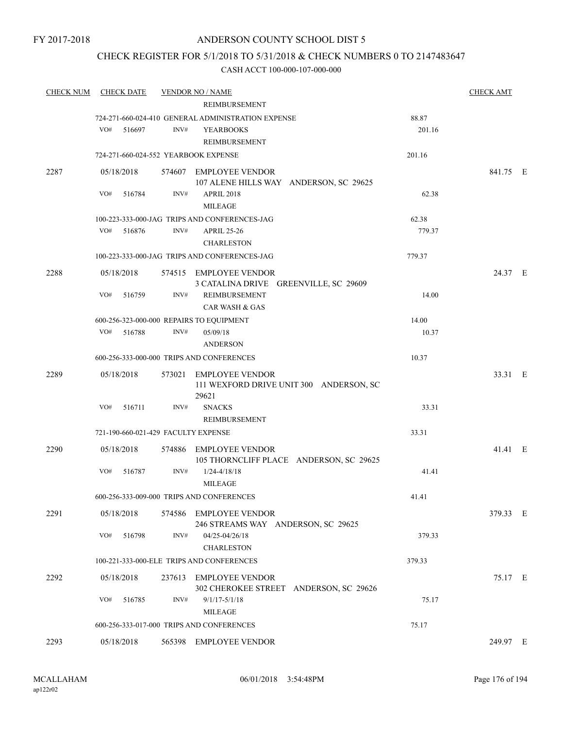## CHECK REGISTER FOR 5/1/2018 TO 5/31/2018 & CHECK NUMBERS 0 TO 2147483647

| <b>CHECK NUM</b> | <b>CHECK DATE</b>                        |        | <b>VENDOR NO / NAME</b>                                                    |        | <b>CHECK AMT</b> |  |
|------------------|------------------------------------------|--------|----------------------------------------------------------------------------|--------|------------------|--|
|                  |                                          |        | <b>REIMBURSEMENT</b>                                                       |        |                  |  |
|                  |                                          |        | 724-271-660-024-410 GENERAL ADMINISTRATION EXPENSE                         | 88.87  |                  |  |
|                  | VO#<br>516697                            | INV#   | <b>YEARBOOKS</b>                                                           | 201.16 |                  |  |
|                  |                                          |        | REIMBURSEMENT                                                              |        |                  |  |
|                  | 724-271-660-024-552 YEARBOOK EXPENSE     |        |                                                                            | 201.16 |                  |  |
| 2287             | 05/18/2018                               |        | 574607 EMPLOYEE VENDOR<br>107 ALENE HILLS WAY ANDERSON, SC 29625           |        | 841.75 E         |  |
|                  | VO#<br>516784                            | INV#   | <b>APRIL 2018</b><br><b>MILEAGE</b>                                        | 62.38  |                  |  |
|                  |                                          |        | 100-223-333-000-JAG TRIPS AND CONFERENCES-JAG                              | 62.38  |                  |  |
|                  | VO#<br>516876                            | INV#   | <b>APRIL 25-26</b><br><b>CHARLESTON</b>                                    | 779.37 |                  |  |
|                  |                                          |        | 100-223-333-000-JAG TRIPS AND CONFERENCES-JAG                              | 779.37 |                  |  |
| 2288             | 05/18/2018                               |        | 574515 EMPLOYEE VENDOR                                                     |        | 24.37 E          |  |
|                  |                                          |        | 3 CATALINA DRIVE GREENVILLE, SC 29609                                      |        |                  |  |
|                  | VO#<br>516759                            | INV#   | <b>REIMBURSEMENT</b><br><b>CAR WASH &amp; GAS</b>                          | 14.00  |                  |  |
|                  | 600-256-323-000-000 REPAIRS TO EQUIPMENT |        |                                                                            | 14.00  |                  |  |
|                  | VO# 516788                               | INV#   | 05/09/18<br><b>ANDERSON</b>                                                | 10.37  |                  |  |
|                  |                                          |        | 600-256-333-000-000 TRIPS AND CONFERENCES                                  | 10.37  |                  |  |
| 2289             | 05/18/2018                               |        | 573021 EMPLOYEE VENDOR<br>111 WEXFORD DRIVE UNIT 300 ANDERSON, SC<br>29621 |        | 33.31 E          |  |
|                  | VO#<br>516711                            | INV#   | <b>SNACKS</b><br>REIMBURSEMENT                                             | 33.31  |                  |  |
|                  | 721-190-660-021-429 FACULTY EXPENSE      |        |                                                                            | 33.31  |                  |  |
|                  |                                          |        |                                                                            |        |                  |  |
| 2290             | 05/18/2018                               | 574886 | EMPLOYEE VENDOR<br>105 THORNCLIFF PLACE ANDERSON, SC 29625                 |        | 41.41 E          |  |
|                  | VO#<br>516787                            | INV#   | $1/24 - 4/18/18$<br><b>MILEAGE</b>                                         | 41.41  |                  |  |
|                  |                                          |        | 600-256-333-009-000 TRIPS AND CONFERENCES                                  | 41.41  |                  |  |
| 2291             | 05/18/2018                               |        | 574586 EMPLOYEE VENDOR<br>246 STREAMS WAY ANDERSON, SC 29625               |        | 379.33 E         |  |
|                  | VO#<br>516798                            | INV#   | 04/25-04/26/18<br><b>CHARLESTON</b>                                        | 379.33 |                  |  |
|                  |                                          |        | 100-221-333-000-ELE TRIPS AND CONFERENCES                                  | 379.33 |                  |  |
| 2292             | 05/18/2018                               | 237613 | <b>EMPLOYEE VENDOR</b>                                                     |        | 75.17 E          |  |
|                  |                                          |        | 302 CHEROKEE STREET ANDERSON, SC 29626                                     |        |                  |  |
|                  | VO#<br>516785                            | INV#   | $9/1/17 - 5/1/18$<br><b>MILEAGE</b>                                        | 75.17  |                  |  |
|                  |                                          |        | 600-256-333-017-000 TRIPS AND CONFERENCES                                  | 75.17  |                  |  |
| 2293             | 05/18/2018                               |        | 565398 EMPLOYEE VENDOR                                                     |        | 249.97 E         |  |
|                  |                                          |        |                                                                            |        |                  |  |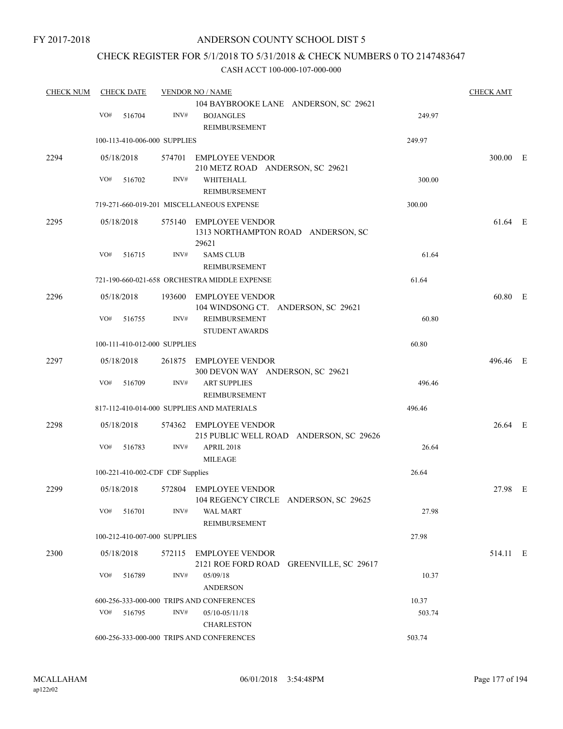## CHECK REGISTER FOR 5/1/2018 TO 5/31/2018 & CHECK NUMBERS 0 TO 2147483647

| <b>CHECK NUM</b> | <b>CHECK DATE</b> |                                  | <b>VENDOR NO / NAME</b> |                                                                               |        | <b>CHECK AMT</b> |  |
|------------------|-------------------|----------------------------------|-------------------------|-------------------------------------------------------------------------------|--------|------------------|--|
|                  | VO#               | 516704                           | INV#                    | 104 BAYBROOKE LANE ANDERSON, SC 29621<br><b>BOJANGLES</b>                     | 249.97 |                  |  |
|                  |                   |                                  |                         | REIMBURSEMENT                                                                 |        |                  |  |
|                  |                   | 100-113-410-006-000 SUPPLIES     |                         |                                                                               | 249.97 |                  |  |
| 2294             |                   | 05/18/2018                       |                         | 574701 EMPLOYEE VENDOR<br>210 METZ ROAD ANDERSON, SC 29621                    |        | 300.00 E         |  |
|                  | VO#               | 516702                           | INV#                    | WHITEHALL<br>REIMBURSEMENT                                                    | 300.00 |                  |  |
|                  |                   |                                  |                         | 719-271-660-019-201 MISCELLANEOUS EXPENSE                                     | 300.00 |                  |  |
| 2295             |                   | 05/18/2018                       |                         | 575140 EMPLOYEE VENDOR<br>1313 NORTHAMPTON ROAD ANDERSON, SC<br>29621         |        | 61.64 E          |  |
|                  | VO#               | 516715                           | INV#                    | <b>SAMS CLUB</b><br><b>REIMBURSEMENT</b>                                      | 61.64  |                  |  |
|                  |                   |                                  |                         | 721-190-660-021-658 ORCHESTRA MIDDLE EXPENSE                                  | 61.64  |                  |  |
| 2296             |                   | 05/18/2018                       | 193600                  | <b>EMPLOYEE VENDOR</b>                                                        |        | 60.80 E          |  |
|                  | VO#               | 516755                           | INV#                    | 104 WINDSONG CT. ANDERSON, SC 29621<br>REIMBURSEMENT<br><b>STUDENT AWARDS</b> | 60.80  |                  |  |
|                  |                   | 100-111-410-012-000 SUPPLIES     |                         |                                                                               | 60.80  |                  |  |
| 2297             |                   | 05/18/2018                       | 261875                  | <b>EMPLOYEE VENDOR</b>                                                        |        | 496.46 E         |  |
|                  | VO#               | 516709                           | INV#                    | 300 DEVON WAY ANDERSON, SC 29621<br><b>ART SUPPLIES</b><br>REIMBURSEMENT      | 496.46 |                  |  |
|                  |                   |                                  |                         | 817-112-410-014-000 SUPPLIES AND MATERIALS                                    | 496.46 |                  |  |
| 2298             |                   | 05/18/2018                       | 574362                  | EMPLOYEE VENDOR<br>215 PUBLIC WELL ROAD ANDERSON, SC 29626                    |        | 26.64 E          |  |
|                  | VO#               | 516783                           | INV#                    | <b>APRIL 2018</b><br><b>MILEAGE</b>                                           | 26.64  |                  |  |
|                  |                   | 100-221-410-002-CDF CDF Supplies |                         |                                                                               | 26.64  |                  |  |
| 2299             |                   | 05/18/2018                       |                         | 572804 EMPLOYEE VENDOR<br>104 REGENCY CIRCLE ANDERSON, SC 29625               |        | 27.98 E          |  |
|                  |                   | VO# 516701                       | INV#                    | WAL MART<br>REIMBURSEMENT                                                     | 27.98  |                  |  |
|                  |                   | 100-212-410-007-000 SUPPLIES     |                         |                                                                               | 27.98  |                  |  |
| 2300             |                   | 05/18/2018                       |                         | 572115 EMPLOYEE VENDOR<br>2121 ROE FORD ROAD GREENVILLE, SC 29617             |        | 514.11 E         |  |
|                  | VO#               | 516789                           | INV#                    | 05/09/18<br><b>ANDERSON</b>                                                   | 10.37  |                  |  |
|                  |                   |                                  |                         | 600-256-333-000-000 TRIPS AND CONFERENCES                                     | 10.37  |                  |  |
|                  | VO#               | 516795                           | INV#                    | $05/10 - 05/11/18$<br><b>CHARLESTON</b>                                       | 503.74 |                  |  |
|                  |                   |                                  |                         | 600-256-333-000-000 TRIPS AND CONFERENCES                                     | 503.74 |                  |  |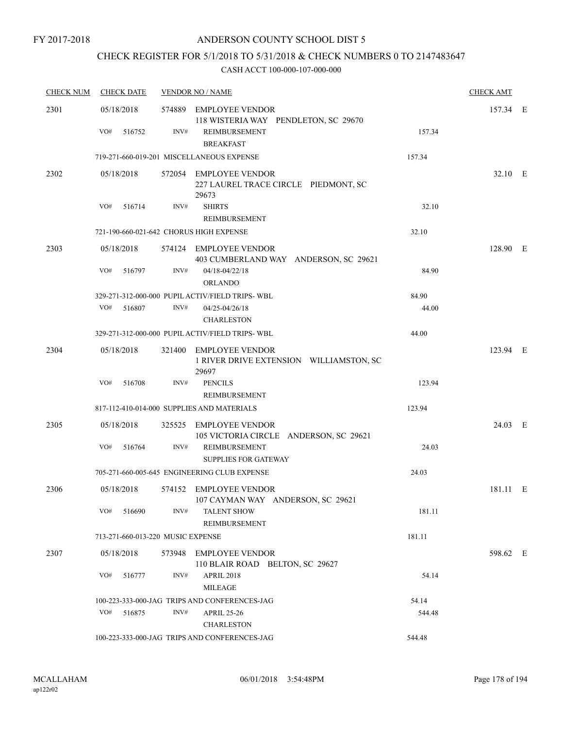## CHECK REGISTER FOR 5/1/2018 TO 5/31/2018 & CHECK NUMBERS 0 TO 2147483647

| <b>CHECK NUM</b> | <b>CHECK DATE</b>                 |      | <b>VENDOR NO / NAME</b>                                                    |        | <b>CHECK AMT</b> |  |
|------------------|-----------------------------------|------|----------------------------------------------------------------------------|--------|------------------|--|
| 2301             | 05/18/2018                        |      | 574889 EMPLOYEE VENDOR<br>118 WISTERIA WAY PENDLETON, SC 29670             |        | 157.34 E         |  |
|                  | VO#<br>516752                     | INV# | REIMBURSEMENT<br><b>BREAKFAST</b>                                          | 157.34 |                  |  |
|                  |                                   |      | 719-271-660-019-201 MISCELLANEOUS EXPENSE                                  | 157.34 |                  |  |
| 2302             | 05/18/2018                        |      | 572054 EMPLOYEE VENDOR<br>227 LAUREL TRACE CIRCLE PIEDMONT, SC<br>29673    |        | 32.10 E          |  |
|                  | VO#<br>516714                     | INV# | <b>SHIRTS</b><br><b>REIMBURSEMENT</b>                                      | 32.10  |                  |  |
|                  |                                   |      | 721-190-660-021-642 CHORUS HIGH EXPENSE                                    | 32.10  |                  |  |
| 2303             | 05/18/2018                        |      | 574124 EMPLOYEE VENDOR<br>403 CUMBERLAND WAY ANDERSON, SC 29621            |        | 128.90 E         |  |
|                  | VO#<br>516797                     | INV# | 04/18-04/22/18<br><b>ORLANDO</b>                                           | 84.90  |                  |  |
|                  |                                   |      | 329-271-312-000-000 PUPIL ACTIV/FIELD TRIPS-WBL                            | 84.90  |                  |  |
|                  | VO#<br>516807                     | INV# | 04/25-04/26/18<br><b>CHARLESTON</b>                                        | 44.00  |                  |  |
|                  |                                   |      | 329-271-312-000-000 PUPIL ACTIV/FIELD TRIPS- WBL                           | 44.00  |                  |  |
| 2304             | 05/18/2018                        |      | 321400 EMPLOYEE VENDOR<br>1 RIVER DRIVE EXTENSION WILLIAMSTON, SC<br>29697 |        | 123.94 E         |  |
|                  | VO#<br>516708                     | INV# | <b>PENCILS</b><br>REIMBURSEMENT                                            | 123.94 |                  |  |
|                  |                                   |      | 817-112-410-014-000 SUPPLIES AND MATERIALS                                 | 123.94 |                  |  |
| 2305             | 05/18/2018                        |      | 325525 EMPLOYEE VENDOR<br>105 VICTORIA CIRCLE ANDERSON, SC 29621           |        | 24.03 E          |  |
|                  | VO#<br>516764                     | INV# | REIMBURSEMENT<br><b>SUPPLIES FOR GATEWAY</b>                               | 24.03  |                  |  |
|                  |                                   |      | 705-271-660-005-645 ENGINEERING CLUB EXPENSE                               | 24.03  |                  |  |
| 2306             | 05/18/2018                        |      | 574152 EMPLOYEE VENDOR<br>107 CAYMAN WAY ANDERSON, SC 29621                |        | 181.11 E         |  |
|                  | VO#<br>516690                     | INV# | <b>TALENT SHOW</b><br>REIMBURSEMENT                                        | 181.11 |                  |  |
|                  | 713-271-660-013-220 MUSIC EXPENSE |      |                                                                            | 181.11 |                  |  |
| 2307             | 05/18/2018                        |      | 573948 EMPLOYEE VENDOR<br>110 BLAIR ROAD BELTON, SC 29627                  |        | 598.62 E         |  |
|                  | VO#<br>516777                     | INV# | <b>APRIL 2018</b><br>MILEAGE                                               | 54.14  |                  |  |
|                  |                                   |      | 100-223-333-000-JAG TRIPS AND CONFERENCES-JAG                              | 54.14  |                  |  |
|                  | VO#<br>516875                     | INV# | <b>APRIL 25-26</b><br><b>CHARLESTON</b>                                    | 544.48 |                  |  |
|                  |                                   |      | 100-223-333-000-JAG TRIPS AND CONFERENCES-JAG                              | 544.48 |                  |  |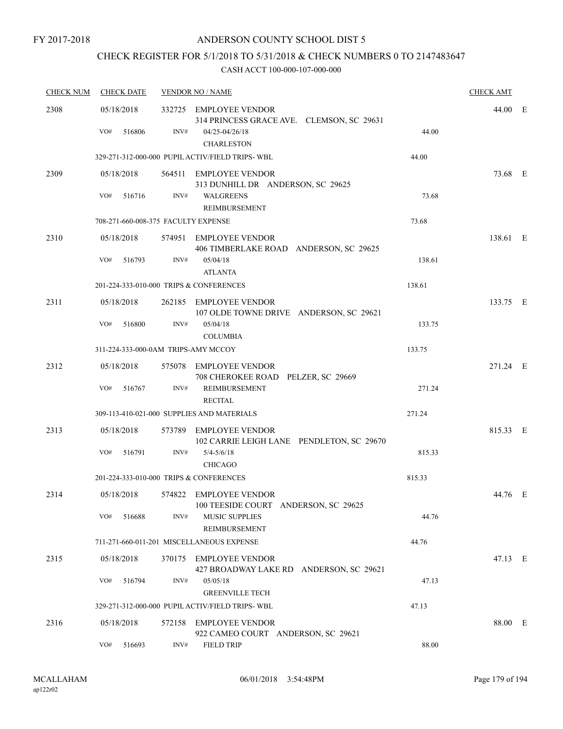## CHECK REGISTER FOR 5/1/2018 TO 5/31/2018 & CHECK NUMBERS 0 TO 2147483647

| <b>CHECK NUM</b> | <b>CHECK DATE</b>                       |        | <b>VENDOR NO / NAME</b>                                                               |        |          |  |
|------------------|-----------------------------------------|--------|---------------------------------------------------------------------------------------|--------|----------|--|
| 2308             | 05/18/2018<br>VO#<br>516806             | INV#   | 332725 EMPLOYEE VENDOR<br>314 PRINCESS GRACE AVE. CLEMSON, SC 29631<br>04/25-04/26/18 | 44.00  | 44.00 E  |  |
|                  |                                         |        | <b>CHARLESTON</b><br>329-271-312-000-000 PUPIL ACTIV/FIELD TRIPS-WBL                  | 44.00  |          |  |
| 2309             | 05/18/2018                              |        | 564511 EMPLOYEE VENDOR<br>313 DUNHILL DR ANDERSON, SC 29625                           |        | 73.68 E  |  |
|                  | VO#<br>516716                           | INV#   | <b>WALGREENS</b><br>REIMBURSEMENT                                                     | 73.68  |          |  |
|                  | 708-271-660-008-375 FACULTY EXPENSE     |        |                                                                                       | 73.68  |          |  |
| 2310             | 05/18/2018                              |        | 574951 EMPLOYEE VENDOR<br>406 TIMBERLAKE ROAD ANDERSON, SC 29625                      |        | 138.61 E |  |
|                  | VO#<br>516793                           | INV#   | 05/04/18<br><b>ATLANTA</b>                                                            | 138.61 |          |  |
|                  | 201-224-333-010-000 TRIPS & CONFERENCES |        |                                                                                       | 138.61 |          |  |
| 2311             | 05/18/2018                              |        | 262185 EMPLOYEE VENDOR<br>107 OLDE TOWNE DRIVE ANDERSON, SC 29621                     |        | 133.75 E |  |
|                  | VO#<br>516800                           | INV#   | 05/04/18<br><b>COLUMBIA</b>                                                           | 133.75 |          |  |
|                  | 311-224-333-000-0AM TRIPS-AMY MCCOY     |        |                                                                                       | 133.75 |          |  |
| 2312             | 05/18/2018                              |        | 575078 EMPLOYEE VENDOR<br>708 CHEROKEE ROAD PELZER, SC 29669                          |        | 271.24 E |  |
|                  | VO#<br>516767                           | INV#   | REIMBURSEMENT<br><b>RECITAL</b>                                                       | 271.24 |          |  |
|                  |                                         |        | 309-113-410-021-000 SUPPLIES AND MATERIALS                                            | 271.24 |          |  |
| 2313             | 05/18/2018                              | 573789 | EMPLOYEE VENDOR<br>102 CARRIE LEIGH LANE PENDLETON, SC 29670                          |        | 815.33 E |  |
|                  | VO#<br>516791                           | INV#   | $5/4 - 5/6/18$<br>CHICAGO                                                             | 815.33 |          |  |
|                  | 201-224-333-010-000 TRIPS & CONFERENCES |        |                                                                                       | 815.33 |          |  |
| 2314             | 05/18/2018                              |        | 574822 EMPLOYEE VENDOR<br>100 TEESIDE COURT ANDERSON, SC 29625                        |        | 44.76 E  |  |
|                  | VO#<br>516688                           | INV#   | <b>MUSIC SUPPLIES</b><br><b>REIMBURSEMENT</b>                                         | 44.76  |          |  |
|                  |                                         |        | 711-271-660-011-201 MISCELLANEOUS EXPENSE                                             | 44.76  |          |  |
| 2315             | 05/18/2018                              | 370175 | <b>EMPLOYEE VENDOR</b><br>427 BROADWAY LAKE RD ANDERSON, SC 29621                     |        | 47.13 E  |  |
|                  | VO#<br>516794                           | INV#   | 05/05/18<br><b>GREENVILLE TECH</b>                                                    | 47.13  |          |  |
|                  |                                         |        | 329-271-312-000-000 PUPIL ACTIV/FIELD TRIPS-WBL                                       | 47.13  |          |  |
| 2316             | 05/18/2018                              | 572158 | <b>EMPLOYEE VENDOR</b><br>922 CAMEO COURT ANDERSON, SC 29621                          |        | 88.00 E  |  |
|                  | VO#<br>516693                           | INV#   | <b>FIELD TRIP</b>                                                                     | 88.00  |          |  |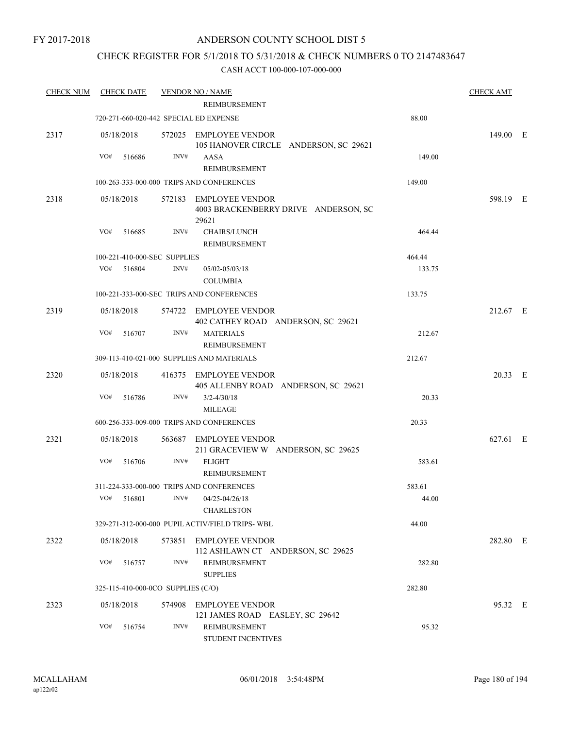## CHECK REGISTER FOR 5/1/2018 TO 5/31/2018 & CHECK NUMBERS 0 TO 2147483647

| <b>CHECK NUM</b> | <b>CHECK DATE</b> |                                        | <b>VENDOR NO / NAME</b>                                                 |        | <b>CHECK AMT</b> |  |
|------------------|-------------------|----------------------------------------|-------------------------------------------------------------------------|--------|------------------|--|
|                  |                   |                                        | <b>REIMBURSEMENT</b>                                                    |        |                  |  |
|                  |                   | 720-271-660-020-442 SPECIAL ED EXPENSE |                                                                         | 88.00  |                  |  |
| 2317             | 05/18/2018        |                                        | 572025 EMPLOYEE VENDOR<br>105 HANOVER CIRCLE ANDERSON, SC 29621         |        | 149.00 E         |  |
|                  | VO#               | INV#<br>516686                         | AASA<br><b>REIMBURSEMENT</b>                                            | 149.00 |                  |  |
|                  |                   |                                        | 100-263-333-000-000 TRIPS AND CONFERENCES                               | 149.00 |                  |  |
| 2318             | 05/18/2018        |                                        | 572183 EMPLOYEE VENDOR<br>4003 BRACKENBERRY DRIVE ANDERSON, SC<br>29621 |        | 598.19 E         |  |
|                  | VO#               | 516685<br>INV#                         | CHAIRS/LUNCH<br><b>REIMBURSEMENT</b>                                    | 464.44 |                  |  |
|                  |                   | 100-221-410-000-SEC SUPPLIES           |                                                                         | 464.44 |                  |  |
|                  | VO#               | 516804<br>INV#                         | 05/02-05/03/18<br><b>COLUMBIA</b>                                       | 133.75 |                  |  |
|                  |                   |                                        | 100-221-333-000-SEC TRIPS AND CONFERENCES                               | 133.75 |                  |  |
| 2319             | 05/18/2018        |                                        | 574722 EMPLOYEE VENDOR<br>402 CATHEY ROAD ANDERSON, SC 29621            |        | 212.67 E         |  |
|                  | VO#               | INV#<br>516707                         | <b>MATERIALS</b><br>REIMBURSEMENT                                       | 212.67 |                  |  |
|                  |                   |                                        | 309-113-410-021-000 SUPPLIES AND MATERIALS                              | 212.67 |                  |  |
| 2320             | 05/18/2018        |                                        | 416375 EMPLOYEE VENDOR<br>405 ALLENBY ROAD ANDERSON, SC 29621           |        | 20.33 E          |  |
|                  | VO#               | 516786<br>INV#                         | $3/2 - 4/30/18$<br><b>MILEAGE</b>                                       | 20.33  |                  |  |
|                  |                   |                                        | 600-256-333-009-000 TRIPS AND CONFERENCES                               | 20.33  |                  |  |
| 2321             | 05/18/2018        |                                        | 563687 EMPLOYEE VENDOR<br>211 GRACEVIEW W ANDERSON, SC 29625            |        | 627.61 E         |  |
|                  | VO#               | INV#<br>516706                         | <b>FLIGHT</b><br><b>REIMBURSEMENT</b>                                   | 583.61 |                  |  |
|                  |                   |                                        | 311-224-333-000-000 TRIPS AND CONFERENCES                               | 583.61 |                  |  |
|                  |                   |                                        | $VO#$ 516801 $INV#$ 04/25-04/26/18<br><b>CHARLESTON</b>                 | 44.00  |                  |  |
|                  |                   |                                        | 329-271-312-000-000 PUPIL ACTIV/FIELD TRIPS-WBL                         | 44.00  |                  |  |
| 2322             | 05/18/2018        |                                        | 573851 EMPLOYEE VENDOR<br>112 ASHLAWN CT ANDERSON, SC 29625             |        | 282.80 E         |  |
|                  | VO#               | INV#<br>516757                         | REIMBURSEMENT<br><b>SUPPLIES</b>                                        | 282.80 |                  |  |
|                  |                   | 325-115-410-000-0CO SUPPLIES (C/O)     |                                                                         | 282.80 |                  |  |
| 2323             | 05/18/2018        |                                        | 574908 EMPLOYEE VENDOR<br>121 JAMES ROAD EASLEY, SC 29642               |        | 95.32 E          |  |
|                  | VO#               | INV#<br>516754                         | REIMBURSEMENT<br>STUDENT INCENTIVES                                     | 95.32  |                  |  |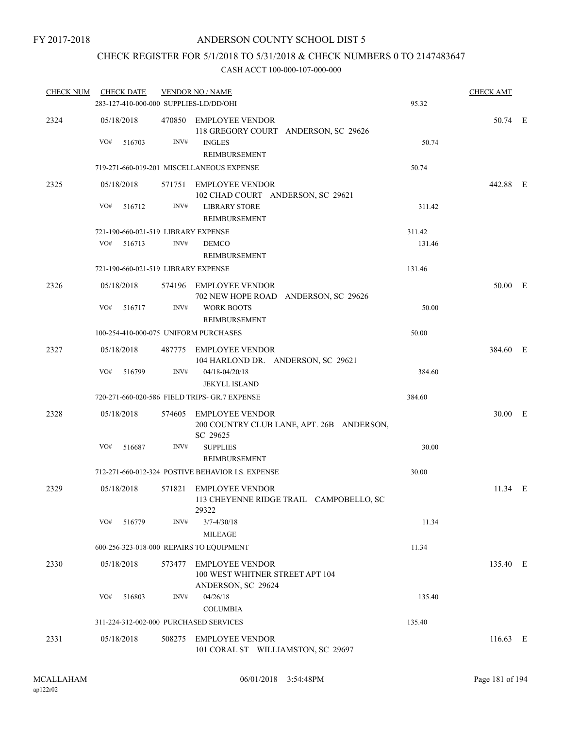### CHECK REGISTER FOR 5/1/2018 TO 5/31/2018 & CHECK NUMBERS 0 TO 2147483647

| <u>CHECK NUM</u> |     | <b>CHECK DATE</b>    |        | <b>VENDOR NO / NAME</b>                                                         |                                           |        | <b>CHECK AMT</b> |  |
|------------------|-----|----------------------|--------|---------------------------------------------------------------------------------|-------------------------------------------|--------|------------------|--|
|                  |     |                      |        | 283-127-410-000-000 SUPPLIES-LD/DD/OHI                                          |                                           | 95.32  |                  |  |
| 2324             | VO# | 05/18/2018<br>516703 | INV#   | 470850 EMPLOYEE VENDOR<br><b>INGLES</b>                                         | 118 GREGORY COURT ANDERSON, SC 29626      | 50.74  | 50.74 E          |  |
|                  |     |                      |        | REIMBURSEMENT                                                                   |                                           |        |                  |  |
|                  |     |                      |        | 719-271-660-019-201 MISCELLANEOUS EXPENSE                                       |                                           | 50.74  |                  |  |
| 2325             |     | 05/18/2018           |        | 571751 EMPLOYEE VENDOR<br>102 CHAD COURT ANDERSON, SC 29621                     |                                           |        | 442.88 E         |  |
|                  | VO# | 516712               | INV#   | <b>LIBRARY STORE</b><br>REIMBURSEMENT                                           |                                           | 311.42 |                  |  |
|                  |     |                      |        | 721-190-660-021-519 LIBRARY EXPENSE                                             |                                           | 311.42 |                  |  |
|                  | VO# | 516713               | INV#   | <b>DEMCO</b><br>REIMBURSEMENT                                                   |                                           | 131.46 |                  |  |
|                  |     |                      |        | 721-190-660-021-519 LIBRARY EXPENSE                                             |                                           | 131.46 |                  |  |
| 2326             |     | 05/18/2018           |        | 574196 EMPLOYEE VENDOR                                                          | 702 NEW HOPE ROAD ANDERSON, SC 29626      |        | 50.00 E          |  |
|                  | VO# | 516717               | INV#   | <b>WORK BOOTS</b><br><b>REIMBURSEMENT</b>                                       |                                           | 50.00  |                  |  |
|                  |     |                      |        | 100-254-410-000-075 UNIFORM PURCHASES                                           |                                           | 50.00  |                  |  |
| 2327             |     | 05/18/2018           |        | 487775 EMPLOYEE VENDOR<br>104 HARLOND DR. ANDERSON, SC 29621                    |                                           |        | 384.60 E         |  |
|                  | VO# | 516799               | INV#   | $04/18 - 04/20/18$<br><b>JEKYLL ISLAND</b>                                      |                                           | 384.60 |                  |  |
|                  |     |                      |        | 720-271-660-020-586 FIELD TRIPS- GR.7 EXPENSE                                   |                                           | 384.60 |                  |  |
| 2328             |     | 05/18/2018           |        | 574605 EMPLOYEE VENDOR<br>SC 29625                                              | 200 COUNTRY CLUB LANE, APT. 26B ANDERSON, |        | 30.00 E          |  |
|                  | VO# | 516687               | INV#   | <b>SUPPLIES</b><br>REIMBURSEMENT                                                |                                           | 30.00  |                  |  |
|                  |     |                      |        | 712-271-660-012-324 POSTIVE BEHAVIOR I.S. EXPENSE                               |                                           | 30.00  |                  |  |
| 2329             |     | 05/18/2018           |        | 571821 EMPLOYEE VENDOR<br>29322                                                 | 113 CHEYENNE RIDGE TRAIL CAMPOBELLO, SC   |        | $11.34 \t E$     |  |
|                  | VO# | 516779               | INV#   | $3/7 - 4/30/18$<br><b>MILEAGE</b>                                               |                                           | 11.34  |                  |  |
|                  |     |                      |        | 600-256-323-018-000 REPAIRS TO EQUIPMENT                                        |                                           | 11.34  |                  |  |
| 2330             |     | 05/18/2018           | 573477 | <b>EMPLOYEE VENDOR</b><br>100 WEST WHITNER STREET APT 104<br>ANDERSON, SC 29624 |                                           |        | 135.40 E         |  |
|                  | VO# | 516803               | INV#   | 04/26/18<br><b>COLUMBIA</b>                                                     |                                           | 135.40 |                  |  |
|                  |     |                      |        | 311-224-312-002-000 PURCHASED SERVICES                                          |                                           | 135.40 |                  |  |
| 2331             |     | 05/18/2018           |        | 508275 EMPLOYEE VENDOR<br>101 CORAL ST WILLIAMSTON, SC 29697                    |                                           |        | 116.63 E         |  |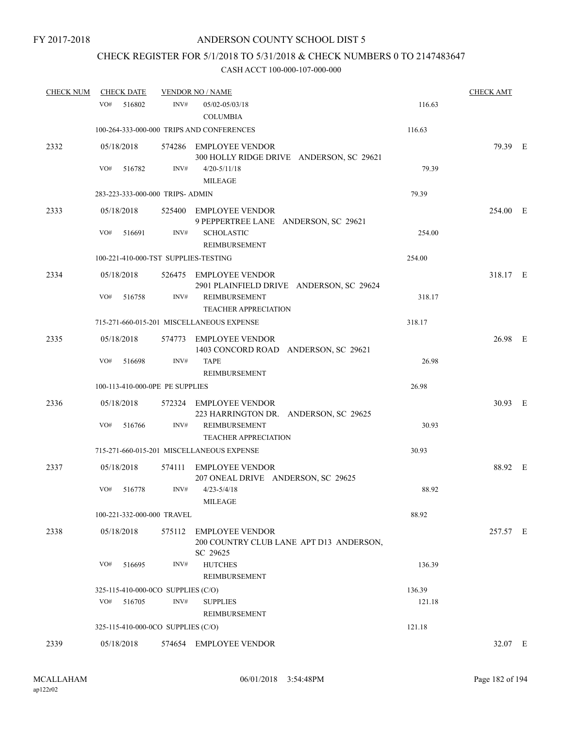# CHECK REGISTER FOR 5/1/2018 TO 5/31/2018 & CHECK NUMBERS 0 TO 2147483647

| <b>CHECK NUM</b> | <b>CHECK DATE</b>                    |        | <b>VENDOR NO / NAME</b>                                                             |        | <b>CHECK AMT</b> |  |
|------------------|--------------------------------------|--------|-------------------------------------------------------------------------------------|--------|------------------|--|
|                  | VO#<br>516802                        | INV#   | 05/02-05/03/18<br><b>COLUMBIA</b>                                                   | 116.63 |                  |  |
|                  |                                      |        | 100-264-333-000-000 TRIPS AND CONFERENCES                                           | 116.63 |                  |  |
| 2332             | 05/18/2018                           |        | 574286 EMPLOYEE VENDOR<br>300 HOLLY RIDGE DRIVE ANDERSON, SC 29621                  |        | 79.39 E          |  |
|                  | VO#<br>516782                        | INV#   | $4/20 - 5/11/18$<br><b>MILEAGE</b>                                                  | 79.39  |                  |  |
|                  | 283-223-333-000-000 TRIPS- ADMIN     |        |                                                                                     | 79.39  |                  |  |
| 2333             | 05/18/2018<br>VO#<br>516691          | INV#   | 525400 EMPLOYEE VENDOR<br>9 PEPPERTREE LANE ANDERSON, SC 29621<br><b>SCHOLASTIC</b> | 254.00 | 254.00 E         |  |
|                  |                                      |        | REIMBURSEMENT                                                                       |        |                  |  |
|                  | 100-221-410-000-TST SUPPLIES-TESTING |        |                                                                                     | 254.00 |                  |  |
| 2334             | 05/18/2018                           |        | 526475 EMPLOYEE VENDOR<br>2901 PLAINFIELD DRIVE ANDERSON, SC 29624                  |        | 318.17 E         |  |
|                  | VO#<br>516758                        | INV#   | <b>REIMBURSEMENT</b><br><b>TEACHER APPRECIATION</b>                                 | 318.17 |                  |  |
|                  |                                      |        | 715-271-660-015-201 MISCELLANEOUS EXPENSE                                           | 318.17 |                  |  |
| 2335             | 05/18/2018                           |        | 574773 EMPLOYEE VENDOR<br>1403 CONCORD ROAD ANDERSON, SC 29621                      |        | 26.98 E          |  |
|                  | VO#<br>516698                        | INV#   | <b>TAPE</b><br>REIMBURSEMENT                                                        | 26.98  |                  |  |
|                  | 100-113-410-000-0PE PE SUPPLIES      |        |                                                                                     | 26.98  |                  |  |
| 2336             | 05/18/2018                           |        | 572324 EMPLOYEE VENDOR<br>223 HARRINGTON DR. ANDERSON, SC 29625                     |        | 30.93 E          |  |
|                  | VO#<br>516766                        | INV#   | <b>REIMBURSEMENT</b><br><b>TEACHER APPRECIATION</b>                                 | 30.93  |                  |  |
|                  |                                      |        | 715-271-660-015-201 MISCELLANEOUS EXPENSE                                           | 30.93  |                  |  |
| 2337             | 05/18/2018                           |        | 574111 EMPLOYEE VENDOR<br>207 ONEAL DRIVE ANDERSON, SC 29625                        |        | 88.92 E          |  |
|                  | VO#<br>516778                        | INV#   | $4/23 - 5/4/18$<br>MILEAGE                                                          | 88.92  |                  |  |
|                  | 100-221-332-000-000 TRAVEL           |        |                                                                                     | 88.92  |                  |  |
| 2338             | 05/18/2018                           | 575112 | <b>EMPLOYEE VENDOR</b><br>200 COUNTRY CLUB LANE APT D13 ANDERSON,<br>SC 29625       |        | 257.57 E         |  |
|                  | VO#<br>516695                        | INV#   | <b>HUTCHES</b><br>REIMBURSEMENT                                                     | 136.39 |                  |  |
|                  | 325-115-410-000-0CO SUPPLIES (C/O)   |        |                                                                                     | 136.39 |                  |  |
|                  | VO#<br>516705                        | INV#   | <b>SUPPLIES</b><br>REIMBURSEMENT                                                    | 121.18 |                  |  |
|                  | 325-115-410-000-0CO SUPPLIES (C/O)   |        |                                                                                     | 121.18 |                  |  |
| 2339             | 05/18/2018                           |        | 574654 EMPLOYEE VENDOR                                                              |        | 32.07 E          |  |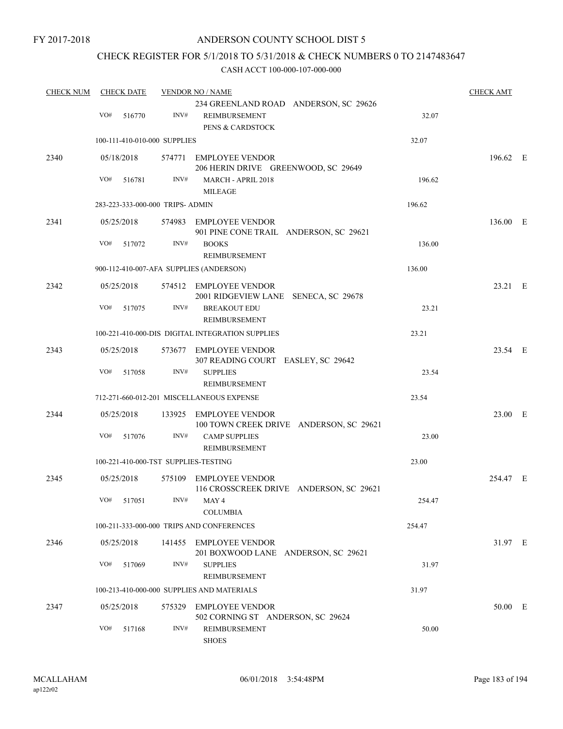FY 2017-2018

### ANDERSON COUNTY SCHOOL DIST 5

### CHECK REGISTER FOR 5/1/2018 TO 5/31/2018 & CHECK NUMBERS 0 TO 2147483647

| <b>CHECK NUM</b> |                   | <b>CHECK DATE</b>    |                                  | <b>VENDOR NO / NAME</b>                                                             |        | <b>CHECK AMT</b> |  |
|------------------|-------------------|----------------------|----------------------------------|-------------------------------------------------------------------------------------|--------|------------------|--|
|                  | VO#               | 516770               | INV#                             | 234 GREENLAND ROAD ANDERSON, SC 29626<br>REIMBURSEMENT<br>PENS & CARDSTOCK          | 32.07  |                  |  |
|                  |                   |                      | 100-111-410-010-000 SUPPLIES     |                                                                                     | 32.07  |                  |  |
| 2340             | VO#               | 05/18/2018<br>516781 | INV#                             | 574771 EMPLOYEE VENDOR<br>206 HERIN DRIVE GREENWOOD, SC 29649<br>MARCH - APRIL 2018 | 196.62 | 196.62 E         |  |
|                  |                   |                      |                                  | <b>MILEAGE</b>                                                                      |        |                  |  |
|                  |                   |                      | 283-223-333-000-000 TRIPS- ADMIN |                                                                                     | 196.62 |                  |  |
| 2341             | 05/25/2018        |                      |                                  | 574983 EMPLOYEE VENDOR<br>901 PINE CONE TRAIL ANDERSON, SC 29621                    |        | 136.00 E         |  |
|                  | VO#               | 517072               | INV#                             | <b>BOOKS</b><br>REIMBURSEMENT                                                       | 136.00 |                  |  |
|                  |                   |                      |                                  | 900-112-410-007-AFA SUPPLIES (ANDERSON)                                             | 136.00 |                  |  |
| 2342             | 05/25/2018        |                      |                                  | 574512 EMPLOYEE VENDOR<br>2001 RIDGEVIEW LANE SENECA, SC 29678                      |        | 23.21 E          |  |
|                  | VO#               | 517075               | INV#                             | <b>BREAKOUT EDU</b><br>REIMBURSEMENT                                                | 23.21  |                  |  |
|                  |                   |                      |                                  | 100-221-410-000-DIS DIGITAL INTEGRATION SUPPLIES                                    | 23.21  |                  |  |
| 2343             | 05/25/2018        |                      |                                  | 573677 EMPLOYEE VENDOR<br>307 READING COURT EASLEY, SC 29642                        |        | 23.54 E          |  |
|                  | VO#               | 517058               | INV#                             | <b>SUPPLIES</b><br>REIMBURSEMENT                                                    | 23.54  |                  |  |
|                  |                   |                      |                                  | 712-271-660-012-201 MISCELLANEOUS EXPENSE                                           | 23.54  |                  |  |
| 2344             | 05/25/2018        |                      |                                  | 133925 EMPLOYEE VENDOR<br>100 TOWN CREEK DRIVE ANDERSON, SC 29621                   |        | 23.00 E          |  |
|                  | VO#               | 517076               | INV#                             | <b>CAMP SUPPLIES</b><br>REIMBURSEMENT                                               | 23.00  |                  |  |
|                  |                   |                      |                                  | 100-221-410-000-TST SUPPLIES-TESTING                                                | 23.00  |                  |  |
| 2345             | 05/25/2018        |                      |                                  | 575109 EMPLOYEE VENDOR<br>116 CROSSCREEK DRIVE ANDERSON, SC 29621                   |        | 254.47 E         |  |
|                  |                   | VO# 517051           |                                  | $INV#$ MAY4<br><b>COLUMBIA</b>                                                      | 254.47 |                  |  |
|                  |                   |                      |                                  | 100-211-333-000-000 TRIPS AND CONFERENCES                                           | 254.47 |                  |  |
| 2346             |                   | 05/25/2018           |                                  | 141455 EMPLOYEE VENDOR<br>201 BOXWOOD LANE ANDERSON, SC 29621                       |        | 31.97 E          |  |
|                  | VO#               | 517069               | INV#                             | <b>SUPPLIES</b><br>REIMBURSEMENT                                                    | 31.97  |                  |  |
|                  |                   |                      |                                  | 100-213-410-000-000 SUPPLIES AND MATERIALS                                          | 31.97  |                  |  |
| 2347             | 05/25/2018<br>VO# |                      | INV#                             | 575329 EMPLOYEE VENDOR<br>502 CORNING ST ANDERSON, SC 29624                         |        | 50.00 E          |  |
|                  |                   | 517168               |                                  | REIMBURSEMENT<br><b>SHOES</b>                                                       | 50.00  |                  |  |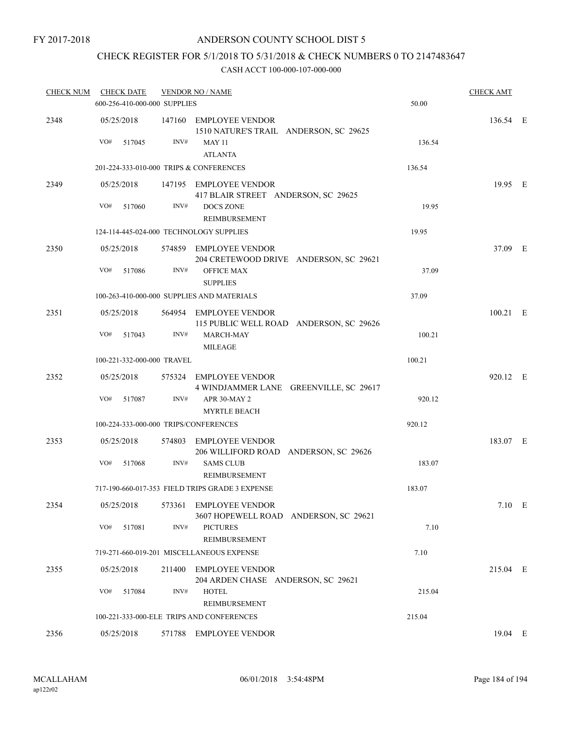FY 2017-2018

### ANDERSON COUNTY SCHOOL DIST 5

# CHECK REGISTER FOR 5/1/2018 TO 5/31/2018 & CHECK NUMBERS 0 TO 2147483647

| <b>CHECK NUM</b> | <b>CHECK DATE</b><br>600-256-410-000-000 SUPPLIES |        | <b>VENDOR NO / NAME</b>                                                           | 50.00  | <b>CHECK AMT</b> |  |
|------------------|---------------------------------------------------|--------|-----------------------------------------------------------------------------------|--------|------------------|--|
|                  |                                                   |        |                                                                                   |        |                  |  |
| 2348             | 05/25/2018<br>VO#<br>517045                       | INV#   | 147160 EMPLOYEE VENDOR<br>1510 NATURE'S TRAIL ANDERSON, SC 29625<br><b>MAY 11</b> | 136.54 | 136.54 E         |  |
|                  |                                                   |        | <b>ATLANTA</b>                                                                    |        |                  |  |
|                  | 201-224-333-010-000 TRIPS & CONFERENCES           |        |                                                                                   | 136.54 |                  |  |
| 2349             | 05/25/2018                                        |        | 147195 EMPLOYEE VENDOR<br>417 BLAIR STREET ANDERSON, SC 29625                     |        | 19.95 E          |  |
|                  | VO#<br>517060                                     | INV#   | <b>DOCS ZONE</b><br>REIMBURSEMENT                                                 | 19.95  |                  |  |
|                  | 124-114-445-024-000 TECHNOLOGY SUPPLIES           |        |                                                                                   | 19.95  |                  |  |
| 2350             | 05/25/2018                                        |        | 574859 EMPLOYEE VENDOR<br>204 CRETEWOOD DRIVE ANDERSON, SC 29621                  |        | 37.09 E          |  |
|                  | VO#<br>517086                                     | INV#   | <b>OFFICE MAX</b><br><b>SUPPLIES</b>                                              | 37.09  |                  |  |
|                  |                                                   |        | 100-263-410-000-000 SUPPLIES AND MATERIALS                                        | 37.09  |                  |  |
| 2351             | 05/25/2018                                        |        | 564954 EMPLOYEE VENDOR<br>115 PUBLIC WELL ROAD ANDERSON, SC 29626                 |        | $100.21$ E       |  |
|                  | VO#<br>517043                                     | INV#   | <b>MARCH-MAY</b><br>MILEAGE                                                       | 100.21 |                  |  |
|                  | 100-221-332-000-000 TRAVEL                        |        |                                                                                   | 100.21 |                  |  |
| 2352             | 05/25/2018                                        |        | 575324 EMPLOYEE VENDOR<br>4 WINDJAMMER LANE GREENVILLE, SC 29617                  |        | 920.12 E         |  |
|                  | VO#<br>517087                                     | INV#   | APR 30-MAY 2<br><b>MYRTLE BEACH</b>                                               | 920.12 |                  |  |
|                  | 100-224-333-000-000 TRIPS/CONFERENCES             |        |                                                                                   | 920.12 |                  |  |
| 2353             | 05/25/2018                                        |        | 574803 EMPLOYEE VENDOR<br>206 WILLIFORD ROAD ANDERSON, SC 29626                   |        | 183.07 E         |  |
|                  | VO#<br>517068                                     | INV#   | <b>SAMS CLUB</b><br>REIMBURSEMENT                                                 | 183.07 |                  |  |
|                  |                                                   |        | 717-190-660-017-353 FIELD TRIPS GRADE 3 EXPENSE                                   | 183.07 |                  |  |
| 2354             | 05/25/2018                                        |        | 573361 EMPLOYEE VENDOR<br>3607 HOPEWELL ROAD ANDERSON, SC 29621                   |        | $7.10$ E         |  |
|                  | VO#<br>517081                                     | INV#   | <b>PICTURES</b><br>REIMBURSEMENT                                                  | 7.10   |                  |  |
|                  |                                                   |        | 719-271-660-019-201 MISCELLANEOUS EXPENSE                                         | 7.10   |                  |  |
| 2355             | 05/25/2018                                        | 211400 | <b>EMPLOYEE VENDOR</b><br>204 ARDEN CHASE ANDERSON, SC 29621                      |        | 215.04 E         |  |
|                  | VO#<br>517084                                     | INV#   | <b>HOTEL</b><br>REIMBURSEMENT                                                     | 215.04 |                  |  |
|                  |                                                   |        | 100-221-333-000-ELE TRIPS AND CONFERENCES                                         | 215.04 |                  |  |
| 2356             | 05/25/2018                                        |        | 571788 EMPLOYEE VENDOR                                                            |        | 19.04 E          |  |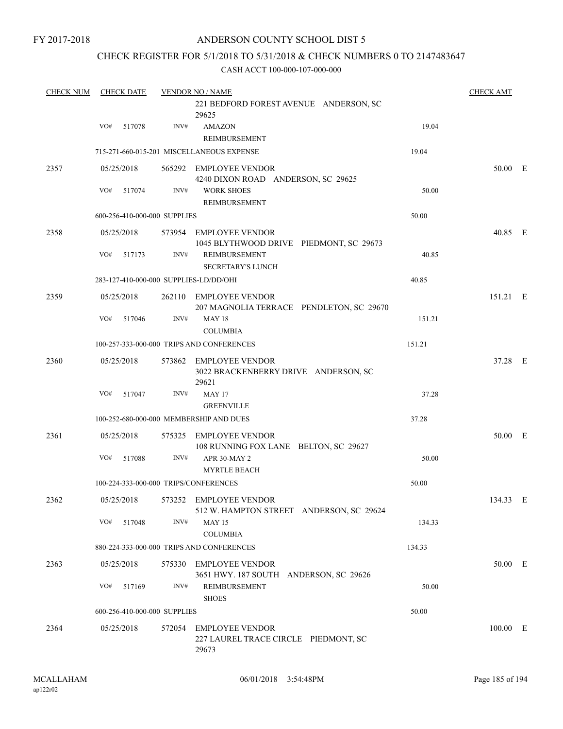### CHECK REGISTER FOR 5/1/2018 TO 5/31/2018 & CHECK NUMBERS 0 TO 2147483647

| <b>CHECK NUM</b> | <b>CHECK DATE</b>                       |      | <b>VENDOR NO / NAME</b>                                                       |        | <b>CHECK AMT</b> |  |
|------------------|-----------------------------------------|------|-------------------------------------------------------------------------------|--------|------------------|--|
|                  |                                         |      | 221 BEDFORD FOREST AVENUE ANDERSON, SC<br>29625                               |        |                  |  |
|                  | VO#<br>517078                           | INV# | <b>AMAZON</b><br>REIMBURSEMENT                                                | 19.04  |                  |  |
|                  |                                         |      | 715-271-660-015-201 MISCELLANEOUS EXPENSE                                     | 19.04  |                  |  |
| 2357             | 05/25/2018                              |      | 565292 EMPLOYEE VENDOR<br>4240 DIXON ROAD ANDERSON, SC 29625                  |        | 50.00 E          |  |
|                  | VO#<br>517074                           | INV# | <b>WORK SHOES</b><br><b>REIMBURSEMENT</b>                                     | 50.00  |                  |  |
|                  | 600-256-410-000-000 SUPPLIES            |      |                                                                               | 50.00  |                  |  |
| 2358             | 05/25/2018                              |      | 573954 EMPLOYEE VENDOR<br>1045 BLYTHWOOD DRIVE PIEDMONT, SC 29673             |        | 40.85 E          |  |
|                  | VO#<br>517173                           | INV# | <b>REIMBURSEMENT</b><br><b>SECRETARY'S LUNCH</b>                              | 40.85  |                  |  |
|                  | 283-127-410-000-000 SUPPLIES-LD/DD/OHI  |      |                                                                               | 40.85  |                  |  |
| 2359             | 05/25/2018                              |      | 262110 EMPLOYEE VENDOR<br>207 MAGNOLIA TERRACE PENDLETON, SC 29670            |        | 151.21 E         |  |
|                  | VO#<br>517046                           | INV# | <b>MAY 18</b><br><b>COLUMBIA</b>                                              | 151.21 |                  |  |
|                  |                                         |      | 100-257-333-000-000 TRIPS AND CONFERENCES                                     | 151.21 |                  |  |
| 2360             | 05/25/2018                              |      | 573862 EMPLOYEE VENDOR<br>3022 BRACKENBERRY DRIVE ANDERSON, SC<br>29621       |        | 37.28 E          |  |
|                  | VO#<br>517047                           | INV# | <b>MAY 17</b><br><b>GREENVILLE</b>                                            | 37.28  |                  |  |
|                  | 100-252-680-000-000 MEMBERSHIP AND DUES |      |                                                                               | 37.28  |                  |  |
| 2361             | 05/25/2018                              |      | 575325 EMPLOYEE VENDOR<br>108 RUNNING FOX LANE BELTON, SC 29627               |        | 50.00 E          |  |
|                  | VO#<br>517088                           | INV# | APR 30-MAY 2<br><b>MYRTLE BEACH</b>                                           | 50.00  |                  |  |
|                  | 100-224-333-000-000 TRIPS/CONFERENCES   |      |                                                                               | 50.00  |                  |  |
| 2362             |                                         |      | 05/25/2018 573252 EMPLOYEE VENDOR<br>512 W. HAMPTON STREET ANDERSON, SC 29624 |        | 134.33 E         |  |
|                  | VO# 517048                              | INV# | <b>MAY 15</b><br><b>COLUMBIA</b>                                              | 134.33 |                  |  |
|                  |                                         |      | 880-224-333-000-000 TRIPS AND CONFERENCES                                     | 134.33 |                  |  |
| 2363             | 05/25/2018                              |      | 575330 EMPLOYEE VENDOR<br>3651 HWY. 187 SOUTH ANDERSON, SC 29626              |        | 50.00 E          |  |
|                  | VO#<br>517169                           | INV# | REIMBURSEMENT<br><b>SHOES</b>                                                 | 50.00  |                  |  |
|                  | 600-256-410-000-000 SUPPLIES            |      |                                                                               | 50.00  |                  |  |
| 2364             | 05/25/2018                              |      | 572054 EMPLOYEE VENDOR<br>227 LAUREL TRACE CIRCLE PIEDMONT, SC<br>29673       |        | 100.00 E         |  |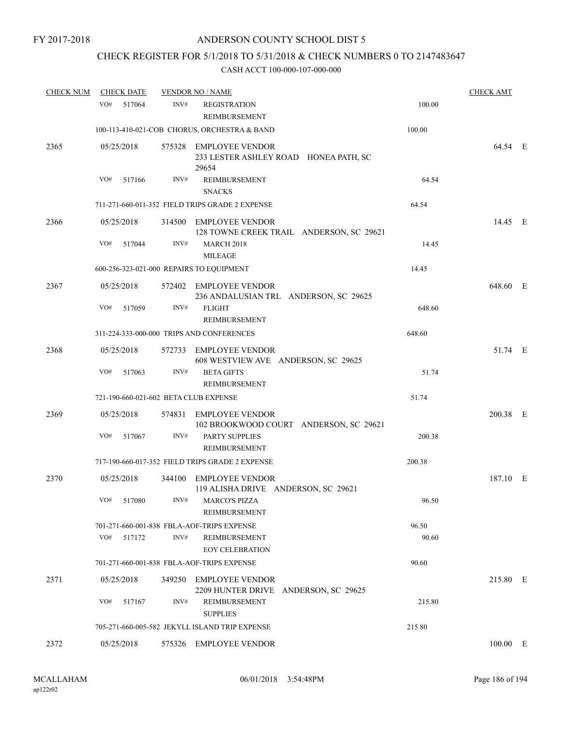## CHECK REGISTER FOR 5/1/2018 TO 5/31/2018 & CHECK NUMBERS 0 TO 2147483647

| <b>CHECK NUM</b> | <b>CHECK DATE</b> |                                       | <b>VENDOR NO / NAME</b>                                                  |        | <b>CHECK AMT</b> |  |
|------------------|-------------------|---------------------------------------|--------------------------------------------------------------------------|--------|------------------|--|
|                  | VO#<br>517064     | INV#                                  | <b>REGISTRATION</b><br><b>REIMBURSEMENT</b>                              | 100.00 |                  |  |
|                  |                   |                                       | 100-113-410-021-COB CHORUS, ORCHESTRA & BAND                             | 100.00 |                  |  |
| 2365             | 05/25/2018        |                                       | 575328 EMPLOYEE VENDOR<br>233 LESTER ASHLEY ROAD HONEA PATH, SC<br>29654 |        | 64.54 E          |  |
|                  | VO#<br>517166     | INV#                                  | <b>REIMBURSEMENT</b><br><b>SNACKS</b>                                    | 64.54  |                  |  |
|                  |                   |                                       | 711-271-660-011-352 FIELD TRIPS GRADE 2 EXPENSE                          | 64.54  |                  |  |
| 2366             | 05/25/2018        |                                       | 314500 EMPLOYEE VENDOR<br>128 TOWNE CREEK TRAIL ANDERSON, SC 29621       |        | 14.45 E          |  |
|                  | VO#<br>517044     | INV#                                  | <b>MARCH 2018</b><br><b>MILEAGE</b>                                      | 14.45  |                  |  |
|                  |                   |                                       | 600-256-323-021-000 REPAIRS TO EQUIPMENT                                 | 14.45  |                  |  |
| 2367             | 05/25/2018        |                                       | 572402 EMPLOYEE VENDOR<br>236 ANDALUSIAN TRL ANDERSON, SC 29625          |        | 648.60 E         |  |
|                  | VO#<br>517059     | INV#                                  | <b>FLIGHT</b><br><b>REIMBURSEMENT</b>                                    | 648.60 |                  |  |
|                  |                   |                                       | 311-224-333-000-000 TRIPS AND CONFERENCES                                | 648.60 |                  |  |
| 2368             | 05/25/2018        |                                       | 572733 EMPLOYEE VENDOR<br>608 WESTVIEW AVE ANDERSON, SC 29625            |        | 51.74 E          |  |
|                  | VO#<br>517063     | INV#                                  | <b>BETA GIFTS</b><br><b>REIMBURSEMENT</b>                                | 51.74  |                  |  |
|                  |                   | 721-190-660-021-602 BETA CLUB EXPENSE |                                                                          | 51.74  |                  |  |
| 2369             | 05/25/2018        |                                       | 574831 EMPLOYEE VENDOR<br>102 BROOKWOOD COURT ANDERSON, SC 29621         |        | 200.38 E         |  |
|                  | VO#<br>517067     | INV#                                  | PARTY SUPPLIES<br>REIMBURSEMENT                                          | 200.38 |                  |  |
|                  |                   |                                       | 717-190-660-017-352 FIELD TRIPS GRADE 2 EXPENSE                          | 200.38 |                  |  |
| 2370             | 05/25/2018        |                                       | 344100 EMPLOYEE VENDOR<br>119 ALISHA DRIVE ANDERSON, SC 29621            |        | 187.10 E         |  |
|                  | VO#<br>517080     | INV#                                  | <b>MARCO'S PIZZA</b><br>REIMBURSEMENT                                    | 96.50  |                  |  |
|                  |                   |                                       | 701-271-660-001-838 FBLA-AOF-TRIPS EXPENSE                               | 96.50  |                  |  |
|                  | VO#<br>517172     | INV#                                  | REIMBURSEMENT<br><b>EOY CELEBRATION</b>                                  | 90.60  |                  |  |
|                  |                   |                                       | 701-271-660-001-838 FBLA-AOF-TRIPS EXPENSE                               | 90.60  |                  |  |
| 2371             | 05/25/2018        | 349250                                | <b>EMPLOYEE VENDOR</b><br>2209 HUNTER DRIVE ANDERSON, SC 29625           |        | 215.80 E         |  |
|                  | VO#<br>517167     | INV#                                  | REIMBURSEMENT<br><b>SUPPLIES</b>                                         | 215.80 |                  |  |
|                  |                   |                                       | 705-271-660-005-582 JEKYLL ISLAND TRIP EXPENSE                           | 215.80 |                  |  |
| 2372             | 05/25/2018        |                                       | 575326 EMPLOYEE VENDOR                                                   |        | 100.00 E         |  |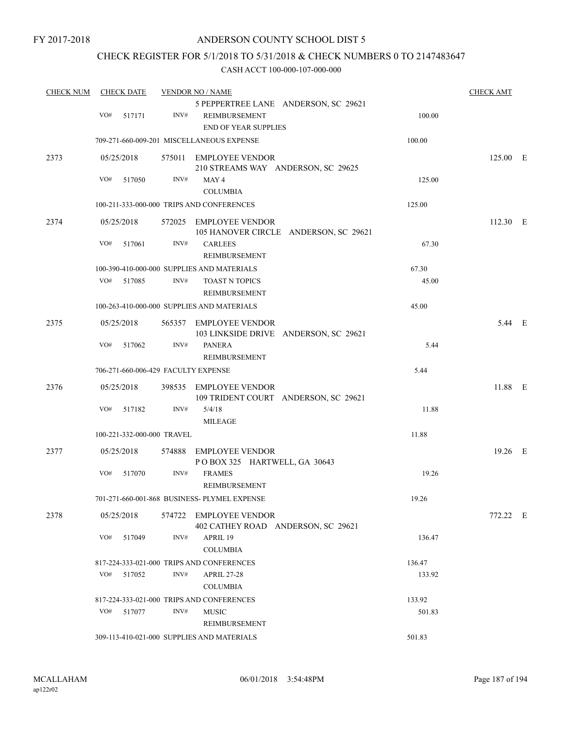### CHECK REGISTER FOR 5/1/2018 TO 5/31/2018 & CHECK NUMBERS 0 TO 2147483647

| <b>CHECK NUM</b> | <b>CHECK DATE</b> |                                     | <b>VENDOR NO / NAME</b>                                                              |        | <b>CHECK AMT</b> |  |
|------------------|-------------------|-------------------------------------|--------------------------------------------------------------------------------------|--------|------------------|--|
|                  | VO#<br>517171     | INV#                                | 5 PEPPERTREE LANE ANDERSON, SC 29621<br>REIMBURSEMENT<br><b>END OF YEAR SUPPLIES</b> | 100.00 |                  |  |
|                  |                   |                                     | 709-271-660-009-201 MISCELLANEOUS EXPENSE                                            | 100.00 |                  |  |
|                  |                   |                                     |                                                                                      |        |                  |  |
| 2373             | 05/25/2018        |                                     | 575011 EMPLOYEE VENDOR<br>210 STREAMS WAY ANDERSON, SC 29625                         |        | 125.00 E         |  |
|                  | VO#<br>517050     | INV#                                | MAY 4<br><b>COLUMBIA</b>                                                             | 125.00 |                  |  |
|                  |                   |                                     | 100-211-333-000-000 TRIPS AND CONFERENCES                                            | 125.00 |                  |  |
| 2374             | 05/25/2018        |                                     | 572025 EMPLOYEE VENDOR                                                               |        | 112.30 E         |  |
|                  |                   |                                     | 105 HANOVER CIRCLE ANDERSON, SC 29621                                                |        |                  |  |
|                  | VO#<br>517061     | INV#                                | <b>CARLEES</b><br>REIMBURSEMENT                                                      | 67.30  |                  |  |
|                  |                   |                                     | 100-390-410-000-000 SUPPLIES AND MATERIALS                                           | 67.30  |                  |  |
|                  | VO# 517085        | INV#                                | <b>TOAST N TOPICS</b><br>REIMBURSEMENT                                               | 45.00  |                  |  |
|                  |                   |                                     | 100-263-410-000-000 SUPPLIES AND MATERIALS                                           | 45.00  |                  |  |
| 2375             | 05/25/2018        |                                     | 565357 EMPLOYEE VENDOR<br>103 LINKSIDE DRIVE ANDERSON, SC 29621                      |        | 5.44 E           |  |
|                  | VO#<br>517062     | INV#                                | <b>PANERA</b><br>REIMBURSEMENT                                                       | 5.44   |                  |  |
|                  |                   | 706-271-660-006-429 FACULTY EXPENSE |                                                                                      | 5.44   |                  |  |
| 2376             | 05/25/2018        |                                     | 398535 EMPLOYEE VENDOR<br>109 TRIDENT COURT ANDERSON, SC 29621                       |        | 11.88 E          |  |
|                  | VO#<br>517182     | INV#                                | 5/4/18<br><b>MILEAGE</b>                                                             | 11.88  |                  |  |
|                  |                   | 100-221-332-000-000 TRAVEL          |                                                                                      | 11.88  |                  |  |
| 2377             | 05/25/2018        |                                     | 574888 EMPLOYEE VENDOR<br>POBOX 325 HARTWELL, GA 30643                               |        | 19.26 E          |  |
|                  | VO#<br>517070     | INV#                                | <b>FRAMES</b><br>REIMBURSEMENT                                                       | 19.26  |                  |  |
|                  |                   |                                     | 701-271-660-001-868 BUSINESS- PLYMEL EXPENSE                                         | 19.26  |                  |  |
| 2378             | 05/25/2018        |                                     | 574722 EMPLOYEE VENDOR<br>402 CATHEY ROAD ANDERSON, SC 29621                         |        | 772.22 E         |  |
|                  | VO#<br>517049     | INV#                                | APRIL 19<br><b>COLUMBIA</b>                                                          | 136.47 |                  |  |
|                  |                   |                                     | 817-224-333-021-000 TRIPS AND CONFERENCES                                            | 136.47 |                  |  |
|                  | VO# 517052        | INV#                                | <b>APRIL 27-28</b><br><b>COLUMBIA</b>                                                | 133.92 |                  |  |
|                  |                   |                                     | 817-224-333-021-000 TRIPS AND CONFERENCES                                            | 133.92 |                  |  |
|                  | VO# 517077        | INV#                                | <b>MUSIC</b><br>REIMBURSEMENT                                                        | 501.83 |                  |  |
|                  |                   |                                     | 309-113-410-021-000 SUPPLIES AND MATERIALS                                           | 501.83 |                  |  |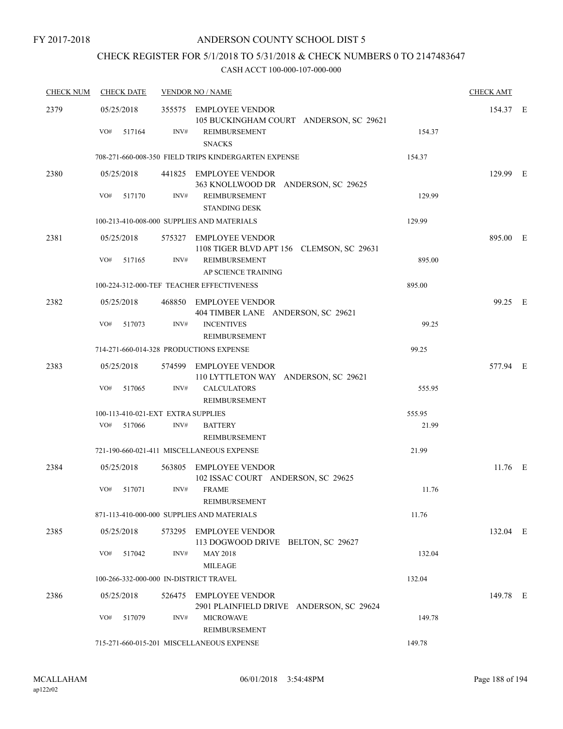# CHECK REGISTER FOR 5/1/2018 TO 5/31/2018 & CHECK NUMBERS 0 TO 2147483647

| <b>CHECK NUM</b> | <b>CHECK DATE</b>                       |      | <b>VENDOR NO / NAME</b>                                             |        | <b>CHECK AMT</b> |  |
|------------------|-----------------------------------------|------|---------------------------------------------------------------------|--------|------------------|--|
| 2379             | 05/25/2018                              |      | 355575 EMPLOYEE VENDOR<br>105 BUCKINGHAM COURT ANDERSON, SC 29621   |        | 154.37 E         |  |
|                  | VO#<br>517164                           | INV# | REIMBURSEMENT<br><b>SNACKS</b>                                      | 154.37 |                  |  |
|                  |                                         |      | 708-271-660-008-350 FIELD TRIPS KINDERGARTEN EXPENSE                | 154.37 |                  |  |
| 2380             | 05/25/2018                              |      | 441825 EMPLOYEE VENDOR<br>363 KNOLLWOOD DR ANDERSON, SC 29625       |        | 129.99 E         |  |
|                  | VO#<br>517170                           | INV# | REIMBURSEMENT<br><b>STANDING DESK</b>                               | 129.99 |                  |  |
|                  |                                         |      | 100-213-410-008-000 SUPPLIES AND MATERIALS                          | 129.99 |                  |  |
| 2381             | 05/25/2018                              |      | 575327 EMPLOYEE VENDOR<br>1108 TIGER BLVD APT 156 CLEMSON, SC 29631 |        | 895.00 E         |  |
|                  | VO#<br>517165                           | INV# | REIMBURSEMENT<br>AP SCIENCE TRAINING                                | 895.00 |                  |  |
|                  |                                         |      | 100-224-312-000-TEF TEACHER EFFECTIVENESS                           | 895.00 |                  |  |
| 2382             | 05/25/2018                              |      | 468850 EMPLOYEE VENDOR<br>404 TIMBER LANE ANDERSON, SC 29621        |        | 99.25 E          |  |
|                  | VO#<br>517073                           | INV# | <b>INCENTIVES</b><br>REIMBURSEMENT                                  | 99.25  |                  |  |
|                  | 714-271-660-014-328 PRODUCTIONS EXPENSE |      |                                                                     | 99.25  |                  |  |
| 2383             | 05/25/2018                              |      | 574599 EMPLOYEE VENDOR<br>110 LYTTLETON WAY ANDERSON, SC 29621      |        | 577.94 E         |  |
|                  | VO#<br>517065                           | INV# | <b>CALCULATORS</b><br>REIMBURSEMENT                                 | 555.95 |                  |  |
|                  | 100-113-410-021-EXT EXTRA SUPPLIES      |      |                                                                     | 555.95 |                  |  |
|                  | VO#<br>517066                           | INV# | <b>BATTERY</b><br>REIMBURSEMENT                                     | 21.99  |                  |  |
|                  |                                         |      | 721-190-660-021-411 MISCELLANEOUS EXPENSE                           | 21.99  |                  |  |
| 2384             | 05/25/2018                              |      | 563805 EMPLOYEE VENDOR<br>102 ISSAC COURT ANDERSON, SC 29625        |        | 11.76 E          |  |
|                  | VO#<br>517071                           | INV# | <b>FRAME</b><br>REIMBURSEMENT                                       | 11.76  |                  |  |
|                  |                                         |      | 871-113-410-000-000 SUPPLIES AND MATERIALS                          | 11.76  |                  |  |
| 2385             | 05/25/2018                              |      | 573295 EMPLOYEE VENDOR<br>113 DOGWOOD DRIVE BELTON, SC 29627        |        | 132.04 E         |  |
|                  | VO#<br>517042                           | INV# | <b>MAY 2018</b><br><b>MILEAGE</b>                                   | 132.04 |                  |  |
|                  | 100-266-332-000-000 IN-DISTRICT TRAVEL  |      |                                                                     | 132.04 |                  |  |
| 2386             | 05/25/2018                              |      | 526475 EMPLOYEE VENDOR<br>2901 PLAINFIELD DRIVE ANDERSON, SC 29624  |        | 149.78 E         |  |
|                  | VO#<br>517079                           | INV# | <b>MICROWAVE</b><br>REIMBURSEMENT                                   | 149.78 |                  |  |
|                  |                                         |      | 715-271-660-015-201 MISCELLANEOUS EXPENSE                           | 149.78 |                  |  |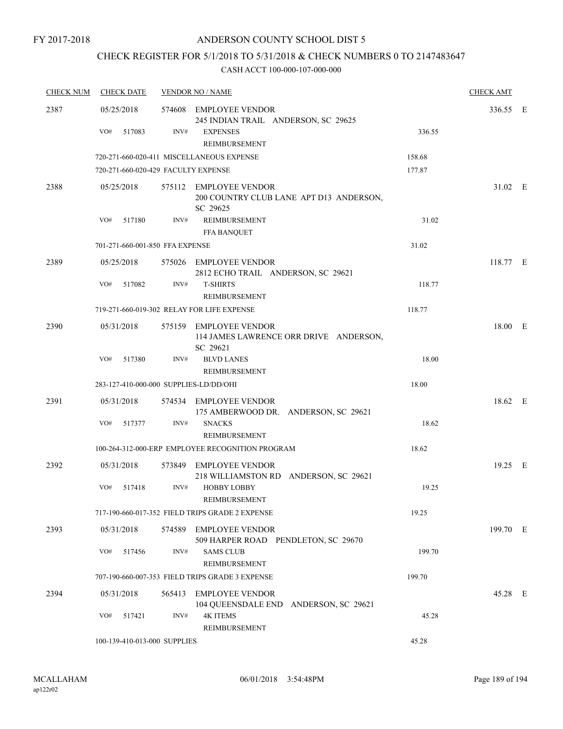FY 2017-2018

### ANDERSON COUNTY SCHOOL DIST 5

# CHECK REGISTER FOR 5/1/2018 TO 5/31/2018 & CHECK NUMBERS 0 TO 2147483647

| <b>CHECK NUM</b> | <b>CHECK DATE</b>                      |      | <b>VENDOR NO / NAME</b>                                                        |        | <b>CHECK AMT</b> |  |
|------------------|----------------------------------------|------|--------------------------------------------------------------------------------|--------|------------------|--|
| 2387             | 05/25/2018                             |      | 574608 EMPLOYEE VENDOR                                                         |        | 336.55 E         |  |
|                  | VO#<br>517083                          | INV# | 245 INDIAN TRAIL ANDERSON, SC 29625<br><b>EXPENSES</b><br><b>REIMBURSEMENT</b> | 336.55 |                  |  |
|                  |                                        |      | 720-271-660-020-411 MISCELLANEOUS EXPENSE                                      | 158.68 |                  |  |
|                  | 720-271-660-020-429 FACULTY EXPENSE    |      |                                                                                | 177.87 |                  |  |
| 2388             | 05/25/2018                             |      | 575112 EMPLOYEE VENDOR<br>200 COUNTRY CLUB LANE APT D13 ANDERSON,<br>SC 29625  |        | 31.02 E          |  |
|                  | VO#<br>517180                          | INV# | REIMBURSEMENT<br><b>FFA BANQUET</b>                                            | 31.02  |                  |  |
|                  | 701-271-660-001-850 FFA EXPENSE        |      |                                                                                | 31.02  |                  |  |
| 2389             | 05/25/2018                             |      | 575026 EMPLOYEE VENDOR<br>2812 ECHO TRAIL ANDERSON, SC 29621                   |        | 118.77 E         |  |
|                  | VO#<br>517082                          | INV# | <b>T-SHIRTS</b><br>REIMBURSEMENT                                               | 118.77 |                  |  |
|                  |                                        |      | 719-271-660-019-302 RELAY FOR LIFE EXPENSE                                     | 118.77 |                  |  |
| 2390             | 05/31/2018                             |      | 575159 EMPLOYEE VENDOR<br>114 JAMES LAWRENCE ORR DRIVE ANDERSON,<br>SC 29621   |        | 18.00 E          |  |
|                  | VO#<br>517380                          | INV# | <b>BLVD LANES</b><br>REIMBURSEMENT                                             | 18.00  |                  |  |
|                  | 283-127-410-000-000 SUPPLIES-LD/DD/OHI |      |                                                                                | 18.00  |                  |  |
| 2391             | 05/31/2018                             |      | 574534 EMPLOYEE VENDOR<br>175 AMBERWOOD DR. ANDERSON, SC 29621                 |        | 18.62 E          |  |
|                  | VO#<br>517377                          | INV# | <b>SNACKS</b><br>REIMBURSEMENT                                                 | 18.62  |                  |  |
|                  |                                        |      | 100-264-312-000-ERP EMPLOYEE RECOGNITION PROGRAM                               | 18.62  |                  |  |
| 2392             | 05/31/2018                             |      | 573849 EMPLOYEE VENDOR<br>218 WILLIAMSTON RD ANDERSON, SC 29621                |        | 19.25 E          |  |
|                  | VO#<br>517418                          | INV# | <b>HOBBY LOBBY</b><br><b>REIMBURSEMENT</b>                                     | 19.25  |                  |  |
|                  |                                        |      | 717-190-660-017-352 FIELD TRIPS GRADE 2 EXPENSE                                | 19.25  |                  |  |
| 2393             | 05/31/2018                             |      | 574589 EMPLOYEE VENDOR<br>509 HARPER ROAD PENDLETON, SC 29670                  |        | 199.70 E         |  |
|                  | VO#<br>517456                          | INV# | <b>SAMS CLUB</b><br>REIMBURSEMENT                                              | 199.70 |                  |  |
|                  |                                        |      | 707-190-660-007-353 FIELD TRIPS GRADE 3 EXPENSE                                | 199.70 |                  |  |
| 2394             | 05/31/2018                             |      | 565413 EMPLOYEE VENDOR<br>104 QUEENSDALE END ANDERSON, SC 29621                |        | 45.28 E          |  |
|                  | VO#<br>517421                          | INV# | <b>4K ITEMS</b><br>REIMBURSEMENT                                               | 45.28  |                  |  |
|                  | 100-139-410-013-000 SUPPLIES           |      |                                                                                | 45.28  |                  |  |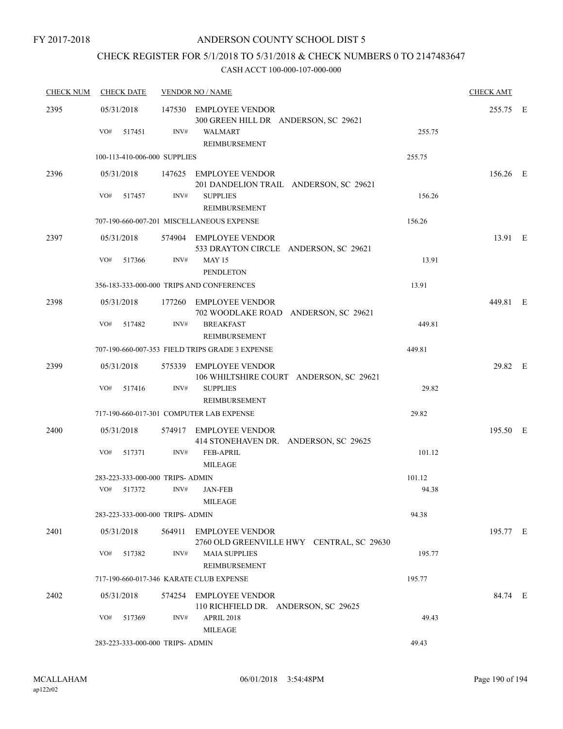# CHECK REGISTER FOR 5/1/2018 TO 5/31/2018 & CHECK NUMBERS 0 TO 2147483647

| <b>CHECK NUM</b> | <b>CHECK DATE</b>                       |        | <b>VENDOR NO / NAME</b>                                                          |        | <b>CHECK AMT</b> |  |
|------------------|-----------------------------------------|--------|----------------------------------------------------------------------------------|--------|------------------|--|
| 2395             | 05/31/2018<br>VO#<br>517451             | INV#   | 147530 EMPLOYEE VENDOR<br>300 GREEN HILL DR ANDERSON, SC 29621<br><b>WALMART</b> | 255.75 | 255.75 E         |  |
|                  |                                         |        | REIMBURSEMENT                                                                    |        |                  |  |
|                  | 100-113-410-006-000 SUPPLIES            |        |                                                                                  | 255.75 |                  |  |
| 2396             | 05/31/2018                              |        | 147625 EMPLOYEE VENDOR<br>201 DANDELION TRAIL ANDERSON, SC 29621                 |        | 156.26 E         |  |
|                  | VO#<br>517457                           | INV#   | <b>SUPPLIES</b><br>REIMBURSEMENT                                                 | 156.26 |                  |  |
|                  |                                         |        | 707-190-660-007-201 MISCELLANEOUS EXPENSE                                        | 156.26 |                  |  |
| 2397             | 05/31/2018                              |        | 574904 EMPLOYEE VENDOR<br>533 DRAYTON CIRCLE ANDERSON, SC 29621                  |        | 13.91 E          |  |
|                  | VO#<br>517366                           | INV#   | <b>MAY 15</b><br><b>PENDLETON</b>                                                | 13.91  |                  |  |
|                  |                                         |        | 356-183-333-000-000 TRIPS AND CONFERENCES                                        | 13.91  |                  |  |
| 2398             | 05/31/2018                              |        | 177260 EMPLOYEE VENDOR<br>702 WOODLAKE ROAD ANDERSON, SC 29621                   |        | 449.81 E         |  |
|                  | VO#<br>517482                           | INV#   | <b>BREAKFAST</b><br>REIMBURSEMENT                                                | 449.81 |                  |  |
|                  |                                         |        | 707-190-660-007-353 FIELD TRIPS GRADE 3 EXPENSE                                  | 449.81 |                  |  |
| 2399             | 05/31/2018                              |        | 575339 EMPLOYEE VENDOR<br>106 WHILTSHIRE COURT ANDERSON, SC 29621                |        | 29.82 E          |  |
|                  | VO#<br>517416                           | INV#   | <b>SUPPLIES</b><br>REIMBURSEMENT                                                 | 29.82  |                  |  |
|                  |                                         |        | 717-190-660-017-301 COMPUTER LAB EXPENSE                                         | 29.82  |                  |  |
| 2400             | 05/31/2018                              |        | 574917 EMPLOYEE VENDOR<br>414 STONEHAVEN DR. ANDERSON, SC 29625                  |        | 195.50 E         |  |
|                  | VO#<br>517371                           | INV#   | <b>FEB-APRIL</b><br><b>MILEAGE</b>                                               | 101.12 |                  |  |
|                  | 283-223-333-000-000 TRIPS- ADMIN        |        |                                                                                  | 101.12 |                  |  |
|                  | VO# 517372                              | INV#   | <b>JAN-FEB</b><br><b>MILEAGE</b>                                                 | 94.38  |                  |  |
|                  | 283-223-333-000-000 TRIPS- ADMIN        |        |                                                                                  | 94.38  |                  |  |
| 2401             | 05/31/2018                              | 564911 | <b>EMPLOYEE VENDOR</b><br>2760 OLD GREENVILLE HWY CENTRAL, SC 29630              |        | 195.77 E         |  |
|                  | VO#<br>517382                           | INV#   | <b>MAIA SUPPLIES</b><br>REIMBURSEMENT                                            | 195.77 |                  |  |
|                  | 717-190-660-017-346 KARATE CLUB EXPENSE |        |                                                                                  | 195.77 |                  |  |
| 2402             | 05/31/2018                              |        | 574254 EMPLOYEE VENDOR<br>110 RICHFIELD DR. ANDERSON, SC 29625                   |        | 84.74 E          |  |
|                  | VO#<br>517369                           | INV#   | APRIL 2018<br><b>MILEAGE</b>                                                     | 49.43  |                  |  |
|                  | 283-223-333-000-000 TRIPS- ADMIN        |        |                                                                                  | 49.43  |                  |  |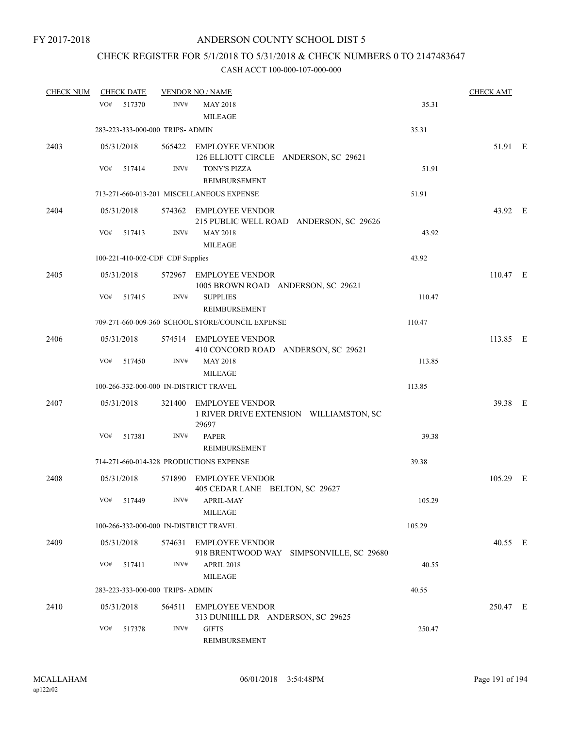# CHECK REGISTER FOR 5/1/2018 TO 5/31/2018 & CHECK NUMBERS 0 TO 2147483647

| <b>CHECK NUM</b> | <b>CHECK DATE</b>                      |        | <b>VENDOR NO / NAME</b>                                                              |        | <b>CHECK AMT</b> |  |
|------------------|----------------------------------------|--------|--------------------------------------------------------------------------------------|--------|------------------|--|
|                  | VO#<br>517370                          | INV#   | <b>MAY 2018</b><br><b>MILEAGE</b>                                                    | 35.31  |                  |  |
|                  | 283-223-333-000-000 TRIPS- ADMIN       |        |                                                                                      | 35.31  |                  |  |
| 2403             | 05/31/2018                             |        | 565422 EMPLOYEE VENDOR<br>126 ELLIOTT CIRCLE ANDERSON, SC 29621                      |        | 51.91 E          |  |
|                  | VO#<br>517414                          | INV#   | TONY'S PIZZA<br><b>REIMBURSEMENT</b>                                                 | 51.91  |                  |  |
|                  |                                        |        | 713-271-660-013-201 MISCELLANEOUS EXPENSE                                            | 51.91  |                  |  |
| 2404             | 05/31/2018<br>VO#<br>517413            | INV#   | 574362 EMPLOYEE VENDOR<br>215 PUBLIC WELL ROAD ANDERSON, SC 29626<br><b>MAY 2018</b> | 43.92  | 43.92 E          |  |
|                  |                                        |        | <b>MILEAGE</b>                                                                       |        |                  |  |
|                  | 100-221-410-002-CDF CDF Supplies       |        |                                                                                      | 43.92  |                  |  |
| 2405             | 05/31/2018                             |        | 572967 EMPLOYEE VENDOR<br>1005 BROWN ROAD ANDERSON, SC 29621                         |        | $110.47$ E       |  |
|                  | VO#<br>517415                          | INV#   | <b>SUPPLIES</b><br><b>REIMBURSEMENT</b>                                              | 110.47 |                  |  |
|                  |                                        |        | 709-271-660-009-360 SCHOOL STORE/COUNCIL EXPENSE                                     | 110.47 |                  |  |
| 2406             | 05/31/2018                             |        | 574514 EMPLOYEE VENDOR<br>410 CONCORD ROAD ANDERSON, SC 29621                        |        | 113.85 E         |  |
|                  | VO#<br>517450                          | INV#   | <b>MAY 2018</b><br><b>MILEAGE</b>                                                    | 113.85 |                  |  |
|                  | 100-266-332-000-000 IN-DISTRICT TRAVEL |        |                                                                                      | 113.85 |                  |  |
| 2407             | 05/31/2018                             |        | 321400 EMPLOYEE VENDOR<br>1 RIVER DRIVE EXTENSION WILLIAMSTON, SC<br>29697           |        | 39.38 E          |  |
|                  | VO#<br>517381                          | INV#   | <b>PAPER</b><br>REIMBURSEMENT                                                        | 39.38  |                  |  |
|                  |                                        |        | 714-271-660-014-328 PRODUCTIONS EXPENSE                                              | 39.38  |                  |  |
| 2408             | 05/31/2018                             |        | 571890 EMPLOYEE VENDOR<br>405 CEDAR LANE BELTON, SC 29627                            |        | 105.29 E         |  |
|                  | VO# 517449                             |        | INV# APRIL-MAY<br>MILEAGE                                                            | 105.29 |                  |  |
|                  | 100-266-332-000-000 IN-DISTRICT TRAVEL |        |                                                                                      | 105.29 |                  |  |
| 2409             | 05/31/2018                             |        | 574631 EMPLOYEE VENDOR<br>918 BRENTWOOD WAY SIMPSONVILLE, SC 29680                   |        | 40.55 E          |  |
|                  | VO#<br>517411                          | INV#   | <b>APRIL 2018</b><br><b>MILEAGE</b>                                                  | 40.55  |                  |  |
|                  | 283-223-333-000-000 TRIPS- ADMIN       |        |                                                                                      | 40.55  |                  |  |
| 2410             | 05/31/2018                             | 564511 | <b>EMPLOYEE VENDOR</b><br>313 DUNHILL DR ANDERSON, SC 29625                          |        | 250.47 E         |  |
|                  | VO#<br>517378                          | INV#   | <b>GIFTS</b><br>REIMBURSEMENT                                                        | 250.47 |                  |  |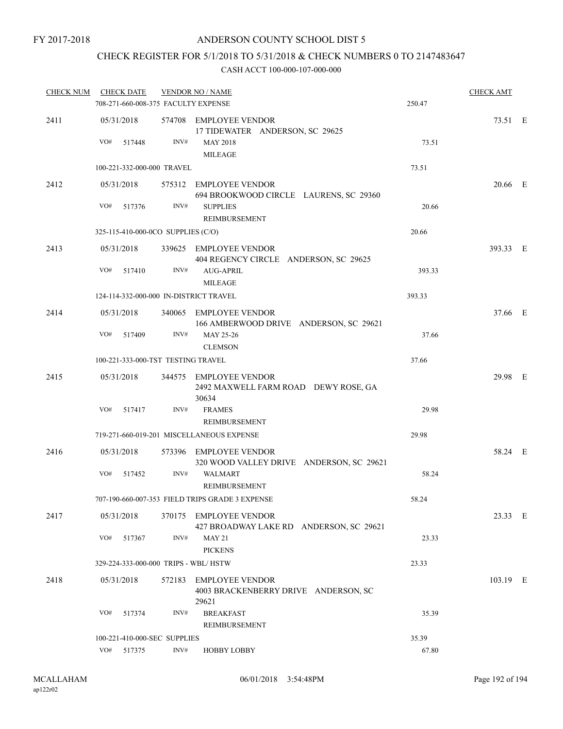### CHECK REGISTER FOR 5/1/2018 TO 5/31/2018 & CHECK NUMBERS 0 TO 2147483647

| <b>CHECK NUM</b> | <b>CHECK DATE</b><br>708-271-660-008-375 FACULTY EXPENSE |      | <b>VENDOR NO / NAME</b>                                                 | 250.47 | <b>CHECK AMT</b> |  |
|------------------|----------------------------------------------------------|------|-------------------------------------------------------------------------|--------|------------------|--|
|                  |                                                          |      |                                                                         |        |                  |  |
| 2411             | 05/31/2018                                               |      | 574708 EMPLOYEE VENDOR<br>17 TIDEWATER ANDERSON, SC 29625               |        | 73.51 E          |  |
|                  | VO#<br>517448                                            | INV# | <b>MAY 2018</b><br><b>MILEAGE</b>                                       | 73.51  |                  |  |
|                  | 100-221-332-000-000 TRAVEL                               |      |                                                                         | 73.51  |                  |  |
| 2412             | 05/31/2018                                               |      | 575312 EMPLOYEE VENDOR<br>694 BROOKWOOD CIRCLE LAURENS, SC 29360        |        | 20.66 E          |  |
|                  | VO#<br>517376                                            | INV# | <b>SUPPLIES</b><br>REIMBURSEMENT                                        | 20.66  |                  |  |
|                  | 325-115-410-000-0CO SUPPLIES (C/O)                       |      |                                                                         | 20.66  |                  |  |
| 2413             | 05/31/2018                                               |      | 339625 EMPLOYEE VENDOR<br>404 REGENCY CIRCLE ANDERSON, SC 29625         |        | 393.33 E         |  |
|                  | VO#<br>517410                                            | INV# | AUG-APRIL<br><b>MILEAGE</b>                                             | 393.33 |                  |  |
|                  | 124-114-332-000-000 IN-DISTRICT TRAVEL                   |      |                                                                         | 393.33 |                  |  |
| 2414             | 05/31/2018                                               |      | 340065 EMPLOYEE VENDOR<br>166 AMBERWOOD DRIVE ANDERSON, SC 29621        |        | 37.66 E          |  |
|                  | VO#<br>517409                                            | INV# | MAY 25-26<br><b>CLEMSON</b>                                             | 37.66  |                  |  |
|                  | 100-221-333-000-TST TESTING TRAVEL                       |      |                                                                         | 37.66  |                  |  |
| 2415             | 05/31/2018                                               |      | 344575 EMPLOYEE VENDOR<br>2492 MAXWELL FARM ROAD DEWY ROSE, GA<br>30634 |        | 29.98 E          |  |
|                  | VO#<br>517417                                            | INV# | <b>FRAMES</b><br>REIMBURSEMENT                                          | 29.98  |                  |  |
|                  |                                                          |      | 719-271-660-019-201 MISCELLANEOUS EXPENSE                               | 29.98  |                  |  |
| 2416             | 05/31/2018                                               |      | 573396 EMPLOYEE VENDOR<br>320 WOOD VALLEY DRIVE ANDERSON, SC 29621      |        | 58.24 E          |  |
|                  | VO#<br>517452                                            | INV# | <b>WALMART</b><br><b>REIMBURSEMENT</b>                                  | 58.24  |                  |  |
|                  |                                                          |      | 707-190-660-007-353 FIELD TRIPS GRADE 3 EXPENSE                         | 58.24  |                  |  |
| 2417             | 05/31/2018                                               |      | 370175 EMPLOYEE VENDOR<br>427 BROADWAY LAKE RD ANDERSON, SC 29621       |        | 23.33 E          |  |
|                  | VO#<br>517367                                            | INV# | <b>MAY 21</b><br><b>PICKENS</b>                                         | 23.33  |                  |  |
|                  | 329-224-333-000-000 TRIPS - WBL/HSTW                     |      |                                                                         | 23.33  |                  |  |
| 2418             | 05/31/2018                                               |      | 572183 EMPLOYEE VENDOR<br>4003 BRACKENBERRY DRIVE ANDERSON, SC<br>29621 |        | 103.19 E         |  |
|                  | VO#<br>517374                                            | INV# | <b>BREAKFAST</b><br>REIMBURSEMENT                                       | 35.39  |                  |  |
|                  | 100-221-410-000-SEC SUPPLIES                             |      |                                                                         | 35.39  |                  |  |
|                  | VO#<br>517375                                            | INV# | <b>HOBBY LOBBY</b>                                                      | 67.80  |                  |  |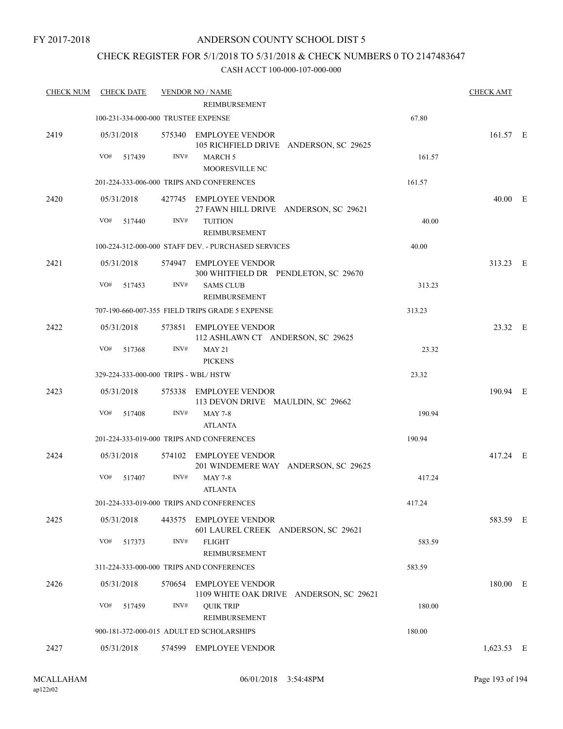### CHECK REGISTER FOR 5/1/2018 TO 5/31/2018 & CHECK NUMBERS 0 TO 2147483647

| <b>CHECK NUM</b> | <b>CHECK DATE</b>                                   |        | <b>VENDOR NO / NAME</b><br>REIMBURSEMENT                         |        | <b>CHECK AMT</b> |  |
|------------------|-----------------------------------------------------|--------|------------------------------------------------------------------|--------|------------------|--|
|                  | 67.80<br>100-231-334-000-000 TRUSTEE EXPENSE        |        |                                                                  |        |                  |  |
| 2419             | 05/31/2018                                          |        | 575340 EMPLOYEE VENDOR<br>105 RICHFIELD DRIVE ANDERSON, SC 29625 |        | 161.57 E         |  |
|                  | VO#<br>517439                                       | INV#   | <b>MARCH 5</b><br>MOORESVILLE NC                                 | 161.57 |                  |  |
|                  |                                                     |        | 201-224-333-006-000 TRIPS AND CONFERENCES                        | 161.57 |                  |  |
| 2420             | 05/31/2018                                          |        | 427745 EMPLOYEE VENDOR<br>27 FAWN HILL DRIVE ANDERSON, SC 29621  |        | 40.00 E          |  |
|                  | VO#<br>517440                                       | INV#   | <b>TUITION</b><br>REIMBURSEMENT                                  | 40.00  |                  |  |
|                  | 100-224-312-000-000 STAFF DEV. - PURCHASED SERVICES |        | 40.00                                                            |        |                  |  |
| 2421             | 05/31/2018                                          |        | 574947 EMPLOYEE VENDOR<br>300 WHITFIELD DR PENDLETON, SC 29670   |        | 313.23 E         |  |
|                  | VO#<br>517453                                       | INV#   | <b>SAMS CLUB</b><br>REIMBURSEMENT                                | 313.23 |                  |  |
|                  | 707-190-660-007-355 FIELD TRIPS GRADE 5 EXPENSE     |        | 313.23                                                           |        |                  |  |
| 2422             | 05/31/2018                                          |        | 573851 EMPLOYEE VENDOR<br>112 ASHLAWN CT ANDERSON, SC 29625      |        | 23.32 E          |  |
|                  | VO#<br>517368                                       | INV#   | <b>MAY 21</b><br><b>PICKENS</b>                                  | 23.32  |                  |  |
|                  | 329-224-333-000-000 TRIPS - WBL/HSTW                |        |                                                                  | 23.32  |                  |  |
| 2423             | 05/31/2018                                          |        | 575338 EMPLOYEE VENDOR<br>113 DEVON DRIVE MAULDIN, SC 29662      |        | 190.94 E         |  |
|                  | VO#<br>517408                                       | INV#   | <b>MAY 7-8</b><br><b>ATLANTA</b>                                 | 190.94 |                  |  |
|                  |                                                     |        | 201-224-333-019-000 TRIPS AND CONFERENCES                        | 190.94 |                  |  |
| 2424             | 05/31/2018                                          |        | 574102 EMPLOYEE VENDOR<br>201 WINDEMERE WAY ANDERSON, SC 29625   |        | 417.24 E         |  |
|                  | VO#<br>517407                                       | INV#   | <b>MAY 7-8</b><br><b>ATLANTA</b>                                 | 417.24 |                  |  |
|                  | 201-224-333-019-000 TRIPS AND CONFERENCES           |        | 417.24                                                           |        |                  |  |
| 2425             | 05/31/2018                                          | 443575 | <b>EMPLOYEE VENDOR</b><br>601 LAUREL CREEK ANDERSON, SC 29621    |        | 583.59 E         |  |
|                  | VO#<br>517373                                       | INV#   | <b>FLIGHT</b><br>REIMBURSEMENT                                   | 583.59 |                  |  |
|                  | 311-224-333-000-000 TRIPS AND CONFERENCES           |        | 583.59                                                           |        |                  |  |
| 2426             | 05/31/2018                                          | 570654 | EMPLOYEE VENDOR<br>1109 WHITE OAK DRIVE ANDERSON, SC 29621       |        | 180.00 E         |  |
|                  | VO#<br>517459                                       | INV#   | <b>QUIK TRIP</b><br><b>REIMBURSEMENT</b>                         | 180.00 |                  |  |
|                  |                                                     |        | 900-181-372-000-015 ADULT ED SCHOLARSHIPS                        | 180.00 |                  |  |
| 2427             | 05/31/2018                                          |        | 574599 EMPLOYEE VENDOR                                           |        | $1,623.53$ E     |  |